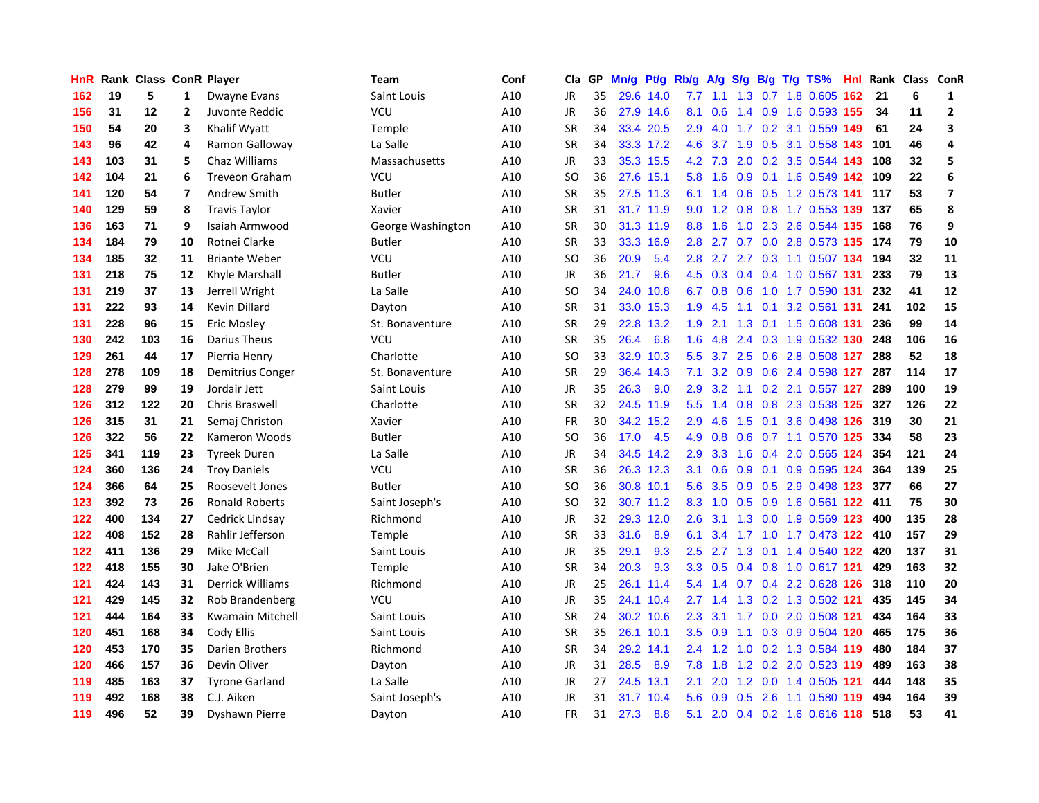| <b>HnR</b> |     | Rank Class ConR Player |                         |                         | Team              | Conf | Cla       | GP | Mn/g | Pt/g      | Rb/g          | A/g     |               |  | $S/g$ B/g T/g TS%             |     | Hnl Rank | Class ConR |                         |
|------------|-----|------------------------|-------------------------|-------------------------|-------------------|------|-----------|----|------|-----------|---------------|---------|---------------|--|-------------------------------|-----|----------|------------|-------------------------|
| 162        | 19  | 5                      | 1                       | Dwayne Evans            | Saint Louis       | A10  | JR        | 35 |      | 29.6 14.0 | 7.7           | 1.1     | 1.3           |  | $0.7$ 1.8 $0.605$             | 162 | 21       | 6          | 1                       |
| 156        | 31  | 12                     | $\overline{2}$          | Juvonte Reddic          | <b>VCU</b>        | A10  | JR        | 36 |      | 27.9 14.6 | 8.1           | 0.6     |               |  | 1.4 0.9 1.6 0.593 155         |     | 34       | 11         | $\mathbf 2$             |
| 150        | 54  | 20                     | 3                       | Khalif Wyatt            | Temple            | A10  | <b>SR</b> | 34 |      | 33.4 20.5 | 2.9           |         |               |  | 4.0 1.7 0.2 3.1 0.559 149     |     | 61       | 24         | $\overline{\mathbf{3}}$ |
| 143        | 96  | 42                     | 4                       | Ramon Galloway          | La Salle          | A10  | <b>SR</b> | 34 |      | 33.3 17.2 | 4.6           |         |               |  | 3.7 1.9 0.5 3.1 0.558 143     |     | 101      | 46         | 4                       |
| 143        | 103 | 31                     | 5                       | Chaz Williams           | Massachusetts     | A10  | <b>JR</b> | 33 |      | 35.3 15.5 |               | 4.2 7.3 | 2.0           |  | 0.2 3.5 0.544 143             |     | 108      | 32         | 5                       |
| 142        | 104 | 21                     | 6                       | <b>Treveon Graham</b>   | VCU               | A10  | SO        | 36 |      | 27.6 15.1 | 5.8           | 1.6     | 0.9           |  | 0.1 1.6 0.549 142             |     | 109      | 22         | $6\phantom{a}$          |
| 141        | 120 | 54                     | $\overline{\mathbf{z}}$ | Andrew Smith            | <b>Butler</b>     | A10  | <b>SR</b> | 35 |      | 27.5 11.3 | 6.1           | 1.4     | 0.6           |  | 0.5 1.2 0.573 141             |     | 117      | 53         | $\overline{7}$          |
| 140        | 129 | 59                     | 8                       | <b>Travis Taylor</b>    | Xavier            | A10  | <b>SR</b> | 31 |      | 31.7 11.9 | 9.0           | 1.2     | 0.8           |  | 0.8 1.7 0.553 139             |     | 137      | 65         | 8                       |
| 136        | 163 | 71                     | 9                       | Isaiah Armwood          | George Washington | A10  | <b>SR</b> | 30 |      | 31.3 11.9 | 8.8           | 1.6     | 1.0           |  | 2.3 2.6 0.544 135             |     | 168      | 76         | 9                       |
| 134        | 184 | 79                     | 10                      | Rotnei Clarke           | <b>Butler</b>     | A10  | <b>SR</b> | 33 |      | 33.3 16.9 | 2.8           | 2.7     |               |  | 0.7 0.0 2.8 0.573 135 174     |     |          | 79         | 10                      |
| 134        | 185 | 32                     | 11                      | <b>Briante Weber</b>    | <b>VCU</b>        | A10  | SO        | 36 | 20.9 | 5.4       | 2.8           |         |               |  | 2.7 2.7 0.3 1.1 0.507 134     |     | 194      | 32         | 11                      |
| 131        | 218 | 75                     | 12                      | Khyle Marshall          | <b>Butler</b>     | A10  | <b>JR</b> | 36 | 21.7 | 9.6       | 4.5           |         |               |  | 0.3 0.4 0.4 1.0 0.567 131     |     | 233      | 79         | 13                      |
| 131        | 219 | 37                     | 13                      | Jerrell Wright          | La Salle          | A10  | <b>SO</b> | 34 | 24.0 | 10.8      | 6.7           | 0.8     | 0.6           |  | 1.0 1.7 0.590 131             |     | 232      | 41         | 12                      |
| 131        | 222 | 93                     | 14                      | Kevin Dillard           | Dayton            | A10  | <b>SR</b> | 31 |      | 33.0 15.3 | 1.9           | 4.5     | 1.1           |  | 0.1 3.2 0.561 131             |     | 241      | 102        | 15                      |
| 131        | 228 | 96                     | 15                      | <b>Eric Mosley</b>      | St. Bonaventure   | A10  | <b>SR</b> | 29 |      | 22.8 13.2 | 1.9           | 2.1     | 1.3           |  | 0.1 1.5 0.608 131             |     | 236      | 99         | 14                      |
| 130        | 242 | 103                    | 16                      | Darius Theus            | VCU               | A10  | <b>SR</b> | 35 | 26.4 | 6.8       | 1.6           | 4.8     | $2.4^{\circ}$ |  | 0.3 1.9 0.532 130             |     | 248      | 106        | 16                      |
| 129        | 261 | 44                     | 17                      | Pierria Henry           | Charlotte         | A10  | SO        | 33 | 32.9 | 10.3      | 5.5           | 3.7     | 2.5           |  | 0.6 2.8 0.508 127             |     | 288      | 52         | 18                      |
| 128        | 278 | 109                    | 18                      | Demitrius Conger        | St. Bonaventure   | A10  | <b>SR</b> | 29 |      | 36.4 14.3 | 7.1           | 3.2     | 0.9           |  | 0.6 2.4 0.598 127             |     | 287      | 114        | 17                      |
| 128        | 279 | 99                     | 19                      | Jordair Jett            | Saint Louis       | A10  | <b>JR</b> | 35 | 26.3 | 9.0       | 2.9           |         |               |  | 3.2 1.1 0.2 2.1 0.557 127     |     | 289      | 100        | 19                      |
| 126        | 312 | 122                    | 20                      | Chris Braswell          | Charlotte         | A10  | <b>SR</b> | 32 |      | 24.5 11.9 | 5.5           | 1.4     |               |  | 0.8 0.8 2.3 0.538 125         |     | 327      | 126        | 22                      |
| 126        | 315 | 31                     | 21                      | Semaj Christon          | Xavier            | A10  | FR        | 30 |      | 34.2 15.2 | 2.9           | 4.6     |               |  | 1.5 0.1 3.6 0.498 126         |     | 319      | 30         | 21                      |
| 126        | 322 | 56                     | 22                      | Kameron Woods           | <b>Butler</b>     | A10  | SO        | 36 | 17.0 | 4.5       | 4.9           | 0.8     | 0.6           |  | 0.7 1.1 0.570 125             |     | 334      | 58         | 23                      |
| 125        | 341 | 119                    | 23                      | <b>Tyreek Duren</b>     | La Salle          | A10  | JR        | 34 |      | 34.5 14.2 | 2.9           | 3.3     | 1.6           |  | 0.4 2.0 0.565 124             |     | 354      | 121        | 24                      |
| 124        | 360 | 136                    | 24                      | <b>Troy Daniels</b>     | <b>VCU</b>        | A10  | SR        | 36 |      | 26.3 12.3 | 3.1           | 0.6     | 0.9           |  | 0.1 0.9 0.595 124             |     | 364      | 139        | 25                      |
| 124        | 366 | 64                     | 25                      | Roosevelt Jones         | <b>Butler</b>     | A10  | SO        | 36 |      | 30.8 10.1 | 5.6           | 3.5     | 0.9           |  | 0.5 2.9 0.498 123             |     | 377      | 66         | 27                      |
| 123        | 392 | 73                     | 26                      | <b>Ronald Roberts</b>   | Saint Joseph's    | A10  | SO        | 32 |      | 30.7 11.2 | 8.3           | 1.0     | 0.5           |  | 0.9 1.6 0.561 122             |     | -411     | 75         | 30                      |
| 122        | 400 | 134                    | 27                      | Cedrick Lindsay         | Richmond          | A10  | JR        | 32 |      | 29.3 12.0 | 2.6           | 3.1     |               |  | 1.3 0.0 1.9 0.569 123         |     | 400      | 135        | 28                      |
| 122        | 408 | 152                    | 28                      | Rahlir Jefferson        | Temple            | A10  | <b>SR</b> | 33 | 31.6 | 8.9       | 6.1           |         |               |  | 3.4 1.7 1.0 1.7 0.473 122 410 |     |          | 157        | 29                      |
| 122        | 411 | 136                    | 29                      | Mike McCall             | Saint Louis       | A10  | JR        | 35 | 29.1 | 9.3       | 2.5           |         |               |  | 2.7 1.3 0.1 1.4 0.540 122     |     | 420      | 137        | 31                      |
| 122        | 418 | 155                    | 30                      | Jake O'Brien            | Temple            | A10  | <b>SR</b> | 34 | 20.3 | 9.3       | 3.3           | 0.5     |               |  | 0.4 0.8 1.0 0.617 121         |     | 429      | 163        | 32                      |
| 121        | 424 | 143                    | 31                      | <b>Derrick Williams</b> | Richmond          | A10  | JR        | 25 | 26.1 | 11.4      | 5.4           | 1.4     | 0.7           |  | 0.4 2.2 0.628 126             |     | 318      | 110        | 20                      |
| 121        | 429 | 145                    | 32                      | Rob Brandenberg         | VCU               | A10  | JR        | 35 | 24.1 | 10.4      | 2.7           | 1.4     | 1.3           |  | 0.2 1.3 0.502 121             |     | 435      | 145        | 34                      |
| 121        | 444 | 164                    | 33                      | Kwamain Mitchell        | Saint Louis       | A10  | <b>SR</b> | 24 | 30.2 | 10.6      | 2.3           | 3.1     | 1.7           |  | $0.0$ 2.0 0.508 121           |     | 434      | 164        | 33                      |
| 120        | 451 | 168                    | 34                      | Cody Ellis              | Saint Louis       | A10  | <b>SR</b> | 35 | 26.1 | 10.1      | 3.5           | 0.9     | 1.1           |  | 0.3 0.9 0.504 120             |     | 465      | 175        | 36                      |
| 120        | 453 | 170                    | 35                      | Darien Brothers         | Richmond          | A10  | <b>SR</b> | 34 |      | 29.2 14.1 | $2.4^{\circ}$ | 1.2     | 1.0           |  | 0.2 1.3 0.584 119             |     | 480      | 184        | 37                      |
| 120        | 466 | 157                    | 36                      | Devin Oliver            | Dayton            | A10  | JR        | 31 | 28.5 | 8.9       | 7.8           | 1.8     |               |  | 1.2 0.2 2.0 0.523 119         |     | 489      | 163        | 38                      |
| 119        | 485 | 163                    | 37                      | <b>Tyrone Garland</b>   | La Salle          | A10  | JR        | 27 |      | 24.5 13.1 | 2.1           |         |               |  | 2.0 1.2 0.0 1.4 0.505 121     |     | 444      | 148        | 35                      |
| 119        | 492 | 168                    | 38                      | C.J. Aiken              | Saint Joseph's    | A10  | JR        | 31 | 31.7 | 10.4      | 5.6           | 0.9     | 0.5           |  | 2.6 1.1 0.580 119             |     | 494      | 164        | 39                      |
| 119        | 496 | 52                     | 39                      | <b>Dyshawn Pierre</b>   | Dayton            | A10  | <b>FR</b> | 31 | 27.3 | 8.8       | 5.1           |         |               |  | 2.0 0.4 0.2 1.6 0.616 118     |     | 518      | 53         | 41                      |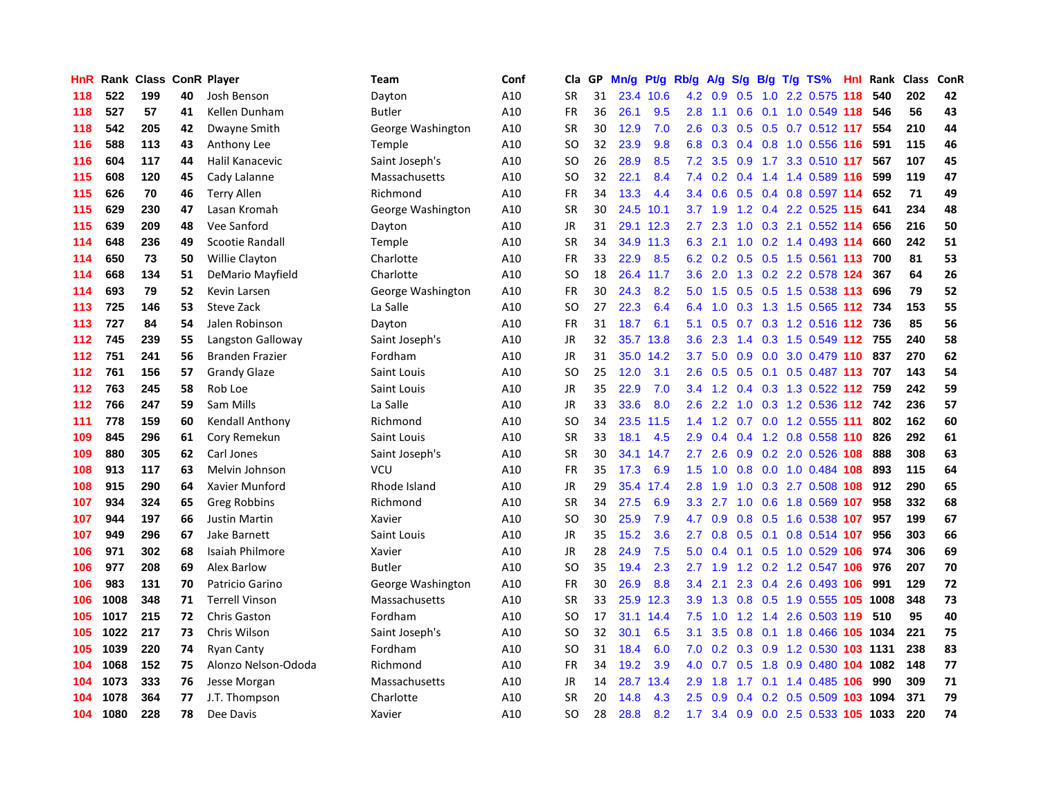| HnR | Rank | <b>Class</b> |    | <b>ConR Player</b>     | Team              | Conf | Cla       | <b>GP</b> | Mn/g | Pt/g      | Rb/g             | A/g              | S/g              |     | B/g T/g TS%                    | Hnl | Rank | <b>Class</b> | <b>ConR</b> |
|-----|------|--------------|----|------------------------|-------------------|------|-----------|-----------|------|-----------|------------------|------------------|------------------|-----|--------------------------------|-----|------|--------------|-------------|
| 118 | 522  | 199          | 40 | Josh Benson            | Dayton            | A10  | <b>SR</b> | 31        | 23.4 | 10.6      | 4.2              | 0.9              | 0.5              |     | 1.0 2.2 0.575 118              |     | 540  | 202          | 42          |
| 118 | 527  | 57           | 41 | Kellen Dunham          | <b>Butler</b>     | A10  | <b>FR</b> | 36        | 26.1 | 9.5       | 2.8              | $-1.1$           | 0.6              |     | 0.1 1.0 0.549 118              |     | 546  | 56           | 43          |
| 118 | 542  | 205          | 42 | Dwayne Smith           | George Washington | A10  | <b>SR</b> | 30        | 12.9 | 7.0       | 2.6              | 0.3              |                  |     | $0.5$ $0.5$ $0.7$ $0.512$ 117  |     | 554  | 210          | 44          |
| 116 | 588  | 113          | 43 | Anthony Lee            | Temple            | A10  | SO        | 32        | 23.9 | 9.8       | 6.8              | 0.3              |                  |     | 0.4 0.8 1.0 0.556 116          |     | 591  | 115          | 46          |
| 116 | 604  | 117          | 44 | Halil Kanacevic        | Saint Joseph's    | A10  | <b>SO</b> | 26        | 28.9 | 8.5       | 7.2              | 3.5              | 0.9              |     | 1.7 3.3 0.510                  | 117 | 567  | 107          | 45          |
| 115 | 608  | 120          | 45 | Cady Lalanne           | Massachusetts     | A10  | SO        | 32        | 22.1 | 8.4       | 7.4              | 0.2 <sub>0</sub> | $0.4^{\circ}$    |     | 1.4 1.4 0.589 116              |     | 599  | 119          | 47          |
| 115 | 626  | 70           | 46 | <b>Terry Allen</b>     | Richmond          | A10  | FR        | 34        | 13.3 | 4.4       | 3.4              | 0.6              | 0.5              |     | 0.4 0.8 0.597 114              |     | 652  | 71           | 49          |
| 115 | 629  | 230          | 47 | Lasan Kromah           | George Washington | A10  | <b>SR</b> | 30        | 24.5 | 10.1      | 3.7              | 1.9              | 1.2              |     | 0.4 2.2 0.525 115              |     | 641  | 234          | 48          |
| 115 | 639  | 209          | 48 | Vee Sanford            | Dayton            | A10  | JR        | 31        | 29.1 | 12.3      | 2.7              | 2.3              | 1.0              |     | 0.3 2.1 0.552 114              |     | 656  | 216          | 50          |
| 114 | 648  | 236          | 49 | <b>Scootie Randall</b> | Temple            | A10  | <b>SR</b> | 34        |      | 34.9 11.3 | 6.3              | 2.1              |                  |     | 1.0 0.2 1.4 0.493 114          |     | 660  | 242          | 51          |
| 114 | 650  | 73           | 50 | <b>Willie Clayton</b>  | Charlotte         | A10  | FR        | 33        | 22.9 | 8.5       | 6.2              |                  |                  |     | 0.2 0.5 0.5 1.5 0.561 113      |     | 700  | 81           | 53          |
| 114 | 668  | 134          | 51 | DeMario Mayfield       | Charlotte         | A10  | SO        | 18        | 26.4 | 11.7      | 3.6              |                  |                  |     | 2.0 1.3 0.2 2.2 0.578 124      |     | 367  | 64           | 26          |
| 114 | 693  | 79           | 52 | Kevin Larsen           | George Washington | A10  | FR        | 30        | 24.3 | 8.2       | 5.0              | 1.5              | 0.5              |     | 0.5 1.5 0.538 113              |     | 696  | 79           | 52          |
| 113 | 725  | 146          | 53 | Steve Zack             | La Salle          | A10  | <b>SO</b> | 27        | 22.3 | 6.4       | 6.4              | 1.0              | 0.3              |     | 1.3 1.5 0.565 112              |     | 734  | 153          | 55          |
| 113 | 727  | 84           | 54 | Jalen Robinson         | Dayton            | A10  | FR        | 31        | 18.7 | 6.1       | 5.1              | 0.5              | 0.7              |     | 0.3 1.2 0.516 112              |     | 736  | 85           | 56          |
| 112 | 745  | 239          | 55 | Langston Galloway      | Saint Joseph's    | A10  | <b>JR</b> | 32        | 35.7 | 13.8      | 3.6 <sup>°</sup> | 2.3              | 1.4              |     | 0.3 1.5 0.549 112              |     | 755  | 240          | 58          |
| 112 | 751  | 241          | 56 | <b>Branden Frazier</b> | Fordham           | A10  | <b>JR</b> | 31        | 35.0 | 14.2      | 3.7              | 5.0              | 0.9              |     | $0.0$ 3.0 $0.479$ 110          |     | 837  | 270          | 62          |
| 112 | 761  | 156          | 57 | <b>Grandy Glaze</b>    | Saint Louis       | A10  | <b>SO</b> | 25        | 12.0 | 3.1       | 2.6              | 0.5              | 0.5              |     | 0.1 0.5 0.487 113 707          |     |      | 143          | 54          |
| 112 | 763  | 245          | 58 | Rob Loe                | Saint Louis       | A10  | <b>JR</b> | 35        | 22.9 | 7.0       | $3.4^{\circ}$    | 1.2              |                  |     | 0.4 0.3 1.3 0.522 112 759      |     |      | 242          | 59          |
| 112 | 766  | 247          | 59 | Sam Mills              | La Salle          | A10  | JR        | 33        | 33.6 | 8.0       | $2.6^{\circ}$    | 2.2              |                  |     | 1.0 0.3 1.2 0.536 112 742      |     |      | 236          | 57          |
| 111 | 778  | 159          | 60 | Kendall Anthony        | Richmond          | A10  | SO        | 34        | 23.5 | 11.5      | 1.4              | 1.2              |                  |     | $0.7$ 0.0 1.2 0.555 111        |     | 802  | 162          | 60          |
| 109 | 845  | 296          | 61 | Cory Remekun           | Saint Louis       | A10  | <b>SR</b> | 33        | 18.1 | 4.5       | 2.9              | 0.4              | $0.4^{\circ}$    |     | 1.2 0.8 0.558 110              |     | 826  | 292          | 61          |
| 109 | 880  | 305          | 62 | Carl Jones             | Saint Joseph's    | A10  | <b>SR</b> | 30        | 34.1 | 14.7      | $2.7^{\circ}$    | 2.6              | 0.9              |     | 0.2 2.0 0.526 108              |     | 888  | 308          | 63          |
| 108 | 913  | 117          | 63 | Melvin Johnson         | VCU               | A10  | <b>FR</b> | 35        | 17.3 | 6.9       | 1.5              | 1.0              | 0.8              |     | $0.0$ 1.0 0.484 108            |     | 893  | 115          | 64          |
| 108 | 915  | 290          | 64 | Xavier Munford         | Rhode Island      | A10  | JR        | 29        | 35.4 | 17.4      | 2.8              | 1.9              | 1.0              |     | 0.3 2.7 0.508 108              |     | 912  | 290          | 65          |
| 107 | 934  | 324          | 65 | <b>Greg Robbins</b>    | Richmond          | A10  | <b>SR</b> | 34        | 27.5 | 6.9       | 3.3              | 2.7              | 1.0              |     | 0.6 1.8 0.569 107              |     | 958  | 332          | 68          |
| 107 | 944  | 197          | 66 | Justin Martin          | Xavier            | A10  | <b>SO</b> | 30        | 25.9 | 7.9       | 4.7              | 0.9              |                  |     | 0.8 0.5 1.6 0.538 107          |     | 957  | 199          | 67          |
| 107 | 949  | 296          | 67 | <b>Jake Barnett</b>    | Saint Louis       | A10  | JR        | 35        | 15.2 | 3.6       | 2.7              | 0.8              |                  |     | 0.5 0.1 0.8 0.514 107          |     | 956  | 303          | 66          |
| 106 | 971  | 302          | 68 | Isaiah Philmore        | Xavier            | A10  | JR        | 28        | 24.9 | 7.5       | 5.0              | 0.4              |                  |     | $0.1$ 0.5 1.0 0.529 106        |     | 974  | 306          | 69          |
| 106 | 977  | 208          | 69 | Alex Barlow            | <b>Butler</b>     | A10  | <b>SO</b> | 35        | 19.4 | 2.3       | 2.7              | 1.9              |                  |     | 1.2 0.2 1.2 0.547 106          |     | 976  | 207          | 70          |
| 106 | 983  | 131          | 70 | Patricio Garino        | George Washington | A10  | FR        | 30        | 26.9 | 8.8       | 3.4              | 2.1              | 2.3              |     | 0.4 2.6 0.493 106              |     | 991  | 129          | 72          |
| 106 | 1008 | 348          | 71 | <b>Terrell Vinson</b>  | Massachusetts     | A10  | <b>SR</b> | 33        | 25.9 | 12.3      | 3.9              | 1.3              | 0.8              |     | 0.5 1.9 0.555 105 1008         |     |      | 348          | 73          |
| 105 | 1017 | 215          | 72 | <b>Chris Gaston</b>    | Fordham           | A10  | SO        | 17        | 31.1 | 14.4      | 7.5              | 1.0              | 1.2              | 1.4 | 2.6 0.503 119                  |     | 510  | 95           | 40          |
| 105 | 1022 | 217          | 73 | Chris Wilson           | Saint Joseph's    | A10  | SO        | 32        | 30.1 | 6.5       | 3.1              | 3.5              | 0.8              |     | 0.1 1.8 0.466 105 1034         |     |      | 221          | 75          |
| 105 | 1039 | 220          | 74 | <b>Ryan Canty</b>      | Fordham           | A10  | SO        | 31        | 18.4 | 6.0       | 7.0              | 0.2              | 0.3              |     | 0.9 1.2 0.530 103 1131         |     |      | 238          | 83          |
| 104 | 1068 | 152          | 75 | Alonzo Nelson-Ododa    | Richmond          | A10  | FR        | 34        | 19.2 | 3.9       | 4.0              | 0.7              | 0.5              |     | 1.8 0.9 0.480 104 1082         |     |      | 148          | 77          |
| 104 | 1073 | 333          | 76 | Jesse Morgan           | Massachusetts     | A10  | JR        | 14        | 28.7 | 13.4      | 2.9              | 1.8              | 1.7 <sub>z</sub> |     | 0.1 1.4 0.485 106              |     | 990  | 309          | 71          |
| 104 | 1078 | 364          | 77 | J.T. Thompson          | Charlotte         | A10  | SR        | 20        | 14.8 | 4.3       | $2.5^{\circ}$    | 0.9              | 0.4              |     | 0.2 0.5 0.509 103 1094         |     |      | 371          | 79          |
| 104 | 1080 | 228          | 78 | Dee Davis              | Xavier            | A10  | <b>SO</b> | 28        | 28.8 | 8.2       | 1.7              |                  |                  |     | 3.4 0.9 0.0 2.5 0.533 105 1033 |     |      | 220          | 74          |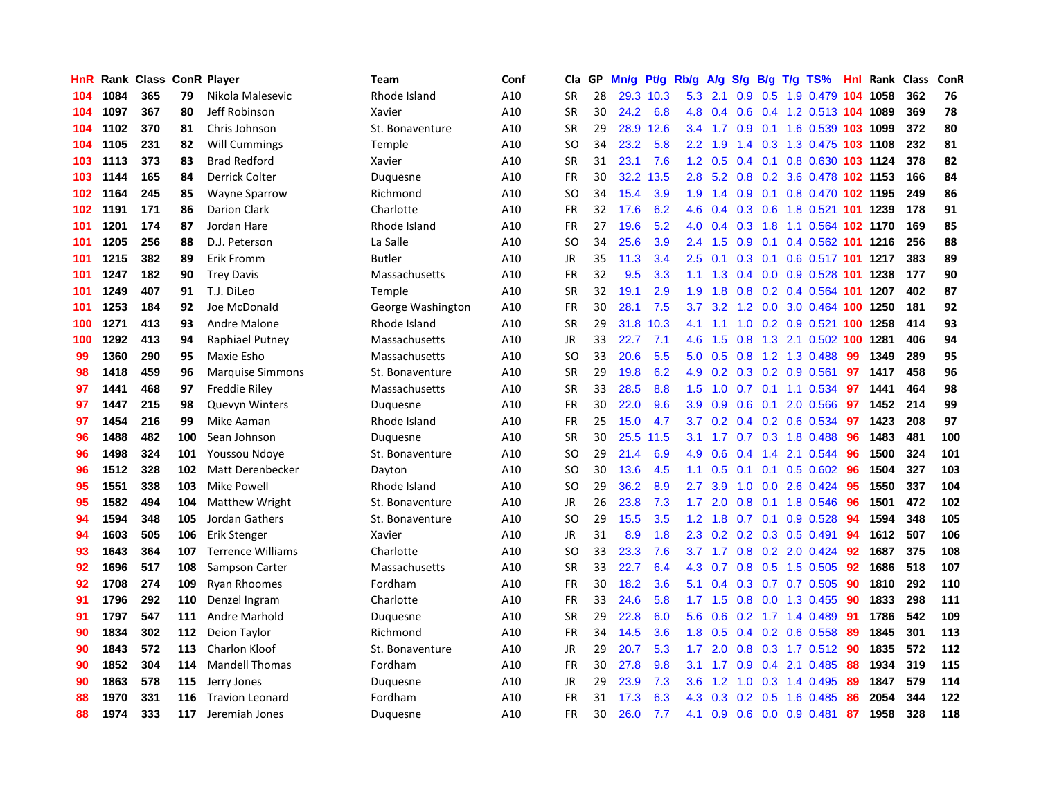| HnR |      | <b>Rank Class</b> |     | <b>ConR Player</b>       | Team              | Conf | Cla       | <b>GP</b> | Mn/g | <b>Pt/g</b> | Rb/g             | A/g | S/g              | B/g           | T/g TS%                        |     | Hnl Rank | <b>Class</b> | ConR |
|-----|------|-------------------|-----|--------------------------|-------------------|------|-----------|-----------|------|-------------|------------------|-----|------------------|---------------|--------------------------------|-----|----------|--------------|------|
| 104 | 1084 | 365               | 79  | Nikola Malesevic         | Rhode Island      | A10  | <b>SR</b> | 28        |      | 29.3 10.3   | $5.3$ 2.1        |     | 0.9 <sup>°</sup> |               | 0.5 1.9 0.479 104 1058         |     |          | 362          | 76   |
| 104 | 1097 | 367               | 80  | Jeff Robinson            | Xavier            | A10  | <b>SR</b> | 30        | 24.2 | 6.8         | 4.8              |     |                  |               | 0.4 0.6 0.4 1.2 0.513 104 1089 |     |          | 369          | 78   |
| 104 | 1102 | 370               | 81  | Chris Johnson            | St. Bonaventure   | A10  | <b>SR</b> | 29        | 28.9 | 12.6        | $3.4^{\circ}$    | 1.7 |                  |               | 0.9 0.1 1.6 0.539 103 1099     |     |          | 372          | 80   |
| 104 | 1105 | 231               | 82  | Will Cummings            | Temple            | A10  | SO        | 34        | 23.2 | 5.8         | $2.2\phantom{0}$ | 1.9 |                  |               | 1.4 0.3 1.3 0.475 103 1108     |     |          | 232          | 81   |
| 103 | 1113 | 373               | 83  | <b>Brad Redford</b>      | Xavier            | A10  | <b>SR</b> | 31        | 23.1 | 7.6         | 1.2              | 0.5 | $0.4^{\circ}$    |               | 0.1 0.8 0.630 103 1124         |     |          | 378          | 82   |
| 103 | 1144 | 165               | 84  | Derrick Colter           | Duquesne          | A10  | FR        | 30        | 32.2 | 13.5        | 2.8              | 5.2 | 0.8              |               | 0.2 3.6 0.478 102 1153         |     |          | 166          | 84   |
| 102 | 1164 | 245               | 85  | <b>Wayne Sparrow</b>     | Richmond          | A10  | SO        | 34        | 15.4 | 3.9         | 1.9              | 1.4 | 0.9              |               | 0.1 0.8 0.470 102 1195         |     |          | 249          | 86   |
| 102 | 1191 | 171               | 86  | <b>Darion Clark</b>      | Charlotte         | A10  | <b>FR</b> | 32        | 17.6 | 6.2         | 4.6              | 0.4 | 0.3              |               | 0.6 1.8 0.521 101 1239         |     |          | 178          | 91   |
| 101 | 1201 | 174               | 87  | Jordan Hare              | Rhode Island      | A10  | <b>FR</b> | 27        | 19.6 | 5.2         | 4.0              | 0.4 | 0.3              |               | 1.8 1.1 0.564 102 1170         |     |          | 169          | 85   |
| 101 | 1205 | 256               | 88  | D.J. Peterson            | La Salle          | A10  | <b>SO</b> | 34        | 25.6 | 3.9         | $2.4^{\circ}$    | 1.5 | 0.9              |               | 0.1 0.4 0.562 101 1216         |     |          | 256          | 88   |
| 101 | 1215 | 382               | 89  | <b>Erik Fromm</b>        | <b>Butler</b>     | A10  | JR        | 35        | 11.3 | 3.4         | 2.5              | 0.1 |                  |               | 0.3 0.1 0.6 0.517 101 1217     |     |          | 383          | 89   |
| 101 | 1247 | 182               | 90  | <b>Trey Davis</b>        | Massachusetts     | A10  | <b>FR</b> | 32        | 9.5  | 3.3         | 1.1 <sup>1</sup> | 1.3 |                  |               | $0.4$ 0.0 0.9 0.528 101 1238   |     |          | 177          | 90   |
| 101 | 1249 | 407               | 91  | T.J. DiLeo               | Temple            | A10  | <b>SR</b> | 32        | 19.1 | 2.9         | 1.9              | 1.8 | 0.8              |               | 0.2 0.4 0.564 101 1207         |     |          | 402          | 87   |
| 101 | 1253 | 184               | 92  | Joe McDonald             | George Washington | A10  | FR        | 30        | 28.1 | 7.5         | 3.7              | 3.2 |                  |               | 1.2 0.0 3.0 0.464 100 1250     |     |          | 181          | 92   |
| 100 | 1271 | 413               | 93  | <b>Andre Malone</b>      | Rhode Island      | A10  | <b>SR</b> | 29        | 31.8 | 10.3        | 4.1              | 1.1 | 1.0              |               | 0.2 0.9 0.521 100 1258         |     |          | 414          | 93   |
| 100 | 1292 | 413               | 94  | Raphiael Putney          | Massachusetts     | A10  | <b>JR</b> | 33        | 22.7 | 7.1         | 4.6              | 1.5 | 0.8              | 1.3           | 2.1 0.502 100                  |     | 1281     | 406          | 94   |
| 99  | 1360 | 290               | 95  | Maxie Esho               | Massachusetts     | A10  | <b>SO</b> | 33        | 20.6 | 5.5         | 5.0              | 0.5 | 0.8              |               | 1.2 1.3 0.488                  | -99 | 1349     | 289          | 95   |
| 98  | 1418 | 459               | 96  | <b>Marquise Simmons</b>  | St. Bonaventure   | A10  | <b>SR</b> | 29        | 19.8 | 6.2         | 4.9              | 0.2 |                  |               | $0.3$ 0.2 0.9 0.561            | 97  | 1417     | 458          | 96   |
| 97  | 1441 | 468               | 97  | <b>Freddie Riley</b>     | Massachusetts     | A10  | <b>SR</b> | 33        | 28.5 | 8.8         | 1.5              |     |                  |               | 1.0 0.7 0.1 1.1 0.534 97       |     | 1441     | 464          | 98   |
| 97  | 1447 | 215               | 98  | <b>Quevyn Winters</b>    | Duquesne          | A10  | <b>FR</b> | 30        | 22.0 | 9.6         | 3.9 <sup>°</sup> | 0.9 |                  |               | $0.6$ $0.1$ $2.0$ $0.566$      | 97  | 1452     | 214          | 99   |
| 97  | 1454 | 216               | 99  | Mike Aaman               | Rhode Island      | A10  | FR        | 25        | 15.0 | 4.7         | 3.7 <sub>2</sub> | 0.2 |                  |               | $0.4$ 0.2 0.6 0.534            | 97  | 1423     | 208          | 97   |
| 96  | 1488 | 482               | 100 | Sean Johnson             | Duquesne          | A10  | <b>SR</b> | 30        | 25.5 | 11.5        | 3.1              | 1.7 |                  |               | 0.7 0.3 1.8 0.488              | 96  | 1483     | 481          | 100  |
| 96  | 1498 | 324               | 101 | Youssou Ndoye            | St. Bonaventure   | A10  | SO        | 29        | 21.4 | 6.9         | 4.9              | 0.6 | $0.4^{\circ}$    | $1.4^{\circ}$ | 2.1 0.544                      | 96  | 1500     | 324          | 101  |
| 96  | 1512 | 328               | 102 | Matt Derenbecker         | Dayton            | A10  | <b>SO</b> | 30        | 13.6 | 4.5         | 1.1              | 0.5 |                  |               | $0.1$ 0.1 0.5 0.602            | 96  | 1504     | 327          | 103  |
| 95  | 1551 | 338               | 103 | <b>Mike Powell</b>       | Rhode Island      | A10  | <b>SO</b> | 29        | 36.2 | 8.9         | 2.7              | 3.9 | 1.0              |               | $0.0$ 2.6 0.424                | -95 | 1550     | 337          | 104  |
| 95  | 1582 | 494               | 104 | Matthew Wright           | St. Bonaventure   | A10  | JR        | 26        | 23.8 | 7.3         | 1.7              | 2.0 | 0.8              |               | 0.1 1.8 0.546                  | 96  | 1501     | 472          | 102  |
| 94  | 1594 | 348               | 105 | Jordan Gathers           | St. Bonaventure   | A10  | <b>SO</b> | 29        | 15.5 | 3.5         | 1.2              | 1.8 |                  |               | $0.7$ 0.1 0.9 0.528            | -94 | 1594     | 348          | 105  |
| 94  | 1603 | 505               | 106 | Erik Stenger             | Xavier            | A10  | JR        | 31        | 8.9  | 1.8         | 2.3              |     |                  |               | $0.2$ 0.2 0.3 0.5 0.491        | -94 | 1612     | 507          | 106  |
| 93  | 1643 | 364               | 107 | <b>Terrence Williams</b> | Charlotte         | A10  | SO        | 33        | 23.3 | 7.6         | 3.7 <sub>2</sub> | 1.7 |                  |               | 0.8 0.2 2.0 0.424 92           |     | 1687     | 375          | 108  |
| 92  | 1696 | 517               | 108 | Sampson Carter           | Massachusetts     | A10  | <b>SR</b> | 33        | 22.7 | 6.4         | 4.3              | 0.7 | 0.8              |               | $0.5$ 1.5 0.505                | 92  | 1686     | 518          | 107  |
| 92  | 1708 | 274               | 109 | <b>Ryan Rhoomes</b>      | Fordham           | A10  | FR        | 30        | 18.2 | 3.6         | 5.1              | 0.4 | 0.3              |               | 0.7 0.7 0.505                  | 90  | 1810     | 292          | 110  |
| 91  | 1796 | 292               | 110 | Denzel Ingram            | Charlotte         | A10  | FR        | 33        | 24.6 | 5.8         | 1.7              | 1.5 | 0.8              |               | 0.0 1.3 0.455                  | 90  | 1833     | 298          | 111  |
| 91  | 1797 | 547               | 111 | Andre Marhold            | Duquesne          | A10  | <b>SR</b> | 29        | 22.8 | 6.0         | 5.6              | 0.6 |                  |               | 0.2 1.7 1.4 0.489              | -91 | 1786     | 542          | 109  |
| 90  | 1834 | 302               | 112 | Deion Taylor             | Richmond          | A10  | <b>FR</b> | 34        | 14.5 | 3.6         | 1.8              | 0.5 | 0.4              |               | 0.2 0.6 0.558                  | -89 | 1845     | 301          | 113  |
| 90  | 1843 | 572               | 113 | <b>Charlon Kloof</b>     | St. Bonaventure   | A10  | <b>JR</b> | 29        | 20.7 | 5.3         | 1.7              | 2.0 | 0.8              |               | 0.3 1.7 0.512 90               |     | 1835     | 572          | 112  |
| 90  | 1852 | 304               | 114 | <b>Mandell Thomas</b>    | Fordham           | A10  | FR        | 30        | 27.8 | 9.8         | 3.1              | 1.7 |                  |               | $0.9$ 0.4 2.1 0.485            | -88 | 1934     | 319          | 115  |
| 90  | 1863 | 578               | 115 | Jerry Jones              | Duquesne          | A10  | JR        | 29        | 23.9 | 7.3         | 3.6              | 1.2 |                  |               | 1.0 0.3 1.4 0.495              | -89 | 1847     | 579          | 114  |
| 88  | 1970 | 331               | 116 | <b>Travion Leonard</b>   | Fordham           | A10  | FR        | 31        | 17.3 | 6.3         | 4.3              | 0.3 |                  |               | $0.2$ $0.5$ 1.6 $0.485$        | -86 | 2054     | 344          | 122  |
| 88  | 1974 | 333               | 117 | Jeremiah Jones           | Duguesne          | A10  | <b>FR</b> | 30        | 26.0 | 7.7         | 4.1              | 0.9 |                  |               | 0.6 0.0 0.9 0.481              | 87  | 1958     | 328          | 118  |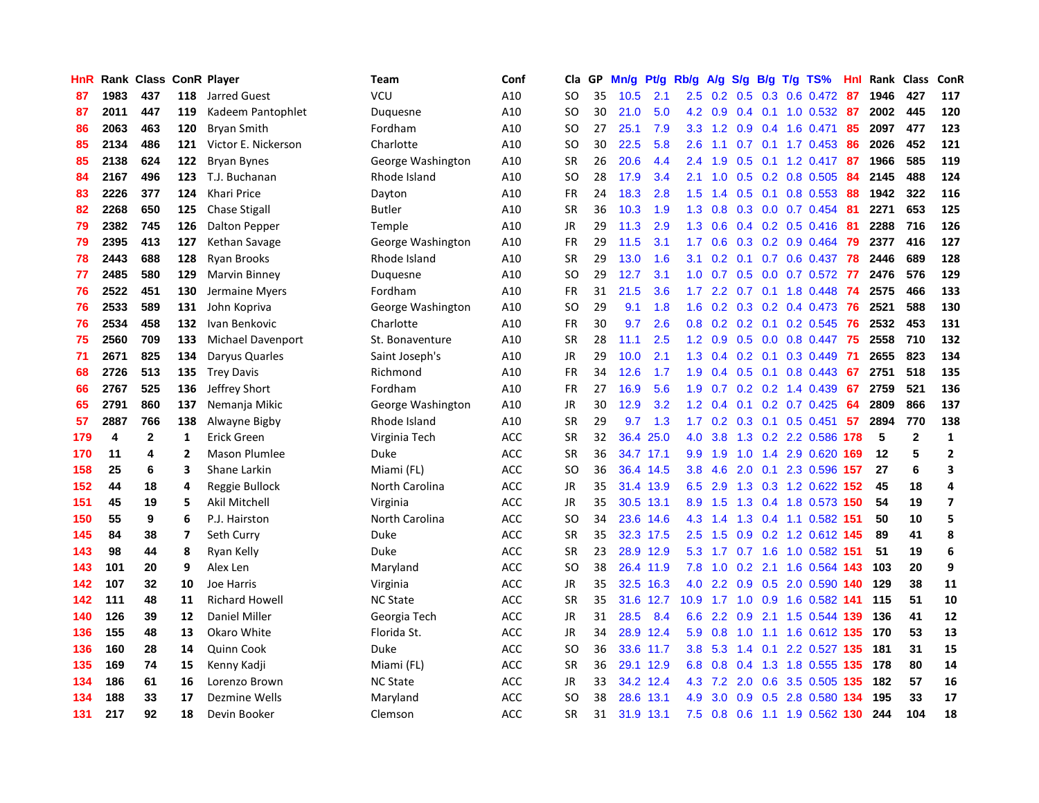| HnR |      | Rank Class   |                | <b>ConR Player</b>    | Team              | Conf       | Cla           | <b>GP</b> | Mn/g | <b>Pt/g</b> | Rb/g             | A/g     | S/g              |     | B/g T/g TS%               | Hnl | Rank  | <b>Class</b>    | <b>ConR</b>             |
|-----|------|--------------|----------------|-----------------------|-------------------|------------|---------------|-----------|------|-------------|------------------|---------|------------------|-----|---------------------------|-----|-------|-----------------|-------------------------|
| 87  | 1983 | 437          | 118            | Jarred Guest          | VCU               | A10        | SO            | 35        | 10.5 | 2.1         | $2.5^{\circ}$    | 0.2     | 0.5              |     | 0.3 0.6 0.472 87          |     | 1946  | 427             | 117                     |
| 87  | 2011 | 447          | 119            | Kadeem Pantophlet     | Duguesne          | A10        | <b>SO</b>     | 30        | 21.0 | 5.0         | 4.2              | 0.9     |                  |     | 0.4 0.1 1.0 0.532 87      |     | 2002  | 445             | 120                     |
| 86  | 2063 | 463          | 120            | <b>Bryan Smith</b>    | Fordham           | A10        | SO            | 27        | 25.1 | 7.9         | 3.3 <sub>2</sub> | 1.2     |                  |     | $0.9$ 0.4 1.6 0.471       | 85  | 2097  | 477             | 123                     |
| 85  | 2134 | 486          | 121            | Victor E. Nickerson   | Charlotte         | A10        | SO            | 30        | 22.5 | 5.8         | 2.6              | 1.1     |                  |     | $0.7$ $0.1$ $1.7$ $0.453$ | 86  | 2026  | 452             | 121                     |
| 85  | 2138 | 624          | 122            | <b>Bryan Bynes</b>    | George Washington | A10        | <b>SR</b>     | 26        | 20.6 | 4.4         | 2.4              | 1.9     | 0.5              |     | $0.1$ 1.2 0.417           | 87  | 1966  | 585             | 119                     |
| 84  | 2167 | 496          | 123            | T.J. Buchanan         | Rhode Island      | A10        | SO            | 28        | 17.9 | 3.4         | 2.1              | 1.0     |                  |     | $0.5$ 0.2 0.8 0.505       | 84  | 2145  | 488             | 124                     |
| 83  | 2226 | 377          | 124            | <b>Khari Price</b>    | Dayton            | A10        | <b>FR</b>     | 24        | 18.3 | 2.8         | 1.5              | 1.4     | 0.5              |     | $0.1$ 0.8 0.553           | 88  | 1942  | 322             | 116                     |
| 82  | 2268 | 650          | 125            | <b>Chase Stigall</b>  | <b>Butler</b>     | A10        | <b>SR</b>     | 36        | 10.3 | 1.9         | 1.3              | 0.8     | 0.3              |     | $0.0$ 0.7 0.454           | -81 | 2271  | 653             | 125                     |
| 79  | 2382 | 745          | 126            | <b>Dalton Pepper</b>  | Temple            | A10        | <b>JR</b>     | 29        | 11.3 | 2.9         | 1.3              | 0.6     |                  |     | $0.4$ 0.2 0.5 0.416       | -81 | 2288  | 716             | 126                     |
| 79  | 2395 | 413          | 127            | Kethan Savage         | George Washington | A10        | FR            | 29        | 11.5 | 3.1         | 1.7              | 0.6     |                  |     | $0.3$ 0.2 0.9 0.464       | -79 | 2377  | 416             | 127                     |
| 78  | 2443 | 688          | 128            | <b>Ryan Brooks</b>    | Rhode Island      | A10        | <b>SR</b>     | 29        | 13.0 | 1.6         | 3.1              | 0.2     |                  |     | 0.1 0.7 0.6 0.437 78      |     | 2446  | 689             | 128                     |
| 77  | 2485 | 580          | 129            | Marvin Binney         | Duquesne          | A10        | SO            | 29        | 12.7 | 3.1         | 1.0              | 0.7     |                  |     | 0.5 0.0 0.7 0.572 77      |     | 2476  | 576             | 129                     |
| 76  | 2522 | 451          | 130            | Jermaine Myers        | Fordham           | A10        | FR            | 31        | 21.5 | 3.6         | 1.7 <sub>z</sub> | 2.2     |                  |     | $0.7$ 0.1 1.8 0.448       | -74 | 2575  | 466             | 133                     |
| 76  | 2533 | 589          | 131            | John Kopriva          | George Washington | A10        | SO            | 29        | 9.1  | 1.8         | 1.6              | 0.2     |                  |     | $0.3$ 0.2 0.4 0.473       | 76  | 2521  | 588             | 130                     |
| 76  | 2534 | 458          | 132            | Ivan Benkovic         | Charlotte         | A10        | FR            | 30        | 9.7  | 2.6         | 0.8              | 0.2     | 0.2              |     | 0.1 0.2 0.545             | 76  | 2532  | 453             | 131                     |
| 75  | 2560 | 709          | 133            | Michael Davenport     | St. Bonaventure   | A10        | <b>SR</b>     | 28        | 11.1 | 2.5         | 1.2              | 0.9     | 0.5              |     | $0.0$ 0.8 0.447           | 75  | 2558  | 710             | 132                     |
| 71  | 2671 | 825          | 134            | Daryus Quarles        | Saint Joseph's    | A10        | <b>JR</b>     | 29        | 10.0 | 2.1         | 1.3              | 0.4     | 0.2              | 0.1 | 0.3 0.449                 | -71 | 2655  | 823             | 134                     |
| 68  | 2726 | 513          | 135            | <b>Trey Davis</b>     | Richmond          | A10        | <b>FR</b>     | 34        | 12.6 | 1.7         | 1.9              | 0.4     | 0.5              | 0.1 | 0.8 0.443                 | 67  | 2751  | 518             | 135                     |
| 66  | 2767 | 525          | 136            | Jeffrey Short         | Fordham           | A10        | <b>FR</b>     | 27        | 16.9 | 5.6         | 1.9 <sup>°</sup> | 0.7     |                  |     | $0.2$ 0.2 1.4 0.439       | 67  | 2759  | 521             | 136                     |
| 65  | 2791 | 860          | 137            | Nemanja Mikic         | George Washington | A10        | JR            | 30        | 12.9 | 3.2         | 1.2              | 0.4     |                  |     | $0.1$ $0.2$ $0.7$ $0.425$ | -64 | 2809  | 866             | 137                     |
| 57  | 2887 | 766          | 138            | Alwayne Bigby         | Rhode Island      | A10        | <b>SR</b>     | 29        | 9.7  | 1.3         | 1.7 <sub>z</sub> | 0.2     |                  |     | 0.3 0.1 0.5 0.451         | 57  | 2894  | 770             | 138                     |
| 179 | 4    | $\mathbf{2}$ | 1              | Erick Green           | Virginia Tech     | ACC        | <b>SR</b>     | 32        | 36.4 | 25.0        | 4.0              | 3.8     |                  |     | 1.3 0.2 2.2 0.586         | 178 | 5     | $\overline{2}$  | $\mathbf 1$             |
| 170 | 11   | 4            | $\overline{2}$ | <b>Mason Plumlee</b>  | Duke              | <b>ACC</b> | SR            | 36        | 34.7 | 17.1        | 9.9              | 1.9     | 1.0              |     | 1.4 2.9 0.620             | 169 | 12    | 5               | $\overline{2}$          |
| 158 | 25   | 6            | 3              | Shane Larkin          | Miami (FL)        | ACC        | <b>SO</b>     | 36        | 36.4 | 14.5        | 3.8              | 4.6     | 2.0              |     | $0.1$ 2.3 0.596           | 157 | 27    | $6\phantom{1}6$ | 3                       |
| 152 | 44   | 18           | 4              | Reggie Bullock        | North Carolina    | ACC        | JR            | 35        | 31.4 | 13.9        | 6.5              | 2.9     | 1.3              |     | 0.3 1.2 0.622 152         |     | 45    | 18              | 4                       |
| 151 | 45   | 19           | 5              | <b>Akil Mitchell</b>  | Virginia          | ACC        | <b>JR</b>     | 35        | 30.5 | 13.1        | 8.9              | 1.5     |                  |     | 1.3 0.4 1.8 0.573 150     |     | 54    | 19              | $\overline{\mathbf{z}}$ |
| 150 | 55   | 9            | 6              | P.J. Hairston         | North Carolina    | <b>ACC</b> | <b>SO</b>     | 34        |      | 23.6 14.6   | 4.3              | 1.4     |                  |     | 1.3 0.4 1.1 0.582 151     |     | 50    | 10              | 5                       |
| 145 | 84   | 38           | 7              | Seth Curry            | Duke              | <b>ACC</b> | <b>SR</b>     | 35        |      | 32.3 17.5   | 2.5              | 1.5     |                  |     | 0.9 0.2 1.2 0.612 145     |     | 89    | 41              | 8                       |
| 143 | 98   | 44           | 8              | Ryan Kelly            | Duke              | <b>ACC</b> | <b>SR</b>     | 23        |      | 28.9 12.9   | 5.3              |         |                  |     | 1.7 0.7 1.6 1.0 0.582 151 |     | 51    | 19              | $6\phantom{1}6$         |
| 143 | 101  | 20           | 9              | Alex Len              | Maryland          | ACC        | <sub>SO</sub> | 38        |      | 26.4 11.9   | 7.8              | 1.0     |                  |     | 0.2 2.1 1.6 0.564 143     |     | 103   | 20              | 9                       |
| 142 | 107  | 32           | 10             | Joe Harris            | Virginia          | <b>ACC</b> | JR            | 35        |      | 32.5 16.3   | 4.0              | 2.2     | 0.9              |     | 0.5 2.0 0.590             | 140 | 129   | 38              | 11                      |
| 142 | 111  | 48           | 11             | <b>Richard Howell</b> | <b>NC State</b>   | <b>ACC</b> | <b>SR</b>     | 35        |      | 31.6 12.7   | 10.9             | 1.7     |                  |     | 1.0 0.9 1.6 0.582 141     |     | 115   | 51              | 10                      |
| 140 | 126  | 39           | 12             | Daniel Miller         | Georgia Tech      | ACC        | JR            | 31        | 28.5 | 8.4         | 6.6              | 2.2     | 0.9              |     | 2.1 1.5 0.544 139         |     | 136   | 41              | 12                      |
| 136 | 155  | 48           | 13             | Okaro White           | Florida St.       | ACC        | JR            | 34        |      | 28.9 12.4   | 5.9              | 0.8     | 1.0              |     | 1.1 1.6 0.612 135         |     | 170   | 53              | 13                      |
| 136 | 160  | 28           | 14             | Quinn Cook            | Duke              | <b>ACC</b> | <b>SO</b>     | 36        |      | 33.6 11.7   | 3.8              | 5.3     | 1.4              | 0.1 | 2.2 0.527 135             |     | 181   | 31              | 15                      |
| 135 | 169  | 74           | 15             | Kenny Kadji           | Miami (FL)        | <b>ACC</b> | <b>SR</b>     | 36        |      | 29.1 12.9   | 6.8              | 0.8     |                  |     | 0.4 1.3 1.8 0.555 135     |     | - 178 | 80              | 14                      |
| 134 | 186  | 61           | 16             | Lorenzo Brown         | <b>NC State</b>   | ACC        | JR            | 33        |      | 34.2 12.4   |                  | 4.3 7.2 | 2.0              |     | 0.6 3.5 0.505 135         |     | 182   | 57              | 16                      |
| 134 | 188  | 33           | 17             | Dezmine Wells         | Maryland          | ACC        | SO            | 38        | 28.6 | 13.1        | 4.9              | 3.0     | 0.9 <sup>°</sup> |     | 0.5 2.8 0.580 134         |     | 195   | 33              | 17                      |
| 131 | 217  | 92           | 18             | Devin Booker          | Clemson           | <b>ACC</b> | <b>SR</b>     | 31        | 31.9 | 13.1        | 7.5              | 0.8     | 0.6              |     | 1.1 1.9 0.562 130         |     | 244   | 104             | 18                      |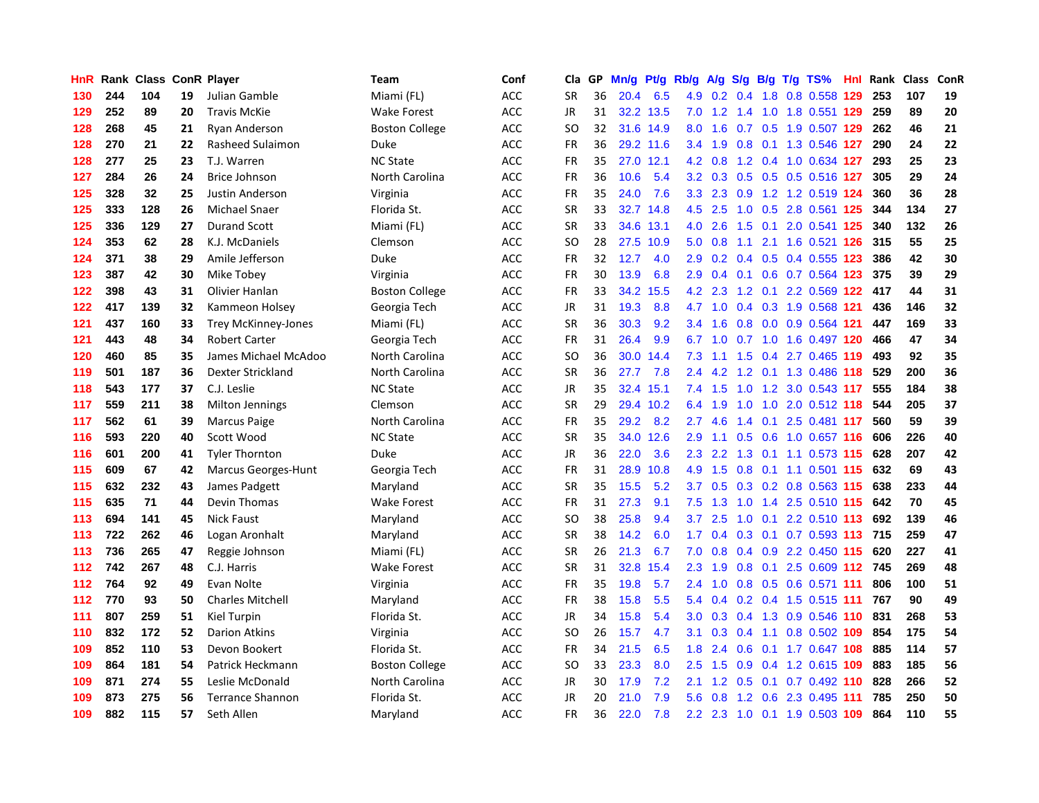| HnR | Rank | <b>Class</b> |    | <b>ConR Player</b>         | Team                  | Conf       | Cla       | <b>GP</b> | Mn/g              | <b>Pt/g</b> | Rb/g             | A/g |     |     | S/g B/g T/g TS%                  | Hnl | Rank | Class | ConR |
|-----|------|--------------|----|----------------------------|-----------------------|------------|-----------|-----------|-------------------|-------------|------------------|-----|-----|-----|----------------------------------|-----|------|-------|------|
| 130 | 244  | 104          | 19 | Julian Gamble              | Miami (FL)            | ACC        | <b>SR</b> | 36        | 20.4              | 6.5         | 4.9              |     |     |     | 0.2 0.4 1.8 0.8 0.558 129        |     | 253  | 107   | 19   |
| 129 | 252  | 89           | 20 | <b>Travis McKie</b>        | <b>Wake Forest</b>    | ACC        | <b>JR</b> | 31        |                   | 32.2 13.5   | 7.0              |     |     |     | 1.2 1.4 1.0 1.8 0.551 <b>129</b> |     | 259  | 89    | 20   |
| 128 | 268  | 45           | 21 | Ryan Anderson              | <b>Boston College</b> | ACC        | SO        | 32        |                   | 31.6 14.9   | 8.0              | 1.6 |     |     | 0.7 0.5 1.9 0.507 129            |     | 262  | 46    | 21   |
| 128 | 270  | 21           | 22 | Rasheed Sulaimon           | Duke                  | ACC        | <b>FR</b> | 36        |                   | 29.2 11.6   | $3.4^{\circ}$    | 1.9 | 0.8 |     | 0.1 1.3 0.546 127                |     | 290  | 24    | 22   |
| 128 | 277  | 25           | 23 | T.J. Warren                | <b>NC State</b>       | ACC        | <b>FR</b> | 35        | 27.0              | 12.1        | 4.2              | 0.8 |     |     | 1.2 0.4 1.0 0.634 127            |     | 293  | 25    | 23   |
| 127 | 284  | 26           | 24 | <b>Brice Johnson</b>       | North Carolina        | ACC        | FR        | 36        | 10.6              | 5.4         | 3.2              | 0.3 |     |     | 0.5 0.5 0.5 0.516 127            |     | 305  | 29    | 24   |
| 125 | 328  | 32           | 25 | Justin Anderson            | Virginia              | ACC        | FR        | 35        | 24.0              | 7.6         | 3.3 <sub>2</sub> | 2.3 | 0.9 |     | 1.2 1.2 0.519 124                |     | 360  | 36    | 28   |
| 125 | 333  | 128          | 26 | Michael Snaer              | Florida St.           | ACC        | <b>SR</b> | 33        | 32.7              | 14.8        | 4.5              | 2.5 | 1.0 |     | 0.5 2.8 0.561 125                |     | 344  | 134   | 27   |
| 125 | 336  | 129          | 27 | <b>Durand Scott</b>        | Miami (FL)            | ACC        | <b>SR</b> | 33        | 34.6              | 13.1        | 4.0              | 2.6 | 1.5 |     | 0.1 2.0 0.541 125                |     | 340  | 132   | 26   |
| 124 | 353  | 62           | 28 | K.J. McDaniels             | Clemson               | ACC        | SO        | 28        | 27.5              | 10.9        | 5.0              | 0.8 |     |     | 1.1 2.1 1.6 0.521 126 315        |     |      | 55    | 25   |
| 124 | 371  | 38           | 29 | Amile Jefferson            | Duke                  | <b>ACC</b> | FR        | 32        | 12.7              | 4.0         | 2.9 <sup>°</sup> | 0.2 |     |     | 0.4 0.5 0.4 0.555 123            |     | 386  | 42    | 30   |
| 123 | 387  | 42           | 30 | Mike Tobey                 | Virginia              | ACC        | FR        | 30        | 13.9              | 6.8         | 2.9              | 0.4 |     |     | $0.1$ 0.6 0.7 0.564 123          |     | 375  | 39    | 29   |
| 122 | 398  | 43           | 31 | Olivier Hanlan             | <b>Boston College</b> | ACC        | <b>FR</b> | 33        | 34.2              | 15.5        | 4.2              | 2.3 |     |     | 1.2 0.1 2.2 0.569 122            |     | 417  | 44    | 31   |
| 122 | 417  | 139          | 32 | Kammeon Holsey             | Georgia Tech          | <b>ACC</b> | JR        | 31        | 19.3              | 8.8         | 4.7              | 1.0 |     |     | 0.4 0.3 1.9 0.568 121            |     | 436  | 146   | 32   |
| 121 | 437  | 160          | 33 | <b>Trey McKinney-Jones</b> | Miami (FL)            | ACC        | <b>SR</b> | 36        | 30.3              | 9.2         | 3.4              | 1.6 | 0.8 |     | 0.0 0.9 0.564 121                |     | 447  | 169   | 33   |
| 121 | 443  | 48           | 34 | <b>Robert Carter</b>       | Georgia Tech          | ACC        | FR        | 31        | 26.4              | 9.9         | 6.7              | 1.0 |     |     | 0.7 1.0 1.6 0.497 120            |     | 466  | 47    | 34   |
| 120 | 460  | 85           | 35 | James Michael McAdoo       | North Carolina        | ACC        | <b>SO</b> | 36        | 30.0 <sub>1</sub> | 14.4        | 7.3              | 1.1 | 1.5 |     | 0.4 2.7 0.465 119                |     | 493  | 92    | 35   |
| 119 | 501  | 187          | 36 | Dexter Strickland          | North Carolina        | ACC        | <b>SR</b> | 36        | 27.7              | 7.8         | $2.4^{\circ}$    | 4.2 |     |     | 1.2 0.1 1.3 0.486 118            |     | 529  | 200   | 36   |
| 118 | 543  | 177          | 37 | C.J. Leslie                | <b>NC State</b>       | ACC        | <b>JR</b> | 35        |                   | 32.4 15.1   | 7.4              | 1.5 |     |     | 1.0 1.2 3.0 0.543 117            |     | 555  | 184   | 38   |
| 117 | 559  | 211          | 38 | <b>Milton Jennings</b>     | Clemson               | ACC        | <b>SR</b> | 29        |                   | 29.4 10.2   | 6.4              | 1.9 |     |     | 1.0 1.0 2.0 0.512 118            |     | 544  | 205   | 37   |
| 117 | 562  | 61           | 39 | <b>Marcus Paige</b>        | North Carolina        | ACC        | FR        | 35        | 29.2              | 8.2         | $2.7^{\circ}$    | 4.6 |     |     | 1.4 0.1 2.5 0.481 117            |     | 560  | 59    | 39   |
| 116 | 593  | 220          | 40 | Scott Wood                 | <b>NC State</b>       | ACC        | <b>SR</b> | 35        | 34.0              | 12.6        | 2.9              | 1.1 | 0.5 |     | 0.6 1.0 0.657 116                |     | 606  | 226   | 40   |
| 116 | 601  | 200          | 41 | <b>Tyler Thornton</b>      | Duke                  | ACC        | JR        | 36        | 22.0              | 3.6         | 2.3              | 2.2 | 1.3 |     | 0.1 1.1 0.573 115                |     | 628  | 207   | 42   |
| 115 | 609  | 67           | 42 | <b>Marcus Georges-Hunt</b> | Georgia Tech          | ACC        | FR        | 31        | 28.9              | 10.8        | 4.9              | 1.5 | 0.8 |     | 0.1 1.1 0.501 115                |     | 632  | 69    | 43   |
| 115 | 632  | 232          | 43 | James Padgett              | Maryland              | ACC        | <b>SR</b> | 35        | 15.5              | 5.2         | 3.7              | 0.5 | 0.3 |     | 0.2 0.8 0.563 115                |     | 638  | 233   | 44   |
| 115 | 635  | 71           | 44 | Devin Thomas               | Wake Forest           | ACC        | <b>FR</b> | 31        | 27.3              | 9.1         | 7.5              | 1.3 | 1.0 |     | 1.4 2.5 0.510 115 642            |     |      | 70    | 45   |
| 113 | 694  | 141          | 45 | <b>Nick Faust</b>          | Maryland              | ACC        | SO        | 38        | 25.8              | 9.4         | 3.7              | 2.5 |     |     | 1.0 0.1 2.2 0.510 113 692        |     |      | 139   | 46   |
| 113 | 722  | 262          | 46 | Logan Aronhalt             | Maryland              | ACC        | <b>SR</b> | 38        | 14.2              | 6.0         | 1.7              |     |     |     | 0.4 0.3 0.1 0.7 0.593 113 715    |     |      | 259   | 47   |
| 113 | 736  | 265          | 47 | Reggie Johnson             | Miami (FL)            | ACC        | <b>SR</b> | 26        | 21.3              | 6.7         | 7.0              | 0.8 |     |     | 0.4 0.9 2.2 0.450 115 620        |     |      | 227   | 41   |
| 112 | 742  | 267          | 48 | C.J. Harris                | <b>Wake Forest</b>    | ACC        | <b>SR</b> | 31        | 32.8              | 15.4        | 2.3              | 1.9 | 0.8 |     | 0.1 2.5 0.609 112 745            |     |      | 269   | 48   |
| 112 | 764  | 92           | 49 | Evan Nolte                 | Virginia              | ACC        | <b>FR</b> | 35        | 19.8              | 5.7         | $2.4^{\circ}$    | 1.0 |     |     | 0.8 0.5 0.6 0.571 111            |     | 806  | 100   | 51   |
| 112 | 770  | 93           | 50 | <b>Charles Mitchell</b>    | Maryland              | ACC        | <b>FR</b> | 38        | 15.8              | 5.5         | 5.4              | 0.4 |     |     | 0.2 0.4 1.5 0.515 111            |     | 767  | 90    | 49   |
| 111 | 807  | 259          | 51 | Kiel Turpin                | Florida St.           | ACC        | JR        | 34        | 15.8              | 5.4         | 3.0 <sub>2</sub> | 0.3 |     |     | 0.4 1.3 0.9 0.546 110            |     | 831  | 268   | 53   |
| 110 | 832  | 172          | 52 | <b>Darion Atkins</b>       | Virginia              | ACC        | SO        | 26        | 15.7              | 4.7         | 3.1              | 0.3 | 0.4 | 1.1 | 0.8 0.502 109                    |     | 854  | 175   | 54   |
| 109 | 852  | 110          | 53 | Devon Bookert              | Florida St.           | ACC        | <b>FR</b> | 34        | 21.5              | 6.5         | 1.8              | 2.4 | 0.6 |     | 0.1 1.7 0.647 108                |     | 885  | 114   | 57   |
| 109 | 864  | 181          | 54 | Patrick Heckmann           | <b>Boston College</b> | ACC        | SO        | 33        | 23.3              | 8.0         | $2.5^{\circ}$    | 1.5 |     |     | 0.9 0.4 1.2 0.615 109            |     | 883  | 185   | 56   |
| 109 | 871  | 274          | 55 | Leslie McDonald            | North Carolina        | ACC        | JR        | 30        | 17.9              | 7.2         | 2.1              | 1.2 | 0.5 |     | $0.1$ 0.7 0.492 110              |     | 828  | 266   | 52   |
| 109 | 873  | 275          | 56 | <b>Terrance Shannon</b>    | Florida St.           | ACC        | <b>JR</b> | 20        | 21.0              | 7.9         | 5.6              | 0.8 | 1.2 |     | 0.6 2.3 0.495 111                |     | 785  | 250   | 50   |
| 109 | 882  | 115          | 57 | Seth Allen                 | Maryland              | ACC        | <b>FR</b> | 36        | 22.0              | 7.8         |                  |     |     |     | 2.2 2.3 1.0 0.1 1.9 0.503 109    |     | 864  | 110   | 55   |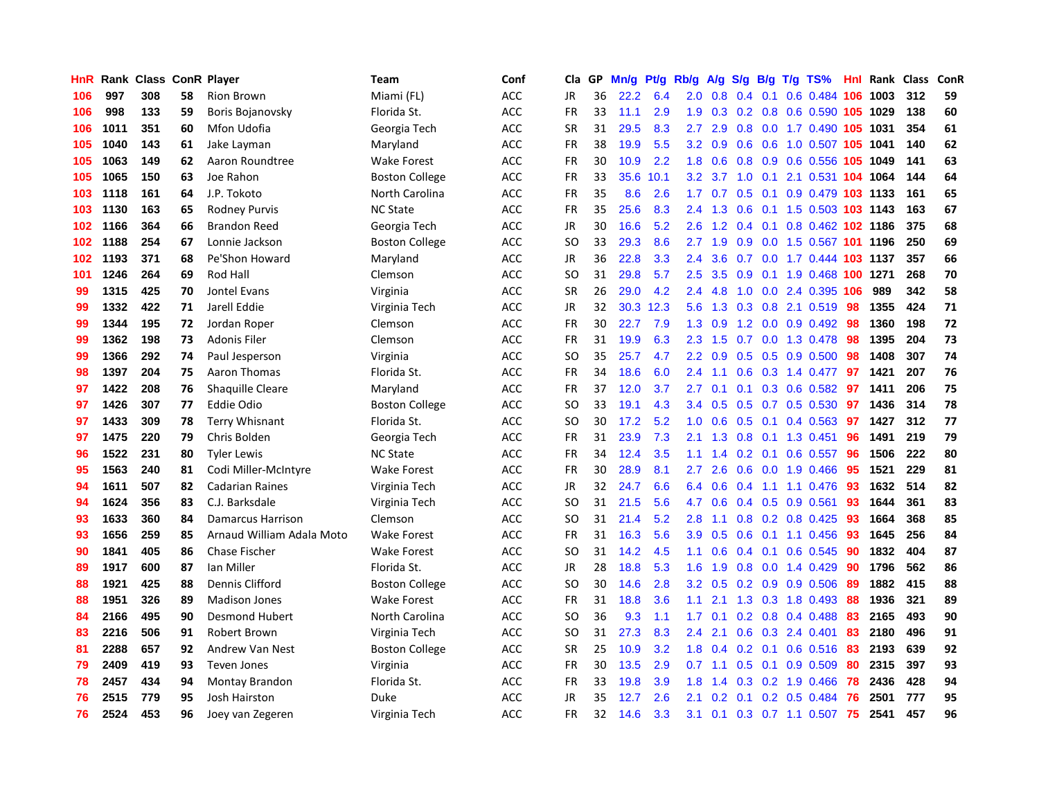| HnR | Rank | <b>Class</b> |    | <b>ConR Player</b>        | Team                  | Conf       | Cla.          | <b>GP</b> | Mn/g | <b>Pt/g</b> | Rb/g             | A/g             | S/g           | B/g             | $T/g$ TS%                      | Hnl | Rank | <b>Class</b> | <b>ConR</b> |
|-----|------|--------------|----|---------------------------|-----------------------|------------|---------------|-----------|------|-------------|------------------|-----------------|---------------|-----------------|--------------------------------|-----|------|--------------|-------------|
| 106 | 997  | 308          | 58 | Rion Brown                | Miami (FL)            | <b>ACC</b> | <b>JR</b>     | 36        | 22.2 | 6.4         | 2.0              | 0.8             |               | $0.4 \quad 0.1$ | 0.6 0.484 106 1003             |     |      | 312          | 59          |
| 106 | 998  | 133          | 59 | Boris Bojanovsky          | Florida St.           | <b>ACC</b> | <b>FR</b>     | 33        | 11.1 | 2.9         | 1.9 <sup>°</sup> |                 |               |                 | 0.3 0.2 0.8 0.6 0.590 105 1029 |     |      | 138          | 60          |
| 106 | 1011 | 351          | 60 | Mfon Udofia               | Georgia Tech          | <b>ACC</b> | <b>SR</b>     | 31        | 29.5 | 8.3         | 2.7              | 2.9             |               |                 | 0.8 0.0 1.7 0.490 105 1031     |     |      | 354          | 61          |
| 105 | 1040 | 143          | 61 | Jake Layman               | Maryland              | ACC        | <b>FR</b>     | 38        | 19.9 | 5.5         | 3.2              | 0.9             | 0.6           |                 | 0.6 1.0 0.507 105 1041         |     |      | 140          | 62          |
| 105 | 1063 | 149          | 62 | Aaron Roundtree           | <b>Wake Forest</b>    | <b>ACC</b> | <b>FR</b>     | 30        | 10.9 | 2.2         | 1.8              | 0.6             | 0.8           |                 | 0.9 0.6 0.556 105 1049         |     |      | 141          | 63          |
| 105 | 1065 | 150          | 63 | Joe Rahon                 | <b>Boston College</b> | ACC        | <b>FR</b>     | 33        | 35.6 | 10.1        | 3.2              | 3.7             | 1.0           | 0.1             | 2.1 0.531 104 1064             |     |      | 144          | 64          |
| 103 | 1118 | 161          | 64 | J.P. Tokoto               | North Carolina        | ACC        | <b>FR</b>     | 35        | 8.6  | 2.6         | 1.7              | 0.7             | 0.5           |                 | 0.1 0.9 0.479 103 1133         |     |      | 161          | 65          |
| 103 | 1130 | 163          | 65 | <b>Rodney Purvis</b>      | <b>NC State</b>       | ACC        | <b>FR</b>     | 35        | 25.6 | 8.3         | $2.4^{\circ}$    | 1.3             | 0.6           |                 | 0.1 1.5 0.503 103 1143         |     |      | 163          | 67          |
| 102 | 1166 | 364          | 66 | <b>Brandon Reed</b>       | Georgia Tech          | ACC        | <b>JR</b>     | 30        | 16.6 | 5.2         | 2.6              | 1.2             | $0.4^{\circ}$ | 0.1             | 0.8 0.462 102 1186             |     |      | 375          | 68          |
| 102 | 1188 | 254          | 67 | Lonnie Jackson            | <b>Boston College</b> | <b>ACC</b> | SO            | 33        | 29.3 | 8.6         | 2.7              | 1.9             |               |                 | 0.9 0.0 1.5 0.567 101 1196     |     |      | 250          | 69          |
| 102 | 1193 | 371          | 68 | Pe'Shon Howard            | Maryland              | <b>ACC</b> | JR            | 36        | 22.8 | 3.3         | $2.4^{\circ}$    | 3.6             |               |                 | 0.7 0.0 1.7 0.444 103 1137     |     |      | 357          | 66          |
| 101 | 1246 | 264          | 69 | Rod Hall                  | Clemson               | <b>ACC</b> | <sub>SO</sub> | 31        | 29.8 | 5.7         | 2.5              | 3.5             | 0.9           |                 | 0.1 1.9 0.468 100 1271         |     |      | 268          | 70          |
| 99  | 1315 | 425          | 70 | Jontel Evans              | Virginia              | ACC        | <b>SR</b>     | 26        | 29.0 | 4.2         | 2.4              | 4.8             | 1.0           |                 | 0.0 2.4 0.395 106              |     | 989  | 342          | 58          |
| 99  | 1332 | 422          | 71 | Jarell Eddie              | Virginia Tech         | <b>ACC</b> | JR            | 32        | 30.3 | 12.3        | 5.6              | 1.3             |               |                 | $0.3$ 0.8 2.1 0.519            | 98  | 1355 | 424          | ${\bf 71}$  |
| 99  | 1344 | 195          | 72 | Jordan Roper              | Clemson               | ACC        | <b>FR</b>     | 30        | 22.7 | 7.9         | 1.3              | 0.9             |               |                 | 1.2 0.0 0.9 0.492              | 98  | 1360 | 198          | 72          |
| 99  | 1362 | 198          | 73 | <b>Adonis Filer</b>       | Clemson               | <b>ACC</b> | FR            | 31        | 19.9 | 6.3         | 2.3              | 1.5             |               |                 | 0.7 0.0 1.3 0.478              | 98  | 1395 | 204          | 73          |
| 99  | 1366 | 292          | 74 | Paul Jesperson            | Virginia              | <b>ACC</b> | <sub>SO</sub> | 35        | 25.7 | 4.7         | 2.2              | 0.9             | 0.5           |                 | $0.5$ 0.9 0.500                | 98  | 1408 | 307          | 74          |
| 98  | 1397 | 204          | 75 | Aaron Thomas              | Florida St.           | <b>ACC</b> | <b>FR</b>     | 34        | 18.6 | 6.0         | 2.4              | 1.1             | 0.6           |                 | 0.3 1.4 0.477                  | 97  | 1421 | 207          | 76          |
| 97  | 1422 | 208          | 76 | <b>Shaquille Cleare</b>   | Maryland              | <b>ACC</b> | FR            | 37        | 12.0 | 3.7         | 2.7              | 0.1             |               |                 | 0.1 0.3 0.6 0.582 97           |     | 1411 | 206          | 75          |
| 97  | 1426 | 307          | 77 | <b>Eddie Odio</b>         | <b>Boston College</b> | <b>ACC</b> | <b>SO</b>     | 33        | 19.1 | 4.3         | $3.4^{\circ}$    | 0.5             |               |                 | $0.5$ 0.7 0.5 0.530            | 97  | 1436 | 314          | 78          |
| 97  | 1433 | 309          | 78 | <b>Terry Whisnant</b>     | Florida St.           | <b>ACC</b> | <sub>SO</sub> | 30        | 17.2 | 5.2         | 1.0              | 0.6             |               | $0.5 \quad 0.1$ | 0.4 0.563                      | 97  | 1427 | 312          | 77          |
| 97  | 1475 | 220          | 79 | Chris Bolden              | Georgia Tech          | <b>ACC</b> | FR            | 31        | 23.9 | 7.3         | 2.1              | 1.3             | 0.8           |                 | $0.1$ 1.3 0.451                | 96  | 1491 | 219          | 79          |
| 96  | 1522 | 231          | 80 | <b>Tyler Lewis</b>        | <b>NC State</b>       | <b>ACC</b> | FR            | 34        | 12.4 | 3.5         | 1.1              | 1.4             |               |                 | $0.2$ 0.1 0.6 0.557            | 96  | 1506 | 222          | 80          |
| 95  | 1563 | 240          | 81 | Codi Miller-McIntyre      | <b>Wake Forest</b>    | <b>ACC</b> | <b>FR</b>     | 30        | 28.9 | 8.1         | 2.7              | 2.6             | 0.6           |                 | $0.0$ 1.9 $0.466$              | 95  | 1521 | 229          | 81          |
| 94  | 1611 | 507          | 82 | <b>Cadarian Raines</b>    | Virginia Tech         | <b>ACC</b> | JR            | 32        | 24.7 | 6.6         | 6.4              | 0.6             | 0.4           |                 | 1.1 1.1 0.476                  | -93 | 1632 | 514          | 82          |
| 94  | 1624 | 356          | 83 | C.J. Barksdale            | Virginia Tech         | <b>ACC</b> | <sub>SO</sub> | 31        | 21.5 | 5.6         | 4.7              | 0.6             |               |                 | $0.4$ 0.5 0.9 0.561            | 93  | 1644 | 361          | 83          |
| 93  | 1633 | 360          | 84 | <b>Damarcus Harrison</b>  | Clemson               | <b>ACC</b> | SO            | 31        | 21.4 | 5.2         | 2.8              | 1.1             |               |                 | 0.8 0.2 0.8 0.425 93           |     | 1664 | 368          | 85          |
| 93  | 1656 | 259          | 85 | Arnaud William Adala Moto | <b>Wake Forest</b>    | <b>ACC</b> | <b>FR</b>     | 31        | 16.3 | 5.6         | 3.9 <sup>°</sup> | 0.5             |               |                 | 0.6 0.1 1.1 0.456 93           |     | 1645 | 256          | 84          |
| 90  | 1841 | 405          | 86 | Chase Fischer             | <b>Wake Forest</b>    | <b>ACC</b> | SO            | 31        | 14.2 | 4.5         | 1.1              | 0.6             |               |                 | 0.4 0.1 0.6 0.545              | -90 | 1832 | 404          | 87          |
| 89  | 1917 | 600          | 87 | Ian Miller                | Florida St.           | <b>ACC</b> | <b>JR</b>     | 28        | 18.8 | 5.3         | 1.6              | 1.9             | 0.8           |                 | $0.0$ 1.4 $0.429$              | 90  | 1796 | 562          | 86          |
| 88  | 1921 | 425          | 88 | Dennis Clifford           | <b>Boston College</b> | ACC        | SO.           | 30        | 14.6 | 2.8         | 3.2              | 0.5             |               |                 | $0.2$ 0.9 0.9 0.506            | -89 | 1882 | 415          | 88          |
| 88  | 1951 | 326          | 89 | <b>Madison Jones</b>      | <b>Wake Forest</b>    | ACC        | <b>FR</b>     | 31        | 18.8 | 3.6         | 1.1              | 2.1             |               |                 | 1.3 0.3 1.8 0.493              | -88 | 1936 | 321          | 89          |
| 84  | 2166 | 495          | 90 | <b>Desmond Hubert</b>     | North Carolina        | ACC        | SO.           | 36        | 9.3  | 1.1         | 1.7              | 0.1             |               |                 | $0.2$ 0.8 0.4 0.488            | 83  | 2165 | 493          | 90          |
| 83  | 2216 | 506          | 91 | Robert Brown              | Virginia Tech         | ACC        | <sub>SO</sub> | 31        | 27.3 | 8.3         | 2.4              | 2.1             | 0.6           |                 | 0.3 2.4 0.401                  | 83  | 2180 | 496          | 91          |
| 81  | 2288 | 657          | 92 | <b>Andrew Van Nest</b>    | <b>Boston College</b> | ACC        | <b>SR</b>     | 25        | 10.9 | 3.2         | 1.8              | 0.4             |               |                 | $0.2$ 0.1 0.6 0.516            | -83 | 2193 | 639          | 92          |
| 79  | 2409 | 419          | 93 | <b>Teven Jones</b>        | Virginia              | <b>ACC</b> | <b>FR</b>     | 30        | 13.5 | 2.9         |                  | $0.7 \quad 1.1$ |               |                 | $0.5$ 0.1 0.9 0.509            | 80  | 2315 | 397          | 93          |
| 78  | 2457 | 434          | 94 | Montay Brandon            | Florida St.           | <b>ACC</b> | <b>FR</b>     | 33        | 19.8 | 3.9         | 1.8              | 1.4             |               |                 | $0.3$ 0.2 1.9 0.466            | 78  | 2436 | 428          | 94          |
| 76  | 2515 | 779          | 95 | <b>Josh Hairston</b>      | Duke                  | ACC        | <b>JR</b>     | 35        | 12.7 | 2.6         | 2.1              | 0.2             | 0.1           |                 | $0.2$ 0.5 0.484                | 76  | 2501 | 777          | 95          |
| 76  | 2524 | 453          | 96 | Joey van Zegeren          | Virginia Tech         | <b>ACC</b> | <b>FR</b>     | 32        | 14.6 | 3.3         | 3.1              | 0.1             |               |                 | 0.3 0.7 1.1 0.507 75           |     | 2541 | 457          | 96          |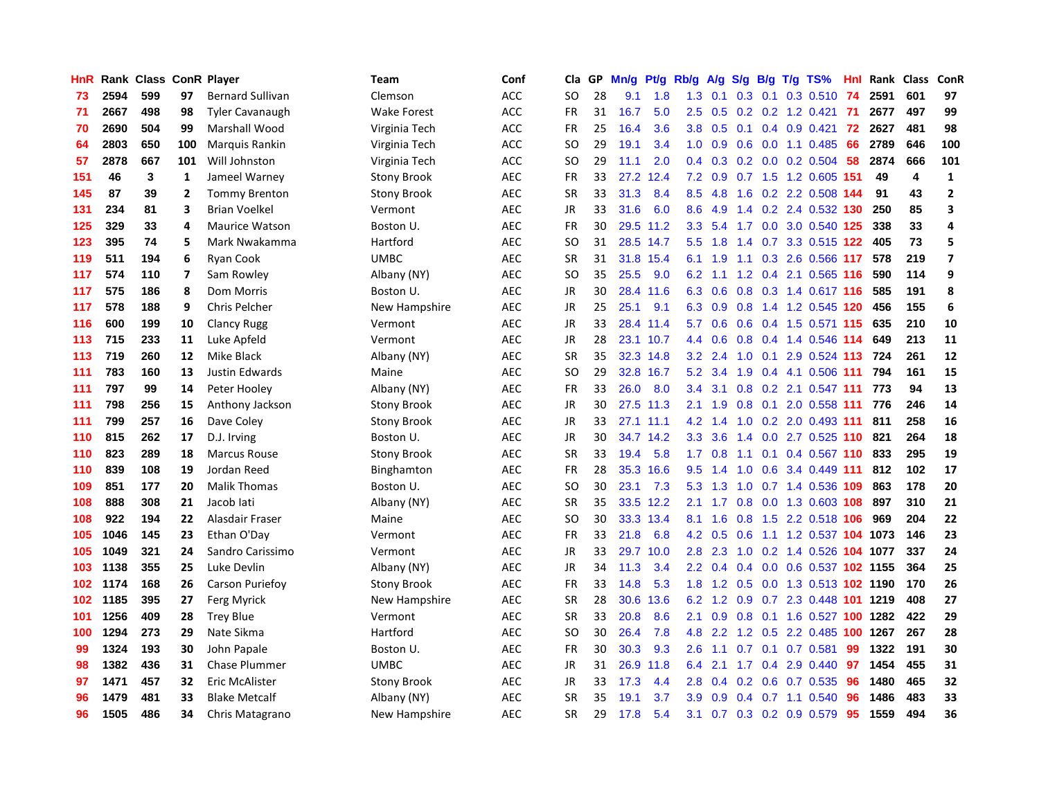| HnR |      | Rank Class ConR Player |                |                         | Team               | Conf       | Cla       | <b>GP</b> | Mn/g | <b>Pt/g</b> | Rb/g             | A/g    |                  |     | S/g B/g T/g TS%            | Hnl  | Rank | Class                   | ConR           |
|-----|------|------------------------|----------------|-------------------------|--------------------|------------|-----------|-----------|------|-------------|------------------|--------|------------------|-----|----------------------------|------|------|-------------------------|----------------|
| 73  | 2594 | 599                    | 97             | <b>Bernard Sullivan</b> | Clemson            | ACC        | SO        | 28        | 9.1  | 1.8         | 1.3              | 0.1    | 0.3              | 0.1 | $0.3$ 0.510                | 74   | 2591 | 601                     | 97             |
| 71  | 2667 | 498                    | 98             | <b>Tyler Cavanaugh</b>  | <b>Wake Forest</b> | ACC        | FR        | 31        | 16.7 | 5.0         | 2.5              |        |                  |     | 0.5 0.2 0.2 1.2 0.421      | -71  | 2677 | 497                     | 99             |
| 70  | 2690 | 504                    | 99             | Marshall Wood           | Virginia Tech      | ACC        | FR        | 25        | 16.4 | 3.6         | 3.8              | 0.5    |                  |     | $0.1$ 0.4 0.9 0.421        | 72   | 2627 | 481                     | 98             |
| 64  | 2803 | 650                    | 100            | Marquis Rankin          | Virginia Tech      | ACC        | SO        | 29        | 19.1 | 3.4         | 1.0              | 0.9    |                  |     | $0.6$ $0.0$ 1.1 $0.485$    | 66   | 2789 | 646                     | 100            |
| 57  | 2878 | 667                    | 101            | Will Johnston           | Virginia Tech      | ACC        | <b>SO</b> | 29        | 11.1 | 2.0         | $0.4^{\circ}$    | 0.3    |                  |     | $0.2$ 0.0 0.2 0.504        | 58   | 2874 | 666                     | 101            |
| 151 | 46   | 3                      | 1              | Jameel Warney           | <b>Stony Brook</b> | <b>AEC</b> | FR        | 33        | 27.2 | 12.4        | 7.2              | 0.9    |                  |     | 0.7 1.5 1.2 0.605 151      |      | 49   | $\overline{\mathbf{A}}$ | $\mathbf{1}$   |
| 145 | 87   | 39                     | $\overline{2}$ | <b>Tommy Brenton</b>    | <b>Stony Brook</b> | AEC        | <b>SR</b> | 33        | 31.3 | 8.4         | 8.5              | 4.8    |                  |     | 1.6 0.2 2.2 0.508 144      |      | 91   | 43                      | $\mathbf 2$    |
| 131 | 234  | 81                     | 3              | <b>Brian Voelkel</b>    | Vermont            | AEC        | <b>JR</b> | 33        | 31.6 | 6.0         | 8.6              | 4.9    |                  |     | 1.4 0.2 2.4 0.532 130      |      | 250  | 85                      | 3              |
| 125 | 329  | 33                     | 4              | <b>Maurice Watson</b>   | Boston U.          | <b>AEC</b> | <b>FR</b> | 30        |      | 29.5 11.2   | 3.3              | 5.4    |                  |     | 1.7 0.0 3.0 0.540 125      |      | 338  | 33                      | 4              |
| 123 | 395  | 74                     | 5              | Mark Nwakamma           | Hartford           | AEC        | <b>SO</b> | 31        |      | 28.5 14.7   | 5.5 <sub>1</sub> | 1.8    |                  |     | 1.4 0.7 3.3 0.515 122      |      | 405  | 73                      | 5              |
| 119 | 511  | 194                    | 6              | Ryan Cook               | <b>UMBC</b>        | <b>AEC</b> | <b>SR</b> | 31        |      | 31.8 15.4   | 6.1              | 1.9    |                  |     | 1.1 0.3 2.6 0.566 117      |      | 578  | 219                     | $\overline{7}$ |
| 117 | 574  | 110                    | 7              | Sam Rowley              | Albany (NY)        | <b>AEC</b> | SO        | 35        | 25.5 | 9.0         | 6.2              | $-1.1$ |                  |     | 1.2 0.4 2.1 0.565 116      |      | 590  | 114                     | 9              |
| 117 | 575  | 186                    | 8              | Dom Morris              | Boston U.          | <b>AEC</b> | JR        | 30        |      | 28.4 11.6   | 6.3              | 0.6    |                  |     | 0.8 0.3 1.4 0.617 116      |      | 585  | 191                     | 8              |
| 117 | 578  | 188                    | 9              | <b>Chris Pelcher</b>    | New Hampshire      | <b>AEC</b> | JR        | 25        | 25.1 | 9.1         | 6.3              | 0.9    | 0.8              |     | 1.4 1.2 0.545 120          |      | 456  | 155                     | 6              |
| 116 | 600  | 199                    | 10             | <b>Clancy Rugg</b>      | Vermont            | <b>AEC</b> | JR        | 33        | 28.4 | 11.4        | 5.7              | 0.6    |                  |     | 0.6 0.4 1.5 0.571 115      |      | 635  | 210                     | 10             |
| 113 | 715  | 233                    | 11             | Luke Apfeld             | Vermont            | <b>AEC</b> | JR        | 28        |      | 23.1 10.7   | $4.4^{\circ}$    | 0.6    | 0.8              |     | 0.4 1.4 0.546 114          |      | 649  | 213                     | 11             |
| 113 | 719  | 260                    | 12             | Mike Black              | Albany (NY)        | AEC        | <b>SR</b> | 35        | 32.3 | 14.8        | 3.2 <sub>2</sub> | 2.4    | 1.0              | 0.1 | 2.9 0.524 113              |      | 724  | 261                     | 12             |
| 111 | 783  | 160                    | 13             | <b>Justin Edwards</b>   | Maine              | <b>AEC</b> | <b>SO</b> | 29        | 32.8 | 16.7        | 5.2              | 3.4    | 1.9              |     | 0.4 4.1 0.506 111          |      | 794  | 161                     | 15             |
| 111 | 797  | 99                     | 14             | Peter Hooley            | Albany (NY)        | AEC        | <b>FR</b> | 33        | 26.0 | 8.0         | $3.4^{\circ}$    | 3.1    |                  |     | $0.8$ 0.2 2.1 0.547 111    |      | 773  | 94                      | 13             |
| 111 | 798  | 256                    | 15             | Anthony Jackson         | <b>Stony Brook</b> | <b>AEC</b> | <b>JR</b> | 30        |      | 27.5 11.3   | 2.1              | 1.9    |                  |     | 0.8 0.1 2.0 0.558 111 776  |      |      | 246                     | 14             |
| 111 | 799  | 257                    | 16             | Dave Coley              | <b>Stony Brook</b> | <b>AEC</b> | JR        | 33        |      | 27.1 11.1   | 4.2              | 1.4    |                  |     | 1.0 0.2 2.0 0.493 111      |      | 811  | 258                     | 16             |
| 110 | 815  | 262                    | 17             | D.J. Irving             | Boston U.          | <b>AEC</b> | JR        | 30        | 34.7 | 14.2        | 3.3              | 3.6    | $1.4^{\circ}$    |     | $0.0$ 2.7 $0.525$ 110      |      | -821 | 264                     | 18             |
| 110 | 823  | 289                    | 18             | <b>Marcus Rouse</b>     | <b>Stony Brook</b> | <b>AEC</b> | <b>SR</b> | 33        | 19.4 | 5.8         | 1.7              | 0.8    |                  |     | 1.1 0.1 0.4 0.567 110 833  |      |      | 295                     | 19             |
| 110 | 839  | 108                    | 19             | Jordan Reed             | <b>Binghamton</b>  | AEC        | <b>FR</b> | 28        | 35.3 | 16.6        | 9.5              | 1.4    | 1.0              |     | 0.6 3.4 0.449              | -111 | 812  | 102                     | 17             |
| 109 | 851  | 177                    | 20             | <b>Malik Thomas</b>     | Boston U.          | AEC        | SO        | 30        | 23.1 | 7.3         | 5.3              | 1.3    | 1.0              |     | 0.7 1.4 0.536 109          |      | 863  | 178                     | 20             |
| 108 | 888  | 308                    | 21             | Jacob lati              | Albany (NY)        | AEC        | <b>SR</b> | 35        |      | 33.5 12.2   | 2.1              | 1.7    | 0.8              |     | 0.0 1.3 0.603 108          |      | 897  | 310                     | 21             |
| 108 | 922  | 194                    | 22             | Alasdair Fraser         | Maine              | AEC        | SO        | 30        |      | 33.3 13.4   | 8.1              | 1.6    |                  |     | 0.8 1.5 2.2 0.518 106      |      | 969  | 204                     | 22             |
| 105 | 1046 | 145                    | 23             | Ethan O'Day             | Vermont            | <b>AEC</b> | FR        | 33        | 21.8 | 6.8         | 4.2              | 0.5    |                  |     | 0.6 1.1 1.2 0.537 104 1073 |      |      | 146                     | 23             |
| 105 | 1049 | 321                    | 24             | Sandro Carissimo        | Vermont            | <b>AEC</b> | JR        | 33        | 29.7 | 10.0        | 2.8              | 2.3    |                  |     | 1.0 0.2 1.4 0.526 104 1077 |      |      | 337                     | 24             |
| 103 | 1138 | 355                    | 25             | Luke Devlin             | Albany (NY)        | AEC        | JR        | 34        | 11.3 | 3.4         | $2.2^{\circ}$    | 0.4    |                  |     | 0.4 0.0 0.6 0.537 102 1155 |      |      | 364                     | 25             |
| 102 | 1174 | 168                    | 26             | Carson Puriefoy         | <b>Stony Brook</b> | <b>AEC</b> | <b>FR</b> | 33        | 14.8 | 5.3         | 1.8              | 1.2    | 0.5              |     | 0.0 1.3 0.513 102 1190     |      |      | 170                     | 26             |
| 102 | 1185 | 395                    | 27             | Ferg Myrick             | New Hampshire      | AEC        | <b>SR</b> | 28        | 30.6 | 13.6        | 6.2              | 1.2    | 0.9              |     | 0.7 2.3 0.448 101 1219     |      |      | 408                     | 27             |
| 101 | 1256 | 409                    | 28             | <b>Trey Blue</b>        | Vermont            | AEC        | <b>SR</b> | 33        | 20.8 | 8.6         | 2.1              | 0.9    | 0.8 <sub>0</sub> |     | 0.1 1.6 0.527 100 1282     |      |      | 422                     | 29             |
| 100 | 1294 | 273                    | 29             | Nate Sikma              | Hartford           | <b>AEC</b> | SO        | 30        | 26.4 | 7.8         | 4.8              | 2.2    | 1.2              |     | 0.5 2.2 0.485 100 1267     |      |      | 267                     | 28             |
| 99  | 1324 | 193                    | 30             | John Papale             | Boston U.          | <b>AEC</b> | <b>FR</b> | 30        | 30.3 | 9.3         | 2.6              | 1.1    |                  |     | 0.7 0.1 0.7 0.581          | 99   | 1322 | 191                     | 30             |
| 98  | 1382 | 436                    | 31             | <b>Chase Plummer</b>    | <b>UMBC</b>        | AEC        | <b>JR</b> | 31        |      | 26.9 11.8   | 6.4              | 2.1    |                  |     | 1.7 0.4 2.9 0.440          | 97   | 1454 | 455                     | 31             |
| 97  | 1471 | 457                    | 32             | <b>Eric McAlister</b>   | <b>Stony Brook</b> | <b>AEC</b> | <b>JR</b> | 33        | 17.3 | 4.4         | 2.8              | 0.4    |                  |     | $0.2$ 0.6 0.7 0.535        | 96   | 1480 | 465                     | 32             |
| 96  | 1479 | 481                    | 33             | <b>Blake Metcalf</b>    | Albany (NY)        | <b>AEC</b> | <b>SR</b> | 35        | 19.1 | 3.7         | 3.9              | 0.9    | 0.4              |     | $0.7$ 1.1 $0.540$          | 96   | 1486 | 483                     | 33             |
| 96  | 1505 | 486                    | 34             | Chris Matagrano         | New Hampshire      | <b>AEC</b> | <b>SR</b> | 29        | 17.8 | 5.4         | 3.1              |        |                  |     | 0.7 0.3 0.2 0.9 0.579      | 95   | 1559 | 494                     | 36             |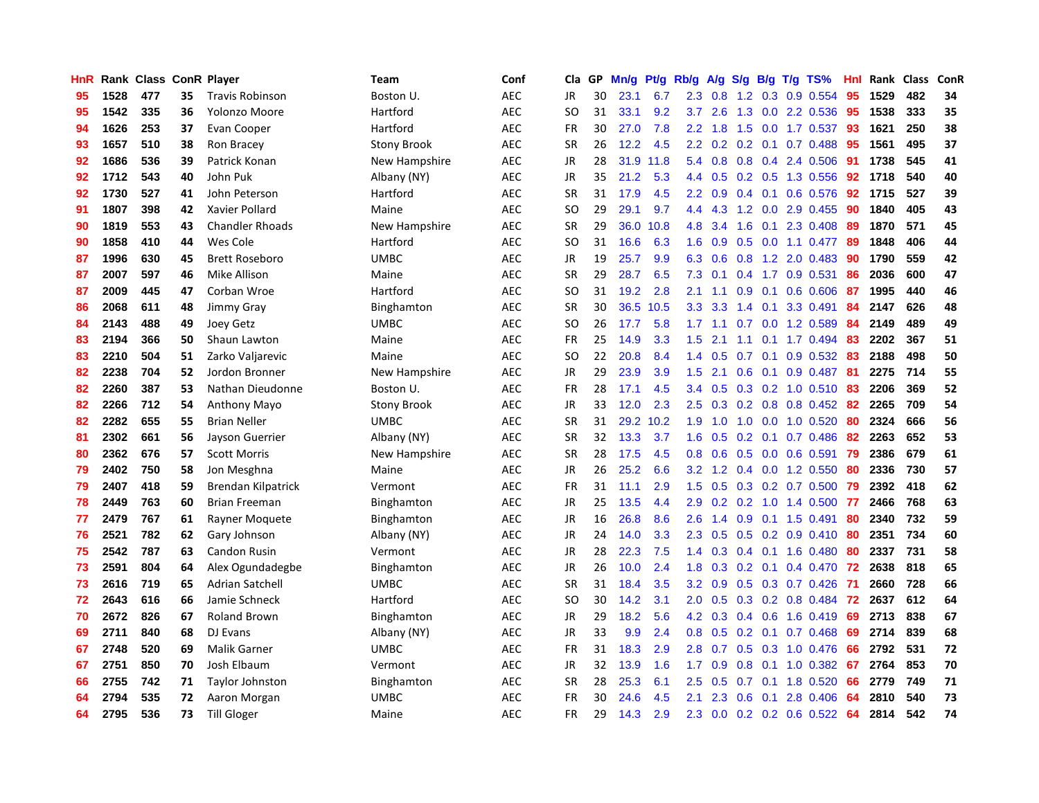| HnR |      | Rank Class ConR Player |    |                           | Team               | Conf       | Cla.          | <b>GP</b> | Mn/g | <b>Pt/g</b> | Rb/g             | A/g | S/g              |     | B/g T/g TS%           | Hnl | Rank | <b>Class</b> | <b>ConR</b> |
|-----|------|------------------------|----|---------------------------|--------------------|------------|---------------|-----------|------|-------------|------------------|-----|------------------|-----|-----------------------|-----|------|--------------|-------------|
| 95  | 1528 | 477                    | 35 | <b>Travis Robinson</b>    | Boston U.          | <b>AEC</b> | <b>JR</b>     | 30        | 23.1 | 6.7         | 2.3              | 0.8 |                  |     | 1.2 0.3 0.9 0.554     | 95  | 1529 | 482          | 34          |
| 95  | 1542 | 335                    | 36 | Yolonzo Moore             | Hartford           | <b>AEC</b> | <b>SO</b>     | 31        | 33.1 | 9.2         | 3.7              | 2.6 |                  |     | 1.3 0.0 2.2 0.536     | -95 | 1538 | 333          | 35          |
| 94  | 1626 | 253                    | 37 | Evan Cooper               | Hartford           | <b>AEC</b> | <b>FR</b>     | 30        | 27.0 | 7.8         | $2.2^{\circ}$    | 1.8 | 1.5              |     | $0.0$ 1.7 0.537       | -93 | 1621 | 250          | 38          |
| 93  | 1657 | 510                    | 38 | Ron Bracey                | <b>Stony Brook</b> | <b>AEC</b> | <b>SR</b>     | 26        | 12.2 | 4.5         | 2.2              | 0.2 |                  |     | $0.2$ 0.1 0.7 0.488   | 95  | 1561 | 495          | 37          |
| 92  | 1686 | 536                    | 39 | Patrick Konan             | New Hampshire      | <b>AEC</b> | <b>JR</b>     | 28        | 31.9 | 11.8        | 5.4              | 0.8 | 0.8              |     | $0.4$ 2.4 0.506       | 91  | 1738 | 545          | 41          |
| 92  | 1712 | 543                    | 40 | John Puk                  | Albany (NY)        | <b>AEC</b> | JR            | 35        | 21.2 | 5.3         | 4.4              | 0.5 |                  |     | 0.2 0.5 1.3 0.556     | 92  | 1718 | 540          | 40          |
| 92  | 1730 | 527                    | 41 | John Peterson             | Hartford           | <b>AEC</b> | <b>SR</b>     | 31        | 17.9 | 4.5         | 2.2              | 0.9 | $0.4^{\circ}$    | 0.1 | 0.6 0.576             | 92  | 1715 | 527          | 39          |
| 91  | 1807 | 398                    | 42 | Xavier Pollard            | Maine              | <b>AEC</b> | <sub>SO</sub> | 29        | 29.1 | 9.7         | 4.4              | 4.3 | 1.2              |     | $0.0$ 2.9 $0.455$     | -90 | 1840 | 405          | 43          |
| 90  | 1819 | 553                    | 43 | <b>Chandler Rhoads</b>    | New Hampshire      | <b>AEC</b> | <b>SR</b>     | 29        | 36.0 | 10.8        | 4.8              | 3.4 | 1.6              | 0.1 | 2.3 0.408             | -89 | 1870 | 571          | 45          |
| 90  | 1858 | 410                    | 44 | Wes Cole                  | Hartford           | <b>AEC</b> | SO            | 31        | 16.6 | 6.3         | 1.6              | 0.9 |                  |     | 0.5 0.0 1.1 0.477 89  |     | 1848 | 406          | 44          |
| 87  | 1996 | 630                    | 45 | <b>Brett Roseboro</b>     | <b>UMBC</b>        | <b>AEC</b> | <b>JR</b>     | 19        | 25.7 | 9.9         | 6.3              | 0.6 |                  |     | $0.8$ 1.2 2.0 0.483   | -90 | 1790 | 559          | 42          |
| 87  | 2007 | 597                    | 46 | Mike Allison              | Maine              | <b>AEC</b> | <b>SR</b>     | 29        | 28.7 | 6.5         | 7.3              | 0.1 |                  |     | 0.4 1.7 0.9 0.531     | 86  | 2036 | 600          | 47          |
| 87  | 2009 | 445                    | 47 | Corban Wroe               | Hartford           | <b>AEC</b> | <b>SO</b>     | 31        | 19.2 | 2.8         | 2.1              | 1.1 | 0.9              | 0.1 | $0.6$ 0.606           | -87 | 1995 | 440          | 46          |
| 86  | 2068 | 611                    | 48 | Jimmy Gray                | Binghamton         | <b>AEC</b> | <b>SR</b>     | 30        | 36.5 | 10.5        | 3.3 <sub>2</sub> | 3.3 | 1.4              | 0.1 | 3.3 0.491             | 84  | 2147 | 626          | 48          |
| 84  | 2143 | 488                    | 49 | Joey Getz                 | UMBC               | <b>AEC</b> | SO.           | 26        | 17.7 | 5.8         | 1.7              | 1.1 | 0.7              |     | 0.0 1.2 0.589         | 84  | 2149 | 489          | 49          |
| 83  | 2194 | 366                    | 50 | Shaun Lawton              | Maine              | <b>AEC</b> | <b>FR</b>     | 25        | 14.9 | 3.3         | 1.5              | 2.1 | 1.1              |     | $0.1$ 1.7 0.494       | 83  | 2202 | 367          | 51          |
| 83  | 2210 | 504                    | 51 | Zarko Valjarevic          | Maine              | <b>AEC</b> | <sub>SO</sub> | 22        | 20.8 | 8.4         | $1.4^{\circ}$    | 0.5 | 0.7              | 0.1 | $0.9$ 0.532           | -83 | 2188 | 498          | 50          |
| 82  | 2238 | 704                    | 52 | Jordon Bronner            | New Hampshire      | <b>AEC</b> | <b>JR</b>     | 29        | 23.9 | 3.9         | $1.5^{\circ}$    | 2.1 | 0.6              |     | $0.1$ 0.9 0.487       | -81 | 2275 | 714          | 55          |
| 82  | 2260 | 387                    | 53 | Nathan Dieudonne          | Boston U.          | <b>AEC</b> | <b>FR</b>     | 28        | 17.1 | 4.5         | 3.4              | 0.5 |                  |     | 0.3 0.2 1.0 0.510 83  |     | 2206 | 369          | 52          |
| 82  | 2266 | 712                    | 54 | Anthony Mayo              | <b>Stony Brook</b> | <b>AEC</b> | <b>JR</b>     | 33        | 12.0 | 2.3         | $2.5^{\circ}$    | 0.3 |                  |     | 0.2 0.8 0.8 0.452 82  |     | 2265 | 709          | 54          |
| 82  | 2282 | 655                    | 55 | <b>Brian Neller</b>       | <b>UMBC</b>        | <b>AEC</b> | <b>SR</b>     | 31        | 29.2 | 10.2        | 1.9              | 1.0 | 1.0              |     | $0.0$ 1.0 $0.520$     | 80  | 2324 | 666          | 56          |
| 81  | 2302 | 661                    | 56 | Jayson Guerrier           | Albany (NY)        | <b>AEC</b> | <b>SR</b>     | 32        | 13.3 | 3.7         | 1.6              | 0.5 |                  |     | $0.2$ 0.1 0.7 0.486   | 82  | 2263 | 652          | 53          |
| 80  | 2362 | 676                    | 57 | <b>Scott Morris</b>       | New Hampshire      | <b>AEC</b> | <b>SR</b>     | 28        | 17.5 | 4.5         | 0.8              | 0.6 |                  |     | $0.5$ 0.0 0.6 0.591   | 79  | 2386 | 679          | 61          |
| 79  | 2402 | 750                    | 58 | Jon Mesghna               | Maine              | <b>AEC</b> | JR            | 26        | 25.2 | 6.6         | 3.2              | 1.2 |                  |     | $0.4$ 0.0 1.2 0.550   | 80  | 2336 | 730          | 57          |
| 79  | 2407 | 418                    | 59 | <b>Brendan Kilpatrick</b> | Vermont            | <b>AEC</b> | <b>FR</b>     | 31        | 11.1 | 2.9         | $1.5^{\circ}$    | 0.5 |                  |     | $0.3$ 0.2 0.7 0.500   | 79  | 2392 | 418          | 62          |
| 78  | 2449 | 763                    | 60 | <b>Brian Freeman</b>      | Binghamton         | <b>AEC</b> | JR            | 25        | 13.5 | 4.4         | 2.9              | 0.2 |                  |     | 0.2 1.0 1.4 0.500 77  |     | 2466 | 768          | 63          |
| 77  | 2479 | 767                    | 61 | Rayner Moquete            | Binghamton         | <b>AEC</b> | <b>JR</b>     | 16        | 26.8 | 8.6         | 2.6              |     |                  |     | 1.4 0.9 0.1 1.5 0.491 | -80 | 2340 | 732          | 59          |
| 76  | 2521 | 782                    | 62 | Gary Johnson              | Albany (NY)        | <b>AEC</b> | <b>JR</b>     | 24        | 14.0 | 3.3         | 2.3              | 0.5 |                  |     | 0.5 0.2 0.9 0.410 80  |     | 2351 | 734          | 60          |
| 75  | 2542 | 787                    | 63 | Candon Rusin              | Vermont            | <b>AEC</b> | <b>JR</b>     | 28        | 22.3 | 7.5         | $1.4^{\circ}$    | 0.3 |                  |     | $0.4$ 0.1 1.6 0.480   | -80 | 2337 | 731          | 58          |
| 73  | 2591 | 804                    | 64 | Alex Ogundadegbe          | Binghamton         | <b>AEC</b> | <b>JR</b>     | 26        | 10.0 | 2.4         | 1.8              | 0.3 | 0.2 <sub>0</sub> | 0.1 | 0.4 0.470             | 72  | 2638 | 818          | 65          |
| 73  | 2616 | 719                    | 65 | <b>Adrian Satchell</b>    | <b>UMBC</b>        | <b>AEC</b> | SR            | 31        | 18.4 | 3.5         | 3.2              | 0.9 | 0.5              |     | $0.3$ 0.7 0.426       | -71 | 2660 | 728          | 66          |
| 72  | 2643 | 616                    | 66 | Jamie Schneck             | Hartford           | <b>AEC</b> | <b>SO</b>     | 30        | 14.2 | 3.1         | 2.0              | 0.5 | 0.3              |     | $0.2$ 0.8 0.484       | 72  | 2637 | 612          | 64          |
| 70  | 2672 | 826                    | 67 | <b>Roland Brown</b>       | Binghamton         | <b>AEC</b> | JR            | 29        | 18.2 | 5.6         | 4.2              | 0.3 |                  |     | 0.4 0.6 1.6 0.419     | 69  | 2713 | 838          | 67          |
| 69  | 2711 | 840                    | 68 | DJ Evans                  | Albany (NY)        | <b>AEC</b> | <b>JR</b>     | 33        | 9.9  | 2.4         | 0.8              | 0.5 | 0.2              | 0.1 | $0.7$ 0.468           | 69  | 2714 | 839          | 68          |
| 67  | 2748 | 520                    | 69 | <b>Malik Garner</b>       | <b>UMBC</b>        | <b>AEC</b> | <b>FR</b>     | 31        | 18.3 | 2.9         | 2.8              | 0.7 |                  |     | 0.5 0.3 1.0 0.476     | 66  | 2792 | 531          | 72          |
| 67  | 2751 | 850                    | 70 | Josh Elbaum               | Vermont            | <b>AEC</b> | <b>JR</b>     | 32        | 13.9 | 1.6         | $1.7^{\circ}$    | 0.9 |                  |     | $0.8$ 0.1 1.0 0.382   | 67  | 2764 | 853          | 70          |
| 66  | 2755 | 742                    | 71 | Taylor Johnston           | Binghamton         | <b>AEC</b> | <b>SR</b>     | 28        | 25.3 | 6.1         | 2.5              | 0.5 |                  |     | $0.7$ 0.1 1.8 0.520   | 66  | 2779 | 749          | 71          |
| 64  | 2794 | 535                    | 72 | Aaron Morgan              | <b>UMBC</b>        | <b>AEC</b> | <b>FR</b>     | 30        | 24.6 | 4.5         | 2.1              | 2.3 | 0.6              | 0.1 | 2.8 0.406             | 64  | 2810 | 540          | 73          |
| 64  | 2795 | 536                    | 73 | <b>Till Gloger</b>        | Maine              | <b>AEC</b> | <b>FR</b>     | 29        | 14.3 | 2.9         | 2.3              | 0.0 |                  |     | $0.2$ 0.2 0.6 0.522   | 64  | 2814 | 542          | 74          |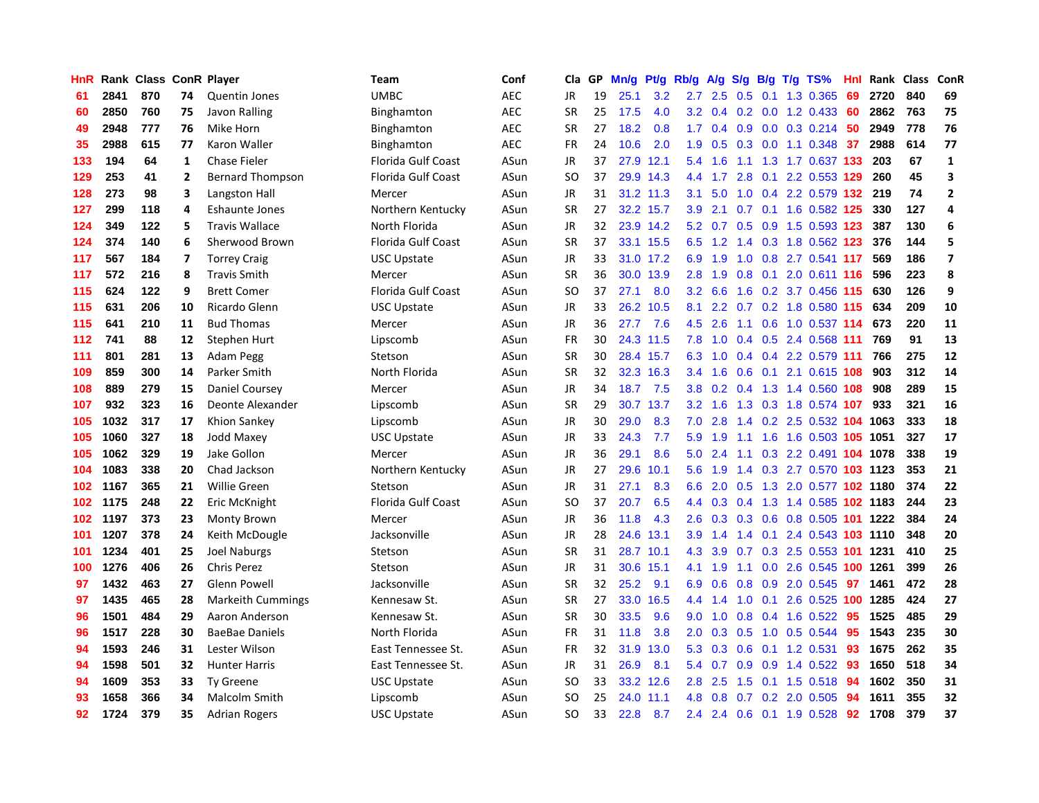| HnR |      | Rank Class ConR Player |                |                          | Team                      | Conf       | Cla       | <b>GP</b> | Mn/g | <b>Pt/g</b> | Rb/g             | A/g         | S/g | B/g | $T/g$ TS%                      | Hnl | Rank | <b>Class</b> | <b>ConR</b>             |
|-----|------|------------------------|----------------|--------------------------|---------------------------|------------|-----------|-----------|------|-------------|------------------|-------------|-----|-----|--------------------------------|-----|------|--------------|-------------------------|
| -61 | 2841 | 870                    | 74             | Quentin Jones            | <b>UMBC</b>               | <b>AEC</b> | <b>JR</b> | 19        | 25.1 | 3.2         |                  | $2.7$ $2.5$ |     |     | 0.5 0.1 1.3 0.365              | 69  | 2720 | 840          | 69                      |
| 60  | 2850 | 760                    | 75             | Javon Ralling            | Binghamton                | <b>AEC</b> | <b>SR</b> | 25        | 17.5 | 4.0         |                  |             |     |     | 3.2 0.4 0.2 0.0 1.2 0.433 60   |     | 2862 | 763          | 75                      |
| 49  | 2948 | 777                    | 76             | Mike Horn                | Binghamton                | <b>AEC</b> | <b>SR</b> | 27        | 18.2 | 0.8         | 1.7              | 0.4         |     |     | $0.9$ 0.0 0.3 0.214 50         |     | 2949 | 778          | 76                      |
| 35  | 2988 | 615                    | 77             | Karon Waller             | Binghamton                | <b>AEC</b> | <b>FR</b> | 24        | 10.6 | 2.0         | 1.9              | 0.5         |     |     | $0.3$ 0.0 1.1 0.348            | 37  | 2988 | 614          | 77                      |
| 133 | 194  | 64                     | $\mathbf{1}$   | <b>Chase Fieler</b>      | <b>Florida Gulf Coast</b> | ASun       | JR        | 37        | 27.9 | 12.1        | 5.4              | 1.6         |     |     | 1.1 1.3 1.7 0.637 133          |     | 203  | 67           | $\mathbf{1}$            |
| 129 | 253  | 41                     | $\overline{2}$ | <b>Bernard Thompson</b>  | <b>Florida Gulf Coast</b> | ASun       | <b>SO</b> | 37        | 29.9 | 14.3        | 4.4              | 1.7         |     |     | 2.8 0.1 2.2 0.553 129          |     | 260  | 45           | $\overline{\mathbf{3}}$ |
| 128 | 273  | 98                     | 3              | Langston Hall            | Mercer                    | ASun       | JR        | 31        | 31.2 | 11.3        | 3.1              | 5.0         | 1.0 |     | 0.4 2.2 0.579                  | 132 | 219  | 74           | $\overline{2}$          |
| 127 | 299  | 118                    | 4              | Eshaunte Jones           | Northern Kentucky         | ASun       | <b>SR</b> | 27        | 32.2 | 15.7        | 3.9 <sup>°</sup> | 2.1         |     |     | 0.7 0.1 1.6 0.582 125          |     | 330  | 127          | 4                       |
| 124 | 349  | 122                    | 5              | <b>Travis Wallace</b>    | North Florida             | ASun       | JR        | 32        |      | 23.9 14.2   | 5.2              | 0.7         | 0.5 |     | 0.9 1.5 0.593 123              |     | 387  | 130          | 6                       |
| 124 | 374  | 140                    | 6              | Sherwood Brown           | <b>Florida Gulf Coast</b> | ASun       | <b>SR</b> | 37        |      | 33.1 15.5   |                  |             |     |     | 6.5 1.2 1.4 0.3 1.8 0.562 123  |     | 376  | 144          | 5                       |
| 117 | 567  | 184                    | 7              | <b>Torrey Craig</b>      | <b>USC Upstate</b>        | ASun       | JR        | 33        |      | 31.0 17.2   | 6.9              | 1.9         |     |     | 1.0 0.8 2.7 0.541 117          |     | 569  | 186          | $\overline{7}$          |
| 117 | 572  | 216                    | 8              | <b>Travis Smith</b>      | Mercer                    | ASun       | <b>SR</b> | 36        | 30.0 | 13.9        | 2.8              | 1.9         |     |     | $0.8$ 0.1 2.0 0.611 116        |     | 596  | 223          | 8                       |
| 115 | 624  | 122                    | 9              | <b>Brett Comer</b>       | Florida Gulf Coast        | ASun       | <b>SO</b> | 37        | 27.1 | 8.0         | 3.2              | 6.6         | 1.6 |     | 0.2 3.7 0.456 115              |     | 630  | 126          | 9                       |
| 115 | 631  | 206                    | 10             | Ricardo Glenn            | <b>USC Upstate</b>        | ASun       | JR        | 33        | 26.2 | 10.5        | 8.1              | 2.2         |     |     | 0.7 0.2 1.8 0.580 115          |     | 634  | 209          | 10                      |
| 115 | 641  | 210                    | 11             | <b>Bud Thomas</b>        | Mercer                    | ASun       | JR        | 36        | 27.7 | 7.6         | 4.5              | 2.6         |     |     | 1.1 0.6 1.0 0.537 114          |     | 673  | 220          | 11                      |
| 112 | 741  | 88                     | 12             | Stephen Hurt             | Lipscomb                  | ASun       | <b>FR</b> | 30        |      | 24.3 11.5   | 7.8              | 1.0         |     |     | 0.4 0.5 2.4 0.568 111          |     | 769  | 91           | 13                      |
| 111 | 801  | 281                    | 13             | Adam Pegg                | Stetson                   | ASun       | <b>SR</b> | 30        |      | 28.4 15.7   | 6.3              | 1.0         | 0.4 |     | 0.4 2.2 0.579 111              |     | 766  | 275          | 12                      |
| 109 | 859  | 300                    | 14             | Parker Smith             | North Florida             | ASun       | <b>SR</b> | 32        |      | 32.3 16.3   | $3.4^{\circ}$    | 1.6         | 0.6 |     | 0.1 2.1 0.615 108              |     | 903  | 312          | 14                      |
| 108 | 889  | 279                    | 15             | Daniel Coursey           | Mercer                    | ASun       | JR        | 34        | 18.7 | 7.5         | 3.8 <sub>1</sub> |             |     |     | 0.2 0.4 1.3 1.4 0.560 108      |     | 908  | 289          | 15                      |
| 107 | 932  | 323                    | 16             | Deonte Alexander         | Lipscomb                  | ASun       | <b>SR</b> | 29        |      | 30.7 13.7   | 3.2 <sub>2</sub> | 1.6         |     |     | 1.3 0.3 1.8 0.574 107          |     | 933  | 321          | 16                      |
| 105 | 1032 | 317                    | 17             | Khion Sankey             | Lipscomb                  | ASun       | JR        | 30        | 29.0 | 8.3         | 7.0              | 2.8         |     |     | 1.4 0.2 2.5 0.532 104 1063     |     |      | 333          | 18                      |
| 105 | 1060 | 327                    | 18             | <b>Jodd Maxey</b>        | <b>USC Upstate</b>        | ASun       | JR        | 33        | 24.3 | 7.7         | 5.9              | 1.9         |     |     | 1.1 1.6 1.6 0.503 105 1051     |     |      | 327          | 17                      |
| 105 | 1062 | 329                    | 19             | Jake Gollon              | Mercer                    | ASun       | JR        | 36        | 29.1 | 8.6         | 5.0              | 2.4         |     |     | 1.1 0.3 2.2 0.491 104          |     | 1078 | 338          | 19                      |
| 104 | 1083 | 338                    | 20             | Chad Jackson             | Northern Kentucky         | ASun       | JR        | 27        | 29.6 | 10.1        | 5.6              | 1.9         |     |     | 1.4 0.3 2.7 0.570 103 1123     |     |      | 353          | 21                      |
| 102 | 1167 | 365                    | 21             | <b>Willie Green</b>      | Stetson                   | ASun       | <b>JR</b> | 31        | 27.1 | 8.3         | 6.6              | 2.0         | 0.5 |     | 1.3 2.0 0.577 102 1180         |     |      | 374          | 22                      |
| 102 | 1175 | 248                    | 22             | Eric McKnight            | <b>Florida Gulf Coast</b> | ASun       | SO        | 37        | 20.7 | 6.5         | 4.4              | 0.3         |     |     | 0.4 1.3 1.4 0.585 102 1183     |     |      | 244          | 23                      |
| 102 | 1197 | 373                    | 23             | Monty Brown              | Mercer                    | ASun       | <b>JR</b> | 36        | 11.8 | 4.3         | 2.6              |             |     |     | 0.3 0.3 0.6 0.8 0.505 101 1222 |     |      | 384          | 24                      |
| 101 | 1207 | 378                    | 24             | Keith McDougle           | Jacksonville              | ASun       | JR        | 28        | 24.6 | 13.1        | 3.9              | 1.4         |     |     | 1.4 0.1 2.4 0.543 103 1110     |     |      | 348          | 20                      |
| 101 | 1234 | 401                    | 25             | <b>Joel Naburgs</b>      | Stetson                   | ASun       | <b>SR</b> | 31        | 28.7 | 10.1        | 4.3              | 3.9         |     |     | 0.7 0.3 2.5 0.553 101 1231     |     |      | 410          | 25                      |
| 100 | 1276 | 406                    | 26             | <b>Chris Perez</b>       | Stetson                   | ASun       | <b>JR</b> | 31        | 30.6 | 15.1        | 4.1              | 1.9         | 1.1 |     | 0.0 2.6 0.545 100 1261         |     |      | 399          | 26                      |
| 97  | 1432 | 463                    | 27             | <b>Glenn Powell</b>      | Jacksonville              | ASun       | <b>SR</b> | 32        | 25.2 | 9.1         | 6.9              | 0.6         | 0.8 |     | 0.9 2.0 0.545                  | 97  | 1461 | 472          | 28                      |
| 97  | 1435 | 465                    | 28             | <b>Markeith Cummings</b> | Kennesaw St.              | ASun       | <b>SR</b> | 27        | 33.0 | 16.5        | 4.4              | 1.4         | 1.0 |     | 0.1 2.6 0.525 100 1285         |     |      | 424          | 27                      |
| 96  | 1501 | 484                    | 29             | Aaron Anderson           | Kennesaw St.              | ASun       | <b>SR</b> | 30        | 33.5 | 9.6         | 9.0              | 1.0         | 0.8 |     | 0.4 1.6 0.522                  | -95 | 1525 | 485          | 29                      |
| 96  | 1517 | 228                    | 30             | <b>BaeBae Daniels</b>    | North Florida             | ASun       | <b>FR</b> | 31        | 11.8 | 3.8         | 2.0              | 0.3         | 0.5 |     | 1.0 0.5 0.544                  | 95  | 1543 | 235          | 30                      |
| 94  | 1593 | 246                    | 31             | Lester Wilson            | East Tennessee St.        | ASun       | FR        | 32        | 31.9 | 13.0        | 5.3              | 0.3         |     |     | 0.6 0.1 1.2 0.531              | 93  | 1675 | 262          | 35                      |
| 94  | 1598 | 501                    | 32             | <b>Hunter Harris</b>     | East Tennessee St.        | ASun       | <b>JR</b> | 31        | 26.9 | 8.1         | 5.4              | 0.7         |     |     | 0.9 0.9 1.4 0.522 93           |     | 1650 | 518          | 34                      |
| 94  | 1609 | 353                    | 33             | <b>Ty Greene</b>         | <b>USC Upstate</b>        | ASun       | <b>SO</b> | 33        | 33.2 | 12.6        | 2.8              | 2.5         |     |     | 1.5 0.1 1.5 0.518              | -94 | 1602 | 350          | 31                      |
| 93  | 1658 | 366                    | 34             | <b>Malcolm Smith</b>     | Lipscomb                  | ASun       | <b>SO</b> | 25        | 24.0 | 11.1        | 4.8              | 0.8         |     |     | 0.7 0.2 2.0 0.505              | 94  | 1611 | 355          | 32                      |
| 92  | 1724 | 379                    | 35             | <b>Adrian Rogers</b>     | <b>USC Upstate</b>        | ASun       | SO        | 33        | 22.8 | 8.7         | 2.4              |             |     |     | 2.4 0.6 0.1 1.9 0.528 92       |     | 1708 | 379          | 37                      |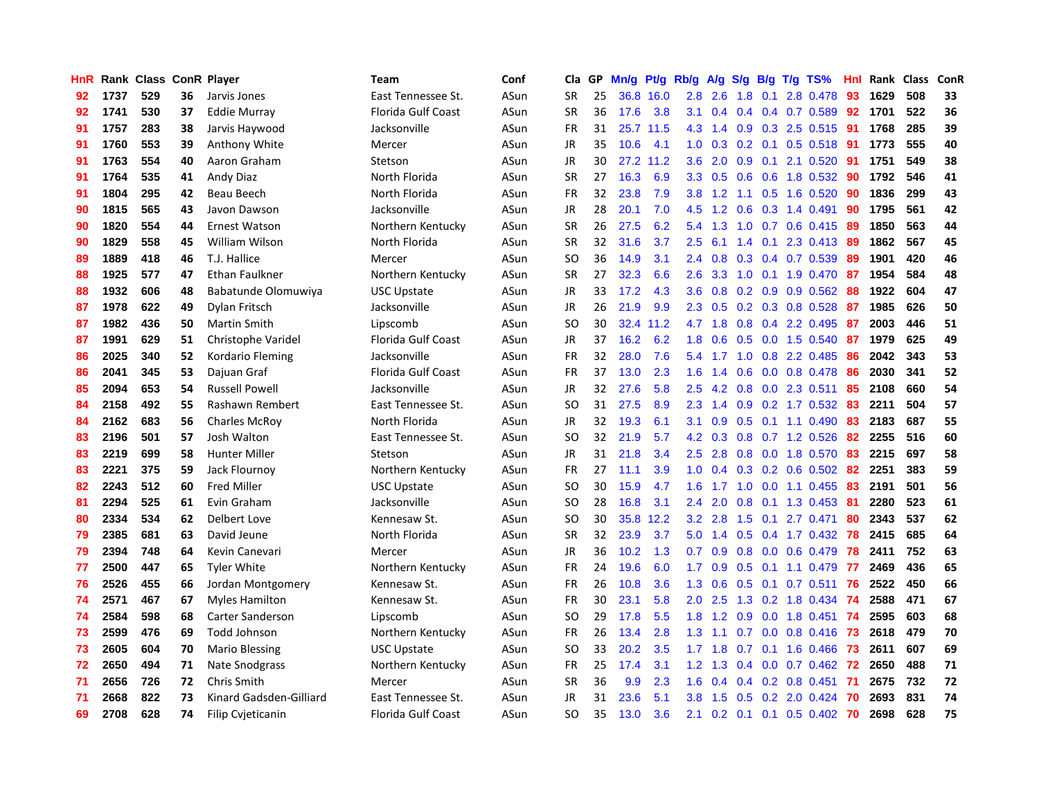| HnR |      | Rank Class ConR Player |    |                          | Team               | Conf | Cla           | <b>GP</b> | Mn/g | Pt/g | Rb/g             | A/g             | S/g              |     | B/g T/g TS%              | Hnl | Rank | <b>Class</b> | ConR |
|-----|------|------------------------|----|--------------------------|--------------------|------|---------------|-----------|------|------|------------------|-----------------|------------------|-----|--------------------------|-----|------|--------------|------|
| 92  | 1737 | 529                    | 36 | Jarvis Jones             | East Tennessee St. | ASun | <b>SR</b>     | 25        | 36.8 | 16.0 | 2.8              | 2.6             | 1.8              | 0.1 | 2.8 0.478                | 93  | 1629 | 508          | 33   |
| 92  | 1741 | 530                    | 37 | Eddie Murray             | Florida Gulf Coast | ASun | <b>SR</b>     | 36        | 17.6 | 3.8  | 3.1              | 0.4             |                  |     | 0.4 0.4 0.7 0.589 92     |     | 1701 | 522          | 36   |
| 91  | 1757 | 283                    | 38 | Jarvis Haywood           | Jacksonville       | ASun | <b>FR</b>     | 31        | 25.7 | 11.5 |                  | $4.3$ 1.4       |                  |     | 0.9 0.3 2.5 0.515 91     |     | 1768 | 285          | 39   |
| 91  | 1760 | 553                    | 39 | Anthony White            | Mercer             | ASun | JR            | 35        | 10.6 | 4.1  | 1.0              | 0.3             |                  |     | $0.2$ 0.1 0.5 0.518      | -91 | 1773 | 555          | 40   |
| 91  | 1763 | 554                    | 40 | Aaron Graham             | Stetson            | ASun | JR            | 30        | 27.2 | 11.2 | 3.6              | 2.0             | 0.9              | 0.1 | 2.1 0.520                | 91  | 1751 | 549          | 38   |
| 91  | 1764 | 535                    | 41 | <b>Andy Diaz</b>         | North Florida      | ASun | <b>SR</b>     | 27        | 16.3 | 6.9  | 3.3 <sub>2</sub> | 0.5             | 0.6              |     | 0.6 1.8 0.532            | -90 | 1792 | 546          | 41   |
| 91  | 1804 | 295                    | 42 | Beau Beech               | North Florida      | ASun | <b>FR</b>     | 32        | 23.8 | 7.9  | 3.8              | 1.2             |                  |     | 1.1 0.5 1.6 0.520        | 90  | 1836 | 299          | 43   |
| 90  | 1815 | 565                    | 43 | Javon Dawson             | Jacksonville       | ASun | JR            | 28        | 20.1 | 7.0  | 4.5              | 1.2             | 0.6              |     | $0.3$ 1.4 0.491          | -90 | 1795 | 561          | 42   |
| 90  | 1820 | 554                    | 44 | Ernest Watson            | Northern Kentucky  | ASun | <b>SR</b>     | 26        | 27.5 | 6.2  | 5.4              | 1.3             | 1.0              |     | 0.7 0.6 0.415 89         |     | 1850 | 563          | 44   |
| 90  | 1829 | 558                    | 45 | William Wilson           | North Florida      | ASun | <b>SR</b>     | 32        | 31.6 | 3.7  | $2.5^{\circ}$    | 6.1             |                  |     | 1.4 0.1 2.3 0.413 89     |     | 1862 | 567          | 45   |
| 89  | 1889 | 418                    | 46 | T.J. Hallice             | Mercer             | ASun | SO            | 36        | 14.9 | 3.1  | $2.4^{\circ}$    | 0.8             |                  |     | 0.3 0.4 0.7 0.539 89     |     | 1901 | 420          | 46   |
| 88  | 1925 | 577                    | 47 | <b>Ethan Faulkner</b>    | Northern Kentucky  | ASun | <b>SR</b>     | 27        | 32.3 | 6.6  | 2.6              | 3.3             |                  |     | 1.0 0.1 1.9 0.470        | -87 | 1954 | 584          | 48   |
| 88  | 1932 | 606                    | 48 | Babatunde Olomuwiya      | <b>USC Upstate</b> | ASun | <b>JR</b>     | 33        | 17.2 | 4.3  | 3.6              | 0.8             |                  |     | 0.2 0.9 0.9 0.562 88     |     | 1922 | 604          | 47   |
| 87  | 1978 | 622                    | 49 | Dylan Fritsch            | Jacksonville       | ASun | JR            | 26        | 21.9 | 9.9  | 2.3              | 0.5             |                  |     | 0.2 0.3 0.8 0.528        | 87  | 1985 | 626          | 50   |
| 87  | 1982 | 436                    | 50 | <b>Martin Smith</b>      | Lipscomb           | ASun | <b>SO</b>     | 30        | 32.4 | 11.2 | 4.7              | 1.8             |                  |     | 0.8 0.4 2.2 0.495        | 87  | 2003 | 446          | 51   |
| 87  | 1991 | 629                    | 51 | Christophe Varidel       | Florida Gulf Coast | ASun | JR            | 37        | 16.2 | 6.2  | 1.8              | 0.6             |                  |     | 0.5 0.0 1.5 0.540        | 87  | 1979 | 625          | 49   |
| 86  | 2025 | 340                    | 52 | Kordario Fleming         | Jacksonville       | ASun | <b>FR</b>     | 32        | 28.0 | 7.6  | 5.4              | 1.7             | 1.0              |     | 0.8 2.2 0.485            | 86  | 2042 | 343          | 53   |
| 86  | 2041 | 345                    | 53 | Dajuan Graf              | Florida Gulf Coast | ASun | <b>FR</b>     | 37        | 13.0 | 2.3  | 1.6              | 1.4             | 0.6              |     | $0.0$ 0.8 0.478          | 86  | 2030 | 341          | 52   |
| 85  | 2094 | 653                    | 54 | <b>Russell Powell</b>    | Jacksonville       | ASun | JR            | 32        | 27.6 | 5.8  | 2.5              | $4.2^{\circ}$   |                  |     | 0.8 0.0 2.3 0.511        | 85  | 2108 | 660          | 54   |
| 84  | 2158 | 492                    | 55 | Rashawn Rembert          | East Tennessee St. | ASun | <sub>SO</sub> | 31        | 27.5 | 8.9  | 2.3              | 1.4             |                  |     | 0.9 0.2 1.7 0.532        | -83 | 2211 | 504          | 57   |
| 84  | 2162 | 683                    | 56 | <b>Charles McRoy</b>     | North Florida      | ASun | JR            | 32        | 19.3 | 6.1  | 3.1              | 0.9             |                  |     | $0.5$ 0.1 1.1 0.490      | 83  | 2183 | 687          | 55   |
| 83  | 2196 | 501                    | 57 | Josh Walton              | East Tennessee St. | ASun | <sub>SO</sub> | 32        | 21.9 | 5.7  | 4.2              | 0.3             |                  |     | 0.8 0.7 1.2 0.526        | 82  | 2255 | 516          | 60   |
| 83  | 2219 | 699                    | 58 | <b>Hunter Miller</b>     | Stetson            | ASun | JR            | 31        | 21.8 | 3.4  | 2.5              | 2.8             |                  |     | 0.8 0.0 1.8 0.570        | 83  | 2215 | 697          | 58   |
| 83  | 2221 | 375                    | 59 | Jack Flournoy            | Northern Kentucky  | ASun | FR            | 27        | 11.1 | 3.9  | 1.0              | 0.4             |                  |     | $0.3$ 0.2 0.6 0.502      | 82  | 2251 | 383          | 59   |
| 82  | 2243 | 512                    | 60 | <b>Fred Miller</b>       | <b>USC Upstate</b> | ASun | SO            | 30        | 15.9 | 4.7  | 1.6              | 1.7             | 1.0              |     | $0.0$ 1.1 $0.455$        | -83 | 2191 | 501          | 56   |
| 81  | 2294 | 525                    | 61 | Evin Graham              | Jacksonville       | ASun | SO            | 28        | 16.8 | 3.1  | 2.4              | 2.0             | 0.8              |     | $0.1$ 1.3 0.453          | -81 | 2280 | 523          | 61   |
| 80  | 2334 | 534                    | 62 | Delbert Love             | Kennesaw St.       | ASun | SO            | 30        | 35.8 | 12.2 | 3.2              | 2.8             |                  |     | 1.5 0.1 2.7 0.471        | 80  | 2343 | 537          | 62   |
| 79  | 2385 | 681                    | 63 | David Jeune              | North Florida      | ASun | <b>SR</b>     | 32        | 23.9 | 3.7  | 5.0              |                 |                  |     | 1.4 0.5 0.4 1.7 0.432 78 |     | 2415 | 685          | 64   |
| 79  | 2394 | 748                    | 64 | Kevin Canevari           | Mercer             | ASun | JR            | 36        | 10.2 | 1.3  | 0.7              | 0.9             |                  |     | $0.8$ 0.0 0.6 0.479      | 78  | 2411 | 752          | 63   |
| 77  | 2500 | 447                    | 65 | <b>Tyler White</b>       | Northern Kentucky  | ASun | <b>FR</b>     | 24        | 19.6 | 6.0  | $1.7^{\circ}$    | 0.9             |                  |     | $0.5$ 0.1 1.1 0.479      | 77  | 2469 | 436          | 65   |
| 76  | 2526 | 455                    | 66 | Jordan Montgomery        | Kennesaw St.       | ASun | <b>FR</b>     | 26        | 10.8 | 3.6  | 1.3              | 0.6             | 0.5              | 0.1 | $0.7$ 0.511              | 76  | 2522 | 450          | 66   |
| 74  | 2571 | 467                    | 67 | <b>Myles Hamilton</b>    | Kennesaw St.       | ASun | <b>FR</b>     | 30        | 23.1 | 5.8  | 2.0              | 2.5             |                  |     | 1.3 0.2 1.8 0.434        | -74 | 2588 | 471          | 67   |
| 74  | 2584 | 598                    | 68 | <b>Carter Sanderson</b>  | Lipscomb           | ASun | <b>SO</b>     | 29        | 17.8 | 5.5  | 1.8              | 1.2             | 0.9 <sub>0</sub> |     | $0.0$ 1.8 0.451          | 74  | 2595 | 603          | 68   |
| 73  | 2599 | 476                    | 69 | <b>Todd Johnson</b>      | Northern Kentucky  | ASun | FR            | 26        | 13.4 | 2.8  | 1.3              | 1.1             | 0.7              |     | $0.0$ 0.8 0.416          | -73 | 2618 | 479          | 70   |
| 73  | 2605 | 604                    | 70 | <b>Mario Blessing</b>    | <b>USC Upstate</b> | ASun | <sub>SO</sub> | 33        | 20.2 | 3.5  | 1.7              | 1.8             | 0.7              |     | $0.1$ 1.6 0.466          | -73 | 2611 | 607          | 69   |
| 72  | 2650 | 494                    | 71 | Nate Snodgrass           | Northern Kentucky  | ASun | FR            | 25        | 17.4 | 3.1  |                  | $1.2 \quad 1.3$ |                  |     | 0.4 0.0 0.7 0.462 72     |     | 2650 | 488          | 71   |
| 71  | 2656 | 726                    | 72 | Chris Smith              | Mercer             | ASun | <b>SR</b>     | 36        | 9.9  | 2.3  | 1.6              | 0.4             |                  |     | $0.4$ 0.2 0.8 0.451      | -71 | 2675 | 732          | 72   |
| 71  | 2668 | 822                    | 73 | Kinard Gadsden-Gilliard  | East Tennessee St. | ASun | JR            | 31        | 23.6 | 5.1  | 3.8 <sub>2</sub> | 1.5             |                  |     | $0.5$ 0.2 2.0 0.424      | -70 | 2693 | 831          | 74   |
| 69  | 2708 | 628                    | 74 | <b>Filip Cvjeticanin</b> | Florida Gulf Coast | ASun | <b>SO</b>     | 35        | 13.0 | 3.6  | 2.1              |                 |                  |     | 0.2 0.1 0.1 0.5 0.402 70 |     | 2698 | 628          | 75   |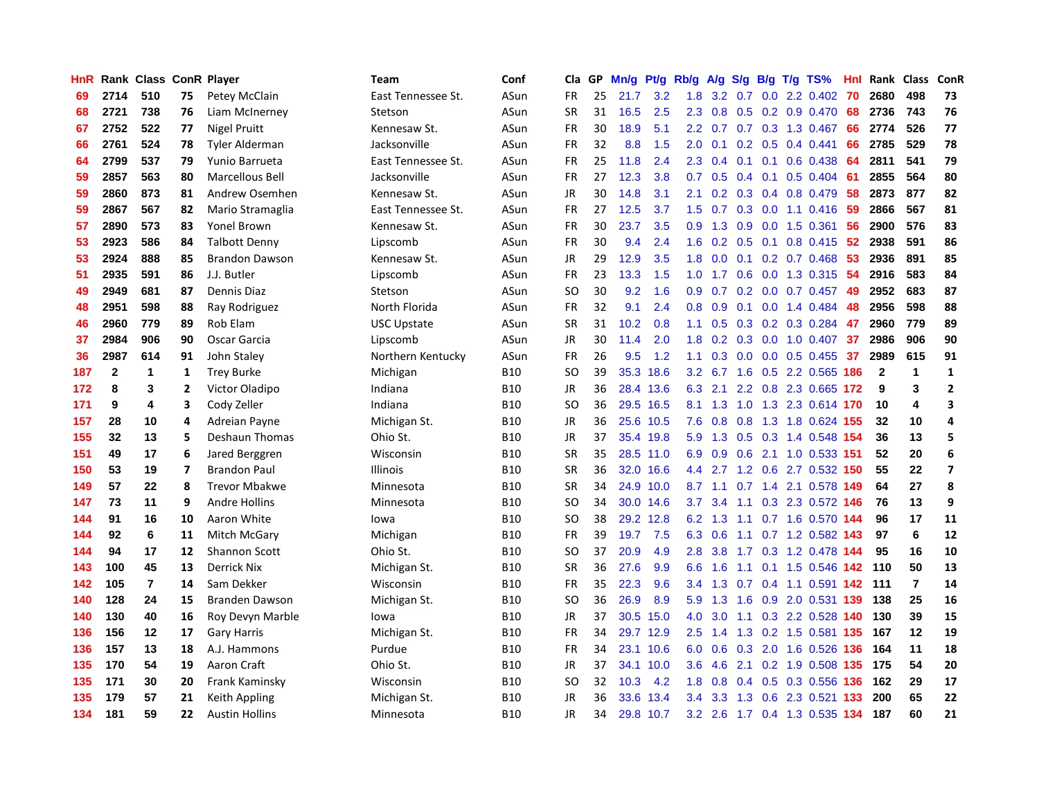| HnR |              | Rank Class ConR Player |                |                       | <b>Team</b>        | Conf       | Cla           | <b>GP</b> | Mn/g | <b>Pt/g</b> | Rb/g          | A/g       |     |  | S/g B/g T/g TS%               | Hnl | Rank           | <b>Class</b>   | ConR                    |
|-----|--------------|------------------------|----------------|-----------------------|--------------------|------------|---------------|-----------|------|-------------|---------------|-----------|-----|--|-------------------------------|-----|----------------|----------------|-------------------------|
| 69  | 2714         | 510                    | 75             | Petey McClain         | East Tennessee St. | ASun       | FR            | 25        | 21.7 | 3.2         | 1.8           | 3.2       | 0.7 |  | $0.0$ 2.2 0.402               | 70  | 2680           | 498            | 73                      |
| 68  | 2721         | 738                    | 76             | Liam McInerney        | Stetson            | ASun       | <b>SR</b>     | 31        | 16.5 | 2.5         | 2.3           | 0.8       |     |  | 0.5 0.2 0.9 0.470             | 68  | 2736           | 743            | 76                      |
| 67  | 2752         | 522                    | 77             | <b>Nigel Pruitt</b>   | Kennesaw St.       | ASun       | <b>FR</b>     | 30        | 18.9 | 5.1         | 2.2           | 0.7       |     |  | $0.7$ $0.3$ $1.3$ $0.467$     | 66  | 2774           | 526            | 77                      |
| 66  | 2761         | 524                    | 78             | <b>Tyler Alderman</b> | Jacksonville       | ASun       | FR            | 32        | 8.8  | 1.5         | 2.0           | 0.1       |     |  | $0.2$ 0.5 0.4 0.441           | 66  | 2785           | 529            | 78                      |
| 64  | 2799         | 537                    | 79             | Yunio Barrueta        | East Tennessee St. | ASun       | <b>FR</b>     | 25        | 11.8 | 2.4         | 2.3           | 0.4       |     |  | $0.1$ 0.1 0.6 0.438           | 64  | 2811           | 541            | 79                      |
| 59  | 2857         | 563                    | 80             | Marcellous Bell       | Jacksonville       | ASun       | FR            | 27        | 12.3 | 3.8         | 0.7           | 0.5       |     |  | $0.4$ 0.1 0.5 0.404           | -61 | 2855           | 564            | 80                      |
| 59  | 2860         | 873                    | 81             | Andrew Osemhen        | Kennesaw St.       | ASun       | JR            | 30        | 14.8 | 3.1         | 2.1           | 0.2       | 0.3 |  | 0.4 0.8 0.479                 | 58  | 2873           | 877            | 82                      |
| 59  | 2867         | 567                    | 82             | Mario Stramaglia      | East Tennessee St. | ASun       | FR            | 27        | 12.5 | 3.7         | 1.5           | 0.7       | 0.3 |  | $0.0$ 1.1 0.416               | -59 | 2866           | 567            | 81                      |
| 57  | 2890         | 573                    | 83             | Yonel Brown           | Kennesaw St.       | ASun       | FR            | 30        | 23.7 | 3.5         | 0.9           | 1.3       | 0.9 |  | $0.0$ 1.5 $0.361$             | 56  | 2900           | 576            | 83                      |
| 53  | 2923         | 586                    | 84             | <b>Talbott Denny</b>  | Lipscomb           | ASun       | FR            | 30        | 9.4  | 2.4         | 1.6           | 0.2       |     |  | 0.5 0.1 0.8 0.415 52          |     | 2938           | 591            | 86                      |
| 53  | 2924         | 888                    | 85             | <b>Brandon Dawson</b> | Kennesaw St.       | ASun       | JR            | 29        | 12.9 | 3.5         | 1.8           |           |     |  | $0.0$ 0.1 0.2 0.7 0.468 53    |     | 2936           | 891            | 85                      |
| 51  | 2935         | 591                    | 86             | J.J. Butler           | Lipscomb           | ASun       | FR            | 23        | 13.3 | 1.5         | 1.0           | 1.7       |     |  | 0.6 0.0 1.3 0.315 54          |     | 2916           | 583            | 84                      |
| 49  | 2949         | 681                    | 87             | Dennis Diaz           | Stetson            | ASun       | <b>SO</b>     | 30        | 9.2  | 1.6         | 0.9           | 0.7       |     |  | $0.2$ 0.0 0.7 0.457           | -49 | 2952           | 683            | 87                      |
| 48  | 2951         | 598                    | 88             | Ray Rodriguez         | North Florida      | ASun       | FR            | 32        | 9.1  | 2.4         | 0.8           | 0.9       |     |  | $0.1$ 0.0 1.4 0.484           | 48  | 2956           | 598            | 88                      |
| 46  | 2960         | 779                    | 89             | Rob Elam              | <b>USC Upstate</b> | ASun       | <b>SR</b>     | 31        | 10.2 | 0.8         | 1.1           | 0.5       | 0.3 |  | 0.2 0.3 0.284                 | 47  | 2960           | 779            | 89                      |
| 37  | 2984         | 906                    | 90             | Oscar Garcia          | Lipscomb           | ASun       | JR            | 30        | 11.4 | 2.0         | 1.8           | 0.2       | 0.3 |  | $0.0$ 1.0 0.407               | 37  | 2986           | 906            | 90                      |
| 36  | 2987         | 614                    | 91             | John Staley           | Northern Kentucky  | ASun       | FR            | 26        | 9.5  | 1.2         | 1.1           | 0.3       | 0.0 |  | $0.0$ 0.5 0.455               | 37  | 2989           | 615            | 91                      |
| 187 | $\mathbf{2}$ | 1                      | 1              | <b>Trey Burke</b>     | Michigan           | <b>B10</b> | <sub>SO</sub> | 39        | 35.3 | 18.6        | 3.2           | 6.7       | 1.6 |  | 0.5 2.2 0.565 186             |     | $\overline{2}$ | 1              | $\mathbf{1}$            |
| 172 | 8            | 3                      | 2              | Victor Oladipo        | Indiana            | <b>B10</b> | <b>JR</b>     | 36        |      | 28.4 13.6   |               | $6.3$ 2.1 |     |  | 2.2 0.8 2.3 0.665 172         |     | 9              | 3              | $\overline{2}$          |
| 171 | 9            | 4                      | 3              | Cody Zeller           | Indiana            | <b>B10</b> | <b>SO</b>     | 36        |      | 29.5 16.5   | 8.1           |           |     |  | 1.3 1.0 1.3 2.3 0.614 170     |     | 10             | 4              | $\overline{\mathbf{3}}$ |
| 157 | 28           | 10                     | 4              | Adreian Payne         | Michigan St.       | <b>B10</b> | <b>JR</b>     | 36        |      | 25.6 10.5   | 7.6           | 0.8       |     |  | 0.8 1.3 1.8 0.624 155         |     | 32             | 10             | 4                       |
| 155 | 32           | 13                     | 5              | Deshaun Thomas        | Ohio St.           | <b>B10</b> | JR            | 37        |      | 35.4 19.8   | 5.9           | 1.3       |     |  | 0.5 0.3 1.4 0.548 154         |     | 36             | 13             | 5                       |
| 151 | 49           | 17                     | 6              | Jared Berggren        | Wisconsin          | <b>B10</b> | <b>SR</b>     | 35        |      | 28.5 11.0   | 6.9           | 0.9       |     |  | 0.6 2.1 1.0 0.533 151         |     | 52             | 20             | 6                       |
| 150 | 53           | 19                     | $\overline{7}$ | <b>Brandon Paul</b>   | <b>Illinois</b>    | <b>B10</b> | <b>SR</b>     | 36        | 32.0 | 16.6        | $4.4^{\circ}$ |           |     |  | 2.7 1.2 0.6 2.7 0.532 150     |     | 55             | 22             | $\overline{\mathbf{z}}$ |
| 149 | 57           | 22                     | 8              | <b>Trevor Mbakwe</b>  | Minnesota          | <b>B10</b> | <b>SR</b>     | 34        | 24.9 | 10.0        |               | $8.7$ 1.1 |     |  | 0.7 1.4 2.1 0.578 149         |     | 64             | 27             | 8                       |
| 147 | 73           | 11                     | 9              | <b>Andre Hollins</b>  | Minnesota          | <b>B10</b> | <b>SO</b>     | 34        |      | 30.0 14.6   | 3.7           | 3.4       |     |  | 1.1 0.3 2.3 0.572 146         |     | 76             | 13             | 9                       |
| 144 | 91           | 16                     | 10             | Aaron White           | lowa               | <b>B10</b> | <b>SO</b>     | 38        |      | 29.2 12.8   | 6.2           |           |     |  | 1.3 1.1 0.7 1.6 0.570 144     |     | 96             | 17             | 11                      |
| 144 | 92           | 6                      | 11             | Mitch McGary          | Michigan           | <b>B10</b> | <b>FR</b>     | 39        | 19.7 | 7.5         | 6.3           | 0.6       |     |  | 1.1 0.7 1.2 0.582 143         |     | 97             | 6              | 12                      |
| 144 | 94           | 17                     | 12             | <b>Shannon Scott</b>  | Ohio St.           | <b>B10</b> | <b>SO</b>     | 37        | 20.9 | 4.9         | 2.8           | 3.8       |     |  | 1.7 0.3 1.2 0.478 144         |     | 95             | 16             | 10                      |
| 143 | 100          | 45                     | 13             | <b>Derrick Nix</b>    | Michigan St.       | <b>B10</b> | <b>SR</b>     | 36        | 27.6 | 9.9         | 6.6           | 1.6       |     |  | 1.1 0.1 1.5 0.546 142         |     | 110            | 50             | 13                      |
| 142 | 105          | $\overline{7}$         | 14             | Sam Dekker            | Wisconsin          | <b>B10</b> | FR            | 35        | 22.3 | 9.6         | 3.4           | 1.3       |     |  | 0.7 0.4 1.1 0.591 142         |     | 111            | $\overline{7}$ | 14                      |
| 140 | 128          | 24                     | 15             | Branden Dawson        | Michigan St.       | <b>B10</b> | <b>SO</b>     | 36        | 26.9 | 8.9         | 5.9           | 1.3       | 1.6 |  | 0.9 2.0 0.531 139             |     | 138            | 25             | 16                      |
| 140 | 130          | 40                     | 16             | Roy Devyn Marble      | lowa               | <b>B10</b> | JR            | 37        | 30.5 | 15.0        | 4.0           | 3.0       |     |  | 1.1 0.3 2.2 0.528 140         |     | 130            | 39             | 15                      |
| 136 | 156          | 12                     | 17             | <b>Gary Harris</b>    | Michigan St.       | <b>B10</b> | <b>FR</b>     | 34        | 29.7 | 12.9        | 2.5           | 1.4       | 1.3 |  | 0.2 1.5 0.581 135             |     | 167            | 12             | 19                      |
| 136 | 157          | 13                     | 18             | A.J. Hammons          | Purdue             | <b>B10</b> | FR            | 34        | 23.1 | 10.6        | 6.0           | 0.6       |     |  | 0.3 2.0 1.6 0.526 136 164     |     |                | 11             | 18                      |
| 135 | 170          | 54                     | 19             | Aaron Craft           | Ohio St.           | <b>B10</b> | <b>JR</b>     | 37        | 34.1 | 10.0        | 3.6           | 4.6       |     |  | 2.1 0.2 1.9 0.508 135 175     |     |                | 54             | 20                      |
| 135 | 171          | 30                     | 20             | Frank Kaminsky        | Wisconsin          | <b>B10</b> | SO            | 32        | 10.3 | 4.2         | 1.8           | 0.8       |     |  | $0.4$ 0.5 0.3 0.556 136       |     | 162            | 29             | 17                      |
| 135 | 179          | 57                     | 21             | Keith Appling         | Michigan St.       | <b>B10</b> | JR            | 36        | 33.6 | 13.4        | 3.4           | 3.3       | 1.3 |  | 0.6 2.3 0.521                 | 133 | 200            | 65             | 22                      |
| 134 | 181          | 59                     | 22             | <b>Austin Hollins</b> | Minnesota          | <b>B10</b> | JR            | 34        |      | 29.8 10.7   |               |           |     |  | 3.2 2.6 1.7 0.4 1.3 0.535 134 |     | 187            | 60             | 21                      |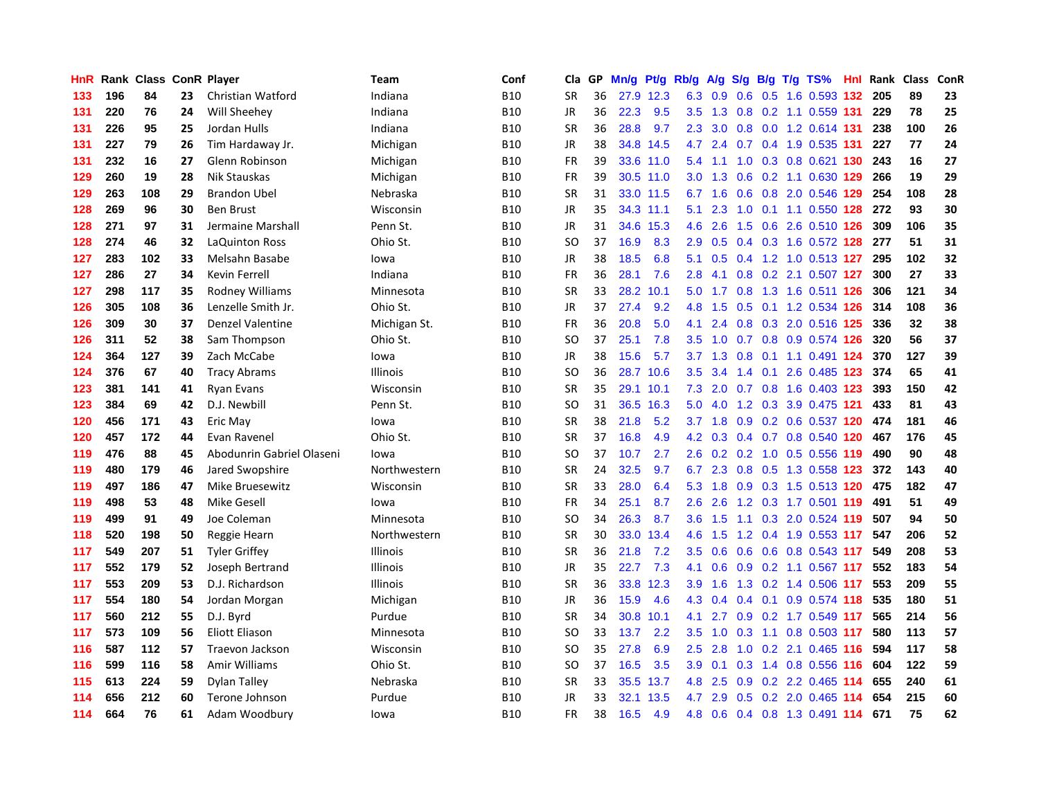| HnR | Rank |     |    | <b>Class ConR Player</b>  | Team            | Conf       | Cla           | <b>GP</b> | Mn/g | <b>Pt/g</b> | Rb/g             | A/g             | S/g              |     | B/g T/g TS%                   | Hnl | Rank | <b>Class</b> | ConR |
|-----|------|-----|----|---------------------------|-----------------|------------|---------------|-----------|------|-------------|------------------|-----------------|------------------|-----|-------------------------------|-----|------|--------------|------|
| 133 | 196  | 84  | 23 | Christian Watford         | Indiana         | <b>B10</b> | <b>SR</b>     | 36        |      | 27.9 12.3   | 6.3              | 0.9             | 0.6              |     | 0.5 1.6 0.593 132             |     | 205  | 89           | 23   |
| 131 | 220  | 76  | 24 | Will Sheehey              | Indiana         | <b>B10</b> | <b>JR</b>     | 36        | 22.3 | 9.5         | 3.5              | 1.3             |                  |     | 0.8 0.2 1.1 0.559 131         |     | 229  | 78           | 25   |
| 131 | 226  | 95  | 25 | Jordan Hulls              | Indiana         | <b>B10</b> | <b>SR</b>     | 36        | 28.8 | 9.7         | 2.3              | 3.0             |                  |     | 0.8 0.0 1.2 0.614 131         |     | 238  | 100          | 26   |
| 131 | 227  | 79  | 26 | Tim Hardaway Jr.          | Michigan        | <b>B10</b> | <b>JR</b>     | 38        | 34.8 | 14.5        | 4.7              | 2.4             |                  |     | 0.7 0.4 1.9 0.535 131         |     | 227  | 77           | 24   |
| 131 | 232  | 16  | 27 | Glenn Robinson            | Michigan        | <b>B10</b> | <b>FR</b>     | 39        |      | 33.6 11.0   | 5.4              | 1.1             | 1.0              |     | 0.3 0.8 0.621 130             |     | 243  | 16           | 27   |
| 129 | 260  | 19  | 28 | Nik Stauskas              | Michigan        | <b>B10</b> | <b>FR</b>     | 39        |      | 30.5 11.0   | 3.0 <sub>2</sub> | 1.3             |                  |     | 0.6 0.2 1.1 0.630 129         |     | 266  | 19           | 29   |
| 129 | 263  | 108 | 29 | <b>Brandon Ubel</b>       | Nebraska        | <b>B10</b> | <b>SR</b>     | 31        |      | 33.0 11.5   | 6.7              | 1.6             | 0.6              |     | 0.8 2.0 0.546 129             |     | 254  | 108          | 28   |
| 128 | 269  | 96  | 30 | <b>Ben Brust</b>          | Wisconsin       | <b>B10</b> | JR            | 35        |      | 34.3 11.1   | 5.1              | 2.3             | 1.0              |     | 0.1 1.1 0.550 128             |     | 272  | 93           | 30   |
| 128 | 271  | 97  | 31 | Jermaine Marshall         | Penn St.        | <b>B10</b> | JR            | 31        |      | 34.6 15.3   | 4.6              | 2.6             | 1.5              |     | 0.6 2.6 0.510 126             |     | 309  | 106          | 35   |
| 128 | 274  | 46  | 32 | <b>LaQuinton Ross</b>     | Ohio St.        | <b>B10</b> | SO            | 37        | 16.9 | 8.3         | 2.9              | 0.5             |                  |     | 0.4 0.3 1.6 0.572 128 277     |     |      | 51           | 31   |
| 127 | 283  | 102 | 33 | Melsahn Basabe            | lowa            | <b>B10</b> | JR            | 38        | 18.5 | 6.8         | 5.1              | 0.5             |                  |     | 0.4 1.2 1.0 0.513 127         |     | 295  | 102          | 32   |
| 127 | 286  | 27  | 34 | Kevin Ferrell             | Indiana         | <b>B10</b> | <b>FR</b>     | 36        | 28.1 | 7.6         | 2.8              | 4.1             |                  |     | $0.8$ 0.2 2.1 0.507 127       |     | 300  | 27           | 33   |
| 127 | 298  | 117 | 35 | Rodney Williams           | Minnesota       | <b>B10</b> | <b>SR</b>     | 33        | 28.2 | 10.1        | 5.0              | 1.7             | 0.8              |     | 1.3 1.6 0.511 126             |     | 306  | 121          | 34   |
| 126 | 305  | 108 | 36 | Lenzelle Smith Jr.        | Ohio St.        | <b>B10</b> | JR            | 37        | 27.4 | 9.2         | 4.8              | 1.5             | 0.5              |     | 0.1 1.2 0.534 126             |     | 314  | 108          | 36   |
| 126 | 309  | 30  | 37 | <b>Denzel Valentine</b>   | Michigan St.    | <b>B10</b> | <b>FR</b>     | 36        | 20.8 | 5.0         | 4.1              | 2.4             | 0.8              |     | 0.3 2.0 0.516 125             |     | 336  | 32           | 38   |
| 126 | 311  | 52  | 38 | Sam Thompson              | Ohio St.        | <b>B10</b> | SO            | 37        | 25.1 | 7.8         | 3.5              | 1.0             |                  |     | 0.7 0.8 0.9 0.574 126         |     | 320  | 56           | 37   |
| 124 | 364  | 127 | 39 | Zach McCabe               | lowa            | <b>B10</b> | JR            | 38        | 15.6 | 5.7         |                  | $3.7 \quad 1.3$ | 0.8              |     | $0.1$ 1.1 0.491 124           |     | 370  | 127          | 39   |
| 124 | 376  | 67  | 40 | <b>Tracy Abrams</b>       | <b>Illinois</b> | <b>B10</b> | <sub>SO</sub> | 36        | 28.7 | 10.6        | 3.5              | 3.4             |                  |     | 1.4 0.1 2.6 0.485 123         |     | 374  | 65           | 41   |
| 123 | 381  | 141 | 41 | <b>Ryan Evans</b>         | Wisconsin       | <b>B10</b> | <b>SR</b>     | 35        |      | 29.1 10.1   | 7.3              | 2.0             |                  |     | 0.7 0.8 1.6 0.403 123         |     | 393  | 150          | 42   |
| 123 | 384  | 69  | 42 | D.J. Newbill              | Penn St.        | <b>B10</b> | SO            | 31        | 36.5 | 16.3        | 5.0              | 4.0             |                  |     | 1.2 0.3 3.9 0.475 121         |     | 433  | 81           | 43   |
| 120 | 456  | 171 | 43 | Eric May                  | lowa            | <b>B10</b> | <b>SR</b>     | 38        | 21.8 | 5.2         |                  | $3.7$ 1.8       |                  |     | $0.9$ 0.2 0.6 0.537 120       |     | 474  | 181          | 46   |
| 120 | 457  | 172 | 44 | Evan Ravenel              | Ohio St.        | <b>B10</b> | <b>SR</b>     | 37        | 16.8 | 4.9         | 4.2              | 0.3             |                  |     | 0.4 0.7 0.8 0.540 120         |     | 467  | 176          | 45   |
| 119 | 476  | 88  | 45 | Abodunrin Gabriel Olaseni | lowa            | <b>B10</b> | <b>SO</b>     | 37        | 10.7 | 2.7         | 2.6              |                 |                  |     | 0.2 0.2 1.0 0.5 0.556 119     |     | 490  | 90           | 48   |
| 119 | 480  | 179 | 46 | Jared Swopshire           | Northwestern    | <b>B10</b> | <b>SR</b>     | 24        | 32.5 | 9.7         | 6.7              | 2.3             | 0.8              |     | 0.5 1.3 0.558 123             |     | 372  | 143          | 40   |
| 119 | 497  | 186 | 47 | <b>Mike Bruesewitz</b>    | Wisconsin       | <b>B10</b> | <b>SR</b>     | 33        | 28.0 | 6.4         | 5.3              | 1.8             | 0.9              |     | 0.3 1.5 0.513 120             |     | 475  | 182          | 47   |
| 119 | 498  | 53  | 48 | <b>Mike Gesell</b>        | lowa            | <b>B10</b> | <b>FR</b>     | 34        | 25.1 | 8.7         | 2.6              | 2.6             |                  |     | 1.2 0.3 1.7 0.501 119         |     | 491  | 51           | 49   |
| 119 | 499  | 91  | 49 | Joe Coleman               | Minnesota       | <b>B10</b> | SO.           | 34        | 26.3 | 8.7         | 3.6              | 1.5             |                  |     | 1.1 0.3 2.0 0.524 119         |     | 507  | 94           | 50   |
| 118 | 520  | 198 | 50 | Reggie Hearn              | Northwestern    | <b>B10</b> | <b>SR</b>     | 30        | 33.0 | 13.4        | 4.6              | 1.5             |                  |     | 1.2 0.4 1.9 0.553 117         |     | 547  | 206          | 52   |
| 117 | 549  | 207 | 51 | <b>Tyler Griffey</b>      | Illinois        | <b>B10</b> | <b>SR</b>     | 36        | 21.8 | 7.2         | 3.5              | 0.6             |                  |     | 0.6 0.6 0.8 0.543 117         |     | 549  | 208          | 53   |
| 117 | 552  | 179 | 52 | Joseph Bertrand           | <b>Illinois</b> | <b>B10</b> | <b>JR</b>     | 35        | 22.7 | 7.3         | 4.1              | 0.6             | 0.9 <sup>°</sup> |     | 0.2 1.1 0.567 117             |     | 552  | 183          | 54   |
| 117 | 553  | 209 | 53 | D.J. Richardson           | <b>Illinois</b> | <b>B10</b> | <b>SR</b>     | 36        | 33.8 | 12.3        | 3.9              | 1.6             |                  |     | 1.3 0.2 1.4 0.506 117         |     | 553  | 209          | 55   |
| 117 | 554  | 180 | 54 | Jordan Morgan             | Michigan        | <b>B10</b> | <b>JR</b>     | 36        | 15.9 | 4.6         | 4.3              | 0.4             | $0.4^{\circ}$    |     | 0.1 0.9 0.574 118             |     | 535  | 180          | 51   |
| 117 | 560  | 212 | 55 | D.J. Byrd                 | Purdue          | <b>B10</b> | <b>SR</b>     | 34        | 30.8 | 10.1        | 4.1              | 2.7             | 0.9              |     | 0.2 1.7 0.549 117             |     | 565  | 214          | 56   |
| 117 | 573  | 109 | 56 | <b>Eliott Eliason</b>     | Minnesota       | <b>B10</b> | <sub>SO</sub> | 33        | 13.7 | 2.2         | 3.5              | 1.0             | 0.3              | 1.1 | 0.8 0.503 117                 |     | 580  | 113          | 57   |
| 116 | 587  | 112 | 57 | Traevon Jackson           | Wisconsin       | <b>B10</b> | SO            | 35        | 27.8 | 6.9         | 2.5              | 2.8             |                  |     | 1.0 0.2 2.1 0.465 116         |     | 594  | 117          | 58   |
| 116 | 599  | 116 | 58 | Amir Williams             | Ohio St.        | <b>B10</b> | SO            | 37        | 16.5 | 3.5         | 3.9 <sup>°</sup> | 0.1             |                  |     | 0.3 1.4 0.8 0.556 116         |     | 604  | 122          | 59   |
| 115 | 613  | 224 | 59 | Dylan Talley              | Nebraska        | <b>B10</b> | <b>SR</b>     | 33        | 35.5 | 13.7        | 4.8              | 2.5             |                  |     | $0.9$ $0.2$ $2.2$ $0.465$ 114 |     | 655  | 240          | 61   |
| 114 | 656  | 212 | 60 | Terone Johnson            | Purdue          | <b>B10</b> | <b>JR</b>     | 33        | 32.1 | 13.5        | 4.7              | 2.9             | 0.5              |     | 0.2 2.0 0.465 114             |     | 654  | 215          | 60   |
| 114 | 664  | 76  | 61 | Adam Woodbury             | lowa            | <b>B10</b> | <b>FR</b>     | 38        | 16.5 | 4.9         | 4.8              | 0.6             |                  |     | 0.4 0.8 1.3 0.491 114         |     | 671  | 75           | 62   |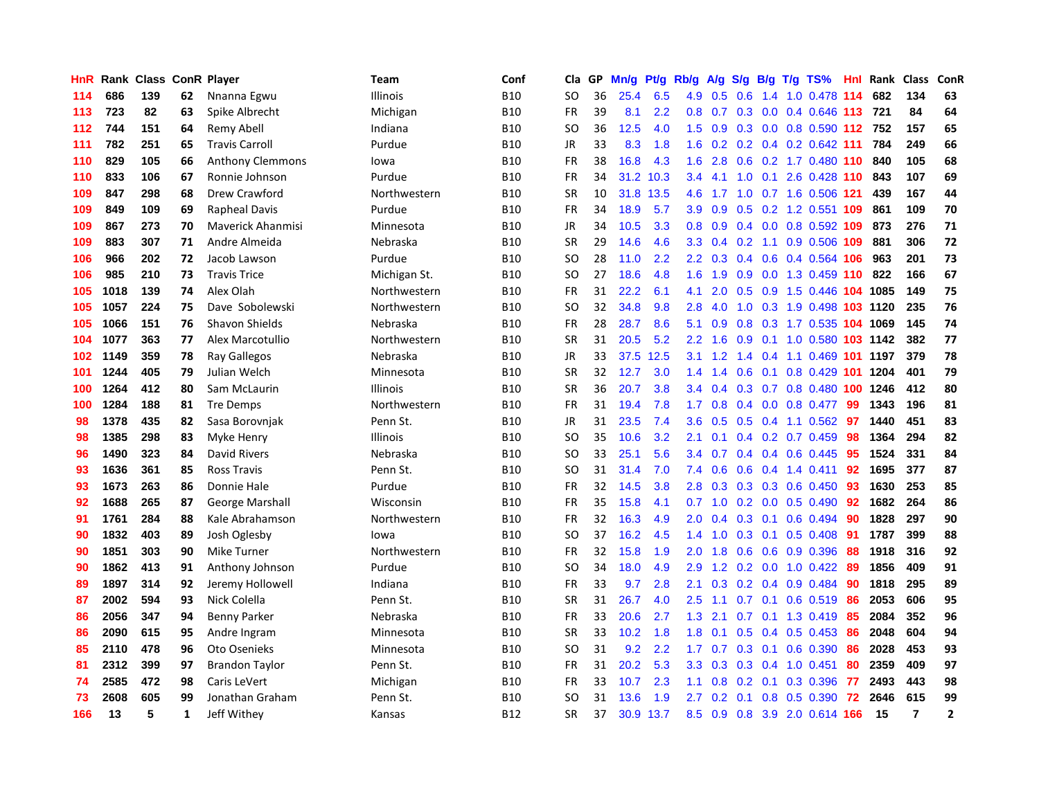| HnR | Rank | <b>Class</b> |              | <b>ConR Player</b>       | Team            | Conf       | Cla       | <b>GP</b> | Mn/g | <b>Pt/g</b> | Rb/g             | A/g | S/g | B/g | T/g TS%                       | Hnl | Rank | Class          | ConR           |
|-----|------|--------------|--------------|--------------------------|-----------------|------------|-----------|-----------|------|-------------|------------------|-----|-----|-----|-------------------------------|-----|------|----------------|----------------|
| 114 | 686  | 139          | 62           | Nnanna Egwu              | <b>Illinois</b> | <b>B10</b> | SO.       | 36        | 25.4 | 6.5         | 4.9              | 0.5 | 0.6 |     | 1.4 1.0 0.478 114             |     | 682  | 134            | 63             |
| 113 | 723  | 82           | 63           | Spike Albrecht           | Michigan        | <b>B10</b> | <b>FR</b> | 39        | 8.1  | 2.2         | 0.8              |     |     |     | 0.7 0.3 0.0 0.4 0.646 113 721 |     |      | 84             | 64             |
| 112 | 744  | 151          | 64           | Remy Abell               | Indiana         | <b>B10</b> | SO        | 36        | 12.5 | 4.0         | 1.5              | 0.9 |     |     | 0.3 0.0 0.8 0.590 112 752     |     |      | 157            | 65             |
| 111 | 782  | 251          | 65           | <b>Travis Carroll</b>    | Purdue          | <b>B10</b> | JR        | 33        | 8.3  | 1.8         | 1.6              | 0.2 |     |     | $0.2$ 0.4 0.2 0.642 111       |     | 784  | 249            | 66             |
| 110 | 829  | 105          | 66           | <b>Anthony Clemmons</b>  | Iowa            | <b>B10</b> | <b>FR</b> | 38        | 16.8 | 4.3         | 1.6              | 2.8 | 0.6 |     | 0.2 1.7 0.480 110             |     | 840  | 105            | 68             |
| 110 | 833  | 106          | 67           | Ronnie Johnson           | Purdue          | <b>B10</b> | FR        | 34        | 31.2 | 10.3        | $3.4^{\circ}$    | 4.1 | 1.0 |     | 0.1 2.6 0.428 110             |     | 843  | 107            | 69             |
| 109 | 847  | 298          | 68           | Drew Crawford            | Northwestern    | <b>B10</b> | <b>SR</b> | 10        | 31.8 | 13.5        | 4.6              | 1.7 | 1.0 |     | 0.7 1.6 0.506 121             |     | 439  | 167            | 44             |
| 109 | 849  | 109          | 69           | <b>Rapheal Davis</b>     | Purdue          | <b>B10</b> | FR        | 34        | 18.9 | 5.7         | 3.9 <sup>°</sup> | 0.9 | 0.5 |     | 0.2 1.2 0.551 109             |     | 861  | 109            | 70             |
| 109 | 867  | 273          | 70           | <b>Maverick Ahanmisi</b> | Minnesota       | <b>B10</b> | JR        | 34        | 10.5 | 3.3         | 0.8              | 0.9 |     |     | 0.4 0.0 0.8 0.592 109 873     |     |      | 276            | 71             |
| 109 | 883  | 307          | 71           | Andre Almeida            | Nebraska        | <b>B10</b> | <b>SR</b> | 29        | 14.6 | 4.6         | 3.3 <sub>2</sub> |     |     |     | 0.4 0.2 1.1 0.9 0.506 109 881 |     |      | 306            | 72             |
| 106 | 966  | 202          | 72           | Jacob Lawson             | Purdue          | <b>B10</b> | SO        | 28        | 11.0 | 2.2         | $2.2^{\circ}$    | 0.3 |     |     | $0.4$ 0.6 0.4 0.564 106       |     | 963  | 201            | 73             |
| 106 | 985  | 210          | 73           | <b>Travis Trice</b>      | Michigan St.    | <b>B10</b> | SO        | 27        | 18.6 | 4.8         | 1.6              | 1.9 |     |     | 0.9 0.0 1.3 0.459 110 822     |     |      | 166            | 67             |
| 105 | 1018 | 139          | 74           | Alex Olah                | Northwestern    | <b>B10</b> | <b>FR</b> | 31        | 22.2 | 6.1         | 4.1              | 2.0 | 0.5 |     | 0.9 1.5 0.446 104 1085        |     |      | 149            | 75             |
| 105 | 1057 | 224          | 75           | Dave Sobolewski          | Northwestern    | <b>B10</b> | SO        | 32        | 34.8 | 9.8         | 2.8              | 4.0 | 1.0 |     | 0.3 1.9 0.498 103 1120        |     |      | 235            | 76             |
| 105 | 1066 | 151          | 76           | Shavon Shields           | Nebraska        | <b>B10</b> | <b>FR</b> | 28        | 28.7 | 8.6         | 5.1              | 0.9 | 0.8 |     | 0.3 1.7 0.535 104 1069        |     |      | 145            | 74             |
| 104 | 1077 | 363          | 77           | Alex Marcotullio         | Northwestern    | <b>B10</b> | <b>SR</b> | 31        | 20.5 | 5.2         | $2.2^{\circ}$    | 1.6 | 0.9 |     | 0.1 1.0 0.580 103 1142        |     |      | 382            | 77             |
| 102 | 1149 | 359          | 78           | Ray Gallegos             | Nebraska        | <b>B10</b> | <b>JR</b> | 33        | 37.5 | 12.5        | 3.1              | 1.2 | 1.4 |     | 0.4 1.1 0.469 101 1197        |     |      | 379            | 78             |
| 101 | 1244 | 405          | 79           | Julian Welch             | Minnesota       | <b>B10</b> | <b>SR</b> | 32        | 12.7 | 3.0         | 1.4              | 1.4 | 0.6 |     | 0.1 0.8 0.429 101 1204        |     |      | 401            | 79             |
| 100 | 1264 | 412          | 80           | Sam McLaurin             | <b>Illinois</b> | <b>B10</b> | <b>SR</b> | 36        | 20.7 | 3.8         | $3.4^{\circ}$    | 0.4 |     |     | 0.3 0.7 0.8 0.480 100 1246    |     |      | 412            | 80             |
| 100 | 1284 | 188          | 81           | <b>Tre Demps</b>         | Northwestern    | <b>B10</b> | FR        | 31        | 19.4 | 7.8         | 1.7 <sup>2</sup> | 0.8 |     |     | $0.4$ 0.0 0.8 0.477           | -99 | 1343 | 196            | 81             |
| 98  | 1378 | 435          | 82           | Sasa Borovnjak           | Penn St.        | <b>B10</b> | JR        | 31        | 23.5 | 7.4         | 3.6 <sup>°</sup> | 0.5 | 0.5 |     | $0.4$ 1.1 0.562               | 97  | 1440 | 451            | 83             |
| 98  | 1385 | 298          | 83           | Myke Henry               | <b>Illinois</b> | <b>B10</b> | SO        | 35        | 10.6 | 3.2         | 2.1              | 0.1 |     |     | $0.4$ 0.2 0.7 0.459           | 98  | 1364 | 294            | 82             |
| 96  | 1490 | 323          | 84           | David Rivers             | Nebraska        | <b>B10</b> | SO        | 33        | 25.1 | 5.6         | $3.4^{\circ}$    | 0.7 |     |     | $0.4$ 0.4 0.6 0.445           | 95  | 1524 | 331            | 84             |
| 93  | 1636 | 361          | 85           | <b>Ross Travis</b>       | Penn St.        | <b>B10</b> | SO        | 31        | 31.4 | 7.0         | 7.4              | 0.6 | 0.6 |     | $0.4$ 1.4 $0.411$             | 92  | 1695 | 377            | 87             |
| 93  | 1673 | 263          | 86           | Donnie Hale              | Purdue          | <b>B10</b> | <b>FR</b> | 32        | 14.5 | 3.8         | 2.8              | 0.3 | 0.3 |     | 0.3 0.6 0.450                 | -93 | 1630 | 253            | 85             |
| 92  | 1688 | 265          | 87           | George Marshall          | Wisconsin       | <b>B10</b> | <b>FR</b> | 35        | 15.8 | 4.1         | 0.7              | 1.0 |     |     | $0.2$ 0.0 0.5 0.490           | -92 | 1682 | 264            | 86             |
| 91  | 1761 | 284          | 88           | Kale Abrahamson          | Northwestern    | <b>B10</b> | <b>FR</b> | 32        | 16.3 | 4.9         | 2.0 <sub>2</sub> |     |     |     | 0.4 0.3 0.1 0.6 0.494 90      |     | 1828 | 297            | 90             |
| 90  | 1832 | 403          | 89           | Josh Oglesby             | Iowa            | <b>B10</b> | <b>SO</b> | 37        | 16.2 | 4.5         | $1.4^{\circ}$    | 1.0 |     |     | $0.3$ 0.1 0.5 0.408           | -91 | 1787 | 399            | 88             |
| 90  | 1851 | 303          | 90           | Mike Turner              | Northwestern    | <b>B10</b> | FR        | 32        | 15.8 | 1.9         | $2.0^{\circ}$    | 1.8 | 0.6 |     | 0.6 0.9 0.396                 | 88  | 1918 | 316            | 92             |
| 90  | 1862 | 413          | 91           | Anthony Johnson          | Purdue          | <b>B10</b> | SO        | 34        | 18.0 | 4.9         | 2.9              | 1.2 | 0.2 |     | $0.0$ 1.0 $0.422$             | -89 | 1856 | 409            | 91             |
| 89  | 1897 | 314          | 92           | Jeremy Hollowell         | Indiana         | <b>B10</b> | FR        | 33        | 9.7  | 2.8         | 2.1              | 0.3 |     |     | 0.2 0.4 0.9 0.484             | 90  | 1818 | 295            | 89             |
| 87  | 2002 | 594          | 93           | Nick Colella             | Penn St.        | <b>B10</b> | <b>SR</b> | 31        | 26.7 | 4.0         | 2.5              | 1.1 | 0.7 |     | $0.1$ 0.6 0.519               | 86  | 2053 | 606            | 95             |
| 86  | 2056 | 347          | 94           | <b>Benny Parker</b>      | Nebraska        | <b>B10</b> | <b>FR</b> | 33        | 20.6 | 2.7         | 1.3              | 2.1 | 0.7 |     | 0.1 1.3 0.419                 | -85 | 2084 | 352            | 96             |
| 86  | 2090 | 615          | 95           | Andre Ingram             | Minnesota       | <b>B10</b> | <b>SR</b> | 33        | 10.2 | 1.8         | 1.8              | 0.1 | 0.5 |     | $0.4$ 0.5 0.453               | 86  | 2048 | 604            | 94             |
| 85  | 2110 | 478          | 96           | Oto Osenieks             | Minnesota       | <b>B10</b> | SO        | 31        | 9.2  | 2.2         | 1.7              | 0.7 |     |     | 0.3 0.1 0.6 0.390             | 86  | 2028 | 453            | 93             |
| 81  | 2312 | 399          | 97           | <b>Brandon Taylor</b>    | Penn St.        | <b>B10</b> | <b>FR</b> | 31        | 20.2 | 5.3         | 3.3              | 0.3 |     |     | $0.3$ 0.4 1.0 0.451           | 80  | 2359 | 409            | 97             |
| 74  | 2585 | 472          | 98           | Caris LeVert             | Michigan        | <b>B10</b> | FR        | 33        | 10.7 | 2.3         | 1.1              | 0.8 |     |     | $0.2$ 0.1 0.3 0.396           | -77 | 2493 | 443            | 98             |
| 73  | 2608 | 605          | 99           | Jonathan Graham          | Penn St.        | <b>B10</b> | SO        | 31        | 13.6 | 1.9         | 2.7              | 0.2 | 0.1 |     | 0.8 0.5 0.390                 | 72  | 2646 | 615            | 99             |
| 166 | 13   | 5            | $\mathbf{1}$ | Jeff Withey              | Kansas          | <b>B12</b> | <b>SR</b> | 37        | 30.9 | 13.7        | 8.5              | 0.9 |     |     | 0.8 3.9 2.0 0.614 166         |     | 15   | $\overline{7}$ | $\overline{2}$ |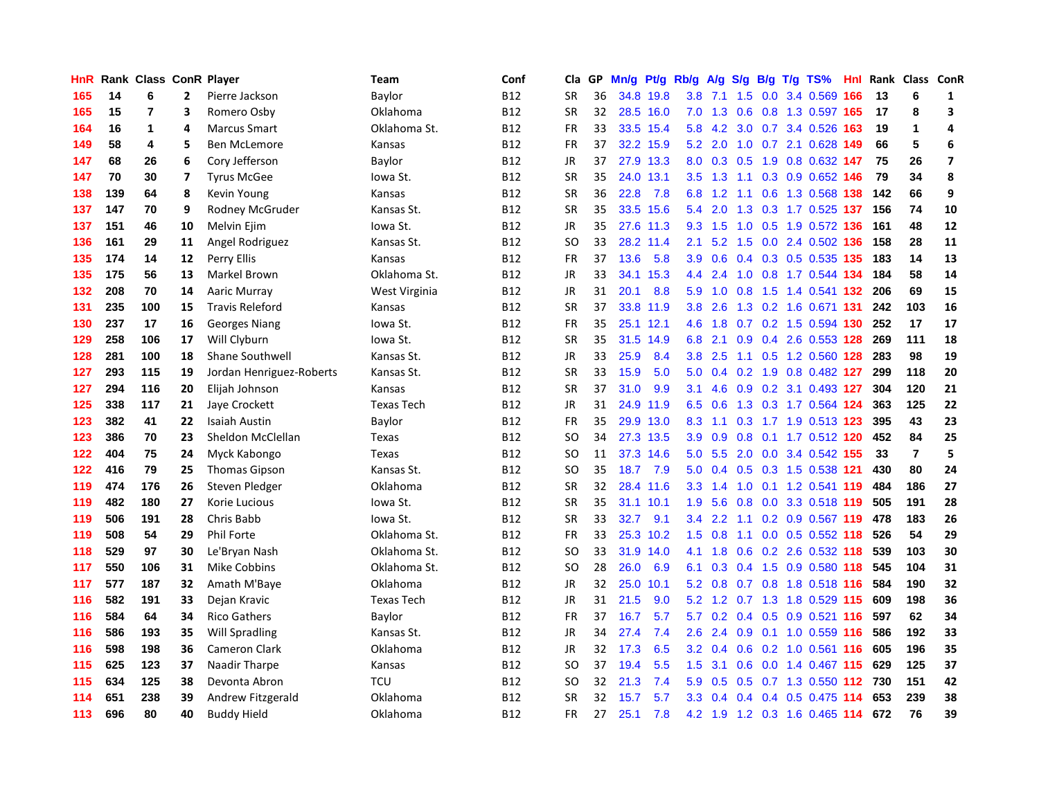| HnR |     | Rank Class ConR Player |                         |                          | Team              | Conf       | Cla           | GP. | Mn/g | Pt/g      | Rb/g | A/g     |                  |  | S/g B/g T/g TS%               | Hnl | Rank | Class ConR     |                         |
|-----|-----|------------------------|-------------------------|--------------------------|-------------------|------------|---------------|-----|------|-----------|------|---------|------------------|--|-------------------------------|-----|------|----------------|-------------------------|
| 165 | 14  | 6                      | $\mathbf{2}$            | Pierre Jackson           | Baylor            | <b>B12</b> | <b>SR</b>     | 36  |      | 34.8 19.8 | 3.8  | 7.1     | 1.5              |  | 0.0 3.4 0.569                 | 166 | 13   | 6              | 1                       |
| 165 | 15  | 7                      | 3                       | Romero Osby              | Oklahoma          | <b>B12</b> | SR            | 32  |      | 28.5 16.0 |      |         |                  |  | 7.0 1.3 0.6 0.8 1.3 0.597 165 |     | 17   | 8              | 3                       |
| 164 | 16  | 1                      | 4                       | <b>Marcus Smart</b>      | Oklahoma St.      | <b>B12</b> | <b>FR</b>     | 33  |      | 33.5 15.4 | 5.8  | 4.2     |                  |  | 3.0 0.7 3.4 0.526 163         |     | 19   | 1              | $\overline{a}$          |
| 149 | 58  | 4                      | 5                       | Ben McLemore             | Kansas            | B12        | FR            | 37  |      | 32.2 15.9 | 5.2  | 2.0     |                  |  | 1.0 0.7 2.1 0.628 149         |     | 66   | 5              | 6                       |
| 147 | 68  | 26                     | 6                       | Cory Jefferson           | Baylor            | <b>B12</b> | <b>JR</b>     | 37  |      | 27.9 13.3 |      | 8.0 0.3 |                  |  | 0.5 1.9 0.8 0.632 147         |     | 75   | 26             | $\overline{\mathbf{z}}$ |
| 147 | 70  | 30                     | $\overline{\mathbf{z}}$ | <b>Tyrus McGee</b>       | lowa St.          | B12        | <b>SR</b>     | 35  |      | 24.0 13.1 | 3.5  | 1.3     |                  |  | 1.1 0.3 0.9 0.652 146         |     | 79   | 34             | 8                       |
| 138 | 139 | 64                     | 8                       | Kevin Young              | Kansas            | <b>B12</b> | <b>SR</b>     | 36  | 22.8 | 7.8       | 6.8  | 1.2     |                  |  | 1.1 0.6 1.3 0.568 138         |     | 142  | 66             | 9                       |
| 137 | 147 | 70                     | 9                       | Rodney McGruder          | Kansas St.        | B12        | <b>SR</b>     | 35  | 33.5 | 15.6      | 5.4  | 2.0     | 1.3              |  | 0.3 1.7 0.525 137             |     | 156  | 74             | 10                      |
| 137 | 151 | 46                     | 10                      | Melvin Ejim              | lowa St.          | <b>B12</b> | <b>JR</b>     | 35  |      | 27.6 11.3 | 9.3  | 1.5     | 1.0              |  | 0.5 1.9 0.572 136             |     | 161  | 48             | 12                      |
| 136 | 161 | 29                     | 11                      | Angel Rodriguez          | Kansas St.        | <b>B12</b> | <sub>SO</sub> | 33  |      | 28.2 11.4 | 2.1  |         |                  |  | 5.2 1.5 0.0 2.4 0.502 136 158 |     |      | 28             | 11                      |
| 135 | 174 | 14                     | 12                      | Perry Ellis              | Kansas            | <b>B12</b> | FR            | 37  | 13.6 | 5.8       | 3.9  | 0.6     |                  |  | 0.4 0.3 0.5 0.535 135         |     | 183  | 14             | 13                      |
| 135 | 175 | 56                     | 13                      | Markel Brown             | Oklahoma St.      | B12        | JR            | 33  | 34.1 | 15.3      | 4.4  | 2.4     |                  |  | 1.0 0.8 1.7 0.544 134         |     | 184  | 58             | 14                      |
| 132 | 208 | 70                     | 14                      | Aaric Murray             | West Virginia     | <b>B12</b> | <b>JR</b>     | 31  | 20.1 | 8.8       | 5.9  | 1.0     | 0.8              |  | 1.5 1.4 0.541 132             |     | 206  | 69             | 15                      |
| 131 | 235 | 100                    | 15                      | <b>Travis Releford</b>   | Kansas            | B12        | <b>SR</b>     | 37  | 33.8 | 11.9      | 3.8  | 2.6     |                  |  | 1.3 0.2 1.6 0.671 131         |     | 242  | 103            | 16                      |
| 130 | 237 | 17                     | 16                      | <b>Georges Niang</b>     | lowa St.          | <b>B12</b> | FR            | 35  |      | 25.1 12.1 | 4.6  | 1.8     |                  |  | 0.7 0.2 1.5 0.594 130         |     | 252  | 17             | ${\bf 17}$              |
| 129 | 258 | 106                    | 17                      | Will Clyburn             | lowa St.          | B12        | <b>SR</b>     | 35  | 31.5 | 14.9      | 6.8  | 2.1     | 0.9              |  | 0.4 2.6 0.553 128             |     | 269  | 111            | 18                      |
| 128 | 281 | 100                    | 18                      | <b>Shane Southwell</b>   | Kansas St.        | <b>B12</b> | <b>JR</b>     | 33  | 25.9 | 8.4       | 3.8  | 2.5     | 1.1              |  | 0.5 1.2 0.560 128             |     | 283  | 98             | 19                      |
| 127 | 293 | 115                    | 19                      | Jordan Henriguez-Roberts | Kansas St.        | <b>B12</b> | <b>SR</b>     | 33  | 15.9 | 5.0       | 5.0  | 0.4     |                  |  | 0.2 1.9 0.8 0.482 127         |     | 299  | 118            | 20                      |
| 127 | 294 | 116                    | 20                      | Elijah Johnson           | Kansas            | <b>B12</b> | <b>SR</b>     | 37  | 31.0 | 9.9       | 3.1  | 4.6     |                  |  | 0.9 0.2 3.1 0.493 127         |     | 304  | 120            | 21                      |
| 125 | 338 | 117                    | 21                      | Jaye Crockett            | <b>Texas Tech</b> | <b>B12</b> | JR            | 31  |      | 24.9 11.9 | 6.5  | 0.6     |                  |  | 1.3 0.3 1.7 0.564 124         |     | 363  | 125            | 22                      |
| 123 | 382 | 41                     | 22                      | <b>Isaiah Austin</b>     | Baylor            | <b>B12</b> | FR            | 35  |      | 29.9 13.0 | 8.3  | 1.1     |                  |  | 0.3 1.7 1.9 0.513 123         |     | 395  | 43             | 23                      |
| 123 | 386 | 70                     | 23                      | Sheldon McClellan        | Texas             | <b>B12</b> | <b>SO</b>     | 34  |      | 27.3 13.5 | 3.9  | 0.9     | 0.8              |  | 0.1 1.7 0.512 120             |     | 452  | 84             | 25                      |
| 122 | 404 | 75                     | 24                      | Myck Kabongo             | Texas             | <b>B12</b> | <b>SO</b>     | 11  |      | 37.3 14.6 | 5.0  | 5.5     |                  |  | 2.0 0.0 3.4 0.542 155         |     | 33   | $\overline{7}$ | 5                       |
| 122 | 416 | 79                     | 25                      | <b>Thomas Gipson</b>     | Kansas St.        | <b>B12</b> | <b>SO</b>     | 35  | 18.7 | 7.9       | 5.0  | 0.4     |                  |  | 0.5 0.3 1.5 0.538 121         |     | 430  | 80             | 24                      |
| 119 | 474 | 176                    | 26                      | Steven Pledger           | Oklahoma          | <b>B12</b> | <b>SR</b>     | 32  |      | 28.4 11.6 | 3.3  | 1.4     | 1.0              |  | 0.1 1.2 0.541 119             |     | 484  | 186            | 27                      |
| 119 | 482 | 180                    | 27                      | Korie Lucious            | lowa St.          | <b>B12</b> | <b>SR</b>     | 35  |      | 31.1 10.1 | 1.9  | 5.6     | 0.8              |  | 0.0 3.3 0.518 119             |     | 505  | 191            | 28                      |
| 119 | 506 | 191                    | 28                      | Chris Babb               | lowa St.          | <b>B12</b> | <b>SR</b>     | 33  | 32.7 | 9.1       | 3.4  |         |                  |  | 2.2 1.1 0.2 0.9 0.567 119 478 |     |      | 183            | 26                      |
| 119 | 508 | 54                     | 29                      | Phil Forte               | Oklahoma St.      | <b>B12</b> | <b>FR</b>     | 33  |      | 25.3 10.2 | 1.5  | 0.8     |                  |  | 1.1 0.0 0.5 0.552 118         |     | 526  | 54             | 29                      |
| 118 | 529 | 97                     | 30                      | Le'Bryan Nash            | Oklahoma St.      | <b>B12</b> | <b>SO</b>     | 33  |      | 31.9 14.0 | 4.1  | 1.8     |                  |  | 0.6 0.2 2.6 0.532 118         |     | 539  | 103            | 30                      |
| 117 | 550 | 106                    | 31                      | Mike Cobbins             | Oklahoma St.      | <b>B12</b> | <b>SO</b>     | 28  | 26.0 | 6.9       | 6.1  | 0.3     |                  |  | 0.4 1.5 0.9 0.580 118         |     | 545  | 104            | 31                      |
| 117 | 577 | 187                    | 32                      | Amath M'Baye             | Oklahoma          | <b>B12</b> | JR            | 32  | 25.0 | 10.1      | 5.2  | 0.8     |                  |  | 0.7 0.8 1.8 0.518 116         |     | 584  | 190            | 32                      |
| 116 | 582 | 191                    | 33                      | Dejan Kravic             | <b>Texas Tech</b> | <b>B12</b> | <b>JR</b>     | 31  | 21.5 | 9.0       | 5.2  | 1.2     | 0.7              |  | 1.3 1.8 0.529 115             |     | 609  | 198            | 36                      |
| 116 | 584 | 64                     | 34                      | <b>Rico Gathers</b>      | Baylor            | <b>B12</b> | <b>FR</b>     | 37  | 16.7 | 5.7       | 5.7  | 0.2     |                  |  | 0.4 0.5 0.9 0.521 116         |     | 597  | 62             | 34                      |
| 116 | 586 | 193                    | 35                      | <b>Will Spradling</b>    | Kansas St.        | <b>B12</b> | <b>JR</b>     | 34  | 27.4 | 7.4       | 2.6  | 2.4     | 0.9 <sub>0</sub> |  | 0.1 1.0 0.559 116             |     | 586  | 192            | 33                      |
| 116 | 598 | 198                    | 36                      | Cameron Clark            | Oklahoma          | <b>B12</b> | JR            | 32  | 17.3 | 6.5       | 3.2  | 0.4     |                  |  | 0.6 0.2 1.0 0.561 116 605     |     |      | 196            | 35                      |
| 115 | 625 | 123                    | 37                      | Naadir Tharpe            | Kansas            | <b>B12</b> | <b>SO</b>     | 37  | 19.4 | 5.5       | 1.5  | 3.1     |                  |  | 0.6 0.0 1.4 0.467 115 629     |     |      | 125            | 37                      |
| 115 | 634 | 125                    | 38                      | Devonta Abron            | <b>TCU</b>        | B12        | <sub>SO</sub> | 32  | 21.3 | 7.4       | 5.9  | 0.5     |                  |  | 0.5 0.7 1.3 0.550 112 730     |     |      | 151            | 42                      |
| 114 | 651 | 238                    | 39                      | Andrew Fitzgerald        | Oklahoma          | <b>B12</b> | <b>SR</b>     | 32  | 15.7 | 5.7       | 3.3  | 0.4     |                  |  | 0.4 0.4 0.5 0.475 114         |     | 653  | 239            | 38                      |
| 113 | 696 | 80                     | 40                      | <b>Buddy Hield</b>       | Oklahoma          | B12        | <b>FR</b>     | 27  | 25.1 | 7.8       |      |         |                  |  | 4.2 1.9 1.2 0.3 1.6 0.465 114 |     | 672  | 76             | 39                      |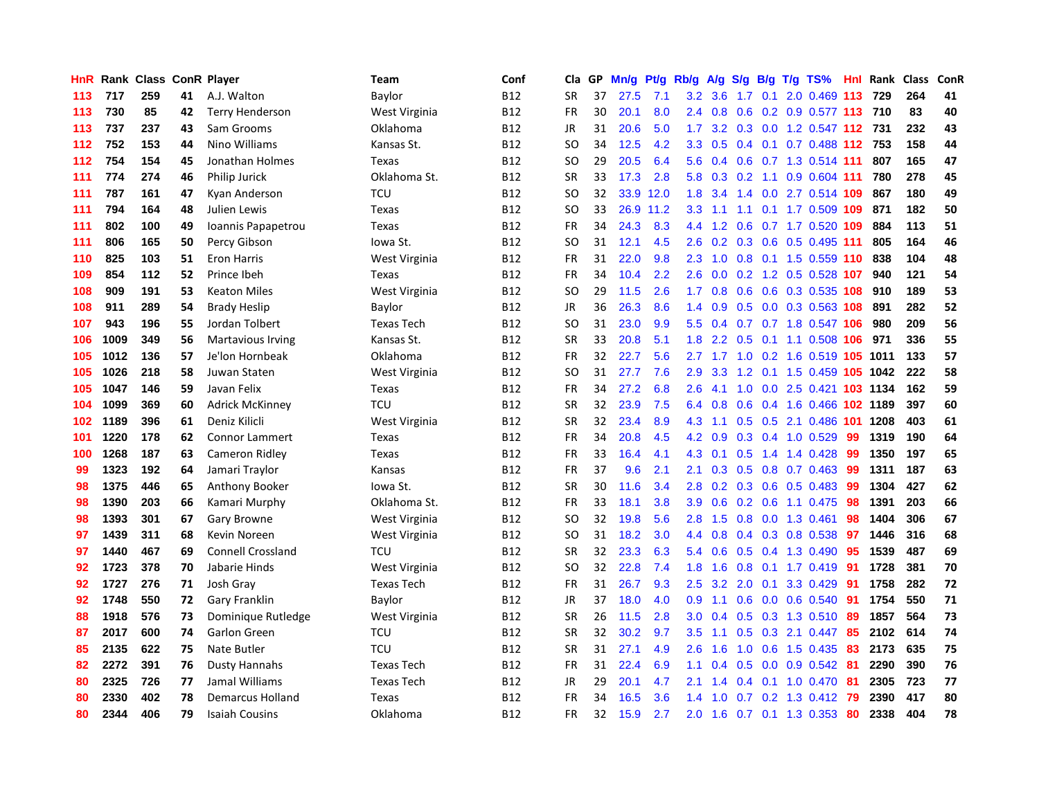| <b>HnR</b> |      | <b>Rank Class</b> |    | <b>ConR Player</b>       | Team              | Conf       | Cla       | <b>GP</b> | Mn/g | <b>Pt/g</b> | Rb/g             | A/g    |                  |     | S/g B/g T/g TS%             |     | Hnl Rank | <b>Class</b> | ConR |
|------------|------|-------------------|----|--------------------------|-------------------|------------|-----------|-----------|------|-------------|------------------|--------|------------------|-----|-----------------------------|-----|----------|--------------|------|
| 113        | 717  | 259               | 41 | A.J. Walton              | Baylor            | <b>B12</b> | <b>SR</b> | 37        | 27.5 | 7.1         | 3.2              | 3.6    | 1.7              |     | $0.1$ 2.0 0.469 113         |     | 729      | 264          | 41   |
| 113        | 730  | 85                | 42 | <b>Terry Henderson</b>   | West Virginia     | <b>B12</b> | <b>FR</b> | 30        | 20.1 | 8.0         | 2.4              | 0.8    |                  |     | 0.6 0.2 0.9 0.577 113 710   |     |          | 83           | 40   |
| 113        | 737  | 237               | 43 | Sam Grooms               | Oklahoma          | <b>B12</b> | JR        | 31        | 20.6 | 5.0         | 1.7 <sub>z</sub> | 3.2    |                  |     | 0.3 0.0 1.2 0.547 112 731   |     |          | 232          | 43   |
| 112        | 752  | 153               | 44 | Nino Williams            | Kansas St.        | <b>B12</b> | <b>SO</b> | 34        | 12.5 | 4.2         | 3.3 <sub>2</sub> | 0.5    |                  |     | 0.4 0.1 0.7 0.488 112 753   |     |          | 158          | 44   |
| 112        | 754  | 154               | 45 | Jonathan Holmes          | Texas             | <b>B12</b> | <b>SO</b> | 29        | 20.5 | 6.4         | 5.6              | 0.4    | 0.6              |     | 0.7 1.3 0.514 111           |     | 807      | 165          | 47   |
| 111        | 774  | 274               | 46 | Philip Jurick            | Oklahoma St.      | <b>B12</b> | <b>SR</b> | 33        | 17.3 | 2.8         | 5.8              | 0.3    | 0.2              |     | 1.1 0.9 0.604 111           |     | 780      | 278          | 45   |
| 111        | 787  | 161               | 47 | Kyan Anderson            | <b>TCU</b>        | <b>B12</b> | SO        | 32        | 33.9 | 12.0        | 1.8              | 3.4    | 1.4              |     | 0.0 2.7 0.514 109           |     | 867      | 180          | 49   |
| 111        | 794  | 164               | 48 | Julien Lewis             | Texas             | <b>B12</b> | SO        | 33        | 26.9 | 11.2        | 3.3 <sub>2</sub> | $-1.1$ | 1.1              |     | $0.1$ 1.7 0.509 109         |     | 871      | 182          | 50   |
| 111        | 802  | 100               | 49 | Ioannis Papapetrou       | Texas             | <b>B12</b> | <b>FR</b> | 34        | 24.3 | 8.3         | 4.4              | 1.2    | 0.6              |     | 0.7 1.7 0.520 109           |     | 884      | 113          | 51   |
| 111        | 806  | 165               | 50 | Percy Gibson             | lowa St.          | <b>B12</b> | SO        | 31        | 12.1 | 4.5         | 2.6              |        |                  |     | $0.2$ 0.3 0.6 0.5 0.495 111 |     | 805      | 164          | 46   |
| 110        | 825  | 103               | 51 | <b>Eron Harris</b>       | West Virginia     | <b>B12</b> | <b>FR</b> | 31        | 22.0 | 9.8         | 2.3              |        |                  |     | 1.0 0.8 0.1 1.5 0.559 110   |     | 838      | 104          | 48   |
| 109        | 854  | 112               | 52 | Prince Ibeh              | Texas             | <b>B12</b> | <b>FR</b> | 34        | 10.4 | 2.2         | 2.6              | 0.0    |                  |     | $0.2$ 1.2 0.5 0.528 107     |     | 940      | 121          | 54   |
| 108        | 909  | 191               | 53 | <b>Keaton Miles</b>      | West Virginia     | <b>B12</b> | <b>SO</b> | 29        | 11.5 | 2.6         | 1.7              | 0.8    | 0.6              |     | 0.6 0.3 0.535 108           |     | 910      | 189          | 53   |
| 108        | 911  | 289               | 54 | <b>Brady Heslip</b>      | Baylor            | <b>B12</b> | JR        | 36        | 26.3 | 8.6         | 1.4              | 0.9    |                  |     | $0.5$ 0.0 0.3 0.563 108     |     | 891      | 282          | 52   |
| 107        | 943  | 196               | 55 | Jordan Tolbert           | <b>Texas Tech</b> | <b>B12</b> | SO        | 31        | 23.0 | 9.9         | 5.5              | 0.4    | 0.7              |     | 0.7 1.8 0.547 106           |     | 980      | 209          | 56   |
| 106        | 1009 | 349               | 56 | <b>Martavious Irving</b> | Kansas St.        | <b>B12</b> | <b>SR</b> | 33        | 20.8 | 5.1         | 1.8              | 2.2    | 0.5              |     | 0.1 1.1 0.508 106           |     | 971      | 336          | 55   |
| 105        | 1012 | 136               | 57 | Je'lon Hornbeak          | Oklahoma          | <b>B12</b> | <b>FR</b> | 32        | 22.7 | 5.6         | $2.7^{\circ}$    | $-1.7$ | 1.0              |     | 0.2 1.6 0.519 105 1011      |     |          | 133          | 57   |
| 105        | 1026 | 218               | 58 | Juwan Staten             | West Virginia     | <b>B12</b> | <b>SO</b> | 31        | 27.7 | 7.6         | 2.9              | 3.3    |                  |     | 1.2 0.1 1.5 0.459 105 1042  |     |          | 222          | 58   |
| 105        | 1047 | 146               | 59 | Javan Felix              | Texas             | <b>B12</b> | <b>FR</b> | 34        | 27.2 | 6.8         | 2.6              | 4.1    |                  |     | 1.0 0.0 2.5 0.421 103 1134  |     |          | 162          | 59   |
| 104        | 1099 | 369               | 60 | <b>Adrick McKinney</b>   | TCU               | <b>B12</b> | <b>SR</b> | 32        | 23.9 | 7.5         | 6.4              | 0.8    |                  |     | 0.6 0.4 1.6 0.466 102 1189  |     |          | 397          | 60   |
| 102        | 1189 | 396               | 61 | Deniz Kilicli            | West Virginia     | <b>B12</b> | <b>SR</b> | 32        | 23.4 | 8.9         | 4.3              | 1.1    |                  |     | 0.5 0.5 2.1 0.486 101 1208  |     |          | 403          | 61   |
| 101        | 1220 | 178               | 62 | <b>Connor Lammert</b>    | Texas             | <b>B12</b> | <b>FR</b> | 34        | 20.8 | 4.5         | 4.2              | 0.9    |                  |     | 0.3 0.4 1.0 0.529           | 99  | 1319     | 190          | 64   |
| 100        | 1268 | 187               | 63 | Cameron Ridley           | Texas             | <b>B12</b> | <b>FR</b> | 33        | 16.4 | 4.1         | 4.3              | 0.1    | 0.5              |     | 1.4 1.4 0.428               | -99 | 1350     | 197          | 65   |
| 99         | 1323 | 192               | 64 | Jamari Traylor           | Kansas            | <b>B12</b> | <b>FR</b> | 37        | 9.6  | 2.1         | 2.1              | 0.3    | 0.5              |     | $0.8$ 0.7 0.463             | -99 | 1311     | 187          | 63   |
| 98         | 1375 | 446               | 65 | Anthony Booker           | Iowa St.          | <b>B12</b> | <b>SR</b> | 30        | 11.6 | 3.4         | 2.8              | 0.2    |                  |     | 0.3 0.6 0.5 0.483           | -99 | 1304     | 427          | 62   |
| 98         | 1390 | 203               | 66 | Kamari Murphy            | Oklahoma St.      | <b>B12</b> | <b>FR</b> | 33        | 18.1 | 3.8         | 3.9 <sup>°</sup> | 0.6    |                  |     | $0.2$ 0.6 1.1 0.475         | -98 | 1391     | 203          | 66   |
| 98         | 1393 | 301               | 67 | <b>Gary Browne</b>       | West Virginia     | <b>B12</b> | SO        | 32        | 19.8 | 5.6         | 2.8              | 1.5    |                  |     | 0.8 0.0 1.3 0.461           | 98  | 1404     | 306          | 67   |
| 97         | 1439 | 311               | 68 | Kevin Noreen             | West Virginia     | <b>B12</b> | <b>SO</b> | 31        | 18.2 | 3.0         | 4.4              | 0.8    |                  |     | 0.4 0.3 0.8 0.538           | -97 | 1446     | 316          | 68   |
| 97         | 1440 | 467               | 69 | Connell Crossland        | TCU               | <b>B12</b> | <b>SR</b> | 32        | 23.3 | 6.3         | 5.4              | 0.6    |                  |     | 0.5 0.4 1.3 0.490           | 95  | 1539     | 487          | 69   |
| 92         | 1723 | 378               | 70 | Jabarie Hinds            | West Virginia     | <b>B12</b> | SO        | 32        | 22.8 | 7.4         | 1.8              | 1.6    | 0.8 <sub>0</sub> |     | $0.1$ 1.7 $0.419$           | -91 | 1728     | 381          | 70   |
| 92         | 1727 | 276               | 71 | Josh Gray                | Texas Tech        | <b>B12</b> | FR        | 31        | 26.7 | 9.3         | 2.5              | 3.2    | $2.0^{\circ}$    | 0.1 | 3.3 0.429                   | -91 | 1758     | 282          | 72   |
| 92         | 1748 | 550               | 72 | Gary Franklin            | Baylor            | <b>B12</b> | <b>JR</b> | 37        | 18.0 | 4.0         | 0.9              | 1.1    | 0.6              |     | $0.0$ 0.6 0.540             | 91  | 1754     | 550          | 71   |
| 88         | 1918 | 576               | 73 | Dominique Rutledge       | West Virginia     | <b>B12</b> | <b>SR</b> | 26        | 11.5 | 2.8         | 3.0 <sub>2</sub> | 0.4    | 0.5              |     | 0.3 1.3 0.510               | 89  | 1857     | 564          | 73   |
| 87         | 2017 | 600               | 74 | Garlon Green             | <b>TCU</b>        | <b>B12</b> | <b>SR</b> | 32        | 30.2 | 9.7         | 3.5              | 1.1    | 0.5              |     | 0.3 2.1 0.447               | 85  | 2102     | 614          | 74   |
| 85         | 2135 | 622               | 75 | Nate Butler              | <b>TCU</b>        | <b>B12</b> | <b>SR</b> | 31        | 27.1 | 4.9         | 2.6              | 1.6    |                  |     | 1.0 0.6 1.5 0.435           | -83 | 2173     | 635          | 75   |
| 82         | 2272 | 391               | 76 | <b>Dusty Hannahs</b>     | <b>Texas Tech</b> | <b>B12</b> | FR        | 31        | 22.4 | 6.9         | 1.1              | 0.4    |                  |     | 0.5 0.0 0.9 0.542 81        |     | 2290     | 390          | 76   |
| 80         | 2325 | 726               | 77 | Jamal Williams           | <b>Texas Tech</b> | <b>B12</b> | JR        | 29        | 20.1 | 4.7         | 2.1              | 1.4    |                  |     | 0.4 0.1 1.0 0.470           | -81 | 2305     | 723          | 77   |
| 80         | 2330 | 402               | 78 | Demarcus Holland         | Texas             | <b>B12</b> | <b>FR</b> | 34        | 16.5 | 3.6         | 1.4              | 1.0    | 0.7              |     | 0.2 1.3 0.412               | -79 | 2390     | 417          | 80   |
| 80         | 2344 | 406               | 79 | <b>Isaiah Cousins</b>    | Oklahoma          | <b>B12</b> | FR        | 32        | 15.9 | 2.7         | 2.0              | 1.6    |                  |     | 0.7 0.1 1.3 0.353           | -80 | 2338     | 404          | 78   |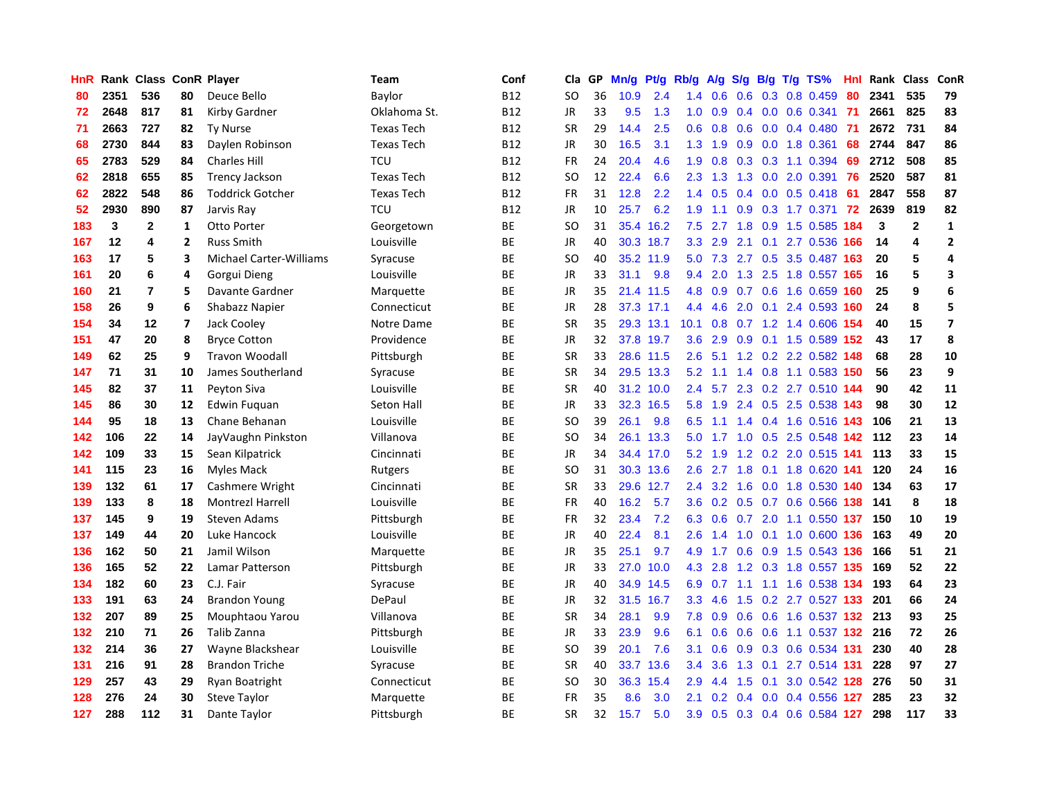| HnR |      | Rank Class ConR Player |                         |                                | Team              | Conf       | Cla           | <b>GP</b> | Mn/g | Pt/g      | Rb/g          | A/g              | S/g              |     | B/g T/g TS%                   | Hnl | Rank | Class          | ConR                    |
|-----|------|------------------------|-------------------------|--------------------------------|-------------------|------------|---------------|-----------|------|-----------|---------------|------------------|------------------|-----|-------------------------------|-----|------|----------------|-------------------------|
| 80  | 2351 | 536                    | 80                      | Deuce Bello                    | Baylor            | <b>B12</b> | SO.           | 36        | 10.9 | 2.4       | 1.4           | 0.6              | 0.6              |     | 0.3 0.8 0.459                 | 80  | 2341 | 535            | 79                      |
| 72  | 2648 | 817                    | 81                      | Kirby Gardner                  | Oklahoma St.      | B12        | <b>JR</b>     | 33        | 9.5  | 1.3       | 1.0           | 0.9              |                  |     | $0.4$ 0.0 0.6 0.341           | -71 | 2661 | 825            | 83                      |
| 71  | 2663 | 727                    | 82                      | <b>Ty Nurse</b>                | <b>Texas Tech</b> | B12        | <b>SR</b>     | 29        | 14.4 | 2.5       | 0.6           | 0.8              |                  |     | $0.6$ 0.0 0.4 0.480           | -71 | 2672 | 731            | 84                      |
| 68  | 2730 | 844                    | 83                      | Daylen Robinson                | <b>Texas Tech</b> | B12        | JR            | 30        | 16.5 | 3.1       | 1.3           | 1.9              |                  |     | $0.9$ 0.0 1.8 0.361           | 68  | 2744 | 847            | 86                      |
| 65  | 2783 | 529                    | 84                      | <b>Charles Hill</b>            | <b>TCU</b>        | B12        | <b>FR</b>     | 24        | 20.4 | 4.6       | 1.9           | 0.8              |                  |     | $0.3$ 0.3 1.1 0.394           | 69  | 2712 | 508            | 85                      |
| 62  | 2818 | 655                    | 85                      | <b>Trency Jackson</b>          | <b>Texas Tech</b> | B12        | SO            | 12        | 22.4 | 6.6       | 2.3           | 1.3              |                  |     | 1.3 0.0 2.0 0.391             | 76  | 2520 | 587            | 81                      |
| 62  | 2822 | 548                    | 86                      | <b>Toddrick Gotcher</b>        | Texas Tech        | <b>B12</b> | <b>FR</b>     | 31        | 12.8 | 2.2       | 1.4           | 0.5              | $0.4^{\circ}$    |     | $0.0$ 0.5 0.418               | 61  | 2847 | 558            | 87                      |
| 52  | 2930 | 890                    | 87                      | Jarvis Ray                     | <b>TCU</b>        | <b>B12</b> | JR            | 10        | 25.7 | 6.2       | 1.9           | 1.1              | 0.9 <sub>0</sub> |     | 0.3 1.7 0.371                 | 72  | 2639 | 819            | 82                      |
| 183 | 3    | $\mathbf{2}$           | $\mathbf{1}$            | Otto Porter                    | Georgetown        | <b>BE</b>  | <sub>SO</sub> | 31        | 35.4 | 16.2      | 7.5           | 2.7              | 1.8              |     | 0.9 1.5 0.585                 | 184 | 3    | $\overline{2}$ | $\mathbf{1}$            |
| 167 | 12   | 4                      | $\overline{2}$          | <b>Russ Smith</b>              | Louisville        | ВE         | JR            | 40        |      | 30.3 18.7 | 3.3           | 2.9              |                  |     | 2.1 0.1 2.7 0.536 166         |     | 14   | 4              | $\overline{2}$          |
| 163 | 17   | 5                      | 3                       | <b>Michael Carter-Williams</b> | Syracuse          | <b>BE</b>  | <sub>SO</sub> | 40        |      | 35.2 11.9 |               |                  |                  |     | 5.0 7.3 2.7 0.5 3.5 0.487 163 |     | 20   | 5              | $\overline{a}$          |
| 161 | 20   | 6                      | 4                       | Gorgui Dieng                   | Louisville        | ВE         | JR            | 33        | 31.1 | 9.8       | 9.4           | 2.0              |                  |     | 1.3 2.5 1.8 0.557 165         |     | 16   | 5              | 3                       |
| 160 | 21   | 7                      | 5                       | Davante Gardner                | Marquette         | ВE         | <b>JR</b>     | 35        |      | 21.4 11.5 | 4.8           | 0.9              |                  |     | 0.7 0.6 1.6 0.659             | 160 | 25   | 9              | $6\phantom{1}6$         |
| 158 | 26   | 9                      | 6                       | Shabazz Napier                 | Connecticut       | ВE         | JR            | 28        |      | 37.3 17.1 | 4.4           | 4.6              |                  |     | 2.0 0.1 2.4 0.593             | 160 | 24   | 8              | 5                       |
| 154 | 34   | 12                     | $\overline{\mathbf{z}}$ | Jack Cooley                    | Notre Dame        | ВE         | <b>SR</b>     | 35        |      | 29.3 13.1 | 10.1          | 0.8              |                  |     | 0.7 1.2 1.4 0.606             | 154 | 40   | 15             | $\overline{\mathbf{z}}$ |
| 151 | 47   | 20                     | 8                       | <b>Bryce Cotton</b>            | Providence        | <b>BE</b>  | <b>JR</b>     | 32        |      | 37.8 19.7 | 3.6           | 2.9              |                  |     | $0.9$ 0.1 1.5 0.589           | 152 | 43   | 17             | 8                       |
| 149 | 62   | 25                     | 9                       | <b>Travon Woodall</b>          | Pittsburgh        | <b>BE</b>  | <b>SR</b>     | 33        |      | 28.6 11.5 | $2.6^{\circ}$ | 5.1              |                  |     | 1.2 0.2 2.2 0.582 148         |     | 68   | 28             | 10                      |
| 147 | 71   | 31                     | 10                      | James Southerland              | Syracuse          | <b>BE</b>  | <b>SR</b>     | 34        |      | 29.5 13.3 | 5.2           | 1.1              |                  |     | 1.4 0.8 1.1 0.583 150         |     | 56   | 23             | 9                       |
| 145 | 82   | 37                     | 11                      | Peyton Siva                    | Louisville        | ВE         | <b>SR</b>     | 40        |      | 31.2 10.0 | $2.4^{\circ}$ |                  |                  |     | 5.7 2.3 0.2 2.7 0.510 144     |     | 90   | 42             | 11                      |
| 145 | 86   | 30                     | 12                      | Edwin Fuguan                   | Seton Hall        | <b>BE</b>  | <b>JR</b>     | 33        |      | 32.3 16.5 | 5.8           | 1.9              |                  |     | 2.4 0.5 2.5 0.538 143         |     | 98   | 30             | 12                      |
| 144 | 95   | 18                     | 13                      | Chane Behanan                  | Louisville        | <b>BE</b>  | SO            | 39        | 26.1 | 9.8       | 6.5           | $-1.1$           |                  |     | 1.4 0.4 1.6 0.516 143         |     | 106  | 21             | 13                      |
| 142 | 106  | 22                     | 14                      | JayVaughn Pinkston             | Villanova         | ВE         | <sub>SO</sub> | 34        | 26.1 | 13.3      | 5.0           | $-1.7$           | 1.0              |     | 0.5 2.5 0.548 142             |     | 112  | 23             | 14                      |
| 142 | 109  | 33                     | 15                      | Sean Kilpatrick                | Cincinnati        | ВE         | JR            | 34        |      | 34.4 17.0 | 5.2           | $-1.9$           |                  |     | 1.2 0.2 2.0 0.515 141         |     | 113  | 33             | 15                      |
| 141 | 115  | 23                     | 16                      | <b>Myles Mack</b>              | Rutgers           | <b>BE</b>  | <b>SO</b>     | 31        | 30.3 | 13.6      | 2.6           | 2.7              | 1.8              |     | $0.1$ 1.8 $0.620$             | 141 | 120  | 24             | 16                      |
| 139 | 132  | 61                     | 17                      | Cashmere Wright                | Cincinnati        | ВE         | <b>SR</b>     | 33        | 29.6 | 12.7      | 2.4           |                  | $3.2 \quad 1.6$  |     | 0.0 1.8 0.530                 | 140 | 134  | 63             | 17                      |
| 139 | 133  | 8                      | 18                      | <b>Montrezl Harrell</b>        | Louisville        | <b>BE</b>  | <b>FR</b>     | 40        | 16.2 | 5.7       | 3.6           | 0.2              |                  |     | 0.5 0.7 0.6 0.566             | 138 | 141  | 8              | 18                      |
| 137 | 145  | 9                      | 19                      | <b>Steven Adams</b>            | Pittsburgh        | ВE         | <b>FR</b>     | 32        | 23.4 | 7.2       | 6.3           | 0.6              |                  |     | 0.7 2.0 1.1 0.550 137         |     | 150  | 10             | 19                      |
| 137 | 149  | 44                     | 20                      | Luke Hancock                   | Louisville        | ВE         | JR            | 40        | 22.4 | 8.1       | 2.6           | 1.4              |                  |     | 1.0 0.1 1.0 0.600 136         |     | 163  | 49             | 20                      |
| 136 | 162  | 50                     | 21                      | Jamil Wilson                   | Marquette         | ВE         | JR            | 35        | 25.1 | 9.7       |               | 4.9 1.7          |                  |     | 0.6 0.9 1.5 0.543 136         |     | 166  | 51             | 21                      |
| 136 | 165  | 52                     | 22                      | Lamar Patterson                | Pittsburgh        | BE         | JR            | 33        | 27.0 | 10.0      | 4.3           | 2.8              |                  |     | 1.2 0.3 1.8 0.557 135         |     | 169  | 52             | 22                      |
| 134 | 182  | 60                     | 23                      | C.J. Fair                      | Syracuse          | BE         | JR            | 40        | 34.9 | 14.5      | 6.9           | 0.7              | 1.1              |     | 1.1 1.6 0.538 134             |     | 193  | 64             | 23                      |
| 133 | 191  | 63                     | 24                      | <b>Brandon Young</b>           | DePaul            | BE         | JR            | 32        | 31.5 | 16.7      | 3.3           | 4.6              | 1.5              |     | 0.2 2.7 0.527 133             |     | 201  | 66             | 24                      |
| 132 | 207  | 89                     | 25                      | Mouphtaou Yarou                | Villanova         | <b>BE</b>  | <b>SR</b>     | 34        | 28.1 | 9.9       | 7.8           | 0.9              | 0.6              |     | 0.6 1.6 0.537 132             |     | 213  | 93             | 25                      |
| 132 | 210  | 71                     | 26                      | Talib Zanna                    | Pittsburgh        | <b>BE</b>  | <b>JR</b>     | 33        | 23.9 | 9.6       | 6.1           | 0.6              | 0.6              |     | 0.6 1.1 0.537 132             |     | 216  | 72             | 26                      |
| 132 | 214  | 36                     | 27                      | Wayne Blackshear               | Louisville        | ВE         | <sub>SO</sub> | 39        | 20.1 | 7.6       | 3.1           | 0.6              | 0.9              |     | 0.3 0.6 0.534 131             |     | 230  | 40             | 28                      |
| 131 | 216  | 91                     | 28                      | <b>Brandon Triche</b>          | Syracuse          | ВE         | <b>SR</b>     | 40        | 33.7 | 13.6      | $3.4^{\circ}$ | 3.6              |                  |     | 1.3 0.1 2.7 0.514 131         |     | 228  | 97             | 27                      |
| 129 | 257  | 43                     | 29                      | Ryan Boatright                 | Connecticut       | ВE         | SO            | 30        | 36.3 | 15.4      | 2.9           | 4.4              | 1.5              | 0.1 | 3.0 0.542 128                 |     | 276  | 50             | 31                      |
| 128 | 276  | 24                     | 30                      | <b>Steve Taylor</b>            | Marquette         | ВE         | FR            | 35        | 8.6  | 3.0       | 2.1           | 0.2 <sub>0</sub> |                  |     | $0.4$ 0.0 0.4 0.556 127       |     | 285  | 23             | 32                      |
| 127 | 288  | 112                    | 31                      | Dante Taylor                   | Pittsburgh        | <b>BE</b>  | <b>SR</b>     | 32        | 15.7 | 5.0       | 3.9           | 0.5              |                  |     | 0.3 0.4 0.6 0.584 127         |     | 298  | 117            | 33                      |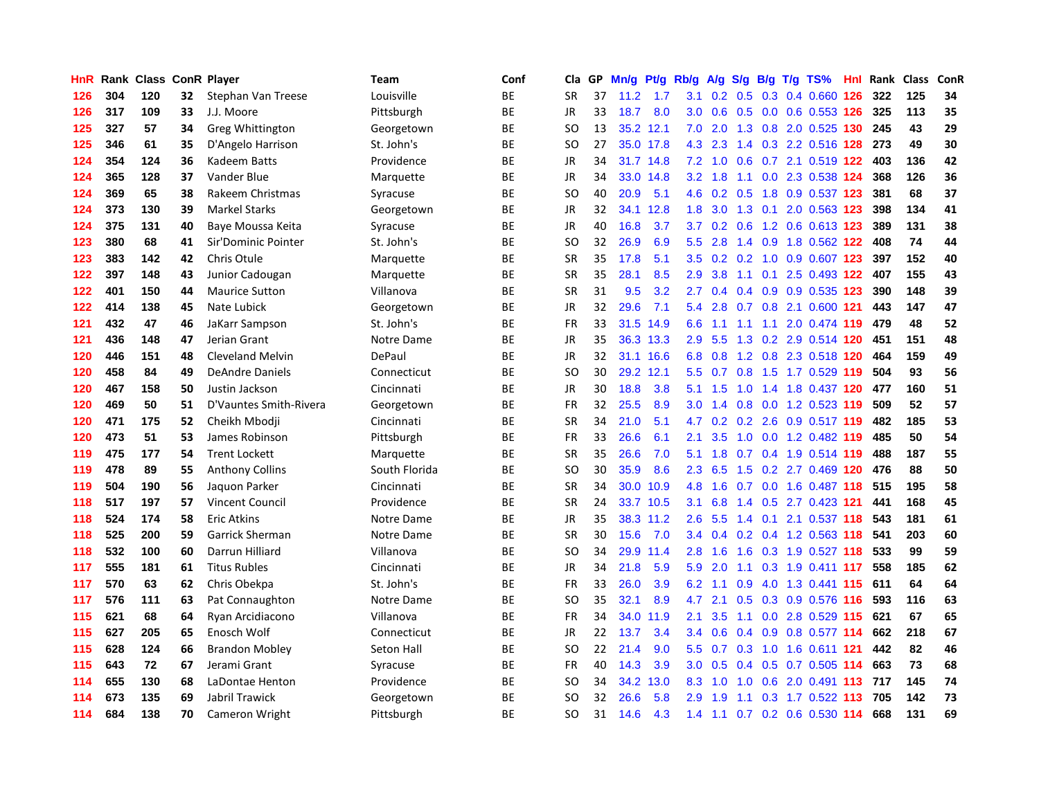| HnR |     | Rank Class |    | <b>ConR Player</b>     | <b>Team</b>   | Conf      | Cla           | GP. | Mn/g | Pt/g      | Rb/g             | A/g |     |     | S/g B/g T/g TS%                     | <b>Hnl</b> | Rank | <b>Class</b> | ConR |
|-----|-----|------------|----|------------------------|---------------|-----------|---------------|-----|------|-----------|------------------|-----|-----|-----|-------------------------------------|------------|------|--------------|------|
| 126 | 304 | 120        | 32 | Stephan Van Treese     | Louisville    | <b>BE</b> | <b>SR</b>     | 37  | 11.2 | 1.7       | 3.1              |     |     |     | $0.2$ $0.5$ $0.3$ $0.4$ $0.660$ 126 |            | 322  | 125          | 34   |
| 126 | 317 | 109        | 33 | J.J. Moore             | Pittsburgh    | <b>BE</b> | JR            | 33  | 18.7 | 8.0       | 3.0 <sub>2</sub> | 0.6 |     |     | 0.5 0.0 0.6 0.553 126               |            | 325  | 113          | 35   |
| 125 | 327 | 57         | 34 | Greg Whittington       | Georgetown    | <b>BE</b> | SO            | 13  | 35.2 | 12.1      | 7.0              | 2.0 |     |     | 1.3 0.8 2.0 0.525 130 245           |            |      | 43           | 29   |
| 125 | 346 | 61         | 35 | D'Angelo Harrison      | St. John's    | <b>BE</b> | <b>SO</b>     | 27  | 35.0 | 17.8      | 4.3              | 2.3 |     |     | 1.4 0.3 2.2 0.516 128               |            | 273  | 49           | 30   |
| 124 | 354 | 124        | 36 | Kadeem Batts           | Providence    | <b>BE</b> | JR            | 34  | 31.7 | 14.8      | 7.2              | 1.0 | 0.6 |     | 0.7 2.1 0.519 122                   |            | 403  | 136          | 42   |
| 124 | 365 | 128        | 37 | Vander Blue            | Marquette     | <b>BE</b> | <b>JR</b>     | 34  | 33.0 | 14.8      | 3.2              | 1.8 |     |     | 1.1 0.0 2.3 0.538 124               |            | 368  | 126          | 36   |
| 124 | 369 | 65         | 38 | Rakeem Christmas       | Syracuse      | <b>BE</b> | <b>SO</b>     | 40  | 20.9 | 5.1       | 4.6              | 0.2 |     |     | 0.5 1.8 0.9 0.537 123               |            | 381  | 68           | 37   |
| 124 | 373 | 130        | 39 | <b>Markel Starks</b>   | Georgetown    | ВE        | JR            | 32  | 34.1 | 12.8      | 1.8              | 3.0 | 1.3 | 0.1 | 2.0 0.563 123                       |            | 398  | 134          | 41   |
| 124 | 375 | 131        | 40 | Baye Moussa Keita      | Syracuse      | <b>BE</b> | JR            | 40  | 16.8 | 3.7       | 3.7              | 0.2 | 0.6 |     | 1.2 0.6 0.613 123                   |            | 389  | 131          | 38   |
| 123 | 380 | 68         | 41 | Sir'Dominic Pointer    | St. John's    | ВE        | <b>SO</b>     | 32  | 26.9 | 6.9       | 5.5              | 2.8 |     |     | 1.4 0.9 1.8 0.562 122               |            | 408  | 74           | 44   |
| 123 | 383 | 142        | 42 | Chris Otule            | Marquette     | <b>BE</b> | <b>SR</b>     | 35  | 17.8 | 5.1       | 3.5              |     |     |     | $0.2$ 0.2 1.0 0.9 0.607 123         |            | 397  | 152          | 40   |
| 122 | 397 | 148        | 43 | Junior Cadougan        | Marquette     | BE        | <b>SR</b>     | 35  | 28.1 | 8.5       | 2.9              | 3.8 |     |     | 1.1 0.1 2.5 0.493 122               |            | 407  | 155          | 43   |
| 122 | 401 | 150        | 44 | <b>Maurice Sutton</b>  | Villanova     | <b>BE</b> | <b>SR</b>     | 31  | 9.5  | 3.2       | 2.7              | 0.4 | 0.4 |     | 0.9 0.9 0.535 123                   |            | 390  | 148          | 39   |
| 122 | 414 | 138        | 45 | Nate Lubick            | Georgetown    | ВE        | JR            | 32  | 29.6 | 7.1       | 5.4              | 2.8 |     |     | 0.7 0.8 2.1 0.600 121               |            | 443  | 147          | 47   |
| 121 | 432 | 47         | 46 | JaKarr Sampson         | St. John's    | <b>BE</b> | <b>FR</b>     | 33  | 31.5 | 14.9      | 6.6              | 1.1 |     |     | 1.1 1.1 2.0 0.474 119               |            | 479  | 48           | 52   |
| 121 | 436 | 148        | 47 | Jerian Grant           | Notre Dame    | <b>BE</b> | <b>JR</b>     | 35  | 36.3 | 13.3      | 2.9              | 5.5 | 1.3 |     | 0.2 2.9 0.514 120                   |            | 451  | 151          | 48   |
| 120 | 446 | 151        | 48 | Cleveland Melvin       | DePaul        | <b>BE</b> | <b>JR</b>     | 32  | 31.1 | 16.6      | 6.8              | 0.8 |     |     | 1.2 0.8 2.3 0.518 120               |            | 464  | 159          | 49   |
| 120 | 458 | 84         | 49 | <b>DeAndre Daniels</b> | Connecticut   | <b>BE</b> | <sub>SO</sub> | 30  |      | 29.2 12.1 | 5.5              | 0.7 | 0.8 |     | 1.5 1.7 0.529 119                   |            | 504  | 93           | 56   |
| 120 | 467 | 158        | 50 | Justin Jackson         | Cincinnati    | ВE        | <b>JR</b>     | 30  | 18.8 | 3.8       | 5.1              | 1.5 |     |     | 1.0 1.4 1.8 0.437 120               |            | 477  | 160          | 51   |
| 120 | 469 | 50         | 51 | D'Vauntes Smith-Rivera | Georgetown    | <b>BE</b> | <b>FR</b>     | 32  | 25.5 | 8.9       | 3.0 <sub>2</sub> | 1.4 |     |     | 0.8 0.0 1.2 0.523 119               |            | 509  | 52           | 57   |
| 120 | 471 | 175        | 52 | Cheikh Mbodji          | Cincinnati    | BE        | <b>SR</b>     | 34  | 21.0 | 5.1       | 4.7              | 0.2 |     |     | 0.2 2.6 0.9 0.517 119               |            | 482  | 185          | 53   |
| 120 | 473 | 51         | 53 | James Robinson         | Pittsburgh    | BE        | FR            | 33  | 26.6 | 6.1       | 2.1              | 3.5 | 1.0 |     | 0.0 1.2 0.482 119                   |            | 485  | 50           | 54   |
| 119 | 475 | 177        | 54 | <b>Trent Lockett</b>   | Marquette     | <b>BE</b> | <b>SR</b>     | 35  | 26.6 | 7.0       | 5.1              | 1.8 |     |     | 0.7 0.4 1.9 0.514 119               |            | 488  | 187          | 55   |
| 119 | 478 | 89         | 55 | <b>Anthony Collins</b> | South Florida | <b>BE</b> | <b>SO</b>     | 30  | 35.9 | 8.6       | 2.3              | 6.5 | 1.5 |     | 0.2 2.7 0.469 120                   |            | 476  | 88           | 50   |
| 119 | 504 | 190        | 56 | Jaguon Parker          | Cincinnati    | <b>BE</b> | <b>SR</b>     | 34  | 30.0 | 10.9      | 4.8              | 1.6 |     |     | 0.7 0.0 1.6 0.487 118               |            | 515  | 195          | 58   |
| 118 | 517 | 197        | 57 | <b>Vincent Council</b> | Providence    | ВE        | <b>SR</b>     | 24  | 33.7 | 10.5      | 3.1              | 6.8 | 1.4 |     | 0.5 2.7 0.423 121                   |            | 441  | 168          | 45   |
| 118 | 524 | 174        | 58 | <b>Eric Atkins</b>     | Notre Dame    | <b>BE</b> | JR            | 35  |      | 38.3 11.2 | 2.6              | 5.5 |     |     | 1.4 0.1 2.1 0.537 118               |            | 543  | 181          | 61   |
| 118 | 525 | 200        | 59 | <b>Garrick Sherman</b> | Notre Dame    | <b>BE</b> | <b>SR</b>     | 30  | 15.6 | 7.0       | 3.4              | 0.4 |     |     | $0.2$ 0.4 1.2 0.563 118             |            | 541  | 203          | 60   |
| 118 | 532 | 100        | 60 | Darrun Hilliard        | Villanova     | ВE        | <b>SO</b>     | 34  | 29.9 | 11.4      | 2.8              | 1.6 |     |     | 1.6 0.3 1.9 0.527 118               |            | 533  | 99           | 59   |
| 117 | 555 | 181        | 61 | <b>Titus Rubles</b>    | Cincinnati    | <b>BE</b> | <b>JR</b>     | 34  | 21.8 | 5.9       | 5.9              | 2.0 |     |     | 1.1 0.3 1.9 0.411 117               |            | 558  | 185          | 62   |
| 117 | 570 | 63         | 62 | Chris Obekpa           | St. John's    | BE        | <b>FR</b>     | 33  | 26.0 | 3.9       | 6.2              | 1.1 | 0.9 |     | 4.0 1.3 0.441 115                   |            | 611  | 64           | 64   |
| 117 | 576 | 111        | 63 | Pat Connaughton        | Notre Dame    | BE        | <b>SO</b>     | 35  | 32.1 | 8.9       | 4.7              | 2.1 |     |     | 0.5 0.3 0.9 0.576 116               |            | 593  | 116          | 63   |
| 115 | 621 | 68         | 64 | Ryan Arcidiacono       | Villanova     | <b>BE</b> | <b>FR</b>     | 34  | 34.0 | 11.9      | 2.1              | 3.5 | 1.1 |     | 0.0 2.8 0.529                       | 115        | 621  | 67           | 65   |
| 115 | 627 | 205        | 65 | Enosch Wolf            | Connecticut   | ВE        | <b>JR</b>     | 22  | 13.7 | 3.4       | $3.4^{\circ}$    | 0.6 | 0.4 |     | 0.9 0.8 0.577 114                   |            | 662  | 218          | 67   |
| 115 | 628 | 124        | 66 | <b>Brandon Mobley</b>  | Seton Hall    | <b>BE</b> | <b>SO</b>     | 22  | 21.4 | 9.0       | 5.5 <sub>1</sub> | 0.7 | 0.3 |     | 1.0 1.6 0.611 121                   |            | 442  | 82           | 46   |
| 115 | 643 | 72         | 67 | Jerami Grant           | Syracuse      | ВE        | <b>FR</b>     | 40  | 14.3 | 3.9       | 3.0 <sub>1</sub> | 0.5 |     |     | 0.4 0.5 0.7 0.505 114               |            | 663  | 73           | 68   |
| 114 | 655 | 130        | 68 | LaDontae Henton        | Providence    | <b>BE</b> | SO            | 34  | 34.2 | 13.0      | 8.3              | 1.0 | 1.0 |     | 0.6 2.0 0.491 113 717               |            |      | 145          | 74   |
| 114 | 673 | 135        | 69 | Jabril Trawick         | Georgetown    | ВE        | SO            | 32  | 26.6 | 5.8       | 2.9              | 1.9 | 1.1 |     | $0.3$ 1.7 $0.522$ 113               |            | 705  | 142          | 73   |
| 114 | 684 | 138        | 70 | Cameron Wright         | Pittsburgh    | <b>BE</b> | SO.           | 31  | 14.6 | 4.3       | 1.4              | 1.1 |     |     | 0.7 0.2 0.6 0.530 114               |            | 668  | 131          | 69   |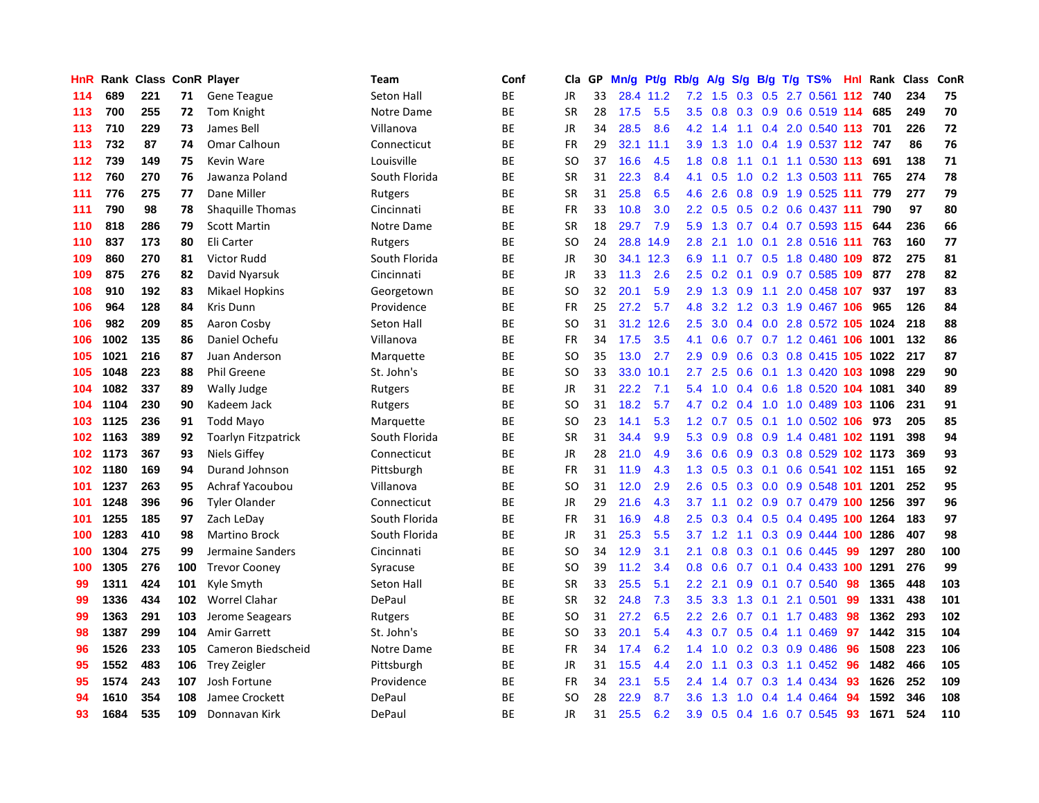| HnR | Rank | <b>Class</b> |     | <b>ConR Player</b>      | Team          | Conf      | <b>Cla</b> | <b>GP</b> | Mn/g | <b>Pt/g</b> | Rb/g             | A/g   | S/g |  | B/g T/g TS%                    |     | Hnl Rank | <b>Class</b> | ConR |
|-----|------|--------------|-----|-------------------------|---------------|-----------|------------|-----------|------|-------------|------------------|-------|-----|--|--------------------------------|-----|----------|--------------|------|
| 114 | 689  | 221          | 71  | Gene Teague             | Seton Hall    | <b>BE</b> | <b>JR</b>  | 33        |      | 28.4 11.2   | 7.2              | - 1.5 |     |  | 0.3 0.5 2.7 0.561 112 740      |     |          | 234          | 75   |
| 113 | 700  | 255          | 72  | Tom Knight              | Notre Dame    | <b>BE</b> | <b>SR</b>  | 28        | 17.5 | 5.5         | 3.5              |       |     |  | 0.8 0.3 0.9 0.6 0.519 114      |     | 685      | 249          | 70   |
| 113 | 710  | 229          | 73  | James Bell              | Villanova     | ВE        | <b>JR</b>  | 34        | 28.5 | 8.6         | 4.2              | 1.4   |     |  | 1.1 0.4 2.0 0.540 113 701      |     |          | 226          | 72   |
| 113 | 732  | 87           | 74  | Omar Calhoun            | Connecticut   | ВE        | <b>FR</b>  | 29        | 32.1 | 11.1        | 3.9 <sub>2</sub> | 1.3   | 1.0 |  | 0.4 1.9 0.537 112 747          |     |          | 86           | 76   |
| 112 | 739  | 149          | 75  | Kevin Ware              | Louisville    | ВE        | SO         | 37        | 16.6 | 4.5         | 1.8              | 0.8   | 1.1 |  | $0.1$ 1.1 0.530                | 113 | 691      | 138          | 71   |
| 112 | 760  | 270          | 76  | Jawanza Poland          | South Florida | ВE        | <b>SR</b>  | 31        | 22.3 | 8.4         | 4.1              | 0.5   |     |  | 1.0 0.2 1.3 0.503 111          |     | 765      | 274          | 78   |
| 111 | 776  | 275          | 77  | Dane Miller             | Rutgers       | <b>BE</b> | <b>SR</b>  | 31        | 25.8 | 6.5         | 4.6              | 2.6   | 0.8 |  | 0.9 1.9 0.525 111              |     | 779      | 277          | 79   |
| 111 | 790  | 98           | 78  | <b>Shaquille Thomas</b> | Cincinnati    | <b>BE</b> | <b>FR</b>  | 33        | 10.8 | 3.0         | 2.2              | 0.5   |     |  | 0.5 0.2 0.6 0.437 111          |     | 790      | 97           | 80   |
| 110 | 818  | 286          | 79  | <b>Scott Martin</b>     | Notre Dame    | <b>BE</b> | <b>SR</b>  | 18        | 29.7 | 7.9         | 5.9              | 1.3   |     |  | $0.7$ 0.4 0.7 0.593 115        |     | 644      | 236          | 66   |
| 110 | 837  | 173          | 80  | Eli Carter              | Rutgers       | ВE        | <b>SO</b>  | 24        | 28.8 | 14.9        | 2.8              | 2.1   |     |  | 1.0 0.1 2.8 0.516 111          |     | 763      | 160          | 77   |
| 109 | 860  | 270          | 81  | Victor Rudd             | South Florida | <b>BE</b> | JR         | 30        | 34.1 | 12.3        | 6.9              |       |     |  | 1.1 0.7 0.5 1.8 0.480 109      |     | 872      | 275          | 81   |
| 109 | 875  | 276          | 82  | David Nyarsuk           | Cincinnati    | ВE        | JR         | 33        | 11.3 | 2.6         | $2.5\,$          | 0.2   |     |  | $0.1$ 0.9 0.7 0.585 109        |     | 877      | 278          | 82   |
| 108 | 910  | 192          | 83  | <b>Mikael Hopkins</b>   | Georgetown    | <b>BE</b> | <b>SO</b>  | 32        | 20.1 | 5.9         | 2.9              | 1.3   | 0.9 |  | 1.1 2.0 0.458 107              |     | 937      | 197          | 83   |
| 106 | 964  | 128          | 84  | <b>Kris Dunn</b>        | Providence    | ВE        | FR         | 25        | 27.2 | 5.7         | 4.8              | 3.2   |     |  | 1.2 0.3 1.9 0.467 106          |     | 965      | 126          | 84   |
| 106 | 982  | 209          | 85  | Aaron Cosby             | Seton Hall    | ВE        | SO.        | 31        | 31.2 | 12.6        | 2.5              | 3.0   |     |  | 0.4 0.0 2.8 0.572 105 1024     |     |          | 218          | 88   |
| 106 | 1002 | 135          | 86  | Daniel Ochefu           | Villanova     | ВE        | <b>FR</b>  | 34        | 17.5 | 3.5         | 4.1              | 0.6   |     |  | 0.7 0.7 1.2 0.461 106 1001     |     |          | 132          | 86   |
| 105 | 1021 | 216          | 87  | Juan Anderson           | Marquette     | <b>BE</b> | SO         | 35        | 13.0 | 2.7         | 2.9              | 0.9   | 0.6 |  | 0.3 0.8 0.415 105 1022         |     |          | 217          | 87   |
| 105 | 1048 | 223          | 88  | <b>Phil Greene</b>      | St. John's    | ВE        | <b>SO</b>  | 33        | 33.0 | 10.1        | 2.7              | 2.5   | 0.6 |  | 0.1 1.3 0.420 103 1098         |     |          | 229          | 90   |
| 104 | 1082 | 337          | 89  | Wally Judge             | Rutgers       | ВE        | <b>JR</b>  | 31        | 22.2 | 7.1         | 5.4              |       |     |  | 1.0 0.4 0.6 1.8 0.520 104 1081 |     |          | 340          | 89   |
| 104 | 1104 | 230          | 90  | Kadeem Jack             | Rutgers       | ВE        | SO         | 31        | 18.2 | 5.7         | 4.7              |       |     |  | 0.2 0.4 1.0 1.0 0.489 103 1106 |     |          | 231          | 91   |
| 103 | 1125 | 236          | 91  | <b>Todd Mayo</b>        | Marquette     | ВE        | SO         | 23        | 14.1 | 5.3         | 1.2 <sub>2</sub> | 0.7   |     |  | 0.5 0.1 1.0 0.502 106 973      |     |          | 205          | 85   |
| 102 | 1163 | 389          | 92  | Toarlyn Fitzpatrick     | South Florida | ВE        | <b>SR</b>  | 31        | 34.4 | 9.9         | 5.3              | 0.9   | 0.8 |  | 0.9 1.4 0.481 102 1191         |     |          | 398          | 94   |
| 102 | 1173 | 367          | 93  | <b>Niels Giffey</b>     | Connecticut   | ВE        | JR         | 28        | 21.0 | 4.9         | 3.6              | 0.6   |     |  | 0.9 0.3 0.8 0.529 102 1173     |     |          | 369          | 93   |
| 102 | 1180 | 169          | 94  | Durand Johnson          | Pittsburgh    | <b>BE</b> | <b>FR</b>  | 31        | 11.9 | 4.3         | 1.3              | 0.5   | 0.3 |  | 0.1 0.6 0.541 102 1151         |     |          | 165          | 92   |
| 101 | 1237 | 263          | 95  | Achraf Yacoubou         | Villanova     | <b>BE</b> | <b>SO</b>  | 31        | 12.0 | 2.9         | 2.6              | 0.5   | 0.3 |  | 0.0 0.9 0.548 101 1201         |     |          | 252          | 95   |
| 101 | 1248 | 396          | 96  | <b>Tyler Olander</b>    | Connecticut   | <b>BE</b> | <b>JR</b>  | 29        | 21.6 | 4.3         | 3.7 <sub>2</sub> | 1.1   |     |  | 0.2 0.9 0.7 0.479 100 1256     |     |          | 397          | 96   |
| 101 | 1255 | 185          | 97  | Zach LeDay              | South Florida | ВE        | FR         | 31        | 16.9 | 4.8         | 2.5              | 0.3   |     |  | 0.4 0.5 0.4 0.495 100 1264     |     |          | 183          | 97   |
| 100 | 1283 | 410          | 98  | <b>Martino Brock</b>    | South Florida | <b>BE</b> | JR         | 31        | 25.3 | 5.5         | 3.7              |       |     |  | 1.2 1.1 0.3 0.9 0.444 100 1286 |     |          | 407          | 98   |
| 100 | 1304 | 275          | 99  | Jermaine Sanders        | Cincinnati    | ВE        | SO         | 34        | 12.9 | 3.1         | 2.1              | 0.8   |     |  | $0.3$ 0.1 0.6 0.445            | -99 | 1297     | 280          | 100  |
| 100 | 1305 | 276          | 100 | <b>Trevor Cooney</b>    | Syracuse      | ВE        | SO         | 39        | 11.2 | 3.4         | 0.8              | 0.6   |     |  | 0.7 0.1 0.4 0.433 100 1291     |     |          | 276          | 99   |
| 99  | 1311 | 424          | 101 | Kyle Smyth              | Seton Hall    | ВE        | <b>SR</b>  | 33        | 25.5 | 5.1         | $2.2\phantom{0}$ | 2.1   | 0.9 |  | $0.1$ 0.7 0.540                | 98  | 1365     | 448          | 103  |
| 99  | 1336 | 434          | 102 | <b>Worrel Clahar</b>    | DePaul        | ВE        | <b>SR</b>  | 32        | 24.8 | 7.3         | 3.5              | 3.3   | 1.3 |  | $0.1$ 2.1 0.501                | -99 | 1331     | 438          | 101  |
| 99  | 1363 | 291          | 103 | Jerome Seagears         | Rutgers       | <b>BE</b> | SO.        | 31        | 27.2 | 6.5         | $2.2\phantom{0}$ | 2.6   | 0.7 |  | $0.1$ 1.7 0.483                | 98  | 1362     | 293          | 102  |
| 98  | 1387 | 299          | 104 | Amir Garrett            | St. John's    | <b>BE</b> | SO         | 33        | 20.1 | 5.4         | 4.3              | 0.7   | 0.5 |  | $0.4$ 1.1 0.469                | 97  | 1442     | 315          | 104  |
| 96  | 1526 | 233          | 105 | Cameron Biedscheid      | Notre Dame    | ВE        | <b>FR</b>  | 34        | 17.4 | 6.2         | $1.4^{\circ}$    | 1.0   |     |  | $0.2$ $0.3$ $0.9$ $0.486$      | 96  | 1508     | 223          | 106  |
| 95  | 1552 | 483          | 106 | <b>Trey Zeigler</b>     | Pittsburgh    | ВE        | <b>JR</b>  | 31        | 15.5 | 4.4         | 2.0 <sub>1</sub> | 1.1   |     |  | 0.3 0.3 1.1 0.452 96           |     | 1482     | 466          | 105  |
| 95  | 1574 | 243          | 107 | Josh Fortune            | Providence    | ВE        | FR         | 34        | 23.1 | 5.5         | 2.4              | 1.4   |     |  | $0.7$ $0.3$ 1.4 $0.434$        | -93 | 1626     | 252          | 109  |
| 94  | 1610 | 354          | 108 | Jamee Crockett          | DePaul        | ВE        | SO         | 28        | 22.9 | 8.7         | 3.6 <sup>°</sup> | 1.3   | 1.0 |  | $0.4$ 1.4 0.464                | -94 | 1592     | 346          | 108  |
| 93  | 1684 | 535          | 109 | Donnavan Kirk           | DePaul        | <b>BE</b> | <b>JR</b>  | 31        | 25.5 | 6.2         | 3.9              | 0.5   |     |  | 0.4 1.6 0.7 0.545              | 93  | 1671     | 524          | 110  |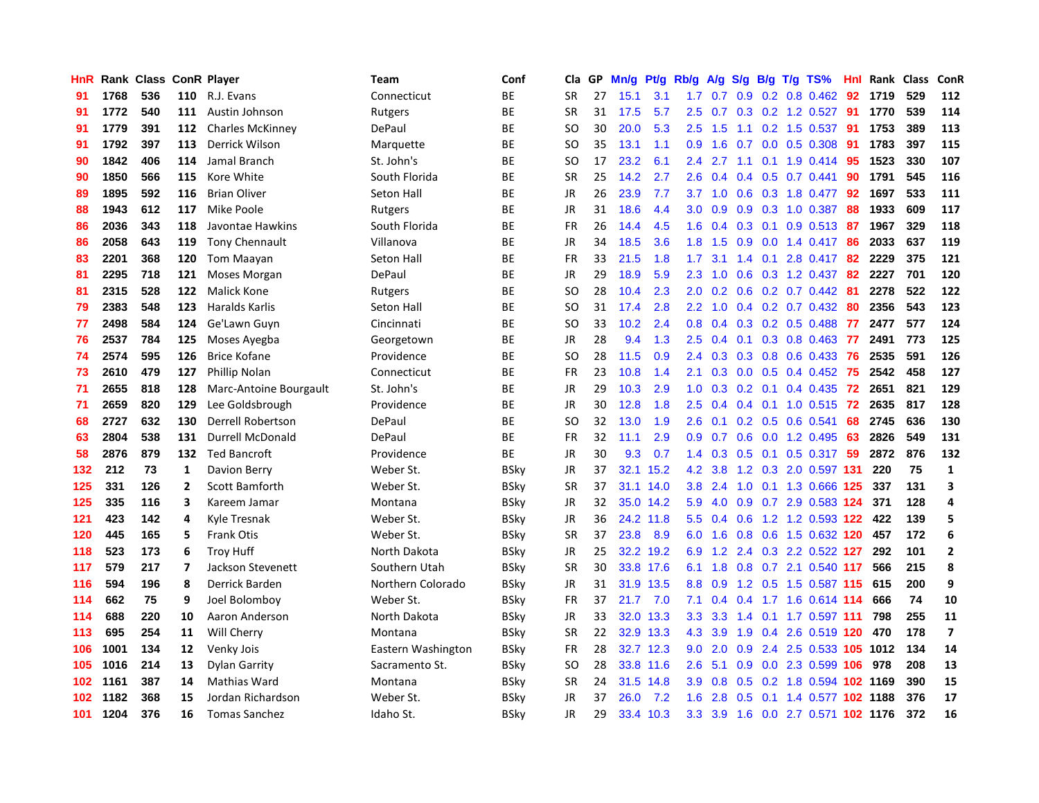| HnR |      | Rank Class |     | <b>ConR Player</b>      | Team               | Conf        | Cla       | GP | Mn/g | <b>Pt/g</b> | Rb/g             | A/g | S/g |     | B/g T/g TS%                       | Hnl | Rank | <b>Class</b> | <b>ConR</b>             |
|-----|------|------------|-----|-------------------------|--------------------|-------------|-----------|----|------|-------------|------------------|-----|-----|-----|-----------------------------------|-----|------|--------------|-------------------------|
| 91  | 1768 | 536        | 110 | R.J. Evans              | Connecticut        | <b>BE</b>   | <b>SR</b> | 27 | 15.1 | 3.1         | 1.7 <sub>z</sub> | 0.7 | 0.9 |     | $0.2$ 0.8 0.462                   | -92 | 1719 | 529          | 112                     |
| 91  | 1772 | 540        |     | 111 Austin Johnson      | Rutgers            | <b>BE</b>   | <b>SR</b> | 31 | 17.5 | 5.7         | 2.5              |     |     |     | 0.7 0.3 0.2 1.2 0.527 91          |     | 1770 | 539          | 114                     |
| 91  | 1779 | 391        | 112 | <b>Charles McKinney</b> | DePaul             | <b>BE</b>   | SO        | 30 | 20.0 | 5.3         | 2.5              | 1.5 |     |     | $1.1$ 0.2 1.5 0.537               | -91 | 1753 | 389          | 113                     |
| 91  | 1792 | 397        | 113 | Derrick Wilson          | Marquette          | <b>BE</b>   | <b>SO</b> | 35 | 13.1 | 1.1         | 0.9              | 1.6 |     |     | $0.7$ 0.0 0.5 0.308               | -91 | 1783 | 397          | 115                     |
| 90  | 1842 | 406        | 114 | Jamal Branch            | St. John's         | <b>BE</b>   | <b>SO</b> | 17 | 23.2 | 6.1         | $2.4^{\circ}$    | 2.7 | 1.1 |     | $0.1$ 1.9 0.414                   | 95  | 1523 | 330          | 107                     |
| 90  | 1850 | 566        | 115 | Kore White              | South Florida      | ВE          | <b>SR</b> | 25 | 14.2 | 2.7         | 2.6              | 0.4 |     |     | $0.4$ 0.5 0.7 0.441               | 90  | 1791 | 545          | 116                     |
| 89  | 1895 | 592        | 116 | <b>Brian Oliver</b>     | Seton Hall         | <b>BE</b>   | JR        | 26 | 23.9 | 7.7         | 3.7              | 1.0 | 0.6 |     | 0.3 1.8 0.477                     | 92  | 1697 | 533          | 111                     |
| 88  | 1943 | 612        | 117 | Mike Poole              | Rutgers            | <b>BE</b>   | JR        | 31 | 18.6 | 4.4         | 3.0 <sub>2</sub> | 0.9 | 0.9 |     | 0.3 1.0 0.387                     | 88  | 1933 | 609          | 117                     |
| 86  | 2036 | 343        | 118 | Javontae Hawkins        | South Florida      | <b>BE</b>   | <b>FR</b> | 26 | 14.4 | 4.5         | 1.6              | 0.4 | 0.3 | 0.1 | $0.9$ $0.513$                     | -87 | 1967 | 329          | 118                     |
| 86  | 2058 | 643        | 119 | <b>Tony Chennault</b>   | Villanova          | <b>BE</b>   | JR        | 34 | 18.5 | 3.6         | 1.8              | 1.5 | 0.9 |     | $0.0$ 1.4 0.417 86                |     | 2033 | 637          | 119                     |
| 83  | 2201 | 368        | 120 | Tom Maayan              | Seton Hall         | <b>BE</b>   | FR.       | 33 | 21.5 | 1.8         | 1.7 <sub>z</sub> | 3.1 |     |     | 1.4 0.1 2.8 0.417 82              |     | 2229 | 375          | 121                     |
| 81  | 2295 | 718        | 121 | Moses Morgan            | DePaul             | <b>BE</b>   | <b>JR</b> | 29 | 18.9 | 5.9         | 2.3              | 1.0 |     |     | 0.6 0.3 1.2 0.437 82              |     | 2227 | 701          | 120                     |
| 81  | 2315 | 528        | 122 | Malick Kone             | Rutgers            | <b>BE</b>   | <b>SO</b> | 28 | 10.4 | 2.3         | 2.0 <sub>1</sub> | 0.2 | 0.6 |     | $0.2$ 0.7 0.442                   | -81 | 2278 | 522          | 122                     |
| 79  | 2383 | 548        | 123 | Haralds Karlis          | Seton Hall         | ВE          | <b>SO</b> | 31 | 17.4 | 2.8         | $2.2\phantom{0}$ | 1.0 |     |     | $0.4$ 0.2 0.7 0.432               | 80  | 2356 | 543          | 123                     |
| 77  | 2498 | 584        | 124 | Ge'Lawn Guyn            | Cincinnati         | <b>BE</b>   | <b>SO</b> | 33 | 10.2 | 2.4         | 0.8              | 0.4 | 0.3 |     | $0.2$ 0.5 0.488                   | 77  | 2477 | 577          | 124                     |
| 76  | 2537 | 784        | 125 | Moses Ayegba            | Georgetown         | ВE          | JR        | 28 | 9.4  | 1.3         | $2.5\,$          | 0.4 | 0.1 |     | $0.3$ 0.8 0.463                   | 77  | 2491 | 773          | 125                     |
| 74  | 2574 | 595        | 126 | <b>Brice Kofane</b>     | Providence         | <b>BE</b>   | <b>SO</b> | 28 | 11.5 | 0.9         | $2.4^{\circ}$    | 0.3 | 0.3 |     | 0.8 0.6 0.433                     | 76  | 2535 | 591          | 126                     |
| 73  | 2610 | 479        | 127 | <b>Phillip Nolan</b>    | Connecticut        | <b>BE</b>   | <b>FR</b> | 23 | 10.8 | 1.4         | 2.1              | 0.3 |     |     | 0.0 0.5 0.4 0.452 75              |     | 2542 | 458          | 127                     |
| 71  | 2655 | 818        | 128 | Marc-Antoine Bourgault  | St. John's         | BE          | JR        | 29 | 10.3 | 2.9         |                  |     |     |     | 1.0 0.3 0.2 0.1 0.4 0.435 72      |     | 2651 | 821          | 129                     |
| 71  | 2659 | 820        | 129 | Lee Goldsbrough         | Providence         | <b>BE</b>   | JR        | 30 | 12.8 | 1.8         | 2.5              | 0.4 |     |     | 0.4 0.1 1.0 0.515 72              |     | 2635 | 817          | 128                     |
| 68  | 2727 | 632        | 130 | Derrell Robertson       | DePaul             | BE          | <b>SO</b> | 32 | 13.0 | 1.9         | 2.6              | 0.1 |     |     | 0.2 0.5 0.6 0.541                 | 68  | 2745 | 636          | 130                     |
| 63  | 2804 | 538        | 131 | <b>Durrell McDonald</b> | DePaul             | BE          | <b>FR</b> | 32 | 11.1 | 2.9         | 0.9              | 0.7 | 0.6 |     | 0.0 1.2 0.495                     | 63  | 2826 | 549          | 131                     |
| 58  | 2876 | 879        | 132 | <b>Ted Bancroft</b>     | Providence         | ВE          | JR        | 30 | 9.3  | 0.7         | 1.4              | 0.3 |     |     | 0.5 0.1 0.5 0.317                 | 59  | 2872 | 876          | 132                     |
| 132 | 212  | 73         | 1   | Davion Berry            | Weber St.          | <b>BSky</b> | JR        | 37 |      | 32.1 15.2   | 4.2              | 3.8 | 1.2 |     | 0.3 2.0 0.597 131                 |     | 220  | 75           | $\mathbf{1}$            |
| 125 | 331  | 126        | 2   | Scott Bamforth          | Weber St.          | BSky        | <b>SR</b> | 37 |      | 31.1 14.0   | 3.8              | 2.4 | 1.0 |     | 0.1 1.3 0.666 125                 |     | 337  | 131          | 3                       |
| 125 | 335  | 116        | 3   | Kareem Jamar            | Montana            | BSky        | <b>JR</b> | 32 |      | 35.0 14.2   | 5.9              | 4.0 | 0.9 |     | 0.7 2.9 0.583 124                 |     | 371  | 128          | 4                       |
| 121 | 423  | 142        | 4   | Kyle Tresnak            | Weber St.          | BSky        | JR        | 36 |      | 24.2 11.8   |                  |     |     |     | 5.5 0.4 0.6 1.2 1.2 0.593 122 422 |     |      | 139          | 5                       |
| 120 | 445  | 165        | 5   | <b>Frank Otis</b>       | Weber St.          | BSkv        | <b>SR</b> | 37 | 23.8 | 8.9         | 6.0              | 1.6 |     |     | 0.8 0.6 1.5 0.632 120 457         |     |      | 172          | 6                       |
| 118 | 523  | 173        | 6   | <b>Troy Huff</b>        | North Dakota       | BSkv        | JR        | 25 |      | 32.2 19.2   | 6.9              | 1.2 |     |     | 2.4 0.3 2.2 0.522 127             |     | 292  | 101          | $\overline{2}$          |
| 117 | 579  | 217        | 7   | Jackson Stevenett       | Southern Utah      | BSkv        | <b>SR</b> | 30 |      | 33.8 17.6   | 6.1              | 1.8 | 0.8 |     | 0.7 2.1 0.540 117                 |     | 566  | 215          | 8                       |
| 116 | 594  | 196        | 8   | Derrick Barden          | Northern Colorado  | BSkv        | JR        | 31 | 31.9 | 13.5        | 8.8              | 0.9 |     |     | 1.2 0.5 1.5 0.587 115             |     | 615  | 200          | 9                       |
| 114 | 662  | 75         | 9   | Joel Bolomboy           | Weber St.          | <b>BSky</b> | <b>FR</b> | 37 | 21.7 | 7.0         | 7.1              | 0.4 | 0.4 |     | 1.7 1.6 0.614 114                 |     | 666  | 74           | 10                      |
| 114 | 688  | 220        | 10  | Aaron Anderson          | North Dakota       | <b>BSky</b> | JR        | 33 | 32.0 | 13.3        | 3.3 <sub>2</sub> | 3.3 | 1.4 |     | $0.1$ 1.7 0.597 111               |     | 798  | 255          | 11                      |
| 113 | 695  | 254        | 11  | <b>Will Cherry</b>      | Montana            | <b>BSky</b> | <b>SR</b> | 22 |      | 32.9 13.3   | 4.3              | 3.9 | 1.9 |     | 0.4 2.6 0.519 120                 |     | 470  | 178          | $\overline{\mathbf{z}}$ |
| 106 | 1001 | 134        | 12  | Venky Jois              | Eastern Washington | <b>BSky</b> | <b>FR</b> | 28 |      | 32.7 12.3   | 9.0 <sub>1</sub> | 2.0 | 0.9 |     | 2.4 2.5 0.533 105 1012            |     |      | 134          | 14                      |
| 105 | 1016 | 214        | 13  | Dylan Garrity           | Sacramento St.     | <b>BSky</b> | SO        | 28 |      | 33.8 11.6   | 2.6              | 5.1 |     |     | 0.9 0.0 2.3 0.599 106 978         |     |      | 208          | 13                      |
| 102 | 1161 | 387        | 14  | <b>Mathias Ward</b>     | Montana            | <b>BSky</b> | <b>SR</b> | 24 | 31.5 | 14.8        | 3.9 <sup>°</sup> | 0.8 |     |     | 0.5 0.2 1.8 0.594 102 1169        |     |      | 390          | 15                      |
| 102 | 1182 | 368        | 15  | Jordan Richardson       | Weber St.          | <b>BSky</b> | <b>JR</b> | 37 | 26.0 | 7.2         | 1.6              | 2.8 | 0.5 |     | 0.1 1.4 0.577 102 1188            |     |      | 376          | 17                      |
| 101 | 1204 | 376        | 16  | <b>Tomas Sanchez</b>    | Idaho St.          | <b>BSkv</b> | <b>JR</b> | 29 |      | 33.4 10.3   | 3.3 <sub>2</sub> | 3.9 |     |     | 1.6 0.0 2.7 0.571 102 1176        |     |      | 372          | 16                      |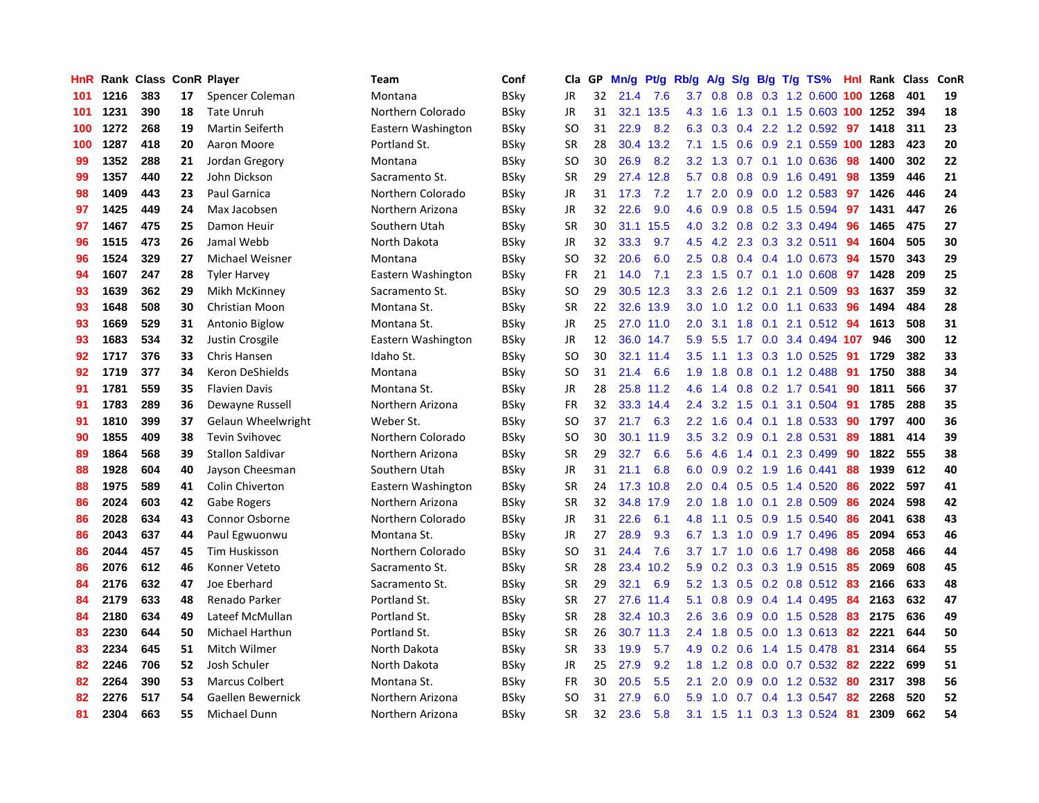| HnR |      | Rank Class ConR Player |    |                         | Team               | Conf        | Cla.          | <b>GP</b> | Mn/g | <b>Pt/g</b> | Rb/g          | A/g             | S/g              |     | B/g T/g TS%                |     | Hnl Rank | Class | <b>ConR</b> |
|-----|------|------------------------|----|-------------------------|--------------------|-------------|---------------|-----------|------|-------------|---------------|-----------------|------------------|-----|----------------------------|-----|----------|-------|-------------|
| 101 | 1216 | 383                    | 17 | Spencer Coleman         | Montana            | BSky        | <b>JR</b>     | 32        | 21.4 | 7.6         |               | $3.7 \quad 0.8$ |                  |     | 0.8 0.3 1.2 0.600 100 1268 |     |          | 401   | 19          |
| 101 | 1231 | 390                    | 18 | <b>Tate Unruh</b>       | Northern Colorado  | BSky        | <b>JR</b>     | 31        |      | 32.1 13.5   |               | 4.3 1.6         |                  |     | 1.3 0.1 1.5 0.603 100 1252 |     |          | 394   | 18          |
| 100 | 1272 | 268                    | 19 | <b>Martin Seiferth</b>  | Eastern Washington | BSky        | SO            | 31        | 22.9 | 8.2         | 6.3           | 0.3             |                  |     | $0.4$ 2.2 1.2 0.592        | 97  | 1418     | 311   | 23          |
| 100 | 1287 | 418                    | 20 | Aaron Moore             | Portland St.       | <b>BSky</b> | <b>SR</b>     | 28        | 30.4 | 13.2        | 7.1           | 1.5             |                  |     | 0.6 0.9 2.1 0.559 100 1283 |     |          | 423   | 20          |
| 99  | 1352 | 288                    | 21 | Jordan Gregory          | Montana            | BSky        | <sub>SO</sub> | 30        | 26.9 | 8.2         | 3.2           | 1.3             | 0.7              |     | 0.1 1.0 0.636              | 98  | 1400     | 302   | 22          |
| 99  | 1357 | 440                    | 22 | John Dickson            | Sacramento St.     | BSky        | SR            | 29        | 27.4 | 12.8        | 5.7           | 0.8             |                  |     | $0.8$ 0.9 1.6 0.491        | 98  | 1359     | 446   | 21          |
| 98  | 1409 | 443                    | 23 | <b>Paul Garnica</b>     | Northern Colorado  | <b>BSky</b> | JR            | 31        | 17.3 | 7.2         | 1.7           | 2.0             | 0.9 <sub>0</sub> |     | $0.0$ 1.2 0.583            | 97  | 1426     | 446   | 24          |
| 97  | 1425 | 449                    | 24 | Max Jacobsen            | Northern Arizona   | BSky        | JR            | 32        | 22.6 | 9.0         | 4.6           | 0.9             | 0.8              |     | $0.5$ 1.5 0.594            | 97  | 1431     | 447   | 26          |
| 97  | 1467 | 475                    | 25 | Damon Heuir             | Southern Utah      | <b>BSky</b> | <b>SR</b>     | 30        | 31.1 | 15.5        | 4.0           | 3.2             |                  |     | 0.8 0.2 3.3 0.494          | 96  | 1465     | 475   | 27          |
| 96  | 1515 | 473                    | 26 | Jamal Webb              | North Dakota       | BSky        | JR            | 32        | 33.3 | 9.7         | 4.5           |                 |                  |     | 4.2 2.3 0.3 3.2 0.511      | -94 | 1604     | 505   | 30          |
| 96  | 1524 | 329                    | 27 | Michael Weisner         | Montana            | <b>BSky</b> | <sub>SO</sub> | 32        | 20.6 | 6.0         | 2.5           | 0.8             |                  |     | 0.4 0.4 1.0 0.673 94       |     | 1570     | 343   | 29          |
| 94  | 1607 | 247                    | 28 | <b>Tyler Harvey</b>     | Eastern Washington | BSky        | FR            | 21        | 14.0 | 7.1         | 2.3           | 1.5             |                  |     | $0.7$ 0.1 1.0 0.608        | 97  | 1428     | 209   | 25          |
| 93  | 1639 | 362                    | 29 | Mikh McKinney           | Sacramento St.     | BSky        | <b>SO</b>     | 29        | 30.5 | 12.3        | 3.3           | 2.6             | 1.2              | 0.1 | 2.1 0.509                  | 93  | 1637     | 359   | 32          |
| 93  | 1648 | 508                    | 30 | Christian Moon          | Montana St.        | BSky        | <b>SR</b>     | 22        | 32.6 | 13.9        | 3.0           | 1.0             |                  |     | 1.2 0.0 1.1 0.633          | -96 | 1494     | 484   | 28          |
| 93  | 1669 | 529                    | 31 | Antonio Biglow          | Montana St.        | <b>BSky</b> | JR            | 25        | 27.0 | 11.0        | 2.0           | 3.1             | 1.8              |     | 0.1 2.1 0.512 94           |     | 1613     | 508   | 31          |
| 93  | 1683 | 534                    | 32 | Justin Crosgile         | Eastern Washington | BSky        | JR            | 12        | 36.0 | 14.7        | 5.9           | 5.5             | 1.7              |     | 0.0 3.4 0.494 107          |     | 946      | 300   | 12          |
| 92  | 1717 | 376                    | 33 | <b>Chris Hansen</b>     | Idaho St.          | BSky        | <sub>SO</sub> | 30        | 32.1 | 11.4        | 3.5           | $-1.1$          | 1.3              |     | $0.3$ 1.0 $0.525$          | -91 | 1729     | 382   | 33          |
| 92  | 1719 | 377                    | 34 | Keron DeShields         | Montana            | BSky        | <sub>SO</sub> | 31        | 21.4 | 6.6         | 1.9           | 1.8             | 0.8              |     | 0.1 1.2 0.488              | -91 | 1750     | 388   | 34          |
| 91  | 1781 | 559                    | 35 | <b>Flavien Davis</b>    | Montana St.        | BSky        | JR            | 28        |      | 25.8 11.2   | 4.6           | 1.4             |                  |     | $0.8$ 0.2 1.7 0.541        | -90 | 1811     | 566   | 37          |
| 91  | 1783 | 289                    | 36 | Dewayne Russell         | Northern Arizona   | BSkv        | <b>FR</b>     | 32        |      | 33.3 14.4   | 2.4           | 3.2             |                  |     | 1.5 0.1 3.1 0.504          | -91 | 1785     | 288   | 35          |
| 91  | 1810 | 399                    | 37 | Gelaun Wheelwright      | Weber St.          | BSkv        | SO            | 37        | 21.7 | 6.3         | $2.2^{\circ}$ | 1.6             |                  |     | $0.4$ 0.1 1.8 0.533        | -90 | 1797     | 400   | 36          |
| 90  | 1855 | 409                    | 38 | <b>Tevin Svihovec</b>   | Northern Colorado  | <b>BSky</b> | <b>SO</b>     | 30        | 30.1 | 11.9        | 3.5           | 3.2             | 0.9              | 0.1 | 2.8 0.531                  | 89  | 1881     | 414   | 39          |
| 89  | 1864 | 568                    | 39 | <b>Stallon Saldivar</b> | Northern Arizona   | BSkv        | SR            | 29        | 32.7 | 6.6         | 5.6           | 4.6             |                  |     | 1.4 0.1 2.3 0.499          | -90 | 1822     | 555   | 38          |
| 88  | 1928 | 604                    | 40 | Jayson Cheesman         | Southern Utah      | <b>BSky</b> | JR            | 31        | 21.1 | 6.8         | 6.0           | 0.9             | 0.2              |     | 1.9 1.6 0.441              | 88  | 1939     | 612   | 40          |
| 88  | 1975 | 589                    | 41 | Colin Chiverton         | Eastern Washington | BSky        | <b>SR</b>     | 24        | 17.3 | 10.8        | 2.0           | 0.4             | 0.5              |     | $0.5$ 1.4 $0.520$          | 86  | 2022     | 597   | 41          |
| 86  | 2024 | 603                    | 42 | Gabe Rogers             | Northern Arizona   | BSky        | <b>SR</b>     | 32        | 34.8 | 17.9        | 2.0           | 1.8             | 1.0              | 0.1 | 2.8 0.509                  | 86  | 2024     | 598   | 42          |
| 86  | 2028 | 634                    | 43 | <b>Connor Osborne</b>   | Northern Colorado  | BSky        | JR            | 31        | 22.6 | 6.1         | 4.8           | 1.1             |                  |     | 0.5 0.9 1.5 0.540          | 86  | 2041     | 638   | 43          |
| 86  | 2043 | 637                    | 44 | Paul Egwuonwu           | Montana St.        | <b>BSky</b> | JR            | 27        | 28.9 | 9.3         | 6.7           | 1.3             |                  |     | 1.0 0.9 1.7 0.496 85       |     | 2094     | 653   | 46          |
| 86  | 2044 | 457                    | 45 | Tim Huskisson           | Northern Colorado  | BSky        | SO            | 31        | 24.4 | 7.6         | 3.7           |                 |                  |     | 1.7 1.0 0.6 1.7 0.498      | -86 | 2058     | 466   | 44          |
| 86  | 2076 | 612                    | 46 | Konner Veteto           | Sacramento St.     | BSky        | <b>SR</b>     | 28        | 23.4 | 10.2        | 5.9           | 0.2             |                  |     | 0.3 0.3 1.9 0.515          | -85 | 2069     | 608   | 45          |
| 84  | 2176 | 632                    | 47 | Joe Eberhard            | Sacramento St.     | BSky        | <b>SR</b>     | 29        | 32.1 | 6.9         | 5.2           | 1.3             | 0.5              |     | 0.2 0.8 0.512 83           |     | 2166     | 633   | 48          |
| 84  | 2179 | 633                    | 48 | Renado Parker           | Portland St.       | BSky        | SR            | 27        | 27.6 | 11.4        | 5.1           | 0.8             |                  |     | $0.9$ 0.4 1.4 0.495        | 84  | 2163     | 632   | 47          |
| 84  | 2180 | 634                    | 49 | Lateef McMullan         | Portland St.       | BSky        | <b>SR</b>     | 28        | 32.4 | 10.3        | 2.6           | 3.6             | 0.9              |     | $0.0$ 1.5 $0.528$          | -83 | 2175     | 636   | 49          |
| 83  | 2230 | 644                    | 50 | Michael Harthun         | Portland St.       | BSkv        | <b>SR</b>     | 26        | 30.7 | 11.3        | $2.4^{\circ}$ | 1.8             | 0.5              |     | 0.0 1.3 0.613              | -82 | 2221     | 644   | 50          |
| 83  | 2234 | 645                    | 51 | Mitch Wilmer            | North Dakota       | BSky        | <b>SR</b>     | 33        | 19.9 | 5.7         | 4.9           | 0.2             | 0.6              |     | 1.4 1.5 0.478              | -81 | 2314     | 664   | 55          |
| 82  | 2246 | 706                    | 52 | Josh Schuler            | North Dakota       | BSky        | JR            | 25        | 27.9 | 9.2         | 1.8           | 1.2             |                  |     | 0.8 0.0 0.7 0.532 82       |     | 2222     | 699   | 51          |
| 82  | 2264 | 390                    | 53 | <b>Marcus Colbert</b>   | Montana St.        | BSkv        | <b>FR</b>     | 30        | 20.5 | 5.5         | 2.1           | 2.0             |                  |     | $0.9$ $0.0$ 1.2 $0.532$    | -80 | 2317     | 398   | 56          |
| 82  | 2276 | 517                    | 54 | Gaellen Bewernick       | Northern Arizona   | BSkv        | SO            | 31        | 27.9 | 6.0         | 5.9           | 1.0             |                  |     | $0.7$ 0.4 1.3 0.547        | 82  | 2268     | 520   | 52          |
| 81  | 2304 | 663                    | 55 | Michael Dunn            | Northern Arizona   | <b>BSkv</b> | <b>SR</b>     | 32        | 23.6 | 5.8         | 3.1           | 1.5             |                  |     | 1.1 0.3 1.3 0.524 81       |     | 2309     | 662   | 54          |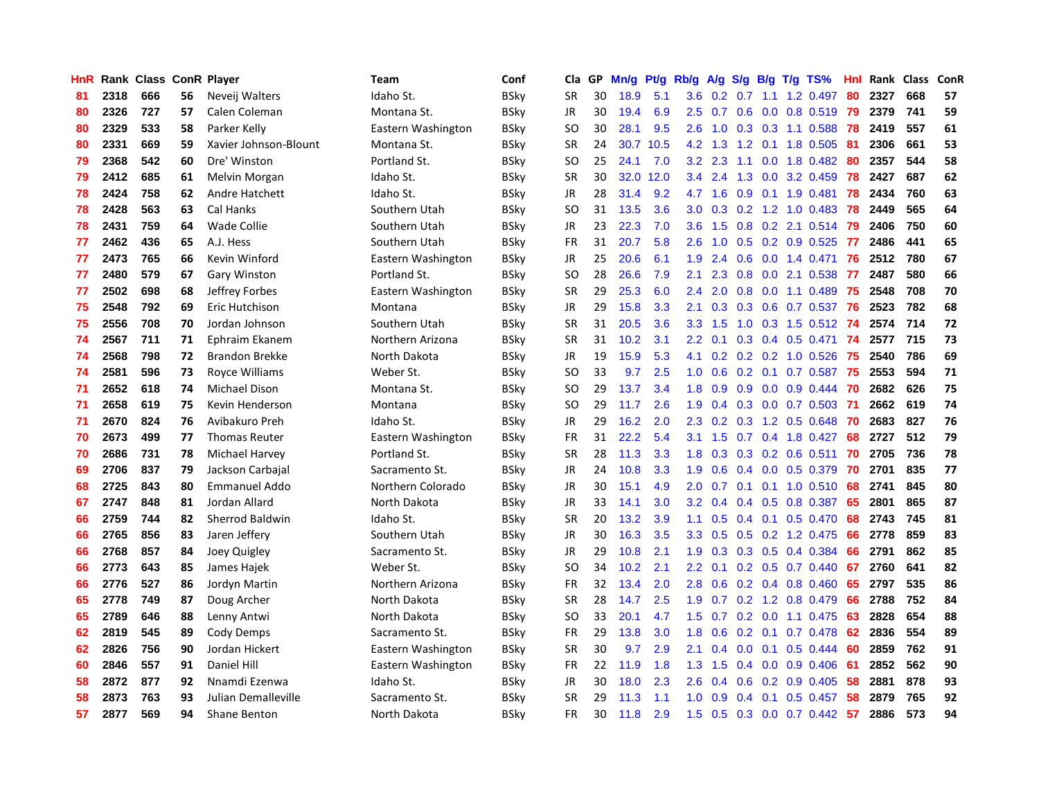| HnR |      | Rank Class ConR Player |    |                        | Team               | Conf        | Cla           | <b>GP</b> | Mn/g | <b>Pt/g</b> | Rb/g             | A/g            |               |                 | S/g B/g T/g TS%           | Hnl | Rank | Class | <b>ConR</b> |
|-----|------|------------------------|----|------------------------|--------------------|-------------|---------------|-----------|------|-------------|------------------|----------------|---------------|-----------------|---------------------------|-----|------|-------|-------------|
| 81  | 2318 | 666                    | 56 | Neveij Walters         | Idaho St.          | BSky        | <b>SR</b>     | 30        | 18.9 | 5.1         | 3.6              | $0.2\quad 0.7$ |               |                 | 1.1 1.2 0.497             | 80  | 2327 | 668   | 57          |
| 80  | 2326 | 727                    | 57 | Calen Coleman          | Montana St.        | BSkv        | <b>JR</b>     | 30        | 19.4 | 6.9         | $2.5^{\circ}$    | 0.7            |               |                 | 0.6 0.0 0.8 0.519 79      |     | 2379 | 741   | 59          |
| 80  | 2329 | 533                    | 58 | Parker Kelly           | Eastern Washington | BSky        | SO            | 30        | 28.1 | 9.5         | 2.6              | 1.0            |               |                 | $0.3$ $0.3$ 1.1 $0.588$   | 78  | 2419 | 557   | 61          |
| 80  | 2331 | 669                    | 59 | Xavier Johnson-Blount  | Montana St.        | <b>BSky</b> | <b>SR</b>     | 24        | 30.7 | 10.5        |                  | 4.2 1.3        | 1.2           |                 | 0.1 1.8 0.505             | -81 | 2306 | 661   | 53          |
| 79  | 2368 | 542                    | 60 | Dre' Winston           | Portland St.       | BSky        | <sub>SO</sub> | 25        | 24.1 | 7.0         | 3.2              | 2.3            | 1.1           |                 | $0.0$ 1.8 $0.482$         | 80  | 2357 | 544   | 58          |
| 79  | 2412 | 685                    | 61 | Melvin Morgan          | Idaho St.          | BSky        | SR            | 30        | 32.0 | 12.0        | $3.4^{\circ}$    | 2.4            |               |                 | 1.3 0.0 3.2 0.459         | 78  | 2427 | 687   | 62          |
| 78  | 2424 | 758                    | 62 | Andre Hatchett         | Idaho St.          | <b>BSky</b> | JR            | 28        | 31.4 | 9.2         | 4.7              | 1.6            | 0.9           |                 | $0.1$ 1.9 $0.481$         | 78  | 2434 | 760   | 63          |
| 78  | 2428 | 563                    | 63 | Cal Hanks              | Southern Utah      | BSky        | <sub>SO</sub> | 31        | 13.5 | 3.6         | 3.0 <sub>2</sub> | 0.3            |               |                 | $0.2$ 1.2 1.0 0.483       | 78  | 2449 | 565   | 64          |
| 78  | 2431 | 759                    | 64 | <b>Wade Collie</b>     | Southern Utah      | <b>BSky</b> | JR            | 23        | 22.3 | 7.0         | 3.6              | 1.5            | 0.8           |                 | $0.2$ 2.1 $0.514$         | 79  | 2406 | 750   | 60          |
| 77  | 2462 | 436                    | 65 | A.J. Hess              | Southern Utah      | BSky        | FR            | 31        | 20.7 | 5.8         | 2.6              | 1.0            |               |                 | $0.5$ 0.2 0.9 0.525       | -77 | 2486 | 441   | 65          |
| 77  | 2473 | 765                    | 66 | Kevin Winford          | Eastern Washington | BSky        | JR            | 25        | 20.6 | 6.1         | 1.9              | 2.4            |               |                 | 0.6 0.0 1.4 0.471 76      |     | 2512 | 780   | 67          |
| 77  | 2480 | 579                    | 67 | Gary Winston           | Portland St.       | BSky        | SO            | 28        | 26.6 | 7.9         | 2.1              | 2.3            |               |                 | $0.8$ 0.0 2.1 0.538       | -77 | 2487 | 580   | 66          |
| 77  | 2502 | 698                    | 68 | Jeffrey Forbes         | Eastern Washington | BSky        | <b>SR</b>     | 29        | 25.3 | 6.0         | 2.4              | 2.0            | 0.8           |                 | $0.0$ 1.1 $0.489$         | 75  | 2548 | 708   | 70          |
| 75  | 2548 | 792                    | 69 | Eric Hutchison         | Montana            | BSky        | JR            | 29        | 15.8 | 3.3         | 2.1              | 0.3            |               |                 | $0.3$ 0.6 0.7 0.537       | -76 | 2523 | 782   | 68          |
| 75  | 2556 | 708                    | 70 | Jordan Johnson         | Southern Utah      | <b>BSky</b> | <b>SR</b>     | 31        | 20.5 | 3.6         | 3.3              | 1.5            | 1.0           |                 | $0.3$ 1.5 $0.512$         | -74 | 2574 | 714   | 72          |
| 74  | 2567 | 711                    | 71 | Ephraim Ekanem         | Northern Arizona   | BSky        | <b>SR</b>     | 31        | 10.2 | 3.1         | 2.2              | 0.1            | 0.3           |                 | $0.4$ 0.5 0.471           | 74  | 2577 | 715   | 73          |
| 74  | 2568 | 798                    | 72 | <b>Brandon Brekke</b>  | North Dakota       | BSky        | JR            | 19        | 15.9 | 5.3         | 4.1              | 0.2            |               |                 | $0.2$ $0.2$ 1.0 $0.526$   | 75  | 2540 | 786   | 69          |
| 74  | 2581 | 596                    | 73 | Royce Williams         | Weber St.          | BSky        | <sub>SO</sub> | 33        | 9.7  | 2.5         | 1.0              | 0.6            |               | $0.2 \quad 0.1$ | $0.7$ 0.587               | 75  | 2553 | 594   | 71          |
| 71  | 2652 | 618                    | 74 | <b>Michael Dison</b>   | Montana St.        | BSky        | SO            | 29        | 13.7 | 3.4         | 1.8              | 0.9            |               |                 | $0.9$ $0.0$ $0.9$ $0.444$ | -70 | 2682 | 626   | 75          |
| 71  | 2658 | 619                    | 75 | Kevin Henderson        | Montana            | BSkv        | SO            | 29        | 11.7 | 2.6         | 1.9              | 0.4            |               |                 | 0.3 0.0 0.7 0.503 71      |     | 2662 | 619   | 74          |
| 71  | 2670 | 824                    | 76 | Avibakuro Preh         | Idaho St.          | BSkv        | JR            | 29        | 16.2 | 2.0         | 2.3              | 0.2            |               |                 | $0.3$ 1.2 0.5 0.648       | 70  | 2683 | 827   | 76          |
| 70  | 2673 | 499                    | 77 | <b>Thomas Reuter</b>   | Eastern Washington | BSky        | <b>FR</b>     | 31        | 22.2 | 5.4         | 3.1              | 1.5            |               |                 | $0.7$ 0.4 1.8 0.427       | 68  | 2727 | 512   | 79          |
| 70  | 2686 | 731                    | 78 | Michael Harvey         | Portland St.       | BSkv        | <b>SR</b>     | 28        | 11.3 | 3.3         | 1.8              | 0.3            |               |                 | $0.3$ 0.2 0.6 0.511       | 70  | 2705 | 736   | 78          |
| 69  | 2706 | 837                    | 79 | Jackson Carbajal       | Sacramento St.     | <b>BSky</b> | JR            | 24        | 10.8 | 3.3         | 1.9              | 0.6            |               |                 | $0.4$ 0.0 0.5 0.379       | 70  | 2701 | 835   | 77          |
| 68  | 2725 | 843                    | 80 | <b>Emmanuel Addo</b>   | Northern Colorado  | BSky        | JR            | 30        | 15.1 | 4.9         | $2.0^{\circ}$    | 0.7            |               |                 | $0.1$ 0.1 1.0 0.510       | 68  | 2741 | 845   | 80          |
| 67  | 2747 | 848                    | 81 | Jordan Allard          | North Dakota       | BSky        | JR            | 33        | 14.1 | 3.0         | 3.2              | 0.4            |               |                 | 0.4 0.5 0.8 0.387         | 65  | 2801 | 865   | 87          |
| 66  | 2759 | 744                    | 82 | <b>Sherrod Baldwin</b> | Idaho St.          | BSky        | <b>SR</b>     | 20        | 13.2 | 3.9         | 1.1              | 0.5            |               |                 | 0.4 0.1 0.5 0.470         | 68  | 2743 | 745   | 81          |
| 66  | 2765 | 856                    | 83 | Jaren Jeffery          | Southern Utah      | <b>BSky</b> | JR            | 30        | 16.3 | 3.5         | 3.3 <sub>2</sub> | 0.5            |               |                 | $0.5$ 0.2 1.2 0.475       | -66 | 2778 | 859   | 83          |
| 66  | 2768 | 857                    | 84 | Joey Quigley           | Sacramento St.     | BSky        | JR            | 29        | 10.8 | 2.1         | 1.9              | 0.3            |               |                 | $0.3$ 0.5 0.4 0.384       | 66  | 2791 | 862   | 85          |
| 66  | 2773 | 643                    | 85 | James Hajek            | Weber St.          | BSky        | SO            | 34        | 10.2 | 2.1         | $2.2^{\circ}$    | 0.1            |               |                 | $0.2$ 0.5 0.7 0.440       | 67  | 2760 | 641   | 82          |
| 66  | 2776 | 527                    | 86 | Jordyn Martin          | Northern Arizona   | BSky        | FR            | 32        | 13.4 | 2.0         | 2.8              | 0.6            |               |                 | $0.2$ 0.4 0.8 0.460       | 65  | 2797 | 535   | 86          |
| 65  | 2778 | 749                    | 87 | Doug Archer            | North Dakota       | BSky        | SR            | 28        | 14.7 | 2.5         | 1.9              | 0.7            |               |                 | 0.2 1.2 0.8 0.479         | 66  | 2788 | 752   | 84          |
| 65  | 2789 | 646                    | 88 | Lenny Antwi            | North Dakota       | BSky        | SO.           | 33        | 20.1 | 4.7         | 1.5              | 0.7            |               |                 | $0.2$ 0.0 1.1 0.475       | 63  | 2828 | 654   | 88          |
| 62  | 2819 | 545                    | 89 | Cody Demps             | Sacramento St.     | BSkv        | <b>FR</b>     | 29        | 13.8 | 3.0         | 1.8              | 0.6            | 0.2           | 0.1             | $0.7$ 0.478               | 62  | 2836 | 554   | 89          |
| 62  | 2826 | 756                    | 90 | Jordan Hickert         | Eastern Washington | BSky        | <b>SR</b>     | 30        | 9.7  | 2.9         | 2.1              | 0.4            | 0.0           | 0.1             | $0.5$ 0.444               | 60  | 2859 | 762   | 91          |
| 60  | 2846 | 557                    | 91 | <b>Daniel Hill</b>     | Eastern Washington | BSkv        | <b>FR</b>     | 22        | 11.9 | 1.8         | 1.3              | 1.5            |               |                 | $0.4$ 0.0 0.9 0.406       | -61 | 2852 | 562   | 90          |
| 58  | 2872 | 877                    | 92 | Nnamdi Ezenwa          | Idaho St.          | BSky        | JR            | 30        | 18.0 | 2.3         | 2.6              | 0.4            |               |                 | $0.6$ $0.2$ $0.9$ $0.405$ | -58 | 2881 | 878   | 93          |
| 58  | 2873 | 763                    | 93 | Julian Demalleville    | Sacramento St.     | BSkv        | SR            | 29        | 11.3 | 1.1         | 1.0              | 0.9            | $0.4^{\circ}$ | 0.1             | $0.5$ 0.457               | -58 | 2879 | 765   | 92          |
| 57  | 2877 | 569                    | 94 | <b>Shane Benton</b>    | North Dakota       | <b>BSkv</b> | <b>FR</b>     | 30        | 11.8 | 2.9         | 1.5              | 0.5            |               |                 | 0.3 0.0 0.7 0.442 57      |     | 2886 | 573   | 94          |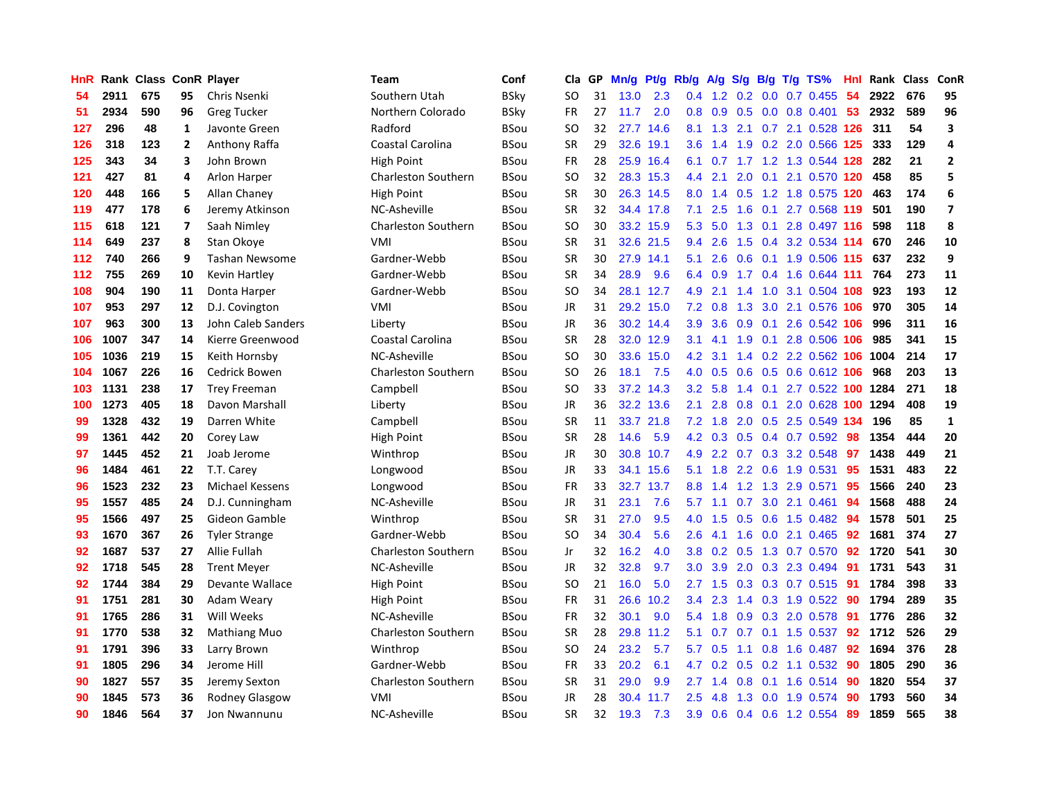| HnR |      | Rank Class ConR Player |                          |                       | <b>Team</b>                | Conf        | Cla       | <b>GP</b> | Mn/g | <b>Pt/g</b> | Rb/g             | A/g     |     |     | S/g B/g T/g TS%            | Hnl | Rank | <b>Class</b> | ConR                    |
|-----|------|------------------------|--------------------------|-----------------------|----------------------------|-------------|-----------|-----------|------|-------------|------------------|---------|-----|-----|----------------------------|-----|------|--------------|-------------------------|
| 54  | 2911 | 675                    | 95                       | Chris Nsenki          | Southern Utah              | <b>BSky</b> | <b>SO</b> | 31        | 13.0 | 2.3         | 0.4              | 1.2     |     |     | 0.2 0.0 0.7 0.455          | 54  | 2922 | 676          | 95                      |
| 51  | 2934 | 590                    | 96                       | <b>Greg Tucker</b>    | Northern Colorado          | <b>BSky</b> | <b>FR</b> | 27        | 11.7 | 2.0         | 0.8              |         |     |     | 0.9 0.5 0.0 0.8 0.401      | 53  | 2932 | 589          | 96                      |
| 127 | 296  | 48                     | 1                        | Javonte Green         | Radford                    | BSou        | SO        | 32        |      | 27.7 14.6   | 8.1              |         |     |     | 1.3 2.1 0.7 2.1 0.528 126  |     | -311 | 54           | $\overline{\mathbf{3}}$ |
| 126 | 318  | 123                    | $\mathbf{2}$             | Anthony Raffa         | Coastal Carolina           | BSou        | <b>SR</b> | 29        | 32.6 | 19.1        | 3.6 <sup>°</sup> | 1.4     |     |     | 1.9 0.2 2.0 0.566 125      |     | 333  | 129          | $\overline{a}$          |
| 125 | 343  | 34                     | 3                        | John Brown            | High Point                 | BSou        | <b>FR</b> | 28        |      | 25.9 16.4   | 6.1              |         |     |     | 0.7 1.7 1.2 1.3 0.544 128  |     | 282  | 21           | $\overline{2}$          |
| 121 | 427  | 81                     | 4                        | <b>Arlon Harper</b>   | <b>Charleston Southern</b> | <b>BSou</b> | <b>SO</b> | 32        |      | 28.3 15.3   | 4.4              | 2.1     | 2.0 |     | 0.1 2.1 0.570 120          |     | 458  | 85           | 5                       |
| 120 | 448  | 166                    | 5                        | Allan Chaney          | High Point                 | <b>BSou</b> | <b>SR</b> | 30        |      | 26.3 14.5   | 8.0              | 1.4     | 0.5 |     | 1.2 1.8 0.575 120          |     | 463  | 174          | 6                       |
| 119 | 477  | 178                    | 6                        | Jeremy Atkinson       | NC-Asheville               | <b>BSou</b> | <b>SR</b> | 32        |      | 34.4 17.8   | 7.1              | 2.5     | 1.6 |     | 0.1 2.7 0.568 119          |     | 501  | 190          | $\overline{\mathbf{z}}$ |
| 115 | 618  | 121                    | $\overline{\phantom{a}}$ | Saah Nimley           | <b>Charleston Southern</b> | BSou        | <b>SO</b> | 30        |      | 33.2 15.9   | 5.3              | 5.0     | 1.3 |     | 0.1 2.8 0.497 116          |     | 598  | 118          | 8                       |
| 114 | 649  | 237                    | 8                        | Stan Okove            | VMI                        | <b>BSou</b> | <b>SR</b> | 31        |      | 32.6 21.5   | 9.4              | 2.6     |     |     | 1.5 0.4 3.2 0.534 114      |     | 670  | 246          | 10                      |
| 112 | 740  | 266                    | 9                        | <b>Tashan Newsome</b> | Gardner-Webb               | <b>BSou</b> | <b>SR</b> | 30        |      | 27.9 14.1   | 5.1              | 2.6     |     |     | 0.6 0.1 1.9 0.506 115 637  |     |      | 232          | 9                       |
| 112 | 755  | 269                    | 10                       | Kevin Hartley         | Gardner-Webb               | <b>BSou</b> | <b>SR</b> | 34        | 28.9 | 9.6         | 6.4              | 0.9     |     |     | 1.7 0.4 1.6 0.644 111      |     | 764  | 273          | 11                      |
| 108 | 904  | 190                    | 11                       | Donta Harper          | Gardner-Webb               | <b>BSou</b> | SO        | 34        | 28.1 | 12.7        | 4.9              | 2.1     |     |     | 1.4 1.0 3.1 0.504 108      |     | 923  | 193          | 12                      |
| 107 | 953  | 297                    | 12                       | D.J. Covington        | VMI                        | <b>BSou</b> | <b>JR</b> | 31        | 29.2 | 15.0        | 7.2              | 0.8     | 1.3 |     | 3.0 2.1 0.576 106          |     | 970  | 305          | 14                      |
| 107 | 963  | 300                    | 13                       | John Caleb Sanders    | Liberty                    | <b>BSou</b> | <b>JR</b> | 36        |      | 30.2 14.4   | 3.9              | 3.6     | 0.9 |     | 0.1 2.6 0.542 106          |     | 996  | 311          | 16                      |
| 106 | 1007 | 347                    | 14                       | Kierre Greenwood      | Coastal Carolina           | <b>BSou</b> | <b>SR</b> | 28        | 32.0 | 12.9        | 3.1              | 4.1     | 1.9 |     | 0.1 2.8 0.506 106          |     | 985  | 341          | 15                      |
| 105 | 1036 | 219                    | 15                       | Keith Hornsby         | NC-Asheville               | BSou        | <b>SO</b> | 30        | 33.6 | 15.0        | 4.2              | 3.1     | 1.4 |     | 0.2 2.2 0.562 106 1004     |     |      | 214          | 17                      |
| 104 | 1067 | 226                    | 16                       | Cedrick Bowen         | <b>Charleston Southern</b> | <b>BSou</b> | <b>SO</b> | 26        | 18.1 | 7.5         | 4.0              | 0.5     | 0.6 |     | 0.5 0.6 0.612 106          |     | 968  | 203          | 13                      |
| 103 | 1131 | 238                    | 17                       | <b>Trey Freeman</b>   | Campbell                   | <b>BSou</b> | <b>SO</b> | 33        |      | 37.2 14.3   | 3.2              | 5.8     |     |     | 1.4 0.1 2.7 0.522 100 1284 |     |      | 271          | 18                      |
| 100 | 1273 | 405                    | 18                       | Davon Marshall        | Liberty                    | <b>BSou</b> | <b>JR</b> | 36        |      | 32.2 13.6   | 2.1              | 2.8     |     |     | 0.8 0.1 2.0 0.628 100 1294 |     |      | 408          | 19                      |
| 99  | 1328 | 432                    | 19                       | Darren White          | Campbell                   | BSou        | <b>SR</b> | 11        | 33.7 | 21.8        | 7.2              | 1.8     |     |     | 2.0 0.5 2.5 0.549 134      |     | 196  | 85           | $\mathbf{1}$            |
| 99  | 1361 | 442                    | 20                       | Corey Law             | High Point                 | <b>BSou</b> | <b>SR</b> | 28        | 14.6 | 5.9         | 4.2              | 0.3     | 0.5 |     | 0.4 0.7 0.592              | 98  | 1354 | 444          | 20                      |
| 97  | 1445 | 452                    | 21                       | Joab Jerome           | Winthrop                   | BSou        | JR        | 30        | 30.8 | 10.7        | 4.9              | 2.2     |     |     | 0.7 0.3 3.2 0.548          | 97  | 1438 | 449          | 21                      |
| 96  | 1484 | 461                    | 22                       | T.T. Carey            | Longwood                   | <b>BSou</b> | JR        | 33        | 34.1 | 15.6        | 5.1              | 1.8     | 2.2 |     | 0.6 1.9 0.531              | 95  | 1531 | 483          | 22                      |
| 96  | 1523 | 232                    | 23                       | Michael Kessens       | Longwood                   | BSou        | FR        | 33        | 32.7 | 13.7        | 8.8              | 1.4     | 1.2 | 1.3 | 2.9 0.571                  | 95  | 1566 | 240          | 23                      |
| 95  | 1557 | 485                    | 24                       | D.J. Cunningham       | NC-Asheville               | <b>BSou</b> | JR        | 31        | 23.1 | 7.6         | 5.7              | 1.1     | 0.7 |     | 3.0 2.1 0.461              | 94  | 1568 | 488          | 24                      |
| 95  | 1566 | 497                    | 25                       | Gideon Gamble         | Winthrop                   | <b>BSou</b> | <b>SR</b> | 31        | 27.0 | 9.5         | 4.0              | 1.5     |     |     | 0.5 0.6 1.5 0.482 94       |     | 1578 | 501          | 25                      |
| 93  | 1670 | 367                    | 26                       | <b>Tyler Strange</b>  | Gardner-Webb               | <b>BSou</b> | <b>SO</b> | 34        | 30.4 | 5.6         | $2.6^{\circ}$    | 4.1     |     |     | 1.6 0.0 2.1 0.465 92       |     | 1681 | 374          | 27                      |
| 92  | 1687 | 537                    | 27                       | Allie Fullah          | <b>Charleston Southern</b> | <b>BSou</b> | Jr        | 32        | 16.2 | 4.0         | 3.8 <sub>2</sub> | 0.2     |     |     | $0.5$ 1.3 0.7 0.570        | 92  | 1720 | 541          | 30                      |
| 92  | 1718 | 545                    | 28                       | <b>Trent Meyer</b>    | NC-Asheville               | <b>BSou</b> | <b>JR</b> | 32        | 32.8 | 9.7         | 3.0 <sub>2</sub> | 3.9     |     |     | 2.0 0.3 2.3 0.494          | -91 | 1731 | 543          | 31                      |
| 92  | 1744 | 384                    | 29                       | Devante Wallace       | <b>High Point</b>          | <b>BSou</b> | <b>SO</b> | 21        | 16.0 | 5.0         | $2.7^{\circ}$    | 1.5     | 0.3 |     | 0.3 0.7 0.515              | -91 | 1784 | 398          | 33                      |
| 91  | 1751 | 281                    | 30                       | Adam Weary            | High Point                 | <b>BSou</b> | FR        | 31        | 26.6 | 10.2        | $3.4^{\circ}$    | 2.3     |     |     | 1.4 0.3 1.9 0.522          | 90  | 1794 | 289          | 35                      |
| 91  | 1765 | 286                    | 31                       | Will Weeks            | NC-Asheville               | <b>BSou</b> | <b>FR</b> | 32        | 30.1 | 9.0         | 5.4              | 1.8     | 0.9 |     | 0.3 2.0 0.578              | -91 | 1776 | 286          | 32                      |
| 91  | 1770 | 538                    | 32                       | <b>Mathiang Muo</b>   | <b>Charleston Southern</b> | BSou        | <b>SR</b> | 28        | 29.8 | 11.2        | 5.1              | 0.7     | 0.7 |     | $0.1$ 1.5 0.537            | 92  | 1712 | 526          | 29                      |
| 91  | 1791 | 396                    | 33                       | Larry Brown           | Winthrop                   | <b>BSou</b> | SO        | 24        | 23.2 | 5.7         | 5.7              | 0.5     | 1.1 |     | $0.8$ 1.6 0.487            | 92  | 1694 | 376          | 28                      |
| 91  | 1805 | 296                    | 34                       | Jerome Hill           | Gardner-Webb               | BSou        | FR        | 33        | 20.2 | 6.1         |                  | 4.7 0.2 |     |     | 0.5 0.2 1.1 0.532 90       |     | 1805 | 290          | 36                      |
| 90  | 1827 | 557                    | 35                       | Jeremy Sexton         | <b>Charleston Southern</b> | BSou        | <b>SR</b> | 31        | 29.0 | 9.9         | $2.7^{\circ}$    | 1.4     |     |     | $0.8$ 0.1 1.6 0.514        | -90 | 1820 | 554          | 37                      |
| 90  | 1845 | 573                    | 36                       | Rodney Glasgow        | VMI                        | BSou        | JR        | 28        | 30.4 | 11.7        | $2.5^{\circ}$    | 4.8     | 1.3 |     | $0.0$ 1.9 0.574            | -90 | 1793 | 560          | 34                      |
| 90  | 1846 | 564                    | 37                       | Jon Nwannunu          | NC-Asheville               | <b>BSou</b> | <b>SR</b> | 32        | 19.3 | 7.3         | 3.9              | 0.6     |     |     | 0.4 0.6 1.2 0.554          | 89  | 1859 | 565          | 38                      |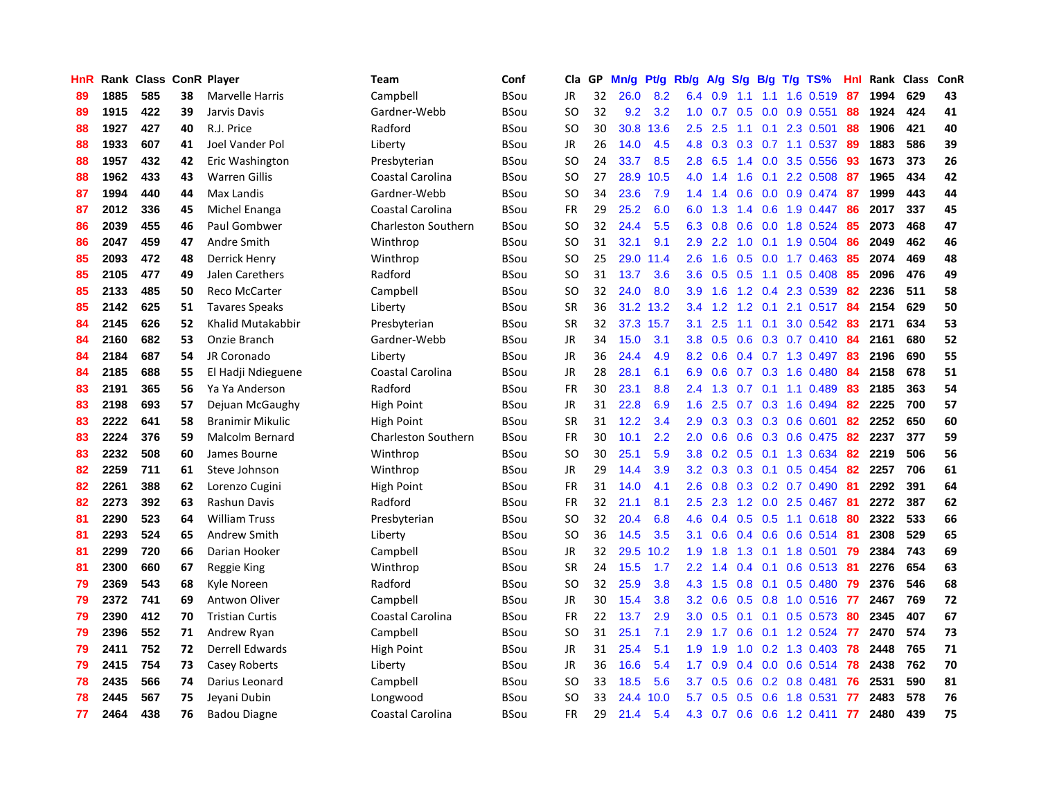| HnR |      | Rank Class ConR Player |    |                        | Team                       | Conf        | Cla           | <b>GP</b> | Mn/g | <b>Pt/g</b> | Rb/g             | A/g           | S/g           |                 | B/g T/g TS%             | Hnl | Rank | <b>Class</b> | ConR |
|-----|------|------------------------|----|------------------------|----------------------------|-------------|---------------|-----------|------|-------------|------------------|---------------|---------------|-----------------|-------------------------|-----|------|--------------|------|
| 89  | 1885 | 585                    | 38 | Marvelle Harris        | Campbell                   | BSou        | JR            | 32        | 26.0 | 8.2         | 6.4              | 0.9           | 1.1           | 1.1             | 1.6 0.519               | -87 | 1994 | 629          | 43   |
| 89  | 1915 | 422                    | 39 | Jarvis Davis           | Gardner-Webb               | BSou        | SO            | 32        | 9.2  | 3.2         |                  | $1.0 \t0.7$   |               |                 | $0.5$ 0.0 0.9 0.551     | -88 | 1924 | 424          | 41   |
| 88  | 1927 | 427                    | 40 | R.J. Price             | Radford                    | BSou        | SO            | 30        | 30.8 | 13.6        | 2.5              | 2.5           |               |                 | 1.1 0.1 2.3 0.501       | -88 | 1906 | 421          | 40   |
| 88  | 1933 | 607                    | 41 | Joel Vander Pol        | Liberty                    | BSou        | <b>JR</b>     | 26        | 14.0 | 4.5         | 4.8              | 0.3           |               |                 | 0.3 0.7 1.1 0.537       | 89  | 1883 | 586          | 39   |
| 88  | 1957 | 432                    | 42 | Eric Washington        | Presbyterian               | BSou        | <sub>SO</sub> | 24        | 33.7 | 8.5         | 2.8              | 6.5           |               |                 | 1.4 0.0 3.5 0.556       | 93  | 1673 | 373          | 26   |
| 88  | 1962 | 433                    | 43 | <b>Warren Gillis</b>   | Coastal Carolina           | BSou        | <b>SO</b>     | 27        | 28.9 | 10.5        | 4.0              | 1.4           | 1.6           |                 | $0.1$ 2.2 0.508         | 87  | 1965 | 434          | 42   |
| 87  | 1994 | 440                    | 44 | Max Landis             | Gardner-Webb               | BSou        | SO            | 34        | 23.6 | 7.9         | 1.4              | 1.4           | 0.6           |                 | $0.0$ $0.9$ $0.474$     | 87  | 1999 | 443          | 44   |
| 87  | 2012 | 336                    | 45 | Michel Enanga          | Coastal Carolina           | BSou        | <b>FR</b>     | 29        | 25.2 | 6.0         | 6.0              | 1.3           |               |                 | 1.4 0.6 1.9 0.447       | 86  | 2017 | 337          | 45   |
| 86  | 2039 | 455                    | 46 | Paul Gombwer           | <b>Charleston Southern</b> | BSou        | SO            | 32        | 24.4 | 5.5         | 6.3              | 0.8           | 0.6           |                 | 0.0 1.8 0.524           | 85  | 2073 | 468          | 47   |
| 86  | 2047 | 459                    | 47 | Andre Smith            | Winthrop                   | BSou        | SO            | 31        | 32.1 | 9.1         | 2.9 <sup>°</sup> | 2.2           |               |                 | 1.0 0.1 1.9 0.504       | -86 | 2049 | 462          | 46   |
| 85  | 2093 | 472                    | 48 | Derrick Henry          | Winthrop                   | <b>BSou</b> | <b>SO</b>     | 25        | 29.0 | 11.4        | 2.6              | 1.6           |               |                 | 0.5 0.0 1.7 0.463 85    |     | 2074 | 469          | 48   |
| 85  | 2105 | 477                    | 49 | Jalen Carethers        | Radford                    | BSou        | SO            | 31        | 13.7 | 3.6         | 3.6              | 0.5           |               |                 | $0.5$ 1.1 0.5 0.408     | -85 | 2096 | 476          | 49   |
| 85  | 2133 | 485                    | 50 | Reco McCarter          | Campbell                   | BSou        | <sub>SO</sub> | 32        | 24.0 | 8.0         | 3.9 <sup>°</sup> | 1.6           |               |                 | 1.2 0.4 2.3 0.539       | 82  | 2236 | 511          | 58   |
| 85  | 2142 | 625                    | 51 | <b>Tavares Speaks</b>  | Liberty                    | BSou        | <b>SR</b>     | 36        | 31.2 | 13.2        | 3.4              | 1.2           | 1.2           |                 | $0.1$ 2.1 0.517         | -84 | 2154 | 629          | 50   |
| 84  | 2145 | 626                    | 52 | Khalid Mutakabbir      | Presbyterian               | BSou        | <b>SR</b>     | 32        | 37.3 | 15.7        | 3.1              | 2.5           |               | $1.1 \quad 0.1$ | 3.0 0.542               | 83  | 2171 | 634          | 53   |
| 84  | 2160 | 682                    | 53 | Onzie Branch           | Gardner-Webb               | BSou        | JR            | 34        | 15.0 | 3.1         | 3.8 <sub>2</sub> | 0.5           | 0.6           |                 | $0.3$ 0.7 0.410         | -84 | 2161 | 680          | 52   |
| 84  | 2184 | 687                    | 54 | JR Coronado            | Liberty                    | BSou        | JR            | 36        | 24.4 | 4.9         | 8.2              | 0.6           |               |                 | 0.4 0.7 1.3 0.497       | 83  | 2196 | 690          | 55   |
| 84  | 2185 | 688                    | 55 | El Hadji Ndieguene     | Coastal Carolina           | BSou        | <b>JR</b>     | 28        | 28.1 | 6.1         | 6.9              | 0.6           | 0.7           |                 | $0.3$ 1.6 0.480         | 84  | 2158 | 678          | 51   |
| 83  | 2191 | 365                    | 56 | Ya Ya Anderson         | Radford                    | BSou        | <b>FR</b>     | 30        | 23.1 | 8.8         | $2.4^{\circ}$    | 1.3           |               |                 | $0.7$ 0.1 1.1 0.489     | -83 | 2185 | 363          | 54   |
| 83  | 2198 | 693                    | 57 | Dejuan McGaughy        | High Point                 | BSou        | <b>JR</b>     | 31        | 22.8 | 6.9         | 1.6              | 2.5           |               |                 | $0.7$ $0.3$ 1.6 $0.494$ | -82 | 2225 | 700          | 57   |
| 83  | 2222 | 641                    | 58 | Branimir Mikulic       | High Point                 | BSou        | SR            | 31        | 12.2 | 3.4         | 2.9              | 0.3           |               |                 | $0.3$ 0.3 0.6 0.601     | 82  | 2252 | 650          | 60   |
| 83  | 2224 | 376                    | 59 | Malcolm Bernard        | <b>Charleston Southern</b> | BSou        | <b>FR</b>     | 30        | 10.1 | 2.2         | 2.0              | 0.6           | 0.6           |                 | 0.3 0.6 0.475           | 82  | 2237 | 377          | 59   |
| 83  | 2232 | 508                    | 60 | James Bourne           | Winthrop                   | BSou        | SO            | 30        | 25.1 | 5.9         | 3.8              | 0.2           |               |                 | $0.5$ 0.1 1.3 0.634     | 82  | 2219 | 506          | 56   |
| 82  | 2259 | 711                    | 61 | Steve Johnson          | Winthrop                   | BSou        | JR            | 29        | 14.4 | 3.9         | 3.2              | 0.3           | 0.3           |                 | $0.1$ 0.5 0.454         | 82  | 2257 | 706          | 61   |
| 82  | 2261 | 388                    | 62 | Lorenzo Cugini         | High Point                 | BSou        | <b>FR</b>     | 31        | 14.0 | 4.1         | 2.6              | 0.8           | 0.3           |                 | $0.2$ 0.7 0.490         | 81  | 2292 | 391          | 64   |
| 82  | 2273 | 392                    | 63 | Rashun Davis           | Radford                    | BSou        | <b>FR</b>     | 32        | 21.1 | 8.1         | $2.5^{\circ}$    | 2.3           |               |                 | 1.2 0.0 2.5 0.467       | -81 | 2272 | 387          | 62   |
| 81  | 2290 | 523                    | 64 | <b>William Truss</b>   | Presbyterian               | BSou        | SO            | 32        | 20.4 | 6.8         | 4.6              | $0.4^{\circ}$ |               |                 | 0.5 0.5 1.1 0.618 80    |     | 2322 | 533          | 66   |
| 81  | 2293 | 524                    | 65 | Andrew Smith           | Liberty                    | BSou        | SO            | 36        | 14.5 | 3.5         | 3.1              | 0.6           |               |                 | 0.4 0.6 0.6 0.514 81    |     | 2308 | 529          | 65   |
| 81  | 2299 | 720                    | 66 | Darian Hooker          | Campbell                   | <b>BSou</b> | JR            | 32        | 29.5 | 10.2        | 1.9              | 1.8           | 1.3           |                 | 0.1 1.8 0.501 79        |     | 2384 | 743          | 69   |
| 81  | 2300 | 660                    | 67 | Reggie King            | Winthrop                   | BSou        | <b>SR</b>     | 24        | 15.5 | 1.7         | $2.2^{\circ}$    | 1.4           | $0.4^{\circ}$ | 0.1             | $0.6$ 0.513             | -81 | 2276 | 654          | 63   |
| 79  | 2369 | 543                    | 68 | Kyle Noreen            | Radford                    | BSou        | SO.           | 32        | 25.9 | 3.8         | 4.3              | 1.5           | 0.8           |                 | $0.1$ 0.5 0.480         | 79  | 2376 | 546          | 68   |
| 79  | 2372 | 741                    | 69 | Antwon Oliver          | Campbell                   | <b>BSou</b> | JR            | 30        | 15.4 | 3.8         | 3.2              | 0.6           | 0.5           |                 | 0.8 1.0 0.516           | -77 | 2467 | 769          | 72   |
| 79  | 2390 | 412                    | 70 | <b>Tristian Curtis</b> | Coastal Carolina           | <b>BSou</b> | <b>FR</b>     | 22        | 13.7 | 2.9         | 3.0 <sub>2</sub> | 0.5           | 0.1           | 0.1             | $0.5$ 0.573             | 80  | 2345 | 407          | 67   |
| 79  | 2396 | 552                    | 71 | Andrew Ryan            | Campbell                   | <b>BSou</b> | SO            | 31        | 25.1 | 7.1         | 2.9              | 1.7           | 0.6           |                 | 0.1 1.2 0.524           | 77  | 2470 | 574          | 73   |
| 79  | 2411 | 752                    | 72 | <b>Derrell Edwards</b> | <b>High Point</b>          | <b>BSou</b> | <b>JR</b>     | 31        | 25.4 | 5.1         | 1.9              | 1.9           | 1.0           |                 | $0.2$ 1.3 0.403         | -78 | 2448 | 765          | 71   |
| 79  | 2415 | 754                    | 73 | Casey Roberts          | Liberty                    | <b>BSou</b> | JR            | 36        | 16.6 | 5.4         | 1.7              | 0.9           |               |                 | 0.4 0.0 0.6 0.514 78    |     | 2438 | 762          | 70   |
| 78  | 2435 | 566                    | 74 | Darius Leonard         | Campbell                   | BSou        | <sub>SO</sub> | 33        | 18.5 | 5.6         | 3.7              | 0.5           |               |                 | $0.6$ 0.2 0.8 0.481     | -76 | 2531 | 590          | 81   |
| 78  | 2445 | 567                    | 75 | Jevani Dubin           | Longwood                   | BSou        | SO            | 33        | 24.4 | 10.0        | 5.7              | 0.5           | 0.5           |                 | $0.6$ 1.8 0.531         | 77  | 2483 | 578          | 76   |
| 77  | 2464 | 438                    | 76 | <b>Badou Diagne</b>    | Coastal Carolina           | BSou        | FR            | 29        | 21.4 | 5.4         | 4.3              | 0.7           |               |                 | $0.6$ 0.6 1.2 0.411     | 77  | 2480 | 439          | 75   |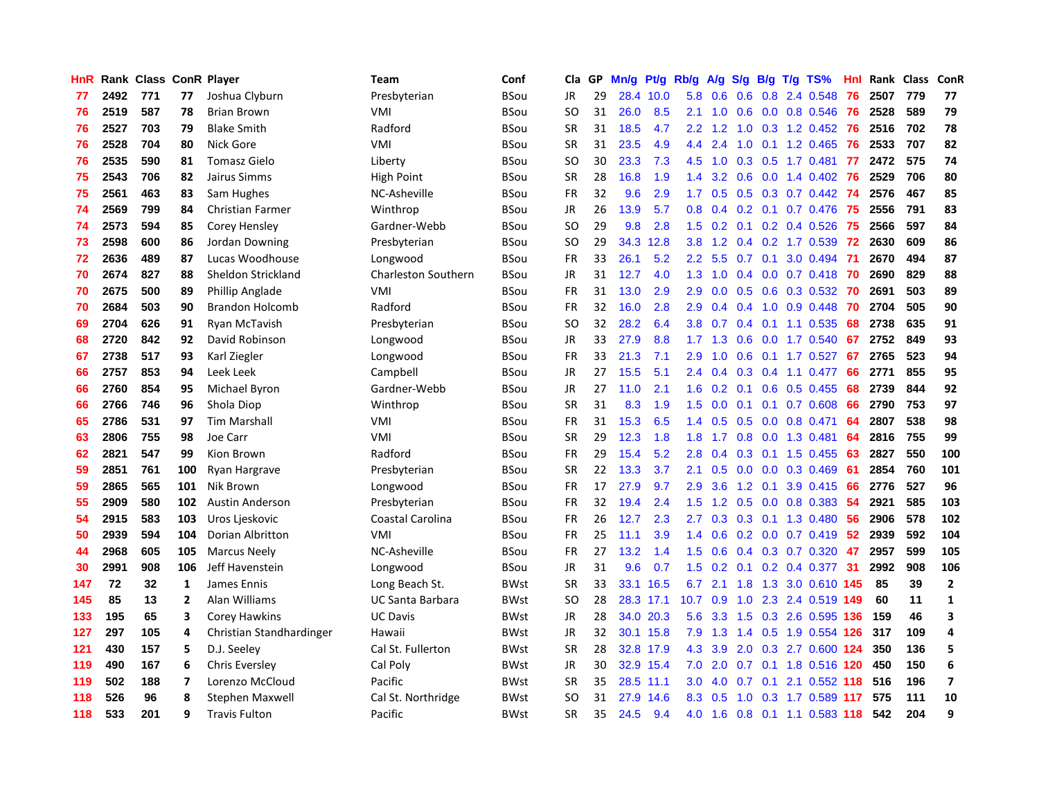| HnR |      | Rank Class ConR Player |                |                          | <b>Team</b>                | Conf        | Cla           | <b>GP</b> | Mn/g | Pt/g      | Rb/g             | A/g       |                  |     | S/g B/g T/g TS%           | Hnl | Rank Class |     | ConR           |
|-----|------|------------------------|----------------|--------------------------|----------------------------|-------------|---------------|-----------|------|-----------|------------------|-----------|------------------|-----|---------------------------|-----|------------|-----|----------------|
| 77  | 2492 | 771                    | 77             | Joshua Clyburn           | Presbyterian               | BSou        | JR            | 29        | 28.4 | 10.0      | 5.8              | 0.6       | 0.6              |     | 0.8 2.4 0.548             | 76  | 2507       | 779 | 77             |
| 76  | 2519 | 587                    | 78             | <b>Brian Brown</b>       | VMI                        | BSou        | SO            | 31        | 26.0 | 8.5       | 2.1              | 1.0       |                  |     | $0.6$ $0.0$ $0.8$ $0.546$ | -76 | 2528       | 589 | 79             |
| 76  | 2527 | 703                    | 79             | <b>Blake Smith</b>       | Radford                    | BSou        | <b>SR</b>     | 31        | 18.5 | 4.7       | 2.2              | 1.2       |                  |     | 1.0 0.3 1.2 0.452         | -76 | 2516       | 702 | 78             |
| 76  | 2528 | 704                    | 80             | Nick Gore                | VMI                        | BSou        | <b>SR</b>     | 31        | 23.5 | 4.9       | 4.4              | 2.4       | 1.0              |     | $0.1$ 1.2 0.465           | 76  | 2533       | 707 | 82             |
| 76  | 2535 | 590                    | 81             | <b>Tomasz Gielo</b>      | Liberty                    | BSou        | <sub>SO</sub> | 30        | 23.3 | 7.3       | 4.5              | 1.0       | 0.3              |     | $0.5$ 1.7 0.481           | 77  | 2472       | 575 | 74             |
| 75  | 2543 | 706                    | 82             | Jairus Simms             | High Point                 | BSou        | <b>SR</b>     | 28        | 16.8 | 1.9       | 1.4              | 3.2       | 0.6              |     | $0.0$ 1.4 $0.402$         | -76 | 2529       | 706 | 80             |
| 75  | 2561 | 463                    | 83             | Sam Hughes               | NC-Asheville               | BSou        | <b>FR</b>     | 32        | 9.6  | 2.9       | 1.7              | 0.5       |                  |     | $0.5$ $0.3$ $0.7$ $0.442$ | -74 | 2576       | 467 | 85             |
| 74  | 2569 | 799                    | 84             | <b>Christian Farmer</b>  | Winthrop                   | BSou        | <b>JR</b>     | 26        | 13.9 | 5.7       | 0.8              | 0.4       |                  |     | $0.2$ 0.1 0.7 0.476       | 75  | 2556       | 791 | 83             |
| 74  | 2573 | 594                    | 85             | Corey Hensley            | Gardner-Webb               | BSou        | <sub>SO</sub> | 29        | 9.8  | 2.8       | 1.5              | 0.2       |                  |     | $0.1$ 0.2 0.4 0.526       | 75  | 2566       | 597 | 84             |
| 73  | 2598 | 600                    | 86             | Jordan Downing           | Presbyterian               | BSou        | SO            | 29        | 34.3 | 12.8      | 3.8 <sub>2</sub> | 1.2       |                  |     | $0.4$ $0.2$ 1.7 $0.539$   | 72  | 2630       | 609 | 86             |
| 72  | 2636 | 489                    | 87             | Lucas Woodhouse          | Longwood                   | BSou        | <b>FR</b>     | 33        | 26.1 | 5.2       | 2.2              | 5.5       |                  |     | 0.7 0.1 3.0 0.494 71      |     | 2670       | 494 | 87             |
| 70  | 2674 | 827                    | 88             | Sheldon Strickland       | <b>Charleston Southern</b> | <b>BSou</b> | <b>JR</b>     | 31        | 12.7 | 4.0       | 1.3              | 1.0       |                  |     | 0.4 0.0 0.7 0.418 70      |     | 2690       | 829 | 88             |
| 70  | 2675 | 500                    | 89             | Phillip Anglade          | VMI                        | <b>BSou</b> | <b>FR</b>     | 31        | 13.0 | 2.9       | 2.9              | 0.0       |                  |     | 0.5 0.6 0.3 0.532 70      |     | 2691       | 503 | 89             |
| 70  | 2684 | 503                    | 90             | <b>Brandon Holcomb</b>   | Radford                    | <b>BSou</b> | <b>FR</b>     | 32        | 16.0 | 2.8       | 2.9              | 0.4       | 0.4              |     | $1.0$ 0.9 0.448           | 70  | 2704       | 505 | 90             |
| 69  | 2704 | 626                    | 91             | Ryan McTavish            | Presbyterian               | <b>BSou</b> | SO            | 32        | 28.2 | 6.4       | 3.8              | 0.7       |                  |     | 0.4 0.1 1.1 0.535         | 68  | 2738       | 635 | 91             |
| 68  | 2720 | 842                    | 92             | David Robinson           | Longwood                   | <b>BSou</b> | <b>JR</b>     | 33        | 27.9 | 8.8       |                  | $1.7$ 1.3 | 0.6              |     | $0.0$ 1.7 $0.540$         | 67  | 2752       | 849 | 93             |
| 67  | 2738 | 517                    | 93             | Karl Ziegler             | Longwood                   | <b>BSou</b> | <b>FR</b>     | 33        | 21.3 | 7.1       | 2.9              | 1.0       | 0.6              |     | $0.1$ 1.7 0.527           | 67  | 2765       | 523 | 94             |
| 66  | 2757 | 853                    | 94             | Leek Leek                | Campbell                   | <b>BSou</b> | <b>JR</b>     | 27        | 15.5 | 5.1       | 2.4              | 0.4       | 0.3              |     | 0.4 1.1 0.477             | 66  | 2771       | 855 | 95             |
| 66  | 2760 | 854                    | 95             | Michael Byron            | Gardner-Webb               | BSou        | JR            | 27        | 11.0 | 2.1       | 1.6              | 0.2       |                  |     | $0.1$ $0.6$ $0.5$ $0.455$ | 68  | 2739       | 844 | 92             |
| 66  | 2766 | 746                    | 96             | Shola Diop               | Winthrop                   | BSou        | <b>SR</b>     | 31        | 8.3  | 1.9       | 1.5              | 0.0       |                  |     | $0.1$ 0.1 0.7 0.608       | 66  | 2790       | 753 | 97             |
| 65  | 2786 | 531                    | 97             | <b>Tim Marshall</b>      | VMI                        | BSou        | FR            | 31        | 15.3 | 6.5       | 1.4              | 0.5       |                  |     | $0.5$ 0.0 0.8 0.471       | 64  | 2807       | 538 | 98             |
| 63  | 2806 | 755                    | 98             | Joe Carr                 | VMI                        | BSou        | <b>SR</b>     | 29        | 12.3 | 1.8       | 1.8              | 1.7       | 0.8              |     | $0.0$ 1.3 0.481           | 64  | 2816       | 755 | 99             |
| 62  | 2821 | 547                    | 99             | Kion Brown               | Radford                    | BSou        | FR            | 29        | 15.4 | 5.2       | 2.8              | 0.4       | 0.3              |     | $0.1$ 1.5 0.455           | 63  | 2827       | 550 | 100            |
| 59  | 2851 | 761                    | 100            | Ryan Hargrave            | Presbyterian               | BSou        | <b>SR</b>     | 22        | 13.3 | 3.7       | 2.1              | 0.5       | 0.0 <sub>1</sub> |     | $0.0$ 0.3 0.469           | 61  | 2854       | 760 | 101            |
| 59  | 2865 | 565                    | 101            | Nik Brown                | Longwood                   | BSou        | FR            | 17        | 27.9 | 9.7       | 2.9              | 3.6       | 1.2              | 0.1 | 3.9 0.415                 | 66  | 2776       | 527 | 96             |
| 55  | 2909 | 580                    | 102            | <b>Austin Anderson</b>   | Presbyterian               | <b>BSou</b> | FR            | 32        | 19.4 | 2.4       | 1.5              | 1.2       | 0.5              |     | $0.0$ 0.8 0.383           | 54  | 2921       | 585 | 103            |
| 54  | 2915 | 583                    | 103            | Uros Ljeskovic           | Coastal Carolina           | BSou        | FR            | 26        | 12.7 | 2.3       | 2.7              | 0.3       |                  |     | $0.3$ 0.1 1.3 0.480       | -56 | 2906       | 578 | 102            |
| 50  | 2939 | 594                    | 104            | Dorian Albritton         | VMI                        | <b>BSou</b> | <b>FR</b>     | 25        | 11.1 | 3.9       | 1.4              | 0.6       |                  |     | $0.2$ 0.0 0.7 0.419 52    |     | 2939       | 592 | 104            |
| 44  | 2968 | 605                    | 105            | <b>Marcus Neely</b>      | NC-Asheville               | BSou        | <b>FR</b>     | 27        | 13.2 | 1.4       | $1.5^{\circ}$    | 0.6       |                  |     | $0.4$ 0.3 0.7 0.320       | 47  | 2957       | 599 | 105            |
| 30  | 2991 | 908                    | 106            | Jeff Havenstein          | Longwood                   | BSou        | <b>JR</b>     | 31        | 9.6  | 0.7       | 1.5              | 0.2       |                  |     | $0.1$ 0.2 0.4 0.377       | 31  | 2992       | 908 | 106            |
| 147 | 72   | 32                     | $\mathbf{1}$   | James Ennis              | Long Beach St.             | <b>BWst</b> | <b>SR</b>     | 33        | 33.1 | 16.5      | 6.7              | 2.1       | 1.8              |     | 1.3 3.0 0.610             | 145 | 85         | 39  | $\overline{2}$ |
| 145 | 85   | 13                     | $\overline{2}$ | Alan Williams            | <b>UC Santa Barbara</b>    | <b>BWst</b> | <sub>SO</sub> | 28        |      | 28.3 17.1 | 10.7             | 0.9       | 1.0              |     | 2.3 2.4 0.519             | 149 | 60         | 11  | $\mathbf{1}$   |
| 133 | 195  | 65                     | 3              | Corey Hawkins            | <b>UC Davis</b>            | <b>BWst</b> | <b>JR</b>     | 28        |      | 34.0 20.3 | 5.6              | 3.3       | 1.5              |     | 0.3 2.6 0.595             | 136 | 159        | 46  | 3              |
| 127 | 297  | 105                    | 4              | Christian Standhardinger | Hawaii                     | <b>BWst</b> | <b>JR</b>     | 32        |      | 30.1 15.8 | 7.9              | 1.3       | $1.4^{\circ}$    |     | 0.5 1.9 0.554 126         |     | 317        | 109 | 4              |
| 121 | 430  | 157                    | 5              | D.J. Seeley              | Cal St. Fullerton          | <b>BWst</b> | <b>SR</b>     | 28        |      | 32.8 17.9 | 4.3              | 3.9       | 2.0              |     | $0.3$ 2.7 $0.600$         | 124 | 350        | 136 | 5              |
| 119 | 490  | 167                    | 6              | Chris Eversley           | Cal Poly                   | <b>BWst</b> | <b>JR</b>     | 30        |      | 32.9 15.4 | 7.0              | 2.0       |                  |     | 0.7 0.1 1.8 0.516 120     |     | 450        | 150 | 6              |
| 119 | 502  | 188                    | 7              | Lorenzo McCloud          | Pacific                    | BWst        | <b>SR</b>     | 35        |      | 28.5 11.1 | 3.0 <sub>2</sub> | 4.0       |                  |     | 0.7 0.1 2.1 0.552 118     |     | 516        | 196 | $\overline{7}$ |
| 118 | 526  | 96                     | 8              | <b>Stephen Maxwell</b>   | Cal St. Northridge         | BWst        | SO            | 31        | 27.9 | 14.6      | 8.3              | 0.5       | 1.0              |     | 0.3 1.7 0.589 117         |     | 575        | 111 | 10             |
| 118 | 533  | 201                    | 9              | <b>Travis Fulton</b>     | Pacific                    | <b>BWst</b> | <b>SR</b>     | 35        | 24.5 | 9.4       | 4.0              | 1.6       |                  |     | 0.8 0.1 1.1 0.583 118     |     | 542        | 204 | 9              |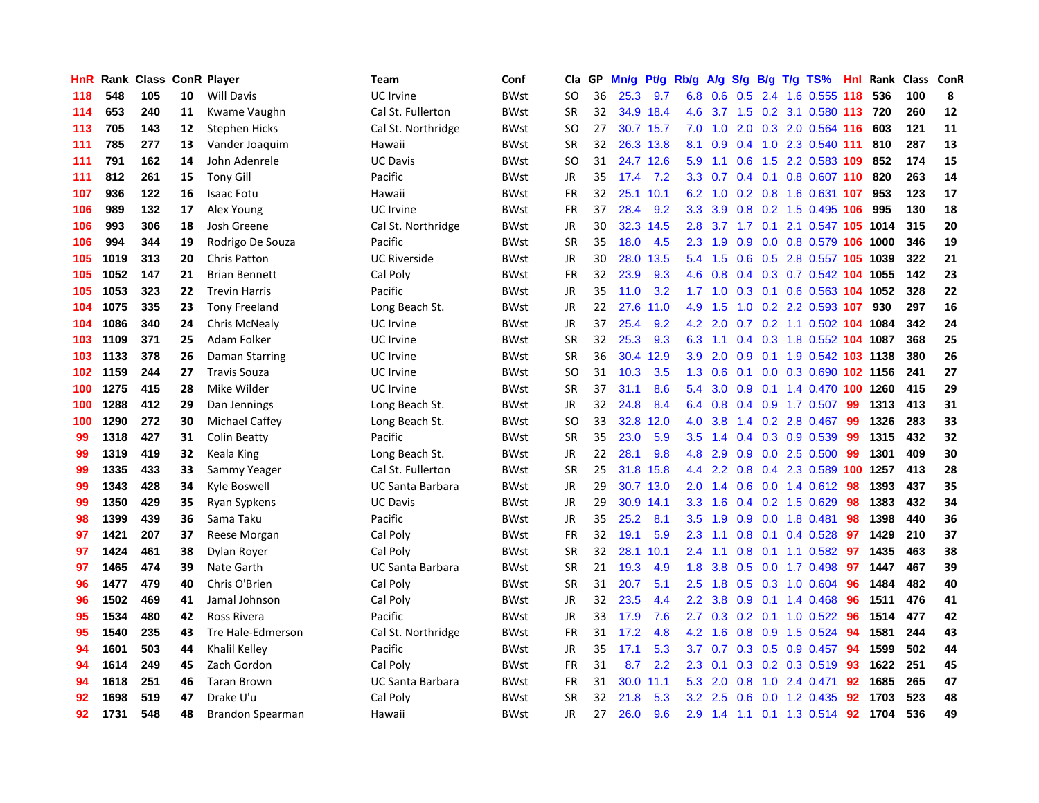| HnR | Rank |     |    | <b>Class ConR Player</b> | <b>Team</b>             | Conf        | Cla       | <b>GP</b> | Mn/g | Pt/g Rb/g |                  | A/g |                  |  | S/g B/g T/g TS%                | Hnl | Rank | Class | <b>ConR</b> |
|-----|------|-----|----|--------------------------|-------------------------|-------------|-----------|-----------|------|-----------|------------------|-----|------------------|--|--------------------------------|-----|------|-------|-------------|
| 118 | 548  | 105 | 10 | <b>Will Davis</b>        | <b>UC</b> Irvine        | <b>BWst</b> | <b>SO</b> | 36        | 25.3 | 9.7       | 6.8              | 0.6 | 0.5              |  | 2.4 1.6 0.555 118              |     | 536  | 100   | 8           |
| 114 | 653  | 240 | 11 | Kwame Vaughn             | Cal St. Fullerton       | <b>BWst</b> | <b>SR</b> | 32        |      | 34.9 18.4 | 4.6              |     |                  |  | 3.7 1.5 0.2 3.1 0.580 113 720  |     |      | 260   | 12          |
| 113 | 705  | 143 | 12 | <b>Stephen Hicks</b>     | Cal St. Northridge      | <b>BWst</b> | SO        | 27        |      | 30.7 15.7 | 7.0              |     |                  |  | 1.0 2.0 0.3 2.0 0.564 116      |     | 603  | 121   | 11          |
| 111 | 785  | 277 | 13 | Vander Joaquim           | Hawaii                  | BWst        | <b>SR</b> | 32        |      | 26.3 13.8 | 8.1              | 0.9 |                  |  | $0.4$ 1.0 2.3 0.540 111        |     | 810  | 287   | 13          |
| 111 | 791  | 162 | 14 | John Adenrele            | <b>UC Davis</b>         | <b>BWst</b> | <b>SO</b> | 31        |      | 24.7 12.6 | 5.9              | 1.1 | 0.6              |  | 1.5 2.2 0.583 109              |     | 852  | 174   | 15          |
| 111 | 812  | 261 | 15 | <b>Tony Gill</b>         | Pacific                 | BWst        | <b>JR</b> | 35        | 17.4 | 7.2       | 3.3              | 0.7 |                  |  | $0.4$ 0.1 0.8 0.607 110        |     | 820  | 263   | 14          |
| 107 | 936  | 122 | 16 | Isaac Fotu               | Hawaii                  | BWst        | <b>FR</b> | 32        | 25.1 | 10.1      | 6.2              | 1.0 |                  |  | 0.2 0.8 1.6 0.631 107          |     | 953  | 123   | 17          |
| 106 | 989  | 132 | 17 | Alex Young               | UC Irvine               | <b>BWst</b> | <b>FR</b> | 37        | 28.4 | 9.2       | 3.3              | 3.9 | 0.8              |  | 0.2 1.5 0.495 106              |     | 995  | 130   | 18          |
| 106 | 993  | 306 | 18 | Josh Greene              | Cal St. Northridge      | BWst        | JR        | 30        | 32.3 | 14.5      | 2.8              |     |                  |  | 3.7 1.7 0.1 2.1 0.547 105 1014 |     |      | 315   | 20          |
| 106 | 994  | 344 | 19 | Rodrigo De Souza         | Pacific                 | BWst        | <b>SR</b> | 35        | 18.0 | 4.5       | 2.3              | 1.9 |                  |  | 0.9 0.0 0.8 0.579 106 1000     |     |      | 346   | 19          |
| 105 | 1019 | 313 | 20 | <b>Chris Patton</b>      | <b>UC Riverside</b>     | BWst        | JR        | 30        | 28.0 | 13.5      | $5.4^{\circ}$    |     |                  |  | 1.5 0.6 0.5 2.8 0.557 105 1039 |     |      | 322   | 21          |
| 105 | 1052 | 147 | 21 | <b>Brian Bennett</b>     | Cal Poly                | <b>BWst</b> | FR        | 32        | 23.9 | 9.3       | 4.6              | 0.8 |                  |  | 0.4 0.3 0.7 0.542 104 1055     |     |      | 142   | 23          |
| 105 | 1053 | 323 | 22 | <b>Trevin Harris</b>     | Pacific                 | BWst        | <b>JR</b> | 35        | 11.0 | 3.2       | 1.7 <sub>2</sub> | 1.0 |                  |  | 0.3 0.1 0.6 0.563 104 1052     |     |      | 328   | 22          |
| 104 | 1075 | 335 | 23 | <b>Tony Freeland</b>     | Long Beach St.          | BWst        | <b>JR</b> | 22        | 27.6 | 11.0      | 4.9              | 1.5 | 1.0              |  | 0.2 2.2 0.593 107              |     | 930  | 297   | 16          |
| 104 | 1086 | 340 | 24 | Chris McNealy            | <b>UC</b> Irvine        | BWst        | <b>JR</b> | 37        | 25.4 | 9.2       | 4.2              | 2.0 |                  |  | 0.7 0.2 1.1 0.502 104 1084     |     |      | 342   | 24          |
| 103 | 1109 | 371 | 25 | Adam Folker              | UC Irvine               | <b>BWst</b> | <b>SR</b> | 32        | 25.3 | 9.3       | 6.3              | 1.1 |                  |  | 0.4 0.3 1.8 0.552 104 1087     |     |      | 368   | 25          |
| 103 | 1133 | 378 | 26 | <b>Daman Starring</b>    | <b>UC</b> Irvine        | <b>BWst</b> | <b>SR</b> | 36        | 30.4 | 12.9      | 3.9              | 2.0 | 0.9 <sub>0</sub> |  | 0.1 1.9 0.542 103 1138         |     |      | 380   | 26          |
| 102 | 1159 | 244 | 27 | <b>Travis Souza</b>      | UC Irvine               | <b>BWst</b> | <b>SO</b> | 31        | 10.3 | 3.5       | 1.3              | 0.6 | 0.1              |  | 0.0 0.3 0.690 102 1156         |     |      | 241   | 27          |
| 100 | 1275 | 415 | 28 | Mike Wilder              | <b>UC</b> Irvine        | BWst        | <b>SR</b> | 37        | 31.1 | 8.6       | 5.4              | 3.0 |                  |  | 0.9 0.1 1.4 0.470 100 1260     |     |      | 415   | 29          |
| 100 | 1288 | 412 | 29 | Dan Jennings             | Long Beach St.          | <b>BWst</b> | JR        | 32        | 24.8 | 8.4       | 6.4              | 0.8 |                  |  | 0.4 0.9 1.7 0.507 99           |     | 1313 | 413   | 31          |
| 100 | 1290 | 272 | 30 | <b>Michael Caffey</b>    | Long Beach St.          | <b>BWst</b> | <b>SO</b> | 33        | 32.8 | 12.0      | 4.0              | 3.8 |                  |  | 1.4 0.2 2.8 0.467              | -99 | 1326 | 283   | 33          |
| 99  | 1318 | 427 | 31 | <b>Colin Beatty</b>      | Pacific                 | <b>BWst</b> | <b>SR</b> | 35        | 23.0 | 5.9       | 3.5              | 1.4 |                  |  | 0.4 0.3 0.9 0.539              | 99  | 1315 | 432   | 32          |
| 99  | 1319 | 419 | 32 | Keala King               | Long Beach St.          | BWst        | JR        | 22        | 28.1 | 9.8       | 4.8              | 2.9 |                  |  | 0.9 0.0 2.5 0.500              | 99  | 1301 | 409   | 30          |
| 99  | 1335 | 433 | 33 | Sammy Yeager             | Cal St. Fullerton       | <b>BWst</b> | <b>SR</b> | 25        | 31.8 | 15.8      | 4.4              | 2.2 | 0.8              |  | 0.4 2.3 0.589 100              |     | 1257 | 413   | 28          |
| 99  | 1343 | 428 | 34 | Kyle Boswell             | <b>UC Santa Barbara</b> | BWst        | JR        | 29        | 30.7 | 13.0      | 2.0              | 1.4 | 0.6              |  | $0.0$ 1.4 $0.612$              | 98  | 1393 | 437   | 35          |
| 99  | 1350 | 429 | 35 | Ryan Sypkens             | <b>UC Davis</b>         | <b>BWst</b> | JR        | 29        | 30.9 | 14.1      | 3.3              | 1.6 |                  |  | 0.4 0.2 1.5 0.629              | 98  | 1383 | 432   | 34          |
| 98  | 1399 | 439 | 36 | Sama Taku                | Pacific                 | BWst        | JR        | 35        | 25.2 | 8.1       | 3.5              | 1.9 |                  |  | $0.9$ 0.0 1.8 0.481            | 98  | 1398 | 440   | 36          |
| 97  | 1421 | 207 | 37 | Reese Morgan             | Cal Poly                | <b>BWst</b> | <b>FR</b> | 32        | 19.1 | 5.9       | 2.3              | 1.1 |                  |  | 0.8 0.1 0.4 0.528 97           |     | 1429 | 210   | 37          |
| 97  | 1424 | 461 | 38 | Dylan Royer              | Cal Poly                | <b>BWst</b> | <b>SR</b> | 32        | 28.1 | 10.1      | $2.4^{\circ}$    | 1.1 |                  |  | 0.8 0.1 1.1 0.582 97           |     | 1435 | 463   | 38          |
| 97  | 1465 | 474 | 39 | Nate Garth               | UC Santa Barbara        | <b>BWst</b> | <b>SR</b> | 21        | 19.3 | 4.9       | 1.8              | 3.8 |                  |  | $0.5$ 0.0 1.7 0.498            | 97  | 1447 | 467   | 39          |
| 96  | 1477 | 479 | 40 | Chris O'Brien            | Cal Poly                | <b>BWst</b> | <b>SR</b> | 31        | 20.7 | 5.1       | 2.5              | 1.8 | 0.5              |  | $0.3$ 1.0 0.604                | 96  | 1484 | 482   | 40          |
| 96  | 1502 | 469 | 41 | Jamal Johnson            | Cal Poly                | BWst        | <b>JR</b> | 32        | 23.5 | 4.4       | 2.2              | 3.8 | 0.9              |  | $0.1$ 1.4 0.468                | 96  | 1511 | 476   | 41          |
| 95  | 1534 | 480 | 42 | Ross Rivera              | Pacific                 | <b>BWst</b> | <b>JR</b> | 33        | 17.9 | 7.6       | 2.7              | 0.3 |                  |  | $0.2$ 0.1 1.0 0.522            | -96 | 1514 | 477   | 42          |
| 95  | 1540 | 235 | 43 | Tre Hale-Edmerson        | Cal St. Northridge      | BWst        | <b>FR</b> | 31        | 17.2 | 4.8       | 4.2              | 1.6 | 0.8              |  | 0.9 1.5 0.524                  | -94 | 1581 | 244   | 43          |
| 94  | 1601 | 503 | 44 | Khalil Kelley            | Pacific                 | BWst        | JR        | 35        | 17.1 | 5.3       | 3.7              | 0.7 | 0.3              |  | $0.5$ 0.9 0.457                | 94  | 1599 | 502   | 44          |
| 94  | 1614 | 249 | 45 | Zach Gordon              | Cal Poly                | BWst        | FR        | 31        | 8.7  | 2.2       | 2.3              | 0.1 |                  |  | 0.3 0.2 0.3 0.519 93           |     | 1622 | 251   | 45          |
| 94  | 1618 | 251 | 46 | <b>Taran Brown</b>       | <b>UC Santa Barbara</b> | BWst        | <b>FR</b> | 31        | 30.0 | 11.1      | 5.3              | 2.0 |                  |  | $0.8$ 1.0 2.4 0.471            | 92  | 1685 | 265   | 47          |
| 92  | 1698 | 519 | 47 | Drake U'u                | Cal Poly                | BWst        | SR        | 32        | 21.8 | 5.3       | 3.2              | 2.5 |                  |  | $0.6$ $0.0$ 1.2 $0.435$        | -92 | 1703 | 523   | 48          |
| 92  | 1731 | 548 | 48 | Brandon Spearman         | Hawaii                  | <b>BWst</b> | <b>JR</b> | 27        | 26.0 | 9.6       | 2.9              |     |                  |  | 1.4 1.1 0.1 1.3 0.514 92       |     | 1704 | 536   | 49          |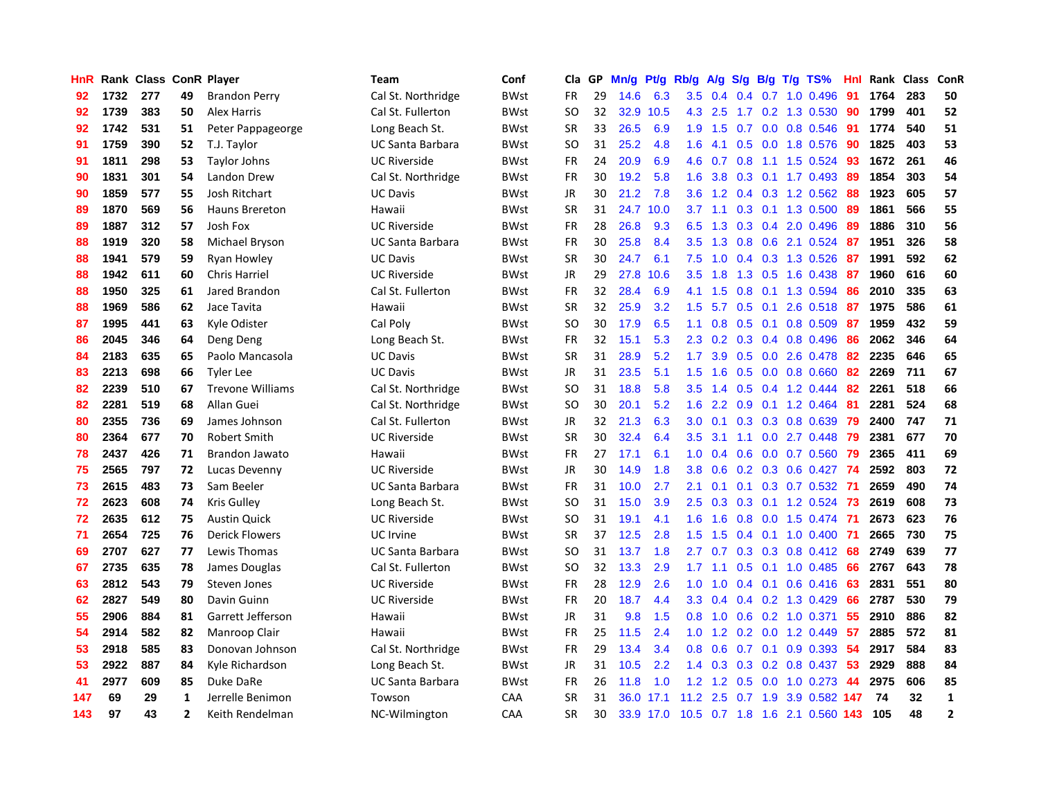| HnR |      | Rank Class ConR Player |                |                         | Team                    | Conf        | Cla       | GP | Mn/g | Pt/g      | Rb/g             | A/g           |               |  | $S/g$ B/g T/g TS%              | Hnl | Rank | Class | ConR           |
|-----|------|------------------------|----------------|-------------------------|-------------------------|-------------|-----------|----|------|-----------|------------------|---------------|---------------|--|--------------------------------|-----|------|-------|----------------|
| 92  | 1732 | 277                    | 49             | <b>Brandon Perry</b>    | Cal St. Northridge      | BWst        | FR        | 29 | 14.6 | 6.3       | 3.5              | 0.4           | $0.4^{\circ}$ |  | $0.7$ 1.0 0.496                | 91  | 1764 | 283   | 50             |
| 92  | 1739 | 383                    | 50             | <b>Alex Harris</b>      | Cal St. Fullerton       | <b>BWst</b> | SO        | 32 | 32.9 | 10.5      |                  | 4.3 2.5       |               |  | 1.7 0.2 1.3 0.530              | 90  | 1799 | 401   | 52             |
| 92  | 1742 | 531                    | 51             | Peter Pappageorge       | Long Beach St.          | <b>BWst</b> | <b>SR</b> | 33 | 26.5 | 6.9       | 1.9              | 1.5           |               |  | $0.7$ 0.0 0.8 0.546            | -91 | 1774 | 540   | 51             |
| 91  | 1759 | 390                    | 52             | T.J. Taylor             | UC Santa Barbara        | <b>BWst</b> | SO        | 31 | 25.2 | 4.8       | 1.6              | 4.1           |               |  | 0.5 0.0 1.8 0.576              | 90  | 1825 | 403   | 53             |
| 91  | 1811 | 298                    | 53             | Taylor Johns            | <b>UC Riverside</b>     | <b>BWst</b> | <b>FR</b> | 24 | 20.9 | 6.9       | 4.6              | 0.7           | 0.8           |  | 1.1 1.5 0.524                  | 93  | 1672 | 261   | 46             |
| 90  | 1831 | 301                    | 54             | Landon Drew             | Cal St. Northridge      | BWst        | <b>FR</b> | 30 | 19.2 | 5.8       | 1.6              | 3.8           |               |  | $0.3$ 0.1 1.7 0.493            | -89 | 1854 | 303   | 54             |
| 90  | 1859 | 577                    | 55             | Josh Ritchart           | <b>UC Davis</b>         | <b>BWst</b> | <b>JR</b> | 30 | 21.2 | 7.8       | 3.6              | 1.2           |               |  | $0.4$ 0.3 1.2 0.562            | 88  | 1923 | 605   | 57             |
| 89  | 1870 | 569                    | 56             | <b>Hauns Brereton</b>   | Hawaii                  | <b>BWst</b> | <b>SR</b> | 31 | 24.7 | 10.0      | 3.7              | 1.1           |               |  | 0.3 0.1 1.3 0.500              | -89 | 1861 | 566   | 55             |
| 89  | 1887 | 312                    | 57             | Josh Fox                | <b>UC Riverside</b>     | BWst        | <b>FR</b> | 28 | 26.8 | 9.3       | 6.5              | 1.3           | 0.3           |  | 0.4 2.0 0.496                  | -89 | 1886 | 310   | 56             |
| 88  | 1919 | 320                    | 58             | Michael Bryson          | <b>UC Santa Barbara</b> | BWst        | <b>FR</b> | 30 | 25.8 | 8.4       | $3.5^{\circ}$    | 1.3           |               |  | 0.8 0.6 2.1 0.524 87           |     | 1951 | 326   | 58             |
| 88  | 1941 | 579                    | 59             | Ryan Howley             | <b>UC Davis</b>         | BWst        | <b>SR</b> | 30 | 24.7 | 6.1       | 7.5              |               |               |  | 1.0 0.4 0.3 1.3 0.526 87       |     | 1991 | 592   | 62             |
| 88  | 1942 | 611                    | 60             | <b>Chris Harriel</b>    | <b>UC Riverside</b>     | <b>BWst</b> | JR        | 29 | 27.8 | 10.6      | $3.5^{\circ}$    | 1.8           |               |  | 1.3 0.5 1.6 0.438 87           |     | 1960 | 616   | 60             |
| 88  | 1950 | 325                    | 61             | Jared Brandon           | Cal St. Fullerton       | BWst        | <b>FR</b> | 32 | 28.4 | 6.9       | 4.1              | 1.5           | 0.8           |  | $0.1$ 1.3 0.594                | 86  | 2010 | 335   | 63             |
| 88  | 1969 | 586                    | 62             | Jace Tavita             | Hawaii                  | <b>BWst</b> | <b>SR</b> | 32 | 25.9 | 3.2       | 1.5              | 5.7           | 0.5           |  | 0.1 2.6 0.518 87               |     | 1975 | 586   | 61             |
| 87  | 1995 | 441                    | 63             | Kyle Odister            | Cal Poly                | BWst        | <b>SO</b> | 30 | 17.9 | 6.5       | 1.1              | 0.8           | 0.5           |  | $0.1$ 0.8 0.509                | 87  | 1959 | 432   | 59             |
| 86  | 2045 | 346                    | 64             | Deng Deng               | Long Beach St.          | <b>BWst</b> | <b>FR</b> | 32 | 15.1 | 5.3       | 2.3              | 0.2           |               |  | 0.3 0.4 0.8 0.496              | 86  | 2062 | 346   | 64             |
| 84  | 2183 | 635                    | 65             | Paolo Mancasola         | <b>UC Davis</b>         | <b>BWst</b> | <b>SR</b> | 31 | 28.9 | 5.2       | 1.7              | 3.9           | 0.5           |  | $0.0$ 2.6 $0.478$              | 82  | 2235 | 646   | 65             |
| 83  | 2213 | 698                    | 66             | <b>Tyler Lee</b>        | <b>UC Davis</b>         | <b>BWst</b> | <b>JR</b> | 31 | 23.5 | 5.1       | 1.5              | 1.6           | 0.5           |  | $0.0$ 0.8 0.660                | 82  | 2269 | 711   | 67             |
| 82  | 2239 | 510                    | 67             | <b>Trevone Williams</b> | Cal St. Northridge      | BWst        | <b>SO</b> | 31 | 18.8 | 5.8       | 3.5              | 1.4           |               |  | $0.5$ 0.4 1.2 0.444            | 82  | 2261 | 518   | 66             |
| 82  | 2281 | 519                    | 68             | <b>Allan Guei</b>       | Cal St. Northridge      | BWst        | <b>SO</b> | 30 | 20.1 | 5.2       | 1.6              | $2.2^{\circ}$ |               |  | 0.9 0.1 1.2 0.464              | -81 | 2281 | 524   | 68             |
| 80  | 2355 | 736                    | 69             | James Johnson           | Cal St. Fullerton       | <b>BWst</b> | JR        | 32 | 21.3 | 6.3       | 3.0              | 0.1           |               |  | 0.3 0.3 0.8 0.639              | 79  | 2400 | 747   | 71             |
| 80  | 2364 | 677                    | 70             | <b>Robert Smith</b>     | <b>UC Riverside</b>     | <b>BWst</b> | <b>SR</b> | 30 | 32.4 | 6.4       | 3.5              | 3.1           |               |  | 1.1 0.0 2.7 0.448              | 79  | 2381 | 677   | 70             |
| 78  | 2437 | 426                    | 71             | Brandon Jawato          | Hawaii                  | <b>BWst</b> | FR        | 27 | 17.1 | 6.1       | 1.0              | 0.4           | 0.6           |  | $0.0$ 0.7 0.560                | 79  | 2365 | 411   | 69             |
| 75  | 2565 | 797                    | 72             | Lucas Devenny           | <b>UC Riverside</b>     | <b>BWst</b> | JR        | 30 | 14.9 | 1.8       | 3.8              | 0.6           |               |  | 0.2 0.3 0.6 0.427              | -74 | 2592 | 803   | 72             |
| 73  | 2615 | 483                    | 73             | Sam Beeler              | <b>UC Santa Barbara</b> | BWst        | FR        | 31 | 10.0 | 2.7       | 2.1              | 0.1           |               |  | $0.1$ $0.3$ $0.7$ $0.532$      | -71 | 2659 | 490   | 74             |
| 72  | 2623 | 608                    | 74             | Kris Gulley             | Long Beach St.          | <b>BWst</b> | <b>SO</b> | 31 | 15.0 | 3.9       | 2.5              | 0.3           | 0.3           |  | $0.1$ 1.2 0.524                | 73  | 2619 | 608   | 73             |
| 72  | 2635 | 612                    | 75             | <b>Austin Quick</b>     | <b>UC Riverside</b>     | <b>BWst</b> | SO        | 31 | 19.1 | 4.1       | 1.6              | 1.6           |               |  | 0.8 0.0 1.5 0.474 71           |     | 2673 | 623   | 76             |
| 71  | 2654 | 725                    | 76             | <b>Derick Flowers</b>   | UC Irvine               | <b>BWst</b> | <b>SR</b> | 37 | 12.5 | 2.8       | 1.5              | 1.5           |               |  | 0.4 0.1 1.0 0.400 71           |     | 2665 | 730   | 75             |
| 69  | 2707 | 627                    | 77             | Lewis Thomas            | <b>UC Santa Barbara</b> | <b>BWst</b> | SO        | 31 | 13.7 | 1.8       | $2.7^{\circ}$    | 0.7           |               |  | $0.3$ 0.3 0.8 0.412 68         |     | 2749 | 639   | $77$           |
| 67  | 2735 | 635                    | 78             | James Douglas           | Cal St. Fullerton       | <b>BWst</b> | SO        | 32 | 13.3 | 2.9       | 1.7 <sub>2</sub> | 1.1           |               |  | $0.5$ 0.1 1.0 0.485            | -66 | 2767 | 643   | 78             |
| 63  | 2812 | 543                    | 79             | Steven Jones            | <b>UC Riverside</b>     | <b>BWst</b> | <b>FR</b> | 28 | 12.9 | 2.6       | 1.0              | 1.0           | $0.4^{\circ}$ |  | $0.1$ 0.6 0.416                | -63 | 2831 | 551   | 80             |
| 62  | 2827 | 549                    | 80             | Davin Guinn             | <b>UC Riverside</b>     | BWst        | FR        | 20 | 18.7 | 4.4       | 3.3 <sub>2</sub> | 0.4           |               |  | 0.4 0.2 1.3 0.429              | 66  | 2787 | 530   | 79             |
| 55  | 2906 | 884                    | 81             | Garrett Jefferson       | Hawaii                  | <b>BWst</b> | <b>JR</b> | 31 | 9.8  | 1.5       | 0.8              | 1.0           |               |  | $0.6$ $0.2$ 1.0 $0.371$        | -55 | 2910 | 886   | 82             |
| 54  | 2914 | 582                    | 82             | Manroop Clair           | Hawaii                  | BWst        | FR        | 25 | 11.5 | 2.4       | 1.0              | 1.2           |               |  | 0.2 0.0 1.2 0.449              | -57 | 2885 | 572   | 81             |
| 53  | 2918 | 585                    | 83             | Donovan Johnson         | Cal St. Northridge      | <b>BWst</b> | <b>FR</b> | 29 | 13.4 | 3.4       | 0.8              | 0.6           | 0.7           |  | $0.1$ 0.9 0.393                | -54 | 2917 | 584   | 83             |
| 53  | 2922 | 887                    | 84             | Kyle Richardson         | Long Beach St.          | BWst        | <b>JR</b> | 31 | 10.5 | 2.2       | 1.4              | 0.3           |               |  | 0.3 0.2 0.8 0.437              | -53 | 2929 | 888   | 84             |
| 41  | 2977 | 609                    | 85             | Duke DaRe               | UC Santa Barbara        | <b>BWst</b> | <b>FR</b> | 26 | 11.8 | 1.0       | 1.2              | 1.2           |               |  | $0.5$ 0.0 1.0 0.273            | -44 | 2975 | 606   | 85             |
| 147 | 69   | 29                     | 1              | Jerrelle Benimon        | Towson                  | CAA         | SR        | 31 |      | 36.0 17.1 | 11.2             | 2.5           |               |  | 0.7 1.9 3.9 0.582 147          |     | 74   | 32    | $\mathbf{1}$   |
| 143 | 97   | 43                     | $\overline{2}$ | Keith Rendelman         | NC-Wilmington           | CAA         | <b>SR</b> | 30 |      | 33.9 17.0 |                  |               |               |  | 10.5 0.7 1.8 1.6 2.1 0.560 143 |     | 105  | 48    | $\overline{2}$ |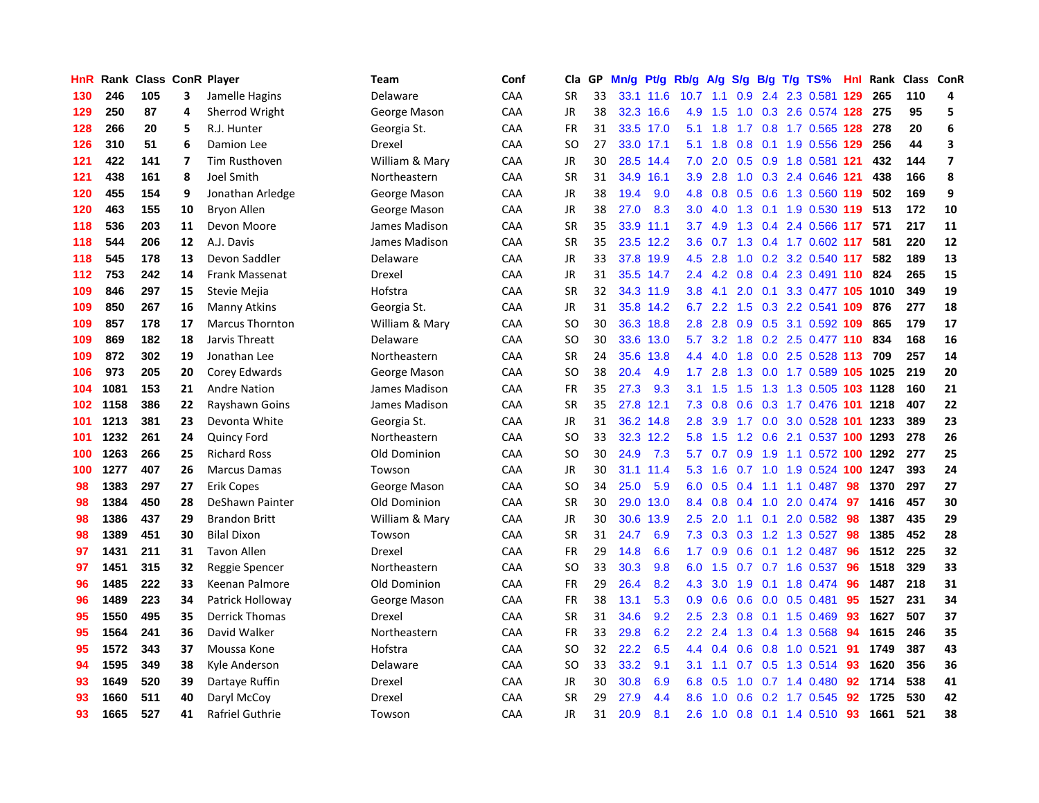| HnR | Rank |     |    | <b>Class ConR Player</b> | <b>Team</b>    | Conf | Cla           | <b>GP</b> | Mn/g      | <b>Pt/g</b> | Rb/g             | A/g    |     |  | S/g B/g T/g TS%            | <b>Hnl</b> | Rank | Class | ConR                    |
|-----|------|-----|----|--------------------------|----------------|------|---------------|-----------|-----------|-------------|------------------|--------|-----|--|----------------------------|------------|------|-------|-------------------------|
| 130 | 246  | 105 | 3  | Jamelle Hagins           | Delaware       | CAA  | <b>SR</b>     | 33        |           | 33.1 11.6   | 10.7             | $-1.1$ | 0.9 |  | 2.4 2.3 0.581 129          |            | 265  | 110   | 4                       |
| 129 | 250  | 87  | 4  | Sherrod Wright           | George Mason   | CAA  | JR            | 38        |           | 32.3 16.6   | 4.9              | 1.5    |     |  | 1.0 0.3 2.6 0.574 128 275  |            |      | 95    | 5                       |
| 128 | 266  | 20  | 5  | R.J. Hunter              | Georgia St.    | CAA  | <b>FR</b>     | 31        |           | 33.5 17.0   | 5.1              | 1.8    |     |  | 1.7 0.8 1.7 0.565 128 278  |            |      | 20    | 6                       |
| 126 | 310  | 51  | 6  | Damion Lee               | Drexel         | CAA  | <b>SO</b>     | 27        |           | 33.0 17.1   | 5.1              | 1.8    | 0.8 |  | 0.1 1.9 0.556 129          |            | 256  | 44    | 3                       |
| 121 | 422  | 141 | 7  | <b>Tim Rusthoven</b>     | William & Mary | CAA  | <b>JR</b>     | 30        |           | 28.5 14.4   | 7.0              | 2.0    | 0.5 |  | 0.9 1.8 0.581 121          |            | 432  | 144   | $\overline{\mathbf{z}}$ |
| 121 | 438  | 161 | 8  | Joel Smith               | Northeastern   | CAA  | <b>SR</b>     | 31        | 34.9      | 16.1        | 3.9              | 2.8    |     |  | 1.0 0.3 2.4 0.646 121      |            | 438  | 166   | 8                       |
| 120 | 455  | 154 | 9  | Jonathan Arledge         | George Mason   | CAA  | JR            | 38        | 19.4      | 9.0         | 4.8              | 0.8    | 0.5 |  | 0.6 1.3 0.560 119          |            | 502  | 169   | 9                       |
| 120 | 463  | 155 | 10 | Bryon Allen              | George Mason   | CAA  | JR            | 38        | 27.0      | 8.3         | 3.0 <sub>2</sub> | 4.0    | 1.3 |  | 0.1 1.9 0.530 119          |            | 513  | 172   | 10                      |
| 118 | 536  | 203 | 11 | Devon Moore              | James Madison  | CAA  | <b>SR</b>     | 35        | 33.9      | 11.1        | 3.7              | 4.9    | 1.3 |  | 0.4 2.4 0.566 117          |            | 571  | 217   | 11                      |
| 118 | 544  | 206 | 12 | A.J. Davis               | James Madison  | CAA  | <b>SR</b>     | 35        |           | 23.5 12.2   | 3.6              |        |     |  | 0.7 1.3 0.4 1.7 0.602 117  |            | 581  | 220   | 12                      |
| 118 | 545  | 178 | 13 | Devon Saddler            | Delaware       | CAA  | JR            | 33        |           | 37.8 19.9   | 4.5              | 2.8    |     |  | 1.0 0.2 3.2 0.540 117      |            | 582  | 189   | 13                      |
| 112 | 753  | 242 | 14 | Frank Massenat           | Drexel         | CAA  | JR            | 31        |           | 35.5 14.7   | $2.4^{\circ}$    | 4.2    |     |  | $0.8$ 0.4 2.3 0.491 110    |            | 824  | 265   | 15                      |
| 109 | 846  | 297 | 15 | Stevie Mejia             | Hofstra        | CAA  | <b>SR</b>     | 32        |           | 34.3 11.9   | 3.8              | 4.1    | 2.0 |  | 0.1 3.3 0.477 105 1010     |            |      | 349   | 19                      |
| 109 | 850  | 267 | 16 | <b>Manny Atkins</b>      | Georgia St.    | CAA  | JR            | 31        |           | 35.8 14.2   | 6.7              | 2.2    | 1.5 |  | 0.3 2.2 0.541 109          |            | 876  | 277   | 18                      |
| 109 | 857  | 178 | 17 | <b>Marcus Thornton</b>   | William & Mary | CAA  | <b>SO</b>     | 30        | 36.3      | 18.8        | 2.8              | 2.8    | 0.9 |  | 0.5 3.1 0.592 109          |            | 865  | 179   | 17                      |
| 109 | 869  | 182 | 18 | Jarvis Threatt           | Delaware       | CAA  | <b>SO</b>     | 30        | 33.6      | 13.0        | 5.7              | 3.2    | 1.8 |  | 0.2 2.5 0.477 110          |            | 834  | 168   | 16                      |
| 109 | 872  | 302 | 19 | Jonathan Lee             | Northeastern   | CAA  | <b>SR</b>     | 24        | 35.6      | 13.8        | 4.4              | 4.0    | 1.8 |  | 0.0 2.5 0.528 113          |            | 709  | 257   | 14                      |
| 106 | 973  | 205 | 20 | Corey Edwards            | George Mason   | CAA  | <sub>SO</sub> | 38        | 20.4      | 4.9         | 1.7              | 2.8    | 1.3 |  | 0.0 1.7 0.589 105 1025     |            |      | 219   | 20                      |
| 104 | 1081 | 153 | 21 | <b>Andre Nation</b>      | James Madison  | CAA  | FR            | 35        | 27.3      | 9.3         | 3.1              | 1.5    |     |  | 1.5 1.3 1.3 0.505 103 1128 |            |      | 160   | 21                      |
| 102 | 1158 | 386 | 22 | Rayshawn Goins           | James Madison  | CAA  | <b>SR</b>     | 35        | 27.8 12.1 |             | 7.3              | 0.8    |     |  | 0.6 0.3 1.7 0.476 101 1218 |            |      | 407   | 22                      |
| 101 | 1213 | 381 | 23 | Devonta White            | Georgia St.    | CAA  | <b>JR</b>     | 31        |           | 36.2 14.8   | 2.8              | 3.9    |     |  | 1.7 0.0 3.0 0.528 101 1233 |            |      | 389   | 23                      |
| 101 | 1232 | 261 | 24 | <b>Quincy Ford</b>       | Northeastern   | CAA  | <b>SO</b>     | 33        |           | 32.3 12.2   | 5.8              | 1.5    | 1.2 |  | 0.6 2.1 0.537 100 1293     |            |      | 278   | 26                      |
| 100 | 1263 | 266 | 25 | <b>Richard Ross</b>      | Old Dominion   | CAA  | <b>SO</b>     | 30        | 24.9      | 7.3         | 5.7              | 0.7    | 0.9 |  | 1.9 1.1 0.572 100 1292     |            |      | 277   | 25                      |
| 100 | 1277 | 407 | 26 | <b>Marcus Damas</b>      | Towson         | CAA  | JR            | 30        | 31.1      | 11.4        | 5.3              | 1.6    |     |  | 0.7 1.0 1.9 0.524 100 1247 |            |      | 393   | 24                      |
| 98  | 1383 | 297 | 27 | <b>Erik Copes</b>        | George Mason   | CAA  | <b>SO</b>     | 34        | 25.0      | 5.9         | 6.0              | 0.5    | 0.4 |  | 1.1 1.1 0.487              | 98         | 1370 | 297   | 27                      |
| 98  | 1384 | 450 | 28 | DeShawn Painter          | Old Dominion   | CAA  | <b>SR</b>     | 30        | 29.0      | 13.0        | 8.4              | 0.8    |     |  | 0.4 1.0 2.0 0.474 97       |            | 1416 | 457   | 30                      |
| 98  | 1386 | 437 | 29 | <b>Brandon Britt</b>     | William & Mary | CAA  | JR            | 30        | 30.6      | 13.9        | 2.5              | 2.0    |     |  | 1.1 0.1 2.0 0.582 98       |            | 1387 | 435   | 29                      |
| 98  | 1389 | 451 | 30 | <b>Bilal Dixon</b>       | Towson         | CAA  | <b>SR</b>     | 31        | 24.7      | 6.9         | 7.3              | 0.3    |     |  | 0.3 1.2 1.3 0.527          | 98         | 1385 | 452   | 28                      |
| 97  | 1431 | 211 | 31 | <b>Tavon Allen</b>       | Drexel         | CAA  | FR            | 29        | 14.8      | 6.6         | 1.7              | 0.9    |     |  | 0.6 0.1 1.2 0.487          | -96        | 1512 | 225   | 32                      |
| 97  | 1451 | 315 | 32 | Reggie Spencer           | Northeastern   | CAA  | <b>SO</b>     | 33        | 30.3      | 9.8         | 6.0              | 1.5    |     |  | 0.7 0.7 1.6 0.537          | 96         | 1518 | 329   | 33                      |
| 96  | 1485 | 222 | 33 | Keenan Palmore           | Old Dominion   | CAA  | FR            | 29        | 26.4      | 8.2         | 4.3              | 3.0    | 1.9 |  | $0.1$ 1.8 0.474            | 96         | 1487 | 218   | 31                      |
| 96  | 1489 | 223 | 34 | Patrick Holloway         | George Mason   | CAA  | <b>FR</b>     | 38        | 13.1      | 5.3         | 0.9              | 0.6    | 0.6 |  | $0.0$ 0.5 0.481            | 95         | 1527 | 231   | 34                      |
| 95  | 1550 | 495 | 35 | <b>Derrick Thomas</b>    | Drexel         | CAA  | <b>SR</b>     | 31        | 34.6      | 9.2         | 2.5              | 2.3    | 0.8 |  | $0.1$ 1.5 0.469            | 93         | 1627 | 507   | 37                      |
| 95  | 1564 | 241 | 36 | David Walker             | Northeastern   | CAA  | <b>FR</b>     | 33        | 29.8      | 6.2         | 2.2              | 2.4    | 1.3 |  | 0.4 1.3 0.568              | 94         | 1615 | 246   | 35                      |
| 95  | 1572 | 343 | 37 | Moussa Kone              | Hofstra        | CAA  | <b>SO</b>     | 32        | 22.2      | 6.5         | $4.4^{\circ}$    | 0.4    |     |  | 0.6 0.8 1.0 0.521          | 91         | 1749 | 387   | 43                      |
| 94  | 1595 | 349 | 38 | Kyle Anderson            | Delaware       | CAA  | <b>SO</b>     | 33        | 33.2      | 9.1         | 3.1              | 1.1    |     |  | 0.7 0.5 1.3 0.514          | 93         | 1620 | 356   | 36                      |
| 93  | 1649 | 520 | 39 | Dartaye Ruffin           | Drexel         | CAA  | JR            | 30        | 30.8      | 6.9         | 6.8              | 0.5    | 1.0 |  | $0.7$ 1.4 0.480            | 92         | 1714 | 538   | 41                      |
| 93  | 1660 | 511 | 40 | Daryl McCoy              | Drexel         | CAA  | <b>SR</b>     | 29        | 27.9      | 4.4         | 8.6              | 1.0    | 0.6 |  | 0.2 1.7 0.545              | 92         | 1725 | 530   | 42                      |
| 93  | 1665 | 527 | 41 | Rafriel Guthrie          | Towson         | CAA  | <b>JR</b>     | 31        | 20.9      | 8.1         | 2.6              |        |     |  | 1.0 0.8 0.1 1.4 0.510      | 93         | 1661 | 521   | 38                      |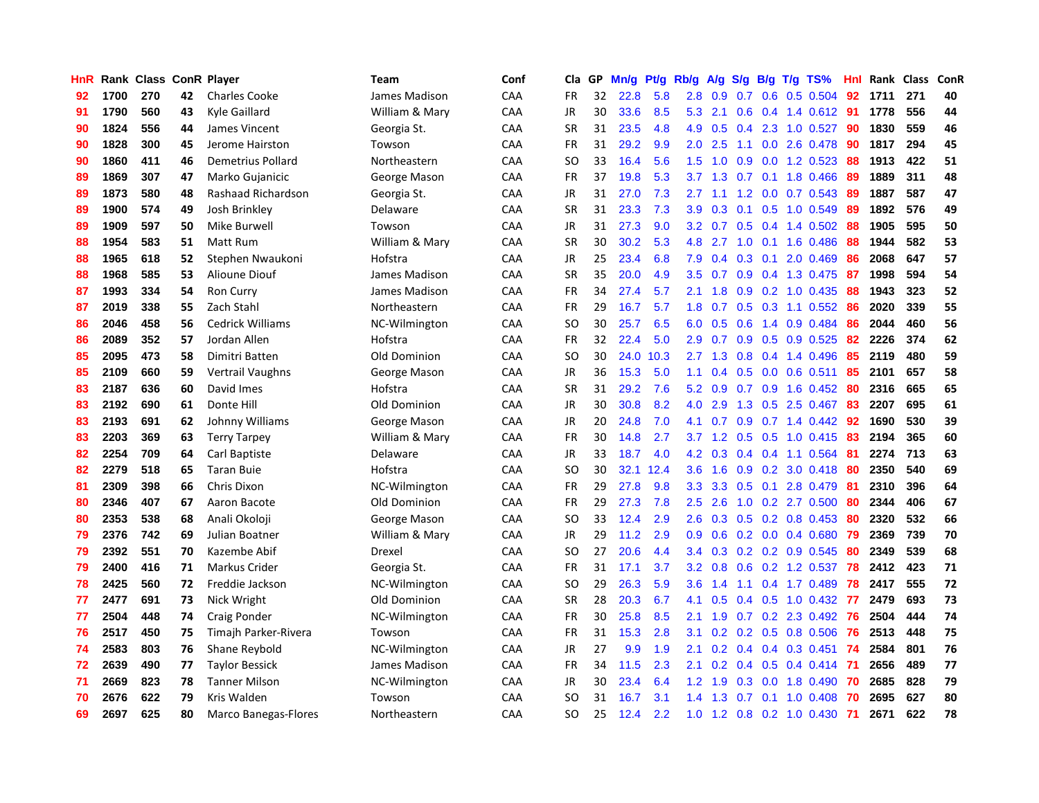| <b>HnR</b> |      | Rank Class ConR Player |    |                             | Team           | Conf | Cla       | GP | Mn/g | <b>Pt/g</b> | Rb/g             | A/g             | S/g |     | B/g T/g TS%               | Hnl | Rank | Class | ConR |
|------------|------|------------------------|----|-----------------------------|----------------|------|-----------|----|------|-------------|------------------|-----------------|-----|-----|---------------------------|-----|------|-------|------|
| 92         | 1700 | 270                    | 42 | <b>Charles Cooke</b>        | James Madison  | CAA  | FR.       | 32 | 22.8 | 5.8         | 2.8              | 0.9             | 0.7 |     | $0.6$ 0.5 0.504           | 92  | 1711 | 271   | 40   |
| 91         | 1790 | 560                    | 43 | Kyle Gaillard               | William & Mary | CAA  | <b>JR</b> | 30 | 33.6 | 8.5         |                  | $5.3$ 2.1       |     |     | 0.6 0.4 1.4 0.612 91      |     | 1778 | 556   | 44   |
| 90         | 1824 | 556                    | 44 | James Vincent               | Georgia St.    | CAA  | <b>SR</b> | 31 | 23.5 | 4.8         | 4.9              | 0.5             |     |     | $0.4$ 2.3 1.0 0.527       | -90 | 1830 | 559   | 46   |
| 90         | 1828 | 300                    | 45 | Jerome Hairston             | Towson         | CAA  | <b>FR</b> | 31 | 29.2 | 9.9         | 2.0 <sub>1</sub> | 2.5             |     |     | 1.1 0.0 2.6 0.478         | -90 | 1817 | 294   | 45   |
| 90         | 1860 | 411                    | 46 | Demetrius Pollard           | Northeastern   | CAA  | <b>SO</b> | 33 | 16.4 | 5.6         | 1.5              | 1.0             | 0.9 |     | $0.0$ 1.2 0.523           | 88  | 1913 | 422   | 51   |
| 89         | 1869 | 307                    | 47 | Marko Gujanicic             | George Mason   | CAA  | <b>FR</b> | 37 | 19.8 | 5.3         | 3.7              | 1.3             | 0.7 |     | $0.1$ 1.8 $0.466$         | 89  | 1889 | 311   | 48   |
| 89         | 1873 | 580                    | 48 | Rashaad Richardson          | Georgia St.    | CAA  | <b>JR</b> | 31 | 27.0 | 7.3         | $2.7^{\circ}$    | 1.1             | 1.2 |     | $0.0$ 0.7 0.543           | 89  | 1887 | 587   | 47   |
| 89         | 1900 | 574                    | 49 | Josh Brinkley               | Delaware       | CAA  | <b>SR</b> | 31 | 23.3 | 7.3         | 3.9 <sup>°</sup> | 0.3             |     |     | $0.1$ $0.5$ $1.0$ $0.549$ | 89  | 1892 | 576   | 49   |
| 89         | 1909 | 597                    | 50 | Mike Burwell                | Towson         | CAA  | <b>JR</b> | 31 | 27.3 | 9.0         | 3.2              | 0.7             |     |     | $0.5$ 0.4 1.4 0.502       | -88 | 1905 | 595   | 50   |
| 88         | 1954 | 583                    | 51 | Matt Rum                    | William & Mary | CAA  | <b>SR</b> | 30 | 30.2 | 5.3         |                  | 4.8 2.7         |     |     | 1.0 0.1 1.6 0.486         | -88 | 1944 | 582   | 53   |
| 88         | 1965 | 618                    | 52 | Stephen Nwaukoni            | Hofstra        | CAA  | <b>JR</b> | 25 | 23.4 | 6.8         | 7.9              |                 |     |     | $0.4$ 0.3 0.1 2.0 0.469   | -86 | 2068 | 647   | 57   |
| 88         | 1968 | 585                    | 53 | Alioune Diouf               | James Madison  | CAA  | <b>SR</b> | 35 | 20.0 | 4.9         | $3.5^{\circ}$    | 0.7             |     |     | $0.9$ 0.4 1.3 0.475       | -87 | 1998 | 594   | 54   |
| 87         | 1993 | 334                    | 54 | Ron Curry                   | James Madison  | CAA  | <b>FR</b> | 34 | 27.4 | 5.7         | 2.1              | 1.8             |     |     | 0.9 0.2 1.0 0.435         | 88  | 1943 | 323   | 52   |
| 87         | 2019 | 338                    | 55 | Zach Stahl                  | Northeastern   | CAA  | <b>FR</b> | 29 | 16.7 | 5.7         | 1.8              | 0.7             | 0.5 |     | $0.3$ 1.1 $0.552$         | 86  | 2020 | 339   | 55   |
| 86         | 2046 | 458                    | 56 | <b>Cedrick Williams</b>     | NC-Wilmington  | CAA  | <b>SO</b> | 30 | 25.7 | 6.5         | 6.0              | 0.5             | 0.6 |     | 1.4 0.9 0.484             | 86  | 2044 | 460   | 56   |
| 86         | 2089 | 352                    | 57 | Jordan Allen                | Hofstra        | CAA  | <b>FR</b> | 32 | 22.4 | 5.0         | 2.9 <sup>°</sup> | 0.7             | 0.9 |     | $0.5$ 0.9 0.525           | 82  | 2226 | 374   | 62   |
| 85         | 2095 | 473                    | 58 | Dimitri Batten              | Old Dominion   | CAA  | <b>SO</b> | 30 | 24.0 | 10.3        | $2.7^{\circ}$    | 1.3             | 0.8 |     | 0.4 1.4 0.496             | 85  | 2119 | 480   | 59   |
| 85         | 2109 | 660                    | 59 | Vertrail Vaughns            | George Mason   | CAA  | <b>JR</b> | 36 | 15.3 | 5.0         | 1.1              | 0.4             | 0.5 |     | $0.0$ 0.6 0.511           | 85  | 2101 | 657   | 58   |
| 83         | 2187 | 636                    | 60 | David Imes                  | Hofstra        | CAA  | <b>SR</b> | 31 | 29.2 | 7.6         |                  | $5.2 \quad 0.9$ |     |     | 0.7 0.9 1.6 0.452         | -80 | 2316 | 665   | 65   |
| 83         | 2192 | 690                    | 61 | Donte Hill                  | Old Dominion   | CAA  | <b>JR</b> | 30 | 30.8 | 8.2         | 4.0              | 2.9             |     |     | 1.3 0.5 2.5 0.467         | -83 | 2207 | 695   | 61   |
| 83         | 2193 | 691                    | 62 | Johnny Williams             | George Mason   | CAA  | JR        | 20 | 24.8 | 7.0         | 4.1              | 0.7             |     |     | $0.9$ 0.7 1.4 0.442       | -92 | 1690 | 530   | 39   |
| 83         | 2203 | 369                    | 63 | <b>Terry Tarpey</b>         | William & Mary | CAA  | <b>FR</b> | 30 | 14.8 | 2.7         |                  | $3.7 \quad 1.2$ |     |     | $0.5$ $0.5$ 1.0 $0.415$   | 83  | 2194 | 365   | 60   |
| 82         | 2254 | 709                    | 64 | Carl Baptiste               | Delaware       | CAA  | JR        | 33 | 18.7 | 4.0         | 4.2              | 0.3             |     |     | $0.4$ 0.4 1.1 0.564       | -81 | 2274 | 713   | 63   |
| 82         | 2279 | 518                    | 65 | <b>Taran Buie</b>           | Hofstra        | CAA  | <b>SO</b> | 30 | 32.1 | 12.4        | 3.6 <sup>°</sup> | 1.6             | 0.9 |     | $0.2$ 3.0 0.418           | -80 | 2350 | 540   | 69   |
| 81         | 2309 | 398                    | 66 | Chris Dixon                 | NC-Wilmington  | CAA  | FR        | 29 | 27.8 | 9.8         | 3.3              | 3.3             | 0.5 | 0.1 | 2.8 0.479                 | 81  | 2310 | 396   | 64   |
| 80         | 2346 | 407                    | 67 | Aaron Bacote                | Old Dominion   | CAA  | FR        | 29 | 27.3 | 7.8         | $2.5\,$          | 2.6             | 1.0 |     | $0.2$ 2.7 $0.500$         | 80  | 2344 | 406   | 67   |
| 80         | 2353 | 538                    | 68 | Anali Okoloji               | George Mason   | CAA  | SO        | 33 | 12.4 | 2.9         | 2.6              | 0.3             |     |     | $0.5$ 0.2 0.8 0.453       | -80 | 2320 | 532   | 66   |
| 79         | 2376 | 742                    | 69 | Julian Boatner              | William & Mary | CAA  | <b>JR</b> | 29 | 11.2 | 2.9         | 0.9 <sup>°</sup> | 0.6             |     |     | 0.2 0.0 0.4 0.680 79      |     | 2369 | 739   | 70   |
| 79         | 2392 | 551                    | 70 | Kazembe Abif                | Drexel         | CAA  | SO        | 27 | 20.6 | 4.4         | $3.4^{\circ}$    | 0.3             |     |     | $0.2$ 0.2 0.9 0.545       | -80 | 2349 | 539   | 68   |
| 79         | 2400 | 416                    | 71 | Markus Crider               | Georgia St.    | CAA  | <b>FR</b> | 31 | 17.1 | 3.7         | 3.2 <sub>2</sub> | 0.8             |     |     | 0.6 0.2 1.2 0.537 78      |     | 2412 | 423   | 71   |
| 78         | 2425 | 560                    | 72 | Freddie Jackson             | NC-Wilmington  | CAA  | <b>SO</b> | 29 | 26.3 | 5.9         | 3.6              | 1.4             | 1.1 |     | $0.4$ 1.7 0.489           | 78  | 2417 | 555   | 72   |
| 77         | 2477 | 691                    | 73 | Nick Wright                 | Old Dominion   | CAA  | <b>SR</b> | 28 | 20.3 | 6.7         | 4.1              | 0.5             |     |     | $0.4$ 0.5 1.0 0.432       | -77 | 2479 | 693   | 73   |
| 77         | 2504 | 448                    | 74 | Craig Ponder                | NC-Wilmington  | CAA  | <b>FR</b> | 30 | 25.8 | 8.5         | 2.1              | 1.9             | 0.7 |     | 0.2 2.3 0.492             | 76  | 2504 | 444   | 74   |
| 76         | 2517 | 450                    | 75 | Timajh Parker-Rivera        | Towson         | CAA  | FR        | 31 | 15.3 | 2.8         | 3.1              | 0.2             | 0.2 |     | 0.5 0.8 0.506             | 76  | 2513 | 448   | 75   |
| 74         | 2583 | 803                    | 76 | Shane Reybold               | NC-Wilmington  | CAA  | <b>JR</b> | 27 | 9.9  | 1.9         | 2.1              | 0.2             |     |     | $0.4$ 0.4 0.3 0.451       | -74 | 2584 | 801   | 76   |
| 72         | 2639 | 490                    | 77 | Taylor Bessick              | James Madison  | CAA  | <b>FR</b> | 34 | 11.5 | 2.3         | 2.1              |                 |     |     | $0.2$ 0.4 0.5 0.4 0.414   | -71 | 2656 | 489   | 77   |
| 71         | 2669 | 823                    | 78 | <b>Tanner Milson</b>        | NC-Wilmington  | CAA  | JR        | 30 | 23.4 | 6.4         | 1.2 <sub>1</sub> | 1.9             |     |     | $0.3$ 0.0 1.8 0.490       | -70 | 2685 | 828   | 79   |
| 70         | 2676 | 622                    | 79 | Kris Walden                 | Towson         | CAA  | SO        | 31 | 16.7 | 3.1         | $1.4^{\circ}$    | 1.3             |     |     | $0.7$ 0.1 1.0 0.408       | 70  | 2695 | 627   | 80   |
| 69         | 2697 | 625                    | 80 | <b>Marco Banegas-Flores</b> | Northeastern   | CAA  | <b>SO</b> | 25 | 12.4 | 2.2         | 1.0              |                 |     |     | 1.2 0.8 0.2 1.0 0.430     | 71  | 2671 | 622   | 78   |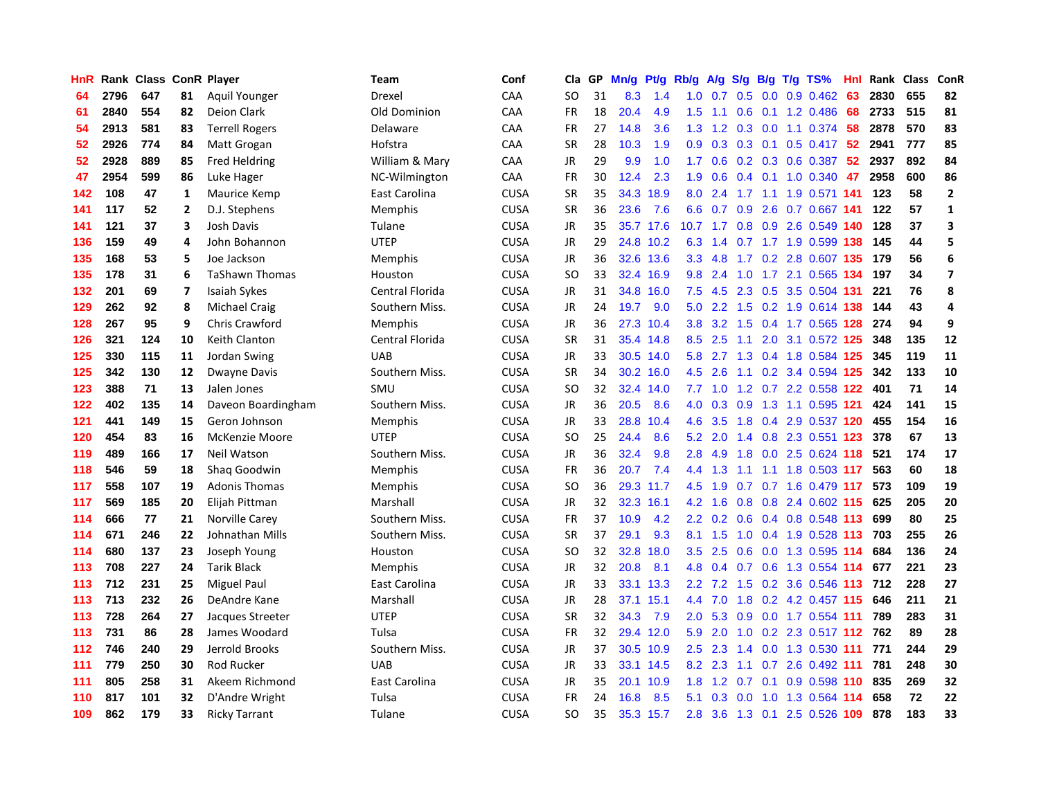| HnR |      | <b>Rank Class</b> |                | <b>ConR Player</b>    | Team            | Conf        | Cla       | <b>GP</b> | Mn/g | <b>Pt/g</b> | Rb/g             | A/g           |                  |  | S/g B/g T/g TS%                   | Hnl | Rank | Class | <b>ConR</b>             |
|-----|------|-------------------|----------------|-----------------------|-----------------|-------------|-----------|-----------|------|-------------|------------------|---------------|------------------|--|-----------------------------------|-----|------|-------|-------------------------|
| 64  | 2796 | 647               | 81             | Aquil Younger         | Drexel          | CAA         | <b>SO</b> | 31        | 8.3  | 1.4         | 1.0              | 0.7           | 0.5              |  | $0.0$ 0.9 0.462                   | 63  | 2830 | 655   | 82                      |
| 61  | 2840 | 554               | 82             | Deion Clark           | Old Dominion    | CAA         | <b>FR</b> | 18        | 20.4 | 4.9         | 1.5              |               |                  |  | 1.1 0.6 0.1 1.2 0.486             | -68 | 2733 | 515   | 81                      |
| 54  | 2913 | 581               | 83             | <b>Terrell Rogers</b> | Delaware        | CAA         | <b>FR</b> | 27        | 14.8 | 3.6         | 1.3              | 1.2           |                  |  | 0.3 0.0 1.1 0.374 58              |     | 2878 | 570   | 83                      |
| 52  | 2926 | 774               | 84             | Matt Grogan           | Hofstra         | CAA         | <b>SR</b> | 28        | 10.3 | 1.9         | 0.9 <sub>0</sub> | 0.3           |                  |  | $0.3$ 0.1 0.5 0.417               | -52 | 2941 | 777   | 85                      |
| 52  | 2928 | 889               | 85             | Fred Heldring         | William & Mary  | CAA         | JR        | 29        | 9.9  | 1.0         | 1.7              | 0.6           |                  |  | $0.2$ 0.3 0.6 0.387               | 52  | 2937 | 892   | 84                      |
| 47  | 2954 | 599               | 86             | Luke Hager            | NC-Wilmington   | CAA         | <b>FR</b> | 30        | 12.4 | 2.3         | 1.9              | 0.6           |                  |  | $0.4$ 0.1 1.0 0.340               | 47  | 2958 | 600   | 86                      |
| 142 | 108  | 47                | $\mathbf{1}$   | Maurice Kemp          | East Carolina   | CUSA        | <b>SR</b> | 35        | 34.3 | 18.9        | 8.0              | 2.4           |                  |  | 1.7 1.1 1.9 0.571 141             |     | 123  | 58    | $\mathbf 2$             |
| 141 | 117  | 52                | $\overline{2}$ | D.J. Stephens         | Memphis         | <b>CUSA</b> | <b>SR</b> | 36        | 23.6 | 7.6         | 6.6              | 0.7           | 0.9              |  | 2.6 0.7 0.667 141                 |     | 122  | 57    | 1                       |
| 141 | 121  | 37                | 3              | <b>Josh Davis</b>     | Tulane          | <b>CUSA</b> | JR        | 35        |      | 35.7 17.6   | 10.7             | $-1.7$        |                  |  | 0.8 0.9 2.6 0.549 140             |     | 128  | 37    | 3                       |
| 136 | 159  | 49                | 4              | John Bohannon         | <b>UTEP</b>     | <b>CUSA</b> | JR        | 29        |      | 24.8 10.2   |                  |               |                  |  | 6.3 1.4 0.7 1.7 1.9 0.599 138 145 |     |      | 44    | 5                       |
| 135 | 168  | 53                | 5              | Joe Jackson           | Memphis         | <b>CUSA</b> | JR        | 36        |      | 32.6 13.6   | 3.3 <sub>2</sub> | 4.8           |                  |  | 1.7 0.2 2.8 0.607 135 179         |     |      | 56    | 6                       |
| 135 | 178  | 31                | 6              | <b>TaShawn Thomas</b> | Houston         | <b>CUSA</b> | SO        | 33        | 32.4 | 16.9        | 9.8              | 2.4           |                  |  | 1.0 1.7 2.1 0.565 134             |     | 197  | 34    | $\overline{\mathbf{z}}$ |
| 132 | 201  | 69                | 7              | <b>Isaiah Sykes</b>   | Central Florida | <b>CUSA</b> | JR        | 31        | 34.8 | 16.0        | 7.5              | 4.5           |                  |  | 2.3 0.5 3.5 0.504 131             |     | 221  | 76    | 8                       |
| 129 | 262  | 92                | 8              | <b>Michael Craig</b>  | Southern Miss.  | <b>CUSA</b> | JR        | 24        | 19.7 | 9.0         | 5.0              | $2.2^{\circ}$ | 1.5              |  | 0.2 1.9 0.614 138                 |     | 144  | 43    | $\overline{a}$          |
| 128 | 267  | 95                | 9              | <b>Chris Crawford</b> | <b>Memphis</b>  | <b>CUSA</b> | JR        | 36        | 27.3 | 10.4        | 3.8              | 3.2           | 1.5              |  | 0.4 1.7 0.565 128                 |     | 274  | 94    | 9                       |
| 126 | 321  | 124               | 10             | Keith Clanton         | Central Florida | <b>CUSA</b> | <b>SR</b> | 31        | 35.4 | 14.8        | 8.5              | 2.5           | 1.1              |  | 2.0 3.1 0.572 125                 |     | 348  | 135   | 12                      |
| 125 | 330  | 115               | 11             | Jordan Swing          | <b>UAB</b>      | <b>CUSA</b> | JR        | 33        | 30.5 | 14.0        | 5.8              | 2.7           | 1.3              |  | 0.4 1.8 0.584 125                 |     | 345  | 119   | 11                      |
| 125 | 342  | 130               | 12             | Dwayne Davis          | Southern Miss.  | <b>CUSA</b> | <b>SR</b> | 34        |      | 30.2 16.0   |                  | $4.5$ 2.6     |                  |  | 1.1 0.2 3.4 0.594 125             |     | 342  | 133   | 10                      |
| 123 | 388  | 71                | 13             | Jalen Jones           | <b>SMU</b>      | <b>CUSA</b> | SO        | 32        | 32.4 | 14.0        |                  |               |                  |  | 7.7 1.0 1.2 0.7 2.2 0.558 122 401 |     |      | 71    | 14                      |
| 122 | 402  | 135               | 14             | Daveon Boardingham    | Southern Miss.  | <b>CUSA</b> | JR        | 36        | 20.5 | 8.6         | 4.0              | 0.3           |                  |  | 0.9 1.3 1.1 0.595 121             |     | 424  | 141   | 15                      |
| 121 | 441  | 149               | 15             | Geron Johnson         | Memphis         | <b>CUSA</b> | JR        | 33        | 28.8 | 10.4        | 4.6              | 3.5           |                  |  | 1.8 0.4 2.9 0.537 120             |     | 455  | 154   | 16                      |
| 120 | 454  | 83                | 16             | <b>McKenzie Moore</b> | <b>UTEP</b>     | <b>CUSA</b> | SO.       | 25        | 24.4 | 8.6         | 5.2              | 2.0           |                  |  | 1.4 0.8 2.3 0.551 123             |     | 378  | 67    | 13                      |
| 119 | 489  | 166               | 17             | Neil Watson           | Southern Miss.  | <b>CUSA</b> | JR        | 36        | 32.4 | 9.8         | 2.8              | 4.9           | 1.8              |  | 0.0 2.5 0.624 118                 |     | 521  | 174   | 17                      |
| 118 | 546  | 59                | 18             | Shag Goodwin          | <b>Memphis</b>  | <b>CUSA</b> | <b>FR</b> | 36        | 20.7 | 7.4         | 4.4              | 1.3           |                  |  | 1.1 1.1 1.8 0.503 117             |     | 563  | 60    | 18                      |
| 117 | 558  | 107               | 19             | <b>Adonis Thomas</b>  | <b>Memphis</b>  | <b>CUSA</b> | SO        | 36        |      | 29.3 11.7   | 4.5              | 1.9           |                  |  | 0.7 0.7 1.6 0.479 117             |     | 573  | 109   | 19                      |
| 117 | 569  | 185               | 20             | Elijah Pittman        | Marshall        | <b>CUSA</b> | JR        | 32        |      | 32.3 16.1   | 4.2              | 1.6           |                  |  | 0.8 0.8 2.4 0.602 115 625         |     |      | 205   | 20                      |
| 114 | 666  | 77                | 21             | Norville Carey        | Southern Miss.  | <b>CUSA</b> | <b>FR</b> | 37        | 10.9 | 4.2         | $2.2^{\circ}$    |               |                  |  | 0.2 0.6 0.4 0.8 0.548 113         |     | 699  | 80    | 25                      |
| 114 | 671  | 246               | 22             | Johnathan Mills       | Southern Miss.  | <b>CUSA</b> | <b>SR</b> | 37        | 29.1 | 9.3         | 8.1              | 1.5           |                  |  | 1.0 0.4 1.9 0.528 113 703         |     |      | 255   | 26                      |
| 114 | 680  | 137               | 23             | Joseph Young          | Houston         | <b>CUSA</b> | <b>SO</b> | 32        | 32.8 | 18.0        | 3.5              | 2.5           |                  |  | 0.6 0.0 1.3 0.595 114             |     | 684  | 136   | 24                      |
| 113 | 708  | 227               | 24             | <b>Tarik Black</b>    | <b>Memphis</b>  | <b>CUSA</b> | <b>JR</b> | 32        | 20.8 | 8.1         | 4.8              | 0.4           |                  |  | 0.7 0.6 1.3 0.554 114             |     | 677  | 221   | 23                      |
| 113 | 712  | 231               | 25             | <b>Miguel Paul</b>    | East Carolina   | <b>CUSA</b> | JR        | 33        | 33.1 | 13.3        | $2.2^{\circ}$    | 7.2           | 1.5              |  | 0.2 3.6 0.546 113                 |     | 712  | 228   | 27                      |
| 113 | 713  | 232               | 26             | DeAndre Kane          | Marshall        | <b>CUSA</b> | JR        | 28        | 37.1 | 15.1        | 4.4              | 7.0           | 1.8              |  | 0.2 4.2 0.457 115                 |     | 646  | 211   | 21                      |
| 113 | 728  | 264               | 27             | Jacques Streeter      | <b>UTEP</b>     | <b>CUSA</b> | <b>SR</b> | 32        | 34.3 | 7.9         | 2.0              | 5.3           | 0.9 <sub>0</sub> |  | 0.0 1.7 0.554 111                 |     | 789  | 283   | 31                      |
| 113 | 731  | 86                | 28             | James Woodard         | Tulsa           | <b>CUSA</b> | <b>FR</b> | 32        | 29.4 | 12.0        | 5.9              | 2.0           | 1.0              |  | 0.2 2.3 0.517 112 762             |     |      | 89    | 28                      |
| 112 | 746  | 240               | 29             | Jerrold Brooks        | Southern Miss.  | <b>CUSA</b> | JR        | 37        |      | 30.5 10.9   | 2.5              | 2.3           |                  |  | 1.4 0.0 1.3 0.530 111             |     | 771  | 244   | 29                      |
| 111 | 779  | 250               | 30             | <b>Rod Rucker</b>     | <b>UAB</b>      | <b>CUSA</b> | <b>JR</b> | 33        |      | 33.1 14.5   | 8.2              | 2.3           |                  |  | 1.1 0.7 2.6 0.492 111             |     | 781  | 248   | 30                      |
| 111 | 805  | 258               | 31             | Akeem Richmond        | East Carolina   | <b>CUSA</b> | JR        | 35        | 20.1 | 10.9        | 1.8              | 1.2           |                  |  | $0.7$ 0.1 0.9 0.598 110           |     | 835  | 269   | 32                      |
| 110 | 817  | 101               | 32             | D'Andre Wright        | Tulsa           | <b>CUSA</b> | <b>FR</b> | 24        | 16.8 | 8.5         | 5.1              | 0.3           | 0.0              |  | 1.0 1.3 0.564 114                 |     | 658  | 72    | 22                      |
| 109 | 862  | 179               | 33             | <b>Ricky Tarrant</b>  | Tulane          | <b>CUSA</b> | SO        | 35        |      | 35.3 15.7   | 2.8              |               |                  |  | 3.6 1.3 0.1 2.5 0.526 109         |     | 878  | 183   | 33                      |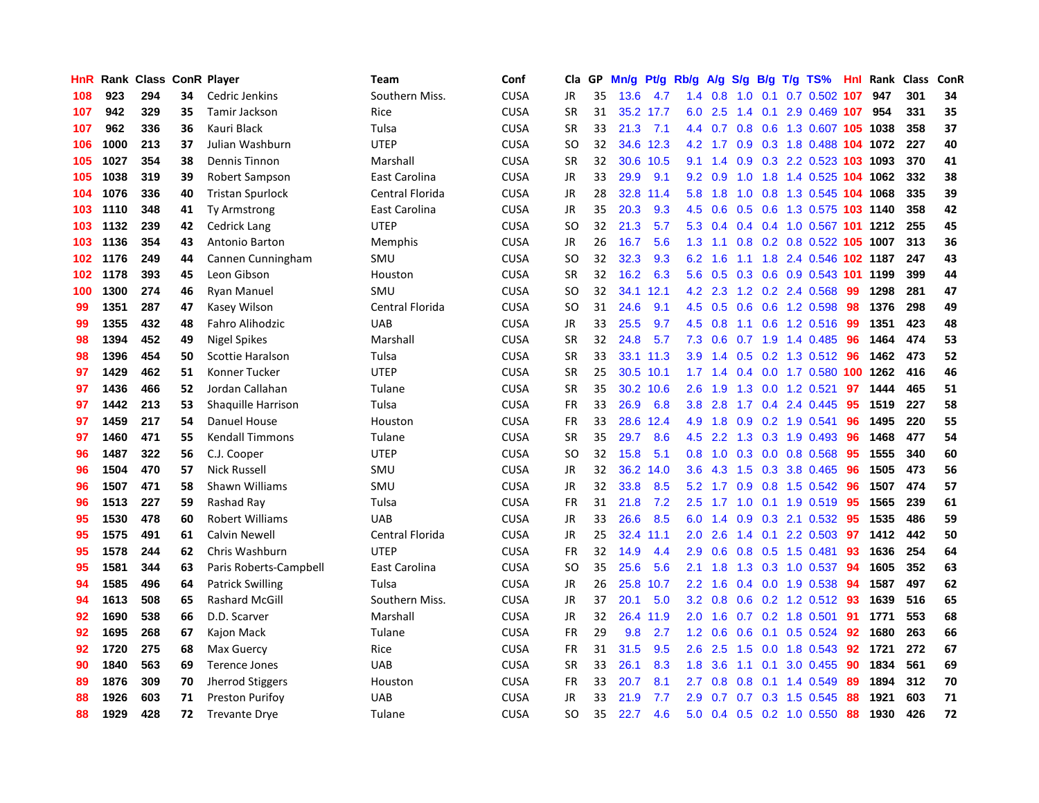| <b>HnR</b> |      | Rank Class ConR Player |    |                         | Team            | Conf        | Cla       | GP. | Mn/g | Pt/g      | Rb/g             | A/g             |     |     | S/g B/g T/g TS%                    | Hnl | Rank                       | <b>Class</b> | ConR |
|------------|------|------------------------|----|-------------------------|-----------------|-------------|-----------|-----|------|-----------|------------------|-----------------|-----|-----|------------------------------------|-----|----------------------------|--------------|------|
| 108        | 923  | 294                    | 34 | Cedric Jenkins          | Southern Miss.  | <b>CUSA</b> | JR        | 35  | 13.6 | 4.7       | 1.4              | 0.8             | 1.0 | 0.1 | $0.7$ $0.502$ 107                  |     | 947                        | 301          | 34   |
| 107        | 942  | 329                    | 35 | Tamir Jackson           | Rice            | <b>CUSA</b> | <b>SR</b> | 31  |      | 35.2 17.7 |                  | 6.0 2.5         |     |     | 1.4 0.1 2.9 0.469 107 954          |     |                            | 331          | 35   |
| 107        | 962  | 336                    | 36 | Kauri Black             | Tulsa           | CUSA        | <b>SR</b> | 33  | 21.3 | 7.1       |                  |                 |     |     | 4.4 0.7 0.8 0.6 1.3 0.607 105 1038 |     |                            | 358          | 37   |
| 106        | 1000 | 213                    | 37 | Julian Washburn         | <b>UTEP</b>     | CUSA        | <b>SO</b> | 32  |      | 34.6 12.3 |                  |                 |     |     | 4.2 1.7 0.9 0.3 1.8 0.488 104 1072 |     |                            | 227          | 40   |
| 105        | 1027 | 354                    | 38 | Dennis Tinnon           | Marshall        | CUSA        | <b>SR</b> | 32  |      | 30.6 10.5 | 9.1              | 1.4             |     |     | 0.9 0.3 2.2 0.523 103 1093         |     |                            | 370          | 41   |
| 105        | 1038 | 319                    | 39 | Robert Sampson          | East Carolina   | <b>CUSA</b> | JR        | 33  | 29.9 | 9.1       | 9.2              | 0.9             | 1.0 |     | 1.8 1.4 0.525 104 1062             |     |                            | 332          | 38   |
| 104        | 1076 | 336                    | 40 | <b>Tristan Spurlock</b> | Central Florida | <b>CUSA</b> | JR        | 28  | 32.8 | 11.4      | 5.8              | 1.8             | 1.0 |     | 0.8 1.3 0.545 104 1068             |     |                            | 335          | 39   |
| 103        | 1110 | 348                    | 41 | Ty Armstrong            | East Carolina   | <b>CUSA</b> | JR        | 35  | 20.3 | 9.3       | 4.5              | 0.6             | 0.5 |     | 0.6 1.3 0.575 103 1140             |     |                            | 358          | 42   |
| 103        | 1132 | 239                    | 42 | <b>Cedrick Lang</b>     | <b>UTEP</b>     | <b>CUSA</b> | <b>SO</b> | 32  | 21.3 | 5.7       | 5.3              | 0.4             |     |     | 0.4 0.4 1.0 0.567 101 1212         |     |                            | 255          | 45   |
| 103        | 1136 | 354                    | 43 | Antonio Barton          | Memphis         | <b>CUSA</b> | JR        | 26  | 16.7 | 5.6       |                  | $1.3 \quad 1.1$ |     |     | 0.8 0.2 0.8 0.522 105 1007         |     |                            | 313          | 36   |
| 102        | 1176 | 249                    | 44 | Cannen Cunningham       | SMU             | <b>CUSA</b> | <b>SO</b> | 32  | 32.3 | 9.3       | 6.2              | 1.6             |     |     |                                    |     | 1.1 1.8 2.4 0.546 102 1187 | 247          | 43   |
| 102        | 1178 | 393                    | 45 | Leon Gibson             | Houston         | <b>CUSA</b> | <b>SR</b> | 32  | 16.2 | 6.3       | 5.6              | 0.5             |     |     | 0.3 0.6 0.9 0.543 101 1199         |     |                            | 399          | 44   |
| 100        | 1300 | 274                    | 46 | <b>Ryan Manuel</b>      | SMU             | CUSA        | <b>SO</b> | 32  | 34.1 | 12.1      |                  | 4.2 2.3         |     |     | 1.2 0.2 2.4 0.568                  | -99 | 1298                       | 281          | 47   |
| 99         | 1351 | 287                    | 47 | Kasey Wilson            | Central Florida | <b>CUSA</b> | <b>SO</b> | 31  | 24.6 | 9.1       |                  | 4.5 0.5         |     |     | 0.6 0.6 1.2 0.598 98               |     | 1376                       | 298          | 49   |
| 99         | 1355 | 432                    | 48 | Fahro Alihodzic         | <b>UAB</b>      | <b>CUSA</b> | <b>JR</b> | 33  | 25.5 | 9.7       | 4.5              | 0.8             |     |     | 1.1 0.6 1.2 0.516                  | -99 | 1351                       | 423          | 48   |
| 98         | 1394 | 452                    | 49 | <b>Nigel Spikes</b>     | Marshall        | <b>CUSA</b> | SR        | 32  | 24.8 | 5.7       | 7.3              | 0.6             |     |     | 0.7 1.9 1.4 0.485                  | 96  | 1464                       | 474          | 53   |
| 98         | 1396 | 454                    | 50 | <b>Scottie Haralson</b> | Tulsa           | <b>CUSA</b> | SR        | 33  |      | 33.1 11.3 | 3.9 <sup>°</sup> | 1.4             | 0.5 |     | 0.2 1.3 0.512 96                   |     | 1462                       | 473          | 52   |
| 97         | 1429 | 462                    | 51 | Konner Tucker           | <b>UTEP</b>     | <b>CUSA</b> | <b>SR</b> | 25  |      | 30.5 10.1 |                  | $1.7 \quad 1.4$ |     |     | 0.4 0.0 1.7 0.580 100 1262         |     |                            | 416          | 46   |
| 97         | 1436 | 466                    | 52 | Jordan Callahan         | Tulane          | <b>CUSA</b> | <b>SR</b> | 35  |      | 30.2 10.6 | 2.6              | 1.9             |     |     | 1.3 0.0 1.2 0.521                  | 97  | 1444                       | 465          | 51   |
| 97         | 1442 | 213                    | 53 | Shaquille Harrison      | Tulsa           | <b>CUSA</b> | <b>FR</b> | 33  | 26.9 | 6.8       | 3.8 <sub>1</sub> | 2.8             |     |     | 1.7 0.4 2.4 0.445                  | -95 | 1519                       | 227          | 58   |
| 97         | 1459 | 217                    | 54 | Danuel House            | Houston         | <b>CUSA</b> | <b>FR</b> | 33  | 28.6 | 12.4      |                  | 4.9 1.8         | 0.9 |     | $0.2$ 1.9 $0.541$                  | 96  | 1495                       | 220          | 55   |
| 97         | 1460 | 471                    | 55 | <b>Kendall Timmons</b>  | Tulane          | <b>CUSA</b> | <b>SR</b> | 35  | 29.7 | 8.6       | 4.5              | 2.2             |     |     | 1.3 0.3 1.9 0.493                  | -96 | 1468                       | 477          | 54   |
| 96         | 1487 | 322                    | 56 | C.J. Cooper             | <b>UTEP</b>     | <b>CUSA</b> | <b>SO</b> | 32  | 15.8 | 5.1       | 0.8              | 1.0             |     |     | $0.3$ 0.0 0.8 0.568                | -95 | 1555                       | 340          | 60   |
| 96         | 1504 | 470                    | 57 | <b>Nick Russell</b>     | <b>SMU</b>      | <b>CUSA</b> | JR        | 32  | 36.2 | 14.0      | 3.6 <sup>°</sup> | 4.3             | 1.5 |     | $0.3$ 3.8 $0.465$                  | -96 | 1505                       | 473          | 56   |
| 96         | 1507 | 471                    | 58 | Shawn Williams          | SMU             | <b>CUSA</b> | JR        | 32  | 33.8 | 8.5       | 5.2              | 1.7             | 0.9 |     | 0.8 1.5 0.542 96                   |     | 1507                       | 474          | 57   |
| 96         | 1513 | 227                    | 59 | Rashad Ray              | Tulsa           | <b>CUSA</b> | <b>FR</b> | 31  | 21.8 | 7.2       | 2.5              |                 |     |     | 1.7 1.0 0.1 1.9 0.519 95           |     | 1565                       | 239          | 61   |
| 95         | 1530 | 478                    | 60 | <b>Robert Williams</b>  | <b>UAB</b>      | <b>CUSA</b> | <b>JR</b> | 33  | 26.6 | 8.5       | 6.0              |                 |     |     | 1.4 0.9 0.3 2.1 0.532 95           |     | 1535                       | 486          | 59   |
| 95         | 1575 | 491                    | 61 | Calvin Newell           | Central Florida | <b>CUSA</b> | <b>JR</b> | 25  | 32.4 | 11.1      | $2.0^{\circ}$    | 2.6             |     |     | 1.4 0.1 2.2 0.503 97 1412          |     |                            | 442          | 50   |
| 95         | 1578 | 244                    | 62 | Chris Washburn          | <b>UTEP</b>     | CUSA        | <b>FR</b> | 32  | 14.9 | 4.4       | 2.9 <sup>°</sup> | 0.6             |     |     | $0.8$ 0.5 1.5 0.481                | 93  | 1636                       | 254          | 64   |
| 95         | 1581 | 344                    | 63 | Paris Roberts-Campbell  | East Carolina   | CUSA        | <b>SO</b> | 35  | 25.6 | 5.6       | 2.1              | 1.8             |     |     | 1.3 0.3 1.0 0.537                  | -94 | 1605                       | 352          | 63   |
| 94         | 1585 | 496                    | 64 | <b>Patrick Swilling</b> | Tulsa           | CUSA        | JR        | 26  | 25.8 | 10.7      | $2.2\phantom{0}$ | 1.6             |     |     | 0.4 0.0 1.9 0.538 94               |     | 1587                       | 497          | 62   |
| 94         | 1613 | 508                    | 65 | <b>Rashard McGill</b>   | Southern Miss.  | CUSA        | <b>JR</b> | 37  | 20.1 | 5.0       | 3.2              | 0.8             |     |     | 0.6 0.2 1.2 0.512 93               |     | 1639                       | 516          | 65   |
| 92         | 1690 | 538                    | 66 | D.D. Scarver            | Marshall        | CUSA        | JR        | 32  |      | 26.4 11.9 | 2.0              | 1.6             |     |     | $0.7$ 0.2 1.8 0.501                | 91  | 1771                       | 553          | 68   |
| 92         | 1695 | 268                    | 67 | Kajon Mack              | Tulane          | <b>CUSA</b> | <b>FR</b> | 29  | 9.8  | 2.7       | 1.2              | 0.6             | 0.6 |     | 0.1 0.5 0.524 92                   |     | 1680                       | 263          | 66   |
| 92         | 1720 | 275                    | 68 | Max Guercy              | Rice            | <b>CUSA</b> | FR        | 31  | 31.5 | 9.5       | 2.6              | 2.5             |     |     | 1.5 0.0 1.8 0.543 92               |     | 1721                       | 272          | 67   |
| 90         | 1840 | 563                    | 69 | <b>Terence Jones</b>    | <b>UAB</b>      | <b>CUSA</b> | <b>SR</b> | 33  | 26.1 | 8.3       | 1.8              | 3.6             |     |     | 1.1 0.1 3.0 0.455                  | 90  | 1834                       | 561          | 69   |
| 89         | 1876 | 309                    | 70 | Jherrod Stiggers        | Houston         | CUSA        | FR        | 33  | 20.7 | 8.1       | $2.7^{\circ}$    | 0.8             | 0.8 |     | $0.1$ 1.4 $0.549$                  | -89 | 1894                       | 312          | 70   |
| 88         | 1926 | 603                    | 71 | <b>Preston Purifoy</b>  | <b>UAB</b>      | <b>CUSA</b> | JR        | 33  | 21.9 | 7.7       | 2.9              | 0.7             |     |     | 0.7 0.3 1.5 0.545                  | 88  | 1921                       | 603          | 71   |
| 88         | 1929 | 428                    | 72 | <b>Trevante Drye</b>    | Tulane          | <b>CUSA</b> | SO        | 35  | 22.7 | 4.6       |                  |                 |     |     | 5.0 0.4 0.5 0.2 1.0 0.550          | 88  | 1930                       | 426          | 72   |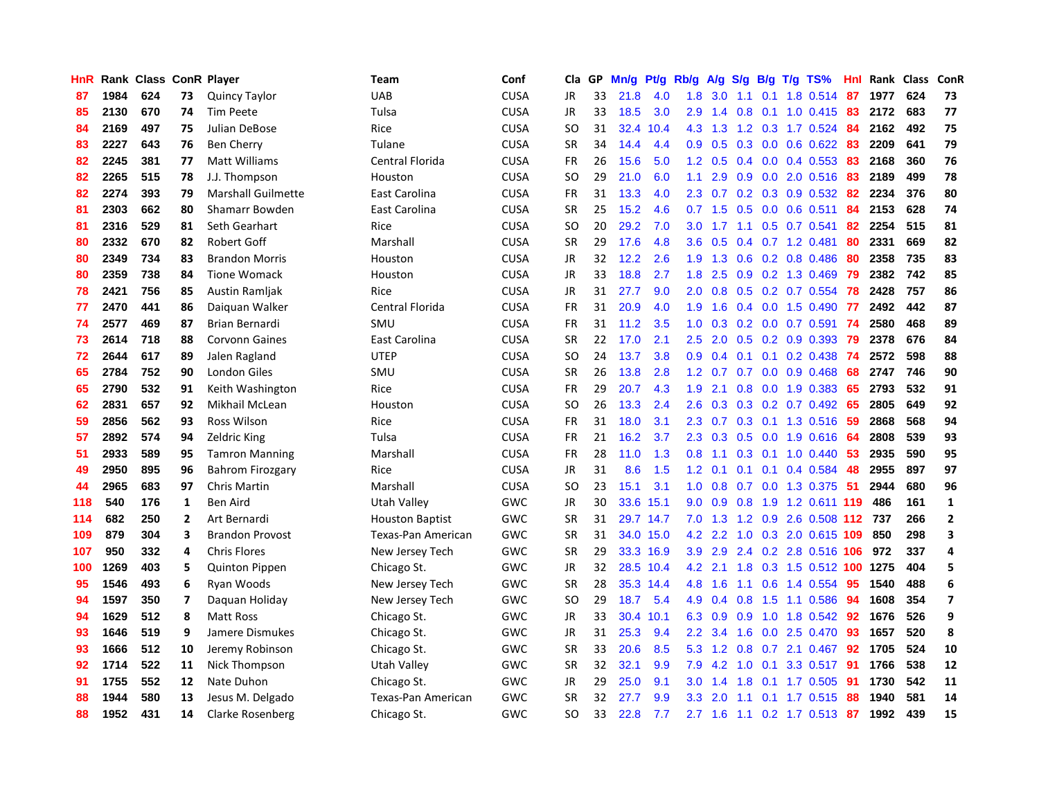| HnR |      | Rank Class ConR Player |              |                           | Team                   | Conf        | Cla       | GP | Mn/g      | <b>Pt/g</b> | Rb/g             | A/g             | S/g              |  | B/g T/g TS%                | Hnl | Rank Class |     | ConR                    |
|-----|------|------------------------|--------------|---------------------------|------------------------|-------------|-----------|----|-----------|-------------|------------------|-----------------|------------------|--|----------------------------|-----|------------|-----|-------------------------|
| 87  | 1984 | 624                    | 73           | <b>Quincy Taylor</b>      | <b>UAB</b>             | <b>CUSA</b> | <b>JR</b> | 33 | 21.8      | 4.0         | 1.8              | 3.0             | $-1.1$           |  | 0.1 1.8 0.514 87           |     | 1977       | 624 | 73                      |
| 85  | 2130 | 670                    | 74           | Tim Peete                 | Tulsa                  | <b>CUSA</b> | <b>JR</b> | 33 | 18.5      | 3.0         | 2.9 <sup>°</sup> |                 |                  |  | 1.4 0.8 0.1 1.0 0.415 83   |     | 2172       | 683 | 77                      |
| 84  | 2169 | 497                    | 75           | Julian DeBose             | Rice                   | <b>CUSA</b> | SO        | 31 | 32.4      | 10.4        | 4.3              | 1.3             |                  |  | 1.2 0.3 1.7 0.524 84       |     | 2162       | 492 | 75                      |
| 83  | 2227 | 643                    | 76           | Ben Cherry                | Tulane                 | <b>CUSA</b> | SR        | 34 | 14.4      | 4.4         | 0.9 <sup>°</sup> | 0.5             |                  |  | $0.3$ 0.0 0.6 0.622        | -83 | 2209       | 641 | 79                      |
| 82  | 2245 | 381                    | 77           | Matt Williams             | Central Florida        | <b>CUSA</b> | <b>FR</b> | 26 | 15.6      | 5.0         | 1.2              | 0.5             |                  |  | $0.4$ 0.0 0.4 0.553        | -83 | 2168       | 360 | 76                      |
| 82  | 2265 | 515                    | 78           | J.J. Thompson             | Houston                | <b>CUSA</b> | SO.       | 29 | 21.0      | 6.0         | 1.1              | 2.9             | 0.9              |  | 0.0 2.0 0.516              | 83  | 2189       | 499 | 78                      |
| 82  | 2274 | 393                    | 79           | <b>Marshall Guilmette</b> | East Carolina          | <b>CUSA</b> | FR        | 31 | 13.3      | 4.0         | $2.3^{\circ}$    | 0.7             |                  |  | 0.2 0.3 0.9 0.532          | -82 | 2234       | 376 | 80                      |
| 81  | 2303 | 662                    | 80           | Shamarr Bowden            | East Carolina          | <b>CUSA</b> | <b>SR</b> | 25 | 15.2      | 4.6         |                  | $0.7$ 1.5       | 0.5              |  | $0.0$ 0.6 0.511            | 84  | 2153       | 628 | 74                      |
| 81  | 2316 | 529                    | 81           | Seth Gearhart             | Rice                   | <b>CUSA</b> | <b>SO</b> | 20 | 29.2      | 7.0         | 3.0              | 1.7             | 1.1              |  | $0.5$ 0.7 0.541            | 82  | 2254       | 515 | 81                      |
| 80  | 2332 | 670                    | 82           | Robert Goff               | Marshall               | <b>CUSA</b> | <b>SR</b> | 29 | 17.6      | 4.8         | 3.6              | 0.5             |                  |  | $0.4$ 0.7 1.2 0.481        | 80  | 2331       | 669 | 82                      |
| 80  | 2349 | 734                    | 83           | <b>Brandon Morris</b>     | Houston                | <b>CUSA</b> | <b>JR</b> | 32 | 12.2      | 2.6         |                  | $1.9$ 1.3       |                  |  | 0.6 0.2 0.8 0.486 80       |     | 2358       | 735 | 83                      |
| 80  | 2359 | 738                    | 84           | <b>Tione Womack</b>       | Houston                | <b>CUSA</b> | JR        | 33 | 18.8      | 2.7         | 1.8              | 2.5             |                  |  | $0.9$ 0.2 1.3 0.469        | -79 | 2382       | 742 | 85                      |
| 78  | 2421 | 756                    | 85           | Austin Ramljak            | Rice                   | CUSA        | <b>JR</b> | 31 | 27.7      | 9.0         | 2.0 <sub>1</sub> | 0.8             |                  |  | 0.5 0.2 0.7 0.554 78       |     | 2428       | 757 | 86                      |
| 77  | 2470 | 441                    | 86           | Daiguan Walker            | Central Florida        | <b>CUSA</b> | FR        | 31 | 20.9      | 4.0         | 1.9              | 1.6             |                  |  | $0.4$ 0.0 1.5 0.490        | 77  | 2492       | 442 | 87                      |
| 74  | 2577 | 469                    | 87           | Brian Bernardi            | SMU                    | CUSA        | <b>FR</b> | 31 | 11.2      | 3.5         | 1.0              | 0.3             |                  |  | $0.2$ 0.0 0.7 0.591        | 74  | 2580       | 468 | 89                      |
| 73  | 2614 | 718                    | 88           | <b>Corvonn Gaines</b>     | East Carolina          | <b>CUSA</b> | <b>SR</b> | 22 | 17.0      | 2.1         | 2.5              | 2.0             |                  |  | $0.5$ 0.2 0.9 0.393        | 79  | 2378       | 676 | 84                      |
| 72  | 2644 | 617                    | 89           | Jalen Ragland             | <b>UTEP</b>            | CUSA        | <b>SO</b> | 24 | 13.7      | 3.8         | 0.9 <sub>0</sub> | 0.4             | 0.1              |  | $0.1$ 0.2 0.438            | -74 | 2572       | 598 | 88                      |
| 65  | 2784 | 752                    | 90           | <b>London Giles</b>       | SMU                    | <b>CUSA</b> | <b>SR</b> | 26 | 13.8      | 2.8         | 1.2              | 0.7             | 0.7              |  | $0.0$ 0.9 0.468            | 68  | 2747       | 746 | 90                      |
| 65  | 2790 | 532                    | 91           | Keith Washington          | Rice                   | <b>CUSA</b> | <b>FR</b> | 29 | 20.7      | 4.3         | 1.9 <sup>°</sup> | 2.1             |                  |  | $0.8$ 0.0 1.9 0.383        | -65 | 2793       | 532 | 91                      |
| 62  | 2831 | 657                    | 92           | Mikhail McLean            | Houston                | <b>CUSA</b> | <b>SO</b> | 26 | 13.3      | 2.4         | 2.6              | 0.3             |                  |  | 0.3 0.2 0.7 0.492 65       |     | 2805       | 649 | 92                      |
| 59  | 2856 | 562                    | 93           | Ross Wilson               | Rice                   | <b>CUSA</b> | <b>FR</b> | 31 | 18.0      | 3.1         | $2.3^{\circ}$    | 0.7             |                  |  | 0.3 0.1 1.3 0.516 59       |     | 2868       | 568 | 94                      |
| 57  | 2892 | 574                    | 94           | Zeldric King              | Tulsa                  | <b>CUSA</b> | <b>FR</b> | 21 | 16.2      | 3.7         | 2.3              | 0.3             | 0.5              |  | $0.0$ 1.9 $0.616$          | -64 | 2808       | 539 | 93                      |
| 51  | 2933 | 589                    | 95           | <b>Tamron Manning</b>     | Marshall               | <b>CUSA</b> | FR        | 28 | 11.0      | 1.3         | 0.8              | 1.1             |                  |  | $0.3$ 0.1 1.0 0.440        | -53 | 2935       | 590 | 95                      |
| 49  | 2950 | 895                    | 96           | <b>Bahrom Firozgary</b>   | Rice                   | <b>CUSA</b> | <b>JR</b> | 31 | 8.6       | 1.5         | 1.2              | 0.1             | 0.1              |  | $0.1$ 0.4 0.584            | 48  | 2955       | 897 | 97                      |
| 44  | 2965 | 683                    | 97           | Chris Martin              | Marshall               | <b>CUSA</b> | <b>SO</b> | 23 | 15.1      | 3.1         | 1.0              | 0.8             |                  |  | 0.7 0.0 1.3 0.375          | 51  | 2944       | 680 | 96                      |
| 118 | 540  | 176                    | $\mathbf{1}$ | <b>Ben Aird</b>           | <b>Utah Valley</b>     | GWC         | JR        | 30 | 33.6      | 15.1        | 9.0 <sub>1</sub> | 0.9             |                  |  | 0.8 1.9 1.2 0.611 119      |     | 486        | 161 | $\mathbf{1}$            |
| 114 | 682  | 250                    | $\mathbf{2}$ | Art Bernardi              | <b>Houston Baptist</b> | GWC         | <b>SR</b> | 31 | 29.7 14.7 |             |                  | $7.0$ 1.3       |                  |  | 1.2 0.9 2.6 0.508 112 737  |     |            | 266 | $\mathbf{2}$            |
| 109 | 879  | 304                    | 3            | <b>Brandon Provost</b>    | Texas-Pan American     | GWC         | <b>SR</b> | 31 |           | 34.0 15.0   |                  | 4.2 2.2         |                  |  | 1.0 0.3 2.0 0.615 109      |     | 850        | 298 | 3                       |
| 107 | 950  | 332                    | 4            | <b>Chris Flores</b>       | New Jersey Tech        | GWC         | <b>SR</b> | 29 |           | 33.3 16.9   | 3.9 <sub>2</sub> | 2.9             |                  |  | 2.4 0.2 2.8 0.516 106 972  |     |            | 337 | 4                       |
| 100 | 1269 | 403                    | 5            | <b>Quinton Pippen</b>     | Chicago St.            | GWC         | <b>JR</b> | 32 | 28.5      | 10.4        | 4.2              | 2.1             |                  |  | 1.8 0.3 1.5 0.512 100 1275 |     |            | 404 | 5                       |
| 95  | 1546 | 493                    | 6            | Ryan Woods                | New Jersey Tech        | GWC         | <b>SR</b> | 28 | 35.3      | 14.4        | 4.8              | 1.6             | 1.1              |  | 0.6 1.4 0.554              | -95 | 1540       | 488 | 6                       |
| 94  | 1597 | 350                    | 7            | Daquan Holiday            | New Jersey Tech        | GWC         | <b>SO</b> | 29 | 18.7      | 5.4         | 4.9              | 0.4             | 0.8              |  | 1.5 1.1 0.586              | -94 | 1608       | 354 | $\overline{\mathbf{z}}$ |
| 94  | 1629 | 512                    | 8            | Matt Ross                 | Chicago St.            | GWC         | <b>JR</b> | 33 | 30.4      | 10.1        | 6.3              | 0.9             | 0.9 <sup>°</sup> |  | 1.0 1.8 0.542              | -92 | 1676       | 526 | 9                       |
| 93  | 1646 | 519                    | 9            | Jamere Dismukes           | Chicago St.            | GWC         | JR        | 31 | 25.3      | 9.4         | 2.2 <sub>2</sub> | 3.4             | 1.6              |  | 0.0 2.5 0.470              | -93 | 1657       | 520 | 8                       |
| 93  | 1666 | 512                    | 10           | Jeremy Robinson           | Chicago St.            | GWC         | <b>SR</b> | 33 | 20.6      | 8.5         | 5.3              | 1.2             | 0.8              |  | $0.7$ 2.1 $0.467$          | -92 | 1705       | 524 | 10                      |
| 92  | 1714 | 522                    | 11           | Nick Thompson             | Utah Valley            | GWC         | <b>SR</b> | 32 | 32.1      | 9.9         | 7.9              | $4.2 \quad 1.0$ |                  |  | 0.1 3.3 0.517 91           |     | 1766       | 538 | 12                      |
| 91  | 1755 | 552                    | 12           | Nate Duhon                | Chicago St.            | GWC         | <b>JR</b> | 29 | 25.0      | 9.1         | 3.0 <sub>1</sub> | 1.4             | 1.8              |  | $0.1$ 1.7 0.505            | -91 | 1730       | 542 | 11                      |
| 88  | 1944 | 580                    | 13           | Jesus M. Delgado          | Texas-Pan American     | GWC         | <b>SR</b> | 32 | 27.7      | 9.9         | 3.3 <sub>2</sub> | 2.0             | 1.1              |  | $0.1$ 1.7 $0.515$          | -88 | 1940       | 581 | 14                      |
| 88  | 1952 | 431                    | 14           | <b>Clarke Rosenberg</b>   | Chicago St.            | GWC         | <b>SO</b> | 33 | 22.8      | 7.7         |                  | $2.7$ 1.6       | 1.1              |  | 0.2 1.7 0.513 87           |     | 1992       | 439 | 15                      |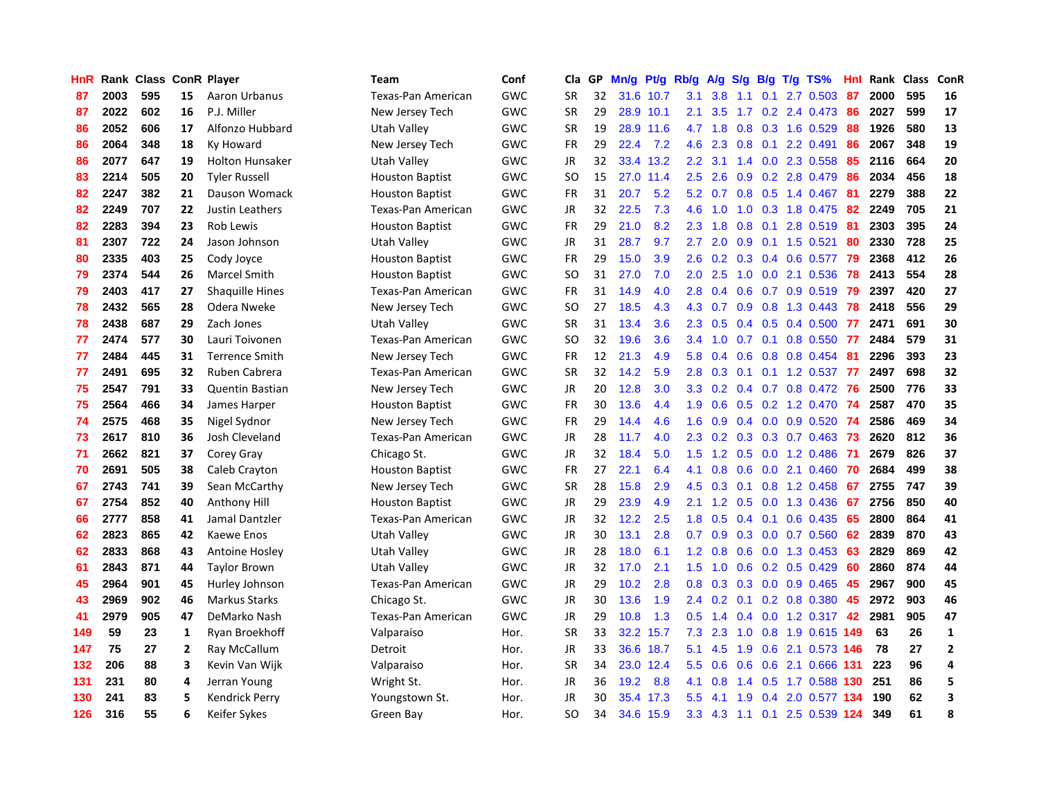| <b>HnR</b> | Rank | <b>Class ConR Player</b> |    |                        | <b>Team</b>            | Conf       | Cla       | <b>GP</b> | Mn/g | Pt/g Rb/g |                  | A/g |     |     | S/g B/g T/g TS%                 | Hnl | Rank | <b>Class</b> | <b>ConR</b>    |
|------------|------|--------------------------|----|------------------------|------------------------|------------|-----------|-----------|------|-----------|------------------|-----|-----|-----|---------------------------------|-----|------|--------------|----------------|
| 87         | 2003 | 595                      | 15 | Aaron Urbanus          | Texas-Pan American     | GWC        | <b>SR</b> | 32        | 31.6 | 10.7      | 3.1              | 3.8 | 1.1 | 0.1 | 2.7 0.503                       | 87  | 2000 | 595          | 16             |
| 87         | 2022 | 602                      | 16 | P.J. Miller            | New Jersey Tech        | GWC        | SR        | 29        |      | 28.9 10.1 | 2.1              | 3.5 |     |     | 1.7 0.2 2.4 0.473 86            |     | 2027 | 599          | 17             |
| 86         | 2052 | 606                      | 17 | Alfonzo Hubbard        | Utah Valley            | GWC        | <b>SR</b> | 19        |      | 28.9 11.6 | 4.7              | 1.8 |     |     | 0.8 0.3 1.6 0.529               | -88 | 1926 | 580          | 13             |
| 86         | 2064 | 348                      | 18 | Ky Howard              | New Jersey Tech        | <b>GWC</b> | <b>FR</b> | 29        | 22.4 | 7.2       | 4.6              | 2.3 |     |     | $0.8$ 0.1 2.2 0.491             | 86  | 2067 | 348          | 19             |
| 86         | 2077 | 647                      | 19 | <b>Holton Hunsaker</b> | <b>Utah Valley</b>     | GWC        | JR        | 32        |      | 33.4 13.2 | $2.2\phantom{0}$ | 3.1 |     |     | 1.4 0.0 2.3 0.558               | 85  | 2116 | 664          | 20             |
| 83         | 2214 | 505                      | 20 | <b>Tyler Russell</b>   | <b>Houston Baptist</b> | GWC        | <b>SO</b> | 15        | 27.0 | 11.4      | 2.5              | 2.6 | 0.9 |     | 0.2 2.8 0.479                   | 86  | 2034 | 456          | 18             |
| 82         | 2247 | 382                      | 21 | Dauson Womack          | <b>Houston Baptist</b> | GWC        | FR        | 31        | 20.7 | 5.2       | 5.2              | 0.7 |     |     | 0.8 0.5 1.4 0.467               | 81  | 2279 | 388          | 22             |
| 82         | 2249 | 707                      | 22 | Justin Leathers        | Texas-Pan American     | GWC        | <b>JR</b> | 32        | 22.5 | 7.3       | 4.6              | 1.0 | 1.0 |     | 0.3 1.8 0.475                   | -82 | 2249 | 705          | 21             |
| 82         | 2283 | 394                      | 23 | Rob Lewis              | <b>Houston Baptist</b> | <b>GWC</b> | <b>FR</b> | 29        | 21.0 | 8.2       | 2.3              | 1.8 | 0.8 |     | 0.1 2.8 0.519                   | -81 | 2303 | 395          | 24             |
| 81         | 2307 | 722                      | 24 | Jason Johnson          | Utah Valley            | GWC        | <b>JR</b> | 31        | 28.7 | 9.7       | 2.7              | 2.0 |     |     | $0.9$ 0.1 1.5 0.521             | -80 | 2330 | 728          | 25             |
| 80         | 2335 | 403                      | 25 | Cody Joyce             | <b>Houston Baptist</b> | <b>GWC</b> | <b>FR</b> | 29        | 15.0 | 3.9       | 2.6              |     |     |     | 0.2 0.3 0.4 0.6 0.577 79        |     | 2368 | 412          | 26             |
| 79         | 2374 | 544                      | 26 | Marcel Smith           | <b>Houston Baptist</b> | GWC        | SO        | 31        | 27.0 | 7.0       | 2.0 <sub>2</sub> | 2.5 |     |     | 1.0 0.0 2.1 0.536               | 78  | 2413 | 554          | 28             |
| 79         | 2403 | 417                      | 27 | <b>Shaquille Hines</b> | Texas-Pan American     | GWC        | <b>FR</b> | 31        | 14.9 | 4.0       | 2.8              | 0.4 | 0.6 |     | $0.7$ 0.9 0.519                 | -79 | 2397 | 420          | 27             |
| 78         | 2432 | 565                      | 28 | Odera Nweke            | New Jersey Tech        | GWC        | <b>SO</b> | 27        | 18.5 | 4.3       | 4.3              | 0.7 |     |     | $0.9$ 0.8 1.3 0.443             | 78  | 2418 | 556          | 29             |
| 78         | 2438 | 687                      | 29 | Zach Jones             | Utah Valley            | <b>GWC</b> | <b>SR</b> | 31        | 13.4 | 3.6       | 2.3              | 0.5 |     |     | $0.4$ 0.5 0.4 0.500             | 77  | 2471 | 691          | 30             |
| 77         | 2474 | 577                      | 30 | Lauri Toivonen         | Texas-Pan American     | GWC        | SO        | 32        | 19.6 | 3.6       | $3.4^{\circ}$    | 1.0 |     |     | $0.7$ 0.1 0.8 0.550             | 77  | 2484 | 579          | 31             |
| 77         | 2484 | 445                      | 31 | <b>Terrence Smith</b>  | New Jersey Tech        | GWC        | <b>FR</b> | 12        | 21.3 | 4.9       | 5.8              | 0.4 | 0.6 |     | 0.8 0.8 0.454                   | 81  | 2296 | 393          | 23             |
| 77         | 2491 | 695                      | 32 | Ruben Cabrera          | Texas-Pan American     | <b>GWC</b> | <b>SR</b> | 32        | 14.2 | 5.9       | 2.8              | 0.3 | 0.1 |     | $0.1$ 1.2 0.537                 | -77 | 2497 | 698          | 32             |
| 75         | 2547 | 791                      | 33 | <b>Quentin Bastian</b> | New Jersey Tech        | GWC        | <b>JR</b> | 20        | 12.8 | 3.0       |                  |     |     |     | 3.3 0.2 0.4 0.7 0.8 0.472 76    |     | 2500 | 776          | 33             |
| 75         | 2564 | 466                      | 34 | James Harper           | <b>Houston Baptist</b> | GWC        | <b>FR</b> | 30        | 13.6 | 4.4       | 1.9              | 0.6 |     |     | 0.5 0.2 1.2 0.470 74            |     | 2587 | 470          | 35             |
| 74         | 2575 | 468                      | 35 | Nigel Sydnor           | New Jersey Tech        | GWC        | FR        | 29        | 14.4 | 4.6       | 1.6              | 0.9 |     |     | $0.4$ 0.0 0.9 0.520             | -74 | 2586 | 469          | 34             |
| 73         | 2617 | 810                      | 36 | Josh Cleveland         | Texas-Pan American     | GWC        | JR        | 28        | 11.7 | 4.0       | 2.3              | 0.2 |     |     | $0.3$ $0.3$ $0.7$ $0.463$       | -73 | 2620 | 812          | 36             |
| 71         | 2662 | 821                      | 37 | Corey Gray             | Chicago St.            | GWC        | <b>JR</b> | 32        | 18.4 | 5.0       | 1.5              | 1.2 |     |     | $0.5$ 0.0 1.2 0.486             | -71 | 2679 | 826          | 37             |
| 70         | 2691 | 505                      | 38 | Caleb Crayton          | <b>Houston Baptist</b> | GWC        | <b>FR</b> | 27        | 22.1 | 6.4       | 4.1              | 0.8 | 0.6 |     | $0.0$ 2.1 $0.460$               | 70  | 2684 | 499          | 38             |
| 67         | 2743 | 741                      | 39 | Sean McCarthy          | New Jersey Tech        | GWC        | <b>SR</b> | 28        | 15.8 | 2.9       | 4.5              | 0.3 |     |     | 0.1 0.8 1.2 0.458               | -67 | 2755 | 747          | 39             |
| 67         | 2754 | 852                      | 40 | Anthony Hill           | <b>Houston Baptist</b> | GWC        | JR        | 29        | 23.9 | 4.9       | 2.1              | 1.2 |     |     | 0.5 0.0 1.3 0.436               | 67  | 2756 | 850          | 40             |
| 66         | 2777 | 858                      | 41 | Jamal Dantzler         | Texas-Pan American     | GWC        | JR        | 32        | 12.2 | 2.5       | 1.8              | 0.5 |     |     | 0.4 0.1 0.6 0.435 65            |     | 2800 | 864          | 41             |
| 62         | 2823 | 865                      | 42 | <b>Kaewe Enos</b>      | <b>Utah Valley</b>     | <b>GWC</b> | JR        | 30        | 13.1 | 2.8       | 0.7              |     |     |     | $0.9$ $0.3$ $0.0$ $0.7$ $0.560$ | -62 | 2839 | 870          | 43             |
| 62         | 2833 | 868                      | 43 | <b>Antoine Hosley</b>  | Utah Valley            | GWC        | JR        | 28        | 18.0 | 6.1       | 1.2              | 0.8 |     |     | $0.6$ 0.0 1.3 0.453             | -63 | 2829 | 869          | 42             |
| 61         | 2843 | 871                      | 44 | <b>Taylor Brown</b>    | Utah Valley            | GWC        | JR        | 32        | 17.0 | 2.1       | 1.5              | 1.0 |     |     | $0.6$ $0.2$ $0.5$ $0.429$       | -60 | 2860 | 874          | 44             |
| 45         | 2964 | 901                      | 45 | Hurley Johnson         | Texas-Pan American     | GWC        | JR        | 29        | 10.2 | 2.8       | 0.8              | 0.3 |     |     | $0.3$ 0.0 0.9 0.465             | 45  | 2967 | 900          | 45             |
| 43         | 2969 | 902                      | 46 | <b>Markus Starks</b>   | Chicago St.            | GWC        | <b>JR</b> | 30        | 13.6 | 1.9       | $2.4^{\circ}$    | 0.2 |     |     | $0.1$ 0.2 0.8 0.380             | 45  | 2972 | 903          | 46             |
| 41         | 2979 | 905                      | 47 | DeMarko Nash           | Texas-Pan American     | GWC        | JR        | 29        | 10.8 | 1.3       | 0.5              | 1.4 |     |     | 0.4 0.0 1.2 0.317               | 42  | 2981 | 905          | 47             |
| 149        | 59   | 23                       | 1  | Ryan Broekhoff         | Valparaiso             | Hor.       | <b>SR</b> | 33        | 32.2 | 15.7      | 7.3              | 2.3 | 1.0 |     | 0.8 1.9 0.615 149               |     | 63   | 26           | $\mathbf{1}$   |
| 147        | 75   | 27                       | 2  | Ray McCallum           | Detroit                | Hor.       | <b>JR</b> | 33        | 36.6 | 18.7      | 5.1              | 4.5 | 1.9 |     | 0.6 2.1 0.573 146               |     | 78   | 27           | $\overline{2}$ |
| 132        | 206  | 88                       | 3  | Kevin Van Wijk         | Valparaiso             | Hor.       | <b>SR</b> | 34        |      | 23.0 12.4 | 5.5              | 0.6 |     |     | 0.6 0.6 2.1 0.666 131           |     | 223  | 96           | 4              |
| 131        | 231  | 80                       | 4  | Jerran Young           | Wright St.             | Hor.       | JR        | 36        | 19.2 | 8.8       | 4.1              | 0.8 |     |     | 1.4 0.5 1.7 0.588 130           |     | 251  | 86           | 5              |
| 130        | 241  | 83                       | 5  | Kendrick Perry         | Youngstown St.         | Hor.       | <b>JR</b> | 30        | 35.4 | 17.3      | 5.5              | 4.1 | 1.9 | 0.4 | 2.0 0.577 134                   |     | 190  | 62           | 3              |
| 126        | 316  | 55                       | 6  | Keifer Sykes           | Green Bay              | Hor.       | SO        | 34        | 34.6 | 15.9      | 3.3              |     |     |     | 4.3 1.1 0.1 2.5 0.539 124       |     | 349  | 61           | 8              |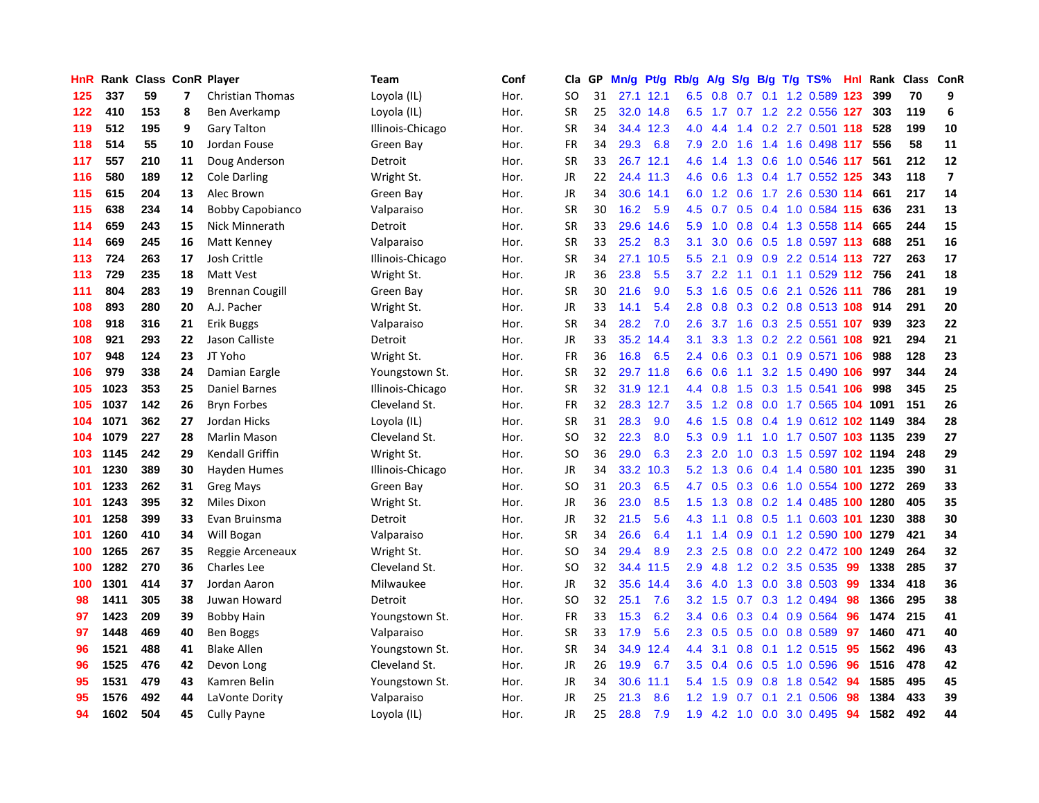| HnR |      | Rank Class ConR Player |                          |                         | <b>Team</b>      | Conf | Cla       | <b>GP</b> | Mn/g | Pt/g      | Rb/g          | A/g              | S/g |     | $B/g$ T/g TS%              | Hnl | Rank | <b>Class</b> | <b>ConR</b>             |
|-----|------|------------------------|--------------------------|-------------------------|------------------|------|-----------|-----------|------|-----------|---------------|------------------|-----|-----|----------------------------|-----|------|--------------|-------------------------|
| 125 | 337  | 59                     | $\overline{\phantom{a}}$ | <b>Christian Thomas</b> | Loyola (IL)      | Hor. | SO        | 31        |      | 27.1 12.1 | 6.5           | 0.8              |     |     | 0.7 0.1 1.2 0.589 123      |     | 399  | 70           | 9                       |
| 122 | 410  | 153                    | 8                        | Ben Averkamp            | Loyola (IL)      | Hor. | SR        | 25        |      | 32.0 14.8 | 6.5           |                  |     |     | 1.7 0.7 1.2 2.2 0.556 127  |     | 303  | 119          | 6                       |
| 119 | 512  | 195                    | 9                        | <b>Gary Talton</b>      | Illinois-Chicago | Hor. | SR        | 34        |      | 34.4 12.3 | 4.0           | 4.4              |     |     | 1.4 0.2 2.7 0.501 118      |     | 528  | 199          | 10                      |
| 118 | 514  | 55                     | 10                       | Jordan Fouse            | Green Bay        | Hor. | FR        | 34        | 29.3 | 6.8       | 7.9           | 2.0              | 1.6 |     | 1.4 1.6 0.498 117          |     | 556  | 58           | 11                      |
| 117 | 557  | 210                    | 11                       | Doug Anderson           | Detroit          | Hor. | <b>SR</b> | 33        | 26.7 | 12.1      | 4.6           | 1.4              | 1.3 |     | 0.6 1.0 0.546 117          |     | 561  | 212          | 12                      |
| 116 | 580  | 189                    | 12                       | <b>Cole Darling</b>     | Wright St.       | Hor. | JR        | 22        | 24.4 | 11.3      | 4.6           | 0.6              | 1.3 |     | 0.4 1.7 0.552 125          |     | 343  | 118          | $\overline{\mathbf{z}}$ |
| 115 | 615  | 204                    | 13                       | Alec Brown              | Green Bay        | Hor. | <b>JR</b> | 34        | 30.6 | 14.1      | 6.0           | 1.2              | 0.6 |     | 1.7 2.6 0.530 114          |     | 661  | 217          | 14                      |
| 115 | 638  | 234                    | 14                       | <b>Bobby Capobianco</b> | Valparaiso       | Hor. | <b>SR</b> | 30        | 16.2 | 5.9       | 4.5           | 0.7              | 0.5 |     | 0.4 1.0 0.584 115          |     | 636  | 231          | 13                      |
| 114 | 659  | 243                    | 15                       | Nick Minnerath          | Detroit          | Hor. | <b>SR</b> | 33        | 29.6 | 14.6      | 5.9           | 1.0              |     |     | 0.8 0.4 1.3 0.558 114      |     | 665  | 244          | 15                      |
| 114 | 669  | 245                    | 16                       | Matt Kenney             | Valparaiso       | Hor. | <b>SR</b> | 33        | 25.2 | 8.3       | 3.1           | 3.0 <sub>2</sub> |     |     | 0.6 0.5 1.8 0.597 113      |     | 688  | 251          | 16                      |
| 113 | 724  | 263                    | 17                       | Josh Crittle            | Illinois-Chicago | Hor. | <b>SR</b> | 34        | 27.1 | 10.5      | $5.5^{\circ}$ | 2.1              |     |     | 0.9 0.9 2.2 0.514 113 727  |     |      | 263          | 17                      |
| 113 | 729  | 235                    | 18                       | Matt Vest               | Wright St.       | Hor. | <b>JR</b> | 36        | 23.8 | 5.5       | 3.7           | $2.2^{\circ}$    | 1.1 |     | 0.1 1.1 0.529 112 756      |     |      | 241          | 18                      |
| 111 | 804  | 283                    | 19                       | <b>Brennan Cougill</b>  | Green Bay        | Hor. | <b>SR</b> | 30        | 21.6 | 9.0       | 5.3           | 1.6              | 0.5 |     | 0.6 2.1 0.526 111          |     | 786  | 281          | 19                      |
| 108 | 893  | 280                    | 20                       | A.J. Pacher             | Wright St.       | Hor. | JR        | 33        | 14.1 | 5.4       | 2.8           | 0.8              |     |     | 0.3 0.2 0.8 0.513 108      |     | 914  | 291          | 20                      |
| 108 | 918  | 316                    | 21                       | <b>Erik Buggs</b>       | Valparaiso       | Hor. | <b>SR</b> | 34        | 28.2 | 7.0       | 2.6           | 3.7              | 1.6 |     | 0.3 2.5 0.551 107          |     | 939  | 323          | 22                      |
| 108 | 921  | 293                    | 22                       | Jason Calliste          | Detroit          | Hor. | <b>JR</b> | 33        | 35.2 | 14.4      | 3.1           | 3.3              | 1.3 |     | 0.2 2.2 0.561 108          |     | 921  | 294          | 21                      |
| 107 | 948  | 124                    | 23                       | JT Yoho                 | Wright St.       | Hor. | <b>FR</b> | 36        | 16.8 | 6.5       | 2.4           | 0.6              | 0.3 |     | $0.1$ 0.9 0.571 106        |     | 988  | 128          | 23                      |
| 106 | 979  | 338                    | 24                       | Damian Eargle           | Youngstown St.   | Hor. | <b>SR</b> | 32        |      | 29.7 11.8 | 6.6           | 0.6              | 1.1 |     | 3.2 1.5 0.490 106          |     | 997  | 344          | 24                      |
| 105 | 1023 | 353                    | 25                       | Daniel Barnes           | Illinois-Chicago | Hor. | <b>SR</b> | 32        |      | 31.9 12.1 | $4.4^{\circ}$ | 0.8              |     |     | 1.5 0.3 1.5 0.541 106      |     | 998  | 345          | 25                      |
| 105 | 1037 | 142                    | 26                       | <b>Bryn Forbes</b>      | Cleveland St.    | Hor. | <b>FR</b> | 32        |      | 28.3 12.7 | 3.5           | 1.2              |     |     | 0.8 0.0 1.7 0.565 104 1091 |     |      | 151          | 26                      |
| 104 | 1071 | 362                    | 27                       | Jordan Hicks            | Loyola (IL)      | Hor. | SR        | 31        | 28.3 | 9.0       | 4.6           | 1.5              | 0.8 |     | 0.4 1.9 0.612 102 1149     |     |      | 384          | 28                      |
| 104 | 1079 | 227                    | 28                       | Marlin Mason            | Cleveland St.    | Hor. | SO.       | 32        | 22.3 | 8.0       | 5.3           | 0.9              | 1.1 |     | 1.0 1.7 0.507 103 1135     |     |      | 239          | 27                      |
| 103 | 1145 | 242                    | 29                       | Kendall Griffin         | Wright St.       | Hor. | SO        | 36        | 29.0 | 6.3       | 2.3           | 2.0              | 1.0 |     | 0.3 1.5 0.597 102 1194     |     |      | 248          | 29                      |
| 101 | 1230 | 389                    | 30                       | Hayden Humes            | Illinois-Chicago | Hor. | <b>JR</b> | 34        | 33.2 | 10.3      | 5.2           | 1.3              | 0.6 |     | 0.4 1.4 0.580 101 1235     |     |      | 390          | 31                      |
| 101 | 1233 | 262                    | 31                       | <b>Greg Mays</b>        | Green Bay        | Hor. | SO        | 31        | 20.3 | 6.5       | 4.7           | 0.5              | 0.3 |     | 0.6 1.0 0.554 100 1272     |     |      | 269          | 33                      |
| 101 | 1243 | 395                    | 32                       | <b>Miles Dixon</b>      | Wright St.       | Hor. | <b>JR</b> | 36        | 23.0 | 8.5       | 1.5           | 1.3              |     |     | 0.8 0.2 1.4 0.485 100 1280 |     |      | 405          | 35                      |
| 101 | 1258 | 399                    | 33                       | Evan Bruinsma           | Detroit          | Hor. | <b>JR</b> | 32        | 21.5 | 5.6       | 4.3           | $-1.1$           |     |     | 0.8 0.5 1.1 0.603 101 1230 |     |      | 388          | 30                      |
| 101 | 1260 | 410                    | 34                       | Will Bogan              | Valparaiso       | Hor. | <b>SR</b> | 34        | 26.6 | 6.4       | 1.1           | 1.4              |     |     | 0.9 0.1 1.2 0.590 100 1279 |     |      | 421          | 34                      |
| 100 | 1265 | 267                    | 35                       | Reggie Arceneaux        | Wright St.       | Hor. | SO        | 34        | 29.4 | 8.9       | 2.3           | 2.5              | 0.8 |     | 0.0 2.2 0.472 100 1249     |     |      | 264          | 32                      |
| 100 | 1282 | 270                    | 36                       | <b>Charles Lee</b>      | Cleveland St.    | Hor. | <b>SO</b> | 32        | 34.4 | 11.5      | 2.9           | 4.8              | 1.2 |     | $0.2$ 3.5 0.535            | -99 | 1338 | 285          | 37                      |
| 100 | 1301 | 414                    | 37                       | Jordan Aaron            | Milwaukee        | Hor. | <b>JR</b> | 32        | 35.6 | 14.4      | 3.6           | 4.0              | 1.3 |     | $0.0$ 3.8 $0.503$          | -99 | 1334 | 418          | 36                      |
| 98  | 1411 | 305                    | 38                       | Juwan Howard            | Detroit          | Hor. | SO        | 32        | 25.1 | 7.6       | 3.2           | 1.5              | 0.7 |     | 0.3 1.2 0.494              | 98  | 1366 | 295          | 38                      |
| 97  | 1423 | 209                    | 39                       | <b>Bobby Hain</b>       | Youngstown St.   | Hor. | FR        | 33        | 15.3 | 6.2       | 3.4           | 0.6              | 0.3 |     | 0.4 0.9 0.564              | 96  | 1474 | 215          | 41                      |
| 97  | 1448 | 469                    | 40                       | Ben Boggs               | Valparaiso       | Hor. | <b>SR</b> | 33        | 17.9 | 5.6       | 2.3           | 0.5              | 0.5 |     | $0.0$ $0.8$ $0.589$        | 97  | 1460 | 471          | 40                      |
| 96  | 1521 | 488                    | 41                       | <b>Blake Allen</b>      | Youngstown St.   | Hor. | SR        | 34        | 34.9 | 12.4      | 4.4           | 3.1              | 0.8 |     | 0.1 1.2 0.515 95           |     | 1562 | 496          | 43                      |
| 96  | 1525 | 476                    | 42                       | Devon Long              | Cleveland St.    | Hor. | <b>JR</b> | 26        | 19.9 | 6.7       | 3.5           | 0.4              |     |     | 0.6 0.5 1.0 0.596          | 96  | 1516 | 478          | 42                      |
| 95  | 1531 | 479                    | 43                       | Kamren Belin            | Youngstown St.   | Hor. | JR        | 34        | 30.6 | 11.1      | 5.4           | 1.5              | 0.9 |     | 0.8 1.8 0.542              | 94  | 1585 | 495          | 45                      |
| 95  | 1576 | 492                    | 44                       | LaVonte Dority          | Valparaiso       | Hor. | <b>JR</b> | 25        | 21.3 | 8.6       | 1.2           | 1.9              | 0.7 | 0.1 | 2.1 0.506                  | 98  | 1384 | 433          | 39                      |
| 94  | 1602 | 504                    | 45                       | <b>Cully Payne</b>      | Loyola (IL)      | Hor. | <b>JR</b> | 25        | 28.8 | 7.9       | 1.9           | 4.2              |     |     | 1.0 0.0 3.0 0.495          | 94  | 1582 | 492          | 44                      |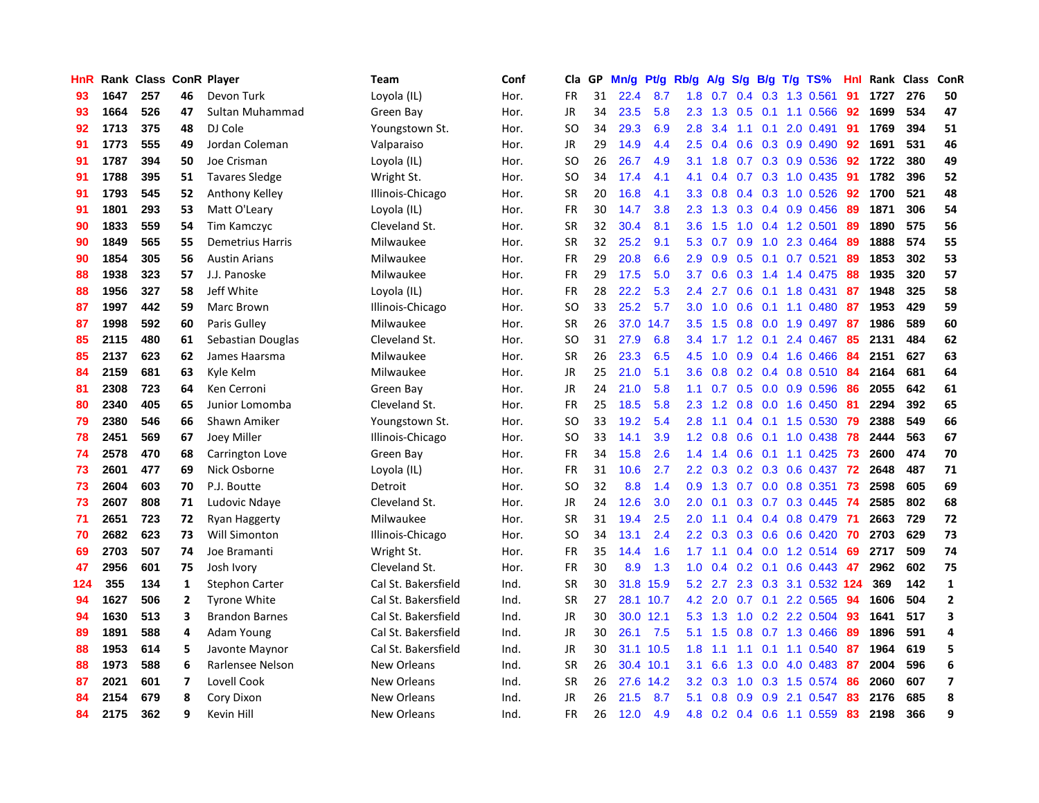| HnR |      | Rank Class ConR Player |                         |                         | Team                | Conf | Cla           | <b>GP</b> | Mn/g | <b>Pt/g</b> | Rb/g             | A/g    | S/g |                 | B/g T/g TS%               | Hnl | Rank | <b>Class</b> | <b>ConR</b>             |
|-----|------|------------------------|-------------------------|-------------------------|---------------------|------|---------------|-----------|------|-------------|------------------|--------|-----|-----------------|---------------------------|-----|------|--------------|-------------------------|
| 93  | 1647 | 257                    | 46                      | Devon Turk              | Loyola (IL)         | Hor. | <b>FR</b>     | 31        | 22.4 | 8.7         | 1.8              | 0.7    |     |                 | 0.4 0.3 1.3 0.561         | 91  | 1727 | 276          | 50                      |
| 93  | 1664 | 526                    | 47                      | Sultan Muhammad         | Green Bay           | Hor. | <b>JR</b>     | 34        | 23.5 | 5.8         | 2.3              | 1.3    |     |                 | $0.5$ 0.1 1.1 0.566       | 92  | 1699 | 534          | 47                      |
| 92  | 1713 | 375                    | 48                      | DJ Cole                 | Youngstown St.      | Hor. | SO            | 34        | 29.3 | 6.9         | 2.8              | 3.4    |     |                 | $1.1$ 0.1 2.0 0.491       | 91  | 1769 | 394          | 51                      |
| 91  | 1773 | 555                    | 49                      | Jordan Coleman          | Valparaiso          | Hor. | JR            | 29        | 14.9 | 4.4         | 2.5              | 0.4    | 0.6 |                 | 0.3 0.9 0.490             | 92  | 1691 | 531          | 46                      |
| 91  | 1787 | 394                    | 50                      | Joe Crisman             | Lovola (IL)         | Hor. | <b>SO</b>     | 26        | 26.7 | 4.9         | 3.1              | 1.8    |     |                 | $0.7$ $0.3$ $0.9$ $0.536$ | 92  | 1722 | 380          | 49                      |
| 91  | 1788 | 395                    | 51                      | <b>Tavares Sledge</b>   | Wright St.          | Hor. | SO            | 34        | 17.4 | 4.1         | 4.1              | 0.4    |     |                 | $0.7$ $0.3$ $1.0$ $0.435$ | -91 | 1782 | 396          | 52                      |
| 91  | 1793 | 545                    | 52                      | Anthony Kelley          | Illinois-Chicago    | Hor. | <b>SR</b>     | 20        | 16.8 | 4.1         | 3.3              | 0.8    |     |                 | $0.4$ 0.3 1.0 0.526       | 92  | 1700 | 521          | 48                      |
| 91  | 1801 | 293                    | 53                      | Matt O'Leary            | Loyola (IL)         | Hor. | <b>FR</b>     | 30        | 14.7 | 3.8         | 2.3              | 1.3    | 0.3 |                 | $0.4$ 0.9 0.456           | 89  | 1871 | 306          | 54                      |
| 90  | 1833 | 559                    | 54                      | Tim Kamczyc             | Cleveland St.       | Hor. | <b>SR</b>     | 32        | 30.4 | 8.1         | 3.6              | 1.5    | 1.0 |                 | $0.4$ 1.2 0.501           | 89  | 1890 | 575          | 56                      |
| 90  | 1849 | 565                    | 55                      | <b>Demetrius Harris</b> | Milwaukee           | Hor. | <b>SR</b>     | 32        | 25.2 | 9.1         | 5.3              | 0.7    |     |                 | 0.9 1.0 2.3 0.464         | -89 | 1888 | 574          | 55                      |
| 90  | 1854 | 305                    | 56                      | <b>Austin Arians</b>    | Milwaukee           | Hor. | <b>FR</b>     | 29        | 20.8 | 6.6         | 2.9              | 0.9    |     |                 | $0.5$ 0.1 0.7 0.521       | -89 | 1853 | 302          | 53                      |
| 88  | 1938 | 323                    | 57                      | J.J. Panoske            | Milwaukee           | Hor. | FR            | 29        | 17.5 | 5.0         | 3.7              | 0.6    |     |                 | $0.3$ 1.4 1.4 0.475       | -88 | 1935 | 320          | 57                      |
| 88  | 1956 | 327                    | 58                      | Jeff White              | Loyola (IL)         | Hor. | <b>FR</b>     | 28        | 22.2 | 5.3         | 2.4              | 2.7    | 0.6 |                 | $0.1$ 1.8 0.431           | 87  | 1948 | 325          | 58                      |
| 87  | 1997 | 442                    | 59                      | Marc Brown              | Illinois-Chicago    | Hor. | SO.           | 33        | 25.2 | 5.7         | 3.0              | 1.0    | 0.6 |                 | $0.1$ 1.1 0.480           | 87  | 1953 | 429          | 59                      |
| 87  | 1998 | 592                    | 60                      | Paris Gulley            | Milwaukee           | Hor. | <b>SR</b>     | 26        | 37.0 | 14.7        | 3.5              | 1.5    | 0.8 |                 | 0.0 1.9 0.497             | 87  | 1986 | 589          | 60                      |
| 85  | 2115 | 480                    | 61                      | Sebastian Douglas       | Cleveland St.       | Hor. | SO.           | 31        | 27.9 | 6.8         | $3.4^{\circ}$    | 1.7    |     | $1.2 \quad 0.1$ | 2.4 0.467                 | 85  | 2131 | 484          | 62                      |
| 85  | 2137 | 623                    | 62                      | James Haarsma           | Milwaukee           | Hor. | <b>SR</b>     | 26        | 23.3 | 6.5         | 4.5              | 1.0    | 0.9 |                 | 0.4 1.6 0.466             | 84  | 2151 | 627          | 63                      |
| 84  | 2159 | 681                    | 63                      | Kyle Kelm               | Milwaukee           | Hor. | JR            | 25        | 21.0 | 5.1         | 3.6              | 0.8    |     |                 | $0.2$ 0.4 0.8 0.510       | -84 | 2164 | 681          | 64                      |
| 81  | 2308 | 723                    | 64                      | Ken Cerroni             | Green Bay           | Hor. | <b>JR</b>     | 24        | 21.0 | 5.8         | 1.1              | 0.7    |     |                 | $0.5$ 0.0 0.9 0.596       | -86 | 2055 | 642          | 61                      |
| 80  | 2340 | 405                    | 65                      | Junior Lomomba          | Cleveland St.       | Hor. | <b>FR</b>     | 25        | 18.5 | 5.8         | 2.3              | 1.2    |     |                 | $0.8$ 0.0 1.6 0.450       | -81 | 2294 | 392          | 65                      |
| 79  | 2380 | 546                    | 66                      | Shawn Amiker            | Youngstown St.      | Hor. | SO            | 33        | 19.2 | 5.4         | 2.8              | 1.1    |     |                 | $0.4$ 0.1 1.5 0.530       | 79  | 2388 | 549          | 66                      |
| 78  | 2451 | 569                    | 67                      | <b>Joey Miller</b>      | Illinois-Chicago    | Hor. | <b>SO</b>     | 33        | 14.1 | 3.9         | 1.2              | 0.8    | 0.6 |                 | 0.1 1.0 0.438             | 78  | 2444 | 563          | 67                      |
| 74  | 2578 | 470                    | 68                      | Carrington Love         | Green Bay           | Hor. | <b>FR</b>     | 34        | 15.8 | 2.6         | 1.4              | 1.4    | 0.6 |                 | $0.1$ 1.1 0.425           | 73  | 2600 | 474          | 70                      |
| 73  | 2601 | 477                    | 69                      | Nick Osborne            | Loyola (IL)         | Hor. | <b>FR</b>     | 31        | 10.6 | 2.7         | 2.2              | 0.3    |     |                 | $0.2$ $0.3$ $0.6$ $0.437$ | 72  | 2648 | 487          | 71                      |
| 73  | 2604 | 603                    | 70                      | P.J. Boutte             | Detroit             | Hor. | <sub>SO</sub> | 32        | 8.8  | 1.4         | 0.9              | 1.3    |     |                 | 0.7 0.0 0.8 0.351         | 73  | 2598 | 605          | 69                      |
| 73  | 2607 | 808                    | 71                      | Ludovic Ndaye           | Cleveland St.       | Hor. | <b>JR</b>     | 24        | 12.6 | 3.0         | 2.0              | 0.1    |     |                 | 0.3 0.7 0.3 0.445         | -74 | 2585 | 802          | 68                      |
| 71  | 2651 | 723                    | 72                      | <b>Ryan Haggerty</b>    | Milwaukee           | Hor. | <b>SR</b>     | 31        | 19.4 | 2.5         | 2.0              | 1.1    |     |                 | $0.4$ 0.4 0.8 0.479       | -71 | 2663 | 729          | 72                      |
| 70  | 2682 | 623                    | 73                      | Will Simonton           | Illinois-Chicago    | Hor. | <b>SO</b>     | 34        | 13.1 | 2.4         | 2.2              | 0.3    |     |                 | 0.3 0.6 0.6 0.420 70      |     | 2703 | 629          | 73                      |
| 69  | 2703 | 507                    | 74                      | Joe Bramanti            | Wright St.          | Hor. | FR            | 35        | 14.4 | 1.6         | 1.7 <sub>z</sub> | $-1.1$ |     |                 | 0.4 0.0 1.2 0.514 69      |     | 2717 | 509          | 74                      |
| 47  | 2956 | 601                    | 75                      | Josh Ivory              | Cleveland St.       | Hor. | FR            | 30        | 8.9  | 1.3         | 1.0              | 0.4    |     |                 | $0.2$ 0.1 0.6 0.443       | 47  | 2962 | 602          | 75                      |
| 124 | 355  | 134                    | $\mathbf{1}$            | <b>Stephon Carter</b>   | Cal St. Bakersfield | Ind. | <b>SR</b>     | 30        | 31.8 | 15.9        | 5.2              | 2.7    |     |                 | 2.3 0.3 3.1 0.532 124     |     | 369  | 142          | $\mathbf{1}$            |
| 94  | 1627 | 506                    | $\mathbf{2}$            | <b>Tyrone White</b>     | Cal St. Bakersfield | Ind. | <b>SR</b>     | 27        | 28.1 | 10.7        | 4.2              | 2.0    |     |                 | 0.7 0.1 2.2 0.565         | -94 | 1606 | 504          | $\overline{2}$          |
| 94  | 1630 | 513                    | 3                       | <b>Brandon Barnes</b>   | Cal St. Bakersfield | Ind. | <b>JR</b>     | 30        | 30.0 | 12.1        | 5.3              | 1.3    | 1.0 |                 | 0.2 2.2 0.504             | -93 | 1641 | 517          | 3                       |
| 89  | 1891 | 588                    | 4                       | Adam Young              | Cal St. Bakersfield | Ind. | JR            | 30        | 26.1 | 7.5         | 5.1              | 1.5    | 0.8 |                 | 0.7 1.3 0.466             | -89 | 1896 | 591          | 4                       |
| 88  | 1953 | 614                    | 5                       | Javonte Maynor          | Cal St. Bakersfield | Ind. | JR            | 30        | 31.1 | 10.5        | 1.8              | 1.1    | 1.1 |                 | $0.1$ 1.1 $0.540$         | -87 | 1964 | 619          | 5                       |
| 88  | 1973 | 588                    | 6                       | Rarlensee Nelson        | New Orleans         | Ind. | <b>SR</b>     | 26        |      | 30.4 10.1   | 3.1              | 6.6    |     |                 | 1.3 0.0 4.0 0.483 87      |     | 2004 | 596          | 6                       |
| 87  | 2021 | 601                    | $\overline{\mathbf{z}}$ | Lovell Cook             | <b>New Orleans</b>  | Ind. | <b>SR</b>     | 26        | 27.6 | 14.2        | 3.2              | 0.3    |     |                 | 1.0 0.3 1.5 0.574         | -86 | 2060 | 607          | $\overline{\mathbf{z}}$ |
| 84  | 2154 | 679                    | 8                       | Cory Dixon              | <b>New Orleans</b>  | Ind. | JR            | 26        | 21.5 | 8.7         | 5.1              | 0.8    | 0.9 |                 | 0.9 2.1 0.547             | 83  | 2176 | 685          | 8                       |
| 84  | 2175 | 362                    | q                       | <b>Kevin Hill</b>       | <b>New Orleans</b>  | Ind. | <b>FR</b>     | 26        | 12.0 | 4.9         | 4.8              | 0.2    |     |                 | $0.4$ 0.6 1.1 0.559       | 83  | 2198 | 366          | 9                       |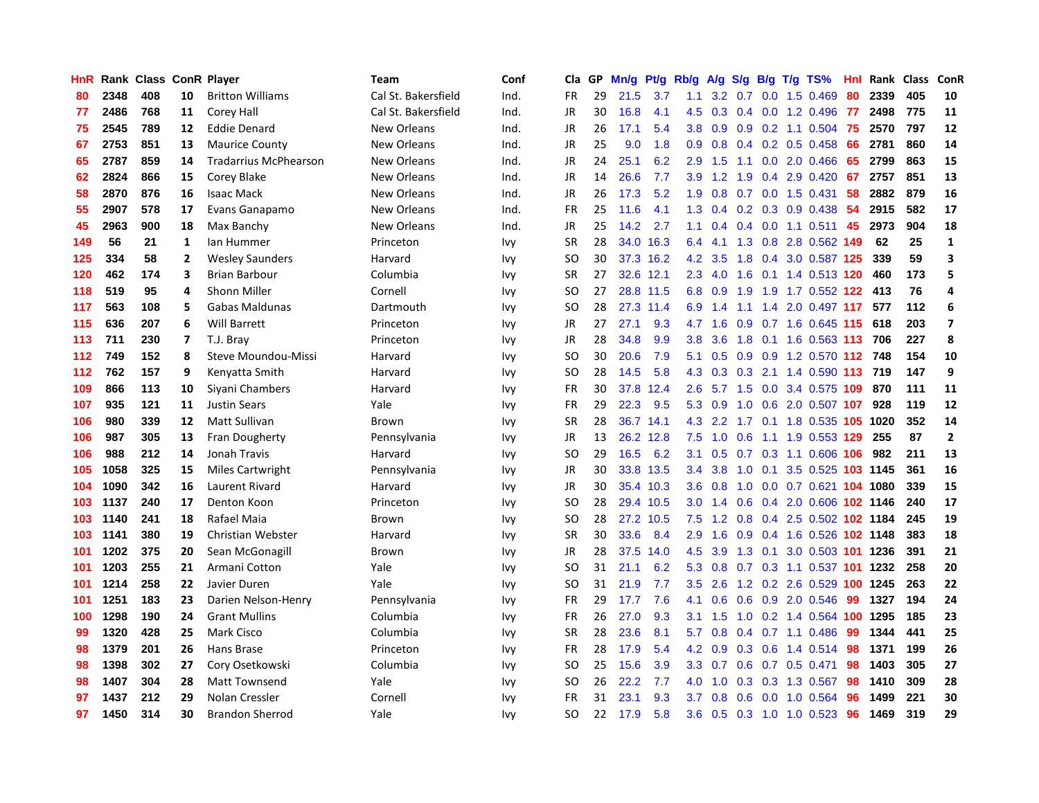| HnR |      | Rank Class ConR Player |                |                              | Team                | Conf | Cla           | <b>GP</b> | Mn/g | <b>Pt/g</b> | Rb/g             | A/g             | S/g |     | B/g T/g TS%                | Hnl | Rank     | <b>Class</b> | <b>ConR</b>             |
|-----|------|------------------------|----------------|------------------------------|---------------------|------|---------------|-----------|------|-------------|------------------|-----------------|-----|-----|----------------------------|-----|----------|--------------|-------------------------|
| 80  | 2348 | 408                    | 10             | <b>Britton Williams</b>      | Cal St. Bakersfield | Ind. | <b>FR</b>     | 29        | 21.5 | 3.7         | 1.1              | 3.2             | 0.7 |     | $0.0$ 1.5 $0.469$          | 80  | 2339     | 405          | 10                      |
| 77  | 2486 | 768                    | 11             | Corey Hall                   | Cal St. Bakersfield | Ind. | JR            | 30        | 16.8 | 4.1         | 4.5              | 0.3             |     |     | 0.4 0.0 1.2 0.496 77       |     | 2498     | 775          | 11                      |
| 75  | 2545 | 789                    | 12             | <b>Eddie Denard</b>          | New Orleans         | Ind. | JR            | 26        | 17.1 | 5.4         | 3.8 <sub>2</sub> | 0.9             |     |     | $0.9$ 0.2 1.1 0.504        | -75 | 2570     | 797          | 12                      |
| 67  | 2753 | 851                    | 13             | <b>Maurice County</b>        | New Orleans         | Ind. | JR            | 25        | 9.0  | 1.8         | 0.9 <sub>0</sub> | 0.8             |     |     | $0.4$ 0.2 0.5 0.458        | 66  | 2781     | 860          | 14                      |
| 65  | 2787 | 859                    | 14             | <b>Tradarrius McPhearson</b> | New Orleans         | Ind. | JR            | 24        | 25.1 | 6.2         | 2.9              | 1.5             | 1.1 |     | $0.0$ 2.0 $0.466$          | 65  | 2799     | 863          | 15                      |
| 62  | 2824 | 866                    | 15             | Corey Blake                  | New Orleans         | Ind. | JR            | 14        | 26.6 | 7.7         | 3.9              | 1.2             | 1.9 |     | 0.4 2.9 0.420              | 67  | 2757     | 851          | 13                      |
| 58  | 2870 | 876                    | 16             | <b>Isaac Mack</b>            | New Orleans         | Ind. | JR            | 26        | 17.3 | 5.2         | 1.9              | 0.8             | 0.7 |     | $0.0$ 1.5 0.431            | 58  | 2882     | 879          | 16                      |
| 55  | 2907 | 578                    | 17             | Evans Ganapamo               | New Orleans         | Ind. | <b>FR</b>     | 25        | 11.6 | 4.1         | 1.3              | 0.4             |     |     | $0.2$ $0.3$ $0.9$ $0.438$  | 54  | 2915     | 582          | 17                      |
| 45  | 2963 | 900                    | 18             | Max Banchy                   | <b>New Orleans</b>  | Ind. | <b>JR</b>     | 25        | 14.2 | 2.7         | 1.1              | 0.4             |     |     | $0.4$ 0.0 1.1 0.511        | 45  | 2973     | 904          | 18                      |
| 149 | 56   | 21                     | 1              | lan Hummer                   | Princeton           | Ivy  | <b>SR</b>     | 28        |      | 34.0 16.3   | 6.4              | 4.1             |     |     | 1.3 0.8 2.8 0.562 149      |     | 62       | 25           | $\mathbf{1}$            |
| 125 | 334  | 58                     | $\mathbf{2}$   | <b>Wesley Saunders</b>       | Harvard             | Ivy  | <sub>SO</sub> | 30        |      | 37.3 16.2   | 4.2              | 3.5             |     |     | 1.8 0.4 3.0 0.587 125      |     | 339      | 59           | 3                       |
| 120 | 462  | 174                    | 3              | <b>Brian Barbour</b>         | Columbia            | Ivy  | <b>SR</b>     | 27        | 32.6 | 12.1        | 2.3              | 4.0             | 1.6 |     | 0.1 1.4 0.513 120          |     | 460      | 173          | 5                       |
| 118 | 519  | 95                     | 4              | <b>Shonn Miller</b>          | Cornell             | Ivy  | <sub>SO</sub> | 27        |      | 28.8 11.5   | 6.8              | 0.9             | 1.9 |     | 1.9 1.7 0.552 122          |     | 413      | 76           | 4                       |
| 117 | 563  | 108                    | 5              | <b>Gabas Maldunas</b>        | Dartmouth           | Ivy  | SO.           | 28        | 27.3 | 11.4        | 6.9              | 1.4             | 1.1 |     | 1.4 2.0 0.497 117          |     | 577      | 112          | 6                       |
| 115 | 636  | 207                    | 6              | <b>Will Barrett</b>          | Princeton           | Ivy  | JR            | 27        | 27.1 | 9.3         | 4.7              | 1.6             | 0.9 |     | 0.7 1.6 0.645 115          |     | 618      | 203          | $\overline{\mathbf{z}}$ |
| 113 | 711  | 230                    | $\overline{7}$ | T.J. Bray                    | Princeton           | Ivy  | JR            | 28        | 34.8 | 9.9         | 3.8              | 3.6             | 1.8 |     | 0.1 1.6 0.563 113          |     | 706      | 227          | 8                       |
| 112 | 749  | 152                    | 8              | Steve Moundou-Missi          | Harvard             | Ivy  | <sub>SO</sub> | 30        | 20.6 | 7.9         | 5.1              | 0.5             | 0.9 |     | 0.9 1.2 0.570 112 748      |     |          | 154          | 10                      |
| 112 | 762  | 157                    | 9              | Kenyatta Smith               | Harvard             | Ivy  | <sub>SO</sub> | 28        | 14.5 | 5.8         | 4.3              | 0.3             | 0.3 |     | 2.1 1.4 0.590 113 719      |     |          | 147          | 9                       |
| 109 | 866  | 113                    | 10             | Siyani Chambers              | Harvard             | Ivy  | <b>FR</b>     | 30        | 37.8 | 12.4        | 2.6              | 5.7             |     |     | 1.5 0.0 3.4 0.575 109 870  |     |          | 111          | 11                      |
| 107 | 935  | 121                    | 11             | <b>Justin Sears</b>          | Yale                | Ivy  | <b>FR</b>     | 29        | 22.3 | 9.5         | 5.3              | 0.9             |     |     | 1.0 0.6 2.0 0.507 107      |     | 928      | 119          | 12                      |
| 106 | 980  | 339                    | 12             | <b>Matt Sullivan</b>         | Brown               | Ivy  | SR            | 28        |      | 36.7 14.1   | 4.3              | 2.2             |     |     | 1.7 0.1 1.8 0.535 105 1020 |     |          | 352          | 14                      |
| 106 | 987  | 305                    | 13             | Fran Dougherty               | Pennsylvania        | Ivy  | JR            | 13        | 26.2 | 12.8        | 7.5              | 1.0             | 0.6 |     | 1.1 1.9 0.553 129          |     | 255      | 87           | $\overline{2}$          |
| 106 | 988  | 212                    | 14             | Jonah Travis                 | Harvard             | Ivy  | SO            | 29        | 16.5 | 6.2         | 3.1              | 0.5             | 0.7 |     | 0.3 1.1 0.606 106          |     | 982      | 211          | 13                      |
| 105 | 1058 | 325                    | 15             | <b>Miles Cartwright</b>      | Pennsylvania        | Ivy  | JR            | 30        | 33.8 | 13.5        | 3.4              | 3.8             | 1.0 | 0.1 | $3.5 \quad 0.525$          |     | 103 1145 | 361          | 16                      |
| 104 | 1090 | 342                    | 16             | Laurent Rivard               | Harvard             | Ivy  | JR            | 30        |      | 35.4 10.3   | 3.6              | 0.8             | 1.0 |     | 0.0 0.7 0.621 104 1080     |     |          | 339          | 15                      |
| 103 | 1137 | 240                    | 17             | Denton Koon                  | Princeton           | Ivy  | <sub>SO</sub> | 28        | 29.4 | 10.5        | 3.0 <sub>2</sub> | 1.4             | 0.6 |     | 0.4 2.0 0.606 102 1146     |     |          | 240          | 17                      |
| 103 | 1140 | 241                    | 18             | Rafael Maia                  | Brown               | Ivy  | <sub>SO</sub> | 28        |      | 27.2 10.5   | 7.5              | 1.2             |     |     | 0.8 0.4 2.5 0.502 102 1184 |     |          | 245          | 19                      |
| 103 | 1141 | 380                    | 19             | Christian Webster            | Harvard             | Ivy  | <b>SR</b>     | 30        | 33.6 | 8.4         | 2.9              | 1.6             |     |     | 0.9 0.4 1.6 0.526 102 1148 |     |          | 383          | 18                      |
| 101 | 1202 | 375                    | 20             | Sean McGonagill              | Brown               | Ivy  | JR            | 28        | 37.5 | 14.0        | 4.5              | 3.9             |     |     | 1.3 0.1 3.0 0.503 101 1236 |     |          | 391          | 21                      |
| 101 | 1203 | 255                    | 21             | Armani Cotton                | Yale                | Ivy  | <sub>SO</sub> | 31        | 21.1 | 6.2         | 5.3              | 0.8             |     |     | 0.7 0.3 1.1 0.537 101 1232 |     |          | 258          | 20                      |
| 101 | 1214 | 258                    | 22             | Javier Duren                 | Yale                | Ivy  | <b>SO</b>     | 31        | 21.9 | 7.7         | 3.5              | 2.6             | 1.2 |     | 0.2 2.6 0.529 100 1245     |     |          | 263          | 22                      |
| 101 | 1251 | 183                    | 23             | Darien Nelson-Henry          | Pennsylvania        | Ivy  | FR            | 29        | 17.7 | 7.6         | 4.1              | 0.6             | 0.6 |     | 0.9 2.0 0.546              | 99  | 1327     | 194          | 24                      |
| 100 | 1298 | 190                    | 24             | <b>Grant Mullins</b>         | Columbia            | Ivy  | <b>FR</b>     | 26        | 27.0 | 9.3         | 3.1              | 1.5             | 1.0 |     | 0.2 1.4 0.564 100          |     | 1295     | 185          | 23                      |
| 99  | 1320 | 428                    | 25             | <b>Mark Cisco</b>            | Columbia            | Ivy  | <b>SR</b>     | 28        | 23.6 | 8.1         | 5.7              | 0.8             | 0.4 |     | $0.7$ 1.1 0.486            | -99 | 1344     | 441          | 25                      |
| 98  | 1379 | 201                    | 26             | Hans Brase                   | Princeton           | Ivy  | <b>FR</b>     | 28        | 17.9 | 5.4         | 4.2              | 0.9             | 0.3 |     | $0.6$ 1.4 $0.514$          | -98 | 1371     | 199          | 26                      |
| 98  | 1398 | 302                    | 27             | Cory Osetkowski              | Columbia            | Ivv  | SO            | 25        | 15.6 | 3.9         |                  | $3.3 \quad 0.7$ |     |     | $0.6$ 0.7 0.5 0.471        | -98 | 1403     | 305          | 27                      |
| 98  | 1407 | 304                    | 28             | <b>Matt Townsend</b>         | Yale                | Ivy  | SO            | 26        | 22.2 | 7.7         | 4.0              | 1.0             |     |     | $0.3$ $0.3$ $1.3$ $0.567$  | -98 | 1410     | 309          | 28                      |
| 97  | 1437 | 212                    | 29             | Nolan Cressler               | Cornell             | Ivv  | FR            | 31        | 23.1 | 9.3         | 3.7              | 0.8             | 0.6 |     | 0.0 1.0 0.564              | 96  | 1499     | 221          | 30                      |
| 97  | 1450 | 314                    | 30             | <b>Brandon Sherrod</b>       | Yale                | Ivv  | <b>SO</b>     | 22        | 17.9 | 5.8         | 3.6              | 0.5             |     |     | 0.3 1.0 1.0 0.523          | 96  | 1469     | 319          | 29                      |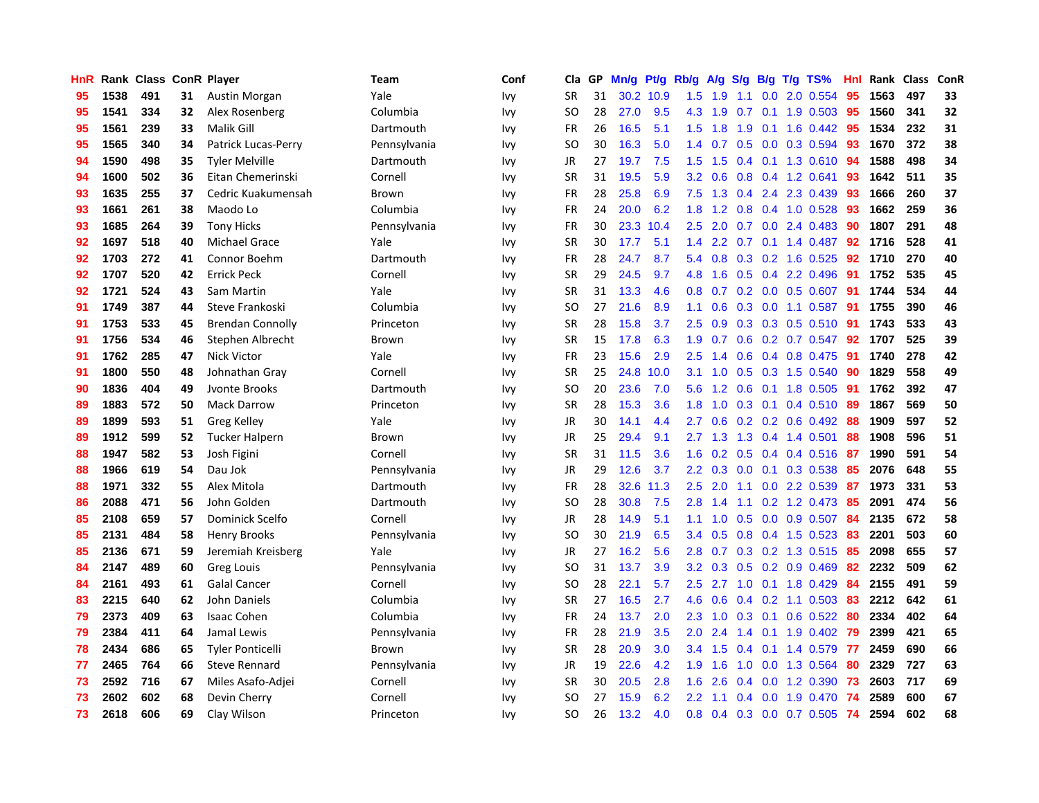| HnR |      | Rank Class ConR Player |    |                         | Team         | Conf | Cla       | <b>GP</b> | Mn/g | Pt/g      | Rb/g             | A/g    | S/g           |     | B/g T/g TS%              | Hnl | Rank | <b>Class</b> | ConR |
|-----|------|------------------------|----|-------------------------|--------------|------|-----------|-----------|------|-----------|------------------|--------|---------------|-----|--------------------------|-----|------|--------------|------|
| 95  | 1538 | 491                    | 31 | Austin Morgan           | Yale         | Ivy  | <b>SR</b> | 31        |      | 30.2 10.9 | 1.5              | 1.9    | 1.1           |     | $0.0$ 2.0 $0.554$        | 95  | 1563 | 497          | 33   |
| 95  | 1541 | 334                    | 32 | Alex Rosenberg          | Columbia     | Ivy  | SO.       | 28        | 27.0 | 9.5       | 4.3              | $-1.9$ |               |     | 0.7 0.1 1.9 0.503 95     |     | 1560 | 341          | 32   |
| 95  | 1561 | 239                    | 33 | Malik Gill              | Dartmouth    | Ivy  | <b>FR</b> | 26        | 16.5 | 5.1       | 1.5              | 1.8    | 1.9           |     | $0.1$ 1.6 $0.442$        | -95 | 1534 | 232          | 31   |
| 95  | 1565 | 340                    | 34 | Patrick Lucas-Perry     | Pennsylvania | Ivy  | SO        | 30        | 16.3 | 5.0       | $1.4^{\circ}$    | 0.7    |               |     | $0.5$ 0.0 0.3 0.594      | -93 | 1670 | 372          | 38   |
| 94  | 1590 | 498                    | 35 | <b>Tyler Melville</b>   | Dartmouth    | Ivy  | JR        | 27        | 19.7 | 7.5       | 1.5              | 1.5    | 0.4           |     | $0.1$ 1.3 0.610          | -94 | 1588 | 498          | 34   |
| 94  | 1600 | 502                    | 36 | Eitan Chemerinski       | Cornell      | Ivy  | <b>SR</b> | 31        | 19.5 | 5.9       | 3.2 <sub>2</sub> | 0.6    |               |     | $0.8$ 0.4 1.2 0.641      | 93  | 1642 | 511          | 35   |
| 93  | 1635 | 255                    | 37 | Cedric Kuakumensah      | Brown        | Ivy  | <b>FR</b> | 28        | 25.8 | 6.9       | 7.5              | 1.3    | 0.4           |     | 2.4 2.3 0.439            | 93  | 1666 | 260          | 37   |
| 93  | 1661 | 261                    | 38 | Maodo Lo                | Columbia     | Ivy  | <b>FR</b> | 24        | 20.0 | 6.2       | 1.8              | 1.2    | 0.8           |     | 0.4 1.0 0.528            | 93  | 1662 | 259          | 36   |
| 93  | 1685 | 264                    | 39 | <b>Tony Hicks</b>       | Pennsylvania | Ivy  | <b>FR</b> | 30        | 23.3 | 10.4      | 2.5              | 2.0    | 0.7           |     | $0.0$ 2.4 0.483          | 90  | 1807 | 291          | 48   |
| 92  | 1697 | 518                    | 40 | <b>Michael Grace</b>    | Yale         | Ivy  | <b>SR</b> | 30        | 17.7 | 5.1       | $1.4^{\circ}$    | 2.2    |               |     | 0.7 0.1 1.4 0.487 92     |     | 1716 | 528          | 41   |
| 92  | 1703 | 272                    | 41 | Connor Boehm            | Dartmouth    | Ivy  | <b>FR</b> | 28        | 24.7 | 8.7       | 5.4              | 0.8    |               |     | $0.3$ 0.2 1.6 0.525      | 92  | 1710 | 270          | 40   |
| 92  | 1707 | 520                    | 42 | <b>Errick Peck</b>      | Cornell      | Ivy  | <b>SR</b> | 29        | 24.5 | 9.7       | 4.8              | 1.6    |               |     | $0.5$ 0.4 2.2 0.496      | -91 | 1752 | 535          | 45   |
| 92  | 1721 | 524                    | 43 | Sam Martin              | Yale         | Ivy  | <b>SR</b> | 31        | 13.3 | 4.6       | 0.8              | 0.7    |               |     | $0.2$ 0.0 0.5 0.607      | 91  | 1744 | 534          | 44   |
| 91  | 1749 | 387                    | 44 | Steve Frankoski         | Columbia     | Ivy  | SO        | 27        | 21.6 | 8.9       | 1.1              | 0.6    |               |     | $0.3$ 0.0 1.1 0.587      | -91 | 1755 | 390          | 46   |
| 91  | 1753 | 533                    | 45 | <b>Brendan Connolly</b> | Princeton    | Ivy  | <b>SR</b> | 28        | 15.8 | 3.7       | $2.5\,$          | 0.9    | 0.3           |     | $0.3$ 0.5 0.510          | -91 | 1743 | 533          | 43   |
| 91  | 1756 | 534                    | 46 | Stephen Albrecht        | Brown        | Ivy  | <b>SR</b> | 15        | 17.8 | 6.3       | 1.9 <sup>°</sup> | 0.7    | 0.6           |     | $0.2$ 0.7 0.547          | 92  | 1707 | 525          | 39   |
| 91  | 1762 | 285                    | 47 | <b>Nick Victor</b>      | Yale         | Ivy  | <b>FR</b> | 23        | 15.6 | 2.9       | 2.5              | 1.4    | 0.6           |     | 0.4 0.8 0.475            | -91 | 1740 | 278          | 42   |
| 91  | 1800 | 550                    | 48 | Johnathan Gray          | Cornell      | Ivy  | <b>SR</b> | 25        | 24.8 | 10.0      | 3.1              | 1.0    | 0.5           |     | $0.3$ 1.5 0.540          | -90 | 1829 | 558          | 49   |
| 90  | 1836 | 404                    | 49 | Jvonte Brooks           | Dartmouth    | Ivy  | SO        | 20        | 23.6 | 7.0       | 5.6              |        |               |     | 1.2 0.6 0.1 1.8 0.505 91 |     | 1762 | 392          | 47   |
| 89  | 1883 | 572                    | 50 | <b>Mack Darrow</b>      | Princeton    | Ivy  | <b>SR</b> | 28        | 15.3 | 3.6       | 1.8              | 1.0    |               |     | $0.3$ 0.1 0.4 0.510      | -89 | 1867 | 569          | 50   |
| 89  | 1899 | 593                    | 51 | Greg Kelley             | Yale         | Ivy  | JR        | 30        | 14.1 | 4.4       | $2.7^{\circ}$    | 0.6    |               |     | $0.2$ 0.2 0.6 0.492      | -88 | 1909 | 597          | 52   |
| 89  | 1912 | 599                    | 52 | <b>Tucker Halpern</b>   | Brown        | Ivy  | JR        | 25        | 29.4 | 9.1       | $2.7^{\circ}$    | 1.3    | 1.3           |     | 0.4 1.4 0.501            | 88  | 1908 | 596          | 51   |
| 88  | 1947 | 582                    | 53 | Josh Figini             | Cornell      | Ivy  | <b>SR</b> | 31        | 11.5 | 3.6       | 1.6              | 0.2    |               |     | $0.5$ 0.4 0.4 0.516      | -87 | 1990 | 591          | 54   |
| 88  | 1966 | 619                    | 54 | Dau Jok                 | Pennsylvania | Ivy  | JR        | 29        | 12.6 | 3.7       | $2.2^{\circ}$    | 0.3    | 0.0           |     | $0.1$ $0.3$ $0.538$      | 85  | 2076 | 648          | 55   |
| 88  | 1971 | 332                    | 55 | Alex Mitola             | Dartmouth    | Ivy  | FR        | 28        | 32.6 | 11.3      | $2.5\,$          | 2.0    | 1.1           |     | $0.0$ 2.2 $0.539$        | 87  | 1973 | 331          | 53   |
| 86  | 2088 | 471                    | 56 | John Golden             | Dartmouth    | Ivy  | <b>SO</b> | 28        | 30.8 | 7.5       | 2.8              | 1.4    | 1.1           |     | $0.2$ 1.2 0.473          | 85  | 2091 | 474          | 56   |
| 85  | 2108 | 659                    | 57 | Dominick Scelfo         | Cornell      | Ivy  | JR        | 28        | 14.9 | 5.1       | 1.1              | 1.0    |               |     | 0.5 0.0 0.9 0.507 84     |     | 2135 | 672          | 58   |
| 85  | 2131 | 484                    | 58 | <b>Henry Brooks</b>     | Pennsylvania | Ivy  | <b>SO</b> | 30        | 21.9 | 6.5       | $3.4^{\circ}$    | 0.5    |               |     | 0.8 0.4 1.5 0.523 83     |     | 2201 | 503          | 60   |
| 85  | 2136 | 671                    | 59 | Jeremiah Kreisberg      | Yale         | Ivy  | JR        | 27        | 16.2 | 5.6       | 2.8              | 0.7    |               |     | 0.3 0.2 1.3 0.515 85     |     | 2098 | 655          | 57   |
| 84  | 2147 | 489                    | 60 | Greg Louis              | Pennsylvania | Ivy  | <b>SO</b> | 31        | 13.7 | 3.9       | 3.2              | 0.3    |               |     | $0.5$ 0.2 0.9 0.469      | 82  | 2232 | 509          | 62   |
| 84  | 2161 | 493                    | 61 | <b>Galal Cancer</b>     | Cornell      | Ivy  | <b>SO</b> | 28        | 22.1 | 5.7       | 2.5              | 2.7    | 1.0           |     | $0.1$ 1.8 $0.429$        | -84 | 2155 | 491          | 59   |
| 83  | 2215 | 640                    | 62 | John Daniels            | Columbia     | Ivy  | SR        | 27        | 16.5 | 2.7       | 4.6              | 0.6    |               |     | $0.4$ 0.2 1.1 0.503      | -83 | 2212 | 642          | 61   |
| 79  | 2373 | 409                    | 63 | <b>Isaac Cohen</b>      | Columbia     | Ivy  | <b>FR</b> | 24        | 13.7 | 2.0       | 2.3              | 1.0    | 0.3           | 0.1 | $0.6$ 0.522              | -80 | 2334 | 402          | 64   |
| 79  | 2384 | 411                    | 64 | Jamal Lewis             | Pennsylvania | Ivy  | <b>FR</b> | 28        | 21.9 | 3.5       | 2.0              | 2.4    | $1.4^{\circ}$ |     | $0.1$ 1.9 0.402          | -79 | 2399 | 421          | 65   |
| 78  | 2434 | 686                    | 65 | <b>Tyler Ponticelli</b> | <b>Brown</b> | Ivy  | <b>SR</b> | 28        | 20.9 | 3.0       | $3.4^{\circ}$    | 1.5    | $0.4^{\circ}$ |     | $0.1$ 1.4 $0.579$        | -77 | 2459 | 690          | 66   |
| 77  | 2465 | 764                    | 66 | <b>Steve Rennard</b>    | Pennsylvania | Ivy  | JR        | 19        | 22.6 | 4.2       | 1.9 <sup>°</sup> | 1.6    |               |     | 1.0 0.0 1.3 0.564        | -80 | 2329 | 727          | 63   |
| 73  | 2592 | 716                    | 67 | Miles Asafo-Adjei       | Cornell      | lvy  | <b>SR</b> | 30        | 20.5 | 2.8       | 1.6              | 2.6    |               |     | $0.4$ 0.0 1.2 0.390      | -73 | 2603 | 717          | 69   |
| 73  | 2602 | 602                    | 68 | Devin Cherry            | Cornell      | lvy  | SO        | 27        | 15.9 | 6.2       | $2.2^{\circ}$    | 1.1    |               |     | $0.4$ 0.0 1.9 0.470      | -74 | 2589 | 600          | 67   |
| 73  | 2618 | 606                    | 69 | Clay Wilson             | Princeton    | Ivv  | <b>SO</b> | 26        | 13.2 | 4.0       | 0.8              | 0.4    |               |     | $0.3$ 0.0 0.7 0.505      | 74  | 2594 | 602          | 68   |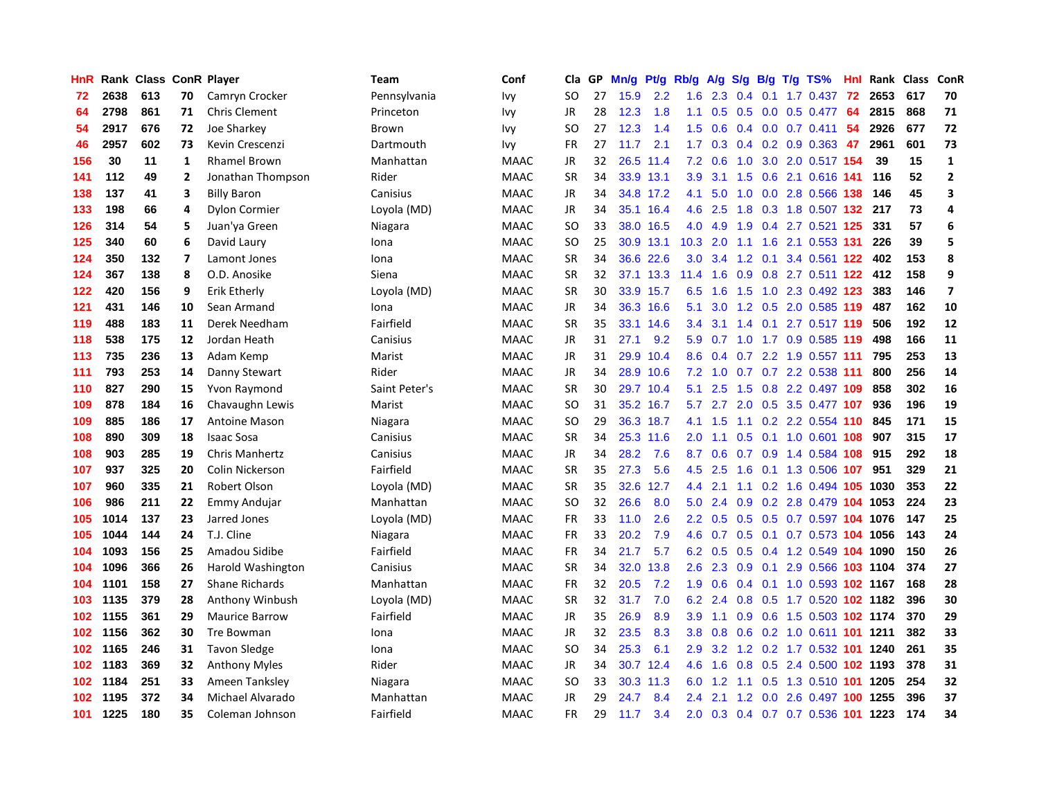| HnR | Rank | <b>Class</b> |                          | <b>ConR Player</b>    | Team          | Conf        | Cla       | <b>GP</b> | Mn/g | <b>Pt/g</b> | Rb/g             | A/g | S/g           | B/g | T/g TS%                        | Hnl | Rank | <b>Class</b> | <b>ConR</b>             |
|-----|------|--------------|--------------------------|-----------------------|---------------|-------------|-----------|-----------|------|-------------|------------------|-----|---------------|-----|--------------------------------|-----|------|--------------|-------------------------|
| 72  | 2638 | 613          | 70                       | Camryn Crocker        | Pennsylvania  | Ivy         | SO.       | 27        | 15.9 | 2.2         | 1.6              | 2.3 | $0.4^{\circ}$ |     | $0.1$ 1.7 $0.437$              | -72 | 2653 | 617          | 70                      |
| 64  | 2798 | 861          | 71                       | <b>Chris Clement</b>  | Princeton     | Ivy         | <b>JR</b> | 28        | 12.3 | 1.8         | 1.1              |     |               |     | 0.5 0.5 0.0 0.5 0.477          | -64 | 2815 | 868          | 71                      |
| 54  | 2917 | 676          | 72                       | Joe Sharkey           | <b>Brown</b>  | lvy         | SO        | 27        | 12.3 | 1.4         | 1.5              | 0.6 |               |     | $0.4$ 0.0 0.7 0.411            | -54 | 2926 | 677          | 72                      |
| 46  | 2957 | 602          | 73                       | Kevin Crescenzi       | Dartmouth     | lvy         | FR        | 27        | 11.7 | 2.1         | 1.7 <sub>2</sub> | 0.3 |               |     | $0.4$ 0.2 0.9 0.363            | 47  | 2961 | 601          | 73                      |
| 156 | 30   | 11           | 1                        | <b>Rhamel Brown</b>   | Manhattan     | <b>MAAC</b> | JR        | 32        | 26.5 | 11.4        | 7.2              | 0.6 | 1.0           |     | 3.0 2.0 0.517 154              |     | 39   | 15           | $\mathbf{1}$            |
| 141 | 112  | 49           | $\overline{2}$           | Jonathan Thompson     | Rider         | <b>MAAC</b> | <b>SR</b> | 34        |      | 33.9 13.1   | 3.9              | 3.1 | 1.5           |     | 0.6 2.1 0.616 141              |     | 116  | 52           | $\mathbf 2$             |
| 138 | 137  | 41           | 3                        | <b>Billy Baron</b>    | Canisius      | <b>MAAC</b> | JR        | 34        |      | 34.8 17.2   | 4.1              | 5.0 | 1.0           |     | 0.0 2.8 0.566 138              |     | 146  | 45           | $\overline{\mathbf{3}}$ |
| 133 | 198  | 66           | 4                        | <b>Dylon Cormier</b>  | Loyola (MD)   | <b>MAAC</b> | JR        | 34        | 35.1 | 16.4        | 4.6              | 2.5 | 1.8           |     | 0.3 1.8 0.507 132              |     | 217  | 73           | 4                       |
| 126 | 314  | 54           | 5                        | Juan'ya Green         | Niagara       | <b>MAAC</b> | <b>SO</b> | 33        |      | 38.0 16.5   | 4.0              | 4.9 | 1.9           |     | 0.4 2.7 0.521 125              |     | 331  | 57           | 6                       |
| 125 | 340  | 60           | 6                        | David Laury           | Iona          | <b>MAAC</b> | SO        | 25        |      | 30.9 13.1   | 10.3             | 2.0 |               |     | 1.1 1.6 2.1 0.553 131          |     | 226  | 39           | 5                       |
| 124 | 350  | 132          | $\overline{\phantom{a}}$ | Lamont Jones          | Iona          | <b>MAAC</b> | <b>SR</b> | 34        |      | 36.6 22.6   | 3.0              | 3.4 |               |     | 1.2 0.1 3.4 0.561 122          |     | 402  | 153          | 8                       |
| 124 | 367  | 138          | 8                        | O.D. Anosike          | Siena         | <b>MAAC</b> | <b>SR</b> | 32        |      | 37.1 13.3   | 11.4             | 1.6 |               |     | 0.9 0.8 2.7 0.511 122 412      |     |      | 158          | 9                       |
| 122 | 420  | 156          | 9                        | Erik Etherly          | Loyola (MD)   | <b>MAAC</b> | <b>SR</b> | 30        | 33.9 | 15.7        | 6.5              | 1.6 | 1.5           |     | 1.0 2.3 0.492 123              |     | 383  | 146          | $\overline{7}$          |
| 121 | 431  | 146          | 10                       | Sean Armand           | Iona          | <b>MAAC</b> | JR        | 34        | 36.3 | 16.6        | 5.1              | 3.0 |               |     | 1.2 0.5 2.0 0.585 119          |     | 487  | 162          | 10                      |
| 119 | 488  | 183          | 11                       | Derek Needham         | Fairfield     | <b>MAAC</b> | <b>SR</b> | 35        | 33.1 | 14.6        | 3.4              | 3.1 | 1.4           | 0.1 | 2.7 0.517 119                  |     | 506  | 192          | 12                      |
| 118 | 538  | 175          | 12                       | Jordan Heath          | Canisius      | <b>MAAC</b> | JR        | 31        | 27.1 | 9.2         | 5.9              | 0.7 | 1.0           |     | 1.7 0.9 0.585 119              |     | 498  | 166          | 11                      |
| 113 | 735  | 236          | 13                       | Adam Kemp             | Marist        | <b>MAAC</b> | <b>JR</b> | 31        | 29.9 | 10.4        | 8.6              | 0.4 | 0.7           |     | 2.2 1.9 0.557 111              |     | 795  | 253          | 13                      |
| 111 | 793  | 253          | 14                       | Danny Stewart         | Rider         | <b>MAAC</b> | JR        | 34        |      | 28.9 10.6   | 7.2              | 1.0 |               |     | $0.7$ 0.7 2.2 0.538 111        |     | 800  | 256          | 14                      |
| 110 | 827  | 290          | 15                       | Yvon Raymond          | Saint Peter's | <b>MAAC</b> | <b>SR</b> | 30        |      | 29.7 10.4   | 5.1              | 2.5 |               |     | 1.5 0.8 2.2 0.497 109          |     | 858  | 302          | 16                      |
| 109 | 878  | 184          | 16                       | Chavaughn Lewis       | Marist        | <b>MAAC</b> | SO        | 31        |      | 35.2 16.7   | 5.7              | 2.7 |               |     | 2.0 0.5 3.5 0.477 107          |     | 936  | 196          | 19                      |
| 109 | 885  | 186          | 17                       | <b>Antoine Mason</b>  | Niagara       | MAAC        | <b>SO</b> | 29        |      | 36.3 18.7   | 4.1              | 1.5 |               |     | 1.1 0.2 2.2 0.554 110          |     | 845  | 171          | 15                      |
| 108 | 890  | 309          | 18                       | <b>Isaac Sosa</b>     | Canisius      | <b>MAAC</b> | <b>SR</b> | 34        |      | 25.3 11.6   | 2.0              | 1.1 | 0.5           |     | 0.1 1.0 0.601 108              |     | 907  | 315          | 17                      |
| 108 | 903  | 285          | 19                       | <b>Chris Manhertz</b> | Canisius      | MAAC        | JR        | 34        | 28.2 | 7.6         | 8.7              | 0.6 |               |     | 0.7 0.9 1.4 0.584 108          |     | 915  | 292          | 18                      |
| 107 | 937  | 325          | 20                       | Colin Nickerson       | Fairfield     | <b>MAAC</b> | <b>SR</b> | 35        | 27.3 | 5.6         | 4.5              | 2.5 | 1.6           |     | 0.1 1.3 0.506 107              |     | 951  | 329          | 21                      |
| 107 | 960  | 335          | 21                       | <b>Robert Olson</b>   | Loyola (MD)   | <b>MAAC</b> | <b>SR</b> | 35        | 32.6 | 12.7        | 4.4              | 2.1 | 1.1           |     | 0.2 1.6 0.494 105 1030         |     |      | 353          | 22                      |
| 106 | 986  | 211          | 22                       | Emmy Andujar          | Manhattan     | <b>MAAC</b> | SO        | 32        | 26.6 | 8.0         | 5.0              | 2.4 | 0.9           |     | 0.2 2.8 0.479 104 1053         |     |      | 224          | 23                      |
| 105 | 1014 | 137          | 23                       | Jarred Jones          | Loyola (MD)   | MAAC        | <b>FR</b> | 33        | 11.0 | 2.6         | $2.2^{\circ}$    |     |               |     | 0.5 0.5 0.5 0.7 0.597 104 1076 |     |      | 147          | 25                      |
| 105 | 1044 | 144          | 24                       | T.J. Cline            | Niagara       | <b>MAAC</b> | <b>FR</b> | 33        | 20.2 | 7.9         | 4.6              | 0.7 |               |     | 0.5 0.1 0.7 0.573 104 1056     |     |      | 143          | 24                      |
| 104 | 1093 | 156          | 25                       | Amadou Sidibe         | Fairfield     | <b>MAAC</b> | <b>FR</b> | 34        | 21.7 | 5.7         | 6.2              | 0.5 | 0.5           |     | 0.4 1.2 0.549 104 1090         |     |      | 150          | 26                      |
| 104 | 1096 | 366          | 26                       | Harold Washington     | Canisius      | <b>MAAC</b> | <b>SR</b> | 34        | 32.0 | 13.8        | 2.6              | 2.3 | 0.9           | 0.1 | 2.9 0.566 103 1104             |     |      | 374          | 27                      |
| 104 | 1101 | 158          | 27                       | <b>Shane Richards</b> | Manhattan     | MAAC        | FR        | 32        | 20.5 | 7.2         | 1.9              | 0.6 | $0.4^{\circ}$ |     | 0.1 1.0 0.593 102 1167         |     |      | 168          | 28                      |
| 103 | 1135 | 379          | 28                       | Anthony Winbush       | Loyola (MD)   | <b>MAAC</b> | <b>SR</b> | 32        | 31.7 | 7.0         | 6.2              | 2.4 | 0.8           |     | 0.5 1.7 0.520 102 1182         |     |      | 396          | 30                      |
| 102 | 1155 | 361          | 29                       | <b>Maurice Barrow</b> | Fairfield     | <b>MAAC</b> | <b>JR</b> | 35        | 26.9 | 8.9         | 3.9              | 1.1 | 0.9           |     | 0.6 1.5 0.503 102 1174         |     |      | 370          | 29                      |
| 102 | 1156 | 362          | 30                       | Tre Bowman            | Iona          | <b>MAAC</b> | <b>JR</b> | 32        | 23.5 | 8.3         | 3.8              | 0.8 | 0.6           |     | 0.2 1.0 0.611 101 1211         |     |      | 382          | 33                      |
| 102 | 1165 | 246          | 31                       | <b>Tavon Sledge</b>   | Iona          | <b>MAAC</b> | <b>SO</b> | 34        | 25.3 | 6.1         | 2.9              |     |               |     | 3.2 1.2 0.2 1.7 0.532 101 1240 |     |      | 261          | 35                      |
| 102 | 1183 | 369          | 32                       | <b>Anthony Myles</b>  | Rider         | <b>MAAC</b> | <b>JR</b> | 34        |      | 30.7 12.4   | 4.6              | 1.6 |               |     | 0.8 0.5 2.4 0.500 102 1193     |     |      | 378          | 31                      |
| 102 | 1184 | 251          | 33                       | Ameen Tanksley        | Niagara       | <b>MAAC</b> | SO        | 33        | 30.3 | 11.3        | 6.0              | 1.2 |               |     | 1.1 0.5 1.3 0.510 101 1205     |     |      | 254          | 32                      |
| 102 | 1195 | 372          | 34                       | Michael Alvarado      | Manhattan     | <b>MAAC</b> | <b>JR</b> | 29        | 24.7 | 8.4         | 2.4              | 2.1 | 1.2           |     | 0.0 2.6 0.497 100 1255         |     |      | 396          | 37                      |
| 101 | 1225 | 180          | 35                       | Coleman Johnson       | Fairfield     | <b>MAAC</b> | FR        | 29        | 11.7 | 3.4         | 2.0              | 0.3 |               |     | 0.4 0.7 0.7 0.536 101 1223     |     |      | 174          | 34                      |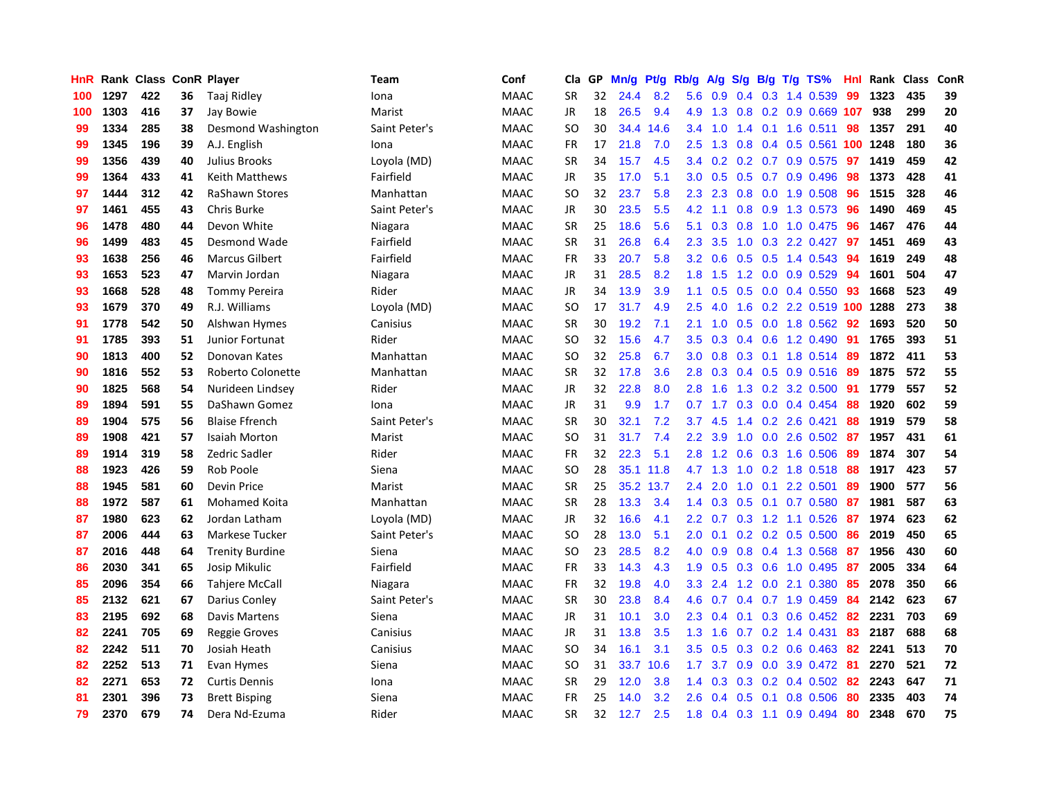| HnR. |      | Rank Class ConR Player |    |                        | Team          | Conf        | Cla       | GP | Mn/g      | Pt/g      | Rb/g             | A/g       | S/g |     | B/g T/g TS%                  | Hnl | Rank | <b>Class</b> | ConR |
|------|------|------------------------|----|------------------------|---------------|-------------|-----------|----|-----------|-----------|------------------|-----------|-----|-----|------------------------------|-----|------|--------------|------|
| 100  | 1297 | 422                    | 36 | Taaj Ridley            | Iona          | <b>MAAC</b> | <b>SR</b> | 32 | 24.4      | 8.2       | 5.6              | 0.9       |     |     | $0.4$ 0.3 1.4 0.539          | 99  | 1323 | 435          | 39   |
| 100  | 1303 | 416                    | 37 | Jay Bowie              | Marist        | <b>MAAC</b> | JR        | 18 | 26.5      | 9.4       |                  | $4.9$ 1.3 |     |     | 0.8 0.2 0.9 0.669 107        |     | 938  | 299          | 20   |
| 99   | 1334 | 285                    | 38 | Desmond Washington     | Saint Peter's | <b>MAAC</b> | <b>SO</b> | 30 | 34.4      | 14.6      | $3.4^{\circ}$    | 1.0       |     |     | 1.4 0.1 1.6 0.511            | 98  | 1357 | 291          | 40   |
| 99   | 1345 | 196                    | 39 | A.J. English           | Iona          | <b>MAAC</b> | <b>FR</b> | 17 | 21.8      | 7.0       | 2.5              | 1.3       | 0.8 |     | 0.4 0.5 0.561 100 1248       |     |      | 180          | 36   |
| 99   | 1356 | 439                    | 40 | Julius Brooks          | Loyola (MD)   | <b>MAAC</b> | <b>SR</b> | 34 | 15.7      | 4.5       | $3.4^{\circ}$    | 0.2       |     |     | $0.2$ 0.7 0.9 0.575          | 97  | 1419 | 459          | 42   |
| 99   | 1364 | 433                    | 41 | <b>Keith Matthews</b>  | Fairfield     | <b>MAAC</b> | JR        | 35 | 17.0      | 5.1       | 3.0 <sub>2</sub> | 0.5       |     |     | $0.5$ 0.7 0.9 0.496          | 98  | 1373 | 428          | 41   |
| 97   | 1444 | 312                    | 42 | <b>RaShawn Stores</b>  | Manhattan     | <b>MAAC</b> | <b>SO</b> | 32 | 23.7      | 5.8       | 2.3              | 2.3       | 0.8 |     | $0.0$ 1.9 $0.508$            | 96  | 1515 | 328          | 46   |
| 97   | 1461 | 455                    | 43 | Chris Burke            | Saint Peter's | <b>MAAC</b> | JR        | 30 | 23.5      | 5.5       | 4.2              | 1.1       | 0.8 |     | 0.9 1.3 0.573                | -96 | 1490 | 469          | 45   |
| 96   | 1478 | 480                    | 44 | Devon White            | Niagara       | <b>MAAC</b> | <b>SR</b> | 25 | 18.6      | 5.6       | 5.1              | 0.3       | 0.8 |     | 1.0 1.0 0.475                | -96 | 1467 | 476          | 44   |
| 96   | 1499 | 483                    | 45 | Desmond Wade           | Fairfield     | <b>MAAC</b> | <b>SR</b> | 31 | 26.8      | 6.4       | $2.3^{\circ}$    | 3.5       |     |     | 1.0 0.3 2.2 0.427 97         |     | 1451 | 469          | 43   |
| 93   | 1638 | 256                    | 46 | <b>Marcus Gilbert</b>  | Fairfield     | <b>MAAC</b> | FR.       | 33 | 20.7      | 5.8       | 3.2 <sub>2</sub> | 0.6       |     |     | 0.5 0.5 1.4 0.543 94         |     | 1619 | 249          | 48   |
| 93   | 1653 | 523                    | 47 | Marvin Jordan          | Niagara       | <b>MAAC</b> | JR        | 31 | 28.5      | 8.2       | 1.8              | 1.5       |     |     | 1.2 0.0 0.9 0.529            | -94 | 1601 | 504          | 47   |
| 93   | 1668 | 528                    | 48 | <b>Tommy Pereira</b>   | Rider         | <b>MAAC</b> | JR        | 34 | 13.9      | 3.9       | 1.1              | 0.5       | 0.5 |     | $0.0$ 0.4 0.550              | -93 | 1668 | 523          | 49   |
| 93   | 1679 | 370                    | 49 | R.J. Williams          | Loyola (MD)   | <b>MAAC</b> | SO.       | 17 | 31.7      | 4.9       | 2.5              | 4.0       | 1.6 |     | 0.2 2.2 0.519 100 1288       |     |      | 273          | 38   |
| 91   | 1778 | 542                    | 50 | Alshwan Hymes          | Canisius      | <b>MAAC</b> | <b>SR</b> | 30 | 19.2      | 7.1       | 2.1              | 1.0       | 0.5 |     | $0.0$ 1.8 $0.562$            | 92  | 1693 | 520          | 50   |
| 91   | 1785 | 393                    | 51 | Junior Fortunat        | Rider         | <b>MAAC</b> | SO        | 32 | 15.6      | 4.7       | 3.5              | 0.3       |     |     | 0.4 0.6 1.2 0.490            | -91 | 1765 | 393          | 51   |
| 90   | 1813 | 400                    | 52 | Donovan Kates          | Manhattan     | <b>MAAC</b> | <b>SO</b> | 32 | 25.8      | 6.7       | 3.0 <sub>1</sub> | 0.8       | 0.3 |     | 0.1 1.8 0.514 89             |     | 1872 | 411          | 53   |
| 90   | 1816 | 552                    | 53 | Roberto Colonette      | Manhattan     | <b>MAAC</b> | <b>SR</b> | 32 | 17.8      | 3.6       | 2.8              | 0.3       |     |     | 0.4 0.5 0.9 0.516 89         |     | 1875 | 572          | 55   |
| 90   | 1825 | 568                    | 54 | Nurideen Lindsey       | Rider         | <b>MAAC</b> | JR        | 32 | 22.8      | 8.0       | 2.8              | 1.6       |     |     | 1.3 0.2 3.2 0.500 91         |     | 1779 | 557          | 52   |
| 89   | 1894 | 591                    | 55 | DaShawn Gomez          | Iona          | <b>MAAC</b> | JR        | 31 | 9.9       | 1.7       | 0.7              | 1.7       |     |     | $0.3$ 0.0 0.4 0.454          | -88 | 1920 | 602          | 59   |
| 89   | 1904 | 575                    | 56 | <b>Blaise Ffrench</b>  | Saint Peter's | <b>MAAC</b> | SR        | 30 | 32.1      | 7.2       | 3.7              | 4.5       |     |     | 1.4 0.2 2.6 0.421            | 88  | 1919 | 579          | 58   |
| 89   | 1908 | 421                    | 57 | <b>Isaiah Morton</b>   | Marist        | <b>MAAC</b> | SO        | 31 | 31.7      | 7.4       | $2.2^{\circ}$    | 3.9       | 1.0 |     | $0.0$ 2.6 $0.502$            | -87 | 1957 | 431          | 61   |
| 89   | 1914 | 319                    | 58 | Zedric Sadler          | Rider         | <b>MAAC</b> | <b>FR</b> | 32 | 22.3      | 5.1       | 2.8              | 1.2       |     |     | $0.6$ $0.3$ 1.6 $0.506$      | -89 | 1874 | 307          | 54   |
| 88   | 1923 | 426                    | 59 | Rob Poole              | Siena         | <b>MAAC</b> | SO        | 28 |           | 35.1 11.8 |                  | 4.7 1.3   | 1.0 |     | 0.2 1.8 0.518                | -88 | 1917 | 423          | 57   |
| 88   | 1945 | 581                    | 60 | Devin Price            | Marist        | <b>MAAC</b> | <b>SR</b> | 25 | 35.2 13.7 |           | $2.4^{\circ}$    | 2.0       | 1.0 | 0.1 | 2.2 0.501                    | 89  | 1900 | 577          | 56   |
| 88   | 1972 | 587                    | 61 | Mohamed Koita          | Manhattan     | <b>MAAC</b> | <b>SR</b> | 28 | 13.3      | 3.4       | $1.4^{\circ}$    | 0.3       |     |     | $0.5$ 0.1 0.7 0.580          | -87 | 1981 | 587          | 63   |
| 87   | 1980 | 623                    | 62 | Jordan Latham          | Loyola (MD)   | <b>MAAC</b> | JR        | 32 | 16.6      | 4.1       |                  |           |     |     | 2.2 0.7 0.3 1.2 1.1 0.526 87 |     | 1974 | 623          | 62   |
| 87   | 2006 | 444                    | 63 | Markese Tucker         | Saint Peter's | <b>MAAC</b> | <b>SO</b> | 28 | 13.0      | 5.1       | 2.0 <sub>1</sub> | 0.1       |     |     | $0.2$ 0.2 0.5 0.500          | -86 | 2019 | 450          | 65   |
| 87   | 2016 | 448                    | 64 | <b>Trenity Burdine</b> | Siena         | <b>MAAC</b> | <b>SO</b> | 23 | 28.5      | 8.2       | 4.0              | 0.9       |     |     | 0.8 0.4 1.3 0.568            | 87  | 1956 | 430          | 60   |
| 86   | 2030 | 341                    | 65 | Josip Mikulic          | Fairfield     | <b>MAAC</b> | <b>FR</b> | 33 | 14.3      | 4.3       | 1.9 <sup>°</sup> | 0.5       |     |     | 0.3 0.6 1.0 0.495            | -87 | 2005 | 334          | 64   |
| 85   | 2096 | 354                    | 66 | Tahjere McCall         | Niagara       | <b>MAAC</b> | FR.       | 32 | 19.8      | 4.0       | 3.3 <sub>2</sub> | 2.4       |     |     | 1.2 0.0 2.1 0.380            | -85 | 2078 | 350          | 66   |
| 85   | 2132 | 621                    | 67 | Darius Conley          | Saint Peter's | <b>MAAC</b> | <b>SR</b> | 30 | 23.8      | 8.4       | 4.6              | 0.7       |     |     | $0.4$ 0.7 1.9 0.459          | -84 | 2142 | 623          | 67   |
| 83   | 2195 | 692                    | 68 | Davis Martens          | Siena         | <b>MAAC</b> | JR        | 31 | 10.1      | 3.0       | 2.3              | 0.4       |     |     | $0.1$ $0.3$ $0.6$ $0.452$    | 82  | 2231 | 703          | 69   |
| 82   | 2241 | 705                    | 69 | Reggie Groves          | Canisius      | <b>MAAC</b> | <b>JR</b> | 31 | 13.8      | 3.5       | 1.3              | 1.6       |     |     | $0.7$ $0.2$ 1.4 $0.431$      | 83  | 2187 | 688          | 68   |
| 82   | 2242 | 511                    | 70 | Josiah Heath           | Canisius      | <b>MAAC</b> | <b>SO</b> | 34 | 16.1      | 3.1       | 3.5              | 0.5       |     |     | 0.3 0.2 0.6 0.463 82         |     | 2241 | 513          | 70   |
| 82   | 2252 | 513                    | 71 | Evan Hymes             | Siena         | <b>MAAC</b> | <b>SO</b> | 31 | 33.7      | 10.6      | 1.7 <sub>z</sub> | 3.7       |     |     | 0.9 0.0 3.9 0.472 81         |     | 2270 | 521          | 72   |
| 82   | 2271 | 653                    | 72 | <b>Curtis Dennis</b>   | Iona          | <b>MAAC</b> | <b>SR</b> | 29 | 12.0      | 3.8       | $1.4^{\circ}$    | 0.3       |     |     | $0.3$ 0.2 0.4 0.502          | -82 | 2243 | 647          | 71   |
| 81   | 2301 | 396                    | 73 | <b>Brett Bisping</b>   | Siena         | <b>MAAC</b> | <b>FR</b> | 25 | 14.0      | 3.2       | 2.6              | 0.4       | 0.5 | 0.1 | 0.8 0.506                    | 80  | 2335 | 403          | 74   |
| 79   | 2370 | 679                    | 74 | Dera Nd-Ezuma          | Rider         | <b>MAAC</b> | <b>SR</b> | 32 | 12.7      | 2.5       | 1.8              |           |     |     | $0.4$ 0.3 1.1 0.9 0.494      | 80  | 2348 | 670          | 75   |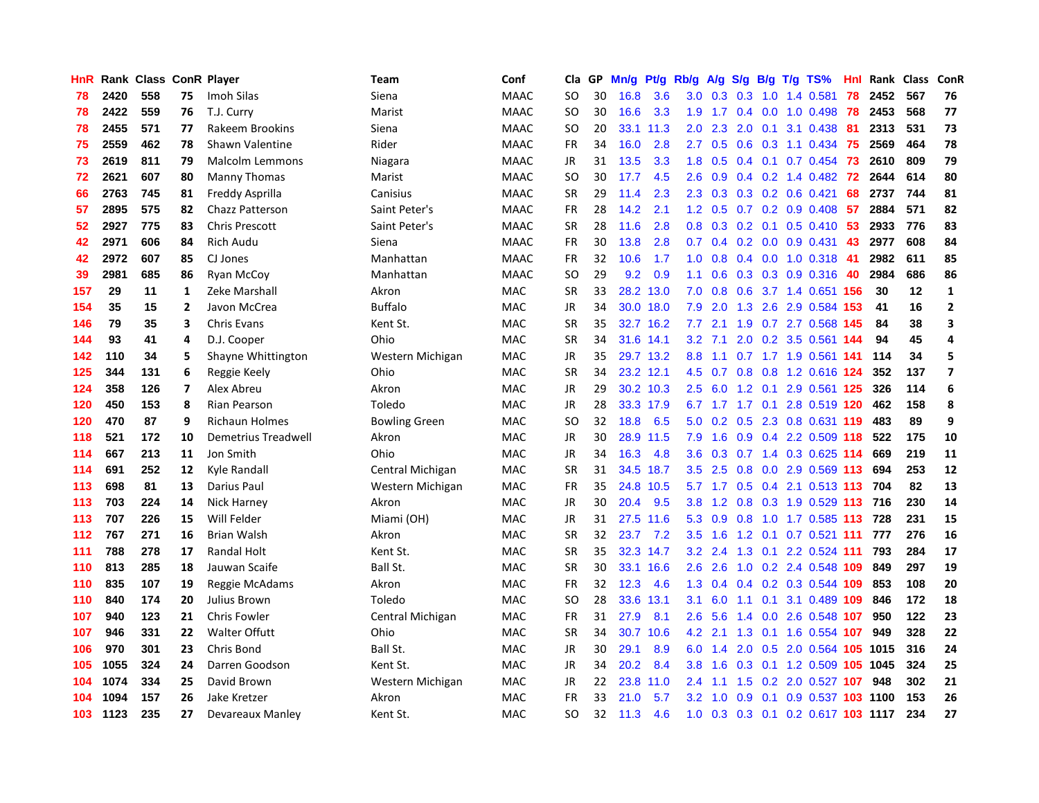| HnR |      | Rank Class ConR Player |                          |                        | Team                 | Conf        | Cla       | <b>GP</b> | Mn/g | <b>Pt/g</b> | Rb/g          | A/g       |               |                 | $S/g$ B/g T/g TS%                   | Hnl | Rank | Class | ConR                    |
|-----|------|------------------------|--------------------------|------------------------|----------------------|-------------|-----------|-----------|------|-------------|---------------|-----------|---------------|-----------------|-------------------------------------|-----|------|-------|-------------------------|
| 78  | 2420 | 558                    | 75                       | Imoh Silas             | Siena                | <b>MAAC</b> | <b>SO</b> | 30        | 16.8 | 3.6         | 3.0           | 0.3       | 0.3           | 1.0             | 1.4 0.581                           | 78  | 2452 | 567   | 76                      |
| 78  | 2422 | 559                    | 76                       | T.J. Curry             | Marist               | <b>MAAC</b> | SO        | 30        | 16.6 | 3.3         | 1.9           | 1.7       |               |                 | 0.4 0.0 1.0 0.498 78                |     | 2453 | 568   | 77                      |
| 78  | 2455 | 571                    | 77                       | Rakeem Brookins        | Siena                | <b>MAAC</b> | <b>SO</b> | 20        | 33.1 | 11.3        | $2.0^{\circ}$ | 2.3       | 2.0           |                 | $0.1$ 3.1 0.438                     | -81 | 2313 | 531   | 73                      |
| 75  | 2559 | 462                    | 78                       | Shawn Valentine        | Rider                | <b>MAAC</b> | <b>FR</b> | 34        | 16.0 | 2.8         | $2.7^{\circ}$ | 0.5       |               |                 | $0.6$ $0.3$ 1.1 $0.434$             | -75 | 2569 | 464   | 78                      |
| 73  | 2619 | 811                    | 79                       | Malcolm Lemmons        | Niagara              | <b>MAAC</b> | <b>JR</b> | 31        | 13.5 | 3.3         | 1.8           | 0.5       |               |                 | $0.4$ 0.1 0.7 0.454                 | 73  | 2610 | 809   | 79                      |
| 72  | 2621 | 607                    | 80                       | <b>Manny Thomas</b>    | Marist               | <b>MAAC</b> | <b>SO</b> | 30        | 17.7 | 4.5         | 2.6           | 0.9       |               |                 | $0.4$ 0.2 1.4 0.482                 | 72  | 2644 | 614   | 80                      |
| 66  | 2763 | 745                    | 81                       | Freddy Asprilla        | Canisius             | <b>MAAC</b> | <b>SR</b> | 29        | 11.4 | 2.3         | 2.3           | 0.3       |               |                 | $0.3$ 0.2 0.6 0.421                 | 68  | 2737 | 744   | 81                      |
| 57  | 2895 | 575                    | 82                       | <b>Chazz Patterson</b> | Saint Peter's        | <b>MAAC</b> | <b>FR</b> | 28        | 14.2 | 2.1         | 1.2           | 0.5       |               |                 | $0.7$ $0.2$ $0.9$ $0.408$           | -57 | 2884 | 571   | 82                      |
| 52  | 2927 | 775                    | 83                       | <b>Chris Prescott</b>  | Saint Peter's        | <b>MAAC</b> | <b>SR</b> | 28        | 11.6 | 2.8         | 0.8           | 0.3       |               |                 | $0.2$ 0.1 0.5 0.410                 | -53 | 2933 | 776   | 83                      |
| 42  | 2971 | 606                    | 84                       | <b>Rich Audu</b>       | Siena                | <b>MAAC</b> | <b>FR</b> | 30        | 13.8 | 2.8         | 0.7           | 0.4       |               |                 | $0.2$ 0.0 0.9 0.431                 | -43 | 2977 | 608   | 84                      |
| 42  | 2972 | 607                    | 85                       | CJ Jones               | Manhattan            | <b>MAAC</b> | <b>FR</b> | 32        | 10.6 | 1.7         | 1.0           | 0.8       |               |                 | 0.4 0.0 1.0 0.318 41                |     | 2982 | 611   | 85                      |
| 39  | 2981 | 685                    | 86                       | <b>Ryan McCov</b>      | Manhattan            | <b>MAAC</b> | SO        | 29        | 9.2  | 0.9         | 1.1           | 0.6       |               |                 | $0.3$ $0.3$ $0.9$ $0.316$ <b>40</b> |     | 2984 | 686   | 86                      |
| 157 | 29   | 11                     | 1                        | Zeke Marshall          | Akron                | MAC         | <b>SR</b> | 33        | 28.2 | 13.0        | 7.0           | 0.8       | 0.6           |                 | 3.7 1.4 0.651 156                   |     | 30   | 12    | $\mathbf{1}$            |
| 154 | 35   | 15                     | $\overline{2}$           | Javon McCrea           | <b>Buffalo</b>       | MAC         | JR        | 34        |      | 30.0 18.0   | 7.9           | 2.0       | 1.3           |                 | 2.6 2.9 0.584 153                   |     | 41   | 16    | $\overline{2}$          |
| 146 | 79   | 35                     | 3                        | <b>Chris Evans</b>     | Kent St.             | MAC         | <b>SR</b> | 35        | 32.7 | 16.2        | 7.7           | 2.1       |               |                 | 1.9 0.7 2.7 0.568                   | 145 | 84   | 38    | 3                       |
| 144 | 93   | 41                     | 4                        | D.J. Cooper            | Ohio                 | <b>MAC</b>  | <b>SR</b> | 34        |      | 31.6 14.1   | 3.2           | 7.1       | 2.0           |                 | 0.2 3.5 0.561 144                   |     | 94   | 45    | 4                       |
| 142 | 110  | 34                     | 5                        | Shayne Whittington     | Western Michigan     | MAC         | JR        | 35        |      | 29.7 13.2   | 8.8           | 1.1       |               |                 | 0.7 1.7 1.9 0.561 141               |     | 114  | 34    | 5                       |
| 125 | 344  | 131                    | 6                        | Reggie Keely           | Ohio                 | <b>MAC</b>  | <b>SR</b> | 34        |      | 23.2 12.1   | 4.5           | 0.7       | 0.8           |                 | 0.8 1.2 0.616 124                   |     | 352  | 137   | $\overline{\mathbf{z}}$ |
| 124 | 358  | 126                    | $\overline{\phantom{a}}$ | Alex Abreu             | Akron                | <b>MAC</b>  | JR        | 29        |      | 30.2 10.3   | 2.5           |           |               |                 | 6.0 1.2 0.1 2.9 0.561 125           |     | 326  | 114   | 6                       |
| 120 | 450  | 153                    | 8                        | Rian Pearson           | Toledo               | <b>MAC</b>  | JR        | 28        |      | 33.3 17.9   |               |           |               |                 | 6.7 1.7 1.7 0.1 2.8 0.519 120       |     | 462  | 158   | 8                       |
| 120 | 470  | 87                     | 9                        | <b>Richaun Holmes</b>  | <b>Bowling Green</b> | MAC         | SO        | 32        | 18.8 | 6.5         | 5.0           | 0.2       |               |                 | 0.5 2.3 0.8 0.631 119               |     | 483  | 89    | 9                       |
| 118 | 521  | 172                    | 10                       | Demetrius Treadwell    | Akron                | <b>MAC</b>  | JR        | 30        | 28.9 | 11.5        | 7.9           | 1.6       | 0.9           |                 | $0.4$ 2.2 0.509 118                 |     | 522  | 175   | 10                      |
| 114 | 667  | 213                    | 11                       | Jon Smith              | Ohio                 | MAC         | JR        | 34        | 16.3 | 4.8         | 3.6           | 0.3       | 0.7           |                 | 1.4 0.3 0.625 114                   |     | 669  | 219   | 11                      |
| 114 | 691  | 252                    | 12                       | Kyle Randall           | Central Michigan     | <b>MAC</b>  | <b>SR</b> | 31        | 34.5 | 18.7        | 3.5           | 2.5       | 0.8           |                 | $0.0$ 2.9 $0.569$ 113               |     | 694  | 253   | 12                      |
| 113 | 698  | 81                     | 13                       | Darius Paul            | Western Michigan     | MAC         | <b>FR</b> | 35        | 24.8 | 10.5        |               | $5.7$ 1.7 | 0.5           |                 | 0.4 2.1 0.513 113                   |     | 704  | 82    | 13                      |
| 113 | 703  | 224                    | 14                       | <b>Nick Harney</b>     | Akron                | <b>MAC</b>  | JR        | 30        | 20.4 | 9.5         | 3.8           | 1.2       | 0.8           |                 | 0.3 1.9 0.529 113 716               |     |      | 230   | 14                      |
| 113 | 707  | 226                    | 15                       | Will Felder            | Miami (OH)           | MAC         | JR        | 31        | 27.5 | 11.6        | 5.3           | 0.9       |               |                 | 0.8 1.0 1.7 0.585 113 728           |     |      | 231   | 15                      |
| 112 | 767  | 271                    | 16                       | <b>Brian Walsh</b>     | Akron                | <b>MAC</b>  | <b>SR</b> | 32        | 23.7 | 7.2         | 3.5           | 1.6       |               |                 | 1.2 0.1 0.7 0.521 111               |     | 777  | 276   | 16                      |
| 111 | 788  | 278                    | 17                       | <b>Randal Holt</b>     | Kent St.             | <b>MAC</b>  | SR        | 35        |      | 32.3 14.7   | 3.2           | 2.4       |               |                 | 1.3 0.1 2.2 0.524 111               |     | 793  | 284   | 17                      |
| 110 | 813  | 285                    | 18                       | Jauwan Scaife          | Ball St.             | MAC         | <b>SR</b> | 30        | 33.1 | 16.6        | $2.6^{\circ}$ | 2.6       | 1.0           |                 | 0.2 2.4 0.548 109                   |     | 849  | 297   | 19                      |
| 110 | 835  | 107                    | 19                       | Reggie McAdams         | Akron                | MAC         | <b>FR</b> | 32        | 12.3 | 4.6         | 1.3           | 0.4       |               |                 | $0.4$ 0.2 0.3 0.544 109             |     | 853  | 108   | 20                      |
| 110 | 840  | 174                    | 20                       | <b>Julius Brown</b>    | Toledo               | <b>MAC</b>  | SO.       | 28        | 33.6 | 13.1        | 3.1           | 6.0       |               | $1.1 \quad 0.1$ | 3.1 0.489 109                       |     | 846  | 172   | 18                      |
| 107 | 940  | 123                    | 21                       | <b>Chris Fowler</b>    | Central Michigan     | <b>MAC</b>  | <b>FR</b> | 31        | 27.9 | 8.1         | 2.6           | 5.6       | $1.4^{\circ}$ |                 | 0.0 2.6 0.548 107                   |     | 950  | 122   | 23                      |
| 107 | 946  | 331                    | 22                       | <b>Walter Offutt</b>   | Ohio                 | <b>MAC</b>  | <b>SR</b> | 34        | 30.7 | 10.6        | 4.2           | 2.1       | 1.3           |                 | 0.1 1.6 0.554 107                   |     | 949  | 328   | 22                      |
| 106 | 970  | 301                    | 23                       | Chris Bond             | Ball St.             | <b>MAC</b>  | <b>JR</b> | 30        | 29.1 | 8.9         | 6.0           | 1.4       | 2.0           |                 | 0.5 2.0 0.564 105 1015              |     |      | 316   | 24                      |
| 105 | 1055 | 324                    | 24                       | Darren Goodson         | Kent St.             | <b>MAC</b>  | <b>JR</b> | 34        | 20.2 | 8.4         | 3.8           | 1.6       |               |                 | 0.3 0.1 1.2 0.509 105 1045          |     |      | 324   | 25                      |
| 104 | 1074 | 334                    | 25                       | David Brown            | Western Michigan     | <b>MAC</b>  | <b>JR</b> | 22        | 23.8 | 11.0        | 2.4           | 1.1       |               |                 | 1.5 0.2 2.0 0.527 107               |     | 948  | 302   | 21                      |
| 104 | 1094 | 157                    | 26                       | <b>Jake Kretzer</b>    | Akron                | <b>MAC</b>  | <b>FR</b> | 33        | 21.0 | 5.7         | 3.2           | 1.0       | 0.9           | 0.1             | 0.9 0.537 103 1100                  |     |      | 153   | 26                      |
| 103 | 1123 | 235                    | 27                       | Devareaux Manley       | Kent St.             | <b>MAC</b>  | SO.       | 32        | 11.3 | 4.6         | 1.0           |           |               |                 | 0.3 0.3 0.1 0.2 0.617 103 1117      |     |      | 234   | 27                      |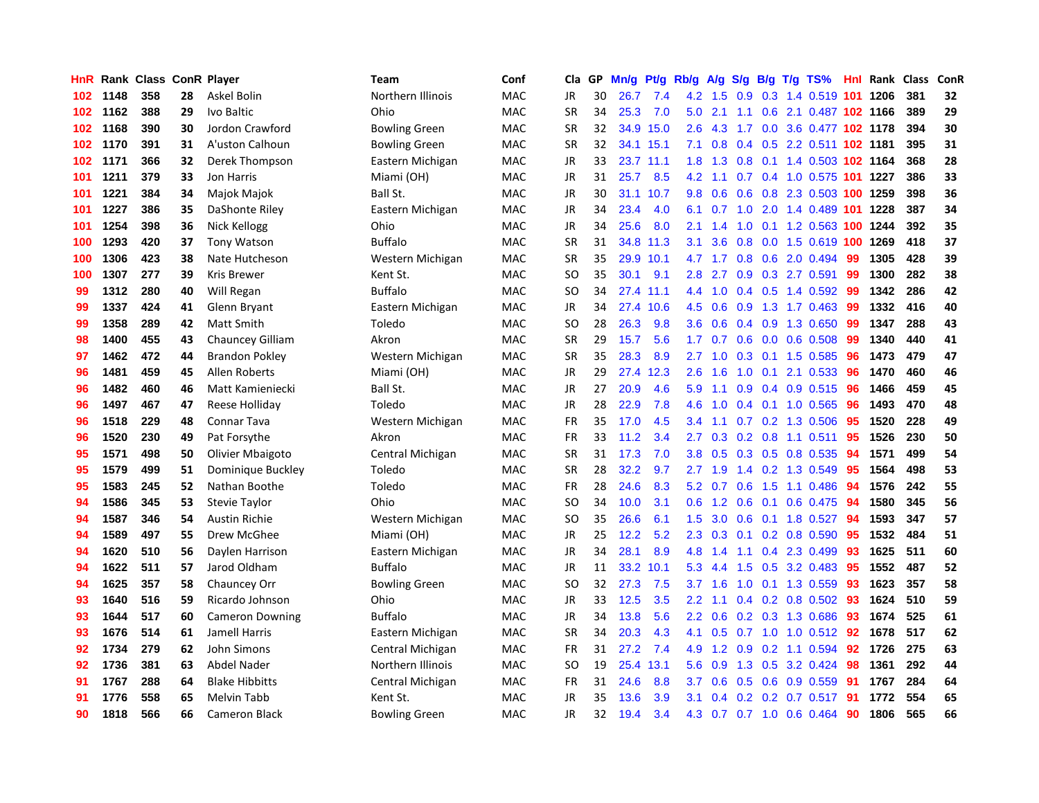| HnR |      | Rank Class ConR Player |    |                        | Team                 | Conf       | Cla       | <b>GP</b> | Mn/g | <b>Pt/g</b> | Rb/g          | A/g |                  |     | S/g B/g T/g TS%                | Hnl | Rank | <b>Class</b> | ConR |
|-----|------|------------------------|----|------------------------|----------------------|------------|-----------|-----------|------|-------------|---------------|-----|------------------|-----|--------------------------------|-----|------|--------------|------|
| 102 | 1148 | 358                    | 28 | Askel Bolin            | Northern Illinois    | MAC        | JR        | 30        | 26.7 | 7.4         | 4.2           | 1.5 | 0.9              |     | 0.3 1.4 0.519 101 1206         |     |      | 381          | 32   |
| 102 | 1162 | 388                    | 29 | Ivo Baltic             | Ohio                 | <b>MAC</b> | <b>SR</b> | 34        | 25.3 | 7.0         | 5.0           | 2.1 |                  |     | 1.1 0.6 2.1 0.487 102 1166     |     |      | 389          | 29   |
| 102 | 1168 | 390                    | 30 | Jordon Crawford        | <b>Bowling Green</b> | <b>MAC</b> | <b>SR</b> | 32        |      | 34.9 15.0   | 2.6           |     |                  |     | 4.3 1.7 0.0 3.6 0.477 102 1178 |     |      | 394          | 30   |
| 102 | 1170 | 391                    | 31 | A'uston Calhoun        | <b>Bowling Green</b> | MAC        | <b>SR</b> | 32        | 34.1 | 15.1        | 7.1           | 0.8 |                  |     | 0.4 0.5 2.2 0.511 102 1181     |     |      | 395          | 31   |
| 102 | 1171 | 366                    | 32 | Derek Thompson         | Eastern Michigan     | <b>MAC</b> | JR        | 33        | 23.7 | 11.1        | 1.8           | 1.3 | 0.8              |     | 0.1 1.4 0.503 102 1164         |     |      | 368          | 28   |
| 101 | 1211 | 379                    | 33 | Jon Harris             | Miami (OH)           | <b>MAC</b> | JR        | 31        | 25.7 | 8.5         | 4.2           | 1.1 |                  |     | 0.7 0.4 1.0 0.575 101 1227     |     |      | 386          | 33   |
| 101 | 1221 | 384                    | 34 | Majok Majok            | Ball St.             | <b>MAC</b> | JR        | 30        | 31.1 | 10.7        | 9.8           | 0.6 |                  |     | 0.6 0.8 2.3 0.503 100 1259     |     |      | 398          | 36   |
| 101 | 1227 | 386                    | 35 | DaShonte Riley         | Eastern Michigan     | <b>MAC</b> | JR        | 34        | 23.4 | 4.0         | 6.1           | 0.7 | 1.0              |     | 2.0 1.4 0.489 101 1228         |     |      | 387          | 34   |
| 101 | 1254 | 398                    | 36 | Nick Kellogg           | Ohio                 | <b>MAC</b> | JR        | 34        | 25.6 | 8.0         | 2.1           | 1.4 | 1.0              |     | 0.1 1.2 0.563 100 1244         |     |      | 392          | 35   |
| 100 | 1293 | 420                    | 37 | <b>Tony Watson</b>     | <b>Buffalo</b>       | <b>MAC</b> | <b>SR</b> | 31        | 34.8 | 11.3        | 3.1           | 3.6 |                  |     | 0.8 0.0 1.5 0.619 100 1269     |     |      | 418          | 37   |
| 100 | 1306 | 423                    | 38 | Nate Hutcheson         | Western Michigan     | <b>MAC</b> | <b>SR</b> | 35        |      | 29.9 10.1   | 4.7           |     |                  |     | 1.7 0.8 0.6 2.0 0.494          | -99 | 1305 | 428          | 39   |
| 100 | 1307 | 277                    | 39 | Kris Brewer            | Kent St.             | <b>MAC</b> | SO.       | 35        | 30.1 | 9.1         | 2.8           | 2.7 |                  |     | 0.9 0.3 2.7 0.591              | -99 | 1300 | 282          | 38   |
| 99  | 1312 | 280                    | 40 | Will Regan             | <b>Buffalo</b>       | MAC        | <b>SO</b> | 34        | 27.4 | 11.1        | 4.4           | 1.0 |                  |     | 0.4 0.5 1.4 0.592 99           |     | 1342 | 286          | 42   |
| 99  | 1337 | 424                    | 41 | Glenn Bryant           | Eastern Michigan     | MAC        | JR        | 34        | 27.4 | 10.6        | 4.5           | 0.6 | 0.9              |     | 1.3 1.7 0.463                  | -99 | 1332 | 416          | 40   |
| 99  | 1358 | 289                    | 42 | Matt Smith             | Toledo               | MAC        | <b>SO</b> | 28        | 26.3 | 9.8         | 3.6           | 0.6 |                  |     | 0.4 0.9 1.3 0.650              | 99  | 1347 | 288          | 43   |
| 98  | 1400 | 455                    | 43 | Chauncey Gilliam       | Akron                | <b>MAC</b> | <b>SR</b> | 29        | 15.7 | 5.6         | 1.7           | 0.7 | 0.6              |     | $0.0$ 0.6 0.508                | 99  | 1340 | 440          | 41   |
| 97  | 1462 | 472                    | 44 | <b>Brandon Pokley</b>  | Western Michigan     | MAC        | <b>SR</b> | 35        | 28.3 | 8.9         | 2.7           | 1.0 | 0.3              |     | $0.1$ 1.5 0.585                | 96  | 1473 | 479          | 47   |
| 96  | 1481 | 459                    | 45 | <b>Allen Roberts</b>   | Miami (OH)           | <b>MAC</b> | <b>JR</b> | 29        | 27.4 | 12.3        | 2.6           | 1.6 | 1.0              | 0.1 | 2.1 0.533                      | 96  | 1470 | 460          | 46   |
| 96  | 1482 | 460                    | 46 | Matt Kamieniecki       | Ball St.             | MAC        | JR        | 27        | 20.9 | 4.6         | 5.9           | 1.1 |                  |     | 0.9 0.4 0.9 0.515 96           |     | 1466 | 459          | 45   |
| 96  | 1497 | 467                    | 47 | Reese Holliday         | Toledo               | MAC        | JR        | 28        | 22.9 | 7.8         | 4.6           | 1.0 |                  |     | $0.4$ 0.1 1.0 0.565            | -96 | 1493 | 470          | 48   |
| 96  | 1518 | 229                    | 48 | <b>Connar Tava</b>     | Western Michigan     | MAC        | FR        | 35        | 17.0 | 4.5         | $3.4^{\circ}$ | 1.1 |                  |     | $0.7$ $0.2$ $1.3$ $0.506$      | -95 | 1520 | 228          | 49   |
| 96  | 1520 | 230                    | 49 | Pat Forsythe           | Akron                | MAC        | <b>FR</b> | 33        | 11.2 | 3.4         | 2.7           | 0.3 |                  |     | $0.2$ 0.8 1.1 0.511            | 95  | 1526 | 230          | 50   |
| 95  | 1571 | 498                    | 50 | Olivier Mbaigoto       | Central Michigan     | MAC        | <b>SR</b> | 31        | 17.3 | 7.0         | 3.8           | 0.5 |                  |     | 0.3 0.5 0.8 0.535              | 94  | 1571 | 499          | 54   |
| 95  | 1579 | 499                    | 51 | Dominique Buckley      | Toledo               | MAC        | <b>SR</b> | 28        | 32.2 | 9.7         | 2.7           | 1.9 |                  |     | 1.4 0.2 1.3 0.549              | 95  | 1564 | 498          | 53   |
| 95  | 1583 | 245                    | 52 | Nathan Boothe          | Toledo               | MAC        | FR        | 28        | 24.6 | 8.3         | 5.2           | 0.7 | 0.6              |     | 1.5 1.1 0.486                  | 94  | 1576 | 242          | 55   |
| 94  | 1586 | 345                    | 53 | <b>Stevie Taylor</b>   | Ohio                 | <b>MAC</b> | <b>SO</b> | 34        | 10.0 | 3.1         | 0.6           | 1.2 | 0.6              | 0.1 | $0.6$ 0.475                    | 94  | 1580 | 345          | 56   |
| 94  | 1587 | 346                    | 54 | <b>Austin Richie</b>   | Western Michigan     | MAC        | <b>SO</b> | 35        | 26.6 | 6.1         | 1.5           | 3.0 |                  |     | 0.6 0.1 1.8 0.527 94           |     | 1593 | 347          | 57   |
| 94  | 1589 | 497                    | 55 | Drew McGhee            | Miami (OH)           | <b>MAC</b> | JR        | 25        | 12.2 | 5.2         | 2.3           | 0.3 |                  |     | $0.1$ 0.2 0.8 0.590            | -95 | 1532 | 484          | 51   |
| 94  | 1620 | 510                    | 56 | Daylen Harrison        | Eastern Michigan     | <b>MAC</b> | JR        | 34        | 28.1 | 8.9         | 4.8           | 1.4 |                  |     | 1.1 0.4 2.3 0.499              | -93 | 1625 | 511          | 60   |
| 94  | 1622 | 511                    | 57 | Jarod Oldham           | <b>Buffalo</b>       | <b>MAC</b> | JR        | 11        | 33.2 | 10.1        | 5.3           | 4.4 | 1.5              |     | 0.5 3.2 0.483                  | -95 | 1552 | 487          | 52   |
| 94  | 1625 | 357                    | 58 | Chauncey Orr           | <b>Bowling Green</b> | <b>MAC</b> | <b>SO</b> | 32        | 27.3 | 7.5         | 3.7           | 1.6 | 1.0              |     | 0.1 1.3 0.559                  | 93  | 1623 | 357          | 58   |
| 93  | 1640 | 516                    | 59 | Ricardo Johnson        | Ohio                 | MAC        | JR        | 33        | 12.5 | 3.5         | 2.2           | 1.1 |                  |     | $0.4$ 0.2 0.8 0.502            | -93 | 1624 | 510          | 59   |
| 93  | 1644 | 517                    | 60 | <b>Cameron Downing</b> | <b>Buffalo</b>       | <b>MAC</b> | JR        | 34        | 13.8 | 5.6         | 2.2           | 0.6 |                  |     | 0.2 0.3 1.3 0.686              | 93  | 1674 | 525          | 61   |
| 93  | 1676 | 514                    | 61 | <b>Jamell Harris</b>   | Eastern Michigan     | <b>MAC</b> | <b>SR</b> | 34        | 20.3 | 4.3         | 4.1           | 0.5 |                  |     | 0.7 1.0 1.0 0.512              | 92  | 1678 | 517          | 62   |
| 92  | 1734 | 279                    | 62 | John Simons            | Central Michigan     | <b>MAC</b> | <b>FR</b> | 31        | 27.2 | 7.4         | 4.9           | 1.2 | 0.9 <sub>0</sub> |     | $0.2$ 1.1 0.594                | 92  | 1726 | 275          | 63   |
| 92  | 1736 | 381                    | 63 | Abdel Nader            | Northern Illinois    | <b>MAC</b> | SO        | 19        | 25.4 | 13.1        | 5.6           | 0.9 |                  |     | 1.3 0.5 3.2 0.424              | 98  | 1361 | 292          | 44   |
| 91  | 1767 | 288                    | 64 | <b>Blake Hibbitts</b>  | Central Michigan     | <b>MAC</b> | <b>FR</b> | 31        | 24.6 | 8.8         | 3.7           | 0.6 |                  |     | $0.5$ 0.6 0.9 0.559            | -91 | 1767 | 284          | 64   |
| 91  | 1776 | 558                    | 65 | Melvin Tabb            | Kent St.             | <b>MAC</b> | JR        | 35        | 13.6 | 3.9         | 3.1           | 0.4 |                  |     | $0.2$ 0.2 0.7 0.517            | -91 | 1772 | 554          | 65   |
| 90  | 1818 | 566                    | 66 | <b>Cameron Black</b>   | <b>Bowling Green</b> | <b>MAC</b> | <b>JR</b> | 32        | 19.4 | 3.4         | 4.3           |     |                  |     | 0.7 0.7 1.0 0.6 0.464          | 90  | 1806 | 565          | 66   |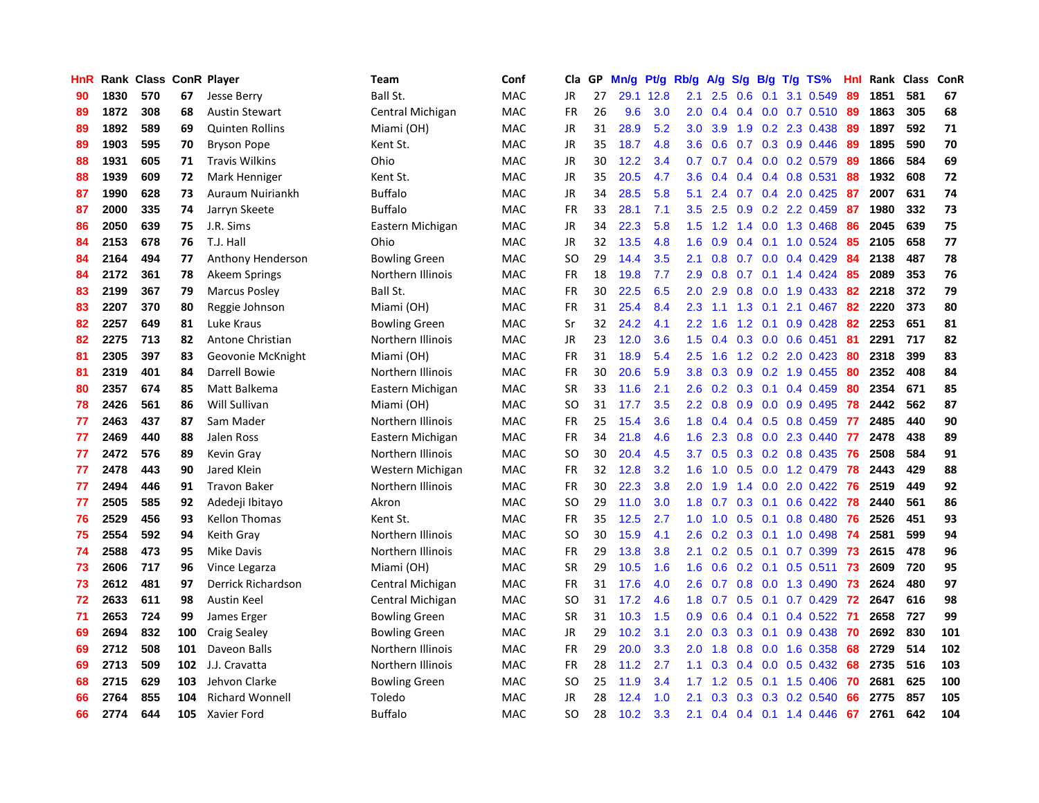| HnR |      | Rank Class ConR Player |     |                        | Team                 | Conf       | Cla       | GP | Mn/g | <b>Pt/g</b> | Rb/g             | A/g | S/g              |     | B/g T/g TS%               | Hnl | Rank | <b>Class</b> | ConR |
|-----|------|------------------------|-----|------------------------|----------------------|------------|-----------|----|------|-------------|------------------|-----|------------------|-----|---------------------------|-----|------|--------------|------|
| 90  | 1830 | 570                    | 67  | Jesse Berry            | Ball St.             | <b>MAC</b> | JR        | 27 | 29.1 | 12.8        | 2.1              | 2.5 | 0.6              | 0.1 | 3.1 0.549                 | 89  | 1851 | 581          | 67   |
| 89  | 1872 | 308                    | 68  | <b>Austin Stewart</b>  | Central Michigan     | MAC        | FR        | 26 | 9.6  | 3.0         | 2.0              | 0.4 |                  |     | 0.4 0.0 0.7 0.510 89      |     | 1863 | 305          | 68   |
| 89  | 1892 | 589                    | 69  | <b>Quinten Rollins</b> | Miami (OH)           | MAC        | JR        | 31 | 28.9 | 5.2         | 3.0 <sub>2</sub> | 3.9 |                  |     | 1.9 0.2 2.3 0.438         | -89 | 1897 | 592          | 71   |
| 89  | 1903 | 595                    | 70  | <b>Bryson Pope</b>     | Kent St.             | <b>MAC</b> | JR        | 35 | 18.7 | 4.8         | 3.6              | 0.6 |                  |     | 0.7 0.3 0.9 0.446         | -89 | 1895 | 590          | 70   |
| 88  | 1931 | 605                    | 71  | <b>Travis Wilkins</b>  | Ohio                 | MAC        | <b>JR</b> | 30 | 12.2 | 3.4         | 0.7              | 0.7 |                  |     | $0.4$ 0.0 0.2 0.579       | 89  | 1866 | 584          | 69   |
| 88  | 1939 | 609                    | 72  | Mark Henniger          | Kent St.             | MAC        | JR        | 35 | 20.5 | 4.7         | 3.6              | 0.4 |                  |     | $0.4$ 0.4 0.8 0.531       | 88  | 1932 | 608          | 72   |
| 87  | 1990 | 628                    | 73  | Auraum Nuiriankh       | <b>Buffalo</b>       | MAC        | JR        | 34 | 28.5 | 5.8         | 5.1              | 2.4 |                  |     | 0.7 0.4 2.0 0.425         | 87  | 2007 | 631          | 74   |
| 87  | 2000 | 335                    | 74  | Jarryn Skeete          | <b>Buffalo</b>       | <b>MAC</b> | <b>FR</b> | 33 | 28.1 | 7.1         | 3.5              | 2.5 | 0.9              |     | 0.2 2.2 0.459             | 87  | 1980 | 332          | 73   |
| 86  | 2050 | 639                    | 75  | J.R. Sims              | Eastern Michigan     | <b>MAC</b> | JR        | 34 | 22.3 | 5.8         | 1.5              | 1.2 |                  |     | 1.4 0.0 1.3 0.468         | 86  | 2045 | 639          | 75   |
| 84  | 2153 | 678                    | 76  | T.J. Hall              | Ohio                 | <b>MAC</b> | JR        | 32 | 13.5 | 4.8         | 1.6              | 0.9 |                  |     | $0.4$ 0.1 1.0 0.524       | -85 | 2105 | 658          | 77   |
| 84  | 2164 | 494                    | 77  | Anthony Henderson      | <b>Bowling Green</b> | <b>MAC</b> | <b>SO</b> | 29 | 14.4 | 3.5         | 2.1              | 0.8 |                  |     | $0.7$ 0.0 0.4 0.429       | -84 | 2138 | 487          | 78   |
| 84  | 2172 | 361                    | 78  | Akeem Springs          | Northern Illinois    | <b>MAC</b> | <b>FR</b> | 18 | 19.8 | 7.7         | 2.9              | 0.8 |                  |     | $0.7$ 0.1 1.4 0.424 85    |     | 2089 | 353          | 76   |
| 83  | 2199 | 367                    | 79  | <b>Marcus Posley</b>   | Ball St.             | <b>MAC</b> | <b>FR</b> | 30 | 22.5 | 6.5         | 2.0              | 2.9 | 0.8              |     | $0.0$ 1.9 0.433           | -82 | 2218 | 372          | 79   |
| 83  | 2207 | 370                    | 80  | Reggie Johnson         | Miami (OH)           | <b>MAC</b> | <b>FR</b> | 31 | 25.4 | 8.4         | 2.3              | 1.1 | 1.3              |     | $0.1$ 2.1 0.467           | 82  | 2220 | 373          | 80   |
| 82  | 2257 | 649                    | 81  | Luke Kraus             | <b>Bowling Green</b> | <b>MAC</b> | Sr        | 32 | 24.2 | 4.1         | 2.2              | 1.6 | 1.2              |     | $0.1$ 0.9 0.428           | 82  | 2253 | 651          | 81   |
| 82  | 2275 | 713                    | 82  | Antone Christian       | Northern Illinois    | <b>MAC</b> | JR        | 23 | 12.0 | 3.6         | 1.5              | 0.4 | 0.3              |     | $0.0\quad 0.6\quad 0.451$ | -81 | 2291 | 717          | 82   |
| 81  | 2305 | 397                    | 83  | Geovonie McKnight      | Miami (OH)           | <b>MAC</b> | <b>FR</b> | 31 | 18.9 | 5.4         | $2.5^{\circ}$    | 1.6 |                  |     | 1.2 0.2 2.0 0.423         | 80  | 2318 | 399          | 83   |
| 81  | 2319 | 401                    | 84  | Darrell Bowie          | Northern Illinois    | <b>MAC</b> | <b>FR</b> | 30 | 20.6 | 5.9         | 3.8              | 0.3 | 0.9 <sub>0</sub> |     | 0.2 1.9 0.455             | -80 | 2352 | 408          | 84   |
| 80  | 2357 | 674                    | 85  | Matt Balkema           | Eastern Michigan     | <b>MAC</b> | <b>SR</b> | 33 | 11.6 | 2.1         | 2.6              |     |                  |     | $0.2$ 0.3 0.1 0.4 0.459   | -80 | 2354 | 671          | 85   |
| 78  | 2426 | 561                    | 86  | Will Sullivan          | Miami (OH)           | <b>MAC</b> | <b>SO</b> | 31 | 17.7 | 3.5         | 2.2              | 0.8 |                  |     | $0.9$ 0.0 0.9 0.495       | 78  | 2442 | 562          | 87   |
| 77  | 2463 | 437                    | 87  | Sam Mader              | Northern Illinois    | MAC        | <b>FR</b> | 25 | 15.4 | 3.6         | 1.8              | 0.4 |                  |     | $0.4$ 0.5 0.8 0.459       | 77  | 2485 | 440          | 90   |
| 77  | 2469 | 440                    | 88  | Jalen Ross             | Eastern Michigan     | <b>MAC</b> | <b>FR</b> | 34 | 21.8 | 4.6         | 1.6              | 2.3 | 0.8              |     | $0.0$ 2.3 $0.440$         | 77  | 2478 | 438          | 89   |
| 77  | 2472 | 576                    | 89  | Kevin Gray             | Northern Illinois    | MAC        | SO        | 30 | 20.4 | 4.5         | 3.7              | 0.5 |                  |     | $0.3$ 0.2 0.8 0.435       | 76  | 2508 | 584          | 91   |
| 77  | 2478 | 443                    | 90  | Jared Klein            | Western Michigan     | <b>MAC</b> | <b>FR</b> | 32 | 12.8 | 3.2         | 1.6              | 1.0 | 0.5              |     | 0.0 1.2 0.479             | 78  | 2443 | 429          | 88   |
| 77  | 2494 | 446                    | 91  | <b>Travon Baker</b>    | Northern Illinois    | <b>MAC</b> | <b>FR</b> | 30 | 22.3 | 3.8         | 2.0              | 1.9 | $1.4^{\circ}$    |     | 0.0 2.0 0.422             | 76  | 2519 | 449          | 92   |
| 77  | 2505 | 585                    | 92  | Adedeji Ibitayo        | Akron                | <b>MAC</b> | <b>SO</b> | 29 | 11.0 | 3.0         | 1.8              | 0.7 | 0.3              | 0.1 | $0.6$ 0.422               | 78  | 2440 | 561          | 86   |
| 76  | 2529 | 456                    | 93  | <b>Kellon Thomas</b>   | Kent St.             | <b>MAC</b> | <b>FR</b> | 35 | 12.5 | 2.7         | 1.0 <sub>1</sub> | 1.0 |                  |     | 0.5 0.1 0.8 0.480         | -76 | 2526 | 451          | 93   |
| 75  | 2554 | 592                    | 94  | Keith Gray             | Northern Illinois    | <b>MAC</b> | SO        | 30 | 15.9 | 4.1         | $2.6^{\circ}$    | 0.2 |                  |     | 0.3 0.1 1.0 0.498 74      |     | 2581 | 599          | 94   |
| 74  | 2588 | 473                    | 95  | Mike Davis             | Northern Illinois    | MAC        | FR        | 29 | 13.8 | 3.8         | 2.1              | 0.2 |                  |     | $0.5$ 0.1 0.7 0.399       | -73 | 2615 | 478          | 96   |
| 73  | 2606 | 717                    | 96  | Vince Legarza          | Miami (OH)           | MAC        | <b>SR</b> | 29 | 10.5 | 1.6         | 1.6              | 0.6 |                  |     | $0.2$ 0.1 0.5 0.511       | 73  | 2609 | 720          | 95   |
| 73  | 2612 | 481                    | 97  | Derrick Richardson     | Central Michigan     | <b>MAC</b> | <b>FR</b> | 31 | 17.6 | 4.0         | 2.6              | 0.7 | 0.8 <sub>0</sub> |     | $0.0$ 1.3 0.490           | 73  | 2624 | 480          | 97   |
| 72  | 2633 | 611                    | 98  | Austin Keel            | Central Michigan     | MAC        | SO        | 31 | 17.2 | 4.6         | 1.8              | 0.7 | 0.5              |     | $0.1$ 0.7 0.429           | 72  | 2647 | 616          | 98   |
| 71  | 2653 | 724                    | 99  | James Erger            | <b>Bowling Green</b> | <b>MAC</b> | <b>SR</b> | 31 | 10.3 | 1.5         | 0.9 <sup>°</sup> | 0.6 | $0.4^{\circ}$    | 0.1 | $0.4$ 0.522               | 71  | 2658 | 727          | 99   |
| 69  | 2694 | 832                    | 100 | <b>Craig Sealey</b>    | <b>Bowling Green</b> | <b>MAC</b> | <b>JR</b> | 29 | 10.2 | 3.1         | 2.0              | 0.3 | 0.3              | 0.1 | $0.9$ 0.438               | 70  | 2692 | 830          | 101  |
| 69  | 2712 | 508                    | 101 | Daveon Balls           | Northern Illinois    | <b>MAC</b> | <b>FR</b> | 29 | 20.0 | 3.3         | 2.0              | 1.8 | 0.8              |     | 0.0 1.6 0.358             | 68  | 2729 | 514          | 102  |
| 69  | 2713 | 509                    | 102 | J.J. Cravatta          | Northern Illinois    | MAC        | <b>FR</b> | 28 | 11.2 | 2.7         | 1.1              | 0.3 |                  |     | $0.4$ 0.0 0.5 0.432       | 68  | 2735 | 516          | 103  |
| 68  | 2715 | 629                    | 103 | Jehvon Clarke          | <b>Bowling Green</b> | <b>MAC</b> | <b>SO</b> | 25 | 11.9 | 3.4         | 1.7              | 1.2 | 0.5              |     | $0.1$ 1.5 0.406           | -70 | 2681 | 625          | 100  |
| 66  | 2764 | 855                    | 104 | <b>Richard Wonnell</b> | Toledo               | <b>MAC</b> | <b>JR</b> | 28 | 12.4 | 1.0         | 2.1              | 0.3 | 0.3              |     | 0.3 0.2 0.540             | 66  | 2775 | 857          | 105  |
| 66  | 2774 | 644                    | 105 | Xavier Ford            | <b>Buffalo</b>       | <b>MAC</b> | SO        | 28 | 10.2 | 3.3         | 2.1              | 0.4 |                  |     | $0.4$ 0.1 1.4 0.446       | 67  | 2761 | 642          | 104  |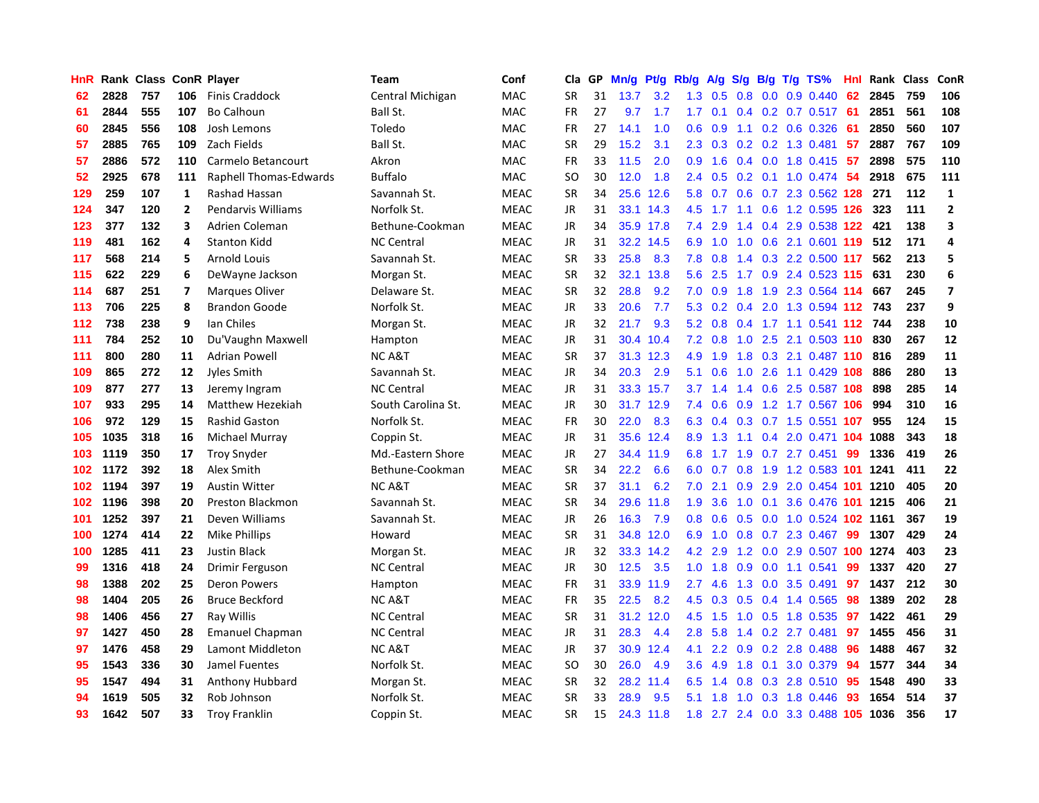| HnR |      | Rank Class ConR Player |                         |                        | <b>Team</b>        | Conf        | Cla       | <b>GP</b> | Mn/g | <b>Pt/g</b> | Rb/g | A/g             |     |  | S/g B/g T/g TS%                | Hnl | Rank | Class | ConR           |
|-----|------|------------------------|-------------------------|------------------------|--------------------|-------------|-----------|-----------|------|-------------|------|-----------------|-----|--|--------------------------------|-----|------|-------|----------------|
| 62  | 2828 | 757                    | 106                     | <b>Finis Craddock</b>  | Central Michigan   | <b>MAC</b>  | <b>SR</b> | 31        | 13.7 | 3.2         | 1.3  | 0.5             | 0.8 |  | $0.0$ $0.9$ $0.440$            | 62  | 2845 | 759   | 106            |
| 61  | 2844 | 555                    | 107                     | <b>Bo Calhoun</b>      | Ball St.           | MAC         | FR        | 27        | 9.7  | 1.7         |      | $1.7 \quad 0.1$ |     |  | 0.4 0.2 0.7 0.517 61           |     | 2851 | 561   | 108            |
| 60  | 2845 | 556                    | 108                     | Josh Lemons            | Toledo             | <b>MAC</b>  | <b>FR</b> | 27        | 14.1 | 1.0         | 0.6  | 0.9             |     |  | 1.1 0.2 0.6 0.326              | -61 | 2850 | 560   | 107            |
| 57  | 2885 | 765                    | 109                     | Zach Fields            | Ball St.           | MAC         | <b>SR</b> | 29        | 15.2 | 3.1         | 2.3  | 0.3             |     |  | 0.2 0.2 1.3 0.481              | -57 | 2887 | 767   | 109            |
| 57  | 2886 | 572                    | 110                     | Carmelo Betancourt     | Akron              | MAC         | <b>FR</b> | 33        | 11.5 | 2.0         | 0.9  | 1.6             |     |  | 0.4 0.0 1.8 0.415              | -57 | 2898 | 575   | 110            |
| 52  | 2925 | 678                    | 111                     | Raphell Thomas-Edwards | <b>Buffalo</b>     | MAC         | <b>SO</b> | 30        | 12.0 | 1.8         | 2.4  | 0.5             |     |  | $0.2$ 0.1 1.0 0.474            | -54 | 2918 | 675   | 111            |
| 129 | 259  | 107                    | 1                       | Rashad Hassan          | Savannah St.       | <b>MEAC</b> | <b>SR</b> | 34        | 25.6 | 12.6        | 5.8  | 0.7             |     |  | 0.6 0.7 2.3 0.562 128          |     | 271  | 112   | $\mathbf{1}$   |
| 124 | 347  | 120                    | $\overline{2}$          | Pendarvis Williams     | Norfolk St.        | <b>MEAC</b> | JR        | 31        | 33.1 | 14.3        | 4.5  | 1.7             |     |  | 1.1 0.6 1.2 0.595 126          |     | 323  | 111   | $\overline{2}$ |
| 123 | 377  | 132                    | 3                       | Adrien Coleman         | Bethune-Cookman    | <b>MEAC</b> | <b>JR</b> | 34        |      | 35.9 17.8   | 7.4  | 2.9             |     |  | 1.4 0.4 2.9 0.538 122 421      |     |      | 138   | 3              |
| 119 | 481  | 162                    | 4                       | Stanton Kidd           | <b>NC Central</b>  | <b>MEAC</b> | JR        | 31        |      | 32.2 14.5   | 6.9  | 1.0             |     |  | 1.0 0.6 2.1 0.601 119 512      |     |      | 171   | 4              |
| 117 | 568  | 214                    | 5                       | <b>Arnold Louis</b>    | Savannah St.       | <b>MEAC</b> | <b>SR</b> | 33        | 25.8 | 8.3         | 7.8  | 0.8             |     |  | 1.4 0.3 2.2 0.500 117          |     | 562  | 213   | 5              |
| 115 | 622  | 229                    | 6                       | DeWayne Jackson        | Morgan St.         | <b>MEAC</b> | <b>SR</b> | 32        | 32.1 | 13.8        | 5.6  | 2.5             |     |  | 1.7 0.9 2.4 0.523 115          |     | 631  | 230   | 6              |
| 114 | 687  | 251                    | $\overline{\mathbf{z}}$ | Marques Oliver         | Delaware St.       | <b>MEAC</b> | <b>SR</b> | 32        | 28.8 | 9.2         | 7.0  | 0.9             | 1.8 |  | 1.9 2.3 0.564 114              |     | 667  | 245   | $\overline{7}$ |
| 113 | 706  | 225                    | 8                       | <b>Brandon Goode</b>   | Norfolk St.        | <b>MEAC</b> | JR        | 33        | 20.6 | 7.7         | 5.3  | 0.2             | 0.4 |  | 2.0 1.3 0.594 112 743          |     |      | 237   | 9              |
| 112 | 738  | 238                    | 9                       | Ian Chiles             | Morgan St.         | <b>MEAC</b> | JR        | 32        | 21.7 | 9.3         | 5.2  | 0.8             |     |  | 0.4 1.7 1.1 0.541 112          |     | 744  | 238   | 10             |
| 111 | 784  | 252                    | 10                      | Du'Vaughn Maxwell      | Hampton            | <b>MEAC</b> | JR        | 31        | 30.4 | 10.4        | 7.2  | 0.8             | 1.0 |  | 2.5 2.1 0.503 110              |     | 830  | 267   | 12             |
| 111 | 800  | 280                    | 11                      | Adrian Powell          | <b>NCA&amp;T</b>   | <b>MEAC</b> | <b>SR</b> | 37        | 31.3 | 12.3        | 4.9  | 1.9             | 1.8 |  | 0.3 2.1 0.487 110 816          |     |      | 289   | 11             |
| 109 | 865  | 272                    | 12                      | Jyles Smith            | Savannah St.       | <b>MEAC</b> | <b>JR</b> | 34        | 20.3 | 2.9         | 5.1  | 0.6             |     |  | 1.0 2.6 1.1 0.429 108          |     | 886  | 280   | 13             |
| 109 | 877  | 277                    | 13                      | Jeremy Ingram          | <b>NC Central</b>  | <b>MEAC</b> | <b>JR</b> | 31        |      | 33.3 15.7   |      | $3.7 \quad 1.4$ |     |  | 1.4 0.6 2.5 0.587 108          |     | 898  | 285   | 14             |
| 107 | 933  | 295                    | 14                      | Matthew Hezekiah       | South Carolina St. | <b>MEAC</b> | JR        | 30        |      | 31.7 12.9   | 7.4  | 0.6             |     |  | 0.9 1.2 1.7 0.567 106          |     | 994  | 310   | 16             |
| 106 | 972  | 129                    | 15                      | <b>Rashid Gaston</b>   | Norfolk St.        | <b>MEAC</b> | <b>FR</b> | 30        | 22.0 | 8.3         | 6.3  | 0.4             |     |  | 0.3 0.7 1.5 0.551 107          |     | 955  | 124   | 15             |
| 105 | 1035 | 318                    | 16                      | Michael Murray         | Coppin St.         | <b>MEAC</b> | JR        | 31        |      | 35.6 12.4   | 8.9  | 1.3             | 1.1 |  | 0.4 2.0 0.471 104              |     | 1088 | 343   | 18             |
| 103 | 1119 | 350                    | 17                      | <b>Troy Snyder</b>     | Md.-Eastern Shore  | <b>MEAC</b> | JR        | 27        | 34.4 | 11.9        | 6.8  | 1.7             | 1.9 |  | $0.7$ 2.7 $0.451$              | 99  | 1336 | 419   | 26             |
| 102 | 1172 | 392                    | 18                      | Alex Smith             | Bethune-Cookman    | <b>MEAC</b> | <b>SR</b> | 34        | 22.2 | 6.6         | 6.0  | 0.7             | 0.8 |  | 1.9 1.2 0.583 101 1241         |     |      | 411   | 22             |
| 102 | 1194 | 397                    | 19                      | <b>Austin Witter</b>   | <b>NCA&amp;T</b>   | <b>MEAC</b> | <b>SR</b> | 37        | 31.1 | 6.2         | 7.0  | 2.1             | 0.9 |  | 2.9 2.0 0.454 101 1210         |     |      | 405   | 20             |
| 102 | 1196 | 398                    | 20                      | Preston Blackmon       | Savannah St.       | <b>MEAC</b> | <b>SR</b> | 34        | 29.6 | 11.8        | 1.9  | 3.6             |     |  | 1.0 0.1 3.6 0.476 101 1215     |     |      | 406   | 21             |
| 101 | 1252 | 397                    | 21                      | Deven Williams         | Savannah St.       | <b>MEAC</b> | JR        | 26        | 16.3 | 7.9         | 0.8  | 0.6             |     |  | 0.5 0.0 1.0 0.524 102 1161     |     |      | 367   | 19             |
| 100 | 1274 | 414                    | 22                      | <b>Mike Phillips</b>   | Howard             | <b>MEAC</b> | <b>SR</b> | 31        |      | 34.8 12.0   | 6.9  | 1.0             |     |  | 0.8 0.7 2.3 0.467              | 99  | 1307 | 429   | 24             |
| 100 | 1285 | 411                    | 23                      | <b>Justin Black</b>    | Morgan St.         | <b>MEAC</b> | JR        | 32        |      | 33.3 14.2   |      | 4.2 2.9         |     |  | 1.2 0.0 2.9 0.507 100 1274     |     |      | 403   | 23             |
| 99  | 1316 | 418                    | 24                      | Drimir Ferguson        | <b>NC Central</b>  | <b>MEAC</b> | <b>JR</b> | 30        | 12.5 | 3.5         | 1.0  | 1.8             | 0.9 |  | 0.0 1.1 0.541                  | 99  | 1337 | 420   | 27             |
| 98  | 1388 | 202                    | 25                      | <b>Deron Powers</b>    | Hampton            | <b>MEAC</b> | FR        | 31        | 33.9 | 11.9        | 2.7  | 4.6             | 1.3 |  | $0.0$ 3.5 0.491                | 97  | 1437 | 212   | 30             |
| 98  | 1404 | 205                    | 26                      | <b>Bruce Beckford</b>  | <b>NCA&amp;T</b>   | <b>MEAC</b> | <b>FR</b> | 35        | 22.5 | 8.2         | 4.5  | 0.3             | 0.5 |  | 0.4 1.4 0.565                  | 98  | 1389 | 202   | 28             |
| 98  | 1406 | 456                    | 27                      | Ray Willis             | <b>NC Central</b>  | <b>MEAC</b> | <b>SR</b> | 31        | 31.2 | 12.0        | 4.5  | 1.5             | 1.0 |  | 0.5 1.8 0.535                  | 97  | 1422 | 461   | 29             |
| 97  | 1427 | 450                    | 28                      | <b>Emanuel Chapman</b> | <b>NC Central</b>  | <b>MEAC</b> | <b>JR</b> | 31        | 28.3 | 4.4         | 2.8  | 5.8             | 1.4 |  | $0.2$ 2.7 $0.481$              | 97  | 1455 | 456   | 31             |
| 97  | 1476 | 458                    | 29                      | Lamont Middleton       | <b>NCA&amp;T</b>   | <b>MEAC</b> | <b>JR</b> | 37        |      | 30.9 12.4   | 4.1  | $2.2^{\circ}$   |     |  | $0.9$ 0.2 2.8 0.488            | 96  | 1488 | 467   | 32             |
| 95  | 1543 | 336                    | 30                      | Jamel Fuentes          | Norfolk St.        | <b>MEAC</b> | <b>SO</b> | 30        | 26.0 | 4.9         | 3.6  | 4.9             |     |  | 1.8 0.1 3.0 0.379              | -94 | 1577 | 344   | 34             |
| 95  | 1547 | 494                    | 31                      | Anthony Hubbard        | Morgan St.         | <b>MEAC</b> | <b>SR</b> | 32        | 28.2 | 11.4        | 6.5  | 1.4             |     |  | 0.8 0.3 2.8 0.510              | -95 | 1548 | 490   | 33             |
| 94  | 1619 | 505                    | 32                      | Rob Johnson            | Norfolk St.        | <b>MEAC</b> | <b>SR</b> | 33        | 28.9 | 9.5         | 5.1  | 1.8             | 1.0 |  | 0.3 1.8 0.446                  | 93  | 1654 | 514   | 37             |
| 93  | 1642 | 507                    | 33                      | <b>Troy Franklin</b>   | Coppin St.         | <b>MEAC</b> | SR        | 15        |      | 24.3 11.8   | 1.8  |                 |     |  | 2.7 2.4 0.0 3.3 0.488 105 1036 |     |      | 356   | 17             |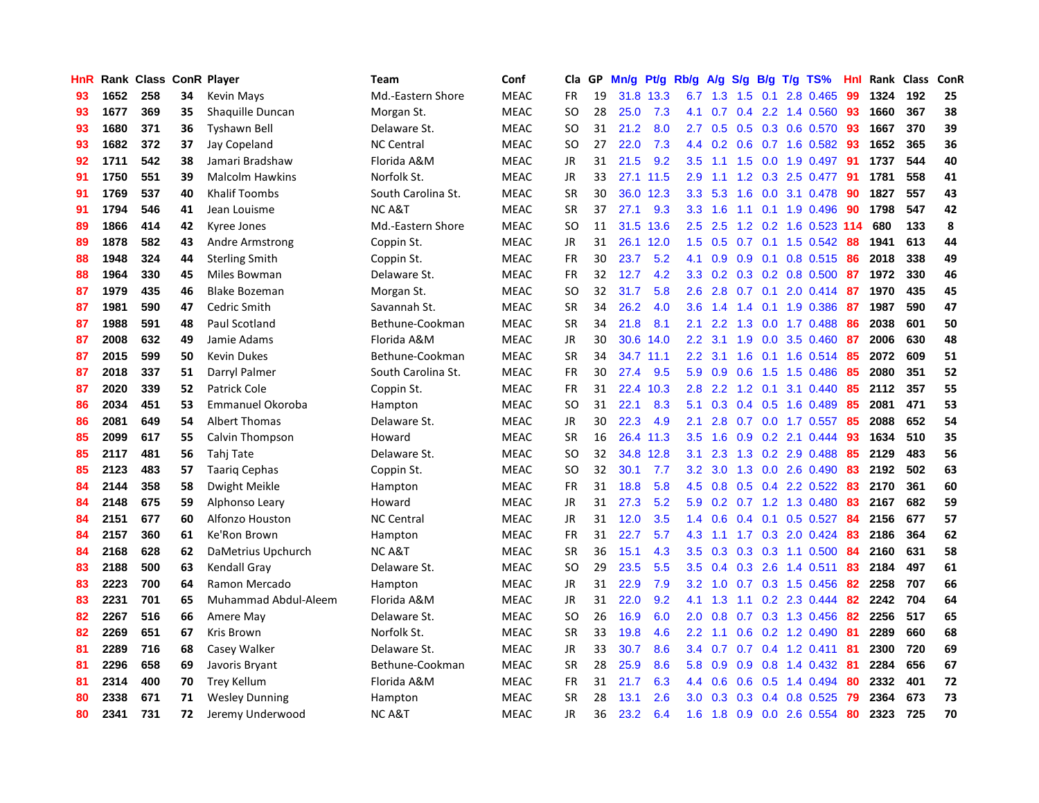| <b>HnR</b> |      | Rank Class ConR Player |    |                        | <b>Team</b>        | Conf        | Cla       | GP | Mn/g | Pt/g      | Rb/g             | A/g             |     |     | S/g B/g T/g TS%         | Hnl |      | Rank Class | ConR |
|------------|------|------------------------|----|------------------------|--------------------|-------------|-----------|----|------|-----------|------------------|-----------------|-----|-----|-------------------------|-----|------|------------|------|
| 93         | 1652 | 258                    | 34 | <b>Kevin Mays</b>      | Md.-Eastern Shore  | <b>MEAC</b> | <b>FR</b> | 19 |      | 31.8 13.3 | 6.7              | 1.3             | 1.5 | 0.1 | 2.8 0.465               | 99  | 1324 | 192        | 25   |
| 93         | 1677 | 369                    | 35 | Shaquille Duncan       | Morgan St.         | <b>MEAC</b> | <b>SO</b> | 28 | 25.0 | 7.3       | 4.1              | 0.7             |     |     | 0.4 2.2 1.4 0.560 93    |     | 1660 | 367        | 38   |
| 93         | 1680 | 371                    | 36 | Tyshawn Bell           | Delaware St.       | <b>MEAC</b> | <b>SO</b> | 31 | 21.2 | 8.0       | $2.7^{\circ}$    | 0.5             |     |     | 0.5 0.3 0.6 0.570       | -93 | 1667 | 370        | 39   |
| 93         | 1682 | 372                    | 37 | Jay Copeland           | <b>NC Central</b>  | <b>MEAC</b> | <b>SO</b> | 27 | 22.0 | 7.3       | 4.4              | 0.2             |     |     | $0.6$ 0.7 1.6 0.582     | -93 | 1652 | 365        | 36   |
| 92         | 1711 | 542                    | 38 | Jamari Bradshaw        | Florida A&M        | <b>MEAC</b> | <b>JR</b> | 31 | 21.5 | 9.2       | 3.5              | 1.1             |     |     | 1.5 0.0 1.9 0.497       | 91  | 1737 | 544        | 40   |
| 91         | 1750 | 551                    | 39 | <b>Malcolm Hawkins</b> | Norfolk St.        | <b>MEAC</b> | JR        | 33 | 27.1 | 11.5      | 2.9              | 1.1             |     |     | 1.2 0.3 2.5 0.477       | -91 | 1781 | 558        | 41   |
| 91         | 1769 | 537                    | 40 | <b>Khalif Toombs</b>   | South Carolina St. | <b>MEAC</b> | <b>SR</b> | 30 | 36.0 | 12.3      | 3.3              | 5.3             | 1.6 |     | 0.0 3.1 0.478           | 90  | 1827 | 557        | 43   |
| 91         | 1794 | 546                    | 41 | Jean Louisme           | <b>NCA&amp;T</b>   | <b>MEAC</b> | <b>SR</b> | 37 | 27.1 | 9.3       |                  | $3.3 \quad 1.6$ | 1.1 |     | $0.1$ 1.9 0.496         | -90 | 1798 | 547        | 42   |
| 89         | 1866 | 414                    | 42 | Kyree Jones            | Md.-Eastern Shore  | <b>MEAC</b> | <b>SO</b> | 11 | 31.5 | 13.6      | 2.5              | 2.5             | 1.2 |     | 0.2 1.6 0.523 114       |     | 680  | 133        | 8    |
| 89         | 1878 | 582                    | 43 | <b>Andre Armstrong</b> | Coppin St.         | <b>MEAC</b> | JR        | 31 | 26.1 | 12.0      | 1.5              | 0.5             |     |     | 0.7 0.1 1.5 0.542 88    |     | 1941 | 613        | 44   |
| 88         | 1948 | 324                    | 44 | <b>Sterling Smith</b>  | Coppin St.         | <b>MEAC</b> | <b>FR</b> | 30 | 23.7 | 5.2       | 4.1              | 0.9             |     |     | 0.9 0.1 0.8 0.515 86    |     | 2018 | 338        | 49   |
| 88         | 1964 | 330                    | 45 | Miles Bowman           | Delaware St.       | <b>MEAC</b> | <b>FR</b> | 32 | 12.7 | 4.2       | 3.3 <sub>1</sub> | 0.2             |     |     | $0.3$ 0.2 0.8 0.500 87  |     | 1972 | 330        | 46   |
| 87         | 1979 | 435                    | 46 | <b>Blake Bozeman</b>   | Morgan St.         | MEAC        | <b>SO</b> | 32 | 31.7 | 5.8       | 2.6              | 2.8             |     |     | $0.7$ 0.1 2.0 0.414 87  |     | 1970 | 435        | 45   |
| 87         | 1981 | 590                    | 47 | Cedric Smith           | Savannah St.       | <b>MEAC</b> | <b>SR</b> | 34 | 26.2 | 4.0       | 3.6 <sup>°</sup> | 1.4             | 1.4 |     | $0.1$ 1.9 $0.386$       | -87 | 1987 | 590        | 47   |
| 87         | 1988 | 591                    | 48 | Paul Scotland          | Bethune-Cookman    | <b>MEAC</b> | <b>SR</b> | 34 | 21.8 | 8.1       | 2.1              | 2.2             | 1.3 |     | $0.0$ 1.7 $0.488$       | -86 | 2038 | 601        | 50   |
| 87         | 2008 | 632                    | 49 | Jamie Adams            | Florida A&M        | <b>MEAC</b> | JR        | 30 | 30.6 | 14.0      | $2.2^{\circ}$    | 3.1             | 1.9 |     | $0.0$ 3.5 $0.460$       | -87 | 2006 | 630        | 48   |
| 87         | 2015 | 599                    | 50 | <b>Kevin Dukes</b>     | Bethune-Cookman    | <b>MEAC</b> | <b>SR</b> | 34 |      | 34.7 11.1 | 2.2 <sub>2</sub> | 3.1             | 1.6 |     | $0.1$ 1.6 0.514         | -85 | 2072 | 609        | 51   |
| 87         | 2018 | 337                    | 51 | Darryl Palmer          | South Carolina St. | <b>MEAC</b> | <b>FR</b> | 30 | 27.4 | 9.5       | 5.9              | 0.9             | 0.6 |     | 1.5 1.5 0.486           | 85  | 2080 | 351        | 52   |
| 87         | 2020 | 339                    | 52 | Patrick Cole           | Coppin St.         | <b>MEAC</b> | <b>FR</b> | 31 | 22.4 | 10.3      | 2.8 <sub>1</sub> |                 |     |     | 2.2 1.2 0.1 3.1 0.440   | -85 | 2112 | 357        | 55   |
| 86         | 2034 | 451                    | 53 | Emmanuel Okoroba       | Hampton            | <b>MEAC</b> | <b>SO</b> | 31 | 22.1 | 8.3       | 5.1              | 0.3             |     |     | $0.4$ 0.5 1.6 0.489     | -85 | 2081 | 471        | 53   |
| 86         | 2081 | 649                    | 54 | Albert Thomas          | Delaware St.       | <b>MEAC</b> | JR        | 30 | 22.3 | 4.9       | 2.1              | 2.8             |     |     | 0.7 0.0 1.7 0.557       | -85 | 2088 | 652        | 54   |
| 85         | 2099 | 617                    | 55 | Calvin Thompson        | Howard             | <b>MEAC</b> | <b>SR</b> | 16 |      | 26.4 11.3 | 3.5              | 1.6             | 0.9 |     | $0.2$ 2.1 $0.444$       | 93  | 1634 | 510        | 35   |
| 85         | 2117 | 481                    | 56 | Tahj Tate              | Delaware St.       | <b>MEAC</b> | SO        | 32 |      | 34.8 12.8 | 3.1              | 2.3             |     |     | 1.3 0.2 2.9 0.488       | 85  | 2129 | 483        | 56   |
| 85         | 2123 | 483                    | 57 | <b>Taarig Cephas</b>   | Coppin St.         | <b>MEAC</b> | <b>SO</b> | 32 | 30.1 | 7.7       | 3.2              | 3.0             | 1.3 |     | $0.0$ 2.6 $0.490$       | 83  | 2192 | 502        | 63   |
| 84         | 2144 | 358                    | 58 | Dwight Meikle          | Hampton            | <b>MEAC</b> | FR.       | 31 | 18.8 | 5.8       | 4.5              | 0.8             |     |     | 0.5 0.4 2.2 0.522       | 83  | 2170 | 361        | 60   |
| 84         | 2148 | 675                    | 59 | Alphonso Leary         | Howard             | <b>MEAC</b> | JR        | 31 | 27.3 | 5.2       | 5.9              | 0.2             |     |     | 0.7 1.2 1.3 0.480       | -83 | 2167 | 682        | 59   |
| 84         | 2151 | 677                    | 60 | Alfonzo Houston        | <b>NC Central</b>  | <b>MEAC</b> | JR        | 31 | 12.0 | 3.5       | $1.4^{\circ}$    | 0.6             |     |     | 0.4 0.1 0.5 0.527 84    |     | 2156 | 677        | 57   |
| 84         | 2157 | 360                    | 61 | Ke'Ron Brown           | Hampton            | <b>MEAC</b> | <b>FR</b> | 31 | 22.7 | 5.7       | 4.3              | 1.1             |     |     | 1.7 0.3 2.0 0.424 83    |     | 2186 | 364        | 62   |
| 84         | 2168 | 628                    | 62 | DaMetrius Upchurch     | NC A&T             | <b>MEAC</b> | SR.       | 36 | 15.1 | 4.3       | 3.5              | 0.3             |     |     | $0.3$ 0.3 1.1 0.500     | -84 | 2160 | 631        | 58   |
| 83         | 2188 | 500                    | 63 | Kendall Gray           | Delaware St.       | <b>MEAC</b> | <b>SO</b> | 29 | 23.5 | 5.5       | $3.5^{\circ}$    | 0.4             | 0.3 |     | 2.6 1.4 0.511           | 83  | 2184 | 497        | 61   |
| 83         | 2223 | 700                    | 64 | Ramon Mercado          | Hampton            | <b>MEAC</b> | JR        | 31 | 22.9 | 7.9       | 3.2              | 1.0             |     |     | $0.7$ $0.3$ 1.5 $0.456$ | 82  | 2258 | 707        | 66   |
| 83         | 2231 | 701                    | 65 | Muhammad Abdul-Aleem   | Florida A&M        | <b>MEAC</b> | <b>JR</b> | 31 | 22.0 | 9.2       | 4.1              | 1.3             |     |     | 1.1 0.2 2.3 0.444       | 82  | 2242 | 704        | 64   |
| 82         | 2267 | 516                    | 66 | Amere May              | Delaware St.       | <b>MEAC</b> | SO        | 26 | 16.9 | 6.0       | 2.0 <sub>1</sub> | 0.8             |     |     | 0.7 0.3 1.3 0.456       | -82 | 2256 | 517        | 65   |
| 82         | 2269 | 651                    | 67 | Kris Brown             | Norfolk St.        | <b>MEAC</b> | SR        | 33 | 19.8 | 4.6       | $2.2\phantom{0}$ | 1.1             | 0.6 |     | 0.2 1.2 0.490           | 81  | 2289 | 660        | 68   |
| 81         | 2289 | 716                    | 68 | Casey Walker           | Delaware St.       | <b>MEAC</b> | <b>JR</b> | 33 | 30.7 | 8.6       | $3.4^{\circ}$    | 0.7             |     |     | $0.7$ 0.4 1.2 0.411     | -81 | 2300 | 720        | 69   |
| 81         | 2296 | 658                    | 69 | Javoris Bryant         | Bethune-Cookman    | <b>MEAC</b> | <b>SR</b> | 28 | 25.9 | 8.6       |                  | 5.8 0.9         |     |     | 0.9 0.8 1.4 0.432 81    |     | 2284 | 656        | 67   |
| 81         | 2314 | 400                    | 70 | <b>Trey Kellum</b>     | Florida A&M        | <b>MEAC</b> | <b>FR</b> | 31 | 21.7 | 6.3       | 4.4              | 0.6             |     |     | $0.6$ $0.5$ 1.4 $0.494$ | -80 | 2332 | 401        | 72   |
| 80         | 2338 | 671                    | 71 | <b>Wesley Dunning</b>  | Hampton            | <b>MEAC</b> | <b>SR</b> | 28 | 13.1 | 2.6       | 3.0 <sub>2</sub> | 0.3             |     |     | 0.3 0.4 0.8 0.525       | -79 | 2364 | 673        | 73   |
| 80         | 2341 | 731                    | 72 | Jeremy Underwood       | <b>NCA&amp;T</b>   | <b>MEAC</b> | <b>JR</b> | 36 | 23.2 | 6.4       | 1.6              | 1.8             |     |     | 0.9 0.0 2.6 0.554       | 80  | 2323 | 725        | 70   |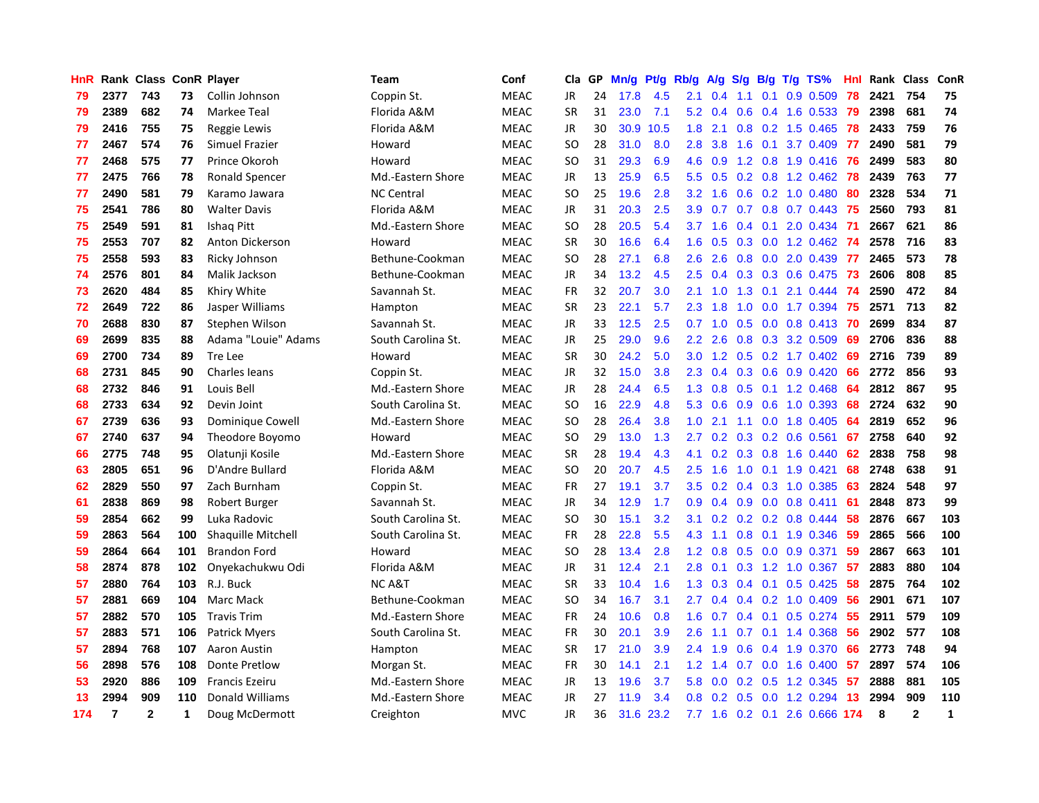| HnR |                | Rank Class ConR Player |              |                           | Team               | Conf        | Cla           | GP | Mn/g | Pt/g      | Rb/g             | A/g             | S/g              |                 | $B/g$ T/g TS%                   | Hnl | Rank Class |              | ConR         |
|-----|----------------|------------------------|--------------|---------------------------|--------------------|-------------|---------------|----|------|-----------|------------------|-----------------|------------------|-----------------|---------------------------------|-----|------------|--------------|--------------|
| 79  | 2377           | 743                    | 73           | Collin Johnson            | Coppin St.         | <b>MEAC</b> | <b>JR</b>     | 24 | 17.8 | 4.5       | 2.1              | 0.4             | 1.1              | 0.1             | 0.9 0.509                       | 78  | 2421       | 754          | 75           |
| 79  | 2389           | 682                    | 74           | Markee Teal               | Florida A&M        | <b>MEAC</b> | <b>SR</b>     | 31 | 23.0 | 7.1       |                  | $5.2 \quad 0.4$ |                  |                 | 0.6 0.4 1.6 0.533 79            |     | 2398       | 681          | 74           |
| 79  | 2416           | 755                    | 75           | Reggie Lewis              | Florida A&M        | <b>MEAC</b> | <b>JR</b>     | 30 | 30.9 | 10.5      | 1.8              | 2.1             |                  |                 | 0.8 0.2 1.5 0.465 78            |     | 2433       | 759          | 76           |
| 77  | 2467           | 574                    | 76           | Simuel Frazier            | Howard             | <b>MEAC</b> | <sub>SO</sub> | 28 | 31.0 | 8.0       | 2.8              | 3.8             |                  |                 | 1.6 0.1 3.7 0.409               | 77  | 2490       | 581          | 79           |
| 77  | 2468           | 575                    | 77           | Prince Okoroh             | Howard             | <b>MEAC</b> | <sub>SO</sub> | 31 | 29.3 | 6.9       | 4.6              | 0.9             |                  |                 | 1.2 0.8 1.9 0.416 76            |     | 2499       | 583          | 80           |
| 77  | 2475           | 766                    | 78           | <b>Ronald Spencer</b>     | Md.-Eastern Shore  | <b>MEAC</b> | <b>JR</b>     | 13 | 25.9 | 6.5       | 5.5              | 0.5             |                  |                 | $0.2$ 0.8 1.2 0.462             | 78  | 2439       | 763          | 77           |
| 77  | 2490           | 581                    | 79           | Karamo Jawara             | <b>NC Central</b>  | <b>MEAC</b> | <b>SO</b>     | 25 | 19.6 | 2.8       | 3.2              | 1.6             |                  |                 | 0.6 0.2 1.0 0.480               | 80  | 2328       | 534          | 71           |
| 75  | 2541           | 786                    | 80           | <b>Walter Davis</b>       | Florida A&M        | <b>MEAC</b> | JR            | 31 | 20.3 | 2.5       | 3.9 <sup>°</sup> | 0.7             |                  |                 | 0.7 0.8 0.7 0.443               | 75  | 2560       | 793          | 81           |
| 75  | 2549           | 591                    | 81           | Ishaq Pitt                | Md.-Eastern Shore  | <b>MEAC</b> | <b>SO</b>     | 28 | 20.5 | 5.4       |                  | $3.7 \quad 1.6$ |                  | $0.4 \quad 0.1$ | 2.0 0.434                       | -71 | 2667       | 621          | 86           |
| 75  | 2553           | 707                    | 82           | Anton Dickerson           | Howard             | <b>MEAC</b> | <b>SR</b>     | 30 | 16.6 | 6.4       | 1.6              | 0.5             |                  |                 | 0.3 0.0 1.2 0.462 74            |     | 2578       | 716          | 83           |
| 75  | 2558           | 593                    | 83           | Ricky Johnson             | Bethune-Cookman    | <b>MEAC</b> | <b>SO</b>     | 28 | 27.1 | 6.8       | 2.6              | 2.6             |                  |                 | 0.8 0.0 2.0 0.439 77            |     | 2465       | 573          | 78           |
| 74  | 2576           | 801                    | 84           | Malik Jackson             | Bethune-Cookman    | <b>MEAC</b> | JR            | 34 | 13.2 | 4.5       | 2.5              | 0.4             |                  |                 | 0.3 0.3 0.6 0.475 73            |     | 2606       | 808          | 85           |
| 73  | 2620           | 484                    | 85           | Khiry White               | Savannah St.       | <b>MEAC</b> | <b>FR</b>     | 32 | 20.7 | 3.0       | 2.1              | 1.0             | 1.3              |                 | $0.1$ 2.1 0.444 74              |     | 2590       | 472          | 84           |
| 72  | 2649           | 722                    | 86           | Jasper Williams           | Hampton            | <b>MEAC</b> | <b>SR</b>     | 23 | 22.1 | 5.7       | 2.3              | 1.8             | 1.0              |                 | 0.0 1.7 0.394 75                |     | 2571       | 713          | 82           |
| 70  | 2688           | 830                    | 87           | Stephen Wilson            | Savannah St.       | <b>MEAC</b> | JR            | 33 | 12.5 | 2.5       | 0.7              | 1.0             | 0.5              |                 | $0.0$ 0.8 0.413                 | -70 | 2699       | 834          | 87           |
| 69  | 2699           | 835                    | 88           | Adama "Louie" Adams       | South Carolina St. | <b>MEAC</b> | JR            | 25 | 29.0 | 9.6       | $2.2^{\circ}$    | 2.6             | 0.8              |                 | 0.3 3.2 0.509                   | 69  | 2706       | 836          | 88           |
| 69  | 2700           | 734                    | 89           | Tre Lee                   | Howard             | <b>MEAC</b> | <b>SR</b>     | 30 | 24.2 | 5.0       | 3.0 <sub>2</sub> | 1.2             |                  |                 | $0.5$ 0.2 1.7 0.402             | -69 | 2716       | 739          | 89           |
| 68  | 2731           | 845                    | 90           | <b>Charles leans</b>      | Coppin St.         | <b>MEAC</b> | <b>JR</b>     | 32 | 15.0 | 3.8       | 2.3              | 0.4             |                  |                 | 0.3 0.6 0.9 0.420               | 66  | 2772       | 856          | 93           |
| 68  | 2732           | 846                    | 91           | Louis Bell                | Md.-Eastern Shore  | <b>MEAC</b> | JR            | 28 | 24.4 | 6.5       | 1.3              | 0.8             |                  |                 | 0.5 0.1 1.2 0.468               | -64 | 2812       | 867          | 95           |
| 68  | 2733           | 634                    | 92           | Devin Joint               | South Carolina St. | <b>MEAC</b> | <b>SO</b>     | 16 | 22.9 | 4.8       | 5.3              | 0.6             |                  |                 | $0.9$ 0.6 1.0 0.393             | 68  | 2724       | 632          | 90           |
| 67  | 2739           | 636                    | 93           | Dominique Cowell          | Md.-Eastern Shore  | <b>MEAC</b> | <b>SO</b>     | 28 | 26.4 | 3.8       | 1.0              | 2.1             |                  |                 | 1.1 0.0 1.8 0.405               | 64  | 2819       | 652          | 96           |
| 67  | 2740           | 637                    | 94           | Theodore Boyomo           | Howard             | <b>MEAC</b> | <b>SO</b>     | 29 | 13.0 | 1.3       | 2.7              | 0.2             | 0.3              |                 | $0.2$ 0.6 0.561                 | 67  | 2758       | 640          | 92           |
| 66  | 2775           | 748                    | 95           | Olatunji Kosile           | Md.-Eastern Shore  | <b>MEAC</b> | <b>SR</b>     | 28 | 19.4 | 4.3       | 4.1              | 0.2             |                  |                 | $0.3$ 0.8 1.6 0.440             | 62  | 2838       | 758          | 98           |
| 63  | 2805           | 651                    | 96           | D'Andre Bullard           | Florida A&M        | <b>MEAC</b> | <b>SO</b>     | 20 | 20.7 | 4.5       | 2.5              | 1.6             | 1.0              |                 | $0.1$ 1.9 $0.421$               | 68  | 2748       | 638          | 91           |
| 62  | 2829           | 550                    | 97           | Zach Burnham              | Coppin St.         | <b>MEAC</b> | <b>FR</b>     | 27 | 19.1 | 3.7       | 3.5              | 0.2             |                  |                 | 0.4 0.3 1.0 0.385               | 63  | 2824       | 548          | 97           |
| 61  | 2838           | 869                    | 98           | Robert Burger             | Savannah St.       | <b>MEAC</b> | <b>JR</b>     | 34 | 12.9 | 1.7       | 0.9 <sub>0</sub> | 0.4             | 0.9 <sup>°</sup> |                 | $0.0$ 0.8 0.411                 | 61  | 2848       | 873          | 99           |
| 59  | 2854           | 662                    | 99           | Luka Radovic              | South Carolina St. | <b>MEAC</b> | <sub>SO</sub> | 30 | 15.1 | 3.2       | 3.1              |                 |                  |                 | $0.2$ $0.2$ $0.2$ $0.8$ $0.444$ | -58 | 2876       | 667          | 103          |
| 59  | 2863           | 564                    | 100          | <b>Shaquille Mitchell</b> | South Carolina St. | <b>MEAC</b> | <b>FR</b>     | 28 | 22.8 | 5.5       | 4.3              | $-1.1$          |                  |                 | $0.8$ 0.1 1.9 0.346             | -59 | 2865       | 566          | 100          |
| 59  | 2864           | 664                    | 101          | <b>Brandon Ford</b>       | Howard             | <b>MEAC</b> | <b>SO</b>     | 28 | 13.4 | 2.8       | 1.2              | 0.8             |                  |                 | $0.5$ 0.0 0.9 0.371             | 59  | 2867       | 663          | 101          |
| 58  | 2874           | 878                    | 102          | Onyekachukwu Odi          | Florida A&M        | <b>MEAC</b> | <b>JR</b>     | 31 | 12.4 | 2.1       | 2.8              | 0.1             |                  |                 | 0.3 1.2 1.0 0.367               | 57  | 2883       | 880          | 104          |
| 57  | 2880           | 764                    | 103          | R.J. Buck                 | <b>NCA&amp;T</b>   | <b>MEAC</b> | <b>SR</b>     | 33 | 10.4 | 1.6       | 1.3              | 0.3             |                  | $0.4 \quad 0.1$ | $0.5$ 0.425                     | 58  | 2875       | 764          | 102          |
| 57  | 2881           | 669                    | 104          | <b>Marc Mack</b>          | Bethune-Cookman    | <b>MEAC</b> | <b>SO</b>     | 34 | 16.7 | 3.1       | 2.7              | 0.4             |                  |                 | $0.4$ 0.2 1.0 0.409             | 56  | 2901       | 671          | 107          |
| 57  | 2882           | 570                    | 105          | <b>Travis Trim</b>        | Md.-Eastern Shore  | <b>MEAC</b> | <b>FR</b>     | 24 | 10.6 | 0.8       | 1.6              | 0.7             |                  | $0.4 \quad 0.1$ | $0.5$ 0.274                     | 55  | 2911       | 579          | 109          |
| 57  | 2883           | 571                    | 106          | Patrick Myers             | South Carolina St. | <b>MEAC</b> | <b>FR</b>     | 30 | 20.1 | 3.9       | 2.6              | 1.1             |                  |                 | $0.7$ 0.1 1.4 0.368             | 56  | 2902       | 577          | 108          |
| 57  | 2894           | 768                    | 107          | Aaron Austin              | Hampton            | <b>MEAC</b> | <b>SR</b>     | 17 | 21.0 | 3.9       | 2.4              | 1.9             | 0.6              |                 | 0.4 1.9 0.370                   | 66  | 2773       | 748          | 94           |
| 56  | 2898           | 576                    | 108          | <b>Donte Pretlow</b>      | Morgan St.         | <b>MEAC</b> | <b>FR</b>     | 30 | 14.1 | 2.1       | 1.2              | 1.4             |                  |                 | $0.7$ 0.0 1.6 0.400 57          |     | 2897       | 574          | 106          |
| 53  | 2920           | 886                    | 109          | <b>Francis Ezeiru</b>     | Md.-Eastern Shore  | <b>MEAC</b> | JR            | 13 | 19.6 | 3.7       | 5.8              | 0.0             |                  |                 | $0.2$ $0.5$ 1.2 $0.345$ 57      |     | 2888       | 881          | 105          |
| 13  | 2994           | 909                    | 110          | Donald Williams           | Md.-Eastern Shore  | <b>MEAC</b> | <b>JR</b>     | 27 | 11.9 | 3.4       | 0.8              | 0.2             | 0.5              |                 | $0.0$ 1.2 0.294                 | -13 | 2994       | 909          | 110          |
| 174 | $\overline{7}$ | $\mathbf{2}$           | $\mathbf{1}$ | Doug McDermott            | Creighton          | <b>MVC</b>  | JR.           | 36 |      | 31.6 23.2 |                  |                 |                  |                 | 7.7 1.6 0.2 0.1 2.6 0.666 174   |     | 8          | $\mathbf{2}$ | $\mathbf{1}$ |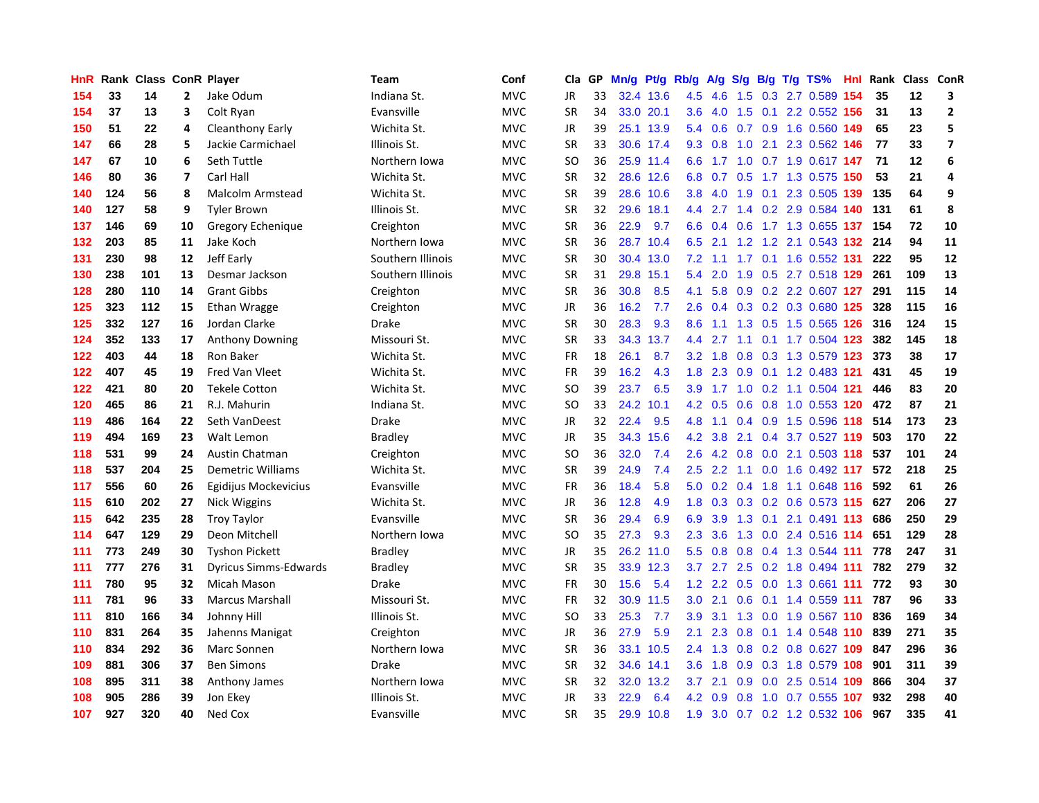| HnR | Rank | <b>Class ConR Player</b> |                         |                              | Team              | Conf       | Cla       | <b>GP</b> | Mn/g |           | Pt/g Rb/g | A/g             |     |  | S/g B/g T/g TS%               | Hnl | Rank | Class | ConR           |
|-----|------|--------------------------|-------------------------|------------------------------|-------------------|------------|-----------|-----------|------|-----------|-----------|-----------------|-----|--|-------------------------------|-----|------|-------|----------------|
| 154 | 33   | 14                       | 2                       | Jake Odum                    | Indiana St.       | <b>MVC</b> | JR        | 33        |      | 32.4 13.6 | 4.5       | 4.6             | 1.5 |  | 0.3 2.7 0.589                 | 154 | 35   | 12    | 3              |
| 154 | 37   | 13                       | 3                       | Colt Ryan                    | Evansville        | <b>MVC</b> | <b>SR</b> | 34        |      | 33.0 20.1 | 3.6       |                 |     |  | 4.0 1.5 0.1 2.2 0.552 156     |     | 31   | 13    | $\mathbf 2$    |
| 150 | 51   | 22                       | 4                       | Cleanthony Early             | Wichita St.       | <b>MVC</b> | JR        | 39        |      | 25.1 13.9 | 5.4       | 0.6             |     |  | 0.7 0.9 1.6 0.560 149         |     | 65   | 23    | 5              |
| 147 | 66   | 28                       | 5                       | Jackie Carmichael            | Illinois St.      | <b>MVC</b> | <b>SR</b> | 33        |      | 30.6 17.4 |           | $9.3 \quad 0.8$ | 1.0 |  | 2.1 2.3 0.562 146             |     | 77   | 33    | $\overline{7}$ |
| 147 | 67   | 10                       | 6                       | Seth Tuttle                  | Northern Iowa     | <b>MVC</b> | <b>SO</b> | 36        |      | 25.9 11.4 | 6.6       |                 |     |  | 1.7 1.0 0.7 1.9 0.617 147     |     | 71   | 12    | 6              |
| 146 | 80   | 36                       | $\overline{\mathbf{z}}$ | Carl Hall                    | Wichita St.       | <b>MVC</b> | <b>SR</b> | 32        |      | 28.6 12.6 | 6.8       | 0.7             |     |  | 0.5 1.7 1.3 0.575 150         |     | 53   | 21    | $\overline{a}$ |
| 140 | 124  | 56                       | 8                       | Malcolm Armstead             | Wichita St.       | <b>MVC</b> | <b>SR</b> | 39        | 28.6 | 10.6      | 3.8       | 4.0             |     |  | 1.9 0.1 2.3 0.505 139         |     | 135  | 64    | 9              |
| 140 | 127  | 58                       | 9                       | <b>Tyler Brown</b>           | Illinois St.      | <b>MVC</b> | <b>SR</b> | 32        | 29.6 | 18.1      | 4.4       |                 |     |  | 2.7 1.4 0.2 2.9 0.584 140     |     | 131  | 61    | 8              |
| 137 | 146  | 69                       | 10                      | Gregory Echenique            | Creighton         | <b>MVC</b> | <b>SR</b> | 36        | 22.9 | 9.7       | 6.6       | 0.4             | 0.6 |  | 1.7 1.3 0.655 137             |     | 154  | 72    | 10             |
| 132 | 203  | 85                       | 11                      | Jake Koch                    | Northern Iowa     | <b>MVC</b> | <b>SR</b> | 36        | 28.7 | 10.4      | 6.5       | 2.1             |     |  | 1.2 1.2 2.1 0.543 132 214     |     |      | 94    | 11             |
| 131 | 230  | 98                       | 12                      | Jeff Early                   | Southern Illinois | <b>MVC</b> | <b>SR</b> | 30        |      | 30.4 13.0 | 7.2       |                 |     |  | 1.1 1.7 0.1 1.6 0.552 131     |     | 222  | 95    | 12             |
| 130 | 238  | 101                      | 13                      | Desmar Jackson               | Southern Illinois | <b>MVC</b> | <b>SR</b> | 31        | 29.8 | 15.1      | 5.4       | 2.0             |     |  | 1.9 0.5 2.7 0.518 129 261     |     |      | 109   | 13             |
| 128 | 280  | 110                      | 14                      | <b>Grant Gibbs</b>           | Creighton         | <b>MVC</b> | <b>SR</b> | 36        | 30.8 | 8.5       | 4.1       | 5.8             |     |  | 0.9 0.2 2.2 0.607 127         |     | 291  | 115   | 14             |
| 125 | 323  | 112                      | 15                      | Ethan Wragge                 | Creighton         | <b>MVC</b> | JR        | 36        | 16.2 | 7.7       | 2.6       | 0.4             |     |  | 0.3 0.2 0.3 0.680 125         |     | 328  | 115   | 16             |
| 125 | 332  | 127                      | 16                      | Jordan Clarke                | Drake             | <b>MVC</b> | <b>SR</b> | 30        | 28.3 | 9.3       | 8.6       | 1.1             |     |  | 1.3 0.5 1.5 0.565 126         |     | 316  | 124   | 15             |
| 124 | 352  | 133                      | 17                      | <b>Anthony Downing</b>       | Missouri St.      | <b>MVC</b> | <b>SR</b> | 33        | 34.3 | 13.7      | 4.4       | 2.7             |     |  | 1.1 0.1 1.7 0.504 123         |     | 382  | 145   | 18             |
| 122 | 403  | 44                       | 18                      | Ron Baker                    | Wichita St.       | <b>MVC</b> | FR        | 18        | 26.1 | 8.7       |           | $3.2 \quad 1.8$ | 0.8 |  | 0.3 1.3 0.579 123             |     | 373  | 38    | 17             |
| 122 | 407  | 45                       | 19                      | <b>Fred Van Vleet</b>        | Wichita St.       | <b>MVC</b> | <b>FR</b> | 39        | 16.2 | 4.3       | 1.8       | 2.3             | 0.9 |  | 0.1 1.2 0.483 121             |     | 431  | 45    | 19             |
| 122 | 421  | 80                       | 20                      | <b>Tekele Cotton</b>         | Wichita St.       | <b>MVC</b> | <b>SO</b> | 39        | 23.7 | 6.5       |           |                 |     |  | 3.9 1.7 1.0 0.2 1.1 0.504 121 |     | 446  | 83    | 20             |
| 120 | 465  | 86                       | 21                      | R.J. Mahurin                 | Indiana St.       | <b>MVC</b> | <b>SO</b> | 33        | 24.2 | 10.1      |           | $4.2\quad0.5$   |     |  | 0.6 0.8 1.0 0.553 120 472     |     |      | 87    | 21             |
| 119 | 486  | 164                      | 22                      | Seth VanDeest                | Drake             | <b>MVC</b> | <b>JR</b> | 32        | 22.4 | 9.5       | 4.8       | 1.1             |     |  | 0.4 0.9 1.5 0.596 118         |     | 514  | 173   | 23             |
| 119 | 494  | 169                      | 23                      | Walt Lemon                   | <b>Bradley</b>    | <b>MVC</b> | JR        | 35        | 34.3 | 15.6      | 4.2       | 3.8             | 2.1 |  | 0.4 3.7 0.527 119             |     | 503  | 170   | 22             |
| 118 | 531  | 99                       | 24                      | Austin Chatman               | Creighton         | <b>MVC</b> | <b>SO</b> | 36        | 32.0 | 7.4       | 2.6       |                 |     |  | 4.2 0.8 0.0 2.1 0.503 118     |     | 537  | 101   | 24             |
| 118 | 537  | 204                      | 25                      | <b>Demetric Williams</b>     | Wichita St.       | <b>MVC</b> | <b>SR</b> | 39        | 24.9 | 7.4       | 2.5       | 2.2             |     |  | 1.1 0.0 1.6 0.492 117         |     | 572  | 218   | 25             |
| 117 | 556  | 60                       | 26                      | Egidijus Mockevicius         | Evansville        | <b>MVC</b> | FR        | 36        | 18.4 | 5.8       | 5.0       | 0.2             |     |  | 0.4 1.8 1.1 0.648 116         |     | 592  | 61    | 26             |
| 115 | 610  | 202                      | 27                      | Nick Wiggins                 | Wichita St.       | <b>MVC</b> | JR        | 36        | 12.8 | 4.9       | 1.8       | 0.3             |     |  | 0.3 0.2 0.6 0.573 115 627     |     |      | 206   | 27             |
| 115 | 642  | 235                      | 28                      | <b>Troy Taylor</b>           | Evansville        | <b>MVC</b> | <b>SR</b> | 36        | 29.4 | 6.9       | 6.9       | 3.9             |     |  | 1.3 0.1 2.1 0.491 113         |     | 686  | 250   | 29             |
| 114 | 647  | 129                      | 29                      | Deon Mitchell                | Northern Iowa     | <b>MVC</b> | <b>SO</b> | 35        | 27.3 | 9.3       | 2.3       | 3.6             |     |  | 1.3 0.0 2.4 0.516 114         |     | 651  | 129   | 28             |
| 111 | 773  | 249                      | 30                      | <b>Tyshon Pickett</b>        | <b>Bradley</b>    | <b>MVC</b> | JR        | 35        | 26.2 | 11.0      | 5.5       | 0.8             |     |  | $0.8$ 0.4 1.3 0.544 111       |     | 778  | 247   | 31             |
| 111 | 777  | 276                      | 31                      | <b>Dyricus Simms-Edwards</b> | <b>Bradley</b>    | <b>MVC</b> | <b>SR</b> | 35        | 33.9 | 12.3      | 3.7       | 2.7             | 2.5 |  | 0.2 1.8 0.494 111             |     | 782  | 279   | 32             |
| 111 | 780  | 95                       | 32                      | Micah Mason                  | Drake             | <b>MVC</b> | FR        | 30        | 15.6 | 5.4       | 1.2       | 2.2             | 0.5 |  | 0.0 1.3 0.661 111             |     | 772  | 93    | 30             |
| 111 | 781  | 96                       | 33                      | <b>Marcus Marshall</b>       | Missouri St.      | <b>MVC</b> | <b>FR</b> | 32        | 30.9 | 11.5      | 3.0       | 2.1             | 0.6 |  | 0.1 1.4 0.559 111             |     | 787  | 96    | 33             |
| 111 | 810  | 166                      | 34                      | Johnny Hill                  | Illinois St.      | <b>MVC</b> | <b>SO</b> | 33        | 25.3 | 7.7       | 3.9       | 3.1             | 1.3 |  | 0.0 1.9 0.567 110             |     | 836  | 169   | 34             |
| 110 | 831  | 264                      | 35                      | Jahenns Manigat              | Creighton         | <b>MVC</b> | <b>JR</b> | 36        | 27.9 | 5.9       | 2.1       | 2.3             | 0.8 |  | 0.1 1.4 0.548 110             |     | 839  | 271   | 35             |
| 110 | 834  | 292                      | 36                      | Marc Sonnen                  | Northern Iowa     | <b>MVC</b> | <b>SR</b> | 36        | 33.1 | 10.5      | 2.4       | 1.3             |     |  | 0.8 0.2 0.8 0.627 109 847     |     |      | 296   | 36             |
| 109 | 881  | 306                      | 37                      | <b>Ben Simons</b>            | <b>Drake</b>      | <b>MVC</b> | <b>SR</b> | 32        |      | 34.6 14.1 | 3.6       | 1.8             |     |  | 0.9 0.3 1.8 0.579 108         |     | 901  | 311   | 39             |
| 108 | 895  | 311                      | 38                      | Anthony James                | Northern Iowa     | <b>MVC</b> | <b>SR</b> | 32        | 32.0 | 13.2      | 3.7       | 2.1             | 0.9 |  | 0.0 2.5 0.514 109             |     | 866  | 304   | 37             |
| 108 | 905  | 286                      | 39                      | Jon Ekey                     | Illinois St.      | <b>MVC</b> | <b>JR</b> | 33        | 22.9 | 6.4       | 4.2       | 0.9             | 0.8 |  | 1.0 0.7 0.555 107             |     | 932  | 298   | 40             |
| 107 | 927  | 320                      | 40                      | Ned Cox                      | Evansville        | <b>MVC</b> | SR        | 35        |      | 29.9 10.8 | 1.9       |                 |     |  | 3.0 0.7 0.2 1.2 0.532 106     |     | 967  | 335   | 41             |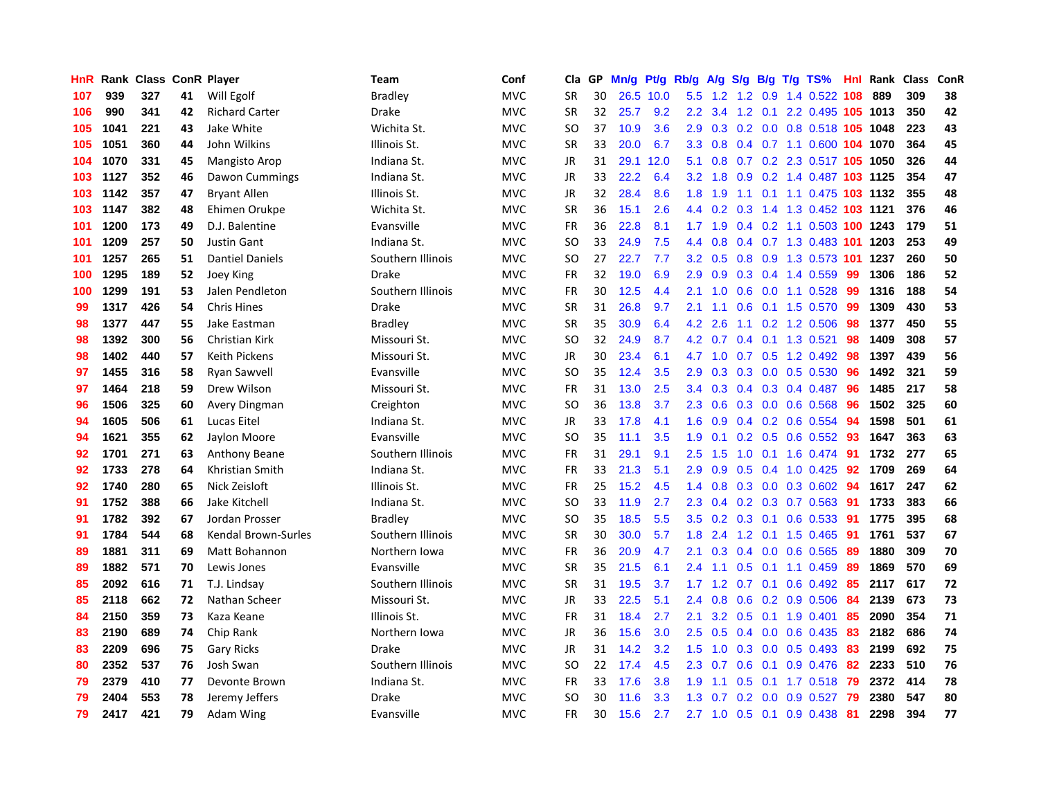| <b>HnR</b> | Rank | Class |    | <b>ConR Player</b>     | Team              | Conf       | Cla       | <b>GP</b> | Mn/g | Pt/g | Rb/g             | A/g          |     |  | S/g B/g T/g TS%                | Hnl | Rank | <b>Class</b> | <b>ConR</b> |
|------------|------|-------|----|------------------------|-------------------|------------|-----------|-----------|------|------|------------------|--------------|-----|--|--------------------------------|-----|------|--------------|-------------|
| 107        | 939  | 327   | 41 | Will Egolf             | <b>Bradley</b>    | <b>MVC</b> | <b>SR</b> | 30        | 26.5 | 10.0 | 5.5              |              |     |  | 1.2 1.2 0.9 1.4 0.522 108      |     | 889  | 309          | 38          |
| 106        | 990  | 341   | 42 | <b>Richard Carter</b>  | Drake             | <b>MVC</b> | <b>SR</b> | 32        | 25.7 | 9.2  | 2.2              |              |     |  | 3.4 1.2 0.1 2.2 0.495 105 1013 |     |      | 350          | 42          |
| 105        | 1041 | 221   | 43 | Jake White             | Wichita St.       | <b>MVC</b> | SO        | 37        | 10.9 | 3.6  | 2.9              | 0.3          |     |  | 0.2 0.0 0.8 0.518 105 1048     |     |      | 223          | 43          |
| 105        | 1051 | 360   | 44 | John Wilkins           | Illinois St.      | <b>MVC</b> | <b>SR</b> | 33        | 20.0 | 6.7  | 3.3 <sub>2</sub> | 0.8          |     |  | 0.4 0.7 1.1 0.600 104 1070     |     |      | 364          | 45          |
| 104        | 1070 | 331   | 45 | <b>Mangisto Arop</b>   | Indiana St.       | <b>MVC</b> | JR        | 31        | 29.1 | 12.0 | 5.1              | 0.8          |     |  | 0.7 0.2 2.3 0.517 105 1050     |     |      | 326          | 44          |
| 103        | 1127 | 352   | 46 | Dawon Cummings         | Indiana St.       | <b>MVC</b> | JR        | 33        | 22.2 | 6.4  | 3.2              | 1.8          |     |  | 0.9 0.2 1.4 0.487 103 1125     |     |      | 354          | 47          |
| 103        | 1142 | 357   | 47 | <b>Bryant Allen</b>    | Illinois St.      | <b>MVC</b> | JR        | 32        | 28.4 | 8.6  | 1.8              | 1.9          |     |  | 1.1 0.1 1.1 0.475 103 1132     |     |      | 355          | 48          |
| 103        | 1147 | 382   | 48 | Ehimen Orukpe          | Wichita St.       | <b>MVC</b> | <b>SR</b> | 36        | 15.1 | 2.6  | $4.4^{\circ}$    | 0.2          |     |  | 0.3 1.4 1.3 0.452 103 1121     |     |      | 376          | 46          |
| 101        | 1200 | 173   | 49 | D.J. Balentine         | Evansville        | <b>MVC</b> | <b>FR</b> | 36        | 22.8 | 8.1  | $1.7^{\circ}$    | 1.9          |     |  | 0.4 0.2 1.1 0.503 100 1243     |     |      | 179          | 51          |
| 101        | 1209 | 257   | 50 | <b>Justin Gant</b>     | Indiana St.       | <b>MVC</b> | SO        | 33        | 24.9 | 7.5  | $4.4^{\circ}$    | 0.8          |     |  | 0.4 0.7 1.3 0.483 101 1203     |     |      | 253          | 49          |
| 101        | 1257 | 265   | 51 | <b>Dantiel Daniels</b> | Southern Illinois | <b>MVC</b> | <b>SO</b> | 27        | 22.7 | 7.7  | 3.2              | 0.5          |     |  | 0.8 0.9 1.3 0.573 101 1237     |     |      | 260          | 50          |
| 100        | 1295 | 189   | 52 | Joey King              | Drake             | <b>MVC</b> | <b>FR</b> | 32        | 19.0 | 6.9  | 2.9              | 0.9          |     |  | 0.3 0.4 1.4 0.559 99           |     | 1306 | 186          | 52          |
| 100        | 1299 | 191   | 53 | Jalen Pendleton        | Southern Illinois | <b>MVC</b> | <b>FR</b> | 30        | 12.5 | 4.4  | 2.1              | 1.0          | 0.6 |  | 0.0 1.1 0.528                  | -99 | 1316 | 188          | 54          |
| 99         | 1317 | 426   | 54 | <b>Chris Hines</b>     | Drake             | <b>MVC</b> | <b>SR</b> | 31        | 26.8 | 9.7  | 2.1              | 1.1          |     |  | 0.6 0.1 1.5 0.570 99           |     | 1309 | 430          | 53          |
| 98         | 1377 | 447   | 55 | Jake Eastman           | <b>Bradley</b>    | <b>MVC</b> | <b>SR</b> | 35        | 30.9 | 6.4  | 4.2              | 2.6          |     |  | 1.1 0.2 1.2 0.506              | 98  | 1377 | 450          | 55          |
| 98         | 1392 | 300   | 56 | <b>Christian Kirk</b>  | Missouri St.      | <b>MVC</b> | SO        | 32        | 24.9 | 8.7  | 4.2              | 0.7          |     |  | 0.4 0.1 1.3 0.521              | 98  | 1409 | 308          | 57          |
| 98         | 1402 | 440   | 57 | <b>Keith Pickens</b>   | Missouri St.      | <b>MVC</b> | JR        | 30        | 23.4 | 6.1  |                  | 4.7 1.0      |     |  | 0.7 0.5 1.2 0.492 98           |     | 1397 | 439          | 56          |
| 97         | 1455 | 316   | 58 | <b>Ryan Sawvell</b>    | Evansville        | <b>MVC</b> | <b>SO</b> | 35        | 12.4 | 3.5  | 2.9              | 0.3          |     |  | $0.3$ 0.0 0.5 0.530            | -96 | 1492 | 321          | 59          |
| 97         | 1464 | 218   | 59 | Drew Wilson            | Missouri St.      | <b>MVC</b> | <b>FR</b> | 31        | 13.0 | 2.5  | 3.4              |              |     |  | 0.3 0.4 0.3 0.4 0.487 96       |     | 1485 | 217          | 58          |
| 96         | 1506 | 325   | 60 | Avery Dingman          | Creighton         | <b>MVC</b> | SO.       | 36        | 13.8 | 3.7  | 2.3              | 0.6          |     |  | 0.3 0.0 0.6 0.568              | -96 | 1502 | 325          | 60          |
| 94         | 1605 | 506   | 61 | Lucas Eitel            | Indiana St.       | <b>MVC</b> | JR        | 33        | 17.8 | 4.1  | 1.6              | 0.9          |     |  | $0.4$ 0.2 0.6 0.554            | -94 | 1598 | 501          | 61          |
| 94         | 1621 | 355   | 62 | Jaylon Moore           | Evansville        | <b>MVC</b> | SO.       | 35        | 11.1 | 3.5  | 1.9              | 0.1          |     |  | $0.2$ 0.5 0.6 0.552 93         |     | 1647 | 363          | 63          |
| 92         | 1701 | 271   | 63 | <b>Anthony Beane</b>   | Southern Illinois | <b>MVC</b> | <b>FR</b> | 31        | 29.1 | 9.1  | 2.5              | 1.5          |     |  | 1.0 0.1 1.6 0.474              | 91  | 1732 | 277          | 65          |
| 92         | 1733 | 278   | 64 | Khristian Smith        | Indiana St.       | <b>MVC</b> | <b>FR</b> | 33        | 21.3 | 5.1  | 2.9              | 0.9          |     |  | $0.5$ 0.4 1.0 0.425            | 92  | 1709 | 269          | 64          |
| 92         | 1740 | 280   | 65 | Nick Zeisloft          | Illinois St.      | <b>MVC</b> | <b>FR</b> | 25        | 15.2 | 4.5  | 1.4              | 0.8          |     |  | 0.3 0.0 0.3 0.602 94           |     | 1617 | 247          | 62          |
| 91         | 1752 | 388   | 66 | Jake Kitchell          | Indiana St.       | <b>MVC</b> | SO.       | 33        | 11.9 | 2.7  | 2.3              | 0.4          |     |  | 0.2 0.3 0.7 0.563 91           |     | 1733 | 383          | 66          |
| 91         | 1782 | 392   | 67 | Jordan Prosser         | <b>Bradley</b>    | <b>MVC</b> | SO.       | 35        | 18.5 | 5.5  | 3.5              |              |     |  | 0.2 0.3 0.1 0.6 0.533 91       |     | 1775 | 395          | 68          |
| 91         | 1784 | 544   | 68 | Kendal Brown-Surles    | Southern Illinois | <b>MVC</b> | <b>SR</b> | 30        | 30.0 | 5.7  | 1.8              | 2.4          |     |  | 1.2 0.1 1.5 0.465 91           |     | 1761 | 537          | 67          |
| 89         | 1881 | 311   | 69 | Matt Bohannon          | Northern Iowa     | <b>MVC</b> | <b>FR</b> | 36        | 20.9 | 4.7  | 2.1              | 0.3          |     |  | 0.4 0.0 0.6 0.565 89           |     | 1880 | 309          | 70          |
| 89         | 1882 | 571   | 70 | Lewis Jones            | Evansville        | <b>MVC</b> | <b>SR</b> | 35        | 21.5 | 6.1  | 2.4              | 1.1          | 0.5 |  | $0.1$ 1.1 0.459                | -89 | 1869 | 570          | 69          |
| 85         | 2092 | 616   | 71 | T.J. Lindsay           | Southern Illinois | <b>MVC</b> | <b>SR</b> | 31        | 19.5 | 3.7  | 1.7              | 1.2          |     |  | 0.7 0.1 0.6 0.492 85           |     | 2117 | 617          | 72          |
| 85         | 2118 | 662   | 72 | Nathan Scheer          | Missouri St.      | <b>MVC</b> | JR        | 33        | 22.5 | 5.1  | 2.4              | 0.8          | 0.6 |  | $0.2$ 0.9 0.506                | 84  | 2139 | 673          | 73          |
| 84         | 2150 | 359   | 73 | Kaza Keane             | Illinois St.      | <b>MVC</b> | FR        | 31        | 18.4 | 2.7  | 2.1              | 3.2          |     |  | $0.5$ 0.1 1.9 0.401            | 85  | 2090 | 354          | 71          |
| 83         | 2190 | 689   | 74 | Chip Rank              | Northern Iowa     | <b>MVC</b> | <b>JR</b> | 36        | 15.6 | 3.0  | 2.5              | 0.5          |     |  | $0.4$ 0.0 0.6 0.435            | -83 | 2182 | 686          | 74          |
| 83         | 2209 | 696   | 75 | <b>Gary Ricks</b>      | Drake             | <b>MVC</b> | JR        | 31        | 14.2 | 3.2  | 1.5              | 1.0          |     |  | 0.3 0.0 0.5 0.493 83           |     | 2199 | 692          | 75          |
| 80         | 2352 | 537   | 76 | Josh Swan              | Southern Illinois | <b>MVC</b> | <b>SO</b> | 22        | 17.4 | 4.5  |                  | $2.3 \t 0.7$ |     |  | 0.6 0.1 0.9 0.476 82           |     | 2233 | 510          | 76          |
| 79         | 2379 | 410   | 77 | Devonte Brown          | Indiana St.       | <b>MVC</b> | FR        | 33        | 17.6 | 3.8  | 1.9              | $-1.1$       |     |  | 0.5 0.1 1.7 0.518 79           |     | 2372 | 414          | 78          |
| 79         | 2404 | 553   | 78 | Jeremy Jeffers         | Drake             | <b>MVC</b> | <b>SO</b> | 30        | 11.6 | 3.3  | 1.3              | 0.7          |     |  | $0.2$ 0.0 0.9 0.527            | 79  | 2380 | 547          | 80          |
| 79         | 2417 | 421   | 79 | Adam Wing              | Evansville        | <b>MVC</b> | FR        | 30        | 15.6 | 2.7  |                  |              |     |  | 2.7 1.0 0.5 0.1 0.9 0.438 81   |     | 2298 | 394          | 77          |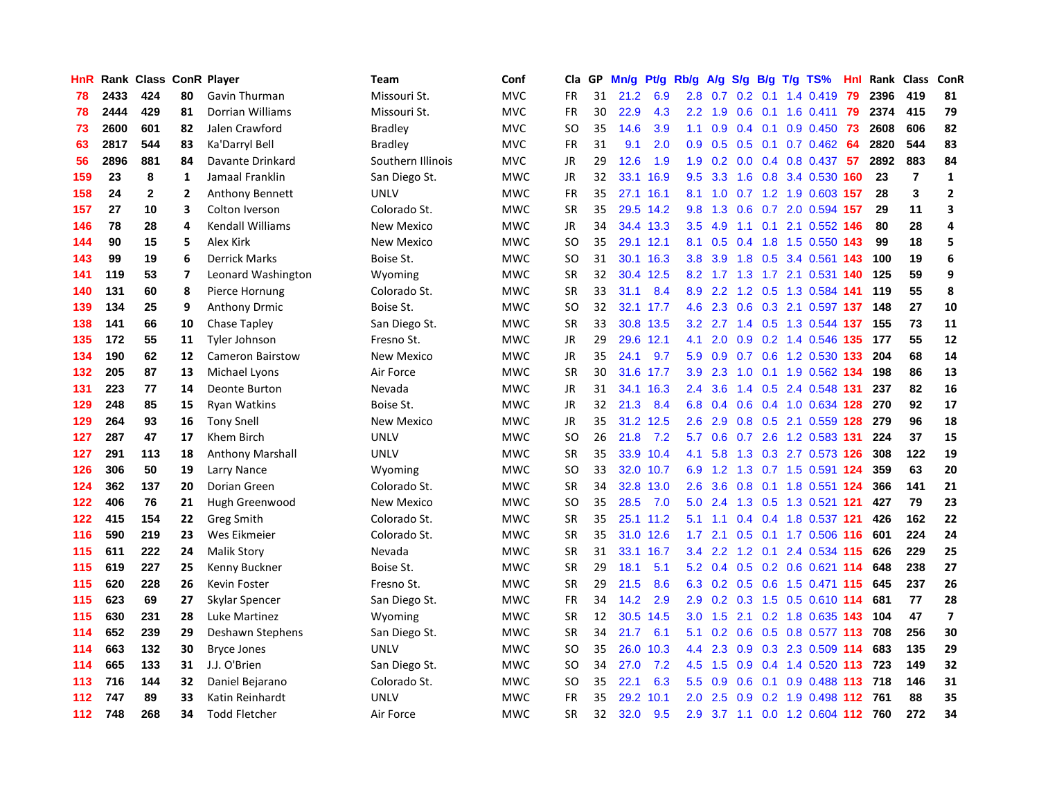| HnR |      | Rank Class ConR Player |                         |                         | <b>Team</b>       | Conf       | Cla       | <b>GP</b> | Mn/g | <b>Pt/g</b> | Rb/g             | A/g     |                  |                 | S/g B/g T/g TS%               | Hnl |      | Rank Class     | ConR                    |
|-----|------|------------------------|-------------------------|-------------------------|-------------------|------------|-----------|-----------|------|-------------|------------------|---------|------------------|-----------------|-------------------------------|-----|------|----------------|-------------------------|
| 78  | 2433 | 424                    | 80                      | Gavin Thurman           | Missouri St.      | <b>MVC</b> | <b>FR</b> | 31        | 21.2 | 6.9         | 2.8              | 0.7     |                  | $0.2 \quad 0.1$ | 1.4 0.419                     | 79  | 2396 | 419            | 81                      |
| 78  | 2444 | 429                    | 81                      | <b>Dorrian Williams</b> | Missouri St.      | <b>MVC</b> | FR        | 30        | 22.9 | 4.3         | 2.2              | 1.9     |                  |                 | 0.6 0.1 1.6 0.411             | 79  | 2374 | 415            | 79                      |
| 73  | 2600 | 601                    | 82                      | Jalen Crawford          | <b>Bradley</b>    | <b>MVC</b> | <b>SO</b> | 35        | 14.6 | 3.9         | 1.1              | 0.9     |                  |                 | $0.4$ 0.1 0.9 0.450           | -73 | 2608 | 606            | 82                      |
| 63  | 2817 | 544                    | 83                      | Ka'Darryl Bell          | <b>Bradley</b>    | <b>MVC</b> | FR        | 31        | 9.1  | 2.0         | 0.9 <sub>0</sub> | 0.5     |                  |                 | $0.5$ 0.1 0.7 0.462           | 64  | 2820 | 544            | 83                      |
| 56  | 2896 | 881                    | 84                      | Davante Drinkard        | Southern Illinois | <b>MVC</b> | <b>JR</b> | 29        | 12.6 | 1.9         | 1.9              | 0.2     |                  |                 | $0.0$ 0.4 0.8 0.437           | 57  | 2892 | 883            | 84                      |
| 159 | 23   | 8                      | $\mathbf{1}$            | Jamaal Franklin         | San Diego St.     | <b>MWC</b> | JR        | 32        | 33.1 | 16.9        | 9.5              | 3.3     |                  |                 | 1.6 0.8 3.4 0.530 160         |     | 23   | $\overline{7}$ | $\mathbf{1}$            |
| 158 | 24   | $\mathbf{2}$           | $\overline{2}$          | Anthony Bennett         | <b>UNLV</b>       | <b>MWC</b> | <b>FR</b> | 35        | 27.1 | 16.1        | 8.1              | 1.0     |                  |                 | 0.7 1.2 1.9 0.603 157         |     | 28   | 3              | $\overline{2}$          |
| 157 | 27   | 10                     | 3                       | Colton Iverson          | Colorado St.      | <b>MWC</b> | <b>SR</b> | 35        | 29.5 | 14.2        | 9.8              | 1.3     |                  |                 | 0.6 0.7 2.0 0.594 157         |     | 29   | 11             | 3                       |
| 146 | 78   | 28                     | 4                       | <b>Kendall Williams</b> | <b>New Mexico</b> | <b>MWC</b> | <b>JR</b> | 34        |      | 34.4 13.3   | 3.5              | 4.9     |                  |                 | 1.1 0.1 2.1 0.552 146         |     | 80   | 28             | 4                       |
| 144 | 90   | 15                     | 5                       | Alex Kirk               | <b>New Mexico</b> | <b>MWC</b> | <b>SO</b> | 35        |      | 29.1 12.1   | 8.1              | 0.5     |                  |                 | 0.4 1.8 1.5 0.550 143         |     | 99   | 18             | 5                       |
| 143 | 99   | 19                     | 6                       | <b>Derrick Marks</b>    | Boise St.         | <b>MWC</b> | <b>SO</b> | 31        |      | 30.1 16.3   | 3.8              | 3.9     |                  |                 | 1.8 0.5 3.4 0.561 143         |     | 100  | 19             | 6                       |
| 141 | 119  | 53                     | $\overline{\mathbf{z}}$ | Leonard Washington      | Wyoming           | <b>MWC</b> | <b>SR</b> | 32        |      | 30.4 12.5   |                  |         |                  |                 | 8.2 1.7 1.3 1.7 2.1 0.531 140 |     | 125  | 59             | 9                       |
| 140 | 131  | 60                     | 8                       | Pierce Hornung          | Colorado St.      | <b>MWC</b> | <b>SR</b> | 33        | 31.1 | 8.4         | 8.9              | 2.2     |                  |                 | 1.2 0.5 1.3 0.584 141         |     | 119  | 55             | 8                       |
| 139 | 134  | 25                     | 9                       | <b>Anthony Drmic</b>    | Boise St.         | <b>MWC</b> | <b>SO</b> | 32        | 32.1 | 17.7        | 4.6              | 2.3     |                  |                 | 0.6 0.3 2.1 0.597 137         |     | 148  | 27             | ${\bf 10}$              |
| 138 | 141  | 66                     | 10                      | Chase Tapley            | San Diego St.     | <b>MWC</b> | <b>SR</b> | 33        | 30.8 | 13.5        | 3.2              | 2.7     |                  |                 | 1.4 0.5 1.3 0.544 137         |     | 155  | 73             | 11                      |
| 135 | 172  | 55                     | 11                      | Tyler Johnson           | Fresno St.        | <b>MWC</b> | <b>JR</b> | 29        | 29.6 | 12.1        | 4.1              | 2.0     | 0.9 <sup>°</sup> |                 | 0.2 1.4 0.546 135             |     | 177  | 55             | 12                      |
| 134 | 190  | 62                     | 12                      | <b>Cameron Bairstow</b> | <b>New Mexico</b> | <b>MWC</b> | JR        | 35        | 24.1 | 9.7         | 5.9              | 0.9     |                  |                 | 0.7 0.6 1.2 0.530 133         |     | 204  | 68             | 14                      |
| 132 | 205  | 87                     | 13                      | Michael Lyons           | Air Force         | <b>MWC</b> | <b>SR</b> | 30        |      | 31.6 17.7   | 3.9 <sup>°</sup> | 2.3     |                  |                 | 1.0 0.1 1.9 0.562 134         |     | 198  | 86             | 13                      |
| 131 | 223  | 77                     | 14                      | Deonte Burton           | Nevada            | <b>MWC</b> | JR        | 31        |      | 34.1 16.3   | $2.4^{\circ}$    | 3.6     |                  |                 | 1.4 0.5 2.4 0.548 131         |     | 237  | 82             | 16                      |
| 129 | 248  | 85                     | 15                      | <b>Ryan Watkins</b>     | Boise St.         | <b>MWC</b> | JR        | 32        | 21.3 | 8.4         | 6.8              | 0.4     |                  |                 | 0.6 0.4 1.0 0.634 128 270     |     |      | 92             | 17                      |
| 129 | 264  | 93                     | 16                      | <b>Tony Snell</b>       | New Mexico        | <b>MWC</b> | JR        | 35        |      | 31.2 12.5   | 2.6              | 2.9     |                  |                 | 0.8 0.5 2.1 0.559 128 279     |     |      | 96             | 18                      |
| 127 | 287  | 47                     | 17                      | Khem Birch              | <b>UNLV</b>       | <b>MWC</b> | <b>SO</b> | 26        | 21.8 | 7.2         | 5.7              | 0.6     |                  |                 | 0.7 2.6 1.2 0.583 131         |     | 224  | 37             | 15                      |
| 127 | 291  | 113                    | 18                      | <b>Anthony Marshall</b> | <b>UNLV</b>       | <b>MWC</b> | <b>SR</b> | 35        |      | 33.9 10.4   | 4.1              | 5.8     |                  |                 | 1.3 0.3 2.7 0.573 126         |     | 308  | 122            | 19                      |
| 126 | 306  | 50                     | 19                      | Larry Nance             | Wyoming           | <b>MWC</b> | SO.       | 33        | 32.0 | 10.7        | 6.9              | 1.2     | 1.3              |                 | 0.7 1.5 0.591 124             |     | 359  | 63             | 20                      |
| 124 | 362  | 137                    | 20                      | Dorian Green            | Colorado St.      | <b>MWC</b> | <b>SR</b> | 34        | 32.8 | 13.0        | 2.6              | 3.6     | 0.8              |                 | 0.1 1.8 0.551 124             |     | 366  | 141            | 21                      |
| 122 | 406  | 76                     | 21                      | Hugh Greenwood          | <b>New Mexico</b> | <b>MWC</b> | <b>SO</b> | 35        | 28.5 | 7.0         | 5.0              | 2.4     |                  |                 | 1.3 0.5 1.3 0.521 <b>121</b>  |     | 427  | 79             | 23                      |
| 122 | 415  | 154                    | 22                      | Greg Smith              | Colorado St.      | <b>MWC</b> | <b>SR</b> | 35        |      | 25.1 11.2   | 5.1              |         |                  |                 | 1.1 0.4 0.4 1.8 0.537 121     |     | 426  | 162            | 22                      |
| 116 | 590  | 219                    | 23                      | Wes Eikmeier            | Colorado St.      | <b>MWC</b> | <b>SR</b> | 35        |      | 31.0 12.6   | 1.7 <sub>z</sub> | 2.1     |                  |                 | 0.5 0.1 1.7 0.506 116         |     | 601  | 224            | 24                      |
| 115 | 611  | 222                    | 24                      | <b>Malik Story</b>      | Nevada            | <b>MWC</b> | <b>SR</b> | 31        | 33.1 | 16.7        | $3.4^{\circ}$    | 2.2     |                  |                 | 1.2 0.1 2.4 0.534 115         |     | 626  | 229            | 25                      |
| 115 | 619  | 227                    | 25                      | Kenny Buckner           | Boise St.         | <b>MWC</b> | <b>SR</b> | 29        | 18.1 | 5.1         | 5.2              | 0.4     | 0.5              |                 | 0.2 0.6 0.621 114             |     | 648  | 238            | 27                      |
| 115 | 620  | 228                    | 26                      | Kevin Foster            | Fresno St.        | <b>MWC</b> | <b>SR</b> | 29        | 21.5 | 8.6         |                  | 6.3 0.2 |                  |                 | 0.5 0.6 1.5 0.471 115         |     | 645  | 237            | 26                      |
| 115 | 623  | 69                     | 27                      | Skylar Spencer          | San Diego St.     | <b>MWC</b> | <b>FR</b> | 34        | 14.2 | 2.9         | 2.9              | 0.2     |                  |                 | 0.3 1.5 0.5 0.610 114         |     | 681  | 77             | 28                      |
| 115 | 630  | 231                    | 28                      | Luke Martinez           | Wyoming           | <b>MWC</b> | <b>SR</b> | 12        | 30.5 | 14.5        | 3.0              | 1.5     |                  |                 | 2.1 0.2 1.8 0.635 143         |     | 104  | 47             | $\overline{\mathbf{z}}$ |
| 114 | 652  | 239                    | 29                      | Deshawn Stephens        | San Diego St.     | <b>MWC</b> | <b>SR</b> | 34        | 21.7 | 6.1         | 5.1              | 0.2     | 0.6              |                 | 0.5 0.8 0.577 113 708         |     |      | 256            | 30                      |
| 114 | 663  | 132                    | 30                      | <b>Bryce Jones</b>      | UNLV              | <b>MWC</b> | <b>SO</b> | 35        |      | 26.0 10.3   | 4.4              | 2.3     |                  |                 | $0.9$ $0.3$ 2.3 $0.509$ 114   |     | 683  | 135            | 29                      |
| 114 | 665  | 133                    | 31                      | J.J. O'Brien            | San Diego St.     | <b>MWC</b> | <b>SO</b> | 34        | 27.0 | 7.2         | 4.5              | 1.5     | 0.9              |                 | 0.4 1.4 0.520 113 723         |     |      | 149            | 32                      |
| 113 | 716  | 144                    | 32                      | Daniel Bejarano         | Colorado St.      | <b>MWC</b> | <b>SO</b> | 35        | 22.1 | 6.3         | 5.5              | 0.9     | 0.6              |                 | 0.1 0.9 0.488 113 718         |     |      | 146            | 31                      |
| 112 | 747  | 89                     | 33                      | Katin Reinhardt         | <b>UNLV</b>       | <b>MWC</b> | FR        | 35        | 29.2 | 10.1        | 2.0              | 2.5     | 0.9              |                 | 0.2 1.9 0.498 112             |     | 761  | 88             | 35                      |
| 112 | 748  | 268                    | 34                      | <b>Todd Fletcher</b>    | Air Force         | <b>MWC</b> | <b>SR</b> | 32        | 32.0 | 9.5         | 2.9              |         |                  |                 | 3.7 1.1 0.0 1.2 0.604 112     |     | 760  | 272            | 34                      |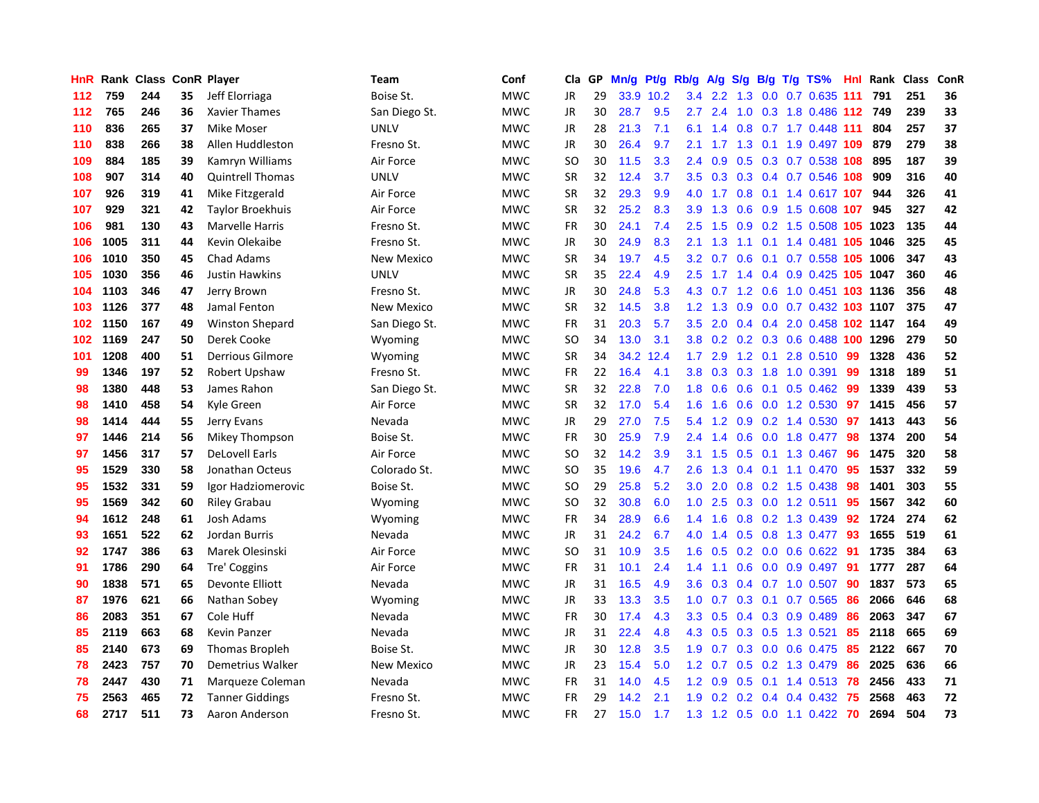| HnR. | Rank | <b>Class</b> |    | <b>ConR Player</b>      | Team              | Conf       | Cla.      | <b>GP</b> | Mn/g | <b>Pt/g</b> | Rb/g             | A/g               | S/g |     | B/g T/g TS%                    | Hnl | Rank | <b>Class</b> | ConR |
|------|------|--------------|----|-------------------------|-------------------|------------|-----------|-----------|------|-------------|------------------|-------------------|-----|-----|--------------------------------|-----|------|--------------|------|
| 112  | 759  | 244          | 35 | Jeff Elorriaga          | Boise St.         | <b>MWC</b> | <b>JR</b> | 29        |      | 33.9 10.2   |                  | $3.4$ $2.2$ $1.3$ |     |     | $0.0$ 0.7 0.635 111            |     | 791  | 251          | 36   |
| 112  | 765  | 246          | 36 | Xavier Thames           | San Diego St.     | <b>MWC</b> | <b>JR</b> | 30        | 28.7 | 9.5         | $2.7^{\circ}$    |                   |     |     | 2.4 1.0 0.3 1.8 0.486 112 749  |     |      | 239          | 33   |
| 110  | 836  | 265          | 37 | Mike Moser              | <b>UNLV</b>       | <b>MWC</b> | JR        | 28        | 21.3 | 7.1         | 6.1              | 1.4               |     |     | 0.8 0.7 1.7 0.448 111          |     | 804  | 257          | 37   |
| 110  | 838  | 266          | 38 | Allen Huddleston        | Fresno St.        | <b>MWC</b> | <b>JR</b> | 30        | 26.4 | 9.7         | 2.1              |                   |     |     | 1.7 1.3 0.1 1.9 0.497 109      |     | 879  | 279          | 38   |
| 109  | 884  | 185          | 39 | Kamryn Williams         | Air Force         | <b>MWC</b> | <b>SO</b> | 30        | 11.5 | 3.3         | 2.4              | 0.9               | 0.5 |     | 0.3 0.7 0.538 108              |     | 895  | 187          | 39   |
| 108  | 907  | 314          | 40 | <b>Quintrell Thomas</b> | <b>UNLV</b>       | <b>MWC</b> | <b>SR</b> | 32        | 12.4 | 3.7         | 3.5              | 0.3               |     |     | 0.3 0.4 0.7 0.546 108          |     | 909  | 316          | 40   |
| 107  | 926  | 319          | 41 | Mike Fitzgerald         | Air Force         | <b>MWC</b> | <b>SR</b> | 32        | 29.3 | 9.9         | 4.0              | 1.7               |     |     | 0.8 0.1 1.4 0.617 107          |     | 944  | 326          | 41   |
| 107  | 929  | 321          | 42 | <b>Taylor Broekhuis</b> | Air Force         | <b>MWC</b> | <b>SR</b> | 32        | 25.2 | 8.3         | 3.9 <sup>°</sup> | 1.3               | 0.6 |     | 0.9 1.5 0.608 107              |     | 945  | 327          | 42   |
| 106  | 981  | 130          | 43 | <b>Marvelle Harris</b>  | Fresno St.        | <b>MWC</b> | <b>FR</b> | 30        | 24.1 | 7.4         | 2.5              | 1.5               |     |     | 0.9 0.2 1.5 0.508 105 1023     |     |      | 135          | 44   |
| 106  | 1005 | 311          | 44 | Kevin Olekaibe          | Fresno St.        | <b>MWC</b> | JR        | 30        | 24.9 | 8.3         | 2.1              | 1.3               |     |     | 1.1 0.1 1.4 0.481 105 1046     |     |      | 325          | 45   |
| 106  | 1010 | 350          | 45 | <b>Chad Adams</b>       | New Mexico        | <b>MWC</b> | <b>SR</b> | 34        | 19.7 | 4.5         | 3.2              | 0.7               |     |     | 0.6 0.1 0.7 0.558 105 1006     |     |      | 347          | 43   |
| 105  | 1030 | 356          | 46 | Justin Hawkins          | <b>UNLV</b>       | <b>MWC</b> | <b>SR</b> | 35        | 22.4 | 4.9         | $2.5^{\circ}$    |                   |     |     | 1.7 1.4 0.4 0.9 0.425 105 1047 |     |      | 360          | 46   |
| 104  | 1103 | 346          | 47 | Jerry Brown             | Fresno St.        | <b>MWC</b> | JR        | 30        | 24.8 | 5.3         | 4.3              | 0.7               | 1.2 |     | 0.6 1.0 0.451 103 1136         |     |      | 356          | 48   |
| 103  | 1126 | 377          | 48 | Jamal Fenton            | <b>New Mexico</b> | <b>MWC</b> | <b>SR</b> | 32        | 14.5 | 3.8         | 1.2              | 1.3               | 0.9 |     | 0.0 0.7 0.432 103 1107         |     |      | 375          | 47   |
| 102  | 1150 | 167          | 49 | <b>Winston Shepard</b>  | San Diego St.     | <b>MWC</b> | <b>FR</b> | 31        | 20.3 | 5.7         | 3.5              | 2.0               |     |     | 0.4 0.4 2.0 0.458 102 1147     |     |      | 164          | 49   |
| 102  | 1169 | 247          | 50 | Derek Cooke             | Wyoming           | <b>MWC</b> | SO        | 34        | 13.0 | 3.1         |                  | $3.8 \quad 0.2$   |     |     | 0.2 0.3 0.6 0.488 100 1296     |     |      | 279          | 50   |
| 101  | 1208 | 400          | 51 | <b>Derrious Gilmore</b> | Wyoming           | <b>MWC</b> | SR        | 34        | 34.2 | 12.4        | $1.7^{\circ}$    | 2.9               | 1.2 | 0.1 | 2.8 0.510                      | -99 | 1328 | 436          | 52   |
| 99   | 1346 | 197          | 52 | Robert Upshaw           | Fresno St.        | <b>MWC</b> | <b>FR</b> | 22        | 16.4 | 4.1         | 3.8 <sub>1</sub> | 0.3               |     |     | $0.3$ 1.8 1.0 0.391            | -99 | 1318 | 189          | 51   |
| 98   | 1380 | 448          | 53 | James Rahon             | San Diego St.     | <b>MWC</b> | <b>SR</b> | 32        | 22.8 | 7.0         |                  | $1.8\quad0.6$     |     |     | 0.6 0.1 0.5 0.462 99           |     | 1339 | 439          | 53   |
| 98   | 1410 | 458          | 54 | Kyle Green              | Air Force         | <b>MWC</b> | <b>SR</b> | 32        | 17.0 | 5.4         | 1.6              | 1.6               |     |     | $0.6$ $0.0$ 1.2 $0.530$        | 97  | 1415 | 456          | 57   |
| 98   | 1414 | 444          | 55 | Jerry Evans             | Nevada            | <b>MWC</b> | <b>JR</b> | 29        | 27.0 | 7.5         | 5.4              | 1.2               |     |     | $0.9$ 0.2 1.4 0.530            | 97  | 1413 | 443          | 56   |
| 97   | 1446 | 214          | 56 | Mikey Thompson          | Boise St.         | <b>MWC</b> | <b>FR</b> | 30        | 25.9 | 7.9         | 2.4              | 1.4               |     |     | $0.6$ 0.0 1.8 0.477            | 98  | 1374 | 200          | 54   |
| 97   | 1456 | 317          | 57 | <b>DeLovell Earls</b>   | Air Force         | <b>MWC</b> | SO.       | 32        | 14.2 | 3.9         | 3.1              | 1.5               |     |     | 0.5 0.1 1.3 0.467              | 96  | 1475 | 320          | 58   |
| 95   | 1529 | 330          | 58 | Jonathan Octeus         | Colorado St.      | <b>MWC</b> | SO.       | 35        | 19.6 | 4.7         | 2.6              | 1.3               |     |     | $0.4$ 0.1 1.1 0.470            | 95  | 1537 | 332          | 59   |
| 95   | 1532 | 331          | 59 | Igor Hadziomerovic      | Boise St.         | <b>MWC</b> | SO.       | 29        | 25.8 | 5.2         | 3.0 <sub>2</sub> | 2.0               | 0.8 |     | $0.2$ 1.5 0.438                | 98  | 1401 | 303          | 55   |
| 95   | 1569 | 342          | 60 | <b>Riley Grabau</b>     | Wyoming           | <b>MWC</b> | SO.       | 32        | 30.8 | 6.0         |                  | $1.0$ 2.5         |     |     | $0.3$ 0.0 1.2 0.511            | -95 | 1567 | 342          | 60   |
| 94   | 1612 | 248          | 61 | Josh Adams              | Wyoming           | <b>MWC</b> | <b>FR</b> | 34        | 28.9 | 6.6         | 1.4              | 1.6               |     |     | 0.8 0.2 1.3 0.439 92           |     | 1724 | 274          | 62   |
| 93   | 1651 | 522          | 62 | <b>Jordan Burris</b>    | Nevada            | <b>MWC</b> | JR        | 31        | 24.2 | 6.7         | 4.0              | 1.4               |     |     | 0.5 0.8 1.3 0.477 93           |     | 1655 | 519          | 61   |
| 92   | 1747 | 386          | 63 | Marek Olesinski         | Air Force         | <b>MWC</b> | <b>SO</b> | 31        | 10.9 | 3.5         | 1.6              | 0.5               |     |     | 0.2 0.0 0.6 0.622 91           |     | 1735 | 384          | 63   |
| 91   | 1786 | 290          | 64 | Tre' Coggins            | Air Force         | <b>MWC</b> | <b>FR</b> | 31        | 10.1 | 2.4         | 1.4              | 1.1               | 0.6 |     | $0.0$ $0.9$ $0.497$            | -91 | 1777 | 287          | 64   |
| 90   | 1838 | 571          | 65 | Devonte Elliott         | Nevada            | <b>MWC</b> | JR        | 31        | 16.5 | 4.9         | 3.6              | 0.3               |     |     | 0.4 0.7 1.0 0.507              | 90  | 1837 | 573          | 65   |
| 87   | 1976 | 621          | 66 | Nathan Sobey            | Wyoming           | <b>MWC</b> | <b>JR</b> | 33        | 13.3 | 3.5         | 1.0              | 0.7               |     |     | $0.3$ 0.1 0.7 0.565            | 86  | 2066 | 646          | 68   |
| 86   | 2083 | 351          | 67 | Cole Huff               | Nevada            | <b>MWC</b> | <b>FR</b> | 30        | 17.4 | 4.3         | 3.3 <sub>2</sub> | 0.5               |     |     | $0.4$ 0.3 0.9 0.489            | 86  | 2063 | 347          | 67   |
| 85   | 2119 | 663          | 68 | Kevin Panzer            | Nevada            | <b>MWC</b> | <b>JR</b> | 31        | 22.4 | 4.8         | 4.3              | 0.5               |     |     | 0.3 0.5 1.3 0.521              | 85  | 2118 | 665          | 69   |
| 85   | 2140 | 673          | 69 | Thomas Bropleh          | Boise St.         | <b>MWC</b> | JR        | 30        | 12.8 | 3.5         | 1.9 <sup>°</sup> | 0.7               |     |     | 0.3 0.0 0.6 0.475              | -85 | 2122 | 667          | 70   |
| 78   | 2423 | 757          | 70 | Demetrius Walker        | <b>New Mexico</b> | <b>MWC</b> | <b>JR</b> | 23        | 15.4 | 5.0         | 1.2              | 0.7               |     |     | 0.5 0.2 1.3 0.479 86           |     | 2025 | 636          | 66   |
| 78   | 2447 | 430          | 71 | Marqueze Coleman        | Nevada            | <b>MWC</b> | <b>FR</b> | 31        | 14.0 | 4.5         | 1.2              | 0.9               |     |     | $0.5$ 0.1 1.4 0.513            | 78  | 2456 | 433          | 71   |
| 75   | 2563 | 465          | 72 | <b>Tanner Giddings</b>  | Fresno St.        | <b>MWC</b> | <b>FR</b> | 29        | 14.2 | 2.1         | 1.9              | 0.2               | 0.2 |     | $0.4$ 0.4 0.432                | -75 | 2568 | 463          | 72   |
| 68   | 2717 | 511          | 73 | Aaron Anderson          | Fresno St.        | <b>MWC</b> | FR        | 27        | 15.0 | 1.7         |                  |                   |     |     | 1.3 1.2 0.5 0.0 1.1 0.422 70   |     | 2694 | 504          | 73   |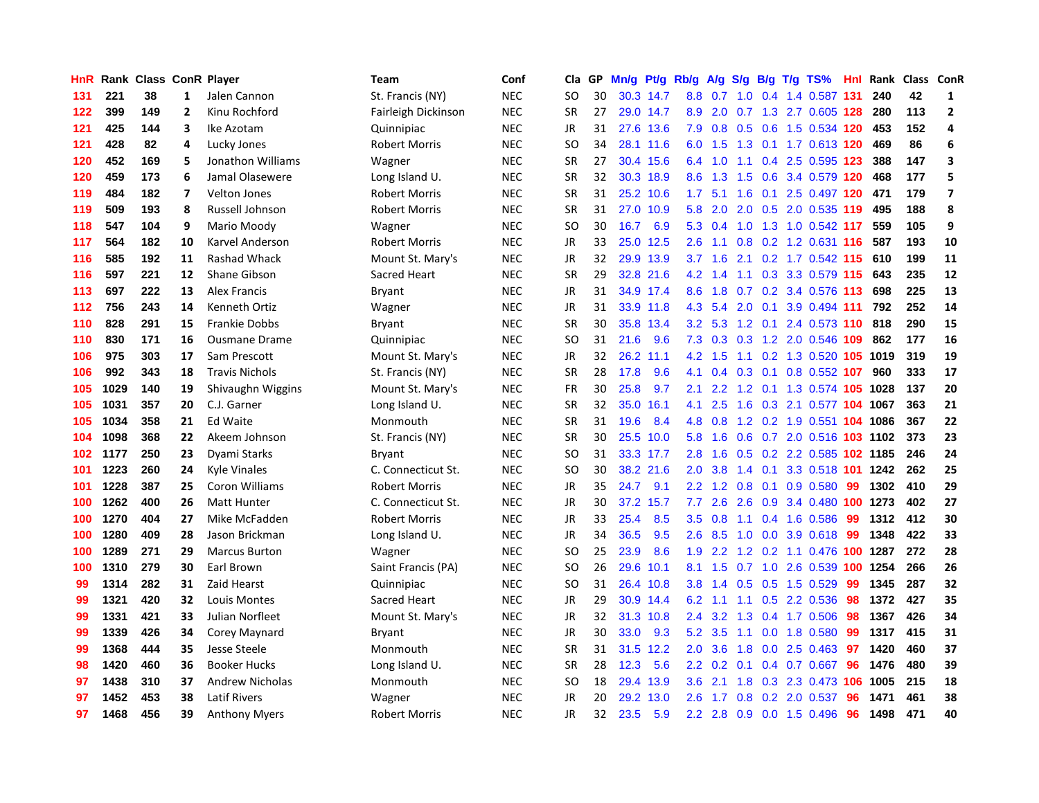| <b>HnR</b> | Rank | <b>Class ConR Player</b> |                          |                        | <b>Team</b>          | Conf       | Cla       | GP. | Mn/g | Pt/g Rb/g |                  | A/g         |     |  | $S/g$ B/g T/g TS%              | Hnl | Rank | Class ConR |                |
|------------|------|--------------------------|--------------------------|------------------------|----------------------|------------|-----------|-----|------|-----------|------------------|-------------|-----|--|--------------------------------|-----|------|------------|----------------|
| 131        | 221  | 38                       | 1                        | Jalen Cannon           | St. Francis (NY)     | <b>NEC</b> | SO        | 30  |      | 30.3 14.7 | 8.8              | 0.7         | 1.0 |  | 0.4 1.4 0.587 131              |     | 240  | 42         | 1              |
| 122        | 399  | 149                      | $\overline{2}$           | Kinu Rochford          | Fairleigh Dickinson  | <b>NEC</b> | <b>SR</b> | 27  |      | 29.0 14.7 | 8.9              |             |     |  | 2.0 0.7 1.3 2.7 0.605 128      |     | 280  | 113        | $\overline{2}$ |
| 121        | 425  | 144                      | 3                        | Ike Azotam             | Quinnipiac           | <b>NEC</b> | JR        | 31  |      | 27.6 13.6 | 7.9              |             |     |  | 0.8 0.5 0.6 1.5 0.534 120      |     | 453  | 152        | $\overline{a}$ |
| 121        | 428  | 82                       | 4                        | Lucky Jones            | <b>Robert Morris</b> | <b>NEC</b> | SO        | 34  |      | 28.1 11.6 | 6.0              | 1.5         |     |  | 1.3 0.1 1.7 0.613 120          |     | 469  | 86         | 6              |
| 120        | 452  | 169                      | 5                        | Jonathon Williams      | Wagner               | <b>NEC</b> | <b>SR</b> | 27  |      | 30.4 15.6 | 6.4              | 1.0         | 1.1 |  | 0.4 2.5 0.595 123              |     | 388  | 147        | 3              |
| 120        | 459  | 173                      | 6                        | Jamal Olasewere        | Long Island U.       | NEC        | <b>SR</b> | 32  |      | 30.3 18.9 | 8.6              | 1.3         | 1.5 |  | 0.6 3.4 0.579 120              |     | 468  | 177        | 5              |
| 119        | 484  | 182                      | $\overline{\phantom{a}}$ | <b>Velton Jones</b>    | <b>Robert Morris</b> | <b>NEC</b> | <b>SR</b> | 31  | 25.2 | 10.6      | 1.7              | 5.1         | 1.6 |  | 0.1 2.5 0.497 120              |     | 471  | 179        | $\overline{7}$ |
| 119        | 509  | 193                      | 8                        | Russell Johnson        | <b>Robert Morris</b> | NEC        | SR        | 31  | 27.0 | 10.9      | 5.8              | 2.0         | 2.0 |  | 0.5 2.0 0.535 119              |     | 495  | 188        | 8              |
| 118        | 547  | 104                      | 9                        | Mario Moody            | Wagner               | <b>NEC</b> | SO        | 30  | 16.7 | 6.9       | 5.3              | 0.4         | 1.0 |  | 1.3 1.0 0.542 117              |     | 559  | 105        | 9              |
| 117        | 564  | 182                      | 10                       | Karvel Anderson        | <b>Robert Morris</b> | <b>NEC</b> | JR        | 33  |      | 25.0 12.5 | 2.6              | 1.1         |     |  | $0.8$ 0.2 1.2 0.631 116        |     | 587  | 193        | 10             |
| 116        | 585  | 192                      | 11                       | <b>Rashad Whack</b>    | Mount St. Mary's     | <b>NEC</b> | JR        | 32  |      | 29.9 13.9 | 3.7              |             |     |  | 1.6 2.1 0.2 1.7 0.542 115 610  |     |      | 199        | 11             |
| 116        | 597  | 221                      | 12                       | Shane Gibson           | Sacred Heart         | <b>NEC</b> | <b>SR</b> | 29  |      | 32.8 21.6 | 4.2              | 1.4         |     |  | 1.1 0.3 3.3 0.579 115          |     | 643  | 235        | 12             |
| 113        | 697  | 222                      | 13                       | <b>Alex Francis</b>    | Bryant               | <b>NEC</b> | <b>JR</b> | 31  |      | 34.9 17.4 | 8.6              | 1.8         |     |  | $0.7$ 0.2 3.4 0.576 113        |     | 698  | 225        | 13             |
| 112        | 756  | 243                      | 14                       | Kenneth Ortiz          | Wagner               | <b>NEC</b> | JR        | 31  |      | 33.9 11.8 | 4.3              | 5.4         | 2.0 |  | 0.1 3.9 0.494 111              |     | 792  | 252        | 14             |
| 110        | 828  | 291                      | 15                       | <b>Frankie Dobbs</b>   | Bryant               | <b>NEC</b> | <b>SR</b> | 30  |      | 35.8 13.4 | 3.2              | 5.3         |     |  | 1.2 0.1 2.4 0.573 110          |     | 818  | 290        | 15             |
| 110        | 830  | 171                      | 16                       | <b>Ousmane Drame</b>   | Quinnipiac           | <b>NEC</b> | SO        | 31  | 21.6 | 9.6       | 7.3              | 0.3         |     |  | 0.3 1.2 2.0 0.546 109          |     | 862  | 177        | 16             |
| 106        | 975  | 303                      | 17                       | Sam Prescott           | Mount St. Mary's     | <b>NEC</b> | <b>JR</b> | 32  | 26.2 | 11.1      | 4.2              | 1.5         | 1.1 |  | 0.2 1.3 0.520 105 1019         |     |      | 319        | 19             |
| 106        | 992  | 343                      | 18                       | <b>Travis Nichols</b>  | St. Francis (NY)     | <b>NEC</b> | <b>SR</b> | 28  | 17.8 | 9.6       | 4.1              | 0.4         | 0.3 |  | 0.1 0.8 0.552 107              |     | 960  | 333        | 17             |
| 105        | 1029 | 140                      | 19                       | Shivaughn Wiggins      | Mount St. Mary's     | <b>NEC</b> | FR        | 30  | 25.8 | 9.7       | 2.1              | 2.2         |     |  | 1.2 0.1 1.3 0.574 105 1028     |     |      | 137        | 20             |
| 105        | 1031 | 357                      | 20                       | C.J. Garner            | Long Island U.       | <b>NEC</b> | <b>SR</b> | 32  | 35.0 | 16.1      | 4.1              | 2.5         |     |  | 1.6 0.3 2.1 0.577 104 1067     |     |      | 363        | 21             |
| 105        | 1034 | 358                      | 21                       | <b>Ed Waite</b>        | Monmouth             | <b>NEC</b> | SR        | 31  | 19.6 | 8.4       | 4.8              | 0.8         |     |  | 1.2 0.2 1.9 0.551 104 1086     |     |      | 367        | 22             |
| 104        | 1098 | 368                      | 22                       | Akeem Johnson          | St. Francis (NY)     | <b>NEC</b> | <b>SR</b> | 30  | 25.5 | 10.0      | 5.8              | 1.6         | 0.6 |  | 0.7 2.0 0.516 103 1102         |     |      | 373        | 23             |
| 102        | 1177 | 250                      | 23                       | Dyami Starks           | <b>Bryant</b>        | <b>NEC</b> | SO        | 31  |      | 33.3 17.7 | 2.8              | 1.6         | 0.5 |  | 0.2 2.2 0.585 102 1185         |     |      | 246        | 24             |
| 101        | 1223 | 260                      | 24                       | <b>Kyle Vinales</b>    | C. Connecticut St.   | <b>NEC</b> | SO        | 30  |      | 38.2 21.6 | 2.0              | 3.8         | 1.4 |  | 0.1 3.3 0.518 101              |     | 1242 | 262        | 25             |
| 101        | 1228 | 387                      | 25                       | Coron Williams         | <b>Robert Morris</b> | <b>NEC</b> | JR        | 35  | 24.7 | 9.1       | 2.2              | 1.2         | 0.8 |  | $0.1$ 0.9 0.580                | 99  | 1302 | 410        | 29             |
| 100        | 1262 | 400                      | 26                       | <b>Matt Hunter</b>     | C. Connecticut St.   | <b>NEC</b> | JR        | 30  | 37.2 | 15.7      | 7.7              | 2.6         | 2.6 |  | 0.9 3.4 0.480 100 1273         |     |      | 402        | 27             |
| 100        | 1270 | 404                      | 27                       | Mike McFadden          | <b>Robert Morris</b> | <b>NEC</b> | JR        | 33  | 25.4 | 8.5       | 3.5              | 0.8         |     |  | 1.1 0.4 1.6 0.586              | -99 | 1312 | 412        | 30             |
| 100        | 1280 | 409                      | 28                       | Jason Brickman         | Long Island U.       | <b>NEC</b> | JR        | 34  | 36.5 | 9.5       | 2.6              |             |     |  | 8.5 1.0 0.0 3.9 0.618 99       |     | 1348 | 422        | 33             |
| 100        | 1289 | 271                      | 29                       | <b>Marcus Burton</b>   | Wagner               | <b>NEC</b> | SO        | 25  | 23.9 | 8.6       | 1.9              |             |     |  | 2.2 1.2 0.2 1.1 0.476 100 1287 |     |      | 272        | 28             |
| 100        | 1310 | 279                      | 30                       | Earl Brown             | Saint Francis (PA)   | <b>NEC</b> | SO        | 26  | 29.6 | 10.1      | 8.1              | 1.5         |     |  | 0.7 1.0 2.6 0.539 100 1254     |     |      | 266        | 26             |
| 99         | 1314 | 282                      | 31                       | Zaid Hearst            | Quinnipiac           | <b>NEC</b> | <b>SO</b> | 31  | 26.4 | 10.8      | 3.8              | 1.4         | 0.5 |  | $0.5$ 1.5 0.529                | 99  | 1345 | 287        | 32             |
| 99         | 1321 | 420                      | 32                       | Louis Montes           | Sacred Heart         | <b>NEC</b> | JR        | 29  |      | 30.9 14.4 | 6.2              | 1.1         | 1.1 |  | 0.5 2.2 0.536                  | 98  | 1372 | 427        | 35             |
| 99         | 1331 | 421                      | 33                       | Julian Norfleet        | Mount St. Mary's     | <b>NEC</b> | JR        | 32  | 31.3 | 10.8      | 2.4              | 3.2         | 1.3 |  | 0.4 1.7 0.506                  | 98  | 1367 | 426        | 34             |
| 99         | 1339 | 426                      | 34                       | Corey Maynard          | Bryant               | <b>NEC</b> | JR        | 30  | 33.0 | 9.3       | 5.2              | 3.5         | 1.1 |  | $0.0$ 1.8 $0.580$              | -99 | 1317 | 415        | 31             |
| 99         | 1368 | 444                      | 35                       | Jesse Steele           | Monmouth             | <b>NEC</b> | <b>SR</b> | 31  | 31.5 | 12.2      | 2.0              | 3.6         | 1.8 |  | $0.0$ 2.5 $0.463$              | 97  | 1420 | 460        | 37             |
| 98         | 1420 | 460                      | 36                       | <b>Booker Hucks</b>    | Long Island U.       | NEC        | <b>SR</b> | 28  | 12.3 | 5.6       | 2.2 <sub>2</sub> | 0.2         |     |  | $0.1$ 0.4 0.7 0.667            | 96  | 1476 | 480        | 39             |
| 97         | 1438 | 310                      | 37                       | <b>Andrew Nicholas</b> | Monmouth             | <b>NEC</b> | SO        | 18  |      | 29.4 13.9 | 3.6              | 2.1         |     |  | 1.8 0.3 2.3 0.473 106 1005     |     |      | 215        | 18             |
| 97         | 1452 | 453                      | 38                       | <b>Latif Rivers</b>    | Wagner               | <b>NEC</b> | JR        | 20  | 29.2 | 13.0      | 2.6              | 1.7         |     |  | 0.8 0.2 2.0 0.537              | -96 | 1471 | 461        | 38             |
| 97         | 1468 | 456                      | 39                       | <b>Anthony Myers</b>   | <b>Robert Morris</b> | <b>NEC</b> | <b>JR</b> | 32  | 23.5 | 5.9       |                  | $2.2$ $2.8$ |     |  | 0.9 0.0 1.5 0.496              | 96  | 1498 | 471        | 40             |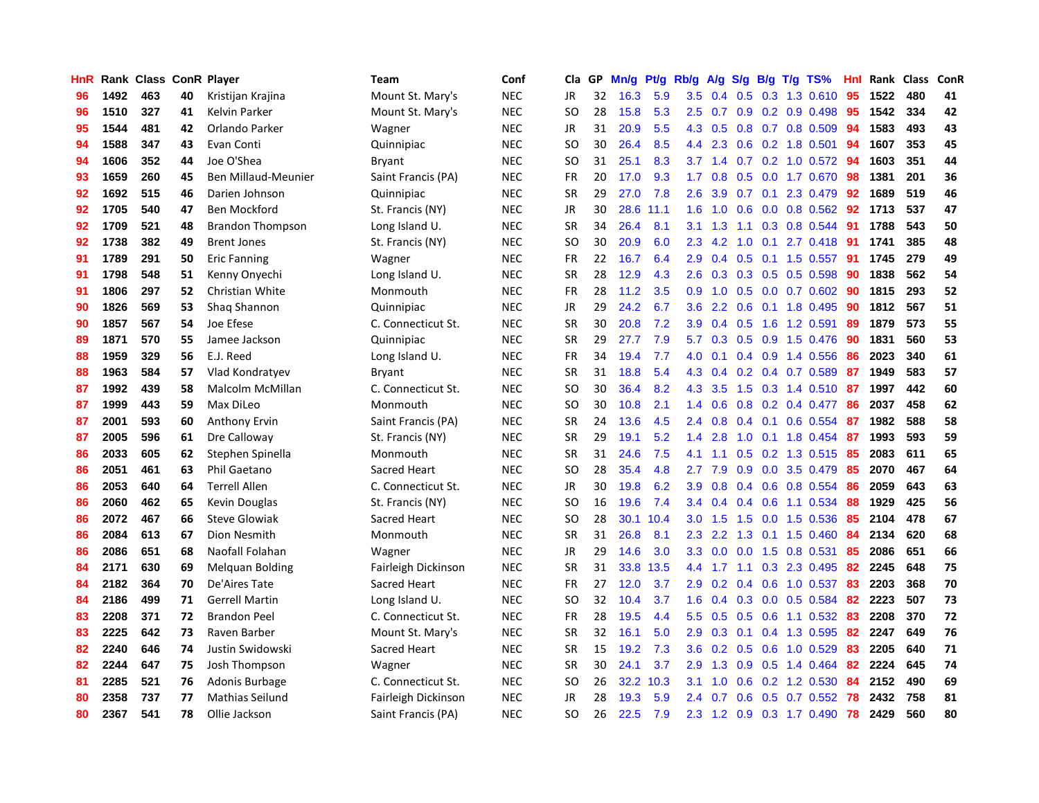| HnR |      | Rank Class ConR Player |    |                         | Team                | Conf       | Cla.          | <b>GP</b> | Mn/g | <b>Pt/g</b> | Rb/g             | A/g | S/g |     | B/g T/g TS%                     | Hnl | Rank | <b>Class</b> | ConR |
|-----|------|------------------------|----|-------------------------|---------------------|------------|---------------|-----------|------|-------------|------------------|-----|-----|-----|---------------------------------|-----|------|--------------|------|
| 96  | 1492 | 463                    | 40 | Kristijan Krajina       | Mount St. Mary's    | <b>NEC</b> | <b>JR</b>     | 32        | 16.3 | 5.9         | 3.5              |     |     |     | $0.4$ $0.5$ $0.3$ $1.3$ $0.610$ | 95  | 1522 | 480          | 41   |
| 96  | 1510 | 327                    | 41 | <b>Kelvin Parker</b>    | Mount St. Mary's    | <b>NEC</b> | <b>SO</b>     | 28        | 15.8 | 5.3         | $2.5^{\circ}$    | 0.7 |     |     | $0.9$ 0.2 0.9 0.498             | -95 | 1542 | 334          | 42   |
| 95  | 1544 | 481                    | 42 | Orlando Parker          | Wagner              | <b>NEC</b> | JR            | 31        | 20.9 | 5.5         | 4.3              | 0.5 |     |     | $0.8$ 0.7 0.8 0.509             | 94  | 1583 | 493          | 43   |
| 94  | 1588 | 347                    | 43 | Evan Conti              | Quinnipiac          | <b>NEC</b> | <sub>SO</sub> | 30        | 26.4 | 8.5         | $4.4^{\circ}$    | 2.3 |     |     | $0.6$ 0.2 1.8 0.501             | 94  | 1607 | 353          | 45   |
| 94  | 1606 | 352                    | 44 | Joe O'Shea              | Bryant              | <b>NEC</b> | <b>SO</b>     | 31        | 25.1 | 8.3         | 3.7              | 1.4 |     |     | $0.7$ $0.2$ $1.0$ $0.572$       | -94 | 1603 | 351          | 44   |
| 93  | 1659 | 260                    | 45 | Ben Millaud-Meunier     | Saint Francis (PA)  | <b>NEC</b> | <b>FR</b>     | 20        | 17.0 | 9.3         | 1.7              | 0.8 |     |     | 0.5 0.0 1.7 0.670               | 98  | 1381 | 201          | 36   |
| 92  | 1692 | 515                    | 46 | Darien Johnson          | Quinnipiac          | <b>NEC</b> | <b>SR</b>     | 29        | 27.0 | 7.8         | 2.6              | 3.9 | 0.7 | 0.1 | 2.3 0.479                       | 92  | 1689 | 519          | 46   |
| 92  | 1705 | 540                    | 47 | <b>Ben Mockford</b>     | St. Francis (NY)    | <b>NEC</b> | JR            | 30        | 28.6 | 11.1        | 1.6              | 1.0 | 0.6 |     | $0.0$ $0.8$ $0.562$             | 92  | 1713 | 537          | 47   |
| 92  | 1709 | 521                    | 48 | <b>Brandon Thompson</b> | Long Island U.      | <b>NEC</b> | <b>SR</b>     | 34        | 26.4 | 8.1         | 3.1              | 1.3 | 1.1 |     | 0.3 0.8 0.544                   | -91 | 1788 | 543          | 50   |
| 92  | 1738 | 382                    | 49 | <b>Brent Jones</b>      | St. Francis (NY)    | <b>NEC</b> | <sub>SO</sub> | 30        | 20.9 | 6.0         | 2.3              | 4.2 | 1.0 |     | 0.1 2.7 0.418 91                |     | 1741 | 385          | 48   |
| 91  | 1789 | 291                    | 50 | <b>Eric Fanning</b>     | Wagner              | <b>NEC</b> | <b>FR</b>     | 22        | 16.7 | 6.4         | 2.9              | 0.4 |     |     | 0.5 0.1 1.5 0.557 91            |     | 1745 | 279          | 49   |
| 91  | 1798 | 548                    | 51 | Kenny Onyechi           | Long Island U.      | <b>NEC</b> | <b>SR</b>     | 28        | 12.9 | 4.3         | 2.6              | 0.3 |     |     | $0.3$ 0.5 0.5 0.598             | 90  | 1838 | 562          | 54   |
| 91  | 1806 | 297                    | 52 | Christian White         | Monmouth            | <b>NEC</b> | FR            | 28        | 11.2 | 3.5         | 0.9              | 1.0 | 0.5 |     | $0.0$ 0.7 0.602                 | 90  | 1815 | 293          | 52   |
| 90  | 1826 | 569                    | 53 | Shaq Shannon            | Quinnipiac          | <b>NEC</b> | JR            | 29        | 24.2 | 6.7         | 3.6              | 2.2 | 0.6 |     | 0.1 1.8 0.495                   | 90  | 1812 | 567          | 51   |
| 90  | 1857 | 567                    | 54 | Joe Efese               | C. Connecticut St.  | <b>NEC</b> | <b>SR</b>     | 30        | 20.8 | 7.2         | 3.9              | 0.4 | 0.5 |     | 1.6 1.2 0.591                   | 89  | 1879 | 573          | 55   |
| 89  | 1871 | 570                    | 55 | Jamee Jackson           | Quinnipiac          | <b>NEC</b> | <b>SR</b>     | 29        | 27.7 | 7.9         | 5.7              | 0.3 |     |     | $0.5$ 0.9 1.5 0.476             | -90 | 1831 | 560          | 53   |
| 88  | 1959 | 329                    | 56 | E.J. Reed               | Long Island U.      | <b>NEC</b> | <b>FR</b>     | 34        | 19.4 | 7.7         | 4.0              | 0.1 |     |     | $0.4$ 0.9 1.4 0.556             | 86  | 2023 | 340          | 61   |
| 88  | 1963 | 584                    | 57 | Vlad Kondratyev         | <b>Bryant</b>       | <b>NEC</b> | <b>SR</b>     | 31        | 18.8 | 5.4         | 4.3              | 0.4 |     |     | $0.2$ 0.4 0.7 0.589             | -87 | 1949 | 583          | 57   |
| 87  | 1992 | 439                    | 58 | Malcolm McMillan        | C. Connecticut St.  | <b>NEC</b> | SO            | 30        | 36.4 | 8.2         | 4.3              | 3.5 |     |     | 1.5 0.3 1.4 0.510 87            |     | 1997 | 442          | 60   |
| 87  | 1999 | 443                    | 59 | Max DiLeo               | Monmouth            | <b>NEC</b> | <sub>SO</sub> | 30        | 10.8 | 2.1         | 1.4              | 0.6 |     |     | $0.8$ 0.2 0.4 0.477             | -86 | 2037 | 458          | 62   |
| 87  | 2001 | 593                    | 60 | <b>Anthony Ervin</b>    | Saint Francis (PA)  | <b>NEC</b> | <b>SR</b>     | 24        | 13.6 | 4.5         | $2.4^{\circ}$    | 0.8 |     |     | $0.4$ 0.1 0.6 0.554             | -87 | 1982 | 588          | 58   |
| 87  | 2005 | 596                    | 61 | Dre Calloway            | St. Francis (NY)    | <b>NEC</b> | <b>SR</b>     | 29        | 19.1 | 5.2         | 1.4              | 2.8 | 1.0 |     | $0.1$ 1.8 0.454                 | 87  | 1993 | 593          | 59   |
| 86  | 2033 | 605                    | 62 | Stephen Spinella        | Monmouth            | <b>NEC</b> | <b>SR</b>     | 31        | 24.6 | 7.5         | 4.1              | 1.1 | 0.5 |     | 0.2 1.3 0.515                   | 85  | 2083 | 611          | 65   |
| 86  | 2051 | 461                    | 63 | Phil Gaetano            | Sacred Heart        | <b>NEC</b> | <b>SO</b>     | 28        | 35.4 | 4.8         | 2.7              | 7.9 | 0.9 |     | 0.0 3.5 0.479                   | 85  | 2070 | 467          | 64   |
| 86  | 2053 | 640                    | 64 | <b>Terrell Allen</b>    | C. Connecticut St.  | <b>NEC</b> | JR            | 30        | 19.8 | 6.2         | 3.9              | 0.8 |     |     | 0.4 0.6 0.8 0.554               | 86  | 2059 | 643          | 63   |
| 86  | 2060 | 462                    | 65 | Kevin Douglas           | St. Francis (NY)    | <b>NEC</b> | <sub>SO</sub> | 16        | 19.6 | 7.4         | 3.4              | 0.4 |     |     | 0.4 0.6 1.1 0.534               | 88  | 1929 | 425          | 56   |
| 86  | 2072 | 467                    | 66 | <b>Steve Glowiak</b>    | Sacred Heart        | <b>NEC</b> | <sub>SO</sub> | 28        | 30.1 | 10.4        | 3.0 <sub>2</sub> | 1.5 |     |     | 1.5 0.0 1.5 0.536               | -85 | 2104 | 478          | 67   |
| 86  | 2084 | 613                    | 67 | Dion Nesmith            | Monmouth            | <b>NEC</b> | <b>SR</b>     | 31        | 26.8 | 8.1         | 2.3              | 2.2 |     |     | 1.3 0.1 1.5 0.460               | -84 | 2134 | 620          | 68   |
| 86  | 2086 | 651                    | 68 | Naofall Folahan         | Wagner              | <b>NEC</b> | JR            | 29        | 14.6 | 3.0         | 3.3              | 0.0 |     |     | $0.0$ 1.5 0.8 0.531             | -85 | 2086 | 651          | 66   |
| 84  | 2171 | 630                    | 69 | Melquan Bolding         | Fairleigh Dickinson | <b>NEC</b> | <b>SR</b>     | 31        | 33.8 | 13.5        | 4.4              | 1.7 |     |     | 1.1 0.3 2.3 0.495               | 82  | 2245 | 648          | 75   |
| 84  | 2182 | 364                    | 70 | De'Aires Tate           | Sacred Heart        | <b>NEC</b> | FR            | 27        | 12.0 | 3.7         | 2.9              | 0.2 | 0.4 |     | 0.6 1.0 0.537                   | 83  | 2203 | 368          | 70   |
| 84  | 2186 | 499                    | 71 | <b>Gerrell Martin</b>   | Long Island U.      | <b>NEC</b> | SO            | 32        | 10.4 | 3.7         | 1.6              | 0.4 | 0.3 |     | 0.0 0.5 0.584                   | 82  | 2223 | 507          | 73   |
| 83  | 2208 | 371                    | 72 | <b>Brandon Peel</b>     | C. Connecticut St.  | <b>NEC</b> | <b>FR</b>     | 28        | 19.5 | 4.4         | 5.5              | 0.5 | 0.5 |     | $0.6$ 1.1 0.532                 | -83 | 2208 | 370          | 72   |
| 83  | 2225 | 642                    | 73 | Raven Barber            | Mount St. Mary's    | <b>NEC</b> | <b>SR</b>     | 32        | 16.1 | 5.0         | 2.9              | 0.3 | 0.1 |     | 0.4 1.3 0.595                   | 82  | 2247 | 649          | 76   |
| 82  | 2240 | 646                    | 74 | Justin Swidowski        | Sacred Heart        | <b>NEC</b> | <b>SR</b>     | 15        | 19.2 | 7.3         | 3.6              | 0.2 | 0.5 |     | $0.6$ 1.0 0.529                 | 83  | 2205 | 640          | 71   |
| 82  | 2244 | 647                    | 75 | Josh Thompson           | Wagner              | <b>NEC</b> | <b>SR</b>     | 30        | 24.1 | 3.7         | 2.9              | 1.3 |     |     | $0.9$ $0.5$ 1.4 $0.464$         | 82  | 2224 | 645          | 74   |
| 81  | 2285 | 521                    | 76 | Adonis Burbage          | C. Connecticut St.  | <b>NEC</b> | SO            | 26        | 32.2 | 10.3        | 3.1              | 1.0 | 0.6 |     | $0.2$ 1.2 0.530                 | -84 | 2152 | 490          | 69   |
| 80  | 2358 | 737                    | 77 | Mathias Seilund         | Fairleigh Dickinson | <b>NEC</b> | JR            | 28        | 19.3 | 5.9         | 2.4              | 0.7 | 0.6 |     | $0.5$ 0.7 0.552                 | 78  | 2432 | 758          | 81   |
| 80  | 2367 | 541                    | 78 | Ollie Jackson           | Saint Francis (PA)  | <b>NEC</b> | <b>SO</b>     | 26        | 22.5 | 7.9         | 2.3              |     |     |     | 1.2 0.9 0.3 1.7 0.490           | 78  | 2429 | 560          | 80   |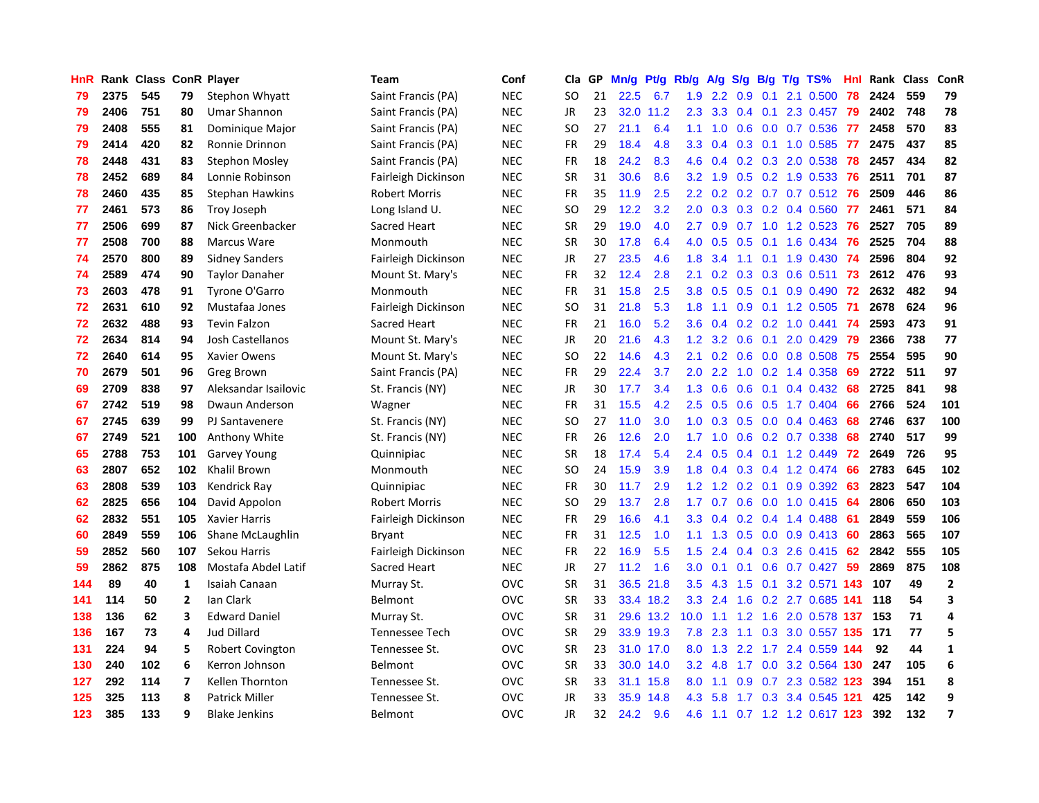| HnR |      | Rank Class ConR Player |                |                        | <b>Team</b>           | Conf       | Cla       | <b>GP</b> | Mn/g | <b>Pt/g</b> | Rb/g             | A/g             |                  |     | S/g B/g T/g TS%          | Hnl | Rank | Class | ConR                    |
|-----|------|------------------------|----------------|------------------------|-----------------------|------------|-----------|-----------|------|-------------|------------------|-----------------|------------------|-----|--------------------------|-----|------|-------|-------------------------|
| 79  | 2375 | 545                    | 79             | Stephon Whyatt         | Saint Francis (PA)    | <b>NEC</b> | <b>SO</b> | 21        | 22.5 | 6.7         | 1.9              | 2.2             | 0.9              | 0.1 | 2.1 0.500                | 78  | 2424 | 559   | 79                      |
| 79  | 2406 | 751                    | 80             | <b>Umar Shannon</b>    | Saint Francis (PA)    | <b>NEC</b> | JR        | 23        |      | 32.0 11.2   | 2.3              |                 |                  |     | 3.3 0.4 0.1 2.3 0.457    | 79  | 2402 | 748   | 78                      |
| 79  | 2408 | 555                    | 81             | Dominique Major        | Saint Francis (PA)    | <b>NEC</b> | SO.       | 27        | 21.1 | 6.4         | 1.1              |                 |                  |     | 1.0 0.6 0.0 0.7 0.536    | -77 | 2458 | 570   | 83                      |
| 79  | 2414 | 420                    | 82             | Ronnie Drinnon         | Saint Francis (PA)    | <b>NEC</b> | <b>FR</b> | 29        | 18.4 | 4.8         | 3.3 <sub>2</sub> | 0.4             |                  |     | 0.3 0.1 1.0 0.585        | 77  | 2475 | 437   | 85                      |
| 78  | 2448 | 431                    | 83             | Stephon Mosley         | Saint Francis (PA)    | <b>NEC</b> | <b>FR</b> | 18        | 24.2 | 8.3         | 4.6              | 0.4             |                  |     | 0.2 0.3 2.0 0.538        | 78  | 2457 | 434   | 82                      |
| 78  | 2452 | 689                    | 84             | Lonnie Robinson        | Fairleigh Dickinson   | <b>NEC</b> | <b>SR</b> | 31        | 30.6 | 8.6         | 3.2              | 1.9             |                  |     | $0.5$ 0.2 1.9 0.533      | 76  | 2511 | 701   | 87                      |
| 78  | 2460 | 435                    | 85             | <b>Stephan Hawkins</b> | <b>Robert Morris</b>  | <b>NEC</b> | <b>FR</b> | 35        | 11.9 | 2.5         | 2.2              | 0.2             |                  |     | $0.2$ 0.7 0.7 0.512      | 76  | 2509 | 446   | 86                      |
| 77  | 2461 | 573                    | 86             | Troy Joseph            | Long Island U.        | <b>NEC</b> | SO.       | 29        | 12.2 | 3.2         | 2.0 <sub>2</sub> | 0.3             |                  |     | $0.3$ 0.2 0.4 0.560      | 77  | 2461 | 571   | 84                      |
| 77  | 2506 | 699                    | 87             | Nick Greenbacker       | Sacred Heart          | <b>NEC</b> | <b>SR</b> | 29        | 19.0 | 4.0         | $2.7^{\circ}$    | 0.9             |                  |     | 0.7 1.0 1.2 0.523        | 76  | 2527 | 705   | 89                      |
| 77  | 2508 | 700                    | 88             | Marcus Ware            | Monmouth              | <b>NEC</b> | <b>SR</b> | 30        | 17.8 | 6.4         | 4.0              | 0.5             |                  |     | 0.5 0.1 1.6 0.434 76     |     | 2525 | 704   | 88                      |
| 74  | 2570 | 800                    | 89             | <b>Sidney Sanders</b>  | Fairleigh Dickinson   | <b>NEC</b> | JR        | 27        | 23.5 | 4.6         | 1.8              | 3.4             |                  |     | 1.1 0.1 1.9 0.430 74     |     | 2596 | 804   | 92                      |
| 74  | 2589 | 474                    | 90             | <b>Taylor Danaher</b>  | Mount St. Mary's      | <b>NEC</b> | <b>FR</b> | 32        | 12.4 | 2.8         | 2.1              | 0.2             |                  |     | 0.3 0.3 0.6 0.511 73     |     | 2612 | 476   | 93                      |
| 73  | 2603 | 478                    | 91             | Tyrone O'Garro         | Monmouth              | <b>NEC</b> | <b>FR</b> | 31        | 15.8 | 2.5         | 3.8              | 0.5             |                  |     | $0.5$ 0.1 0.9 0.490      | 72  | 2632 | 482   | 94                      |
| 72  | 2631 | 610                    | 92             | Mustafaa Jones         | Fairleigh Dickinson   | <b>NEC</b> | <b>SO</b> | 31        | 21.8 | 5.3         | 1.8              | 1.1             | 0.9 <sub>0</sub> |     | 0.1 1.2 0.505            | -71 | 2678 | 624   | 96                      |
| 72  | 2632 | 488                    | 93             | <b>Tevin Falzon</b>    | Sacred Heart          | <b>NEC</b> | <b>FR</b> | 21        | 16.0 | 5.2         | 3.6              | 0.4             |                  |     | $0.2$ 0.2 1.0 0.441      | -74 | 2593 | 473   | 91                      |
| 72  | 2634 | 814                    | 94             | Josh Castellanos       | Mount St. Mary's      | <b>NEC</b> | JR        | 20        | 21.6 | 4.3         | 1.2              | 3.2             | 0.6              | 0.1 | 2.0 0.429                | 79  | 2366 | 738   | 77                      |
| 72  | 2640 | 614                    | 95             | Xavier Owens           | Mount St. Mary's      | <b>NEC</b> | <b>SO</b> | 22        | 14.6 | 4.3         | 2.1              | 0.2             | 0.6              |     | $0.0$ 0.8 0.508          | 75  | 2554 | 595   | 90                      |
| 70  | 2679 | 501                    | 96             | <b>Greg Brown</b>      | Saint Francis (PA)    | <b>NEC</b> | <b>FR</b> | 29        | 22.4 | 3.7         | 2.0              | 2.2             | 1.0              |     | 0.2 1.4 0.358            | 69  | 2722 | 511   | 97                      |
| 69  | 2709 | 838                    | 97             | Aleksandar Isailovic   | St. Francis (NY)      | <b>NEC</b> | JR        | 30        | 17.7 | 3.4         | 1.3              | 0.6             |                  |     | 0.6 0.1 0.4 0.432        | 68  | 2725 | 841   | 98                      |
| 67  | 2742 | 519                    | 98             | Dwaun Anderson         | Wagner                | <b>NEC</b> | FR        | 31        | 15.5 | 4.2         | 2.5              | 0.5             |                  |     | $0.6$ $0.5$ 1.7 $0.404$  | 66  | 2766 | 524   | 101                     |
| 67  | 2745 | 639                    | 99             | PJ Santavenere         | St. Francis (NY)      | <b>NEC</b> | <b>SO</b> | 27        | 11.0 | 3.0         | 1.0              | 0.3             |                  |     | $0.5$ 0.0 0.4 0.463      | 68  | 2746 | 637   | 100                     |
| 67  | 2749 | 521                    | 100            | Anthony White          | St. Francis (NY)      | <b>NEC</b> | <b>FR</b> | 26        | 12.6 | 2.0         | 1.7              | 1.0             | 0.6              |     | $0.2$ 0.7 0.338          | 68  | 2740 | 517   | 99                      |
| 65  | 2788 | 753                    | 101            | <b>Garvey Young</b>    | Quinnipiac            | <b>NEC</b> | <b>SR</b> | 18        | 17.4 | 5.4         | 2.4              | 0.5             |                  |     | $0.4$ 0.1 1.2 0.449      | 72  | 2649 | 726   | 95                      |
| 63  | 2807 | 652                    | 102            | <b>Khalil Brown</b>    | Monmouth              | <b>NEC</b> | <b>SO</b> | 24        | 15.9 | 3.9         | 1.8              | 0.4             | 0.3              |     | $0.4$ 1.2 0.474          | 66  | 2783 | 645   | 102                     |
| 63  | 2808 | 539                    | 103            | Kendrick Ray           | Quinnipiac            | <b>NEC</b> | FR        | 30        | 11.7 | 2.9         | 1.2              | 1.2             | 0.2              | 0.1 | $0.9$ $0.392$            | 63  | 2823 | 547   | 104                     |
| 62  | 2825 | 656                    | 104            | David Appolon          | <b>Robert Morris</b>  | <b>NEC</b> | <b>SO</b> | 29        | 13.7 | 2.8         | 1.7              | 0.7             | 0.6              |     | $0.0$ 1.0 $0.415$        | 64  | 2806 | 650   | 103                     |
| 62  | 2832 | 551                    | 105            | <b>Xavier Harris</b>   | Fairleigh Dickinson   | <b>NEC</b> | FR        | 29        | 16.6 | 4.1         | 3.3              | 0.4             |                  |     | $0.2$ 0.4 1.4 0.488      | -61 | 2849 | 559   | 106                     |
| 60  | 2849 | 559                    | 106            | Shane McLaughlin       | Bryant                | <b>NEC</b> | <b>FR</b> | 31        | 12.5 | 1.0         | 1.1              |                 |                  |     | 1.3 0.5 0.0 0.9 0.413 60 |     | 2863 | 565   | 107                     |
| 59  | 2852 | 560                    | 107            | Sekou Harris           | Fairleigh Dickinson   | <b>NEC</b> | <b>FR</b> | 22        | 16.9 | 5.5         | 1.5              | 2.4             |                  |     | $0.4$ 0.3 2.6 0.415 62   |     | 2842 | 555   | 105                     |
| 59  | 2862 | 875                    | 108            | Mostafa Abdel Latif    | Sacred Heart          | <b>NEC</b> | JR        | 27        | 11.2 | 1.6         | 3.0 <sub>2</sub> | 0.1             |                  |     | 0.1 0.6 0.7 0.427 59     |     | 2869 | 875   | 108                     |
| 144 | 89   | 40                     | $\mathbf{1}$   | Isaiah Canaan          | Murray St.            | OVC        | <b>SR</b> | 31        | 36.5 | 21.8        | 3.5              | 4.3             | 1.5              |     | 0.1 3.2 0.571 143        |     | 107  | 49    | $\overline{2}$          |
| 141 | 114  | 50                     | $\overline{2}$ | Ian Clark              | <b>Belmont</b>        | OVC        | <b>SR</b> | 33        |      | 33.4 18.2   | 3.3              | 2.4             | 1.6              |     | 0.2 2.7 0.685 141        |     | 118  | 54    | $\overline{\mathbf{3}}$ |
| 138 | 136  | 62                     | 3              | <b>Edward Daniel</b>   | Murray St.            | OVC        | <b>SR</b> | 31        | 29.6 | 13.2        | 10.0             | 1.1             | 1.2              |     | 1.6 2.0 0.578            | 137 | 153  | 71    | $\overline{a}$          |
| 136 | 167  | 73                     | 4              | <b>Jud Dillard</b>     | <b>Tennessee Tech</b> | OVC        | <b>SR</b> | 29        |      | 33.9 19.3   | 7.8              | 2.3             | 1.1              |     | 0.3 3.0 0.557 135        |     | 171  | 77    | 5                       |
| 131 | 224  | 94                     | 5              | Robert Covington       | Tennessee St.         | OVC        | <b>SR</b> | 23        |      | 31.0 17.0   | 8.0              | 1.3             | 2.2              |     | 1.7 2.4 0.559            | 144 | 92   | 44    | 1                       |
| 130 | 240  | 102                    | 6              | Kerron Johnson         | Belmont               | OVC        | <b>SR</b> | 33        |      | 30.0 14.0   |                  | $3.2 \quad 4.8$ |                  |     | 1.7 0.0 3.2 0.564 130    |     | 247  | 105   | $\boldsymbol{6}$        |
| 127 | 292  | 114                    | 7              | <b>Kellen Thornton</b> | Tennessee St.         | OVC        | <b>SR</b> | 33        | 31.1 | 15.8        | 8.0              | 1.1             | 0.9 <sup>°</sup> |     | 0.7 2.3 0.582 123        |     | 394  | 151   | 8                       |
| 125 | 325  | 113                    | 8              | <b>Patrick Miller</b>  | Tennessee St.         | OVC        | JR        | 33        | 35.9 | 14.8        | 4.3              | 5.8             |                  |     | 1.7 0.3 3.4 0.545 121    |     | 425  | 142   | 9                       |
| 123 | 385  | 133                    | 9              | <b>Blake Jenkins</b>   | <b>Belmont</b>        | OVC        | <b>JR</b> | 32        | 24.2 | 9.6         | 4.6              | 1.1             |                  |     | 0.7 1.2 1.2 0.617 123    |     | 392  | 132   | $\overline{\mathbf{z}}$ |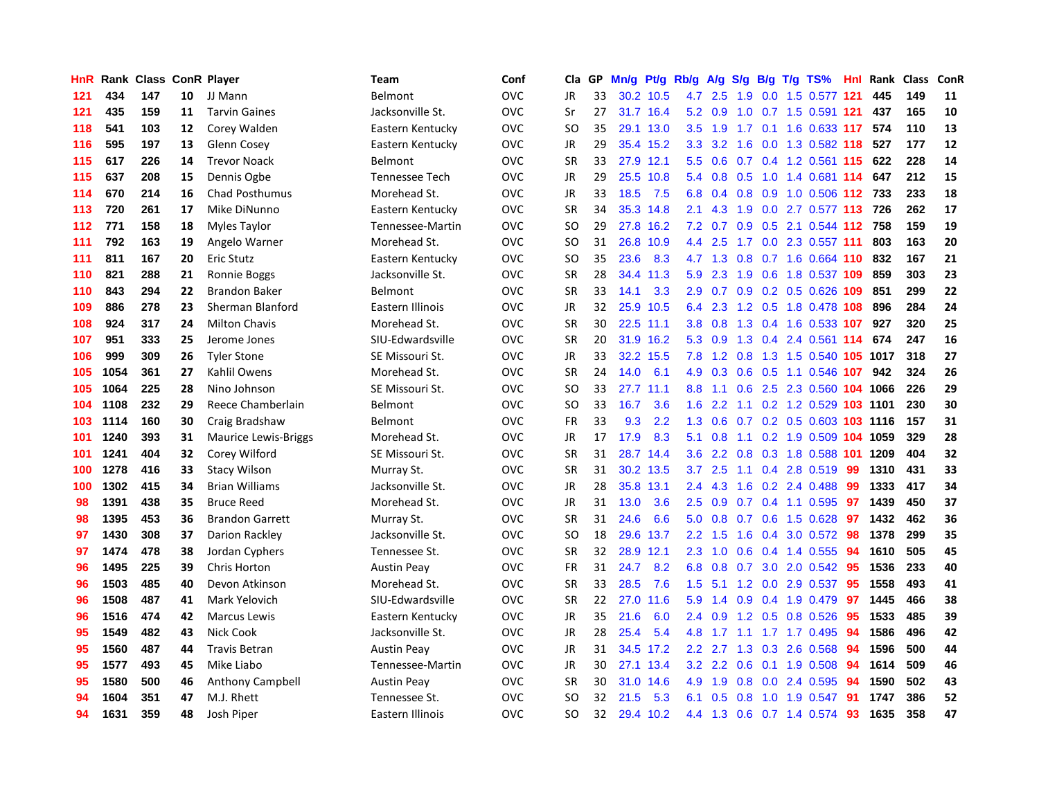| HnR | Rank |     |    | <b>Class ConR Player</b>    | Team                  | Conf       | Cla       | GP | Mn/g | Pt/g Rb/g |               | A/g           |                  |  | S/g B/g T/g TS%                   | Hnl | Rank | <b>Class</b> | <b>ConR</b> |
|-----|------|-----|----|-----------------------------|-----------------------|------------|-----------|----|------|-----------|---------------|---------------|------------------|--|-----------------------------------|-----|------|--------------|-------------|
| 121 | 434  | 147 | 10 | JJ Mann                     | Belmont               | OVC        | JR        | 33 |      | 30.2 10.5 |               | 4.7 2.5       | 1.9              |  | 0.0 1.5 0.577 121                 |     | 445  | 149          | 11          |
| 121 | 435  | 159 | 11 | <b>Tarvin Gaines</b>        | Jacksonville St.      | <b>OVC</b> | Sr        | 27 |      | 31.7 16.4 |               |               |                  |  | 5.2 0.9 1.0 0.7 1.5 0.591 121     |     | 437  | 165          | 10          |
| 118 | 541  | 103 | 12 | Corey Walden                | Eastern Kentucky      | OVC        | SO.       | 35 |      | 29.1 13.0 | 3.5           |               |                  |  | 1.9 1.7 0.1 1.6 0.633 117 574     |     |      | 110          | 13          |
| 116 | 595  | 197 | 13 | Glenn Cosey                 | Eastern Kentucky      | OVC        | JR        | 29 |      | 35.4 15.2 |               |               |                  |  | 3.3 3.2 1.6 0.0 1.3 0.582 118     |     | 527  | 177          | 12          |
| 115 | 617  | 226 | 14 | <b>Trevor Noack</b>         | <b>Belmont</b>        | OVC        | <b>SR</b> | 33 | 27.9 | 12.1      | 5.5           | 0.6           |                  |  | $0.7$ 0.4 1.2 0.561 115           |     | 622  | 228          | 14          |
| 115 | 637  | 208 | 15 | Dennis Ogbe                 | <b>Tennessee Tech</b> | OVC        | JR        | 29 | 25.5 | 10.8      | 5.4           | 0.8           | 0.5              |  | 1.0 1.4 0.681 114                 |     | 647  | 212          | 15          |
| 114 | 670  | 214 | 16 | <b>Chad Posthumus</b>       | Morehead St.          | OVC        | JR        | 33 | 18.5 | 7.5       | 6.8           | 0.4           |                  |  | 0.8 0.9 1.0 0.506 112             |     | 733  | 233          | 18          |
| 113 | 720  | 261 | 17 | Mike DiNunno                | Eastern Kentucky      | OVC        | <b>SR</b> | 34 | 35.3 | 14.8      | 2.1           | 4.3           | 1.9              |  | 0.0 2.7 0.577 113                 |     | 726  | 262          | 17          |
| 112 | 771  | 158 | 18 | Myles Taylor                | Tennessee-Martin      | OVC        | SO        | 29 | 27.8 | 16.2      | 7.2           | 0.7           | 0.9 <sup>°</sup> |  | 0.5 2.1 0.544 112 758             |     |      | 159          | 19          |
| 111 | 792  | 163 | 19 | Angelo Warner               | Morehead St.          | OVC        | SO.       | 31 | 26.8 | 10.9      |               | 4.4 2.5       |                  |  | 1.7 0.0 2.3 0.557 111             |     | 803  | 163          | 20          |
| 111 | 811  | 167 | 20 | <b>Eric Stutz</b>           | Eastern Kentucky      | OVC        | SO        | 35 | 23.6 | 8.3       |               |               |                  |  | 4.7 1.3 0.8 0.7 1.6 0.664 110 832 |     |      | 167          | 21          |
| 110 | 821  | 288 | 21 | Ronnie Boggs                | Jacksonville St.      | OVC        | <b>SR</b> | 28 |      | 34.4 11.3 | 5.9           |               |                  |  | 2.3 1.9 0.6 1.8 0.537 109         |     | 859  | 303          | 23          |
| 110 | 843  | 294 | 22 | <b>Brandon Baker</b>        | Belmont               | OVC        | <b>SR</b> | 33 | 14.1 | 3.3       | 2.9           |               |                  |  | 0.7 0.9 0.2 0.5 0.626 109         |     | 851  | 299          | 22          |
| 109 | 886  | 278 | 23 | Sherman Blanford            | Eastern Illinois      | OVC        | <b>JR</b> | 32 | 25.9 | 10.5      | 6.4           | 2.3           |                  |  | 1.2 0.5 1.8 0.478 108             |     | 896  | 284          | 24          |
| 108 | 924  | 317 | 24 | <b>Milton Chavis</b>        | Morehead St.          | OVC        | <b>SR</b> | 30 |      | 22.5 11.1 | 3.8           | 0.8           |                  |  | 1.3 0.4 1.6 0.533 107             |     | 927  | 320          | 25          |
| 107 | 951  | 333 | 25 | Jerome Jones                | SIU-Edwardsville      | OVC        | <b>SR</b> | 20 | 31.9 | 16.2      | 5.3           | 0.9           |                  |  | 1.3 0.4 2.4 0.561 114             |     | 674  | 247          | 16          |
| 106 | 999  | 309 | 26 | <b>Tyler Stone</b>          | SE Missouri St.       | OVC        | JR        | 33 | 32.2 | 15.5      | 7.8           | 1.2           |                  |  | 0.8 1.3 1.5 0.540 105 1017        |     |      | 318          | 27          |
| 105 | 1054 | 361 | 27 | Kahlil Owens                | Morehead St.          | <b>OVC</b> | <b>SR</b> | 24 | 14.0 | 6.1       | 4.9           | 0.3           | 0.6              |  | 0.5 1.1 0.546 107                 |     | 942  | 324          | 26          |
| 105 | 1064 | 225 | 28 | Nino Johnson                | SE Missouri St.       | <b>OVC</b> | <b>SO</b> | 33 | 27.7 | 11.1      | 8.8           | 1.1           |                  |  | 0.6 2.5 2.3 0.560 104 1066        |     |      | 226          | 29          |
| 104 | 1108 | 232 | 29 | Reece Chamberlain           | Belmont               | OVC        | <b>SO</b> | 33 | 16.7 | 3.6       | 1.6           | $2.2^{\circ}$ |                  |  | 1.1 0.2 1.2 0.529 103 1101        |     |      | 230          | 30          |
| 103 | 1114 | 160 | 30 | Craig Bradshaw              | Belmont               | OVC        | FR        | 33 | 9.3  | 2.2       | 1.3           | 0.6           |                  |  | 0.7 0.2 0.5 0.603 103 1116        |     |      | 157          | 31          |
| 101 | 1240 | 393 | 31 | <b>Maurice Lewis-Briggs</b> | Morehead St.          | OVC        | <b>JR</b> | 17 | 17.9 | 8.3       | 5.1           | 0.8           |                  |  | 1.1 0.2 1.9 0.509 104 1059        |     |      | 329          | 28          |
| 101 | 1241 | 404 | 32 | Corey Wilford               | SE Missouri St.       | OVC        | <b>SR</b> | 31 | 28.7 | 14.4      | 3.6           | $2.2^{\circ}$ |                  |  | 0.8 0.3 1.8 0.588 101 1209        |     |      | 404          | 32          |
| 100 | 1278 | 416 | 33 | <b>Stacy Wilson</b>         | Murray St.            | OVC        | <b>SR</b> | 31 | 30.2 | 13.5      | 3.7           | 2.5           |                  |  | 1.1 0.4 2.8 0.519                 | -99 | 1310 | 431          | 33          |
| 100 | 1302 | 415 | 34 | <b>Brian Williams</b>       | Jacksonville St.      | OVC        | JR        | 28 | 35.8 | 13.1      | 2.4           | 4.3           | 1.6              |  | $0.2$ 2.4 0.488                   | 99  | 1333 | 417          | 34          |
| 98  | 1391 | 438 | 35 | <b>Bruce Reed</b>           | Morehead St.          | OVC        | JR        | 31 | 13.0 | 3.6       | 2.5           | 0.9           |                  |  | 0.7 0.4 1.1 0.595                 | 97  | 1439 | 450          | 37          |
| 98  | 1395 | 453 | 36 | <b>Brandon Garrett</b>      | Murray St.            | OVC        | <b>SR</b> | 31 | 24.6 | 6.6       | 5.0           | 0.8           |                  |  | 0.7 0.6 1.5 0.628 97              |     | 1432 | 462          | 36          |
| 97  | 1430 | 308 | 37 | Darion Rackley              | Jacksonville St.      | OVC        | SO        | 18 |      | 29.6 13.7 | 2.2           | 1.5           |                  |  | 1.6 0.4 3.0 0.572 98              |     | 1378 | 299          | 35          |
| 97  | 1474 | 478 | 38 | Jordan Cyphers              | Tennessee St.         | OVC        | <b>SR</b> | 32 | 28.9 | 12.1      | $2.3^{\circ}$ | 1.0           |                  |  | $0.6$ 0.4 1.4 0.555               | -94 | 1610 | 505          | 45          |
| 96  | 1495 | 225 | 39 | Chris Horton                | <b>Austin Peay</b>    | OVC        | <b>FR</b> | 31 | 24.7 | 8.2       | 6.8           | 0.8           |                  |  | 0.7 3.0 2.0 0.542 95              |     | 1536 | 233          | 40          |
| 96  | 1503 | 485 | 40 | Devon Atkinson              | Morehead St.          | OVC        | <b>SR</b> | 33 | 28.5 | 7.6       | 1.5           | 5.1           | 1.2              |  | $0.0$ 2.9 $0.537$                 | 95  | 1558 | 493          | 41          |
| 96  | 1508 | 487 | 41 | Mark Yelovich               | SIU-Edwardsville      | OVC        | <b>SR</b> | 22 | 27.0 | 11.6      | 5.9           | 1.4           |                  |  | $0.9$ 0.4 1.9 0.479               | 97  | 1445 | 466          | 38          |
| 96  | 1516 | 474 | 42 | <b>Marcus Lewis</b>         | Eastern Kentucky      | OVC        | JR        | 35 | 21.6 | 6.0       | $2.4^{\circ}$ | 0.9           |                  |  | 1.2 0.5 0.8 0.526                 | 95  | 1533 | 485          | 39          |
| 95  | 1549 | 482 | 43 | Nick Cook                   | Jacksonville St.      | <b>OVC</b> | JR        | 28 | 25.4 | 5.4       | 4.8           | 1.7           |                  |  | $1.1$ $1.7$ $1.7$ $0.495$         | 94  | 1586 | 496          | 42          |
| 95  | 1560 | 487 | 44 | <b>Travis Betran</b>        | <b>Austin Peav</b>    | OVC        | JR        | 31 |      | 34.5 17.2 |               | $2.2$ 2.7     | 1.3              |  | 0.3 2.6 0.568                     | -94 | 1596 | 500          | 44          |
| 95  | 1577 | 493 | 45 | Mike Liabo                  | Tennessee-Martin      | OVC        | <b>JR</b> | 30 | 27.1 | 13.4      |               |               |                  |  | 3.2 2.2 0.6 0.1 1.9 0.508 94      |     | 1614 | 509          | 46          |
| 95  | 1580 | 500 | 46 | Anthony Campbell            | <b>Austin Peay</b>    | OVC        | <b>SR</b> | 30 | 31.0 | 14.6      | 4.9           |               |                  |  | 1.9 0.8 0.0 2.4 0.595             | -94 | 1590 | 502          | 43          |
| 94  | 1604 | 351 | 47 | M.J. Rhett                  | Tennessee St.         | OVC        | SO        | 32 | 21.5 | 5.3       | 6.1           | 0.5           |                  |  | 0.8 1.0 1.9 0.547                 | -91 | 1747 | 386          | 52          |
| 94  | 1631 | 359 | 48 | Josh Piper                  | Eastern Illinois      | OVC        | <b>SO</b> | 32 |      | 29.4 10.2 |               |               |                  |  | 4.4 1.3 0.6 0.7 1.4 0.574         | 93  | 1635 | 358          | 47          |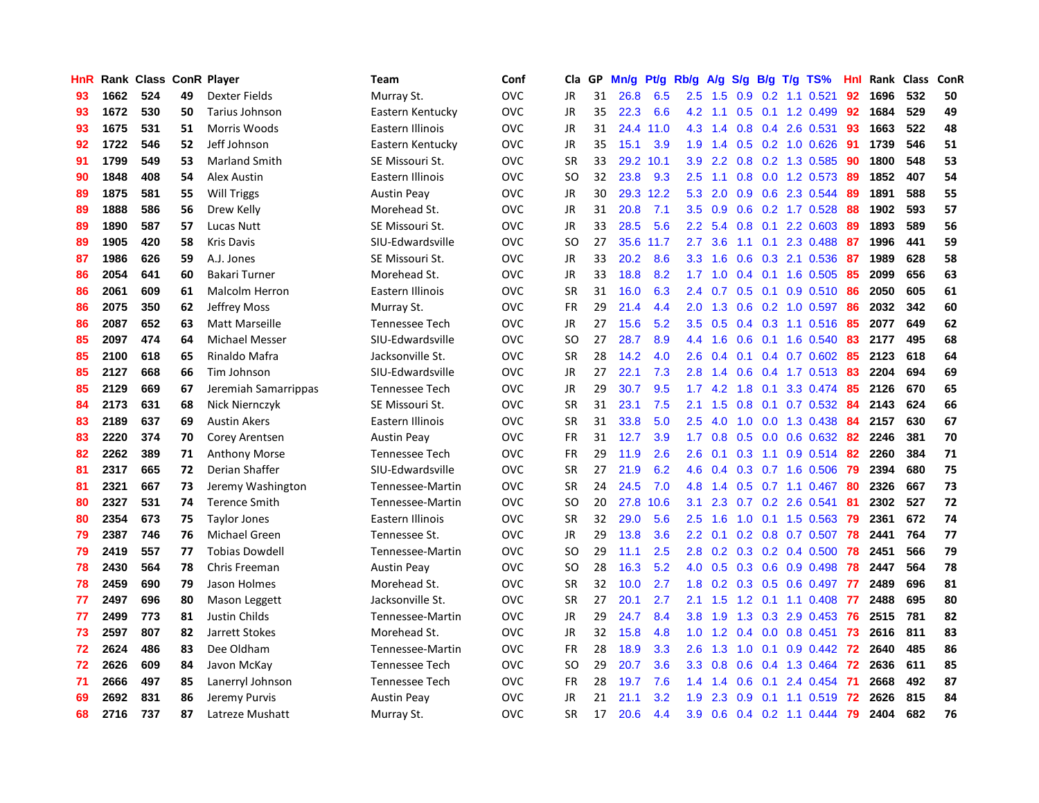| HnR |      | Rank Class ConR Player |    |                       | Team                  | Conf       | Cla       | GP | Mn/g | <b>Pt/g</b> | Rb/g             | A/g             | S/g           |     | B/g T/g TS%                  | Hnl | Rank | <b>Class</b> | ConR |
|-----|------|------------------------|----|-----------------------|-----------------------|------------|-----------|----|------|-------------|------------------|-----------------|---------------|-----|------------------------------|-----|------|--------------|------|
| 93  | 1662 | 524                    | 49 | Dexter Fields         | Murray St.            | <b>OVC</b> | JR        | 31 | 26.8 | 6.5         | 2.5              | 1.5             |               |     | $0.9$ $0.2$ 1.1 $0.521$      | 92  | 1696 | 532          | 50   |
| 93  | 1672 | 530                    | 50 | Tarius Johnson        | Eastern Kentucky      | <b>OVC</b> | JR        | 35 | 22.3 | 6.6         |                  |                 |               |     | 4.2 1.1 0.5 0.1 1.2 0.499    | 92  | 1684 | 529          | 49   |
| 93  | 1675 | 531                    | 51 | Morris Woods          | Eastern Illinois      | <b>OVC</b> | JR        | 31 | 24.4 | 11.0        |                  | $4.3 \quad 1.4$ |               |     | $0.8$ 0.4 2.6 0.531          | -93 | 1663 | 522          | 48   |
| 92  | 1722 | 546                    | 52 | Jeff Johnson          | Eastern Kentucky      | <b>OVC</b> | <b>JR</b> | 35 | 15.1 | 3.9         | 1.9              | 1.4             |               |     | $0.5$ 0.2 1.0 0.626          | -91 | 1739 | 546          | 51   |
| 91  | 1799 | 549                    | 53 | <b>Marland Smith</b>  | SE Missouri St.       | <b>OVC</b> | <b>SR</b> | 33 | 29.2 | 10.1        | 3.9              | 2.2             |               |     | $0.8$ 0.2 1.3 0.585          | 90  | 1800 | 548          | 53   |
| 90  | 1848 | 408                    | 54 | Alex Austin           | Eastern Illinois      | <b>OVC</b> | SO        | 32 | 23.8 | 9.3         | $2.5\,$          | 1.1             |               |     | $0.8$ 0.0 1.2 0.573          | -89 | 1852 | 407          | 54   |
| 89  | 1875 | 581                    | 55 | <b>Will Triggs</b>    | <b>Austin Peay</b>    | <b>OVC</b> | JR        | 30 |      | 29.3 12.2   | 5.3              | 2.0             | 0.9           |     | 0.6 2.3 0.544                | 89  | 1891 | 588          | 55   |
| 89  | 1888 | 586                    | 56 | Drew Kelly            | Morehead St.          | <b>OVC</b> | JR        | 31 | 20.8 | 7.1         | 3.5              | 0.9             | 0.6           |     | 0.2 1.7 0.528                | 88  | 1902 | 593          | 57   |
| 89  | 1890 | 587                    | 57 | Lucas Nutt            | SE Missouri St.       | <b>OVC</b> | <b>JR</b> | 33 | 28.5 | 5.6         | $2.2^{\circ}$    | 5.4             | 0.8           | 0.1 | 2.2 0.603                    | -89 | 1893 | 589          | 56   |
| 89  | 1905 | 420                    | 58 | <b>Kris Davis</b>     | SIU-Edwardsville      | <b>OVC</b> | <b>SO</b> | 27 |      | 35.6 11.7   | 2.7              | 3.6             |               |     | 1.1 0.1 2.3 0.488 87         |     | 1996 | 441          | 59   |
| 87  | 1986 | 626                    | 59 | A.J. Jones            | SE Missouri St.       | <b>OVC</b> | JR        | 33 | 20.2 | 8.6         | 3.3 <sub>2</sub> | 1.6             |               |     | 0.6 0.3 2.1 0.536 87         |     | 1989 | 628          | 58   |
| 86  | 2054 | 641                    | 60 | Bakari Turner         | Morehead St.          | <b>OVC</b> | JR        | 33 | 18.8 | 8.2         | 1.7 <sub>2</sub> | 1.0             |               |     | $0.4$ 0.1 1.6 0.505          | -85 | 2099 | 656          | 63   |
| 86  | 2061 | 609                    | 61 | Malcolm Herron        | Eastern Illinois      | <b>OVC</b> | <b>SR</b> | 31 | 16.0 | 6.3         | $2.4^{\circ}$    | 0.7             |               |     | 0.5 0.1 0.9 0.510            | 86  | 2050 | 605          | 61   |
| 86  | 2075 | 350                    | 62 | Jeffrey Moss          | Murray St.            | <b>OVC</b> | FR        | 29 | 21.4 | 4.4         | 2.0              | 1.3             |               |     | $0.6$ $0.2$ $1.0$ $0.597$    | -86 | 2032 | 342          | 60   |
| 86  | 2087 | 652                    | 63 | Matt Marseille        | Tennessee Tech        | <b>OVC</b> | JR        | 27 | 15.6 | 5.2         | 3.5              | 0.5             |               |     | 0.4 0.3 1.1 0.516            | -85 | 2077 | 649          | 62   |
| 85  | 2097 | 474                    | 64 | <b>Michael Messer</b> | SIU-Edwardsville      | <b>OVC</b> | SO        | 27 | 28.7 | 8.9         |                  | 4.4 1.6         |               |     | $0.6$ $0.1$ 1.6 $0.540$      | 83  | 2177 | 495          | 68   |
| 85  | 2100 | 618                    | 65 | Rinaldo Mafra         | Jacksonville St.      | <b>OVC</b> | <b>SR</b> | 28 | 14.2 | 4.0         | 2.6              | 0.4             | 0.1           |     | $0.4$ 0.7 0.602              | -85 | 2123 | 618          | 64   |
| 85  | 2127 | 668                    | 66 | Tim Johnson           | SIU-Edwardsville      | <b>OVC</b> | JR        | 27 | 22.1 | 7.3         | 2.8              | 1.4             | 0.6           |     | 0.4 1.7 0.513 83             |     | 2204 | 694          | 69   |
| 85  | 2129 | 669                    | 67 | Jeremiah Samarrippas  | Tennessee Tech        | <b>OVC</b> | JR        | 29 | 30.7 | 9.5         |                  |                 |               |     | 1.7 4.2 1.8 0.1 3.3 0.474 85 |     | 2126 | 670          | 65   |
| 84  | 2173 | 631                    | 68 | Nick Niernczyk        | SE Missouri St.       | <b>OVC</b> | <b>SR</b> | 31 | 23.1 | 7.5         | 2.1              | 1.5             |               |     | 0.8 0.1 0.7 0.532 84         |     | 2143 | 624          | 66   |
| 83  | 2189 | 637                    | 69 | <b>Austin Akers</b>   | Eastern Illinois      | <b>OVC</b> | <b>SR</b> | 31 | 33.8 | 5.0         | 2.5              | 4.0             | 1.0           |     | $0.0$ 1.3 0.438              | -84 | 2157 | 630          | 67   |
| 83  | 2220 | 374                    | 70 | Corey Arentsen        | <b>Austin Peay</b>    | <b>OVC</b> | <b>FR</b> | 31 | 12.7 | 3.9         | 1.7 <sub>z</sub> | 0.8             | 0.5           |     | $0.0$ 0.6 0.632              | -82 | 2246 | 381          | 70   |
| 82  | 2262 | 389                    | 71 | <b>Anthony Morse</b>  | Tennessee Tech        | <b>OVC</b> | <b>FR</b> | 29 | 11.9 | 2.6         | 2.6              | 0.1             |               |     | 0.3 1.1 0.9 0.514            | -82 | 2260 | 384          | 71   |
| 81  | 2317 | 665                    | 72 | Derian Shaffer        | SIU-Edwardsville      | <b>OVC</b> | <b>SR</b> | 27 | 21.9 | 6.2         | 4.6              | 0.4             |               |     | $0.3$ 0.7 1.6 0.506          | 79  | 2394 | 680          | 75   |
| 81  | 2321 | 667                    | 73 | Jeremy Washington     | Tennessee-Martin      | <b>OVC</b> | <b>SR</b> | 24 | 24.5 | 7.0         | 4.8              | 1.4             |               |     | $0.5$ 0.7 1.1 0.467          | -80 | 2326 | 667          | 73   |
| 80  | 2327 | 531                    | 74 | <b>Terence Smith</b>  | Tennessee-Martin      | <b>OVC</b> | <b>SO</b> | 20 | 27.8 | 10.6        | 3.1              | 2.3             |               |     | $0.7$ $0.2$ $2.6$ $0.541$    | 81  | 2302 | 527          | 72   |
| 80  | 2354 | 673                    | 75 | <b>Taylor Jones</b>   | Eastern Illinois      | <b>OVC</b> | <b>SR</b> | 32 | 29.0 | 5.6         | $2.5\,$          | 1.6             |               |     | 1.0 0.1 1.5 0.563 79         |     | 2361 | 672          | 74   |
| 79  | 2387 | 746                    | 76 | Michael Green         | Tennessee St.         | <b>OVC</b> | JR        | 29 | 13.8 | 3.6         | $2.2\phantom{0}$ | 0.1             |               |     | 0.2 0.8 0.7 0.507 78         |     | 2441 | 764          | 77   |
| 79  | 2419 | 557                    | 77 | <b>Tobias Dowdell</b> | Tennessee-Martin      | <b>OVC</b> | <b>SO</b> | 29 | 11.1 | 2.5         | 2.8              | 0.2             |               |     | 0.3 0.2 0.4 0.500 78         |     | 2451 | 566          | 79   |
| 78  | 2430 | 564                    | 78 | Chris Freeman         | <b>Austin Peay</b>    | <b>OVC</b> | <b>SO</b> | 28 | 16.3 | 5.2         | 4.0              | 0.5             |               |     | 0.3 0.6 0.9 0.498 78         |     | 2447 | 564          | 78   |
| 78  | 2459 | 690                    | 79 | Jason Holmes          | Morehead St.          | <b>OVC</b> | <b>SR</b> | 32 | 10.0 | 2.7         | 1.8              | 0.2             |               |     | $0.3$ $0.5$ $0.6$ $0.497$    | -77 | 2489 | 696          | 81   |
| 77  | 2497 | 696                    | 80 | Mason Leggett         | Jacksonville St.      | <b>OVC</b> | <b>SR</b> | 27 | 20.1 | 2.7         | 2.1              | 1.5             |               |     | 1.2 0.1 1.1 0.408            | -77 | 2488 | 695          | 80   |
| 77  | 2499 | 773                    | 81 | <b>Justin Childs</b>  | Tennessee-Martin      | <b>OVC</b> | <b>JR</b> | 29 | 24.7 | 8.4         | 3.8 <sub>2</sub> | 1.9             | 1.3           |     | $0.3$ 2.9 $0.453$            | -76 | 2515 | 781          | 82   |
| 73  | 2597 | 807                    | 82 | Jarrett Stokes        | Morehead St.          | <b>OVC</b> | JR        | 32 | 15.8 | 4.8         | 1.0              | 1.2             | $0.4^{\circ}$ |     | 0.0 0.8 0.451                | 73  | 2616 | 811          | 83   |
| 72  | 2624 | 486                    | 83 | Dee Oldham            | Tennessee-Martin      | <b>OVC</b> | <b>FR</b> | 28 | 18.9 | 3.3         | 2.6              | 1.3             | 1.0           |     | 0.1 0.9 0.442 72             |     | 2640 | 485          | 86   |
| 72  | 2626 | 609                    | 84 | Javon McKay           | <b>Tennessee Tech</b> | <b>OVC</b> | SO        | 29 | 20.7 | 3.6         |                  | $3.3 \quad 0.8$ |               |     | 0.6 0.4 1.3 0.464 72         |     | 2636 | 611          | 85   |
| 71  | 2666 | 497                    | 85 | Lanerryl Johnson      | <b>Tennessee Tech</b> | <b>OVC</b> | FR.       | 28 | 19.7 | 7.6         | $1.4^{\circ}$    | 1.4             | 0.6           |     | $0.1$ 2.4 0.454              | -71 | 2668 | 492          | 87   |
| 69  | 2692 | 831                    | 86 | Jeremy Purvis         | <b>Austin Peay</b>    | <b>OVC</b> | JR        | 21 | 21.1 | 3.2         | 1.9              | 2.3             | 0.9           |     | $0.1$ 1.1 0.519              | -72 | 2626 | 815          | 84   |
| 68  | 2716 | 737                    | 87 | Latreze Mushatt       | Murray St.            | <b>OVC</b> | <b>SR</b> | 17 | 20.6 | 4.4         | 3.9 <sup>°</sup> | 0.6             |               |     | 0.4 0.2 1.1 0.444 79         |     | 2404 | 682          | 76   |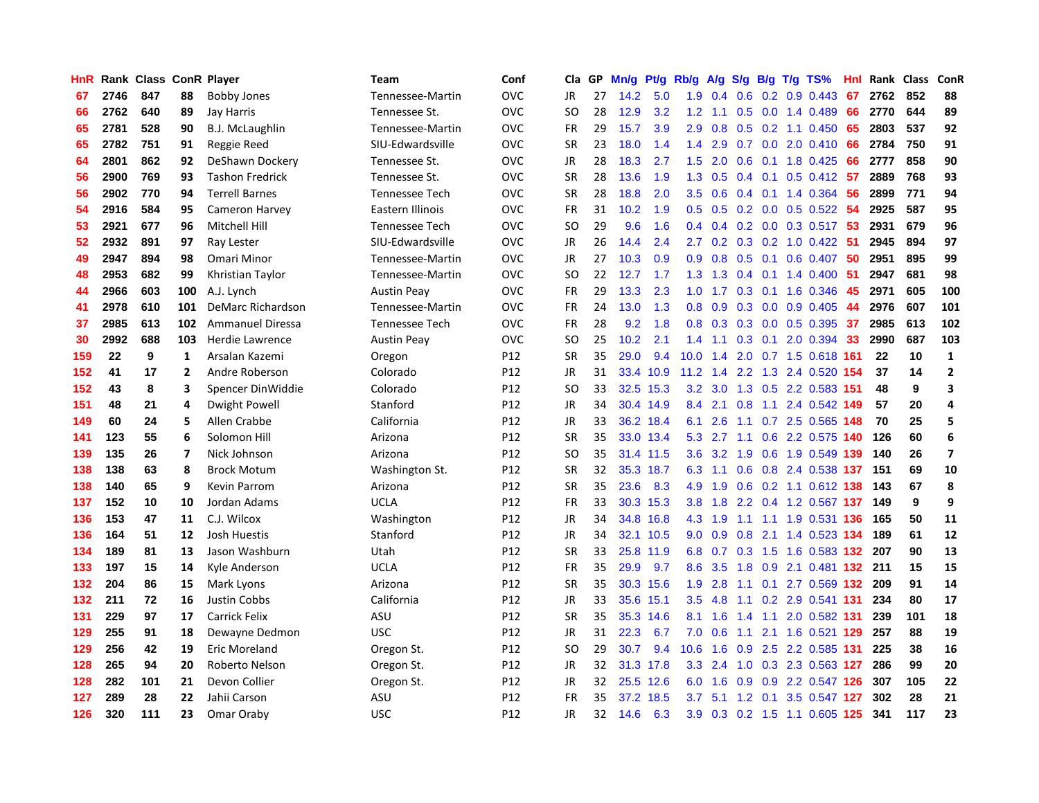| HnR |      | Rank Class ConR Player |                |                         | <b>Team</b>           | Conf            | Cla           | <b>GP</b> | Mn/g | <b>Pt/g</b> | Rb/g             | A/g         |               |     | S/g B/g T/g TS%           | Hnl | Rank | Class | <b>ConR</b>             |
|-----|------|------------------------|----------------|-------------------------|-----------------------|-----------------|---------------|-----------|------|-------------|------------------|-------------|---------------|-----|---------------------------|-----|------|-------|-------------------------|
| 67  | 2746 | 847                    | 88             | <b>Bobby Jones</b>      | Tennessee-Martin      | OVC             | JR            | 27        | 14.2 | 5.0         | 1.9              | 0.4         | 0.6           |     | $0.2$ 0.9 0.443           | 67  | 2762 | 852   | 88                      |
| 66  | 2762 | 640                    | 89             | Jay Harris              | Tennessee St.         | OVC             | SO            | 28        | 12.9 | 3.2         | 1.2              | 1.1         |               |     | $0.5$ 0.0 1.4 0.489       | 66  | 2770 | 644   | 89                      |
| 65  | 2781 | 528                    | 90             | <b>B.J. McLaughlin</b>  | Tennessee-Martin      | OVC             | FR            | 29        | 15.7 | 3.9         | 2.9              | 0.8         |               |     | $0.5$ 0.2 1.1 0.450       | -65 | 2803 | 537   | 92                      |
| 65  | 2782 | 751                    | 91             | Reggie Reed             | SIU-Edwardsville      | OVC             | <b>SR</b>     | 23        | 18.0 | 1.4         | 1.4              | 2.9         |               |     | $0.7$ $0.0$ $2.0$ $0.410$ | 66  | 2784 | 750   | 91                      |
| 64  | 2801 | 862                    | 92             | DeShawn Dockery         | Tennessee St.         | OVC             | JR            | 28        | 18.3 | 2.7         | 1.5              | 2.0         | 0.6           |     | $0.1$ 1.8 0.425           | 66  | 2777 | 858   | 90                      |
| 56  | 2900 | 769                    | 93             | <b>Tashon Fredrick</b>  | Tennessee St.         | OVC             | <b>SR</b>     | 28        | 13.6 | 1.9         | 1.3              | 0.5         |               |     | $0.4$ 0.1 0.5 0.412 57    |     | 2889 | 768   | 93                      |
| 56  | 2902 | 770                    | 94             | <b>Terrell Barnes</b>   | <b>Tennessee Tech</b> | OVC             | <b>SR</b>     | 28        | 18.8 | 2.0         | 3.5              | 0.6         |               |     | $0.4$ 0.1 1.4 0.364       | 56  | 2899 | 771   | 94                      |
| 54  | 2916 | 584                    | 95             | Cameron Harvey          | Eastern Illinois      | OVC             | <b>FR</b>     | 31        | 10.2 | 1.9         | 0.5              | 0.5         |               |     | $0.2$ 0.0 0.5 0.522       | -54 | 2925 | 587   | 95                      |
| 53  | 2921 | 677                    | 96             | Mitchell Hill           | Tennessee Tech        | OVC             | <sub>SO</sub> | 29        | 9.6  | 1.6         | $0.4^{\circ}$    | 0.4         |               |     | $0.2$ 0.0 0.3 0.517       | -53 | 2931 | 679   | 96                      |
| 52  | 2932 | 891                    | 97             | Ray Lester              | SIU-Edwardsville      | OVC             | JR            | 26        | 14.4 | 2.4         | 2.7              | 0.2         |               |     | 0.3 0.2 1.0 0.422 51      |     | 2945 | 894   | 97                      |
| 49  | 2947 | 894                    | 98             | Omari Minor             | Tennessee-Martin      | OVC             | JR            | 27        | 10.3 | 0.9         | 0.9 <sub>0</sub> | 0.8         |               |     | 0.5 0.1 0.6 0.407 50      |     | 2951 | 895   | 99                      |
| 48  | 2953 | 682                    | 99             | Khristian Taylor        | Tennessee-Martin      | OVC             | SO.           | 22        | 12.7 | 1.7         | 1.3              | 1.3         |               |     | $0.4$ 0.1 1.4 0.400       | -51 | 2947 | 681   | 98                      |
| 44  | 2966 | 603                    | 100            | A.J. Lynch              | <b>Austin Peay</b>    | OVC             | <b>FR</b>     | 29        | 13.3 | 2.3         | 1.0              | 1.7         | 0.3           |     | $0.1$ 1.6 0.346           | 45  | 2971 | 605   | 100                     |
| 41  | 2978 | 610                    | 101            | DeMarc Richardson       | Tennessee-Martin      | OVC             | <b>FR</b>     | 24        | 13.0 | 1.3         | 0.8              | 0.9         |               |     | $0.3$ 0.0 0.9 0.405       | 44  | 2976 | 607   | 101                     |
| 37  | 2985 | 613                    | 102            | <b>Ammanuel Diressa</b> | <b>Tennessee Tech</b> | OVC             | <b>FR</b>     | 28        | 9.2  | 1.8         | 0.8              | 0.3         |               |     | $0.3$ 0.0 0.5 0.395       | 37  | 2985 | 613   | 102                     |
| 30  | 2992 | 688                    | 103            | <b>Herdie Lawrence</b>  | <b>Austin Peay</b>    | OVC             | SO.           | 25        | 10.2 | 2.1         | 1.4              | 1.1         | 0.3           | 0.1 | 2.0 0.394                 | 33  | 2990 | 687   | 103                     |
| 159 | 22   | 9                      | $\mathbf{1}$   | Arsalan Kazemi          | Oregon                | P <sub>12</sub> | <b>SR</b>     | 35        | 29.0 | 9.4         | 10.0             | 1.4         | 2.0           |     | 0.7 1.5 0.618 161         |     | 22   | 10    | $\mathbf{1}$            |
| 152 | 41   | 17                     | $\overline{2}$ | Andre Roberson          | Colorado              | P <sub>12</sub> | JR            | 31        |      | 33.4 10.9   | 11.2             | 1.4         | 2.2           |     | 1.3 2.4 0.520             | 154 | 37   | 14    | $\overline{2}$          |
| 152 | 43   | 8                      | 3              | Spencer DinWiddie       | Colorado              | P12             | SO            | 33        |      | 32.5 15.3   | 3.2              |             |               |     | 3.0 1.3 0.5 2.2 0.583 151 |     | 48   | 9     | $\overline{\mathbf{3}}$ |
| 151 | 48   | 21                     | 4              | Dwight Powell           | Stanford              | P12             | JR            | 34        |      | 30.4 14.9   | 8.4              | 2.1         |               |     | 0.8 1.1 2.4 0.542 149     |     | 57   | 20    | $\overline{a}$          |
| 149 | 60   | 24                     | 5              | Allen Crabbe            | California            | P <sub>12</sub> | JR            | 33        |      | 36.2 18.4   | 6.1              | 2.6         |               |     | 1.1 0.7 2.5 0.565 148     |     | 70   | 25    | 5                       |
| 141 | 123  | 55                     | 6              | Solomon Hill            | Arizona               | P <sub>12</sub> | <b>SR</b>     | 35        |      | 33.0 13.4   | 5.3              | 2.7         | 1.1           |     | 0.6 2.2 0.575             | 140 | 126  | 60    | 6                       |
| 139 | 135  | 26                     | $\overline{7}$ | Nick Johnson            | Arizona               | P <sub>12</sub> | SO            | 35        | 31.4 | 11.5        | 3.6              | 3.2         | 1.9           |     | 0.6 1.9 0.549             | 139 | 140  | 26    | $\overline{\mathbf{z}}$ |
| 138 | 138  | 63                     | 8              | <b>Brock Motum</b>      | Washington St.        | P12             | <b>SR</b>     | 32        | 35.3 | 18.7        | 6.3              | 1.1         | 0.6           |     | 0.8 2.4 0.538 137         |     | 151  | 69    | 10                      |
| 138 | 140  | 65                     | 9              | Kevin Parrom            | Arizona               | P <sub>12</sub> | <b>SR</b>     | 35        | 23.6 | 8.3         | 4.9              | 1.9         | 0.6           |     | 0.2 1.1 0.612 138         |     | 143  | 67    | 8                       |
| 137 | 152  | 10                     | 10             | Jordan Adams            | <b>UCLA</b>           | P12             | <b>FR</b>     | 33        | 30.3 | 15.3        | 3.8 <sub>2</sub> | 1.8         |               |     | 2.2 0.4 1.2 0.567 137     |     | 149  | 9     | 9                       |
| 136 | 153  | 47                     | 11             | C.J. Wilcox             | Washington            | P <sub>12</sub> | JR            | 34        |      | 34.8 16.8   |                  | 4.3 1.9     |               |     | 1.1 1.1 1.9 0.531 136     |     | 165  | 50    | 11                      |
| 136 | 164  | 51                     | 12             | <b>Josh Huestis</b>     | Stanford              | P12             | JR            | 34        | 32.1 | 10.5        | 9.0              | 0.9         |               |     | 0.8 2.1 1.4 0.523 134     |     | 189  | 61    | 12                      |
| 134 | 189  | 81                     | 13             | Jason Washburn          | Utah                  | P12             | <b>SR</b>     | 33        | 25.8 | 11.9        | 6.8              | 0.7         |               |     | 0.3 1.5 1.6 0.583 132 207 |     |      | 90    | 13                      |
| 133 | 197  | 15                     | 14             | Kyle Anderson           | <b>UCLA</b>           | P12             | <b>FR</b>     | 35        | 29.9 | 9.7         | 8.6              | 3.5         | 1.8           |     | 0.9 2.1 0.481 132 211     |     |      | 15    | 15                      |
| 132 | 204  | 86                     | 15             | Mark Lyons              | Arizona               | P <sub>12</sub> | <b>SR</b>     | 35        | 30.3 | 15.6        | 1.9              | 2.8         | 1.1           |     | 0.1 2.7 0.569 132         |     | 209  | 91    | 14                      |
| 132 | 211  | 72                     | 16             | <b>Justin Cobbs</b>     | California            | P12             | <b>JR</b>     | 33        | 35.6 | 15.1        | 3.5              | 4.8         |               |     | 1.1 0.2 2.9 0.541 131     |     | 234  | 80    | 17                      |
| 131 | 229  | 97                     | 17             | <b>Carrick Felix</b>    | ASU                   | P12             | <b>SR</b>     | 35        | 35.3 | 14.6        | 8.1              | 1.6         | $1.4^{\circ}$ | 1.1 | 2.0 0.582 131             |     | 239  | 101   | 18                      |
| 129 | 255  | 91                     | 18             | Dewayne Dedmon          | <b>USC</b>            | P12             | <b>JR</b>     | 31        | 22.3 | 6.7         | 7.0              | 0.6         | 1.1           |     | 2.1 1.6 0.521 129         |     | 257  | 88    | 19                      |
| 129 | 256  | 42                     | 19             | <b>Eric Moreland</b>    | Oregon St.            | P12             | SO            | 29        | 30.7 | 9.4         | 10.6             | 1.6         | 0.9           |     | 2.5 2.2 0.585 131         |     | 225  | 38    | 16                      |
| 128 | 265  | 94                     | 20             | Roberto Nelson          | Oregon St.            | P12             | <b>JR</b>     | 32        |      | 31.3 17.8   |                  | $3.3$ $2.4$ |               |     | 1.0 0.3 2.3 0.563 127     |     | 286  | 99    | 20                      |
| 128 | 282  | 101                    | 21             | Devon Collier           | Oregon St.            | P12             | JR            | 32        |      | 25.5 12.6   | 6.0              | 1.6         | 0.9           |     | 0.9 2.2 0.547 126         |     | 307  | 105   | 22                      |
| 127 | 289  | 28                     | 22             | Jahii Carson            | ASU                   | P12             | FR            | 35        | 37.2 | 18.5        | 3.7              | 5.1         | 1.2           | 0.1 | 3.5 0.547 127             |     | 302  | 28    | 21                      |
| 126 | 320  | 111                    | 23             | Omar Oraby              | <b>USC</b>            | P <sub>12</sub> | <b>JR</b>     | 32        | 14.6 | 6.3         | 3.9              |             |               |     | 0.3 0.2 1.5 1.1 0.605 125 |     | 341  | 117   | 23                      |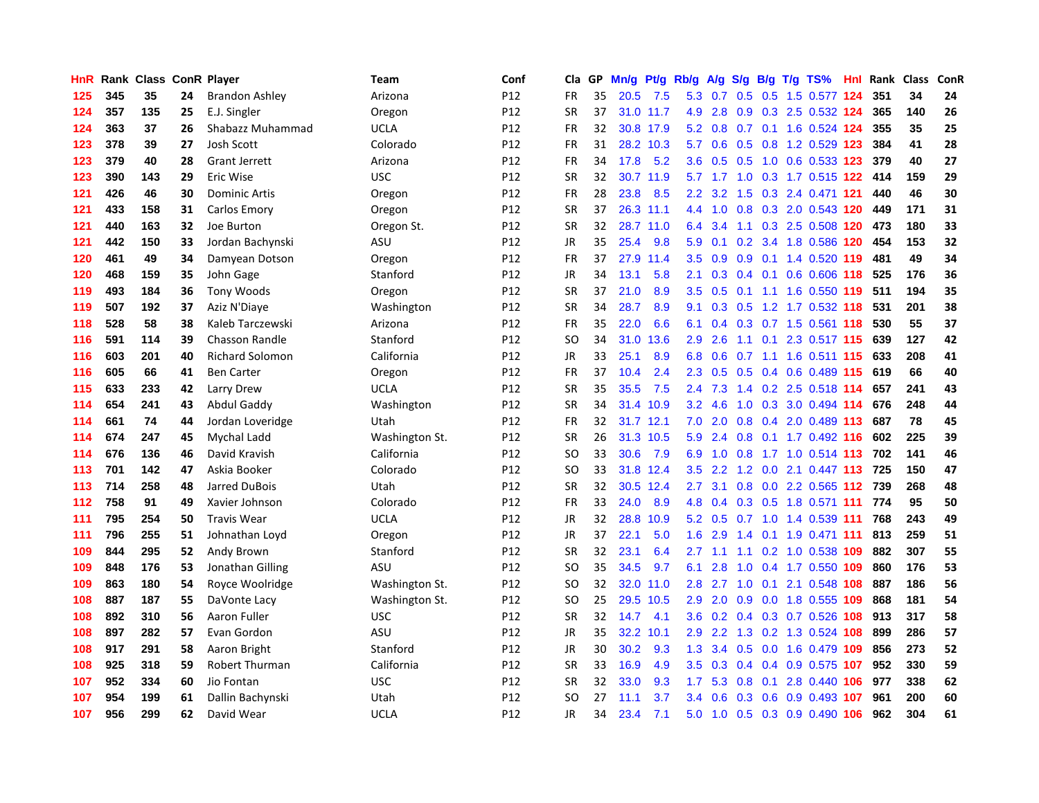| HnR |     | Rank Class ConR Player |    |                        | Team           | Conf            | Cla       | <b>GP</b> | Mn/g | Pt/g      | Rb/g          | A/g             |     |                 | S/g B/g T/g TS%           | Hnl | Rank | <b>Class</b> | ConR |
|-----|-----|------------------------|----|------------------------|----------------|-----------------|-----------|-----------|------|-----------|---------------|-----------------|-----|-----------------|---------------------------|-----|------|--------------|------|
| 125 | 345 | 35                     | 24 | <b>Brandon Ashley</b>  | Arizona        | P12             | <b>FR</b> | 35        | 20.5 | 7.5       | 5.3           | 0.7             |     |                 | 0.5 0.5 1.5 0.577 124     |     | 351  | 34           | 24   |
| 124 | 357 | 135                    | 25 | E.J. Singler           | Oregon         | P12             | <b>SR</b> | 37        |      | 31.0 11.7 | 4.9           | 2.8             |     |                 | 0.9 0.3 2.5 0.532 124     |     | 365  | 140          | 26   |
| 124 | 363 | 37                     | 26 | Shabazz Muhammad       | <b>UCLA</b>    | P12             | <b>FR</b> | 32        |      | 30.8 17.9 | 5.2           | 0.8             |     |                 | 0.7 0.1 1.6 0.524 124     |     | 355  | 35           | 25   |
| 123 | 378 | 39                     | 27 | <b>Josh Scott</b>      | Colorado       | P12             | <b>FR</b> | 31        |      | 28.2 10.3 | 5.7           | 0.6             | 0.5 |                 | 0.8 1.2 0.529 123         |     | 384  | 41           | 28   |
| 123 | 379 | 40                     | 28 | <b>Grant Jerrett</b>   | Arizona        | P12             | <b>FR</b> | 34        | 17.8 | 5.2       | 3.6           | 0.5             | 0.5 |                 | 1.0 0.6 0.533 123         |     | 379  | 40           | 27   |
| 123 | 390 | 143                    | 29 | Eric Wise              | <b>USC</b>     | P12             | <b>SR</b> | 32        | 30.7 | 11.9      | 5.7           | 1.7             |     |                 | 1.0 0.3 1.7 0.515 122     |     | 414  | 159          | 29   |
| 121 | 426 | 46                     | 30 | <b>Dominic Artis</b>   | Oregon         | P12             | <b>FR</b> | 28        | 23.8 | 8.5       | 2.2           | 3.2             | 1.5 |                 | 0.3 2.4 0.471 121         |     | 440  | 46           | 30   |
| 121 | 433 | 158                    | 31 | Carlos Emory           | Oregon         | P12             | <b>SR</b> | 37        | 26.3 | 11.1      | 4.4           | 1.0             | 0.8 |                 | 0.3 2.0 0.543 120         |     | 449  | 171          | 31   |
| 121 | 440 | 163                    | 32 | Joe Burton             | Oregon St.     | P12             | <b>SR</b> | 32        |      | 28.7 11.0 | 6.4           | 3.4             | 1.1 |                 | 0.3 2.5 0.508 120         |     | 473  | 180          | 33   |
| 121 | 442 | 150                    | 33 | Jordan Bachynski       | ASU            | P12             | <b>JR</b> | 35        | 25.4 | 9.8       | 5.9           | 0.1             |     |                 | 0.2 3.4 1.8 0.586 120     |     | 454  | 153          | 32   |
| 120 | 461 | 49                     | 34 | Damyean Dotson         | Oregon         | P12             | <b>FR</b> | 37        | 27.9 | 11.4      | 3.5           | 0.9             |     |                 | 0.9 0.1 1.4 0.520 119     |     | 481  | 49           | 34   |
| 120 | 468 | 159                    | 35 | John Gage              | Stanford       | P12             | <b>JR</b> | 34        | 13.1 | 5.8       | 2.1           | 0.3             |     |                 | 0.4 0.1 0.6 0.606 118 525 |     |      | 176          | 36   |
| 119 | 493 | 184                    | 36 | <b>Tony Woods</b>      | Oregon         | P12             | <b>SR</b> | 37        | 21.0 | 8.9       | 3.5           | 0.5             | 0.1 |                 | 1.1 1.6 0.550             | 119 | 511  | 194          | 35   |
| 119 | 507 | 192                    | 37 | Aziz N'Diaye           | Washington     | P12             | SR        | 34        | 28.7 | 8.9       | 9.1           | 0.3             | 0.5 |                 | 1.2 1.7 0.532 118         |     | 531  | 201          | 38   |
| 118 | 528 | 58                     | 38 | Kaleb Tarczewski       | Arizona        | P12             | <b>FR</b> | 35        | 22.0 | 6.6       | 6.1           | 0.4             |     |                 | 0.3 0.7 1.5 0.561 118     |     | 530  | 55           | 37   |
| 116 | 591 | 114                    | 39 | <b>Chasson Randle</b>  | Stanford       | P12             | SO        | 34        | 31.0 | 13.6      | 2.9           | 2.6             |     | $1.1 \quad 0.1$ | 2.3 0.517 115             |     | 639  | 127          | 42   |
| 116 | 603 | 201                    | 40 | <b>Richard Solomon</b> | California     | P12             | <b>JR</b> | 33        | 25.1 | 8.9       | 6.8           | 0.6             | 0.7 |                 | 1.1 1.6 0.511 115         |     | 633  | 208          | 41   |
| 116 | 605 | 66                     | 41 | <b>Ben Carter</b>      | Oregon         | P12             | <b>FR</b> | 37        | 10.4 | 2.4       | 2.3           | 0.5             |     |                 | 0.5 0.4 0.6 0.489 115 619 |     |      | 66           | 40   |
| 115 | 633 | 233                    | 42 | Larry Drew             | UCLA           | P12             | <b>SR</b> | 35        | 35.5 | 7.5       | $2.4^{\circ}$ | 7.3             |     |                 | 1.4 0.2 2.5 0.518 114     |     | 657  | 241          | 43   |
| 114 | 654 | 241                    | 43 | Abdul Gaddy            | Washington     | P12             | <b>SR</b> | 34        |      | 31.4 10.9 | 3.2           | 4.6             |     |                 | 1.0 0.3 3.0 0.494 114     |     | 676  | 248          | 44   |
| 114 | 661 | 74                     | 44 | Jordan Loveridge       | Utah           | P12             | <b>FR</b> | 32        |      | 31.7 12.1 | 7.0           | 2.0             | 0.8 |                 | 0.4 2.0 0.489 113         |     | 687  | 78           | 45   |
| 114 | 674 | 247                    | 45 | Mychal Ladd            | Washington St. | P12             | <b>SR</b> | 26        | 31.3 | 10.5      | 5.9           | 2.4             | 0.8 |                 | $0.1$ 1.7 0.492 116       |     | 602  | 225          | 39   |
| 114 | 676 | 136                    | 46 | David Kravish          | California     | P <sub>12</sub> | <b>SO</b> | 33        | 30.6 | 7.9       | 6.9           | 1.0             | 0.8 |                 | 1.7 1.0 0.514 113         |     | 702  | 141          | 46   |
| 113 | 701 | 142                    | 47 | Askia Booker           | Colorado       | P12             | SO.       | 33        | 31.8 | 12.4      | 3.5           | 2.2             | 1.2 |                 | $0.0$ 2.1 0.447 113       |     | 725  | 150          | 47   |
| 113 | 714 | 258                    | 48 | Jarred DuBois          | Utah           | P12             | <b>SR</b> | 32        | 30.5 | 12.4      | $2.7^{\circ}$ | 3.1             | 0.8 |                 | 0.0 2.2 0.565 112         |     | 739  | 268          | 48   |
| 112 | 758 | 91                     | 49 | Xavier Johnson         | Colorado       | P12             | <b>FR</b> | 33        | 24.0 | 8.9       | 4.8           | 0.4             |     |                 | 0.3 0.5 1.8 0.571 111     |     | 774  | 95           | 50   |
| 111 | 795 | 254                    | 50 | <b>Travis Wear</b>     | <b>UCLA</b>    | P12             | <b>JR</b> | 32        | 28.8 | 10.9      |               | $5.2 \quad 0.5$ |     |                 | 0.7 1.0 1.4 0.539 111     |     | 768  | 243          | 49   |
| 111 | 796 | 255                    | 51 | Johnathan Loyd         | Oregon         | P12             | JR        | 37        | 22.1 | 5.0       | 1.6           | 2.9             |     |                 | 1.4 0.1 1.9 0.471 111     |     | 813  | 259          | 51   |
| 109 | 844 | 295                    | 52 | Andy Brown             | Stanford       | P12             | <b>SR</b> | 32        | 23.1 | 6.4       | 2.7           | 1.1             |     |                 | 1.1 0.2 1.0 0.538 109     |     | 882  | 307          | 55   |
| 109 | 848 | 176                    | 53 | Jonathan Gilling       | ASU            | P12             | <b>SO</b> | 35        | 34.5 | 9.7       | 6.1           | 2.8             | 1.0 |                 | 0.4 1.7 0.550             | 109 | 860  | 176          | 53   |
| 109 | 863 | 180                    | 54 | Royce Woolridge        | Washington St. | P12             | SO        | 32        |      | 32.0 11.0 | 2.8           | 2.7             | 1.0 |                 | 0.1 2.1 0.548 108         |     | 887  | 186          | 56   |
| 108 | 887 | 187                    | 55 | DaVonte Lacy           | Washington St. | P12             | SO.       | 25        | 29.5 | 10.5      | 2.9           | 2.0             | 0.9 |                 | 0.0 1.8 0.555 109         |     | 868  | 181          | 54   |
| 108 | 892 | 310                    | 56 | Aaron Fuller           | <b>USC</b>     | P12             | <b>SR</b> | 32        | 14.7 | 4.1       | 3.6           | 0.2             |     |                 | 0.4 0.3 0.7 0.526 108     |     | 913  | 317          | 58   |
| 108 | 897 | 282                    | 57 | Evan Gordon            | ASU            | P12             | <b>JR</b> | 35        | 32.2 | 10.1      | 2.9           | 2.2             | 1.3 |                 | 0.2 1.3 0.524 108         |     | 899  | 286          | 57   |
| 108 | 917 | 291                    | 58 | Aaron Bright           | Stanford       | P12             | <b>JR</b> | 30        | 30.2 | 9.3       | 1.3           | 3.4             |     |                 | 0.5 0.0 1.6 0.479 109     |     | 856  | 273          | 52   |
| 108 | 925 | 318                    | 59 | <b>Robert Thurman</b>  | California     | P12             | <b>SR</b> | 33        | 16.9 | 4.9       | 3.5           | 0.3             |     |                 | 0.4 0.4 0.9 0.575 107     |     | 952  | 330          | 59   |
| 107 | 952 | 334                    | 60 | Jio Fontan             | <b>USC</b>     | P12             | <b>SR</b> | 32        | 33.0 | 9.3       | 1.7           | 5.3             | 0.8 |                 | 0.1 2.8 0.440 106         |     | 977  | 338          | 62   |
| 107 | 954 | 199                    | 61 | Dallin Bachynski       | Utah           | P12             | SO        | 27        | 11.1 | 3.7       | 3.4           | 0.6             | 0.3 |                 | 0.6 0.9 0.493 107         |     | 961  | 200          | 60   |
| 107 | 956 | 299                    | 62 | David Wear             | <b>UCLA</b>    | P12             | <b>JR</b> | 34        | 23.4 | 7.1       | 5.0           | 1.0             |     |                 | 0.5 0.3 0.9 0.490 106     |     | 962  | 304          | 61   |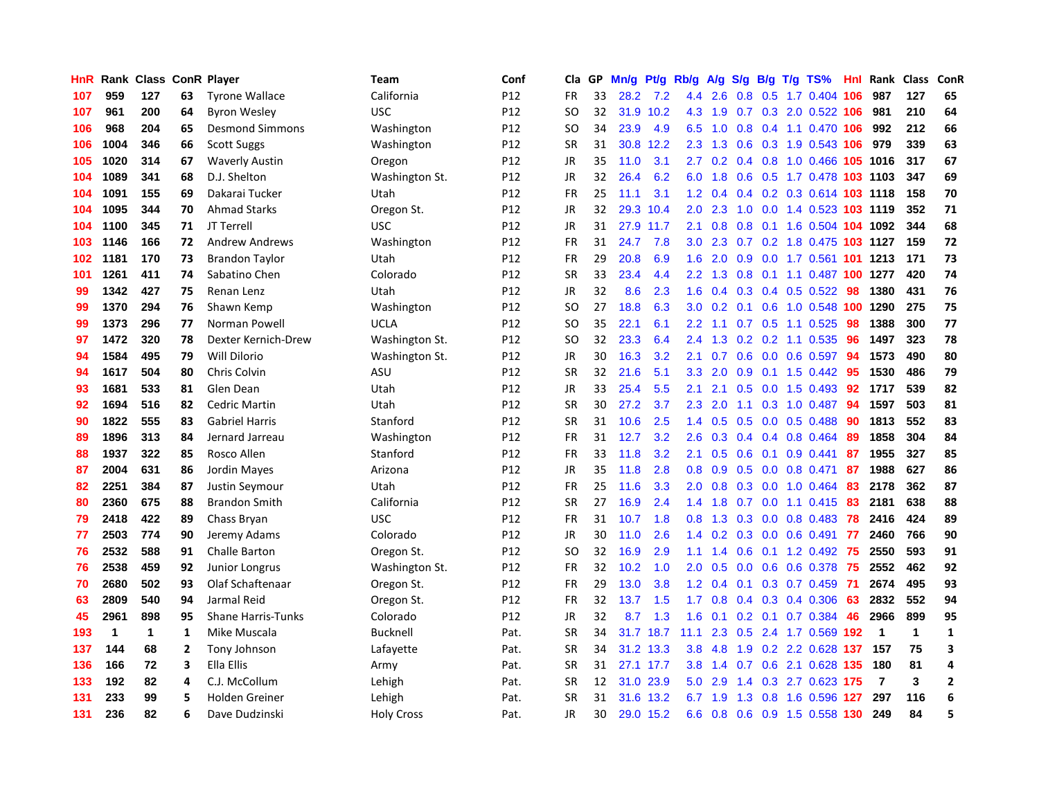| HnR | Rank         |              |                | <b>Class ConR Player</b>  | Team              | Conf            | Cla           | <b>GP</b> | Mn/g | <b>Pt/g</b> | Rb/g             | A/g    |                  |  | S/g B/g T/g TS%            | Hnl | Rank           | <b>Class</b> | ConR           |
|-----|--------------|--------------|----------------|---------------------------|-------------------|-----------------|---------------|-----------|------|-------------|------------------|--------|------------------|--|----------------------------|-----|----------------|--------------|----------------|
| 107 | 959          | 127          | 63             | <b>Tyrone Wallace</b>     | California        | P12             | <b>FR</b>     | 33        | 28.2 | 7.2         | 4.4              | 2.6    |                  |  | 0.8 0.5 1.7 0.404 106      |     | 987            | 127          | 65             |
| 107 | 961          | 200          | 64             | <b>Byron Wesley</b>       | <b>USC</b>        | P12             | SO            | 32        |      | 31.9 10.2   | 4.3              | $-1.9$ |                  |  | 0.7 0.3 2.0 0.522 106      |     | 981            | 210          | 64             |
| 106 | 968          | 204          | 65             | <b>Desmond Simmons</b>    | Washington        | P12             | SO            | 34        | 23.9 | 4.9         | 6.5              | 1.0    |                  |  | 0.8 0.4 1.1 0.470 106      |     | 992            | 212          | 66             |
| 106 | 1004         | 346          | 66             | <b>Scott Suggs</b>        | Washington        | P12             | <b>SR</b>     | 31        | 30.8 | 12.2        | 2.3              | 1.3    | 0.6              |  | 0.3 1.9 0.543 106          |     | 979            | 339          | 63             |
| 105 | 1020         | 314          | 67             | <b>Waverly Austin</b>     | Oregon            | P12             | JR            | 35        | 11.0 | 3.1         | 2.7              | 0.2    |                  |  | 0.4 0.8 1.0 0.466 105 1016 |     |                | 317          | 67             |
| 104 | 1089         | 341          | 68             | D.J. Shelton              | Washington St.    | P12             | JR            | 32        | 26.4 | 6.2         | 6.0              | 1.8    |                  |  | 0.6 0.5 1.7 0.478 103 1103 |     |                | 347          | 69             |
| 104 | 1091         | 155          | 69             | Dakarai Tucker            | Utah              | P12             | <b>FR</b>     | 25        | 11.1 | 3.1         | 1.2              | 0.4    |                  |  | 0.4 0.2 0.3 0.614 103 1118 |     |                | 158          | 70             |
| 104 | 1095         | 344          | 70             | <b>Ahmad Starks</b>       | Oregon St.        | P12             | JR            | 32        | 29.3 | 10.4        | 2.0              | 2.3    | 1.0              |  | 0.0 1.4 0.523 103 1119     |     |                | 352          | 71             |
| 104 | 1100         | 345          | 71             | JT Terrell                | <b>USC</b>        | P12             | JR            | 31        | 27.9 | 11.7        | 2.1              | 0.8    | 0.8              |  | 0.1 1.6 0.504 104 1092     |     |                | 344          | 68             |
| 103 | 1146         | 166          | 72             | <b>Andrew Andrews</b>     | Washington        | P12             | <b>FR</b>     | 31        | 24.7 | 7.8         | 3.0 <sub>1</sub> | 2.3    |                  |  | 0.7 0.2 1.8 0.475 103 1127 |     |                | 159          | 72             |
| 102 | 1181         | 170          | 73             | <b>Brandon Taylor</b>     | Utah              | P12             | <b>FR</b>     | 29        | 20.8 | 6.9         | 1.6              | 2.0    |                  |  | 0.9 0.0 1.7 0.561 101 1213 |     |                | 171          | 73             |
| 101 | 1261         | 411          | 74             | Sabatino Chen             | Colorado          | P12             | <b>SR</b>     | 33        | 23.4 | 4.4         | $2.2^{\circ}$    | 1.3    | 0.8              |  | 0.1 1.1 0.487 100 1277     |     |                | 420          | 74             |
| 99  | 1342         | 427          | 75             | Renan Lenz                | Utah              | P12             | <b>JR</b>     | 32        | 8.6  | 2.3         | 1.6              | 0.4    |                  |  | $0.3$ 0.4 0.5 0.522        | -98 | 1380           | 431          | 76             |
| 99  | 1370         | 294          | 76             | Shawn Kemp                | Washington        | P12             | SO            | 27        | 18.8 | 6.3         | 3.0 <sub>2</sub> | 0.2    |                  |  | 0.1 0.6 1.0 0.548 100 1290 |     |                | 275          | 75             |
| 99  | 1373         | 296          | 77             | Norman Powell             | UCLA              | P12             | <b>SO</b>     | 35        | 22.1 | 6.1         | 2.2              | 1.1    | 0.7              |  | $0.5$ 1.1 0.525            | 98  | 1388           | 300          | 77             |
| 97  | 1472         | 320          | 78             | Dexter Kernich-Drew       | Washington St.    | P12             | SO            | 32        | 23.3 | 6.4         | 2.4              | 1.3    | 0.2              |  | 0.2 1.1 0.535              | -96 | 1497           | 323          | 78             |
| 94  | 1584         | 495          | 79             | Will Dilorio              | Washington St.    | P12             | <b>JR</b>     | 30        | 16.3 | 3.2         | 2.1              | 0.7    | 0.6              |  | $0.0$ 0.6 0.597            | 94  | 1573           | 490          | 80             |
| 94  | 1617         | 504          | 80             | Chris Colvin              | ASU               | P12             | <b>SR</b>     | 32        | 21.6 | 5.1         | 3.3 <sub>2</sub> | 2.0    | 0.9 <sub>0</sub> |  | 0.1 1.5 0.442 95           |     | 1530           | 486          | 79             |
| 93  | 1681         | 533          | 81             | Glen Dean                 | Utah              | P12             | <b>JR</b>     | 33        | 25.4 | 5.5         | 2.1              | 2.1    |                  |  | 0.5 0.0 1.5 0.493 92       |     | 1717           | 539          | 82             |
| 92  | 1694         | 516          | 82             | <b>Cedric Martin</b>      | Utah              | P <sub>12</sub> | <b>SR</b>     | 30        | 27.2 | 3.7         | $2.3^{\circ}$    | 2.0    |                  |  | 1.1 0.3 1.0 0.487          | -94 | 1597           | 503          | 81             |
| 90  | 1822         | 555          | 83             | <b>Gabriel Harris</b>     | Stanford          | P12             | <b>SR</b>     | 31        | 10.6 | 2.5         | $1.4^{\circ}$    | 0.5    | 0.5              |  | $0.0$ 0.5 0.488            | -90 | 1813           | 552          | 83             |
| 89  | 1896         | 313          | 84             | Jernard Jarreau           | Washington        | P12             | <b>FR</b>     | 31        | 12.7 | 3.2         | 2.6              | 0.3    |                  |  | $0.4$ 0.4 0.8 0.464        | -89 | 1858           | 304          | 84             |
| 88  | 1937         | 322          | 85             | Rosco Allen               | Stanford          | P12             | <b>FR</b>     | 33        | 11.8 | 3.2         | 2.1              | 0.5    | 0.6              |  | $0.1$ 0.9 0.441            | 87  | 1955           | 327          | 85             |
| 87  | 2004         | 631          | 86             | Jordin Mayes              | Arizona           | P12             | JR            | 35        | 11.8 | 2.8         | 0.8              | 0.9    | 0.5              |  | $0.0$ 0.8 0.471            | 87  | 1988           | 627          | 86             |
| 82  | 2251         | 384          | 87             | Justin Seymour            | Utah              | P12             | <b>FR</b>     | 25        | 11.6 | 3.3         | 2.0              | 0.8    | 0.3              |  | 0.0 1.0 0.464              | -83 | 2178           | 362          | 87             |
| 80  | 2360         | 675          | 88             | <b>Brandon Smith</b>      | California        | P12             | <b>SR</b>     | 27        | 16.9 | 2.4         | 1.4              | 1.8    |                  |  | $0.7$ $0.0$ 1.1 $0.415$    | -83 | 2181           | 638          | 88             |
| 79  | 2418         | 422          | 89             | Chass Bryan               | <b>USC</b>        | P12             | <b>FR</b>     | 31        | 10.7 | 1.8         | 0.8              | 1.3    |                  |  | 0.3 0.0 0.8 0.483 78       |     | 2416           | 424          | 89             |
| 77  | 2503         | 774          | 90             | Jeremy Adams              | Colorado          | P12             | JR            | 30        | 11.0 | 2.6         | 1.4              | 0.2    |                  |  | 0.3 0.0 0.6 0.491 77       |     | 2460           | 766          | 90             |
| 76  | 2532         | 588          | 91             | Challe Barton             | Oregon St.        | P12             | <sub>SO</sub> | 32        | 16.9 | 2.9         | 1.1              | 1.4    |                  |  | 0.6 0.1 1.2 0.492 75       |     | 2550           | 593          | 91             |
| 76  | 2538         | 459          | 92             | <b>Junior Longrus</b>     | Washington St.    | P12             | <b>FR</b>     | 32        | 10.2 | 1.0         | 2.0              | 0.5    | 0.0 <sub>1</sub> |  | 0.6 0.6 0.378              | -75 | 2552           | 462          | 92             |
| 70  | 2680         | 502          | 93             | Olaf Schaftenaar          | Oregon St.        | P12             | <b>FR</b>     | 29        | 13.0 | 3.8         | $1.2^{\circ}$    | 0.4    |                  |  | $0.1$ $0.3$ $0.7$ $0.459$  | 71  | 2674           | 495          | 93             |
| 63  | 2809         | 540          | 94             | Jarmal Reid               | Oregon St.        | P12             | <b>FR</b>     | 32        | 13.7 | 1.5         | 1.7              | 0.8    |                  |  | $0.4$ 0.3 0.4 0.306        | 63  | 2832           | 552          | 94             |
| 45  | 2961         | 898          | 95             | <b>Shane Harris-Tunks</b> | Colorado          | P12             | <b>JR</b>     | 32        | 8.7  | 1.3         | 1.6              | 0.1    | 0.2              |  | $0.1$ 0.7 0.384            | 46  | 2966           | 899          | 95             |
| 193 | $\mathbf{1}$ | $\mathbf{1}$ | 1              | Mike Muscala              | <b>Bucknell</b>   | Pat.            | <b>SR</b>     | 34        | 31.7 | 18.7        | 11.1             | 2.3    | 0.5              |  | 2.4 1.7 0.569              | 192 | $\mathbf{1}$   | $\mathbf{1}$ | $\mathbf{1}$   |
| 137 | 144          | 68           | $\overline{2}$ | Tony Johnson              | Lafayette         | Pat.            | <b>SR</b>     | 34        |      | 31.2 13.3   | 3.8              | 4.8    |                  |  | 1.9 0.2 2.2 0.628 137      |     | 157            | 75           | 3              |
| 136 | 166          | 72           | 3              | Ella Ellis                | Army              | Pat.            | <b>SR</b>     | 31        |      | 27.1 17.7   | 3.8              | 1.4    |                  |  | 0.7 0.6 2.1 0.628 135      |     | 180            | 81           | 4              |
| 133 | 192          | 82           | 4              | C.J. McCollum             | Lehigh            | Pat.            | <b>SR</b>     | 12        | 31.0 | 23.9        | 5.0              | 2.9    |                  |  | 1.4 0.3 2.7 0.623 175      |     | $\overline{7}$ | 3            | $\overline{2}$ |
| 131 | 233          | 99           | 5              | <b>Holden Greiner</b>     | Lehigh            | Pat.            | <b>SR</b>     | 31        | 31.6 | 13.2        | 6.7              | 1.9    | 1.3              |  | 0.8 1.6 0.596              | 127 | 297            | 116          | 6              |
| 131 | 236          | 82           | 6              | Dave Dudzinski            | <b>Holy Cross</b> | Pat.            | JR            | 30        |      | 29.0 15.2   | 6.6              | 0.8    |                  |  | 0.6 0.9 1.5 0.558 130      |     | 249            | 84           | 5              |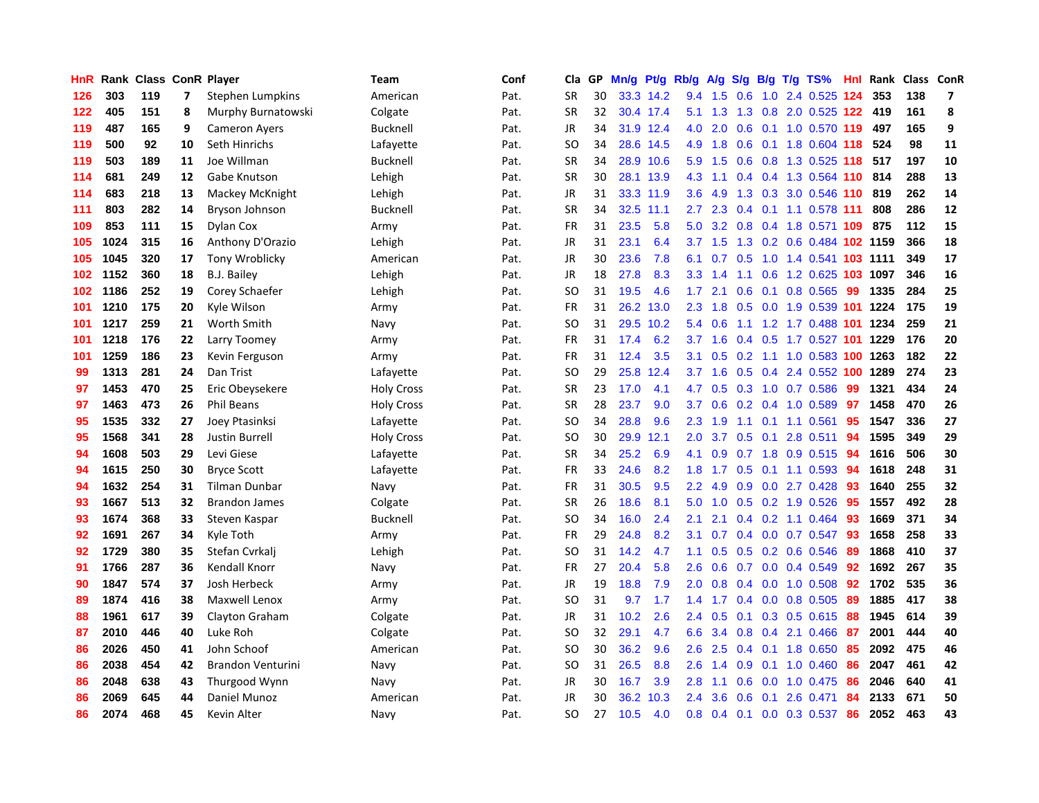| HnR | Rank |     |    | <b>Class ConR Player</b> | <b>Team</b>       | Conf | Cla           | <b>GP</b> | Mn/g | Pt/g      | Rb/g             | A/g       | S/g              |     | B/g T/g TS%                | Hnl | Rank | Class | <b>ConR</b>             |
|-----|------|-----|----|--------------------------|-------------------|------|---------------|-----------|------|-----------|------------------|-----------|------------------|-----|----------------------------|-----|------|-------|-------------------------|
| 126 | 303  | 119 | 7  | Stephen Lumpkins         | American          | Pat. | SR            | 30        |      | 33.3 14.2 | 9.4              | 1.5       | 0.6              |     | 1.0 2.4 0.525 124          |     | 353  | 138   | $\overline{\mathbf{z}}$ |
| 122 | 405  | 151 | 8  | Murphy Burnatowski       | Colgate           | Pat. | <b>SR</b>     | 32        |      | 30.4 17.4 | 5.1              | 1.3       |                  |     | 1.3 0.8 2.0 0.525 122 419  |     |      | 161   | 8                       |
| 119 | 487  | 165 | 9  | <b>Cameron Ayers</b>     | <b>Bucknell</b>   | Pat. | JR            | 34        |      | 31.9 12.4 | 4.0              | 2.0       | 0.6              |     | 0.1 1.0 0.570 119          |     | 497  | 165   | 9                       |
| 119 | 500  | 92  | 10 | Seth Hinrichs            | Lafayette         | Pat. | <sub>SO</sub> | 34        |      | 28.6 14.5 | 4.9              | 1.8       | 0.6              |     | 0.1 1.8 0.604 118          |     | 524  | 98    | 11                      |
| 119 | 503  | 189 | 11 | Joe Willman              | <b>Bucknell</b>   | Pat. | <b>SR</b>     | 34        |      | 28.9 10.6 | 5.9              | 1.5       | 0.6              |     | 0.8 1.3 0.525              | 118 | 517  | 197   | 10                      |
| 114 | 681  | 249 | 12 | Gabe Knutson             | Lehigh            | Pat. | <b>SR</b>     | 30        | 28.1 | 13.9      | 4.3              | 1.1       |                  |     | 0.4 0.4 1.3 0.564 110      |     | 814  | 288   | 13                      |
| 114 | 683  | 218 | 13 | Mackey McKnight          | Lehigh            | Pat. | JR            | 31        |      | 33.3 11.9 | 3.6              | 4.9       | 1.3              |     | 0.3 3.0 0.546              | 110 | 819  | 262   | 14                      |
| 111 | 803  | 282 | 14 | Bryson Johnson           | <b>Bucknell</b>   | Pat. | <b>SR</b>     | 34        | 32.5 | 11.1      | $2.7^{\circ}$    | 2.3       | 0.4              |     | $0.1$ 1.1 0.578 111        |     | 808  | 286   | 12                      |
| 109 | 853  | 111 | 15 | Dylan Cox                | Army              | Pat. | FR            | 31        | 23.5 | 5.8       | 5.0              | 3.2       |                  |     | 0.8 0.4 1.8 0.571 109 875  |     |      | 112   | 15                      |
| 105 | 1024 | 315 | 16 | Anthony D'Orazio         | Lehigh            | Pat. | JR            | 31        | 23.1 | 6.4       |                  | $3.7$ 1.5 |                  |     | 1.3 0.2 0.6 0.484 102 1159 |     |      | 366   | 18                      |
| 105 | 1045 | 320 | 17 | <b>Tony Wroblicky</b>    | American          | Pat. | JR            | 30        | 23.6 | 7.8       | 6.1              | 0.7       |                  |     | 0.5 1.0 1.4 0.541 103 1111 |     |      | 349   | 17                      |
| 102 | 1152 | 360 | 18 | <b>B.J. Bailey</b>       | Lehigh            | Pat. | JR            | 18        | 27.8 | 8.3       | 3.3 <sub>2</sub> | 1.4       |                  |     | 1.1 0.6 1.2 0.625 103 1097 |     |      | 346   | 16                      |
| 102 | 1186 | 252 | 19 | Corey Schaefer           | Lehigh            | Pat. | <sub>SO</sub> | 31        | 19.5 | 4.6       | 1.7              | 2.1       | 0.6              |     | $0.1$ 0.8 0.565            | 99  | 1335 | 284   | 25                      |
| 101 | 1210 | 175 | 20 | Kyle Wilson              | Army              | Pat. | FR            | 31        | 26.2 | 13.0      | 2.3              | 1.8       | 0.5              |     | 0.0 1.9 0.539 101 1224     |     |      | 175   | 19                      |
| 101 | 1217 | 259 | 21 | Worth Smith              | Navy              | Pat. | SO            | 31        | 29.5 | 10.2      | 5.4              | 0.6       |                  |     | 1.1 1.2 1.7 0.488 101 1234 |     |      | 259   | 21                      |
| 101 | 1218 | 176 | 22 | Larry Toomey             | Army              | Pat. | FR            | 31        | 17.4 | 6.2       | 3.7              | 1.6       |                  |     | 0.4 0.5 1.7 0.527 101 1229 |     |      | 176   | 20                      |
| 101 | 1259 | 186 | 23 | Kevin Ferguson           | Army              | Pat. | <b>FR</b>     | 31        | 12.4 | 3.5       | 3.1              | 0.5       | 0.2              |     | 1.1 1.0 0.583 100 1263     |     |      | 182   | 22                      |
| 99  | 1313 | 281 | 24 | Dan Trist                | Lafayette         | Pat. | <sub>SO</sub> | 29        | 25.8 | 12.4      | 3.7              | 1.6       |                  |     | 0.5 0.4 2.4 0.552 100 1289 |     |      | 274   | 23                      |
| 97  | 1453 | 470 | 25 | Eric Obeysekere          | <b>Holy Cross</b> | Pat. | <b>SR</b>     | 23        | 17.0 | 4.1       | 4.7              | 0.5       |                  |     | 0.3 1.0 0.7 0.586          | -99 | 1321 | 434   | 24                      |
| 97  | 1463 | 473 | 26 | <b>Phil Beans</b>        | <b>Holy Cross</b> | Pat. | SR            | 28        | 23.7 | 9.0       | 3.7              | 0.6       |                  |     | $0.2$ 0.4 1.0 0.589        | 97  | 1458 | 470   | 26                      |
| 95  | 1535 | 332 | 27 | Joey Ptasinksi           | Lafayette         | Pat. | SO            | 34        | 28.8 | 9.6       | 2.3              | 1.9       | 1.1              |     | $0.1$ 1.1 0.561            | 95  | 1547 | 336   | 27                      |
| 95  | 1568 | 341 | 28 | <b>Justin Burrell</b>    | <b>Holy Cross</b> | Pat. | SO            | 30        | 29.9 | 12.1      | 2.0              | 3.7       | 0.5              | 0.1 | 2.8 0.511                  | 94  | 1595 | 349   | 29                      |
| 94  | 1608 | 503 | 29 | Levi Giese               | Lafayette         | Pat. | <b>SR</b>     | 34        | 25.2 | 6.9       | 4.1              | 0.9       | 0.7              |     | 1.8 0.9 0.515              | 94  | 1616 | 506   | 30                      |
| 94  | 1615 | 250 | 30 | <b>Bryce Scott</b>       | Lafayette         | Pat. | FR            | 33        | 24.6 | 8.2       | 1.8              | 1.7       | 0.5              |     | $0.1$ 1.1 0.593            | 94  | 1618 | 248   | 31                      |
| 94  | 1632 | 254 | 31 | <b>Tilman Dunbar</b>     | Navy              | Pat. | FR            | 31        | 30.5 | 9.5       | 2.2              | 4.9       | 0.9              |     | $0.0$ 2.7 $0.428$          | 93  | 1640 | 255   | 32                      |
| 93  | 1667 | 513 | 32 | <b>Brandon James</b>     | Colgate           | Pat. | <b>SR</b>     | 26        | 18.6 | 8.1       | 5.0              | 1.0       |                  |     | $0.5$ 0.2 1.9 0.526        | -95 | 1557 | 492   | 28                      |
| 93  | 1674 | 368 | 33 | Steven Kaspar            | <b>Bucknell</b>   | Pat. | <sub>SO</sub> | 34        | 16.0 | 2.4       | 2.1              | 2.1       |                  |     | 0.4 0.2 1.1 0.464 93       |     | 1669 | 371   | 34                      |
| 92  | 1691 | 267 | 34 | Kyle Toth                | Army              | Pat. | FR            | 29        | 24.8 | 8.2       | 3.1              | 0.7       |                  |     | $0.4$ 0.0 0.7 0.547        | -93 | 1658 | 258   | 33                      |
| 92  | 1729 | 380 | 35 | Stefan Cvrkalj           | Lehigh            | Pat. | <b>SO</b>     | 31        | 14.2 | 4.7       | 1.1              | 0.5       |                  |     | 0.5 0.2 0.6 0.546          | 89  | 1868 | 410   | 37                      |
| 91  | 1766 | 287 | 36 | Kendall Knorr            | Navy              | Pat. | <b>FR</b>     | 27        | 20.4 | 5.8       | $2.6\,$          | 0.6       | 0.7              |     | $0.0$ 0.4 0.549            | 92  | 1692 | 267   | 35                      |
| 90  | 1847 | 574 | 37 | Josh Herbeck             | Army              | Pat. | JR            | 19        | 18.8 | 7.9       | 2.0              | 0.8       |                  |     | $0.4$ 0.0 1.0 0.508        | 92  | 1702 | 535   | 36                      |
| 89  | 1874 | 416 | 38 | Maxwell Lenox            | Army              | Pat. | <b>SO</b>     | 31        | 9.7  | 1.7       | 1.4              | 1.7       |                  |     | $0.4$ 0.0 0.8 0.505        | 89  | 1885 | 417   | 38                      |
| 88  | 1961 | 617 | 39 | Clayton Graham           | Colgate           | Pat. | <b>JR</b>     | 31        | 10.2 | 2.6       | 2.4              | 0.5       | 0.1              |     | $0.3$ 0.5 0.615            | 88  | 1945 | 614   | 39                      |
| 87  | 2010 | 446 | 40 | Luke Roh                 | Colgate           | Pat. | <sub>SO</sub> | 32        | 29.1 | 4.7       | 6.6              | 3.4       | 0.8              |     | 0.4 2.1 0.466              | -87 | 2001 | 444   | 40                      |
| 86  | 2026 | 450 | 41 | John Schoof              | American          | Pat. | SO            | 30        | 36.2 | 9.6       | 2.6              | 2.5       |                  |     | 0.4 0.1 1.8 0.650          | 85  | 2092 | 475   | 46                      |
| 86  | 2038 | 454 | 42 | <b>Brandon Venturini</b> | Navy              | Pat. | <sub>SO</sub> | 31        | 26.5 | 8.8       | 2.6              | 1.4       | 0.9 <sub>0</sub> |     | $0.1$ 1.0 0.460            | 86  | 2047 | 461   | 42                      |
| 86  | 2048 | 638 | 43 | Thurgood Wynn            | Navy              | Pat. | JR            | 30        | 16.7 | 3.9       | 2.8              | 1.1       | 0.6              |     | $0.0$ 1.0 $0.475$          | 86  | 2046 | 640   | 41                      |
| 86  | 2069 | 645 | 44 | Daniel Munoz             | American          | Pat. | JR            | 30        | 36.2 | 10.3      | 2.4              | 3.6       | 0.6              | 0.1 | 2.6 0.471                  | 84  | 2133 | 671   | 50                      |
| 86  | 2074 | 468 | 45 | Kevin Alter              | Navy              | Pat. | SO            | 27        | 10.5 | 4.0       | 0.8              | 0.4       |                  |     | $0.1$ 0.0 0.3 0.537        | 86  | 2052 | 463   | 43                      |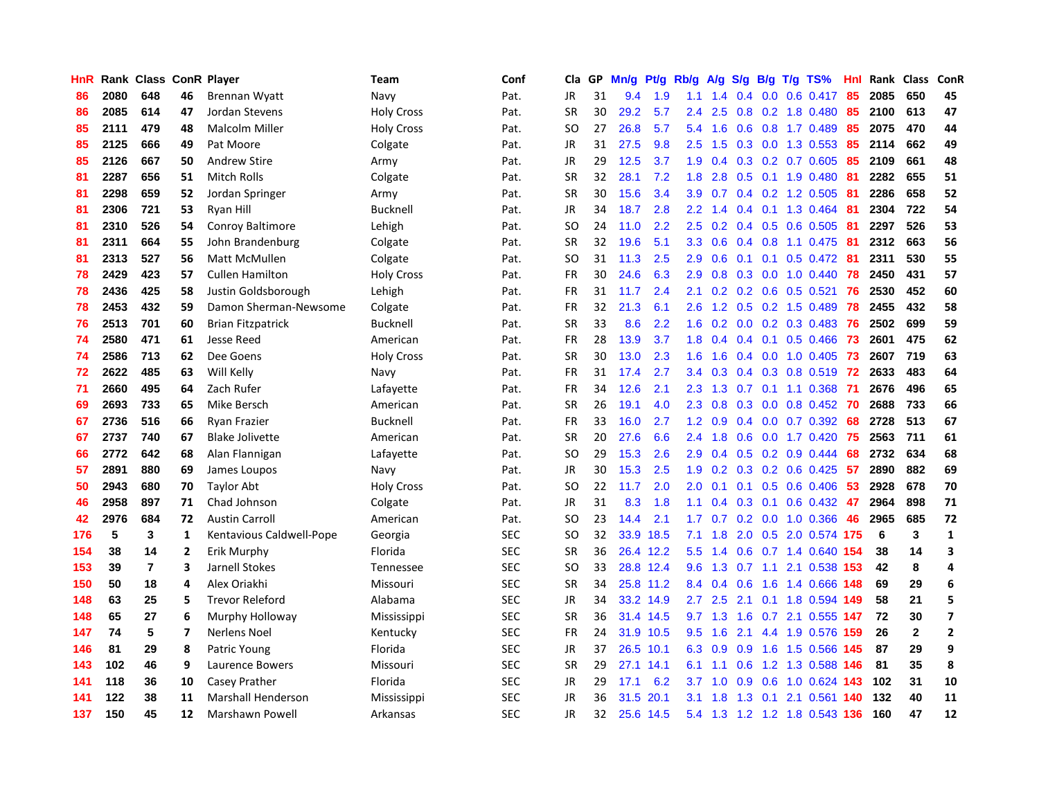| <b>HnR</b> |      | Rank Class ConR Player |    |                           | Team              | Conf       | Cla       | <b>GP</b> | Mn/g      | Pt/g      | Rb/g             | A/g             | S/g           |     | B/g T/g TS%               | Hnl  | Rank | <b>Class</b> | ConR                    |
|------------|------|------------------------|----|---------------------------|-------------------|------------|-----------|-----------|-----------|-----------|------------------|-----------------|---------------|-----|---------------------------|------|------|--------------|-------------------------|
| 86         | 2080 | 648                    | 46 | Brennan Wyatt             | Navy              | Pat.       | JR.       | 31        | 9.4       | 1.9       | 1.1              | 1.4             | 0.4           |     | $0.0$ 0.6 0.417           | -85  | 2085 | 650          | 45                      |
| 86         | 2085 | 614                    | 47 | Jordan Stevens            | <b>Holy Cross</b> | Pat.       | <b>SR</b> | 30        | 29.2      | 5.7       | $2.4^{\circ}$    | 2.5             |               |     | $0.8$ 0.2 1.8 0.480       | 85   | 2100 | 613          | 47                      |
| 85         | 2111 | 479                    | 48 | Malcolm Miller            | <b>Holy Cross</b> | Pat.       | SO        | 27        | 26.8      | 5.7       | 5.4              | 1.6             |               |     | $0.6$ $0.8$ 1.7 $0.489$   | 85   | 2075 | 470          | 44                      |
| 85         | 2125 | 666                    | 49 | Pat Moore                 | Colgate           | Pat.       | JR        | 31        | 27.5      | 9.8       | 2.5              | 1.5             |               |     | 0.3 0.0 1.3 0.553         | 85   | 2114 | 662          | 49                      |
| 85         | 2126 | 667                    | 50 | <b>Andrew Stire</b>       | Army              | Pat.       | JR        | 29        | 12.5      | 3.7       | 1.9              | 0.4             |               |     | $0.3$ 0.2 0.7 0.605       | 85   | 2109 | 661          | 48                      |
| 81         | 2287 | 656                    | 51 | Mitch Rolls               | Colgate           | Pat.       | <b>SR</b> | 32        | 28.1      | 7.2       | 1.8              | 2.8             | 0.5           |     | $0.1$ 1.9 0.480           | -81  | 2282 | 655          | 51                      |
| 81         | 2298 | 659                    | 52 | Jordan Springer           | Army              | Pat.       | <b>SR</b> | 30        | 15.6      | 3.4       | 3.9 <sup>°</sup> | 0.7             | 0.4           |     | $0.2$ 1.2 0.505           | -81  | 2286 | 658          | 52                      |
| 81         | 2306 | 721                    | 53 | Ryan Hill                 | <b>Bucknell</b>   | Pat.       | JR.       | 34        | 18.7      | 2.8       | $2.2^{\circ}$    | 1.4             | 0.4           |     | $0.1$ 1.3 0.464           | -81  | 2304 | 722          | 54                      |
| 81         | 2310 | 526                    | 54 | <b>Conroy Baltimore</b>   | Lehigh            | Pat.       | <b>SO</b> | 24        | 11.0      | 2.2       | 2.5              | 0.2             |               |     | $0.4$ 0.5 0.6 0.505       | -81  | 2297 | 526          | 53                      |
| 81         | 2311 | 664                    | 55 | John Brandenburg          | Colgate           | Pat.       | <b>SR</b> | 32        | 19.6      | 5.1       |                  | $3.3 \quad 0.6$ |               |     | 0.4 0.8 1.1 0.475 81      |      | 2312 | 663          | 56                      |
| 81         | 2313 | 527                    | 56 | <b>Matt McMullen</b>      | Colgate           | Pat.       | SO.       | 31        | 11.3      | 2.5       | $2.9^{\circ}$    | 0.6             |               |     | $0.1$ 0.1 0.5 0.472 81    |      | 2311 | 530          | 55                      |
| 78         | 2429 | 423                    | 57 | <b>Cullen Hamilton</b>    | <b>Holy Cross</b> | Pat.       | <b>FR</b> | 30        | 24.6      | 6.3       | 2.9              | 0.8             |               |     | $0.3$ 0.0 1.0 0.440       | -78  | 2450 | 431          | 57                      |
| 78         | 2436 | 425                    | 58 | Justin Goldsborough       | Lehigh            | Pat.       | <b>FR</b> | 31        | 11.7      | 2.4       | 2.1              | 0.2             |               |     | $0.2$ 0.6 0.5 0.521       | 76   | 2530 | 452          | 60                      |
| 78         | 2453 | 432                    | 59 | Damon Sherman-Newsome     | Colgate           | Pat.       | FR        | 32        | 21.3      | 6.1       | 2.6              | 1.2             | 0.5           |     | $0.2$ 1.5 0.489           | 78   | 2455 | 432          | 58                      |
| 76         | 2513 | 701                    | 60 | <b>Brian Fitzpatrick</b>  | <b>Bucknell</b>   | Pat.       | <b>SR</b> | 33        | 8.6       | 2.2       | 1.6              | 0.2             | 0.0           |     | $0.2$ 0.3 0.483           | 76   | 2502 | 699          | 59                      |
| 74         | 2580 | 471                    | 61 | <b>Jesse Reed</b>         | American          | Pat.       | FR        | 28        | 13.9      | 3.7       | 1.8              | 0.4             | $0.4^{\circ}$ |     | $0.1$ 0.5 0.466           | -73  | 2601 | 475          | 62                      |
| 74         | 2586 | 713                    | 62 | Dee Goens                 | <b>Holy Cross</b> | Pat.       | <b>SR</b> | 30        | 13.0      | 2.3       | 1.6              | 1.6             | $0.4^{\circ}$ |     | $0.0$ 1.0 0.405           | -73  | 2607 | 719          | 63                      |
| 72         | 2622 | 485                    | 63 | Will Kelly                | Navy              | Pat.       | <b>FR</b> | 31        | 17.4      | 2.7       | $3.4^{\circ}$    | 0.3             |               |     | 0.4 0.3 0.8 0.519 72      |      | 2633 | 483          | 64                      |
| 71         | 2660 | 495                    | 64 | Zach Rufer                | Lafayette         | Pat.       | <b>FR</b> | 34        | 12.6      | 2.1       | $2.3^{\circ}$    | 1.3             |               |     | 0.7 0.1 1.1 0.368 71      |      | 2676 | 496          | 65                      |
| 69         | 2693 | 733                    | 65 | Mike Bersch               | American          | Pat.       | <b>SR</b> | 26        | 19.1      | 4.0       | $2.3^{\circ}$    | 0.8             |               |     | 0.3 0.0 0.8 0.452 70      |      | 2688 | 733          | 66                      |
| 67         | 2736 | 516                    | 66 | <b>Ryan Frazier</b>       | Bucknell          | Pat.       | FR        | 33        | 16.0      | 2.7       | 1.2              | 0.9             |               |     | $0.4$ 0.0 0.7 0.392       | 68   | 2728 | 513          | 67                      |
| 67         | 2737 | 740                    | 67 | <b>Blake Jolivette</b>    | American          | Pat.       | <b>SR</b> | 20        | 27.6      | 6.6       | $2.4^{\circ}$    | 1.8             | 0.6           |     | $0.0$ 1.7 $0.420$         | 75   | 2563 | 711          | 61                      |
| 66         | 2772 | 642                    | 68 | Alan Flannigan            | Lafayette         | Pat.       | SO        | 29        | 15.3      | 2.6       | 2.9 <sup>°</sup> | 0.4             | 0.5           |     | $0.2$ 0.9 0.444           | 68   | 2732 | 634          | 68                      |
| 57         | 2891 | 880                    | 69 | James Loupos              | Navy              | Pat.       | JR        | 30        | 15.3      | 2.5       | 1.9 <sup>°</sup> | 0.2             | 0.3           |     | $0.2$ 0.6 0.425           | 57   | 2890 | 882          | 69                      |
| 50         | 2943 | 680                    | 70 | Taylor Abt                | <b>Holy Cross</b> | Pat.       | SO        | 22        | 11.7      | 2.0       | 2.0              | 0.1             | 0.1           |     | $0.5$ 0.6 0.406           | 53   | 2928 | 678          | 70                      |
| 46         | 2958 | 897                    | 71 | Chad Johnson              | Colgate           | Pat.       | <b>JR</b> | 31        | 8.3       | 1.8       | 1.1              | 0.4             |               |     | 0.3 0.1 0.6 0.432 47      |      | 2964 | 898          | 71                      |
| 42         | 2976 | 684                    | 72 | <b>Austin Carroll</b>     | American          | Pat.       | <b>SO</b> | 23        | 14.4      | 2.1       |                  |                 |               |     | 1.7 0.7 0.2 0.0 1.0 0.366 | -46  | 2965 | 685          | 72                      |
| 176        | 5    | 3                      | 1  | Kentavious Caldwell-Pope  | Georgia           | <b>SEC</b> | <b>SO</b> | 32        |           | 33.9 18.5 | 7.1              | 1.8             |               |     | 2.0 0.5 2.0 0.574 175     |      | 6    | 3            | $\mathbf{1}$            |
| 154        | 38   | 14                     | 2  | <b>Erik Murphy</b>        | Florida           | <b>SEC</b> | <b>SR</b> | 36        |           | 26.4 12.2 | 5.5              | 1.4             |               |     | $0.6$ 0.7 1.4 0.640       | 154  | 38   | 14           | 3                       |
| 153        | 39   | $\overline{7}$         | 3  | Jarnell Stokes            | Tennessee         | <b>SEC</b> | <b>SO</b> | 33        |           | 28.8 12.4 | 9.6              | 1.3             | 0.7           | 1.1 | 2.1 0.538                 | -153 | 42   | 8            | 4                       |
| 150        | 50   | 18                     | 4  | Alex Oriakhi              | Missouri          | <b>SEC</b> | <b>SR</b> | 34        |           | 25.8 11.2 | 8.4              | 0.4             | 0.6           |     | 1.6 1.4 0.666             | 148  | 69   | 29           | 6                       |
| 148        | 63   | 25                     | 5  | <b>Trevor Releford</b>    | Alabama           | <b>SEC</b> | <b>JR</b> | 34        |           | 33.2 14.9 | 2.7              | 2.5             | 2.1           |     | 0.1 1.8 0.594             | 149  | 58   | 21           | 5                       |
| 148        | 65   | 27                     | 6  | Murphy Holloway           | Mississippi       | <b>SEC</b> | <b>SR</b> | 36        |           | 31.4 14.5 | 9.7              | 1.3             | 1.6           |     | $0.7$ 2.1 $0.555$         | 147  | 72   | 30           | $\overline{\mathbf{z}}$ |
| 147        | 74   | 5                      | 7  | <b>Nerlens Noel</b>       | Kentucky          | <b>SEC</b> | <b>FR</b> | 24        |           | 31.9 10.5 | 9.5              | 1.6             | 2.1           |     | 4.4 1.9 0.576             | 159  | 26   | $\mathbf{2}$ | $\mathbf{2}$            |
| 146        | 81   | 29                     | 8  | Patric Young              | Florida           | <b>SEC</b> | JR        | 37        | 26.5 10.1 |           | 6.3              | 0.9             |               |     | 0.9 1.6 1.5 0.566 145     |      | 87   | 29           | 9                       |
| 143        | 102  | 46                     | 9  | Laurence Bowers           | Missouri          | <b>SEC</b> | <b>SR</b> | 29        | 27.1      | 14.1      | 6.1              | 1.1             |               |     | 0.6 1.2 1.3 0.588 146     |      | 81   | 35           | 8                       |
| 141        | 118  | 36                     | 10 | Casey Prather             | Florida           | <b>SEC</b> | JR        | 29        | 17.1      | 6.2       | 3.7              | 1.0             | 0.9           |     | 0.6 1.0 0.624 143         |      | 102  | 31           | 10                      |
| 141        | 122  | 38                     | 11 | <b>Marshall Henderson</b> | Mississippi       | <b>SEC</b> | <b>JR</b> | 36        | 31.5      | 20.1      | 3.1              | 1.8             | 1.3           | 0.1 | 2.1 0.561                 | 140  | 132  | 40           | 11                      |
| 137        | 150  | 45                     | 12 | <b>Marshawn Powell</b>    | Arkansas          | <b>SEC</b> | <b>JR</b> | 32        |           | 25.6 14.5 | 5.4              | 1.3             |               |     | 1.2 1.2 1.8 0.543 136     |      | 160  | 47           | 12                      |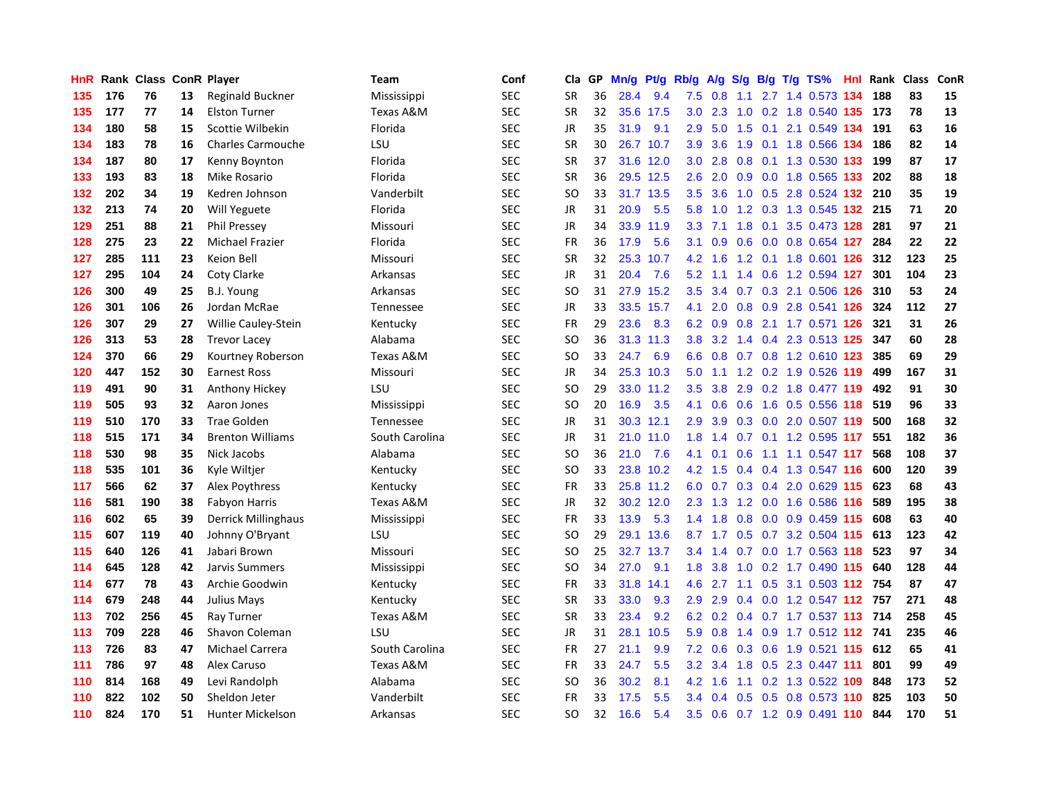| HnR |     | Rank Class ConR Player |    |                          | <b>Team</b>    | Conf       | Cla       | <b>GP</b> | Mn/g | <b>Pt/g</b> | Rb/g             | A/g     |                  |  | S/g B/g T/g TS%              | Hnl | Rank | Class | ConR |
|-----|-----|------------------------|----|--------------------------|----------------|------------|-----------|-----------|------|-------------|------------------|---------|------------------|--|------------------------------|-----|------|-------|------|
| 135 | 176 | 76                     | 13 | Reginald Buckner         | Mississippi    | <b>SEC</b> | <b>SR</b> | 36        | 28.4 | 9.4         | 7.5              | 0.8     | 1.1              |  | 2.7 1.4 0.573 134            |     | 188  | 83    | 15   |
| 135 | 177 | 77                     | 14 | <b>Elston Turner</b>     | Texas A&M      | <b>SEC</b> | <b>SR</b> | 32        |      | 35.6 17.5   | 3.0              | 2.3     |                  |  | 1.0 0.2 1.8 0.540 135 173    |     |      | 78    | 13   |
| 134 | 180 | 58                     | 15 | Scottie Wilbekin         | Florida        | <b>SEC</b> | JR        | 35        | 31.9 | 9.1         | 2.9              | 5.0     |                  |  | 1.5 0.1 2.1 0.549 134        |     | 191  | 63    | 16   |
| 134 | 183 | 78                     | 16 | <b>Charles Carmouche</b> | LSU            | <b>SEC</b> | <b>SR</b> | 30        | 26.7 | 10.7        | 3.9 <sup>°</sup> | 3.6     | 1.9              |  | 0.1 1.8 0.566 134            |     | 186  | 82    | 14   |
| 134 | 187 | 80                     | 17 | Kenny Boynton            | Florida        | <b>SEC</b> | <b>SR</b> | 37        | 31.6 | 12.0        | 3.0 <sub>2</sub> | 2.8     | 0.8              |  | 0.1 1.3 0.530                | 133 | 199  | 87    | 17   |
| 133 | 193 | 83                     | 18 | Mike Rosario             | Florida        | <b>SEC</b> | <b>SR</b> | 36        |      | 29.5 12.5   | 2.6              | 2.0     |                  |  | 0.9 0.0 1.8 0.565 133        |     | 202  | 88    | 18   |
| 132 | 202 | 34                     | 19 | Kedren Johnson           | Vanderbilt     | <b>SEC</b> | SO.       | 33        | 31.7 | 13.5        | 3.5              | 3.6     | 1.0              |  | 0.5 2.8 0.524 132            |     | 210  | 35    | 19   |
| 132 | 213 | 74                     | 20 | Will Yeguete             | Florida        | SEC        | JR        | 31        | 20.9 | 5.5         | 5.8              | 1.0     |                  |  | 1.2 0.3 1.3 0.545 132        |     | 215  | 71    | 20   |
| 129 | 251 | 88                     | 21 | <b>Phil Pressey</b>      | Missouri       | <b>SEC</b> | JR        | 34        | 33.9 | 11.9        | 3.3 <sub>2</sub> | 7.1     | 1.8              |  | 0.1 3.5 0.473 128            |     | 281  | 97    | 21   |
| 128 | 275 | 23                     | 22 | <b>Michael Frazier</b>   | Florida        | SEC        | <b>FR</b> | 36        | 17.9 | 5.6         | 3.1              | 0.9     |                  |  | 0.6 0.0 0.8 0.654 127        |     | 284  | 22    | 22   |
| 127 | 285 | 111                    | 23 | Keion Bell               | Missouri       | <b>SEC</b> | <b>SR</b> | 32        |      | 25.3 10.7   | 4.2              | 1.6     |                  |  | 1.2 0.1 1.8 0.601 126        |     | -312 | 123   | 25   |
| 127 | 295 | 104                    | 24 | <b>Coty Clarke</b>       | Arkansas       | <b>SEC</b> | JR        | 31        | 20.4 | 7.6         | 5.2              | 1.1     |                  |  | 1.4 0.6 1.2 0.594 <b>127</b> |     | 301  | 104   | 23   |
| 126 | 300 | 49                     | 25 | B.J. Young               | Arkansas       | <b>SEC</b> | <b>SO</b> | 31        | 27.9 | 15.2        | 3.5              | 3.4     |                  |  | 0.7 0.3 2.1 0.506 126        |     | 310  | 53    | 24   |
| 126 | 301 | 106                    | 26 | Jordan McRae             | Tennessee      | <b>SEC</b> | JR        | 33        | 33.5 | 15.7        | 4.1              | 2.0     |                  |  | 0.8 0.9 2.8 0.541 126        |     | 324  | 112   | 27   |
| 126 | 307 | 29                     | 27 | Willie Cauley-Stein      | Kentucky       | <b>SEC</b> | <b>FR</b> | 29        | 23.6 | 8.3         | 6.2              | 0.9     | 0.8              |  | 2.1 1.7 0.571 126            |     | 321  | 31    | 26   |
| 126 | 313 | 53                     | 28 | <b>Trevor Lacey</b>      | Alabama        | <b>SEC</b> | SO        | 36        | 31.3 | 11.3        | 3.8 <sub>2</sub> | 3.2     |                  |  | 1.4 0.4 2.3 0.513 125        |     | 347  | 60    | 28   |
| 124 | 370 | 66                     | 29 | Kourtney Roberson        | Texas A&M      | <b>SEC</b> | <b>SO</b> | 33        | 24.7 | 6.9         | 6.6              | 0.8     |                  |  | 0.7 0.8 1.2 0.610 123        |     | 385  | 69    | 29   |
| 120 | 447 | 152                    | 30 | <b>Earnest Ross</b>      | Missouri       | <b>SEC</b> | JR        | 34        |      | 25.3 10.3   | 5.0              | 1.1     |                  |  | 1.2 0.2 1.9 0.526 119        |     | 499  | 167   | 31   |
| 119 | 491 | 90                     | 31 | Anthony Hickey           | LSU            | <b>SEC</b> | <b>SO</b> | 29        |      | 33.0 11.2   | 3.5              | 3.8     |                  |  | 2.9 0.2 1.8 0.477 119        |     | 492  | 91    | 30   |
| 119 | 505 | 93                     | 32 | Aaron Jones              | Mississippi    | <b>SEC</b> | SO.       | 20        | 16.9 | 3.5         | 4.1              | 0.6     |                  |  | 0.6 1.6 0.5 0.556 118        |     | 519  | 96    | 33   |
| 119 | 510 | 170                    | 33 | <b>Trae Golden</b>       | Tennessee      | <b>SEC</b> | JR        | 31        | 30.3 | 12.1        | 2.9              | 3.9     |                  |  | 0.3 0.0 2.0 0.507 119        |     | 500  | 168   | 32   |
| 118 | 515 | 171                    | 34 | <b>Brenton Williams</b>  | South Carolina | <b>SEC</b> | JR        | 31        | 21.0 | 11.0        | 1.8              | 1.4     |                  |  | $0.7$ 0.1 1.2 0.595 117      |     | 551  | 182   | 36   |
| 118 | 530 | 98                     | 35 | Nick Jacobs              | Alabama        | <b>SEC</b> | SO.       | 36        | 21.0 | 7.6         | 4.1              | 0.1     | 0.6              |  | 1.1 1.1 0.547 117            |     | 568  | 108   | 37   |
| 118 | 535 | 101                    | 36 | Kyle Wiltjer             | Kentucky       | <b>SEC</b> | SO.       | 33        | 23.8 | 10.2        | 4.2              | 1.5     |                  |  | 0.4 0.4 1.3 0.547 116        |     | 600  | 120   | 39   |
| 117 | 566 | 62                     | 37 | Alex Poythress           | Kentucky       | <b>SEC</b> | <b>FR</b> | 33        |      | 25.8 11.2   | 6.0              | 0.7     |                  |  | 0.3 0.4 2.0 0.629 115        |     | 623  | 68    | 43   |
| 116 | 581 | 190                    | 38 | Fabyon Harris            | Texas A&M      | <b>SEC</b> | <b>JR</b> | 32        |      | 30.2 12.0   | 2.3              | 1.3     |                  |  | 1.2 0.0 1.6 0.586 116        |     | 589  | 195   | 38   |
| 116 | 602 | 65                     | 39 | Derrick Millinghaus      | Mississippi    | <b>SEC</b> | <b>FR</b> | 33        | 13.9 | 5.3         | 1.4              | 1.8     |                  |  | 0.8 0.0 0.9 0.459 115        |     | 608  | 63    | 40   |
| 115 | 607 | 119                    | 40 | Johnny O'Bryant          | LSU            | <b>SEC</b> | <b>SO</b> | 29        | 29.1 | 13.6        |                  | 8.7 1.7 |                  |  | 0.5 0.7 3.2 0.504 115 613    |     |      | 123   | 42   |
| 115 | 640 | 126                    | 41 | Jabari Brown             | Missouri       | <b>SEC</b> | <b>SO</b> | 25        | 32.7 | 13.7        | 3.4              | 1.4     |                  |  | 0.7 0.0 1.7 0.563 118        |     | 523  | 97    | 34   |
| 114 | 645 | 128                    | 42 | Jarvis Summers           | Mississippi    | <b>SEC</b> | SO        | 34        | 27.0 | 9.1         | 1.8              | 3.8     | 1.0 <sub>1</sub> |  | 0.2 1.7 0.490 115            |     | 640  | 128   | 44   |
| 114 | 677 | 78                     | 43 | Archie Goodwin           | Kentucky       | <b>SEC</b> | FR        | 33        | 31.8 | 14.1        | 4.6              | 2.7     |                  |  | 1.1 0.5 3.1 0.503 112        |     | 754  | 87    | 47   |
| 114 | 679 | 248                    | 44 | <b>Julius Mays</b>       | Kentucky       | <b>SEC</b> | <b>SR</b> | 33        | 33.0 | 9.3         | 2.9              | 2.9     | 0.4              |  | 0.0 1.2 0.547 112            |     | 757  | 271   | 48   |
| 113 | 702 | 256                    | 45 | Ray Turner               | Texas A&M      | SEC        | <b>SR</b> | 33        | 23.4 | 9.2         | 6.2              | 0.2     |                  |  | $0.4$ 0.7 1.7 0.537 113      |     | 714  | 258   | 45   |
| 113 | 709 | 228                    | 46 | Shavon Coleman           | LSU            | <b>SEC</b> | <b>JR</b> | 31        | 28.1 | 10.5        | 5.9              | 0.8     | 1.4              |  | 0.9 1.7 0.512 112 741        |     |      | 235   | 46   |
| 113 | 726 | 83                     | 47 | Michael Carrera          | South Carolina | <b>SEC</b> | <b>FR</b> | 27        | 21.1 | 9.9         | 7.2              | 0.6     |                  |  | 0.3 0.6 1.9 0.521 115 612    |     |      | 65    | 41   |
| 111 | 786 | 97                     | 48 | Alex Caruso              | Texas A&M      | <b>SEC</b> | <b>FR</b> | 33        | 24.7 | 5.5         | 3.2              | 3.4     |                  |  | 1.8 0.5 2.3 0.447 111        |     | 801  | 99    | 49   |
| 110 | 814 | 168                    | 49 | Levi Randolph            | Alabama        | <b>SEC</b> | SO        | 36        | 30.2 | 8.1         | 4.2              | 1.6     |                  |  | 1.1 0.2 1.3 0.522 109        |     | 848  | 173   | 52   |
| 110 | 822 | 102                    | 50 | Sheldon Jeter            | Vanderbilt     | <b>SEC</b> | <b>FR</b> | 33        | 17.5 | 5.5         | 3.4              | 0.4     | 0.5              |  | 0.5 0.8 0.573 110            |     | 825  | 103   | 50   |
| 110 | 824 | 170                    | 51 | <b>Hunter Mickelson</b>  | Arkansas       | <b>SEC</b> | SO        | 32        | 16.6 | 5.4         | 3.5              | 0.6     |                  |  | 0.7 1.2 0.9 0.491 110        |     | 844  | 170   | 51   |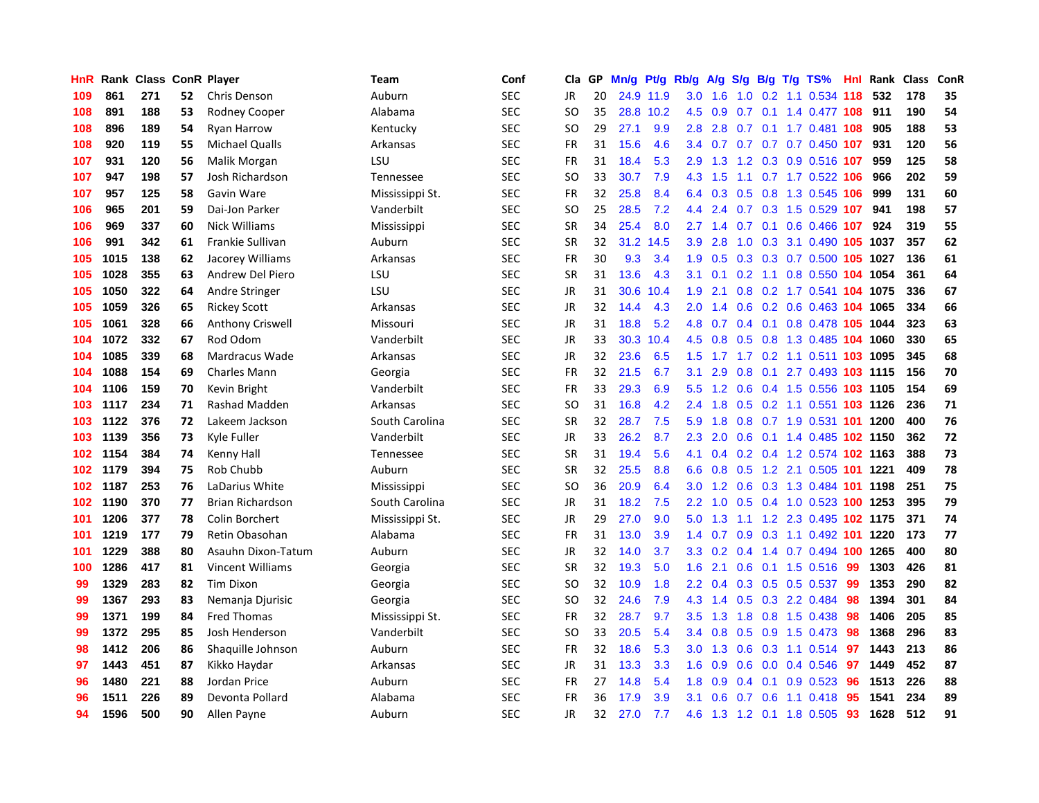| HnR | Rank | <b>Class</b> |    | <b>ConR Player</b>      | Team            | Conf       | Cla           | <b>GP</b> | Mn/g | <b>Pt/g</b> | Rb/g             | A/g |     |                 | S/g B/g T/g TS%             | Hnl | Rank | <b>Class</b> | <b>ConR</b> |
|-----|------|--------------|----|-------------------------|-----------------|------------|---------------|-----------|------|-------------|------------------|-----|-----|-----------------|-----------------------------|-----|------|--------------|-------------|
| 109 | 861  | 271          | 52 | Chris Denson            | Auburn          | SEC        | JR            | 20        |      | 24.9 11.9   | 3.0 <sub>2</sub> | 1.6 |     |                 | 1.0 0.2 1.1 0.534 118       |     | 532  | 178          | 35          |
| 108 | 891  | 188          | 53 | <b>Rodney Cooper</b>    | Alabama         | <b>SEC</b> | <b>SO</b>     | 35        | 28.8 | 10.2        | 4.5              | 0.9 |     |                 | 0.7 0.1 1.4 0.477 108 911   |     |      | 190          | 54          |
| 108 | 896  | 189          | 54 | Ryan Harrow             | Kentucky        | SEC        | SO            | 29        | 27.1 | 9.9         | 2.8              | 2.8 |     |                 | $0.7$ 0.1 1.7 0.481 108     |     | 905  | 188          | 53          |
| 108 | 920  | 119          | 55 | <b>Michael Qualls</b>   | Arkansas        | <b>SEC</b> | FR            | 31        | 15.6 | 4.6         | 3.4              |     |     |                 | $0.7$ 0.7 0.7 0.7 0.450 107 |     | 931  | 120          | 56          |
| 107 | 931  | 120          | 56 | Malik Morgan            | LSU             | <b>SEC</b> | FR            | 31        | 18.4 | 5.3         | 2.9              | 1.3 |     |                 | 1.2 0.3 0.9 0.516 107       |     | 959  | 125          | 58          |
| 107 | 947  | 198          | 57 | Josh Richardson         | Tennessee       | <b>SEC</b> | SO            | 33        | 30.7 | 7.9         | 4.3              | 1.5 |     |                 | 1.1 0.7 1.7 0.522 106       |     | 966  | 202          | 59          |
| 107 | 957  | 125          | 58 | Gavin Ware              | Mississippi St. | <b>SEC</b> | <b>FR</b>     | 32        | 25.8 | 8.4         | 6.4              | 0.3 |     |                 | 0.5 0.8 1.3 0.545 106       |     | 999  | 131          | 60          |
| 106 | 965  | 201          | 59 | Dai-Jon Parker          | Vanderbilt      | <b>SEC</b> | <b>SO</b>     | 25        | 28.5 | 7.2         | 4.4              | 2.4 |     |                 | 0.7 0.3 1.5 0.529 107       |     | 941  | 198          | 57          |
| 106 | 969  | 337          | 60 | Nick Williams           | Mississippi     | <b>SEC</b> | <b>SR</b>     | 34        | 25.4 | 8.0         | 2.7              | 1.4 |     |                 | 0.7 0.1 0.6 0.466 107       |     | 924  | 319          | 55          |
| 106 | 991  | 342          | 61 | Frankie Sullivan        | Auburn          | <b>SEC</b> | <b>SR</b>     | 32        | 31.2 | 14.5        | 3.9 <sub>2</sub> | 2.8 |     |                 | 1.0 0.3 3.1 0.490 105 1037  |     |      | 357          | 62          |
| 105 | 1015 | 138          | 62 | Jacorey Williams        | Arkansas        | <b>SEC</b> | <b>FR</b>     | 30        | 9.3  | 3.4         | 1.9              | 0.5 |     |                 | 0.3 0.3 0.7 0.500 105 1027  |     |      | 136          | 61          |
| 105 | 1028 | 355          | 63 | Andrew Del Piero        | LSU             | <b>SEC</b> | <b>SR</b>     | 31        | 13.6 | 4.3         | 3.1              | 0.1 |     |                 | 0.2 1.1 0.8 0.550 104 1054  |     |      | 361          | 64          |
| 105 | 1050 | 322          | 64 | Andre Stringer          | LSU             | <b>SEC</b> | JR            | 31        | 30.6 | 10.4        | 1.9              | 2.1 | 0.8 |                 | 0.2 1.7 0.541 104 1075      |     |      | 336          | 67          |
| 105 | 1059 | 326          | 65 | <b>Rickey Scott</b>     | Arkansas        | <b>SEC</b> | JR            | 32        | 14.4 | 4.3         | 2.0              | 1.4 |     |                 | 0.6 0.2 0.6 0.463 104 1065  |     |      | 334          | 66          |
| 105 | 1061 | 328          | 66 | <b>Anthony Criswell</b> | Missouri        | <b>SEC</b> | JR            | 31        | 18.8 | 5.2         | 4.8              | 0.7 |     |                 | 0.4 0.1 0.8 0.478 105 1044  |     |      | 323          | 63          |
| 104 | 1072 | 332          | 67 | Rod Odom                | Vanderbilt      | <b>SEC</b> | JR            | 33        | 30.3 | 10.4        | 4.5              | 0.8 | 0.5 |                 | 0.8 1.3 0.485 104 1060      |     |      | 330          | 65          |
| 104 | 1085 | 339          | 68 | Mardracus Wade          | Arkansas        | <b>SEC</b> | <b>JR</b>     | 32        | 23.6 | 6.5         | 1.5              | 1.7 |     |                 | 1.7 0.2 1.1 0.511 103 1095  |     |      | 345          | 68          |
| 104 | 1088 | 154          | 69 | <b>Charles Mann</b>     | Georgia         | SEC        | FR            | 32        | 21.5 | 6.7         | 3.1              | 2.9 | 0.8 |                 | 0.1 2.7 0.493 103 1115      |     |      | 156          | 70          |
| 104 | 1106 | 159          | 70 | Kevin Bright            | Vanderbilt      | <b>SEC</b> | FR            | 33        | 29.3 | 6.9         | 5.5              | 1.2 |     |                 | 0.6 0.4 1.5 0.556 103 1105  |     |      | 154          | 69          |
| 103 | 1117 | 234          | 71 | Rashad Madden           | Arkansas        | SEC        | SO            | 31        | 16.8 | 4.2         | $2.4^{\circ}$    | 1.8 |     |                 | 0.5 0.2 1.1 0.551 103 1126  |     |      | 236          | 71          |
| 103 | 1122 | 376          | 72 | Lakeem Jackson          | South Carolina  | <b>SEC</b> | <b>SR</b>     | 32        | 28.7 | 7.5         | 5.9              | 1.8 | 0.8 |                 | 0.7 1.9 0.531 101 1200      |     |      | 400          | 76          |
| 103 | 1139 | 356          | 73 | Kyle Fuller             | Vanderbilt      | SEC        | JR            | 33        | 26.2 | 8.7         | 2.3              | 2.0 | 0.6 |                 | 0.1 1.4 0.485 102 1150      |     |      | 362          | 72          |
| 102 | 1154 | 384          | 74 | Kenny Hall              | Tennessee       | <b>SEC</b> | <b>SR</b>     | 31        | 19.4 | 5.6         | 4.1              | 0.4 |     |                 | 0.2 0.4 1.2 0.574 102 1163  |     |      | 388          | 73          |
| 102 | 1179 | 394          | 75 | Rob Chubb               | Auburn          | <b>SEC</b> | <b>SR</b>     | 32        | 25.5 | 8.8         | 6.6              | 0.8 |     |                 | 0.5 1.2 2.1 0.505 101 1221  |     |      | 409          | 78          |
| 102 | 1187 | 253          | 76 | LaDarius White          | Mississippi     | <b>SEC</b> | <sub>SO</sub> | 36        | 20.9 | 6.4         | 3.0              | 1.2 | 0.6 |                 | 0.3 1.3 0.484 101 1198      |     |      | 251          | 75          |
| 102 | 1190 | 370          | 77 | Brian Richardson        | South Carolina  | SEC        | JR            | 31        | 18.2 | 7.5         | $2.2^{\circ}$    | 1.0 |     |                 | 0.5 0.4 1.0 0.523 100 1253  |     |      | 395          | 79          |
| 101 | 1206 | 377          | 78 | Colin Borchert          | Mississippi St. | <b>SEC</b> | JR            | 29        | 27.0 | 9.0         | 5.0              | 1.3 |     |                 | 1.1 1.2 2.3 0.495 102 1175  |     |      | 371          | 74          |
| 101 | 1219 | 177          | 79 | Retin Obasohan          | Alabama         | SEC        | FR            | 31        | 13.0 | 3.9         | 1.4              | 0.7 |     |                 | 0.9 0.3 1.1 0.492 101 1220  |     |      | 173          | 77          |
| 101 | 1229 | 388          | 80 | Asauhn Dixon-Tatum      | Auburn          | <b>SEC</b> | <b>JR</b>     | 32        | 14.0 | 3.7         | 3.3              | 0.2 |     |                 | 0.4 1.4 0.7 0.494 100 1265  |     |      | 400          | 80          |
| 100 | 1286 | 417          | 81 | Vincent Williams        | Georgia         | <b>SEC</b> | <b>SR</b>     | 32        | 19.3 | 5.0         | 1.6              | 2.1 | 0.6 |                 | $0.1$ 1.5 0.516             | -99 | 1303 | 426          | 81          |
| 99  | 1329 | 283          | 82 | <b>Tim Dixon</b>        | Georgia         | <b>SEC</b> | <b>SO</b>     | 32        | 10.9 | 1.8         | 2.2              | 0.4 |     |                 | 0.3 0.5 0.5 0.537           | -99 | 1353 | 290          | 82          |
| 99  | 1367 | 293          | 83 | Nemanja Djurisic        | Georgia         | <b>SEC</b> | <b>SO</b>     | 32        | 24.6 | 7.9         | 4.3              | 1.4 |     |                 | 0.5 0.3 2.2 0.484           | 98  | 1394 | 301          | 84          |
| 99  | 1371 | 199          | 84 | <b>Fred Thomas</b>      | Mississippi St. | <b>SEC</b> | FR            | 32        | 28.7 | 9.7         | 3.5              | 1.3 | 1.8 |                 | 0.8 1.5 0.438               | -98 | 1406 | 205          | 85          |
| 99  | 1372 | 295          | 85 | Josh Henderson          | Vanderbilt      | <b>SEC</b> | <b>SO</b>     | 33        | 20.5 | 5.4         | $3.4^{\circ}$    | 0.8 | 0.5 |                 | 0.9 1.5 0.473 98            |     | 1368 | 296          | 83          |
| 98  | 1412 | 206          | 86 | Shaquille Johnson       | Auburn          | <b>SEC</b> | FR            | 32        | 18.6 | 5.3         | 3.0 <sub>1</sub> | 1.3 |     |                 | 0.6 0.3 1.1 0.514 97        |     | 1443 | 213          | 86          |
| 97  | 1443 | 451          | 87 | Kikko Haydar            | Arkansas        | <b>SEC</b> | JR            | 31        | 13.3 | 3.3         | 1.6              | 0.9 |     |                 | $0.6$ 0.0 0.4 0.546         | 97  | 1449 | 452          | 87          |
| 96  | 1480 | 221          | 88 | Jordan Price            | Auburn          | <b>SEC</b> | FR            | 27        | 14.8 | 5.4         | 1.8              | 0.9 |     | $0.4 \quad 0.1$ | $0.9$ 0.523                 | -96 | 1513 | 226          | 88          |
| 96  | 1511 | 226          | 89 | Devonta Pollard         | Alabama         | <b>SEC</b> | <b>FR</b>     | 36        | 17.9 | 3.9         | 3.1              | 0.6 | 0.7 |                 | $0.6$ 1.1 0.418             | 95  | 1541 | 234          | 89          |
| 94  | 1596 | 500          | 90 | Allen Payne             | Auburn          | <b>SEC</b> | <b>JR</b>     | 32        | 27.0 | 7.7         | 4.6              |     |     |                 | 1.3 1.2 0.1 1.8 0.505       | 93  | 1628 | 512          | 91          |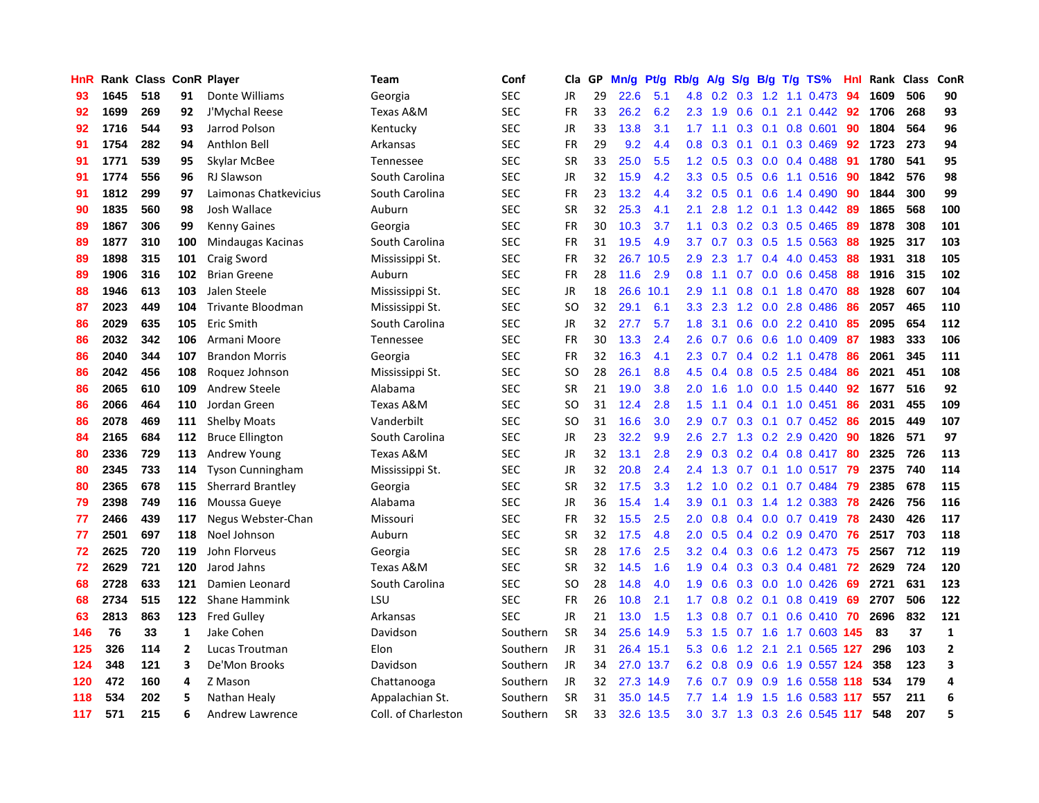| HnR |      | Rank Class |              | <b>ConR Player</b>       | Team                | Conf       | Cla.      | <b>GP</b> | Mn/g      | <b>Pt/g</b> | Rb/g             | A/g | S/g              |     | B/g T/g TS%               | Hnl | Rank | <b>Class</b> | <b>ConR</b>    |
|-----|------|------------|--------------|--------------------------|---------------------|------------|-----------|-----------|-----------|-------------|------------------|-----|------------------|-----|---------------------------|-----|------|--------------|----------------|
| 93  | 1645 | 518        | 91           | Donte Williams           | Georgia             | <b>SEC</b> | <b>JR</b> | 29        | 22.6      | 5.1         | 4.8              | 0.2 | 0.3              |     | $1.2$ 1.1 0.473           | -94 | 1609 | 506          | 90             |
| 92  | 1699 | 269        | 92           | J'Mychal Reese           | Texas A&M           | <b>SEC</b> | <b>FR</b> | 33        | 26.2      | 6.2         | 2.3              | 1.9 | 0.6              |     | $0.1$ 2.1 0.442 92        |     | 1706 | 268          | 93             |
| 92  | 1716 | 544        | 93           | Jarrod Polson            | Kentucky            | <b>SEC</b> | JR        | 33        | 13.8      | 3.1         | 1.7              | 1.1 |                  |     | $0.3$ 0.1 0.8 0.601       | 90  | 1804 | 564          | 96             |
| 91  | 1754 | 282        | 94           | Anthlon Bell             | Arkansas            | <b>SEC</b> | <b>FR</b> | 29        | 9.2       | 4.4         | 0.8              | 0.3 |                  |     | $0.1$ 0.1 0.3 0.469       | 92  | 1723 | 273          | 94             |
| 91  | 1771 | 539        | 95           | Skylar McBee             | Tennessee           | <b>SEC</b> | <b>SR</b> | 33        | 25.0      | 5.5         | 1.2              | 0.5 | 0.3              |     | $0.0$ 0.4 0.488           | 91  | 1780 | 541          | 95             |
| 91  | 1774 | 556        | 96           | <b>RJ Slawson</b>        | South Carolina      | <b>SEC</b> | JR        | 32        | 15.9      | 4.2         | 3.3 <sub>2</sub> | 0.5 | 0.5              |     | $0.6$ 1.1 0.516           | -90 | 1842 | 576          | 98             |
| 91  | 1812 | 299        | 97           | Laimonas Chatkevicius    | South Carolina      | <b>SEC</b> | <b>FR</b> | 23        | 13.2      | 4.4         | 3.2              | 0.5 | 0.1              |     | $0.6$ 1.4 0.490           | 90  | 1844 | 300          | 99             |
| 90  | 1835 | 560        | 98           | Josh Wallace             | Auburn              | <b>SEC</b> | <b>SR</b> | 32        | 25.3      | 4.1         | 2.1              | 2.8 | 1.2              |     | $0.1$ 1.3 0.442           | -89 | 1865 | 568          | 100            |
| 89  | 1867 | 306        | 99           | <b>Kenny Gaines</b>      | Georgia             | <b>SEC</b> | <b>FR</b> | 30        | 10.3      | 3.7         | 1.1              | 0.3 |                  |     | $0.2$ 0.3 0.5 0.465       | -89 | 1878 | 308          | 101            |
| 89  | 1877 | 310        | 100          | Mindaugas Kacinas        | South Carolina      | <b>SEC</b> | <b>FR</b> | 31        | 19.5      | 4.9         | 3.7              | 0.7 |                  |     | $0.3$ 0.5 1.5 0.563       | -88 | 1925 | 317          | 103            |
| 89  | 1898 | 315        | 101          | Craig Sword              | Mississippi St.     | <b>SEC</b> | <b>FR</b> | 32        | 26.7      | 10.5        | 2.9              | 2.3 |                  |     | 1.7 0.4 4.0 0.453         | -88 | 1931 | 318          | 105            |
| 89  | 1906 | 316        | 102          | <b>Brian Greene</b>      | Auburn              | <b>SEC</b> | <b>FR</b> | 28        | 11.6      | 2.9         | 0.8              | 1.1 |                  |     | $0.7$ 0.0 0.6 0.458       | -88 | 1916 | 315          | 102            |
| 88  | 1946 | 613        | 103          | Jalen Steele             | Mississippi St.     | <b>SEC</b> | JR        | 18        | 26.6      | 10.1        | 2.9              | 1.1 | 0.8              |     | $0.1$ 1.8 0.470           | 88  | 1928 | 607          | 104            |
| 87  | 2023 | 449        | 104          | Trivante Bloodman        | Mississippi St.     | <b>SEC</b> | SO        | 32        | 29.1      | 6.1         | 3.3 <sub>2</sub> | 2.3 |                  |     | 1.2 0.0 2.8 0.486         | 86  | 2057 | 465          | 110            |
| 86  | 2029 | 635        | 105          | Eric Smith               | South Carolina      | <b>SEC</b> | <b>JR</b> | 32        | 27.7      | 5.7         | 1.8              | 3.1 | 0.6              |     | 0.0 2.2 0.410             | 85  | 2095 | 654          | 112            |
| 86  | 2032 | 342        | 106          | Armani Moore             | Tennessee           | <b>SEC</b> | <b>FR</b> | 30        | 13.3      | 2.4         | 2.6              | 0.7 | 0.6              |     | 0.6 1.0 0.409             | -87 | 1983 | 333          | 106            |
| 86  | 2040 | 344        | 107          | <b>Brandon Morris</b>    | Georgia             | <b>SEC</b> | <b>FR</b> | 32        | 16.3      | 4.1         | 2.3              | 0.7 | $0.4^{\circ}$    |     | 0.2 1.1 0.478             | 86  | 2061 | 345          | 111            |
| 86  | 2042 | 456        | 108          | Roquez Johnson           | Mississippi St.     | <b>SEC</b> | SO        | 28        | 26.1      | 8.8         | 4.5              | 0.4 | 0.8              |     | $0.5$ 2.5 0.484           | 86  | 2021 | 451          | 108            |
| 86  | 2065 | 610        | 109          | Andrew Steele            | Alabama             | <b>SEC</b> | <b>SR</b> | 21        | 19.0      | 3.8         | 2.0              | 1.6 |                  |     | $1.0$ 0.0 1.5 0.440       | 92  | 1677 | 516          | 92             |
| 86  | 2066 | 464        | 110          | Jordan Green             | Texas A&M           | <b>SEC</b> | SO        | 31        | 12.4      | 2.8         | 1.5              | 1.1 |                  |     | $0.4$ 0.1 1.0 0.451       | 86  | 2031 | 455          | 109            |
| 86  | 2078 | 469        | 111          | <b>Shelby Moats</b>      | Vanderbilt          | <b>SEC</b> | SO        | 31        | 16.6      | 3.0         | 2.9              | 0.7 | 0.3              |     | $0.1$ 0.7 0.452           | 86  | 2015 | 449          | 107            |
| 84  | 2165 | 684        | 112          | <b>Bruce Ellington</b>   | South Carolina      | <b>SEC</b> | JR        | 23        | 32.2      | 9.9         | 2.6              | 2.7 |                  |     | 1.3 0.2 2.9 0.420         | 90  | 1826 | 571          | 97             |
| 80  | 2336 | 729        | 113          | Andrew Young             | Texas A&M           | <b>SEC</b> | JR        | 32        | 13.1      | 2.8         | 2.9              | 0.3 |                  |     | $0.2$ 0.4 0.8 0.417       | 80  | 2325 | 726          | 113            |
| 80  | 2345 | 733        | 114          | <b>Tyson Cunningham</b>  | Mississippi St.     | <b>SEC</b> | JR        | 32        | 20.8      | 2.4         | $2.4^{\circ}$    | 1.3 | 0.7              |     | $0.1$ 1.0 0.517           | 79  | 2375 | 740          | 114            |
| 80  | 2365 | 678        | 115          | <b>Sherrard Brantley</b> | Georgia             | <b>SEC</b> | <b>SR</b> | 32        | 17.5      | 3.3         | 1.2              | 1.0 | 0.2 <sub>0</sub> | 0.1 | $0.7$ 0.484               | 79  | 2385 | 678          | 115            |
| 79  | 2398 | 749        | 116          | Moussa Gueye             | Alabama             | <b>SEC</b> | JR        | 36        | 15.4      | 1.4         | 3.9 <sup>°</sup> | 0.1 |                  |     | $0.3$ 1.4 1.2 0.383       | 78  | 2426 | 756          | 116            |
| 77  | 2466 | 439        | 117          | Negus Webster-Chan       | Missouri            | <b>SEC</b> | <b>FR</b> | 32        | 15.5      | 2.5         | 2.0              | 0.8 |                  |     | 0.4 0.0 0.7 0.419 78      |     | 2430 | 426          | 117            |
| 77  | 2501 | 697        | 118          | Noel Johnson             | Auburn              | <b>SEC</b> | <b>SR</b> | 32        | 17.5      | 4.8         | $2.0^{\circ}$    | 0.5 |                  |     | $0.4$ 0.2 0.9 0.470       | -76 | 2517 | 703          | 118            |
| 72  | 2625 | 720        | 119          | John Florveus            | Georgia             | <b>SEC</b> | <b>SR</b> | 28        | 17.6      | 2.5         | 3.2              | 0.4 |                  |     | 0.3 0.6 1.2 0.473 75      |     | 2567 | 712          | 119            |
| 72  | 2629 | 721        | 120          | Jarod Jahns              | Texas A&M           | <b>SEC</b> | <b>SR</b> | 32        | 14.5      | 1.6         | 1.9              | 0.4 | 0.3              |     | 0.3 0.4 0.481             | 72  | 2629 | 724          | 120            |
| 68  | 2728 | 633        | 121          | Damien Leonard           | South Carolina      | <b>SEC</b> | SO        | 28        | 14.8      | 4.0         | 1.9              | 0.6 | 0.3              |     | $0.0$ 1.0 0.426           | 69  | 2721 | 631          | 123            |
| 68  | 2734 | 515        | 122          | Shane Hammink            | LSU                 | <b>SEC</b> | <b>FR</b> | 26        | 10.8      | 2.1         | 1.7              | 0.8 | 0.2              | 0.1 | 0.8 0.419                 | 69  | 2707 | 506          | 122            |
| 63  | 2813 | 863        | 123          | <b>Fred Gulley</b>       | Arkansas            | <b>SEC</b> | <b>JR</b> | 21        | 13.0      | 1.5         | 1.3              | 0.8 | 0.7              | 0.1 | $0.6$ 0.410               | 70  | 2696 | 832          | 121            |
| 146 | 76   | 33         | $\mathbf{1}$ | Jake Cohen               | Davidson            | Southern   | <b>SR</b> | 34        | 25.6      | 14.9        | 5.3              | 1.5 |                  |     | 0.7 1.6 1.7 0.603 145     |     | 83   | 37           | $\mathbf{1}$   |
| 125 | 326  | 114        | $\mathbf{2}$ | Lucas Troutman           | Elon                | Southern   | JR        | 31        | 26.4 15.1 |             | 5.3              | 0.6 |                  |     | 1.2 2.1 2.1 0.565 127     |     | 296  | 103          | $\overline{2}$ |
| 124 | 348  | 121        | 3            | De'Mon Brooks            | Davidson            | Southern   | <b>JR</b> | 34        | 27.0 13.7 |             | 6.2              | 0.8 |                  |     | 0.9 0.6 1.9 0.557 124     |     | 358  | 123          | 3              |
| 120 | 472  | 160        | 4            | Z Mason                  | Chattanooga         | Southern   | JR        | 32        | 27.3      | 14.9        | 7.6              | 0.7 |                  |     | 0.9 0.9 1.6 0.558 118     |     | 534  | 179          | 4              |
| 118 | 534  | 202        | 5            | Nathan Healy             | Appalachian St.     | Southern   | <b>SR</b> | 31        | 35.0      | 14.5        | 7.7              | 1.4 | 1.9              | 1.5 | 1.6 0.583                 | 117 | 557  | 211          | 6              |
| 117 | 571  | 215        | 6            | Andrew Lawrence          | Coll. of Charleston | Southern   | <b>SR</b> | 33        |           | 32.6 13.5   | 3.0              |     |                  |     | 3.7 1.3 0.3 2.6 0.545 117 |     | 548  | 207          | 5              |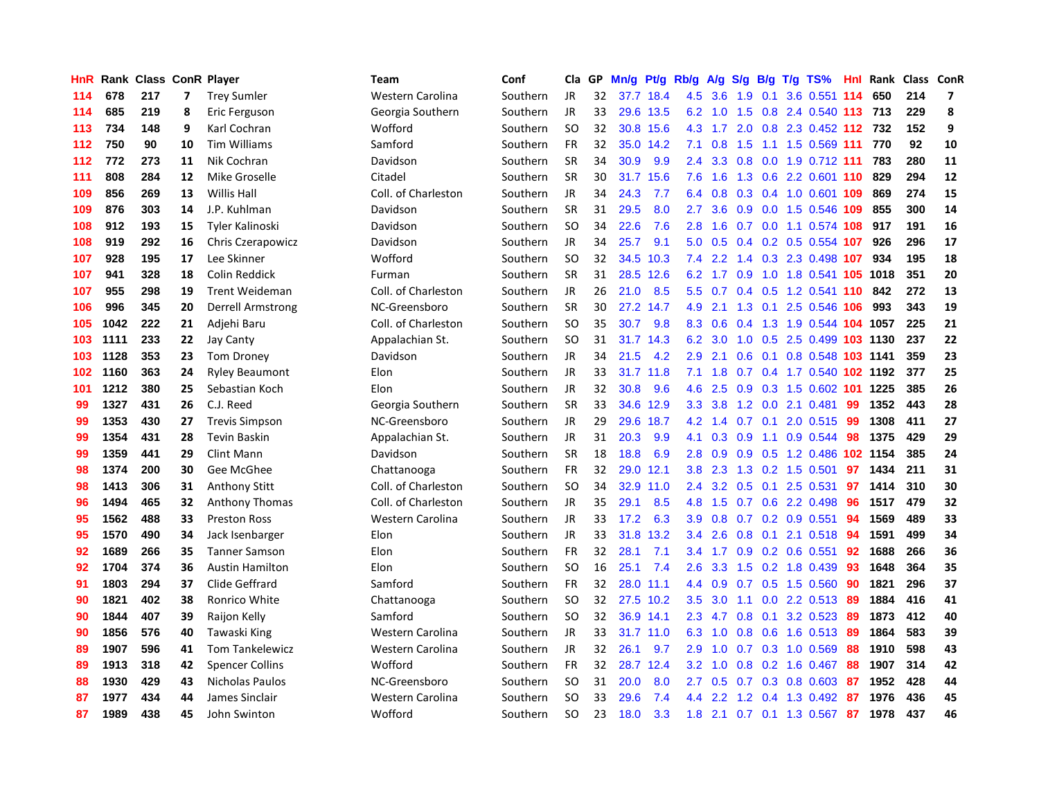| <b>HnR</b> |      | Rank Class ConR Player |    |                        | <b>Team</b>         | Conf     | Cla       | GP. | Mn/g | Pt/g      | Rb/g             | A/g              | S/g           |     | $B/g$ T/g TS%                  | Hnl | Rank     | <b>Class</b> | <b>ConR</b>             |
|------------|------|------------------------|----|------------------------|---------------------|----------|-----------|-----|------|-----------|------------------|------------------|---------------|-----|--------------------------------|-----|----------|--------------|-------------------------|
| 114        | 678  | 217                    | 7  | <b>Trey Sumler</b>     | Western Carolina    | Southern | <b>JR</b> | 32  | 37.7 | 18.4      | 4.5              | 3.6              | 1.9           | 0.1 | 3.6 0.551                      | 114 | 650      | 214          | $\overline{\mathbf{z}}$ |
| 114        | 685  | 219                    | 8  | Eric Ferguson          | Georgia Southern    | Southern | <b>JR</b> | 33  |      | 29.6 13.5 | 6.2              | 1.0              | 1.5           |     | 0.8 2.4 0.540 113 713          |     |          | 229          | 8                       |
| 113        | 734  | 148                    | 9  | Karl Cochran           | Wofford             | Southern | <b>SO</b> | 32  |      | 30.8 15.6 | 4.3              | $-1.7$           |               |     | 2.0 0.8 2.3 0.452 112 732      |     |          | 152          | 9                       |
| 112        | 750  | 90                     | 10 | <b>Tim Williams</b>    | Samford             | Southern | <b>FR</b> | 32  |      | 35.0 14.2 | 7.1              | 0.8              |               |     | 1.5 1.1 1.5 0.569 111 770      |     |          | 92           | ${\bf 10}$              |
| 112        | 772  | 273                    | 11 | Nik Cochran            | Davidson            | Southern | <b>SR</b> | 34  | 30.9 | 9.9       | 2.4              | 3.3              | 0.8           |     | 0.0 1.9 0.712 111              |     | 783      | 280          | 11                      |
| 111        | 808  | 284                    | 12 | Mike Groselle          | Citadel             | Southern | <b>SR</b> | 30  | 31.7 | 15.6      | 7.6              | 1.6              | 1.3           |     | 0.6 2.2 0.601 110              |     | 829      | 294          | 12                      |
| 109        | 856  | 269                    | 13 | <b>Willis Hall</b>     | Coll. of Charleston | Southern | JR        | 34  | 24.3 | 7.7       | 6.4              | 0.8              |               |     | 0.3 0.4 1.0 0.601 109          |     | 869      | 274          | 15                      |
| 109        | 876  | 303                    | 14 | J.P. Kuhlman           | Davidson            | Southern | <b>SR</b> | 31  | 29.5 | 8.0       | 2.7              | 3.6              | 0.9           |     | 0.0 1.5 0.546 109              |     | 855      | 300          | 14                      |
| 108        | 912  | 193                    | 15 | Tyler Kalinoski        | Davidson            | Southern | <b>SO</b> | 34  | 22.6 | 7.6       | 2.8              | 1.6              | 0.7           |     | 0.0 1.1 0.574 108              |     | 917      | 191          | 16                      |
| 108        | 919  | 292                    | 16 | Chris Czerapowicz      | Davidson            | Southern | <b>JR</b> | 34  | 25.7 | 9.1       | 5.0              | 0.5              |               |     | 0.4 0.2 0.5 0.554 107          |     | 926      | 296          | 17                      |
| 107        | 928  | 195                    | 17 | Lee Skinner            | Wofford             | Southern | <b>SO</b> | 32  |      | 34.5 10.3 | 7.4              |                  |               |     | 2.2 1.4 0.3 2.3 0.498 107      |     | 934      | 195          | 18                      |
| 107        | 941  | 328                    | 18 | Colin Reddick          | Furman              | Southern | <b>SR</b> | 31  |      | 28.5 12.6 | 6.2              |                  |               |     | 1.7 0.9 1.0 1.8 0.541 105 1018 |     |          | 351          | 20                      |
| 107        | 955  | 298                    | 19 | <b>Trent Weideman</b>  | Coll. of Charleston | Southern | <b>JR</b> | 26  | 21.0 | 8.5       | 5.5              | 0.7              |               |     | 0.4 0.5 1.2 0.541 110 842      |     |          | 272          | 13                      |
| 106        | 996  | 345                    | 20 | Derrell Armstrong      | NC-Greensboro       | Southern | <b>SR</b> | 30  | 27.2 | 14.7      | 4.9              | 2.1              | 1.3           |     | $0.1$ 2.5 0.546 106            |     | 993      | 343          | 19                      |
| 105        | 1042 | 222                    | 21 | Adjehi Baru            | Coll. of Charleston | Southern | <b>SO</b> | 35  | 30.7 | 9.8       | 8.3              | 0.6              | $0.4^{\circ}$ |     | 1.3 1.9 0.544 104 1057         |     |          | 225          | 21                      |
| 103        | 1111 | 233                    | 22 | Jay Canty              | Appalachian St.     | Southern | <b>SO</b> | 31  | 31.7 | 14.3      | 6.2              | 3.0              | 1.0           | 0.5 | 2.5 0.499                      |     | 103 1130 | 237          | 22                      |
| 103        | 1128 | 353                    | 23 | <b>Tom Droney</b>      | Davidson            | Southern | JR        | 34  | 21.5 | 4.2       | 2.9              | 2.1              | 0.6           |     | 0.1 0.8 0.548 103 1141         |     |          | 359          | 23                      |
| 102        | 1160 | 363                    | 24 | <b>Ryley Beaumont</b>  | Elon                | Southern | <b>JR</b> | 33  | 31.7 | 11.8      | 7.1              | 1.8              | 0.7           |     | 0.4 1.7 0.540 102 1192         |     |          | 377          | 25                      |
| 101        | 1212 | 380                    | 25 | Sebastian Koch         | Elon                | Southern | JR        | 32  | 30.8 | 9.6       | 4.6              | 2.5              |               |     | 0.9 0.3 1.5 0.602 101 1225     |     |          | 385          | 26                      |
| 99         | 1327 | 431                    | 26 | C.J. Reed              | Georgia Southern    | Southern | <b>SR</b> | 33  |      | 34.6 12.9 | 3.3 <sub>2</sub> | 3.8              |               |     | 1.2 0.0 2.1 0.481              | -99 | 1352     | 443          | 28                      |
| 99         | 1353 | 430                    | 27 | <b>Trevis Simpson</b>  | NC-Greensboro       | Southern | JR        | 29  | 29.6 | 18.7      | 4.2              | 1.4              |               |     | $0.7$ 0.1 2.0 0.515            | -99 | 1308     | 411          | 27                      |
| 99         | 1354 | 431                    | 28 | <b>Tevin Baskin</b>    | Appalachian St.     | Southern | <b>JR</b> | 31  | 20.3 | 9.9       | 4.1              | 0.3              | 0.9           |     | 1.1 0.9 0.544                  | 98  | 1375     | 429          | 29                      |
| 99         | 1359 | 441                    | 29 | <b>Clint Mann</b>      | Davidson            | Southern | <b>SR</b> | 18  | 18.8 | 6.9       | 2.8              | 0.9              | 0.9           |     | 0.5 1.2 0.486 102 1154         |     |          | 385          | 24                      |
| 98         | 1374 | 200                    | 30 | Gee McGhee             | Chattanooga         | Southern | <b>FR</b> | 32  | 29.0 | 12.1      | 3.8              | 2.3              | 1.3           |     | 0.2 1.5 0.501                  | 97  | 1434     | 211          | 31                      |
| 98         | 1413 | 306                    | 31 | <b>Anthony Stitt</b>   | Coll. of Charleston | Southern | <b>SO</b> | 34  | 32.9 | 11.0      | 2.4              | 3.2              | 0.5           | 0.1 | 2.5 0.531                      | 97  | 1414     | 310          | 30                      |
| 96         | 1494 | 465                    | 32 | <b>Anthony Thomas</b>  | Coll. of Charleston | Southern | <b>JR</b> | 35  | 29.1 | 8.5       | 4.8              | 1.5              | 0.7           |     | 0.6 2.2 0.498                  | 96  | 1517     | 479          | 32                      |
| 95         | 1562 | 488                    | 33 | <b>Preston Ross</b>    | Western Carolina    | Southern | JR        | 33  | 17.2 | 6.3       | 3.9              | 0.8              |               |     | $0.7$ 0.2 0.9 0.551            | 94  | 1569     | 489          | 33                      |
| 95         | 1570 | 490                    | 34 | Jack Isenbarger        | Elon                | Southern | JR        | 33  | 31.8 | 13.2      | $3.4^{\circ}$    | 2.6              |               |     | 0.8 0.1 2.1 0.518 94           |     | 1591     | 499          | 34                      |
| 92         | 1689 | 266                    | 35 | <b>Tanner Samson</b>   | Elon                | Southern | <b>FR</b> | 32  | 28.1 | 7.1       | $3.4^{\circ}$    | 1.7              |               |     | $0.9$ 0.2 0.6 0.551            | -92 | 1688     | 266          | 36                      |
| 92         | 1704 | 374                    | 36 | <b>Austin Hamilton</b> | Elon                | Southern | <b>SO</b> | 16  | 25.1 | 7.4       | 2.6              | 3.3 <sub>2</sub> | 1.5           |     | $0.2$ 1.8 0.439                | 93  | 1648     | 364          | 35                      |
| 91         | 1803 | 294                    | 37 | Clide Geffrard         | Samford             | Southern | <b>FR</b> | 32  | 28.0 | 11.1      | 4.4              | 0.9              | 0.7           |     | $0.5$ 1.5 0.560                | 90  | 1821     | 296          | 37                      |
| 90         | 1821 | 402                    | 38 | Ronrico White          | Chattanooga         | Southern | SO        | 32  |      | 27.5 10.2 | 3.5              | 3.0              | 1.1           |     | 0.0 2.2 0.513 89               |     | 1884     | 416          | 41                      |
| 90         | 1844 | 407                    | 39 | Raijon Kelly           | Samford             | Southern | <b>SO</b> | 32  | 36.9 | 14.1      | 2.3              | 4.7              | 0.8           | 0.1 | 3.2 0.523                      | -89 | 1873     | 412          | 40                      |
| 90         | 1856 | 576                    | 40 | Tawaski King           | Western Carolina    | Southern | JR        | 33  | 31.7 | 11.0      | 6.3              | 1.0              | 0.8           |     | $0.6$ 1.6 0.513                | -89 | 1864     | 583          | 39                      |
| 89         | 1907 | 596                    | 41 | <b>Tom Tankelewicz</b> | Western Carolina    | Southern | JR        | 32  | 26.1 | 9.7       | 2.9              | 1.0              | 0.7           |     | 0.3 1.0 0.569                  | -88 | 1910     | 598          | 43                      |
| 89         | 1913 | 318                    | 42 | <b>Spencer Collins</b> | Wofford             | Southern | <b>FR</b> | 32  | 28.7 | 12.4      | 3.2              | 1.0              |               |     | 0.8 0.2 1.6 0.467              | 88  | 1907     | 314          | 42                      |
| 88         | 1930 | 429                    | 43 | <b>Nicholas Paulos</b> | NC-Greensboro       | Southern | SO        | 31  | 20.0 | 8.0       | 2.7              | 0.5              |               |     | $0.7$ $0.3$ $0.8$ $0.603$      | -87 | 1952     | 428          | 44                      |
| 87         | 1977 | 434                    | 44 | James Sinclair         | Western Carolina    | Southern | SO        | 33  | 29.6 | 7.4       | 4.4              | $2.2^{\circ}$    |               |     | 1.2 0.4 1.3 0.492              | -87 | 1976     | 436          | 45                      |
| 87         | 1989 | 438                    | 45 | John Swinton           | Wofford             | Southern | <b>SO</b> | 23  | 18.0 | 3.3       | 1.8              | 2.1              |               |     | 0.7 0.1 1.3 0.567              | 87  | 1978     | 437          | 46                      |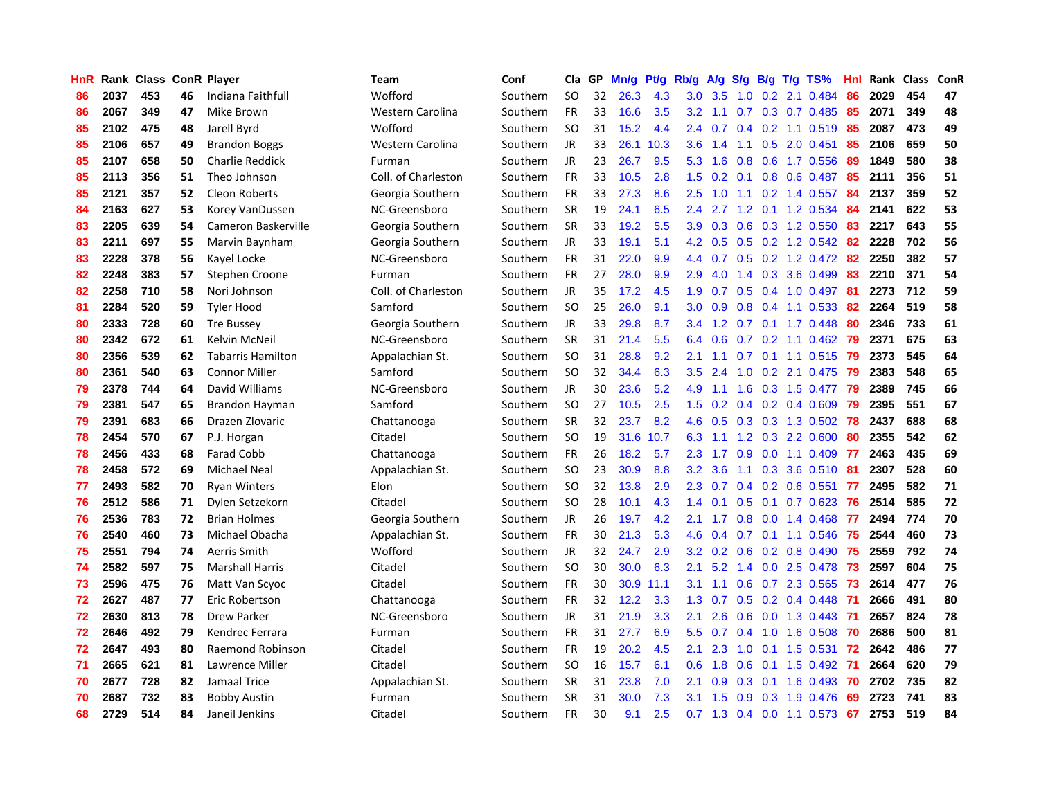| HnR |      | Rank Class ConR Player |    |                          | Team                | Conf     | Cla       | GP | Mn/g | Pt/g | Rb/g             | A/g | S/g |     | $B/g$ T/g TS%             | Hnl | Rank | Class | ConR |
|-----|------|------------------------|----|--------------------------|---------------------|----------|-----------|----|------|------|------------------|-----|-----|-----|---------------------------|-----|------|-------|------|
| 86  | 2037 | 453                    | 46 | Indiana Faithfull        | Wofford             | Southern | <b>SO</b> | 32 | 26.3 | 4.3  | 3.0              | 3.5 | 1.0 |     | 0.2 2.1 0.484             | 86  | 2029 | 454   | 47   |
| 86  | 2067 | 349                    | 47 | Mike Brown               | Western Carolina    | Southern | FR        | 33 | 16.6 | 3.5  | 3.2              | 1.1 |     |     | $0.7$ $0.3$ $0.7$ $0.485$ | 85  | 2071 | 349   | 48   |
| 85  | 2102 | 475                    | 48 | Jarell Byrd              | Wofford             | Southern | <b>SO</b> | 31 | 15.2 | 4.4  | $2.4^{\circ}$    | 0.7 |     |     | 0.4 0.2 1.1 0.519 85      |     | 2087 | 473   | 49   |
| 85  | 2106 | 657                    | 49 | <b>Brandon Boggs</b>     | Western Carolina    | Southern | JR        | 33 | 26.1 | 10.3 | 3.6              | 1.4 |     |     | 1.1 0.5 2.0 0.451         | 85  | 2106 | 659   | 50   |
| 85  | 2107 | 658                    | 50 | <b>Charlie Reddick</b>   | Furman              | Southern | <b>JR</b> | 23 | 26.7 | 9.5  | 5.3              | 1.6 | 0.8 |     | 0.6 1.7 0.556             | 89  | 1849 | 580   | 38   |
| 85  | 2113 | 356                    | 51 | Theo Johnson             | Coll. of Charleston | Southern | FR        | 33 | 10.5 | 2.8  | 1.5              | 0.2 | 0.1 |     | 0.8 0.6 0.487             | 85  | 2111 | 356   | 51   |
| 85  | 2121 | 357                    | 52 | Cleon Roberts            | Georgia Southern    | Southern | FR        | 33 | 27.3 | 8.6  | 2.5              | 1.0 |     |     | 1.1 0.2 1.4 0.557         | 84  | 2137 | 359   | 52   |
| 84  | 2163 | 627                    | 53 | Korey VanDussen          | NC-Greensboro       | Southern | <b>SR</b> | 19 | 24.1 | 6.5  | 2.4              | 2.7 | 1.2 |     | $0.1$ 1.2 0.534           | 84  | 2141 | 622   | 53   |
| 83  | 2205 | 639                    | 54 | Cameron Baskerville      | Georgia Southern    | Southern | <b>SR</b> | 33 | 19.2 | 5.5  | 3.9              | 0.3 | 0.6 |     | 0.3 1.2 0.550             | 83  | 2217 | 643   | 55   |
| 83  | 2211 | 697                    | 55 | Marvin Baynham           | Georgia Southern    | Southern | <b>JR</b> | 33 | 19.1 | 5.1  | 4.2              | 0.5 |     |     | $0.5$ 0.2 1.2 0.542       | -82 | 2228 | 702   | 56   |
| 83  | 2228 | 378                    | 56 | Kayel Locke              | NC-Greensboro       | Southern | FR        | 31 | 22.0 | 9.9  | $4.4^{\circ}$    | 0.7 |     |     | 0.5 0.2 1.2 0.472 82      |     | 2250 | 382   | 57   |
| 82  | 2248 | 383                    | 57 | Stephen Croone           | Furman              | Southern | <b>FR</b> | 27 | 28.0 | 9.9  | 2.9              | 4.0 |     |     | 1.4 0.3 3.6 0.499         | -83 | 2210 | 371   | 54   |
| 82  | 2258 | 710                    | 58 | Nori Johnson             | Coll. of Charleston | Southern | <b>JR</b> | 35 | 17.2 | 4.5  | 1.9              | 0.7 |     |     | $0.5$ 0.4 1.0 0.497       | -81 | 2273 | 712   | 59   |
| 81  | 2284 | 520                    | 59 | <b>Tyler Hood</b>        | Samford             | Southern | <b>SO</b> | 25 | 26.0 | 9.1  | 3.0              | 0.9 | 0.8 |     | $0.4$ 1.1 0.533           | 82  | 2264 | 519   | 58   |
| 80  | 2333 | 728                    | 60 | <b>Tre Bussey</b>        | Georgia Southern    | Southern | JR        | 33 | 29.8 | 8.7  | 3.4              | 1.2 | 0.7 |     | $0.1$ 1.7 0.448           | 80  | 2346 | 733   | 61   |
| 80  | 2342 | 672                    | 61 | Kelvin McNeil            | NC-Greensboro       | Southern | <b>SR</b> | 31 | 21.4 | 5.5  | 6.4              | 0.6 | 0.7 |     | $0.2$ 1.1 $0.462$         | 79  | 2371 | 675   | 63   |
| 80  | 2356 | 539                    | 62 | <b>Tabarris Hamilton</b> | Appalachian St.     | Southern | <b>SO</b> | 31 | 28.8 | 9.2  | 2.1              | 1.1 | 0.7 |     | $0.1$ 1.1 0.515           | 79  | 2373 | 545   | 64   |
| 80  | 2361 | 540                    | 63 | <b>Connor Miller</b>     | Samford             | Southern | <b>SO</b> | 32 | 34.4 | 6.3  | 3.5              | 2.4 | 1.0 |     | 0.2 2.1 0.475             | 79  | 2383 | 548   | 65   |
| 79  | 2378 | 744                    | 64 | David Williams           | NC-Greensboro       | Southern | JR.       | 30 | 23.6 | 5.2  | 4.9              | 1.1 |     |     | 1.6 0.3 1.5 0.477         | -79 | 2389 | 745   | 66   |
| 79  | 2381 | 547                    | 65 | <b>Brandon Hayman</b>    | Samford             | Southern | <b>SO</b> | 27 | 10.5 | 2.5  | 1.5              | 0.2 |     |     | $0.4$ 0.2 0.4 0.609       | -79 | 2395 | 551   | 67   |
| 79  | 2391 | 683                    | 66 | Drazen Zlovaric          | Chattanooga         | Southern | <b>SR</b> | 32 | 23.7 | 8.2  | 4.6              | 0.5 |     |     | $0.3$ 0.3 1.3 0.502       | 78  | 2437 | 688   | 68   |
| 78  | 2454 | 570                    | 67 | P.J. Horgan              | Citadel             | Southern | <b>SO</b> | 19 | 31.6 | 10.7 | 6.3              | 1.1 |     |     | 1.2 0.3 2.2 0.600         | 80  | 2355 | 542   | 62   |
| 78  | 2456 | 433                    | 68 | <b>Farad Cobb</b>        | Chattanooga         | Southern | <b>FR</b> | 26 | 18.2 | 5.7  | 2.3              | 1.7 | 0.9 |     | $0.0$ 1.1 $0.409$         | 77  | 2463 | 435   | 69   |
| 78  | 2458 | 572                    | 69 | <b>Michael Neal</b>      | Appalachian St.     | Southern | <b>SO</b> | 23 | 30.9 | 8.8  | 3.2              | 3.6 |     |     | 1.1 0.3 3.6 0.510         | -81 | 2307 | 528   | 60   |
| 77  | 2493 | 582                    | 70 | <b>Ryan Winters</b>      | Elon                | Southern | <b>SO</b> | 32 | 13.8 | 2.9  | 2.3              | 0.7 |     |     | $0.4$ 0.2 0.6 0.551       | 77  | 2495 | 582   | 71   |
| 76  | 2512 | 586                    | 71 | Dylen Setzekorn          | Citadel             | Southern | <b>SO</b> | 28 | 10.1 | 4.3  | 1.4              | 0.1 | 0.5 | 0.1 | $0.7$ 0.623               | 76  | 2514 | 585   | 72   |
| 76  | 2536 | 783                    | 72 | <b>Brian Holmes</b>      | Georgia Southern    | Southern | JR.       | 26 | 19.7 | 4.2  | 2.1              | 1.7 | 0.8 |     | $0.0$ 1.4 0.468           | -77 | 2494 | 774   | 70   |
| 76  | 2540 | 460                    | 73 | Michael Obacha           | Appalachian St.     | Southern | <b>FR</b> | 30 | 21.3 | 5.3  | 4.6              | 0.4 |     |     | $0.7$ 0.1 1.1 0.546       | -75 | 2544 | 460   | 73   |
| 75  | 2551 | 794                    | 74 | Aerris Smith             | Wofford             | Southern | JR        | 32 | 24.7 | 2.9  | 3.2              | 0.2 |     |     | $0.6$ 0.2 0.8 0.490       | -75 | 2559 | 792   | 74   |
| 74  | 2582 | 597                    | 75 | <b>Marshall Harris</b>   | Citadel             | Southern | <b>SO</b> | 30 | 30.0 | 6.3  | 2.1              | 5.2 |     |     | 1.4 0.0 2.5 0.478         | -73 | 2597 | 604   | 75   |
| 73  | 2596 | 475                    | 76 | Matt Van Scyoc           | Citadel             | Southern | <b>FR</b> | 30 | 30.9 | 11.1 | 3.1              | 1.1 | 0.6 |     | $0.7$ 2.3 $0.565$         | -73 | 2614 | 477   | 76   |
| 72  | 2627 | 487                    | 77 | Eric Robertson           | Chattanooga         | Southern | <b>FR</b> | 32 | 12.2 | 3.3  | 1.3              | 0.7 | 0.5 |     | $0.2$ 0.4 0.448           | -71 | 2666 | 491   | 80   |
| 72  | 2630 | 813                    | 78 | Drew Parker              | NC-Greensboro       | Southern | JR.       | 31 | 21.9 | 3.3  | 2.1              | 2.6 | 0.6 |     | $0.0$ 1.3 0.443           | -71 | 2657 | 824   | 78   |
| 72  | 2646 | 492                    | 79 | Kendrec Ferrara          | Furman              | Southern | <b>FR</b> | 31 | 27.7 | 6.9  | 5.5 <sub>1</sub> | 0.7 | 0.4 |     | 1.0 1.6 0.508             | 70  | 2686 | 500   | 81   |
| 72  | 2647 | 493                    | 80 | Raemond Robinson         | Citadel             | Southern | <b>FR</b> | 19 | 20.2 | 4.5  | 2.1              | 2.3 | 1.0 |     | $0.1$ 1.5 0.531           | 72  | 2642 | 486   | 77   |
| 71  | 2665 | 621                    | 81 | Lawrence Miller          | Citadel             | Southern | SO        | 16 | 15.7 | 6.1  | 0.6              | 1.8 | 0.6 |     | $0.1$ 1.5 0.492           | -71 | 2664 | 620   | 79   |
| 70  | 2677 | 728                    | 82 | Jamaal Trice             | Appalachian St.     | Southern | <b>SR</b> | 31 | 23.8 | 7.0  | 2.1              | 0.9 | 0.3 |     | $0.1$ 1.6 0.493           | -70 | 2702 | 735   | 82   |
| 70  | 2687 | 732                    | 83 | <b>Bobby Austin</b>      | Furman              | Southern | <b>SR</b> | 31 | 30.0 | 7.3  | 3.1              | 1.5 | 0.9 |     | 0.3 1.9 0.476             | 69  | 2723 | 741   | 83   |
| 68  | 2729 | 514                    | 84 | Janeil Jenkins           | Citadel             | Southern | <b>FR</b> | 30 | 9.1  | 2.5  | 0.7              | 1.3 |     |     | $0.4$ 0.0 1.1 0.573       | 67  | 2753 | 519   | 84   |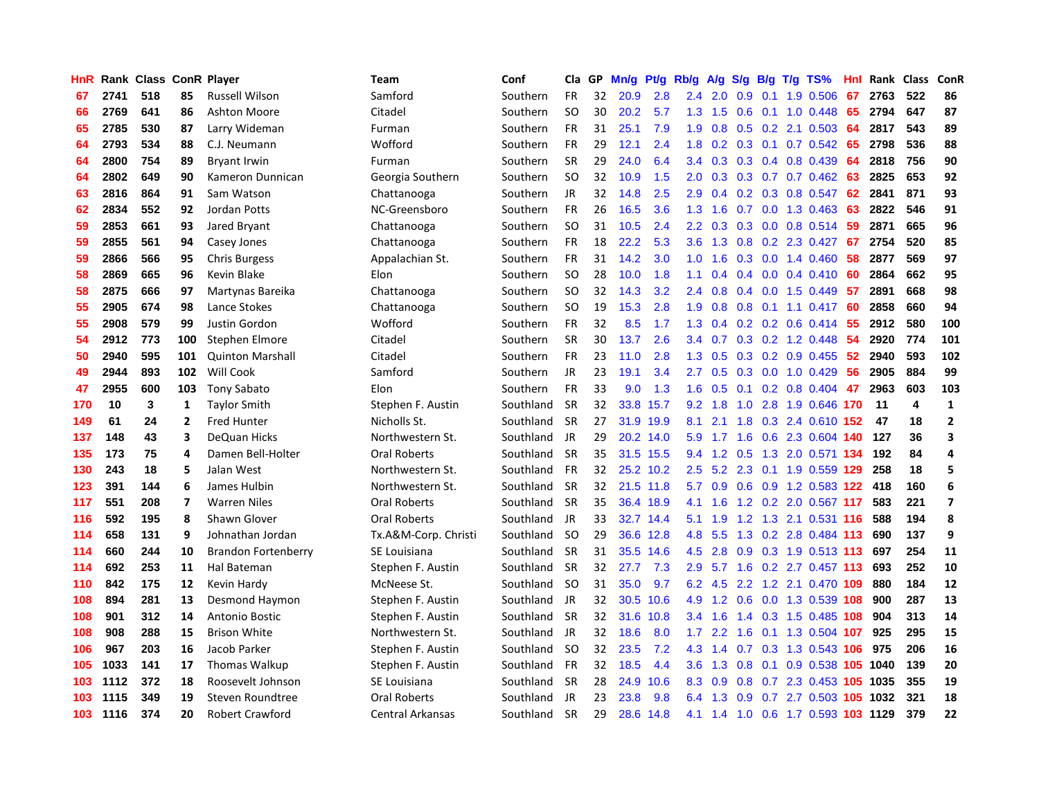| HnR |      | Rank Class ConR Player |                |                            | Team                 | Conf      | Cla       | GP. | Mn/g | <b>Pt/g</b> | Rb/g             | A/g       | S/g |     | $B/g$ T/g TS%                  | Hnl              |      | Rank Class | ConR                    |
|-----|------|------------------------|----------------|----------------------------|----------------------|-----------|-----------|-----|------|-------------|------------------|-----------|-----|-----|--------------------------------|------------------|------|------------|-------------------------|
| 67  | 2741 | 518                    | 85             | <b>Russell Wilson</b>      | Samford              | Southern  | <b>FR</b> | 32  | 20.9 | 2.8         | 2.4              | 2.0       | 0.9 | 0.1 | 1.9 0.506                      | 67               | 2763 | 522        | 86                      |
| 66  | 2769 | 641                    | 86             | <b>Ashton Moore</b>        | Citadel              | Southern  | <b>SO</b> | 30  | 20.2 | 5.7         | 1.3              | 1.5       | 0.6 |     | $0.1$ 1.0 0.448                | 65               | 2794 | 647        | 87                      |
| 65  | 2785 | 530                    | 87             | Larry Wideman              | Furman               | Southern  | FR        | 31  | 25.1 | 7.9         | 1.9              | 0.8       |     |     | $0.5$ 0.2 2.1 0.503            | -64              | 2817 | 543        | 89                      |
| 64  | 2793 | 534                    | 88             | C.J. Neumann               | Wofford              | Southern  | FR        | 29  | 12.1 | 2.4         | 1.8              | 0.2       |     |     | $0.3$ 0.1 0.7 0.542            | -65              | 2798 | 536        | 88                      |
| 64  | 2800 | 754                    | 89             | <b>Bryant Irwin</b>        | Furman               | Southern  | <b>SR</b> | 29  | 24.0 | 6.4         | $3.4^{\circ}$    | 0.3       |     |     | $0.3$ 0.4 0.8 0.439            | 64               | 2818 | 756        | 90                      |
| 64  | 2802 | 649                    | 90             | Kameron Dunnican           | Georgia Southern     | Southern  | <b>SO</b> | 32  | 10.9 | 1.5         | 2.0              | 0.3       |     |     | $0.3$ 0.7 0.7 0.462            | 63               | 2825 | 653        | 92                      |
| 63  | 2816 | 864                    | 91             | Sam Watson                 | Chattanooga          | Southern  | JR        | 32  | 14.8 | 2.5         | 2.9              | 0.4       |     |     | 0.2 0.3 0.8 0.547              | 62               | 2841 | 871        | 93                      |
| 62  | 2834 | 552                    | 92             | Jordan Potts               | NC-Greensboro        | Southern  | <b>FR</b> | 26  | 16.5 | 3.6         | 1.3              | 1.6       | 0.7 |     | $0.0$ 1.3 0.463                | 63               | 2822 | 546        | 91                      |
| 59  | 2853 | 661                    | 93             | Jared Bryant               | Chattanooga          | Southern  | <b>SO</b> | 31  | 10.5 | 2.4         | 2.2              | 0.3       | 0.3 |     | $0.0$ 0.8 0.514                | -59              | 2871 | 665        | 96                      |
| 59  | 2855 | 561                    | 94             | Casey Jones                | Chattanooga          | Southern  | FR        | 18  | 22.2 | 5.3         | 3.6              | 1.3       | 0.8 |     | 0.2 2.3 0.427                  | 67               | 2754 | 520        | 85                      |
| 59  | 2866 | 566                    | 95             | <b>Chris Burgess</b>       | Appalachian St.      | Southern  | FR        | 31  | 14.2 | 3.0         | 1.0              | 1.6       |     |     | 0.3 0.0 1.4 0.460              | -58              | 2877 | 569        | 97                      |
| 58  | 2869 | 665                    | 96             | Kevin Blake                | Elon                 | Southern  | <b>SO</b> | 28  | 10.0 | 1.8         | 1.1              | 0.4       |     |     | $0.4$ 0.0 0.4 0.410            | -60              | 2864 | 662        | 95                      |
| 58  | 2875 | 666                    | 97             | Martynas Bareika           | Chattanooga          | Southern  | <b>SO</b> | 32  | 14.3 | 3.2         | $2.4^{\circ}$    | 0.8       |     |     | $0.4$ 0.0 1.5 0.449            | -57              | 2891 | 668        | 98                      |
| 55  | 2905 | 674                    | 98             | Lance Stokes               | Chattanooga          | Southern  | <b>SO</b> | 19  | 15.3 | 2.8         | 1.9              | 0.8       | 0.8 |     | $0.1$ 1.1 0.417                | 60               | 2858 | 660        | 94                      |
| 55  | 2908 | 579                    | 99             | Justin Gordon              | Wofford              | Southern  | <b>FR</b> | 32  | 8.5  | 1.7         | 1.3              | 0.4       |     |     | $0.2$ 0.2 0.6 0.414            | -55              | 2912 | 580        | 100                     |
| 54  | 2912 | 773                    | 100            | Stephen Elmore             | Citadel              | Southern  | <b>SR</b> | 30  | 13.7 | 2.6         | $3.4^{\circ}$    | 0.7       |     |     | 0.3 0.2 1.2 0.448              | 54               | 2920 | 774        | 101                     |
| 50  | 2940 | 595                    | 101            | <b>Quinton Marshall</b>    | Citadel              | Southern  | <b>FR</b> | 23  | 11.0 | 2.8         | 1.3              | 0.5       | 0.3 |     | $0.2$ 0.9 0.455                | $52\phantom{.0}$ | 2940 | 593        | 102                     |
| 49  | 2944 | 893                    | 102            | Will Cook                  | Samford              | Southern  | <b>JR</b> | 23  | 19.1 | 3.4         | 2.7              | 0.5       | 0.3 |     | $0.0$ 1.0 $0.429$              | 56               | 2905 | 884        | 99                      |
| 47  | 2955 | 600                    | 103            | <b>Tony Sabato</b>         | Elon                 | Southern  | <b>FR</b> | 33  | 9.0  | 1.3         | 1.6              | 0.5       |     |     | $0.1$ 0.2 0.8 0.404 47         |                  | 2963 | 603        | 103                     |
| 170 | 10   | 3                      | 1              | <b>Taylor Smith</b>        | Stephen F. Austin    | Southland | <b>SR</b> | 32  | 33.8 | 15.7        | 9.2              | 1.8       |     |     | 1.0 2.8 1.9 0.646 170          |                  | -11  | 4          | $\mathbf{1}$            |
| 149 | 61   | 24                     | $\overline{2}$ | <b>Fred Hunter</b>         | Nicholls St.         | Southland | <b>SR</b> | 27  | 31.9 | 19.9        | 8.1              | 2.1       |     |     | 1.8 0.3 2.4 0.610 152          |                  | 47   | 18         | $\overline{2}$          |
| 137 | 148  | 43                     | 3              | DeQuan Hicks               | Northwestern St.     | Southland | <b>JR</b> | 29  | 20.2 | 14.0        | 5.9              | $1.7$ 1.6 |     |     | 0.6 2.3 0.604 140              |                  | 127  | 36         | $\overline{\mathbf{3}}$ |
| 135 | 173  | 75                     | 4              | Damen Bell-Holter          | Oral Roberts         | Southland | <b>SR</b> | 35  | 31.5 | 15.5        | 9.4              | 1.2       | 0.5 |     | 1.3 2.0 0.571 134              |                  | 192  | 84         | 4                       |
| 130 | 243  | 18                     | 5              | Jalan West                 | Northwestern St.     | Southland | <b>FR</b> | 32  | 25.2 | 10.2        | 2.5              | 5.2       | 2.3 |     | 0.1 1.9 0.559 129              |                  | 258  | 18         | 5                       |
| 123 | 391  | 144                    | 6              | James Hulbin               | Northwestern St.     | Southland | <b>SR</b> | 32  | 21.5 | 11.8        | 5.7              | 0.9       | 0.6 |     | 0.9 1.2 0.583 122              |                  | 418  | 160        | 6                       |
| 117 | 551  | 208                    | $\overline{7}$ | <b>Warren Niles</b>        | Oral Roberts         | Southland | <b>SR</b> | 35  |      | 36.4 18.9   | 4.1              | 1.6       |     |     | 1.2 0.2 2.0 0.567 117          |                  | 583  | 221        | $\overline{7}$          |
| 116 | 592  | 195                    | 8              | Shawn Glover               | Oral Roberts         | Southland | JR        | 33  |      | 32.7 14.4   | 5.1              | 1.9       |     |     | 1.2 1.3 2.1 0.531 116          |                  | 588  | 194        | 8                       |
| 114 | 658  | 131                    | 9              | Johnathan Jordan           | Tx.A&M-Corp. Christi | Southland | -SO       | 29  |      | 36.6 12.8   | 4.8              | 5.5       |     |     | 1.3 0.2 2.8 0.484 113          |                  | 690  | 137        | 9                       |
| 114 | 660  | 244                    | 10             | <b>Brandon Fortenberry</b> | SE Louisiana         | Southland | <b>SR</b> | 31  | 35.5 | 14.6        | 4.5              | 2.8       |     |     | 0.9 0.3 1.9 0.513 113          |                  | 697  | 254        | 11                      |
| 114 | 692  | 253                    | 11             | Hal Bateman                | Stephen F. Austin    | Southland | <b>SR</b> | 32  | 27.7 | 7.3         | 2.9 <sup>°</sup> |           |     |     | 5.7 1.6 0.2 2.7 0.457 113      |                  | 693  | 252        | 10                      |
| 110 | 842  | 175                    | 12             | Kevin Hardy                | McNeese St.          | Southland | -SO       | 31  | 35.0 | 9.7         | 6.2              | 4.5       | 2.2 |     | 1.2 2.1 0.470                  | 109              | 880  | 184        | 12                      |
| 108 | 894  | 281                    | 13             | Desmond Haymon             | Stephen F. Austin    | Southland | JR        | 32  | 30.5 | 10.6        | 4.9              | 1.2       | 0.6 |     | 0.0 1.3 0.539 108              |                  | 900  | 287        | 13                      |
| 108 | 901  | 312                    | 14             | Antonio Bostic             | Stephen F. Austin    | Southland | <b>SR</b> | 32  | 31.6 | 10.8        | $3.4^{\circ}$    | 1.6       | 1.4 |     | $0.3$ 1.5 0.485 108            |                  | 904  | 313        | 14                      |
| 108 | 908  | 288                    | 15             | <b>Brison White</b>        | Northwestern St.     | Southland | JR        | 32  | 18.6 | 8.0         | 1.7              | 2.2       | 1.6 |     | 0.1 1.3 0.504 107              |                  | 925  | 295        | 15                      |
| 106 | 967  | 203                    | 16             | Jacob Parker               | Stephen F. Austin    | Southland | -SO       | 32  | 23.5 | 7.2         | 4.3              | 1.4       | 0.7 |     | 0.3 1.3 0.543 106              |                  | 975  | 206        | 16                      |
| 105 | 1033 | 141                    | 17             | Thomas Walkup              | Stephen F. Austin    | Southland | <b>FR</b> | 32  | 18.5 | 4.4         | 3.6              | 1.3       | 0.8 |     | 0.1 0.9 0.538 105 1040         |                  |      | 139        | 20                      |
| 103 | 1112 | 372                    | 18             | Roosevelt Johnson          | SE Louisiana         | Southland | -SR       | 28  | 24.9 | 10.6        | 8.3              | 0.9       | 0.8 |     | 0.7 2.3 0.453 105 1035         |                  |      | 355        | 19                      |
| 103 | 1115 | 349                    | 19             | Steven Roundtree           | Oral Roberts         | Southland | JR        | 23  | 23.8 | 9.8         | 6.4              | 1.3       | 0.9 |     | 0.7 2.7 0.503 105 1032         |                  |      | 321        | 18                      |
| 103 | 1116 | 374                    | 20             | Robert Crawford            | Central Arkansas     | Southland | <b>SR</b> | 29  |      | 28.6 14.8   | 4.1              |           |     |     | 1.4 1.0 0.6 1.7 0.593 103 1129 |                  |      | 379        | 22                      |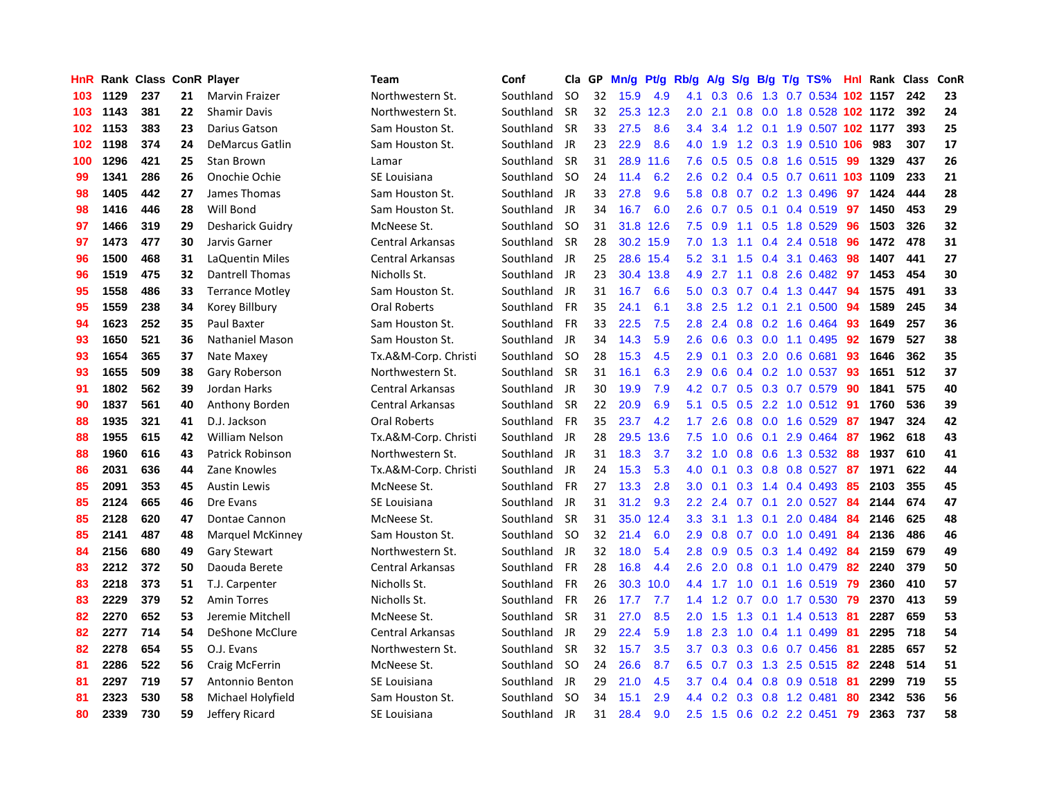| HnR |      | Rank Class ConR Player |    |                         | <b>Team</b>             | Conf      | Cla       | GP | Mn/g | <b>Pt/g</b> | Rb/g             | A/g             | S/g |                 | $B/g$ T/g TS%                  |     | <b>Hnl Rank Class</b> |     | ConR |
|-----|------|------------------------|----|-------------------------|-------------------------|-----------|-----------|----|------|-------------|------------------|-----------------|-----|-----------------|--------------------------------|-----|-----------------------|-----|------|
| 103 | 1129 | 237                    | 21 | <b>Marvin Fraizer</b>   | Northwestern St.        | Southland | <b>SO</b> | 32 | 15.9 | 4.9         | 4.1              | 0.3             | 0.6 |                 | 1.3 0.7 0.534 102 1157         |     |                       | 242 | 23   |
| 103 | 1143 | 381                    | 22 | <b>Shamir Davis</b>     | Northwestern St.        | Southland | <b>SR</b> | 32 | 25.3 | 12.3        | 2.0 <sub>1</sub> | 2.1             |     |                 | 0.8 0.0 1.8 0.528 102 1172     |     |                       | 392 | 24   |
| 102 | 1153 | 383                    | 23 | Darius Gatson           | Sam Houston St.         | Southland | <b>SR</b> | 33 | 27.5 | 8.6         | 3.4              |                 |     |                 | 3.4 1.2 0.1 1.9 0.507 102 1177 |     |                       | 393 | 25   |
| 102 | 1198 | 374                    | 24 | <b>DeMarcus Gatlin</b>  | Sam Houston St.         | Southland | JR        | 23 | 22.9 | 8.6         |                  | 4.0 1.9         |     |                 | 1.2 0.3 1.9 0.510 106          |     | 983                   | 307 | 17   |
| 100 | 1296 | 421                    | 25 | Stan Brown              | Lamar                   | Southland | <b>SR</b> | 31 | 28.9 | 11.6        | 7.6              | 0.5             |     |                 | 0.5 0.8 1.6 0.515 99           |     | 1329                  | 437 | 26   |
| 99  | 1341 | 286                    | 26 | Onochie Ochie           | SE Louisiana            | Southland | <b>SO</b> | 24 | 11.4 | 6.2         | 2.6              | 0.2             |     |                 | 0.4 0.5 0.7 0.611 103 1109     |     |                       | 233 | 21   |
| 98  | 1405 | 442                    | 27 | James Thomas            | Sam Houston St.         | Southland | JR        | 33 | 27.8 | 9.6         | 5.8              | 0.8             |     |                 | 0.7 0.2 1.3 0.496              | 97  | 1424                  | 444 | 28   |
| 98  | 1416 | 446                    | 28 | Will Bond               | Sam Houston St.         | Southland | JR.       | 34 | 16.7 | 6.0         | 2.6              | 0.7             |     |                 | $0.5$ 0.1 0.4 0.519            | 97  | 1450                  | 453 | 29   |
| 97  | 1466 | 319                    | 29 | <b>Desharick Guidry</b> | McNeese St.             | Southland | <b>SO</b> | 31 | 31.8 | 12.6        | 7.5              | 0.9             |     |                 | 1.1 0.5 1.8 0.529              | -96 | 1503                  | 326 | 32   |
| 97  | 1473 | 477                    | 30 | Jarvis Garner           | <b>Central Arkansas</b> | Southland | <b>SR</b> | 28 |      | 30.2 15.9   | 7.0              | 1.3             | 1.1 |                 | 0.4 2.4 0.518 96               |     | 1472                  | 478 | 31   |
| 96  | 1500 | 468                    | 31 | LaQuentin Miles         | Central Arkansas        | Southland | JR        | 25 |      | 28.6 15.4   | 5.2              |                 |     |                 | 3.1 1.5 0.4 3.1 0.463 98       |     | 1407                  | 441 | 27   |
| 96  | 1519 | 475                    | 32 | <b>Dantrell Thomas</b>  | Nicholls St.            | Southland | JR        | 23 | 30.4 | 13.8        | 4.9              |                 |     |                 | 2.7 1.1 0.8 2.6 0.482 97       |     | 1453                  | 454 | 30   |
| 95  | 1558 | 486                    | 33 | <b>Terrance Motley</b>  | Sam Houston St.         | Southland | JR        | 31 | 16.7 | 6.6         | 5.0              | 0.3             |     |                 | 0.7 0.4 1.3 0.447 94           |     | 1575                  | 491 | 33   |
| 95  | 1559 | 238                    | 34 | Korey Billbury          | Oral Roberts            | Southland | <b>FR</b> | 35 | 24.1 | 6.1         | 3.8 <sub>2</sub> | 2.5             | 1.2 |                 | 0.1 2.1 0.500 94               |     | 1589                  | 245 | 34   |
| 94  | 1623 | 252                    | 35 | Paul Baxter             | Sam Houston St.         | Southland | <b>FR</b> | 33 | 22.5 | 7.5         | 2.8              | 2.4             |     |                 | 0.8 0.2 1.6 0.464              | 93  | 1649                  | 257 | 36   |
| 93  | 1650 | 521                    | 36 | Nathaniel Mason         | Sam Houston St.         | Southland | JR        | 34 | 14.3 | 5.9         | 2.6              | 0.6             |     |                 | $0.3$ 0.0 1.1 0.495            | 92  | 1679                  | 527 | 38   |
| 93  | 1654 | 365                    | 37 | Nate Maxey              | Tx.A&M-Corp. Christi    | Southland | -SO       | 28 | 15.3 | 4.5         | 2.9              | 0.1             | 0.3 |                 | 2.0 0.6 0.681                  | 93  | 1646                  | 362 | 35   |
| 93  | 1655 | 509                    | 38 | Gary Roberson           | Northwestern St.        | Southland | <b>SR</b> | 31 | 16.1 | 6.3         | 2.9              | 0.6             |     |                 | $0.4$ 0.2 1.0 0.537            | 93  | 1651                  | 512 | 37   |
| 91  | 1802 | 562                    | 39 | Jordan Harks            | <b>Central Arkansas</b> | Southland | JR        | 30 | 19.9 | 7.9         | 4.2              | 0.7             |     |                 | 0.5 0.3 0.7 0.579 90           |     | 1841                  | 575 | 40   |
| 90  | 1837 | 561                    | 40 | Anthony Borden          | <b>Central Arkansas</b> | Southland | <b>SR</b> | 22 | 20.9 | 6.9         | 5.1              |                 |     |                 | 0.5 0.5 2.2 1.0 0.512 91       |     | 1760                  | 536 | 39   |
| 88  | 1935 | 321                    | 41 | D.J. Jackson            | Oral Roberts            | Southland | <b>FR</b> | 35 | 23.7 | 4.2         | $1.7^{\circ}$    | 2.6             |     |                 | $0.8$ 0.0 1.6 0.529            | 87  | 1947                  | 324 | 42   |
| 88  | 1955 | 615                    | 42 | <b>William Nelson</b>   | Tx.A&M-Corp. Christi    | Southland | JR        | 28 | 29.5 | 13.6        | 7.5              | 1.0             | 0.6 |                 | $0.1$ 2.9 $0.464$              | -87 | 1962                  | 618 | 43   |
| 88  | 1960 | 616                    | 43 | <b>Patrick Robinson</b> | Northwestern St.        | Southland | JR        | 31 | 18.3 | 3.7         | 3.2              | 1.0             |     |                 | 0.8 0.6 1.3 0.532 88           |     | 1937                  | 610 | 41   |
| 86  | 2031 | 636                    | 44 | Zane Knowles            | Tx.A&M-Corp. Christi    | Southland | JR        | 24 | 15.3 | 5.3         | 4.0              | 0.1             |     |                 | $0.3$ 0.8 0.8 0.527            | 87  | 1971                  | 622 | 44   |
| 85  | 2091 | 353                    | 45 | <b>Austin Lewis</b>     | McNeese St.             | Southland | <b>FR</b> | 27 | 13.3 | 2.8         | 3.0 <sub>2</sub> | 0.1             |     |                 | $0.3$ 1.4 0.4 0.493            | -85 | 2103                  | 355 | 45   |
| 85  | 2124 | 665                    | 46 | Dre Evans               | SE Louisiana            | Southland | JR        | 31 | 31.2 | 9.3         | 2.2              | 2.4             |     | $0.7 \quad 0.1$ | 2.0 0.527                      | -84 | 2144                  | 674 | 47   |
| 85  | 2128 | 620                    | 47 | Dontae Cannon           | McNeese St.             | Southland | <b>SR</b> | 31 | 35.0 | 12.4        | 3.3 <sub>2</sub> | 3.1             |     |                 | 1.3 0.1 2.0 0.484 84           |     | 2146                  | 625 | 48   |
| 85  | 2141 | 487                    | 48 | Marquel McKinney        | Sam Houston St.         | Southland | -SO       | 32 | 21.4 | 6.0         | 2.9              | 0.8             |     |                 | 0.7 0.0 1.0 0.491 84           |     | 2136                  | 486 | 46   |
| 84  | 2156 | 680                    | 49 | <b>Gary Stewart</b>     | Northwestern St.        | Southland | JR        | 32 | 18.0 | 5.4         | 2.8              | 0.9             |     |                 | 0.5 0.3 1.4 0.492 84           |     | 2159                  | 679 | 49   |
| 83  | 2212 | 372                    | 50 | Daouda Berete           | Central Arkansas        | Southland | <b>FR</b> | 28 | 16.8 | 4.4         | 2.6              | 2.0             |     |                 | $0.8$ 0.1 1.0 0.479 82         |     | 2240                  | 379 | 50   |
| 83  | 2218 | 373                    | 51 | T.J. Carpenter          | Nicholls St.            | Southland | <b>FR</b> | 26 | 30.3 | 10.0        | 4.4              | 1.7             | 1.0 |                 | $0.1$ 1.6 0.519                | 79  | 2360                  | 410 | 57   |
| 83  | 2229 | 379                    | 52 | <b>Amin Torres</b>      | Nicholls St.            | Southland | <b>FR</b> | 26 | 17.7 | 7.7         | 1.4              | 1.2             |     |                 | $0.7$ 0.0 1.7 0.530            | 79  | 2370                  | 413 | 59   |
| 82  | 2270 | 652                    | 53 | Jeremie Mitchell        | McNeese St.             | Southland | <b>SR</b> | 31 | 27.0 | 8.5         | 2.0              | 1.5             | 1.3 |                 | $0.1$ 1.4 0.513 81             |     | 2287                  | 659 | 53   |
| 82  | 2277 | 714                    | 54 | DeShone McClure         | Central Arkansas        | Southland | JR        | 29 | 22.4 | 5.9         | 1.8              | 2.3             | 1.0 |                 | $0.4$ 1.1 0.499                | -81 | 2295                  | 718 | 54   |
| 82  | 2278 | 654                    | 55 | O.J. Evans              | Northwestern St.        | Southland | <b>SR</b> | 32 | 15.7 | 3.5         | 3.7 <sub>2</sub> | 0.3             |     |                 | $0.3$ 0.6 0.7 0.456            | -81 | 2285                  | 657 | 52   |
| 81  | 2286 | 522                    | 56 | Craig McFerrin          | McNeese St.             | Southland | -SO       | 24 | 26.6 | 8.7         |                  | $6.5 \quad 0.7$ |     |                 | 0.3 1.3 2.5 0.515 82           |     | 2248                  | 514 | 51   |
| 81  | 2297 | 719                    | 57 | Antonnio Benton         | SE Louisiana            | Southland | JR        | 29 | 21.0 | 4.5         | 3.7              | 0.4             |     |                 | 0.4 0.8 0.9 0.518 81           |     | 2299                  | 719 | 55   |
| 81  | 2323 | 530                    | 58 | Michael Holyfield       | Sam Houston St.         | Southland | -SO       | 34 | 15.1 | 2.9         | 4.4              | 0.2             |     |                 | 0.3 0.8 1.2 0.481              | -80 | 2342                  | 536 | 56   |
| 80  | 2339 | 730                    | 59 | Jeffery Ricard          | <b>SE Louisiana</b>     | Southland | <b>JR</b> | 31 | 28.4 | 9.0         |                  |                 |     |                 | 2.5 1.5 0.6 0.2 2.2 0.451      | 79  | 2363                  | 737 | 58   |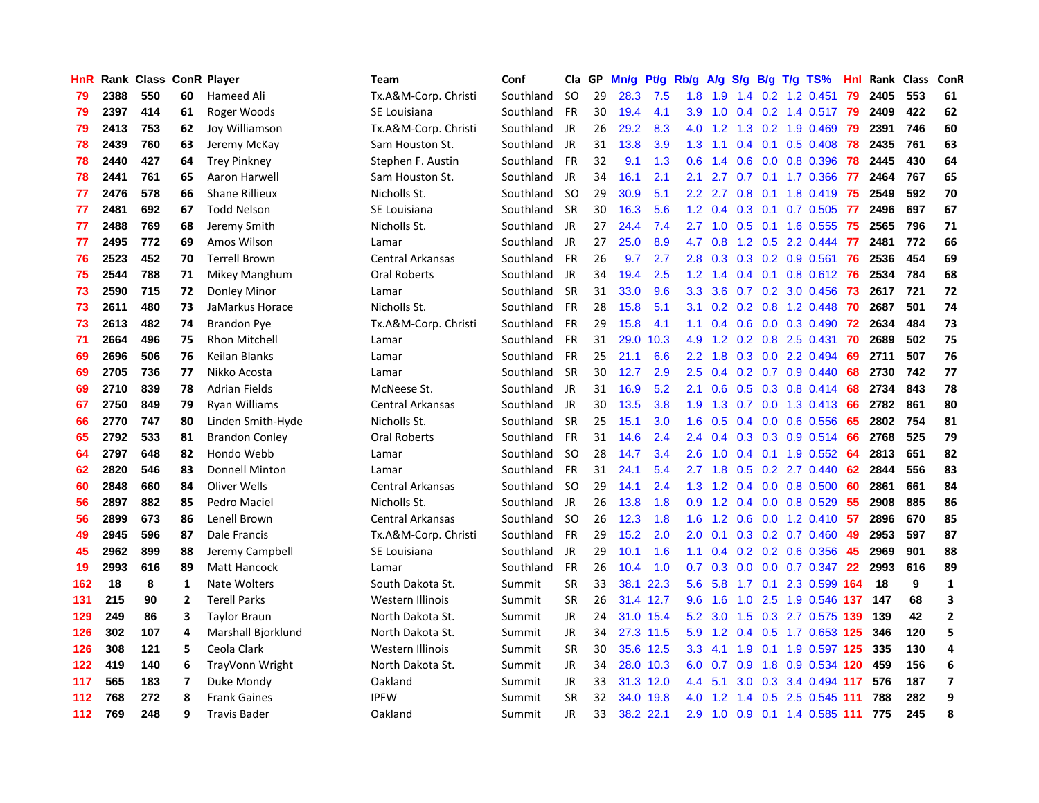| HnR |      | Rank Class ConR Player |                |                       | <b>Team</b>             | Conf      | Cla       | GP | Mn/g | Pt/g      | Rb/g             | A/g    | S/g           |  | $B/g$ T/g TS%                | Hnl | Rank | Class | ConR                    |
|-----|------|------------------------|----------------|-----------------------|-------------------------|-----------|-----------|----|------|-----------|------------------|--------|---------------|--|------------------------------|-----|------|-------|-------------------------|
| 79  | 2388 | 550                    | 60             | Hameed Ali            | Tx.A&M-Corp. Christi    | Southland | <b>SO</b> | 29 | 28.3 | 7.5       | 1.8              | 1.9    | 1.4           |  | 0.2 1.2 0.451                | 79  | 2405 | 553   | 61                      |
| 79  | 2397 | 414                    | 61             | Roger Woods           | SE Louisiana            | Southland | <b>FR</b> | 30 | 19.4 | 4.1       | 3.9 <sub>2</sub> | 1.0    |               |  | 0.4 0.2 1.4 0.517 79         |     | 2409 | 422   | 62                      |
| 79  | 2413 | 753                    | 62             | Joy Williamson        | Tx.A&M-Corp. Christi    | Southland | JR        | 26 | 29.2 | 8.3       | 4.0              |        |               |  | 1.2 1.3 0.2 1.9 0.469        | -79 | 2391 | 746   | 60                      |
| 78  | 2439 | 760                    | 63             | Jeremy McKay          | Sam Houston St.         | Southland | JR        | 31 | 13.8 | 3.9       | 1.3              | 1.1    |               |  | $0.4$ 0.1 0.5 0.408          | 78  | 2435 | 761   | 63                      |
| 78  | 2440 | 427                    | 64             | <b>Trey Pinkney</b>   | Stephen F. Austin       | Southland | <b>FR</b> | 32 | 9.1  | 1.3       | 0.6              | 1.4    | 0.6           |  | 0.0 0.8 0.396                | 78  | 2445 | 430   | 64                      |
| 78  | 2441 | 761                    | 65             | Aaron Harwell         | Sam Houston St.         | Southland | JR        | 34 | 16.1 | 2.1       | 2.1              | 2.7    | 0.7           |  | $0.1$ 1.7 0.366              | -77 | 2464 | 767   | 65                      |
| 77  | 2476 | 578                    | 66             | <b>Shane Rillieux</b> | Nicholls St.            | Southland | -SO       | 29 | 30.9 | 5.1       | $2.2\phantom{0}$ | 2.7    | 0.8           |  | 0.1 1.8 0.419                | 75  | 2549 | 592   | 70                      |
| 77  | 2481 | 692                    | 67             | <b>Todd Nelson</b>    | SE Louisiana            | Southland | <b>SR</b> | 30 | 16.3 | 5.6       | 1.2              | 0.4    | 0.3           |  | $0.1$ 0.7 0.505              | 77  | 2496 | 697   | 67                      |
| 77  | 2488 | 769                    | 68             | Jeremy Smith          | Nicholls St.            | Southland | JR        | 27 | 24.4 | 7.4       | 2.7              | $-1.0$ | 0.5           |  | $0.1$ 1.6 0.555              | 75  | 2565 | 796   | 71                      |
| 77  | 2495 | 772                    | 69             | Amos Wilson           | Lamar                   | Southland | JR        | 27 | 25.0 | 8.9       | 4.7              | 0.8    |               |  | 1.2 0.5 2.2 0.444            | -77 | 2481 | 772   | 66                      |
| 76  | 2523 | 452                    | 70             | <b>Terrell Brown</b>  | <b>Central Arkansas</b> | Southland | FR        | 26 | 9.7  | 2.7       | 2.8              | 0.3    |               |  | $0.3$ 0.2 0.9 0.561          | -76 | 2536 | 454   | 69                      |
| 75  | 2544 | 788                    | 71             | Mikey Manghum         | <b>Oral Roberts</b>     | Southland | JR        | 34 | 19.4 | 2.5       | 1.2 <sub>2</sub> | 1.4    |               |  | 0.4 0.1 0.8 0.612 76         |     | 2534 | 784   | 68                      |
| 73  | 2590 | 715                    | 72             | Donley Minor          | Lamar                   | Southland | <b>SR</b> | 31 | 33.0 | 9.6       | 3.3 <sub>2</sub> | 3.6    |               |  | $0.7$ $0.2$ $3.0$ $0.456$    | -73 | 2617 | 721   | 72                      |
| 73  | 2611 | 480                    | 73             | JaMarkus Horace       | Nicholls St.            | Southland | <b>FR</b> | 28 | 15.8 | 5.1       | 3.1              | 0.2    |               |  | 0.2 0.8 1.2 0.448            | 70  | 2687 | 501   | 74                      |
| 73  | 2613 | 482                    | 74             | Brandon Pye           | Tx.A&M-Corp. Christi    | Southland | FR        | 29 | 15.8 | 4.1       | 1.1              | 0.4    |               |  | $0.6$ 0.0 0.3 0.490          | 72  | 2634 | 484   | 73                      |
| 71  | 2664 | 496                    | 75             | <b>Rhon Mitchell</b>  | Lamar                   | Southland | <b>FR</b> | 31 | 29.0 | 10.3      | 4.9              | 1.2    |               |  | $0.2$ 0.8 2.5 0.431          | 70  | 2689 | 502   | 75                      |
| 69  | 2696 | 506                    | 76             | Keilan Blanks         | Lamar                   | Southland | <b>FR</b> | 25 | 21.1 | 6.6       | $2.2\phantom{0}$ | 1.8    | 0.3           |  | $0.0$ 2.2 0.494              | 69  | 2711 | 507   | 76                      |
| 69  | 2705 | 736                    | 77             | Nikko Acosta          | Lamar                   | Southland | <b>SR</b> | 30 | 12.7 | 2.9       | 2.5              | 0.4    | 0.2           |  | $0.7$ 0.9 0.440              | 68  | 2730 | 742   | 77                      |
| 69  | 2710 | 839                    | 78             | <b>Adrian Fields</b>  | McNeese St.             | Southland | JR        | 31 | 16.9 | 5.2       | 2.1              | 0.6    |               |  | $0.5$ $0.3$ $0.8$ $0.414$ 68 |     | 2734 | 843   | 78                      |
| 67  | 2750 | 849                    | 79             | <b>Ryan Williams</b>  | <b>Central Arkansas</b> | Southland | JR        | 30 | 13.5 | 3.8       | 1.9              | 1.3    |               |  | 0.7 0.0 1.3 0.413 66         |     | 2782 | 861   | 80                      |
| 66  | 2770 | 747                    | 80             | Linden Smith-Hyde     | Nicholls St.            | Southland | <b>SR</b> | 25 | 15.1 | 3.0       | 1.6              | 0.5    |               |  | $0.4$ 0.0 0.6 0.556          | -65 | 2802 | 754   | 81                      |
| 65  | 2792 | 533                    | 81             | <b>Brandon Conley</b> | <b>Oral Roberts</b>     | Southland | <b>FR</b> | 31 | 14.6 | 2.4       | $2.4^{\circ}$    | 0.4    |               |  | 0.3 0.3 0.9 0.514            | 66  | 2768 | 525   | 79                      |
| 64  | 2797 | 648                    | 82             | Hondo Webb            | Lamar                   | Southland | -SO       | 28 | 14.7 | 3.4       | 2.6              | 1.0    | $0.4^{\circ}$ |  | $0.1$ 1.9 $0.552$            | -64 | 2813 | 651   | 82                      |
| 62  | 2820 | 546                    | 83             | <b>Donnell Minton</b> | Lamar                   | Southland | <b>FR</b> | 31 | 24.1 | 5.4       | 2.7              | 1.8    | 0.5           |  | $0.2$ 2.7 $0.440$            | 62  | 2844 | 556   | 83                      |
| 60  | 2848 | 660                    | 84             | Oliver Wells          | <b>Central Arkansas</b> | Southland | -SO       | 29 | 14.1 | 2.4       | 1.3              | 1.2    | 0.4           |  | $0.0$ 0.8 0.500              | 60  | 2861 | 661   | 84                      |
| 56  | 2897 | 882                    | 85             | Pedro Maciel          | Nicholls St.            | Southland | <b>JR</b> | 26 | 13.8 | 1.8       | 0.9              | 1.2    |               |  | $0.4$ 0.0 0.8 0.529          | -55 | 2908 | 885   | 86                      |
| 56  | 2899 | 673                    | 86             | Lenell Brown          | Central Arkansas        | Southland | -SO       | 26 | 12.3 | 1.8       | 1.6              | 1.2    | 0.6           |  | $0.0$ 1.2 0.410 57           |     | 2896 | 670   | 85                      |
| 49  | 2945 | 596                    | 87             | Dale Francis          | Tx.A&M-Corp. Christi    | Southland | <b>FR</b> | 29 | 15.2 | 2.0       | 2.0              | 0.1    |               |  | $0.3$ 0.2 0.7 0.460          | -49 | 2953 | 597   | 87                      |
| 45  | 2962 | 899                    | 88             | Jeremy Campbell       | SE Louisiana            | Southland | JR        | 29 | 10.1 | 1.6       | 1.1              | 0.4    |               |  | $0.2$ 0.2 0.6 0.356          | -45 | 2969 | 901   | 88                      |
| 19  | 2993 | 616                    | 89             | <b>Matt Hancock</b>   | Lamar                   | Southland | <b>FR</b> | 26 | 10.4 | 1.0       | 0.7              | 0.3    |               |  | $0.0$ $0.0$ $0.7$ $0.347$    | -22 | 2993 | 616   | 89                      |
| 162 | 18   | 8                      | 1              | Nate Wolters          | South Dakota St.        | Summit    | <b>SR</b> | 33 | 38.1 | 22.3      | 5.6              | 5.8    | 1.7           |  | $0.1$ 2.3 0.599              | 164 | 18   | 9     | $\mathbf{1}$            |
| 131 | 215  | 90                     | $\overline{2}$ | <b>Terell Parks</b>   | Western Illinois        | Summit    | <b>SR</b> | 26 | 31.4 | 12.7      | 9.6              | 1.6    | 1.0           |  | 2.5 1.9 0.546 137            |     | 147  | 68    | 3                       |
| 129 | 249  | 86                     | 3              | Taylor Braun          | North Dakota St.        | Summit    | JR        | 24 | 31.0 | 15.4      | 5.2              | 3.0    | 1.5           |  | $0.3$ 2.7 $0.575$            | 139 | 139  | 42    | $\overline{2}$          |
| 126 | 302  | 107                    | 4              | Marshall Bjorklund    | North Dakota St.        | Summit    | JR        | 34 |      | 27.3 11.5 | 5.9              | 1.2    | $0.4^{\circ}$ |  | 0.5 1.7 0.653 125            |     | 346  | 120   | 5                       |
| 126 | 308  | 121                    | 5              | Ceola Clark           | Western Illinois        | Summit    | <b>SR</b> | 30 |      | 35.6 12.5 | 3.3              | 4.1    | 1.9           |  | 0.1 1.9 0.597 125            |     | 335  | 130   | 4                       |
| 122 | 419  | 140                    | 6              | TrayVonn Wright       | North Dakota St.        | Summit    | <b>JR</b> | 34 |      | 28.0 10.3 | 6.0              | 0.7    | 0.9           |  | 1.8 0.9 0.534 120            |     | 459  | 156   | $\boldsymbol{6}$        |
| 117 | 565  | 183                    | 7              | Duke Mondy            | Oakland                 | Summit    | JR        | 33 |      | 31.3 12.0 | 4.4              | 5.1    |               |  | 3.0 0.3 3.4 0.494 117        |     | 576  | 187   | $\overline{\mathbf{z}}$ |
| 112 | 768  | 272                    | 8              | <b>Frank Gaines</b>   | <b>IPFW</b>             | Summit    | <b>SR</b> | 32 | 34.0 | 19.8      | 4.0              | 1.2    | 1.4           |  | 0.5 2.5 0.545 111            |     | 788  | 282   | 9                       |
| 112 | 769  | 248                    | 9              | <b>Travis Bader</b>   | Oakland                 | Summit    | <b>JR</b> | 33 |      | 38.2 22.1 | 2.9              | 1.0    |               |  | 0.9 0.1 1.4 0.585 111        |     | 775  | 245   | 8                       |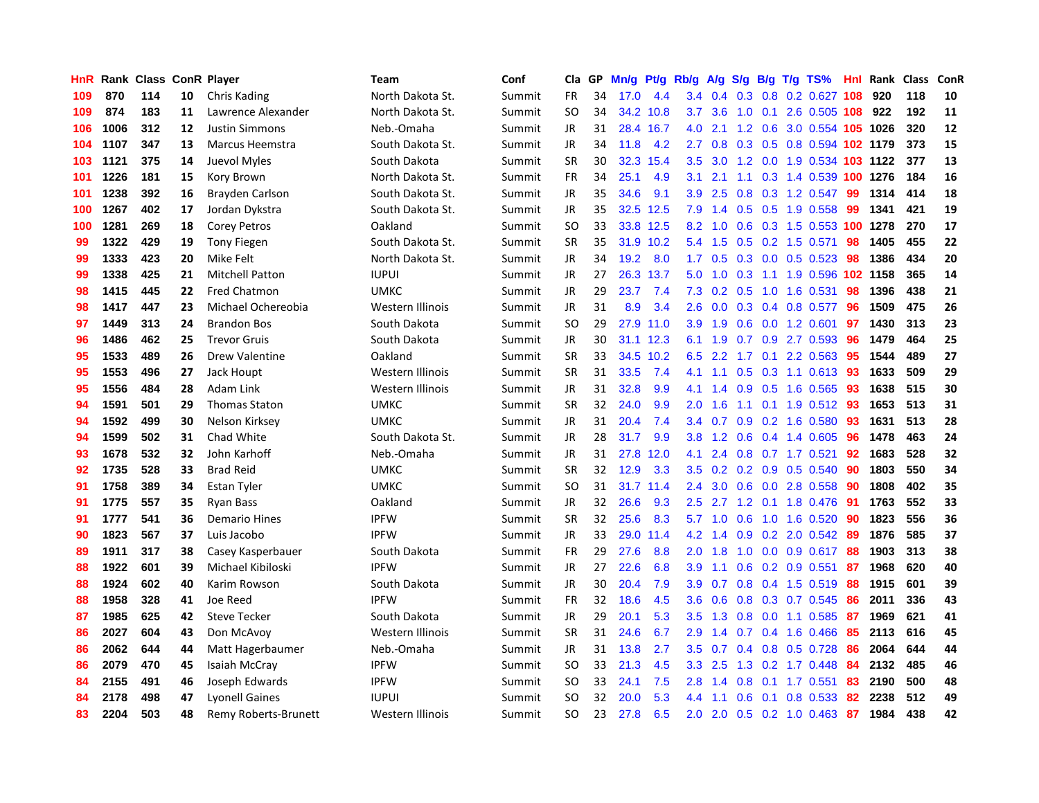| HnR |      | Rank Class ConR Player |    |                        | <b>Team</b>             | Conf   | Cla       | GP | Mn/g | <b>Pt/g</b> | Rb/g             | A/g           |                  |  | $S/g$ B/g T/g TS%              | Hnl | Rank | <b>Class</b> | ConR |
|-----|------|------------------------|----|------------------------|-------------------------|--------|-----------|----|------|-------------|------------------|---------------|------------------|--|--------------------------------|-----|------|--------------|------|
| 109 | 870  | 114                    | 10 | Chris Kading           | North Dakota St.        | Summit | <b>FR</b> | 34 | 17.0 | 4.4         | 3.4              | 0.4           | 0.3              |  | 0.8 0.2 0.627                  | 108 | 920  | 118          | 10   |
| 109 | 874  | 183                    | 11 | Lawrence Alexander     | North Dakota St.        | Summit | <b>SO</b> | 34 |      | 34.2 10.8   | 3.7              | 3.6           |                  |  | 1.0 0.1 2.6 0.505 108          |     | 922  | 192          | 11   |
| 106 | 1006 | 312                    | 12 | <b>Justin Simmons</b>  | Neb.-Omaha              | Summit | JR        | 31 |      | 28.4 16.7   | 4.0              | 2.1           |                  |  | 1.2 0.6 3.0 0.554 105 1026     |     |      | 320          | 12   |
| 104 | 1107 | 347                    | 13 | Marcus Heemstra        | South Dakota St.        | Summit | JR        | 34 | 11.8 | 4.2         | $2.7^{\circ}$    | 0.8           |                  |  | 0.3 0.5 0.8 0.594 102 1179     |     |      | 373          | 15   |
| 103 | 1121 | 375                    | 14 | Juevol Myles           | South Dakota            | Summit | <b>SR</b> | 30 | 32.3 | 15.4        | 3.5              |               |                  |  | 3.0 1.2 0.0 1.9 0.534 103 1122 |     |      | 377          | 13   |
| 101 | 1226 | 181                    | 15 | Kory Brown             | North Dakota St.        | Summit | FR        | 34 | 25.1 | 4.9         | 3.1              | 2.1           | 1.1              |  | 0.3 1.4 0.539 100 1276         |     |      | 184          | 16   |
| 101 | 1238 | 392                    | 16 | Brayden Carlson        | South Dakota St.        | Summit | JR        | 35 | 34.6 | 9.1         | 3.9              | 2.5           |                  |  | 0.8 0.3 1.2 0.547              | 99  | 1314 | 414          | 18   |
| 100 | 1267 | 402                    | 17 | Jordan Dykstra         | South Dakota St.        | Summit | JR        | 35 | 32.5 | 12.5        | 7.9              | 1.4           |                  |  | 0.5 0.5 1.9 0.558              | 99  | 1341 | 421          | 19   |
| 100 | 1281 | 269                    | 18 | <b>Corey Petros</b>    | Oakland                 | Summit | <b>SO</b> | 33 |      | 33.8 12.5   | 8.2              | 1.0           | 0.6              |  | 0.3 1.5 0.553 100 1278         |     |      | 270          | 17   |
| 99  | 1322 | 429                    | 19 | <b>Tony Fiegen</b>     | South Dakota St.        | Summit | <b>SR</b> | 35 |      | 31.9 10.2   | 5.4              | 1.5           |                  |  | $0.5$ 0.2 1.5 0.571            | 98  | 1405 | 455          | 22   |
| 99  | 1333 | 423                    | 20 | Mike Felt              | North Dakota St.        | Summit | JR        | 34 | 19.2 | 8.0         | 1.7 <sub>z</sub> | 0.5           |                  |  | 0.3 0.0 0.5 0.523 98           |     | 1386 | 434          | 20   |
| 99  | 1338 | 425                    | 21 | <b>Mitchell Patton</b> | <b>IUPUI</b>            | Summit | JR        | 27 | 26.3 | 13.7        | 5.0              | 1.0           |                  |  | 0.3 1.1 1.9 0.596 102 1158     |     |      | 365          | 14   |
| 98  | 1415 | 445                    | 22 | <b>Fred Chatmon</b>    | <b>UMKC</b>             | Summit | JR        | 29 | 23.7 | 7.4         | 7.3              | 0.2           |                  |  | 0.5 1.0 1.6 0.531              | 98  | 1396 | 438          | 21   |
| 98  | 1417 | 447                    | 23 | Michael Ochereobia     | <b>Western Illinois</b> | Summit | JR        | 31 | 8.9  | 3.4         | 2.6              | 0.0           |                  |  | 0.3 0.4 0.8 0.577              | 96  | 1509 | 475          | 26   |
| 97  | 1449 | 313                    | 24 | <b>Brandon Bos</b>     | South Dakota            | Summit | <b>SO</b> | 29 |      | 27.9 11.0   | 3.9 <sup>°</sup> | 1.9           |                  |  | 0.6 0.0 1.2 0.601              | 97  | 1430 | 313          | 23   |
| 96  | 1486 | 462                    | 25 | <b>Trevor Gruis</b>    | South Dakota            | Summit | JR.       | 30 | 31.1 | 12.3        | 6.1              | 1.9           | 0.7              |  | $0.9$ 2.7 0.593                | -96 | 1479 | 464          | 25   |
| 95  | 1533 | 489                    | 26 | <b>Drew Valentine</b>  | Oakland                 | Summit | <b>SR</b> | 33 | 34.5 | 10.2        | 6.5              | $2.2^{\circ}$ | $-1.7$           |  | $0.1$ 2.2 0.563                | 95  | 1544 | 489          | 27   |
| 95  | 1553 | 496                    | 27 | Jack Houpt             | Western Illinois        | Summit | <b>SR</b> | 31 | 33.5 | 7.4         | 4.1              | 1.1           | 0.5              |  | 0.3 1.1 0.613 93               |     | 1633 | 509          | 29   |
| 95  | 1556 | 484                    | 28 | Adam Link              | Western Illinois        | Summit | JR        | 31 | 32.8 | 9.9         | 4.1              | 1.4           |                  |  | 0.9 0.5 1.6 0.565 93           |     | 1638 | 515          | 30   |
| 94  | 1591 | 501                    | 29 | <b>Thomas Staton</b>   | UMKC                    | Summit | <b>SR</b> | 32 | 24.0 | 9.9         | 2.0              | 1.6           |                  |  | 1.1 0.1 1.9 0.512 93           |     | 1653 | 513          | 31   |
| 94  | 1592 | 499                    | 30 | Nelson Kirksey         | <b>UMKC</b>             | Summit | JR        | 31 | 20.4 | 7.4         | $3.4^{\circ}$    | 0.7           |                  |  | $0.9$ $0.2$ 1.6 $0.580$        | -93 | 1631 | 513          | 28   |
| 94  | 1599 | 502                    | 31 | Chad White             | South Dakota St.        | Summit | JR        | 28 | 31.7 | 9.9         | 3.8              | 1.2           | 0.6              |  | 0.4 1.4 0.605                  | 96  | 1478 | 463          | 24   |
| 93  | 1678 | 532                    | 32 | John Karhoff           | Neb.-Omaha              | Summit | JR        | 31 | 27.8 | 12.0        | 4.1              | 2.4           |                  |  | $0.8$ 0.7 1.7 0.521            | 92  | 1683 | 528          | 32   |
| 92  | 1735 | 528                    | 33 | <b>Brad Reid</b>       | <b>UMKC</b>             | Summit | <b>SR</b> | 32 | 12.9 | 3.3         | 3.5              | 0.2           |                  |  | $0.2$ 0.9 0.5 0.540            | 90  | 1803 | 550          | 34   |
| 91  | 1758 | 389                    | 34 | Estan Tyler            | <b>UMKC</b>             | Summit | SO.       | 31 | 31.7 | 11.4        | $2.4^{\circ}$    | 3.0           |                  |  | $0.6$ $0.0$ 2.8 $0.558$        | -90 | 1808 | 402          | 35   |
| 91  | 1775 | 557                    | 35 | <b>Ryan Bass</b>       | Oakland                 | Summit | JR        | 32 | 26.6 | 9.3         | $2.5^{\circ}$    | 2.7           | 1.2              |  | 0.1 1.8 0.476                  | -91 | 1763 | 552          | 33   |
| 91  | 1777 | 541                    | 36 | <b>Demario Hines</b>   | <b>IPFW</b>             | Summit | <b>SR</b> | 32 | 25.6 | 8.3         | 5.7              | 1.0           | 0.6              |  | 1.0 1.6 0.520                  | -90 | 1823 | 556          | 36   |
| 90  | 1823 | 567                    | 37 | Luis Jacobo            | <b>IPFW</b>             | Summit | JR        | 33 | 29.0 | 11.4        | 4.2              | 1.4           |                  |  | 0.9 0.2 2.0 0.542 89           |     | 1876 | 585          | 37   |
| 89  | 1911 | 317                    | 38 | Casey Kasperbauer      | South Dakota            | Summit | <b>FR</b> | 29 | 27.6 | 8.8         | $2.0^{\circ}$    | 1.8           |                  |  | 1.0 0.0 0.9 0.617 88           |     | 1903 | 313          | 38   |
| 88  | 1922 | 601                    | 39 | Michael Kibiloski      | <b>IPFW</b>             | Summit | JR        | 27 | 22.6 | 6.8         | 3.9 <sup>°</sup> | 1.1           |                  |  | $0.6$ 0.2 0.9 0.551            | -87 | 1968 | 620          | 40   |
| 88  | 1924 | 602                    | 40 | Karim Rowson           | South Dakota            | Summit | JR        | 30 | 20.4 | 7.9         | 3.9 <sup>°</sup> | 0.7           | 0.8 <sub>0</sub> |  | 0.4 1.5 0.519                  | -88 | 1915 | 601          | 39   |
| 88  | 1958 | 328                    | 41 | Joe Reed               | <b>IPFW</b>             | Summit | <b>FR</b> | 32 | 18.6 | 4.5         | 3.6              | 0.6           |                  |  | 0.8 0.3 0.7 0.545              | 86  | 2011 | 336          | 43   |
| 87  | 1985 | 625                    | 42 | <b>Steve Tecker</b>    | South Dakota            | Summit | JR.       | 29 | 20.1 | 5.3         | 3.5              | 1.3           | 0.8              |  | $0.0$ 1.1 0.585                | -87 | 1969 | 621          | 41   |
| 86  | 2027 | 604                    | 43 | Don McAvoy             | Western Illinois        | Summit | <b>SR</b> | 31 | 24.6 | 6.7         | 2.9              | 1.4           |                  |  | $0.7$ 0.4 1.6 0.466            | -85 | 2113 | 616          | 45   |
| 86  | 2062 | 644                    | 44 | Matt Hagerbaumer       | Neb.-Omaha              | Summit | JR        | 31 | 13.8 | 2.7         | $3.5^{\circ}$    | 0.7           | $0.4^{\circ}$    |  | 0.8 0.5 0.728                  | 86  | 2064 | 644          | 44   |
| 86  | 2079 | 470                    | 45 | Isaiah McCray          | <b>IPFW</b>             | Summit | SO.       | 33 | 21.3 | 4.5         | 3.3 <sub>2</sub> | 2.5           |                  |  | 1.3 0.2 1.7 0.448              | -84 | 2132 | 485          | 46   |
| 84  | 2155 | 491                    | 46 | Joseph Edwards         | <b>IPFW</b>             | Summit | SO.       | 33 | 24.1 | 7.5         | 2.8              | 1.4           |                  |  | $0.8$ 0.1 1.7 0.551            | -83 | 2190 | 500          | 48   |
| 84  | 2178 | 498                    | 47 | Lyonell Gaines         | <b>IUPUI</b>            | Summit | SO        | 32 | 20.0 | 5.3         | 4.4              | 1.1           |                  |  | $0.6$ 0.1 0.8 0.533            | 82  | 2238 | 512          | 49   |
| 83  | 2204 | 503                    | 48 | Remy Roberts-Brunett   | Western Illinois        | Summit | SO.       | 23 | 27.8 | 6.5         |                  |               |                  |  | 2.0 2.0 0.5 0.2 1.0 0.463 87   |     | 1984 | 438          | 42   |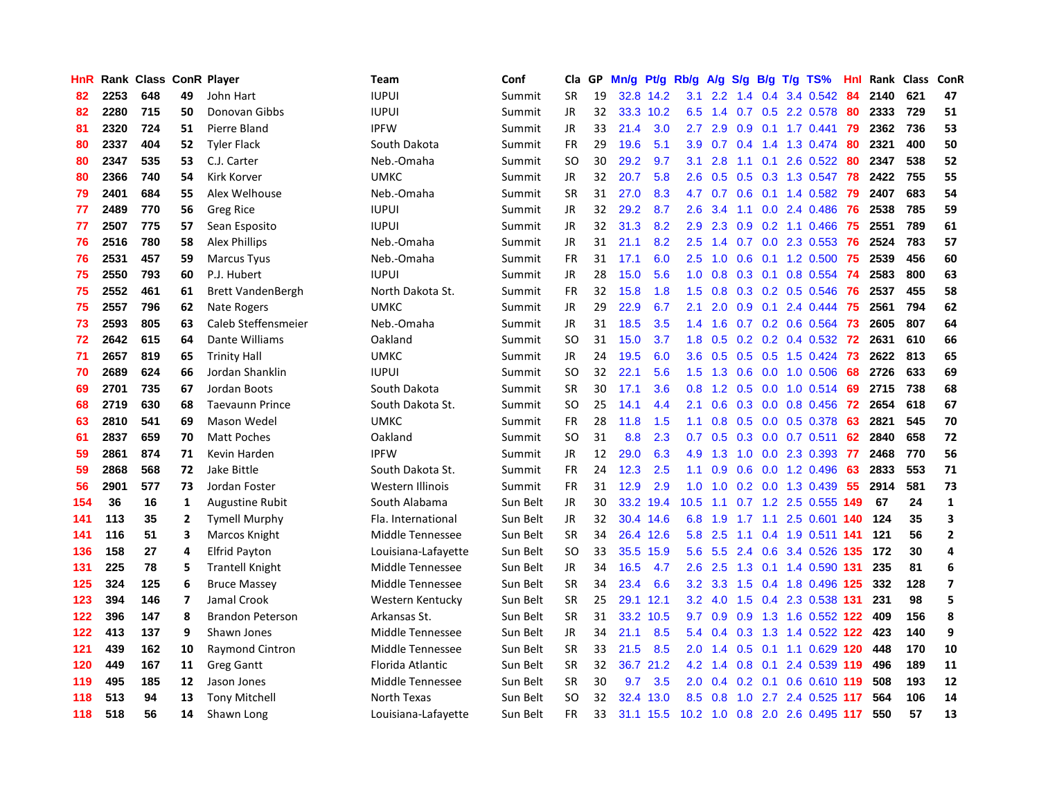| HnR        |            | Rank Class ConR Player |                |                                  | Team                                 | Conf                 | Cla                    | GP.      | Mn/g | Pt/g             | Rb/g             | A/g        | S/g              |     | $B/g$ T/g TS%                      | Hnl |            | Rank Class | <b>ConR</b>    |
|------------|------------|------------------------|----------------|----------------------------------|--------------------------------------|----------------------|------------------------|----------|------|------------------|------------------|------------|------------------|-----|------------------------------------|-----|------------|------------|----------------|
| 82         | 2253       | 648                    | 49             | John Hart                        | <b>IUPUI</b>                         | Summit               | <b>SR</b>              | 19       | 32.8 | 14.2             | 3.1              | 2.2        | 1.4              | 0.4 | 3.4 0.542                          | 84  | 2140       | 621        | 47             |
| 82         | 2280       | 715                    | 50             | Donovan Gibbs                    | <b>IUPUI</b>                         | Summit               | JR                     | 32       |      | 33.3 10.2        | 6.5              | 1.4        |                  |     | 0.7 0.5 2.2 0.578                  | -80 | 2333       | 729        | 51             |
| 81         | 2320       | 724                    | 51             | Pierre Bland                     | <b>IPFW</b>                          | Summit               | JR                     | 33       | 21.4 | 3.0              | $2.7^{\circ}$    | 2.9        |                  |     | 0.9 0.1 1.7 0.441 79               |     | 2362       | 736        | 53             |
| 80         | 2337       | 404                    | 52             | <b>Tyler Flack</b>               | South Dakota                         | Summit               | FR                     | 29       | 19.6 | 5.1              | 3.9 <sub>2</sub> | 0.7        |                  |     | 0.4 1.4 1.3 0.474 80               |     | 2321       | 400        | 50             |
| 80         | 2347       | 535                    | 53             | C.J. Carter                      | Neb.-Omaha                           | Summit               | <b>SO</b>              | 30       | 29.2 | 9.7              | 3.1              | 2.8        |                  |     | 1.1 0.1 2.6 0.522                  | 80  | 2347       | 538        | 52             |
| 80         | 2366       | 740                    | 54             | Kirk Korver                      | <b>UMKC</b>                          | Summit               | JR                     | 32       | 20.7 | 5.8              | 2.6              | 0.5        | 0.5              |     | 0.3 1.3 0.547                      | 78  | 2422       | 755        | 55             |
| 79         | 2401       | 684                    | 55             | Alex Welhouse                    | Neb.-Omaha                           | Summit               | <b>SR</b>              | 31       | 27.0 | 8.3              | 4.7              | 0.7        |                  |     | $0.6$ 0.1 1.4 0.582                | -79 | 2407       | 683        | 54             |
| 77         | 2489       | 770                    | 56             | <b>Greg Rice</b>                 | <b>IUPUI</b>                         | Summit               | JR                     | 32       | 29.2 | 8.7              | 2.6              | 3.4        | 1.1              |     | $0.0$ 2.4 $0.486$                  | 76  | 2538       | 785        | 59             |
| 77         | 2507       | 775                    | 57             | Sean Esposito                    | <b>IUPUI</b>                         | Summit               | JR                     | 32       | 31.3 | 8.2              | 2.9              | 2.3        | 0.9              |     | $0.2$ 1.1 $0.466$                  | 75  | 2551       | 789        | 61             |
| 76         | 2516       | 780                    | 58             | <b>Alex Phillips</b>             | Neb.-Omaha                           | Summit               | JR                     | 31       | 21.1 | 8.2              | 2.5              | 1.4        |                  |     | $0.7$ $0.0$ 2.3 $0.553$            | -76 | 2524       | 783        | 57             |
| 76         | 2531       | 457                    | 59             | <b>Marcus Tyus</b>               | Neb.-Omaha                           | Summit               | FR                     | 31       | 17.1 | 6.0              | 2.5              | 1.0        |                  |     | 0.6 0.1 1.2 0.500 75               |     | 2539       | 456        | 60             |
| 75         | 2550       | 793                    | 60             | P.J. Hubert                      | <b>IUPUI</b>                         | Summit               | JR.                    | 28       | 15.0 | 5.6              | 1.0              | 0.8        |                  |     | $0.3$ 0.1 0.8 0.554                | -74 | 2583       | 800        | 63             |
| 75         | 2552       | 461                    | 61             | <b>Brett VandenBergh</b>         | North Dakota St.                     | Summit               | <b>FR</b>              | 32       | 15.8 | 1.8              | $1.5^{\circ}$    | 0.8        |                  |     | $0.3$ 0.2 0.5 0.546                | -76 | 2537       | 455        | 58             |
| 75         | 2557       | 796                    | 62             | Nate Rogers                      | <b>UMKC</b>                          | Summit               | JR                     | 29       | 22.9 | 6.7              | 2.1              | 2.0        | 0.9 <sub>0</sub> | 0.1 | 2.4 0.444                          | -75 | 2561       | 794        | 62             |
| 73         | 2593       | 805                    | 63             | Caleb Steffensmeier              | Neb.-Omaha                           | Summit               | JR                     | 31       | 18.5 | 3.5              | 1.4              | 1.6        |                  |     | $0.7$ $0.2$ $0.6$ $0.564$          | -73 | 2605       | 807        | 64             |
| 72         | 2642       | 615                    | 64             | Dante Williams                   | Oakland                              | Summit               | <b>SO</b>              | 31       | 15.0 | 3.7              | 1.8              | 0.5        |                  |     | $0.2$ 0.2 0.4 0.532                | 72  | 2631       | 610        | 66             |
| 71         | 2657       | 819                    | 65             | <b>Trinity Hall</b>              | <b>UMKC</b>                          | Summit               | JR.                    | 24       | 19.5 | 6.0              | 3.6 <sup>°</sup> | 0.5        | 0.5              |     | $0.5$ 1.5 0.424                    | 73  | 2622       | 813        | 65             |
| 70         | 2689       | 624                    | 66             | Jordan Shanklin                  | <b>IUPUI</b>                         | Summit               | <b>SO</b>              | 32       | 22.1 | 5.6              | 1.5              | 1.3        | 0.6              |     | $0.0$ 1.0 $0.506$                  | 68  | 2726       | 633        | 69             |
| 69         | 2701       | 735                    | 67             | Jordan Boots                     | South Dakota                         | Summit               | <b>SR</b>              | 30       | 17.1 | 3.6              | 0.8              | 1.2        |                  |     | 0.5 0.0 1.0 0.514 69               |     | 2715       | 738        | 68             |
| 68         | 2719       | 630                    | 68             | <b>Taevaunn Prince</b>           | South Dakota St.                     | Summit               | SO.                    | 25       | 14.1 | 4.4              | 2.1              | 0.6        |                  |     | 0.3 0.0 0.8 0.456 72               |     | 2654       | 618        | 67             |
| 63         | 2810       | 541                    | 69             | Mason Wedel                      | <b>UMKC</b>                          | Summit               | <b>FR</b>              | 28       | 11.8 | 1.5              | 1.1              | 0.8        |                  |     | $0.5$ 0.0 0.5 0.378                | 63  | 2821       | 545        | 70             |
| 61         | 2837       | 659                    | 70             | <b>Matt Poches</b>               | Oakland                              | Summit               | <b>SO</b>              | 31       | 8.8  | 2.3              | 0.7              | 0.5        |                  |     | $0.3$ 0.0 0.7 0.511                | 62  | 2840       | 658        | 72             |
| 59         | 2861       | 874                    | 71             | Kevin Harden                     | <b>IPFW</b>                          | Summit               | JR.                    | 12       | 29.0 | 6.3              | 4.9              | 1.3        | 1.0              |     | $0.0$ 2.3 0.393                    | 77  | 2468       | 770        | 56             |
| 59         | 2868       | 568                    | 72             | Jake Bittle                      | South Dakota St.                     | Summit               | <b>FR</b>              | 24       | 12.3 | 2.5              | 1.1              | 0.9        | 0.6              |     | 0.0 1.2 0.496                      | 63  | 2833       | 553        | 71             |
| 56         | 2901       | 577                    | 73             | Jordan Foster                    | Western Illinois                     | Summit               | <b>FR</b>              | 31       | 12.9 | 2.9              | 1.0              | 1.0        |                  |     | $0.2$ 0.0 1.3 0.439                | 55  | 2914       | 581        | 73             |
| 154        | 36         | 16                     | 1              | <b>Augustine Rubit</b>           | South Alabama                        | Sun Belt             | JR                     | 30       | 33.2 | 19.4             | 10.5             | 1.1        |                  |     | 0.7 1.2 2.5 0.555 149              |     | 67         | 24         | $\mathbf{1}$   |
| 141        | 113        | 35                     | $\mathbf{2}$   | <b>Tymell Murphy</b>             | Fla. International                   | Sun Belt             | JR                     | 32       |      | 30.4 14.6        | 6.8              | 1.9        |                  |     | 1.7 1.1 2.5 0.601 140              |     | 124        | 35         | 3              |
| 141        | 116        | 51                     | 3              | Marcos Knight                    | Middle Tennessee                     | Sun Belt             | <b>SR</b>              | 34       |      | 26.4 12.6        | 5.8              | 2.5        |                  |     | 1.1 0.4 1.9 0.511 141              |     | 121        | 56         | $\overline{2}$ |
| 136        | 158        | 27                     | 4              | <b>Elfrid Payton</b>             | Louisiana-Lafayette                  | Sun Belt             | SO.                    | 33       | 35.5 | 15.9             | 5.6              | 5.5        |                  |     | 2.4 0.6 3.4 0.526 135 172          |     |            | 30         | 4              |
| 131        | 225        | 78                     | 5              | <b>Trantell Knight</b>           | Middle Tennessee                     | Sun Belt             | JR                     | 34       | 16.5 | 4.7              | $2.6^{\circ}$    | 2.5        |                  |     | 1.3 0.1 1.4 0.590 131              |     | 235        | 81         | 6              |
| 125        | 324        | 125                    | 6              | <b>Bruce Massey</b>              | Middle Tennessee                     | Sun Belt             | <b>SR</b>              | 34       | 23.4 | 6.6              | 3.2              | 3.3        | $1.5^{\circ}$    |     | 0.4 1.8 0.496 125                  |     | 332        | 128        | $\overline{7}$ |
| 123        | 394        | 146                    | $\overline{7}$ | Jamal Crook                      | Western Kentucky                     | Sun Belt             | <b>SR</b>              | 25       | 29.1 | 12.1             | 3.2              | 4.0        | 1.5              |     | 0.4 2.3 0.538 131                  |     | 231        | 98         | 5<br>8         |
| 122        | 396        | 147                    | 8              | <b>Brandon Peterson</b>          | Arkansas St.                         | Sun Belt             | <b>SR</b>              | 31       | 33.2 | 10.5             | 9.7              | 0.9        | 0.9 <sup>°</sup> |     | 1.3 1.6 0.552 122                  |     | 409        | 156        | 9              |
| 122        | 413        | 137                    | 9              | Shawn Jones                      | Middle Tennessee                     | Sun Belt             | JR                     | 34       | 21.1 | 8.5              | 5.4              | 0.4        | 0.3 <sub>0</sub> |     | 1.3 1.4 0.522 122                  |     | 423        | 140        | 10             |
| 121<br>120 | 439<br>449 | 162                    | 10             | Raymond Cintron                  | Middle Tennessee                     | Sun Belt<br>Sun Belt | <b>SR</b><br><b>SR</b> | 33<br>32 | 21.5 | 8.5<br>36.7 21.2 | 2.0              | 1.4<br>1.4 | 0.5<br>0.8       | 0.1 | 1.1 0.629 120<br>0.1 2.4 0.539 119 |     | 448<br>496 | 170<br>189 | 11             |
| 119        | 495        | 167<br>185             | 11<br>12       | <b>Greg Gantt</b><br>Jason Jones | Florida Atlantic<br>Middle Tennessee | Sun Belt             | <b>SR</b>              | 30       | 9.7  | 3.5              | 4.2<br>2.0       | 0.4        | 0.2              |     | 0.1 0.6 0.610 119                  |     | 508        | 193        | 12             |
| 118        | 513        | 94                     | 13             | <b>Tony Mitchell</b>             | North Texas                          | Sun Belt             | SO                     | 32       | 32.4 | 13.0             | 8.5              | 0.8        | 1.0              |     | 2.7 2.4 0.525 117                  |     | 564        | 106        | 14             |
| 118        | 518        | 56                     | 14             | Shawn Long                       |                                      | Sun Belt             | <b>FR</b>              | 33       |      | 31.1 15.5        |                  |            |                  |     | 10.2 1.0 0.8 2.0 2.6 0.495 117     |     | 550        | 57         | 13             |
|            |            |                        |                |                                  | Louisiana-Lafayette                  |                      |                        |          |      |                  |                  |            |                  |     |                                    |     |            |            |                |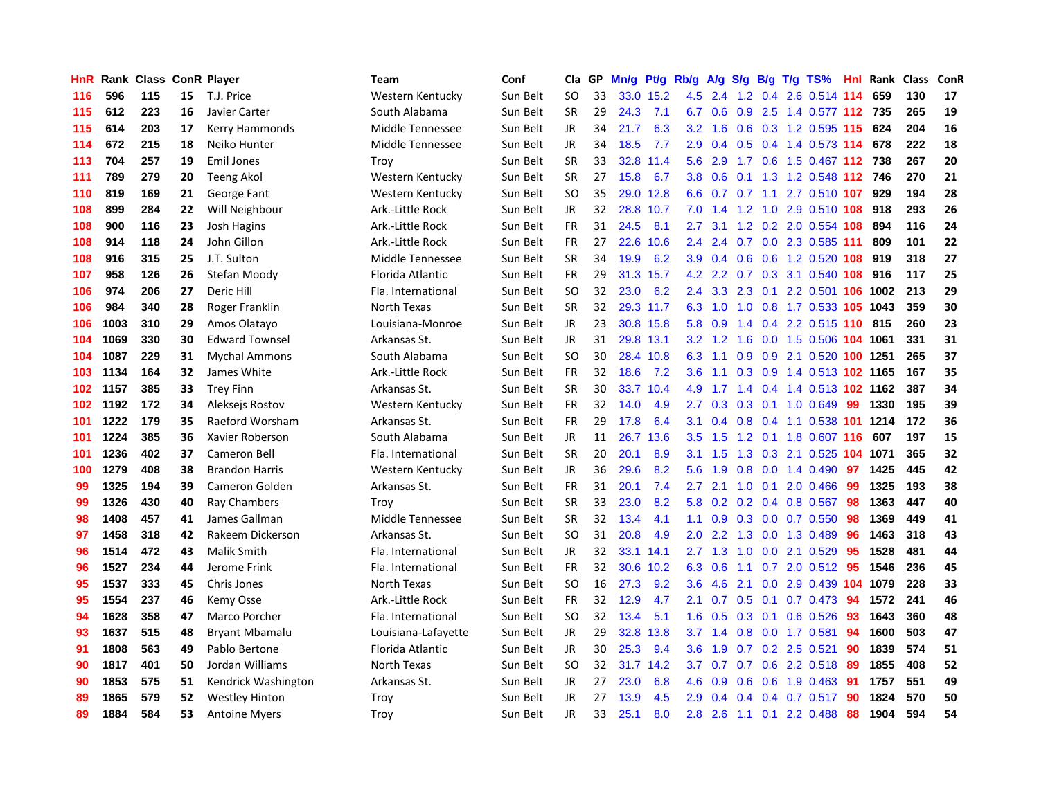| HnR |      | Rank Class ConR Player |    |                       | Team                | Conf     | Cla       | GP. | Mn/g | Pt/g Rb/g |                  | A/g             | S/g              |     | $B/g$ T/g TS%                 |     | <b>Hnl</b> Rank | <b>Class</b> | ConR |
|-----|------|------------------------|----|-----------------------|---------------------|----------|-----------|-----|------|-----------|------------------|-----------------|------------------|-----|-------------------------------|-----|-----------------|--------------|------|
| 116 | 596  | 115                    | 15 | T.J. Price            | Western Kentucky    | Sun Belt | <b>SO</b> | 33  | 33.0 | 15.2      | 4.5              | 2.4             | 1.2              | 0.4 | 2.6 0.514 114                 |     | 659             | 130          | 17   |
| 115 | 612  | 223                    | 16 | Javier Carter         | South Alabama       | Sun Belt | <b>SR</b> | 29  | 24.3 | 7.1       | 6.7              | 0.6             |                  |     | 0.9 2.5 1.4 0.577 112 735     |     |                 | 265          | 19   |
| 115 | 614  | 203                    | 17 | Kerry Hammonds        | Middle Tennessee    | Sun Belt | JR        | 34  | 21.7 | 6.3       | 3.2              | 1.6             |                  |     | 0.6 0.3 1.2 0.595 115 624     |     |                 | 204          | 16   |
| 114 | 672  | 215                    | 18 | Neiko Hunter          | Middle Tennessee    | Sun Belt | JR        | 34  | 18.5 | 7.7       | 2.9              | 0.4             |                  |     | 0.5 0.4 1.4 0.573 114 678     |     |                 | 222          | 18   |
| 113 | 704  | 257                    | 19 | <b>Emil Jones</b>     | Troy                | Sun Belt | <b>SR</b> | 33  | 32.8 | 11.4      | 5.6              | 2.9             |                  |     | 1.7 0.6 1.5 0.467 112 738     |     |                 | 267          | 20   |
| 111 | 789  | 279                    | 20 | <b>Teeng Akol</b>     | Western Kentucky    | Sun Belt | <b>SR</b> | 27  | 15.8 | 6.7       | 3.8              | 0.6             | 0.1              |     | 1.3 1.2 0.548 112 746         |     |                 | 270          | 21   |
| 110 | 819  | 169                    | 21 | George Fant           | Western Kentucky    | Sun Belt | <b>SO</b> | 35  |      | 29.0 12.8 | 6.6              | 0.7             |                  |     | 0.7 1.1 2.7 0.510 107         |     | 929             | 194          | 28   |
| 108 | 899  | 284                    | 22 | Will Neighbour        | Ark.-Little Rock    | Sun Belt | JR        | 32  | 28.8 | 10.7      | 7.0              | 1.4             |                  |     | 1.2 1.0 2.9 0.510 108         |     | 918             | 293          | 26   |
| 108 | 900  | 116                    | 23 | Josh Hagins           | Ark.-Little Rock    | Sun Belt | FR        | 31  | 24.5 | 8.1       | $2.7^{\circ}$    | 3.1             | 1.2              |     | 0.2 2.0 0.554 108             |     | 894             | 116          | 24   |
| 108 | 914  | 118                    | 24 | John Gillon           | Ark.-Little Rock    | Sun Belt | FR        | 27  | 22.6 | 10.6      | 2.4              | 2.4             |                  |     | 0.7 0.0 2.3 0.585 111         |     | 809             | 101          | 22   |
| 108 | 916  | 315                    | 25 | J.T. Sulton           | Middle Tennessee    | Sun Belt | <b>SR</b> | 34  | 19.9 | 6.2       | 3.9 <sub>2</sub> |                 |                  |     | 0.4 0.6 0.6 1.2 0.520 108 919 |     |                 | 318          | 27   |
| 107 | 958  | 126                    | 26 | Stefan Moody          | Florida Atlantic    | Sun Belt | <b>FR</b> | 29  | 31.3 | 15.7      | 4.2              | 2.2             |                  |     | 0.7 0.3 3.1 0.540 108 916     |     |                 | 117          | 25   |
| 106 | 974  | 206                    | 27 | Deric Hill            | Fla. International  | Sun Belt | SO        | 32  | 23.0 | 6.2       | $2.4^{\circ}$    | 3.3             |                  |     | 2.3 0.1 2.2 0.501 106 1002    |     |                 | 213          | 29   |
| 106 | 984  | 340                    | 28 | Roger Franklin        | North Texas         | Sun Belt | <b>SR</b> | 32  |      | 29.3 11.7 | 6.3              | 1.0             | 1.0              |     | 0.8 1.7 0.533 105 1043        |     |                 | 359          | 30   |
| 106 | 1003 | 310                    | 29 | Amos Olatayo          | Louisiana-Monroe    | Sun Belt | JR        | 23  |      | 30.8 15.8 | 5.8              | 0.9             | 1.4              |     | 0.4 2.2 0.515 110 815         |     |                 | 260          | 23   |
| 104 | 1069 | 330                    | 30 | <b>Edward Townsel</b> | Arkansas St.        | Sun Belt | JR        | 31  | 29.8 | 13.1      | 3.2              | 1.2             | 1.6              |     | 0.0 1.5 0.506 104 1061        |     |                 | 331          | 31   |
| 104 | 1087 | 229                    | 31 | <b>Mychal Ammons</b>  | South Alabama       | Sun Belt | <b>SO</b> | 30  |      | 28.4 10.8 | 6.3              | 1.1             | 0.9 <sup>°</sup> |     | 0.9 2.1 0.520 100 1251        |     |                 | 265          | 37   |
| 103 | 1134 | 164                    | 32 | James White           | Ark.-Little Rock    | Sun Belt | <b>FR</b> | 32  | 18.6 | 7.2       | 3.6              | 1.1             | 0.3              |     | 0.9 1.4 0.513 102 1165        |     |                 | 167          | 35   |
| 102 | 1157 | 385                    | 33 | <b>Trey Finn</b>      | Arkansas St.        | Sun Belt | <b>SR</b> | 30  | 33.7 | 10.4      | 4.9              | 1.7             |                  |     | 1.4 0.4 1.4 0.513 102 1162    |     |                 | 387          | 34   |
| 102 | 1192 | 172                    | 34 | Aleksejs Rostov       | Western Kentucky    | Sun Belt | <b>FR</b> | 32  | 14.0 | 4.9       | 2.7              | 0.3             |                  |     | $0.3$ 0.1 1.0 0.649           | -99 | 1330            | 195          | 39   |
| 101 | 1222 | 179                    | 35 | Raeford Worsham       | Arkansas St.        | Sun Belt | <b>FR</b> | 29  | 17.8 | 6.4       | 3.1              | 0.4             |                  |     | 0.8 0.4 1.1 0.538 101 1214    |     |                 | 172          | 36   |
| 101 | 1224 | 385                    | 36 | Xavier Roberson       | South Alabama       | Sun Belt | <b>JR</b> | 11  | 26.7 | 13.6      | 3.5              | 1.5             |                  |     | 1.2 0.1 1.8 0.607 116         |     | 607             | 197          | 15   |
| 101 | 1236 | 402                    | 37 | Cameron Bell          | Fla. International  | Sun Belt | <b>SR</b> | 20  | 20.1 | 8.9       | 3.1              | 1.5             | 1.3              |     | 0.3 2.1 0.525 104 1071        |     |                 | 365          | 32   |
| 100 | 1279 | 408                    | 38 | <b>Brandon Harris</b> | Western Kentucky    | Sun Belt | JR        | 36  | 29.6 | 8.2       | 5.6              | 1.9             | 0.8              |     | $0.0$ 1.4 0.490               | 97  | 1425            | 445          | 42   |
| 99  | 1325 | 194                    | 39 | Cameron Golden        | Arkansas St.        | Sun Belt | <b>FR</b> | 31  | 20.1 | 7.4       | $2.7^{\circ}$    | 2.1             | 1.0              |     | $0.1$ 2.0 0.466               | -99 | 1325            | 193          | 38   |
| 99  | 1326 | 430                    | 40 | Ray Chambers          | Troy                | Sun Belt | <b>SR</b> | 33  | 23.0 | 8.2       | 5.8              | 0.2             |                  |     | $0.2$ 0.4 0.8 0.567           | -98 | 1363            | 447          | 40   |
| 98  | 1408 | 457                    | 41 | James Gallman         | Middle Tennessee    | Sun Belt | <b>SR</b> | 32  | 13.4 | 4.1       | 1.1              | 0.9             |                  |     | $0.3$ 0.0 0.7 0.550           | -98 | 1369            | 449          | 41   |
| 97  | 1458 | 318                    | 42 | Rakeem Dickerson      | Arkansas St.        | Sun Belt | SO        | 31  | 20.8 | 4.9       | 2.0 <sub>1</sub> | 2.2             |                  |     | 1.3 0.0 1.3 0.489             | -96 | 1463            | 318          | 43   |
| 96  | 1514 | 472                    | 43 | <b>Malik Smith</b>    | Fla. International  | Sun Belt | JR.       | 32  | 33.1 | 14.1      | $2.7^{\circ}$    |                 |                  |     | 1.3 1.0 0.0 2.1 0.529         | -95 | 1528            | 481          | 44   |
| 96  | 1527 | 234                    | 44 | Jerome Frink          | Fla. International  | Sun Belt | FR        | 32  | 30.6 | 10.2      | 6.3              | 0.6             |                  |     | 1.1 0.7 2.0 0.512 95          |     | 1546            | 236          | 45   |
| 95  | 1537 | 333                    | 45 | Chris Jones           | North Texas         | Sun Belt | <b>SO</b> | 16  | 27.3 | 9.2       | 3.6              | 4.6             | 2.1              |     | $0.0$ 2.9 0.439 104           |     | 1079            | 228          | 33   |
| 95  | 1554 | 237                    | 46 | Kemy Osse             | Ark.-Little Rock    | Sun Belt | FR        | 32  | 12.9 | 4.7       | 2.1              | 0.7             | 0.5              |     | $0.1$ 0.7 0.473               | 94  | 1572            | 241          | 46   |
| 94  | 1628 | 358                    | 47 | Marco Porcher         | Fla. International  | Sun Belt | <b>SO</b> | 32  | 13.4 | 5.1       | 1.6              | 0.5             | 0.3              |     | $0.1$ 0.6 0.526               | 93  | 1643            | 360          | 48   |
| 93  | 1637 | 515                    | 48 | <b>Bryant Mbamalu</b> | Louisiana-Lafayette | Sun Belt | JR        | 29  | 32.8 | 13.8      |                  | $3.7 \quad 1.4$ | 0.8              |     | $0.0$ 1.7 $0.581$             | 94  | 1600            | 503          | 47   |
| 91  | 1808 | 563                    | 49 | Pablo Bertone         | Florida Atlantic    | Sun Belt | JR        | 30  | 25.3 | 9.4       | 3.6 <sup>°</sup> | 1.9             | 0.7              |     | 0.2 2.5 0.521                 | 90  | 1839            | 574          | 51   |
| 90  | 1817 | 401                    | 50 | Jordan Williams       | North Texas         | Sun Belt | SO        | 32  | 31.7 | 14.2      | 3.7              | 0.7             |                  |     | 0.7 0.6 2.2 0.518 89          |     | 1855            | 408          | 52   |
| 90  | 1853 | 575                    | 51 | Kendrick Washington   | Arkansas St.        | Sun Belt | JR        | 27  | 23.0 | 6.8       | 4.6              | 0.9             |                  |     | 0.6 0.6 1.9 0.463 91          |     | 1757            | 551          | 49   |
| 89  | 1865 | 579                    | 52 | <b>Westley Hinton</b> | Trov                | Sun Belt | JR        | 27  | 13.9 | 4.5       | 2.9 <sup>°</sup> | 0.4             |                  |     | $0.4$ 0.4 0.7 0.517           | -90 | 1824            | 570          | 50   |
| 89  | 1884 | 584                    | 53 | <b>Antoine Myers</b>  | Trov                | Sun Belt | <b>JR</b> | 33  | 25.1 | 8.0       |                  |                 |                  |     | 2.8 2.6 1.1 0.1 2.2 0.488     | 88  | 1904            | 594          | 54   |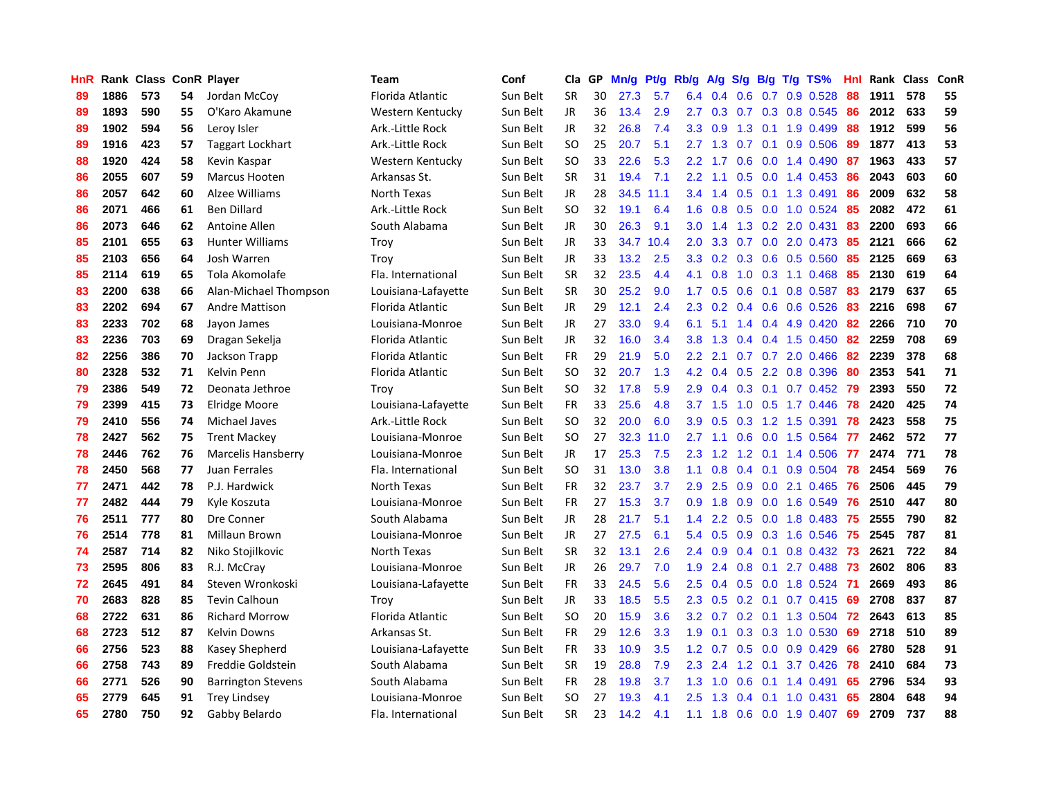| HnR |      | Rank Class ConR Player |    |                           | <b>Team</b>         | Conf     | Cla       | GP | Mn/g | <b>Pt/g</b> | Rb/g             | A/g             | S/g              |     | $B/g$ T/g TS%             | Hnl |      | Rank Class | ConR |
|-----|------|------------------------|----|---------------------------|---------------------|----------|-----------|----|------|-------------|------------------|-----------------|------------------|-----|---------------------------|-----|------|------------|------|
| 89  | 1886 | 573                    | 54 | Jordan McCoy              | Florida Atlantic    | Sun Belt | <b>SR</b> | 30 | 27.3 | 5.7         | 6.4              | 0.4             | 0.6              | 0.7 | 0.9 0.528                 | 88  | 1911 | 578        | 55   |
| 89  | 1893 | 590                    | 55 | O'Karo Akamune            | Western Kentucky    | Sun Belt | JR        | 36 | 13.4 | 2.9         | $2.7^{\circ}$    | 0.3             |                  |     | $0.7$ $0.3$ $0.8$ $0.545$ | 86  | 2012 | 633        | 59   |
| 89  | 1902 | 594                    | 56 | Leroy Isler               | Ark.-Little Rock    | Sun Belt | JR        | 32 | 26.8 | 7.4         |                  | $3.3 \quad 0.9$ |                  |     | 1.3 0.1 1.9 0.499         | 88  | 1912 | 599        | 56   |
| 89  | 1916 | 423                    | 57 | <b>Taggart Lockhart</b>   | Ark.-Little Rock    | Sun Belt | <b>SO</b> | 25 | 20.7 | 5.1         | 2.7              | 1.3             |                  |     | $0.7$ 0.1 0.9 0.506       | -89 | 1877 | 413        | 53   |
| 88  | 1920 | 424                    | 58 | Kevin Kaspar              | Western Kentucky    | Sun Belt | <b>SO</b> | 33 | 22.6 | 5.3         | 2.2              | 1.7             | 0.6              |     | $0.0$ 1.4 $0.490$         | 87  | 1963 | 433        | 57   |
| 86  | 2055 | 607                    | 59 | <b>Marcus Hooten</b>      | Arkansas St.        | Sun Belt | <b>SR</b> | 31 | 19.4 | 7.1         | 2.2              | 1.1             | 0.5              |     | $0.0$ 1.4 $0.453$         | 86  | 2043 | 603        | 60   |
| 86  | 2057 | 642                    | 60 | Alzee Williams            | North Texas         | Sun Belt | JR        | 28 | 34.5 | 11.1        | 3.4              | 1.4             |                  |     | 0.5 0.1 1.3 0.491         | 86  | 2009 | 632        | 58   |
| 86  | 2071 | 466                    | 61 | <b>Ben Dillard</b>        | Ark.-Little Rock    | Sun Belt | <b>SO</b> | 32 | 19.1 | 6.4         | 1.6              | 0.8             | 0.5              |     | $0.0$ 1.0 0.524           | -85 | 2082 | 472        | 61   |
| 86  | 2073 | 646                    | 62 | Antoine Allen             | South Alabama       | Sun Belt | JR        | 30 | 26.3 | 9.1         | 3.0 <sub>2</sub> | 1.4             | 1.3              |     | 0.2 2.0 0.431             | 83  | 2200 | 693        | 66   |
| 85  | 2101 | 655                    | 63 | <b>Hunter Williams</b>    | Troy                | Sun Belt | JR        | 33 | 34.7 | 10.4        | 2.0              | 3.3             | 0.7              |     | $0.0$ 2.0 0.473           | -85 | 2121 | 666        | 62   |
| 85  | 2103 | 656                    | 64 | Josh Warren               | Troy                | Sun Belt | JR        | 33 | 13.2 | 2.5         | 3.3 <sub>2</sub> |                 |                  |     | $0.2$ 0.3 0.6 0.5 0.560   | -85 | 2125 | 669        | 63   |
| 85  | 2114 | 619                    | 65 | Tola Akomolafe            | Fla. International  | Sun Belt | <b>SR</b> | 32 | 23.5 | 4.4         | 4.1              | 0.8             |                  |     | 1.0 0.3 1.1 0.468         | -85 | 2130 | 619        | 64   |
| 83  | 2200 | 638                    | 66 | Alan-Michael Thompson     | Louisiana-Lafayette | Sun Belt | <b>SR</b> | 30 | 25.2 | 9.0         | 1.7              | 0.5             | 0.6              |     | $0.1$ 0.8 0.587           | -83 | 2179 | 637        | 65   |
| 83  | 2202 | 694                    | 67 | Andre Mattison            | Florida Atlantic    | Sun Belt | JR        | 29 | 12.1 | 2.4         | 2.3              | 0.2             |                  |     | $0.4$ 0.6 0.6 0.526       | 83  | 2216 | 698        | 67   |
| 83  | 2233 | 702                    | 68 | Jayon James               | Louisiana-Monroe    | Sun Belt | JR        | 27 | 33.0 | 9.4         | 6.1              | 5.1             |                  |     | 1.4 0.4 4.9 0.420         | 82  | 2266 | 710        | 70   |
| 83  | 2236 | 703                    | 69 | Dragan Sekelja            | Florida Atlantic    | Sun Belt | JR        | 32 | 16.0 | 3.4         | 3.8              | 1.3             | 0.4              |     | $0.4$ 1.5 0.450           | 82  | 2259 | 708        | 69   |
| 82  | 2256 | 386                    | 70 | Jackson Trapp             | Florida Atlantic    | Sun Belt | <b>FR</b> | 29 | 21.9 | 5.0         | 2.2              | 2.1             | 0.7              |     | $0.7$ 2.0 0.466           | 82  | 2239 | 378        | 68   |
| 80  | 2328 | 532                    | 71 | Kelvin Penn               | Florida Atlantic    | Sun Belt | <b>SO</b> | 32 | 20.7 | 1.3         | 4.2              | 0.4             | 0.5              |     | 2.2 0.8 0.396             | 80  | 2353 | 541        | 71   |
| 79  | 2386 | 549                    | 72 | Deonata Jethroe           | Troy                | Sun Belt | <b>SO</b> | 32 | 17.8 | 5.9         | 2.9              | 0.4             |                  |     | $0.3$ 0.1 0.7 0.452       | -79 | 2393 | 550        | 72   |
| 79  | 2399 | 415                    | 73 | Elridge Moore             | Louisiana-Lafayette | Sun Belt | <b>FR</b> | 33 | 25.6 | 4.8         |                  | $3.7 \quad 1.5$ |                  |     | 1.0 0.5 1.7 0.446         | 78  | 2420 | 425        | 74   |
| 79  | 2410 | 556                    | 74 | Michael Javes             | Ark.-Little Rock    | Sun Belt | <b>SO</b> | 32 | 20.0 | 6.0         | 3.9 <sup>°</sup> | 0.5             |                  |     | $0.3$ 1.2 1.5 0.391       | 78  | 2423 | 558        | 75   |
| 78  | 2427 | 562                    | 75 | <b>Trent Mackey</b>       | Louisiana-Monroe    | Sun Belt | <b>SO</b> | 27 | 32.3 | 11.0        | $2.7^{\circ}$    | 1.1             | 0.6              |     | $0.0$ 1.5 0.564           | 77  | 2462 | 572        | 77   |
| 78  | 2446 | 762                    | 76 | <b>Marcelis Hansberry</b> | Louisiana-Monroe    | Sun Belt | JR.       | 17 | 25.3 | 7.5         | 2.3              | 1.2             | 1.2              |     | $0.1$ 1.4 0.506           | 77  | 2474 | 771        | 78   |
| 78  | 2450 | 568                    | 77 | Juan Ferrales             | Fla. International  | Sun Belt | <b>SO</b> | 31 | 13.0 | 3.8         | 1.1              | 0.8             | 0.4              |     | $0.1$ 0.9 0.504           | 78  | 2454 | 569        | 76   |
| 77  | 2471 | 442                    | 78 | P.J. Hardwick             | North Texas         | Sun Belt | <b>FR</b> | 32 | 23.7 | 3.7         | 2.9              | 2.5             | 0.9              |     | $0.0$ 2.1 $0.465$         | 76  | 2506 | 445        | 79   |
| 77  | 2482 | 444                    | 79 | Kyle Koszuta              | Louisiana-Monroe    | Sun Belt | <b>FR</b> | 27 | 15.3 | 3.7         | 0.9 <sup>°</sup> | 1.8             | 0.9              |     | 0.0 1.6 0.549             | 76  | 2510 | 447        | 80   |
| 76  | 2511 | 777                    | 80 | Dre Conner                | South Alabama       | Sun Belt | JR        | 28 | 21.7 | 5.1         | 1.4              | $2.2^{\circ}$   |                  |     | $0.5$ 0.0 1.8 0.483       | -75 | 2555 | 790        | 82   |
| 76  | 2514 | 778                    | 81 | Millaun Brown             | Louisiana-Monroe    | Sun Belt | JR.       | 27 | 27.5 | 6.1         | 5.4              | 0.5             |                  |     | 0.9 0.3 1.6 0.546 75      |     | 2545 | 787        | 81   |
| 74  | 2587 | 714                    | 82 | Niko Stojilkovic          | North Texas         | Sun Belt | <b>SR</b> | 32 | 13.1 | 2.6         | $2.4^{\circ}$    | 0.9             |                  |     | $0.4$ 0.1 0.8 0.432 73    |     | 2621 | 722        | 84   |
| 73  | 2595 | 806                    | 83 | R.J. McCray               | Louisiana-Monroe    | Sun Belt | JR        | 26 | 29.7 | 7.0         | 1.9              | 2.4             | 0.8              |     | 0.1 2.7 0.488 73          |     | 2602 | 806        | 83   |
| 72  | 2645 | 491                    | 84 | Steven Wronkoski          | Louisiana-Lafayette | Sun Belt | <b>FR</b> | 33 | 24.5 | 5.6         | $2.5^{\circ}$    | 0.4             | 0.5              |     | 0.0 1.8 0.524             | -71 | 2669 | 493        | 86   |
| 70  | 2683 | 828                    | 85 | <b>Tevin Calhoun</b>      | Troy                | Sun Belt | JR        | 33 | 18.5 | 5.5         | 2.3              | 0.5             |                  |     | $0.2$ 0.1 0.7 0.415       | 69  | 2708 | 837        | 87   |
| 68  | 2722 | 631                    | 86 | <b>Richard Morrow</b>     | Florida Atlantic    | Sun Belt | <b>SO</b> | 20 | 15.9 | 3.6         | 3.2              | 0.7             | 0.2              |     | $0.1$ 1.3 0.504           | 72  | 2643 | 613        | 85   |
| 68  | 2723 | 512                    | 87 | Kelvin Downs              | Arkansas St.        | Sun Belt | <b>FR</b> | 29 | 12.6 | 3.3         | 1.9              | 0.1             | 0.3 <sub>0</sub> |     | 0.3 1.0 0.530             | 69  | 2718 | 510        | 89   |
| 66  | 2756 | 523                    | 88 | Kasey Shepherd            | Louisiana-Lafayette | Sun Belt | <b>FR</b> | 33 | 10.9 | 3.5         | 1.2              | 0.7             | 0.5              |     | $0.0$ 0.9 0.429           | 66  | 2780 | 528        | 91   |
| 66  | 2758 | 743                    | 89 | Freddie Goldstein         | South Alabama       | Sun Belt | <b>SR</b> | 19 | 28.8 | 7.9         | 2.3              | 2.4             |                  |     | 1.2 0.1 3.7 0.426         | 78  | 2410 | 684        | 73   |
| 66  | 2771 | 526                    | 90 | <b>Barrington Stevens</b> | South Alabama       | Sun Belt | <b>FR</b> | 28 | 19.8 | 3.7         | 1.3              | 1.0             | 0.6              |     | $0.1$ 1.4 0.491           | 65  | 2796 | 534        | 93   |
| 65  | 2779 | 645                    | 91 | <b>Trey Lindsey</b>       | Louisiana-Monroe    | Sun Belt | SO        | 27 | 19.3 | 4.1         | $2.5^{\circ}$    | 1.3             |                  |     | $0.4$ 0.1 1.0 0.431       | 65  | 2804 | 648        | 94   |
| 65  | 2780 | 750                    | 92 | Gabby Belardo             | Fla. International  | Sun Belt | <b>SR</b> | 23 | 14.2 | 4.1         | 1.1              | 1.8             |                  |     | 0.6 0.0 1.9 0.407         | 69  | 2709 | 737        | 88   |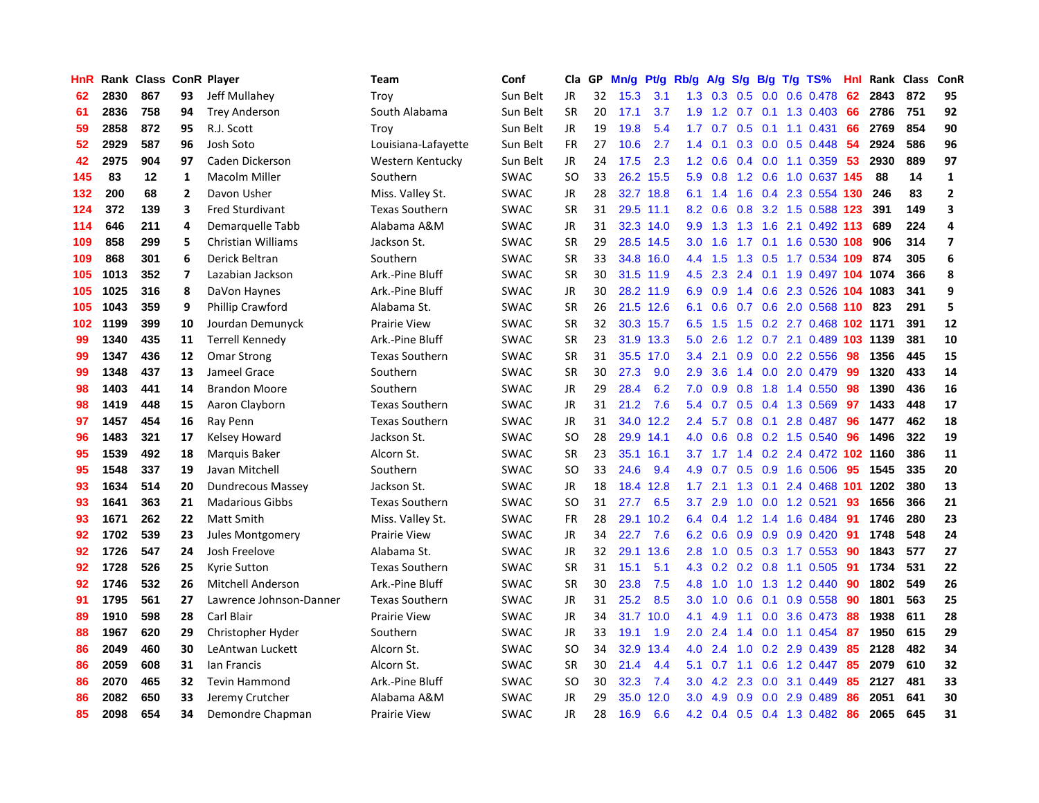| HnR |      | Rank Class ConR Player |                         |                           | Team                  | Conf        | Cla           | GP. | Mn/g | <b>Pt/g</b> | Rb/g             | A/g     |               |     | $S/g$ B/g T/g TS%            | Hnl | Rank | Class | ConR                    |
|-----|------|------------------------|-------------------------|---------------------------|-----------------------|-------------|---------------|-----|------|-------------|------------------|---------|---------------|-----|------------------------------|-----|------|-------|-------------------------|
| 62  | 2830 | 867                    | 93                      | Jeff Mullahey             | Troy                  | Sun Belt    | JR            | 32  | 15.3 | 3.1         | 1.3              | 0.3     | 0.5           |     | $0.0$ 0.6 0.478              | 62  | 2843 | 872   | 95                      |
| 61  | 2836 | 758                    | 94                      | <b>Trey Anderson</b>      | South Alabama         | Sun Belt    | <b>SR</b>     | 20  | 17.1 | 3.7         |                  |         |               |     | 1.9 1.2 0.7 0.1 1.3 0.403 66 |     | 2786 | 751   | 92                      |
| 59  | 2858 | 872                    | 95                      | R.J. Scott                | Troy                  | Sun Belt    | JR            | 19  | 19.8 | 5.4         | 1.7 <sub>1</sub> | 0.7     |               |     | $0.5$ 0.1 1.1 0.431          | -66 | 2769 | 854   | 90                      |
| 52  | 2929 | 587                    | 96                      | Josh Soto                 | Louisiana-Lafayette   | Sun Belt    | <b>FR</b>     | 27  | 10.6 | 2.7         | 1.4              | 0.1     |               |     | $0.3$ 0.0 0.5 0.448          | 54  | 2924 | 586   | 96                      |
| 42  | 2975 | 904                    | 97                      | Caden Dickerson           | Western Kentucky      | Sun Belt    | JR            | 24  | 17.5 | 2.3         | 1.2              | 0.6     |               |     | $0.4$ 0.0 1.1 0.359          | 53  | 2930 | 889   | 97                      |
| 145 | 83   | 12                     | $\mathbf{1}$            | Macolm Miller             | Southern              | <b>SWAC</b> | <b>SO</b>     | 33  |      | 26.2 15.5   | 5.9              | 0.8     |               |     | 1.2 0.6 1.0 0.637 145        |     | 88   | 14    | $\mathbf{1}$            |
| 132 | 200  | 68                     | $\mathbf{2}$            | Davon Usher               | Miss. Valley St.      | <b>SWAC</b> | JR            | 28  | 32.7 | 18.8        | 6.1              | 1.4     |               |     | 1.6 0.4 2.3 0.554 130        |     | 246  | 83    | $\overline{2}$          |
| 124 | 372  | 139                    | 3                       | <b>Fred Sturdivant</b>    | <b>Texas Southern</b> | <b>SWAC</b> | <b>SR</b>     | 31  | 29.5 | 11.1        | 8.2              | 0.6     | 0.8           |     | 3.2 1.5 0.588 123            |     | 391  | 149   | $\overline{\mathbf{3}}$ |
| 114 | 646  | 211                    | 4                       | Demarquelle Tabb          | Alabama A&M           | <b>SWAC</b> | JR            | 31  |      | 32.3 14.0   | 9.9              | 1.3     | 1.3           |     | 1.6 2.1 0.492 113            |     | 689  | 224   | $\overline{4}$          |
| 109 | 858  | 299                    | 5                       | <b>Christian Williams</b> | Jackson St.           | <b>SWAC</b> | <b>SR</b>     | 29  |      | 28.5 14.5   | 3.0 <sub>2</sub> | 1.6     |               |     | 1.7 0.1 1.6 0.530 108        |     | 906  | 314   | $\overline{7}$          |
| 109 | 868  | 301                    | 6                       | Derick Beltran            | Southern              | <b>SWAC</b> | <b>SR</b>     | 33  |      | 34.8 16.0   |                  | 4.4 1.5 |               |     | 1.3 0.5 1.7 0.534 109        |     | 874  | 305   | 6                       |
| 105 | 1013 | 352                    | $\overline{\mathbf{z}}$ | Lazabian Jackson          | Ark.-Pine Bluff       | <b>SWAC</b> | <b>SR</b>     | 30  |      | 31.5 11.9   | 4.5              | 2.3     |               |     | 2.4 0.1 1.9 0.497 104 1074   |     |      | 366   | 8                       |
| 105 | 1025 | 316                    | 8                       | DaVon Haynes              | Ark.-Pine Bluff       | <b>SWAC</b> | <b>JR</b>     | 30  |      | 28.2 11.9   | 6.9              | 0.9     |               |     | 1.4 0.6 2.3 0.526 104 1083   |     |      | 341   | 9                       |
| 105 | 1043 | 359                    | 9                       | Phillip Crawford          | Alabama St.           | <b>SWAC</b> | <b>SR</b>     | 26  |      | 21.5 12.6   | 6.1              | 0.6     |               |     | $0.7$ 0.6 2.0 0.568 110      |     | 823  | 291   | 5                       |
| 102 | 1199 | 399                    | 10                      | Jourdan Demunyck          | <b>Prairie View</b>   | <b>SWAC</b> | <b>SR</b>     | 32  |      | 30.3 15.7   | 6.5              | 1.5     | 1.5           |     | 0.2 2.7 0.468 102 1171       |     |      | 391   | 12                      |
| 99  | 1340 | 435                    | 11                      | Terrell Kennedy           | Ark.-Pine Bluff       | <b>SWAC</b> | <b>SR</b>     | 23  | 31.9 | 13.3        | 5.0              | 2.6     | 1.2           |     | 0.7 2.1 0.489 103 1139       |     |      | 381   | 10                      |
| 99  | 1347 | 436                    | 12                      | <b>Omar Strong</b>        | <b>Texas Southern</b> | <b>SWAC</b> | <b>SR</b>     | 31  | 35.5 | 17.0        | $3.4^{\circ}$    | 2.1     | 0.9           |     | 0.0 2.2 0.556                | 98  | 1356 | 445   | 15                      |
| 99  | 1348 | 437                    | 13                      | Jameel Grace              | Southern              | <b>SWAC</b> | <b>SR</b>     | 30  | 27.3 | 9.0         | 2.9              | 3.6     | 1.4           |     | $0.0$ 2.0 0.479              | -99 | 1320 | 433   | 14                      |
| 98  | 1403 | 441                    | 14                      | <b>Brandon Moore</b>      | Southern              | <b>SWAC</b> | JR            | 29  | 28.4 | 6.2         | 7.0              | 0.9     |               |     | 0.8 1.8 1.4 0.550            | -98 | 1390 | 436   | 16                      |
| 98  | 1419 | 448                    | 15                      | Aaron Clayborn            | <b>Texas Southern</b> | <b>SWAC</b> | JR            | 31  | 21.2 | 7.6         | 5.4              | 0.7     |               |     | $0.5$ 0.4 1.3 0.569          | 97  | 1433 | 448   | 17                      |
| 97  | 1457 | 454                    | 16                      | Ray Penn                  | <b>Texas Southern</b> | <b>SWAC</b> | JR            | 31  | 34.0 | 12.2        | $2.4^{\circ}$    | 5.7     |               |     | $0.8$ 0.1 2.8 0.487          | -96 | 1477 | 462   | 18                      |
| 96  | 1483 | 321                    | 17                      | Kelsey Howard             | Jackson St.           | <b>SWAC</b> | <b>SO</b>     | 28  |      | 29.9 14.1   | 4.0              | 0.6     | 0.8           |     | 0.2 1.5 0.540                | 96  | 1496 | 322   | 19                      |
| 95  | 1539 | 492                    | 18                      | Marquis Baker             | Alcorn St.            | <b>SWAC</b> | <b>SR</b>     | 23  | 35.1 | 16.1        | 3.7              | 1.7     |               |     | 1.4 0.2 2.4 0.472 102 1160   |     |      | 386   | 11                      |
| 95  | 1548 | 337                    | 19                      | Javan Mitchell            | Southern              | <b>SWAC</b> | SO.           | 33  | 24.6 | 9.4         | 4.9              | 0.7     | 0.5           |     | 0.9 1.6 0.506                | 95  | 1545 | 335   | 20                      |
| 93  | 1634 | 514                    | 20                      | Dundrecous Massey         | Jackson St.           | <b>SWAC</b> | JR            | 18  | 18.4 | 12.8        | 1.7              | 2.1     | 1.3           | 0.1 | 2.4 0.468 101 1202           |     |      | 380   | 13                      |
| 93  | 1641 | 363                    | 21                      | <b>Madarious Gibbs</b>    | <b>Texas Southern</b> | <b>SWAC</b> | <b>SO</b>     | 31  | 27.7 | 6.5         | 3.7              | 2.9     | 1.0           |     | 0.0 1.2 0.521                | 93  | 1656 | 366   | 21                      |
| 93  | 1671 | 262                    | 22                      | <b>Matt Smith</b>         | Miss. Valley St.      | <b>SWAC</b> | <b>FR</b>     | 28  |      | 29.1 10.2   | 6.4              |         |               |     | 0.4 1.2 1.4 1.6 0.484 91     |     | 1746 | 280   | 23                      |
| 92  | 1702 | 539                    | 23                      | <b>Jules Montgomery</b>   | Prairie View          | <b>SWAC</b> | <b>JR</b>     | 34  | 22.7 | 7.6         | 6.2              | 0.6     |               |     | 0.9 0.9 0.9 0.420 91         |     | 1748 | 548   | 24                      |
| 92  | 1726 | 547                    | 24                      | Josh Freelove             | Alabama St.           | <b>SWAC</b> | <b>JR</b>     | 32  | 29.1 | 13.6        | 2.8              | 1.0     |               |     | $0.5$ 0.3 1.7 0.553          | 90  | 1843 | 577   | 27                      |
| 92  | 1728 | 526                    | 25                      | <b>Kyrie Sutton</b>       | <b>Texas Southern</b> | <b>SWAC</b> | <b>SR</b>     | 31  | 15.1 | 5.1         | 4.3              | 0.2     |               |     | $0.2$ 0.8 1.1 0.505          | -91 | 1734 | 531   | 22                      |
| 92  | 1746 | 532                    | 26                      | <b>Mitchell Anderson</b>  | Ark.-Pine Bluff       | <b>SWAC</b> | <b>SR</b>     | 30  | 23.8 | 7.5         | 4.8              | 1.0     | 1.0           |     | 1.3 1.2 0.440                | -90 | 1802 | 549   | 26                      |
| 91  | 1795 | 561                    | 27                      | Lawrence Johnson-Danner   | <b>Texas Southern</b> | <b>SWAC</b> | <b>JR</b>     | 31  | 25.2 | 8.5         | 3.0 <sub>2</sub> | 1.0     | 0.6           |     | $0.1$ 0.9 0.558              | -90 | 1801 | 563   | 25                      |
| 89  | 1910 | 598                    | 28                      | Carl Blair                | <b>Prairie View</b>   | <b>SWAC</b> | <b>JR</b>     | 34  | 31.7 | 10.0        | 4.1              | 4.9     | 1.1           |     | 0.0 3.6 0.473                | -88 | 1938 | 611   | 28                      |
| 88  | 1967 | 620                    | 29                      | Christopher Hyder         | Southern              | <b>SWAC</b> | <b>JR</b>     | 33  | 19.1 | 1.9         | 2.0              | 2.4     | $1.4^{\circ}$ |     | $0.0$ 1.1 $0.454$            | 87  | 1950 | 615   | 29                      |
| 86  | 2049 | 460                    | 30                      | LeAntwan Luckett          | Alcorn St.            | <b>SWAC</b> | <sub>SO</sub> | 34  | 32.9 | 13.4        | 4.0              | 2.4     | 1.0           |     | 0.2 2.9 0.439                | -85 | 2128 | 482   | 34                      |
| 86  | 2059 | 608                    | 31                      | lan Francis               | Alcorn St.            | <b>SWAC</b> | <b>SR</b>     | 30  | 21.4 | 4.4         | 5.1              | 0.7     |               |     | 1.1 0.6 1.2 0.447            | 85  | 2079 | 610   | 32                      |
| 86  | 2070 | 465                    | 32                      | <b>Tevin Hammond</b>      | Ark.-Pine Bluff       | <b>SWAC</b> | <sub>SO</sub> | 30  | 32.3 | 7.4         | 3.0 <sub>2</sub> | 4.2     | 2.3           |     | 0.0 3.1 0.449                | 85  | 2127 | 481   | 33                      |
| 86  | 2082 | 650                    | 33                      | Jeremy Crutcher           | Alabama A&M           | <b>SWAC</b> | <b>JR</b>     | 29  | 35.0 | 12.0        | 3.0              | 4.9     | 0.9           |     | $0.0$ 2.9 $0.489$            | 86  | 2051 | 641   | 30                      |
| 85  | 2098 | 654                    | 34                      | Demondre Chapman          | <b>Prairie View</b>   | <b>SWAC</b> | <b>JR</b>     | 28  | 16.9 | 6.6         |                  |         |               |     | 4.2 0.4 0.5 0.4 1.3 0.482 86 |     | 2065 | 645   | 31                      |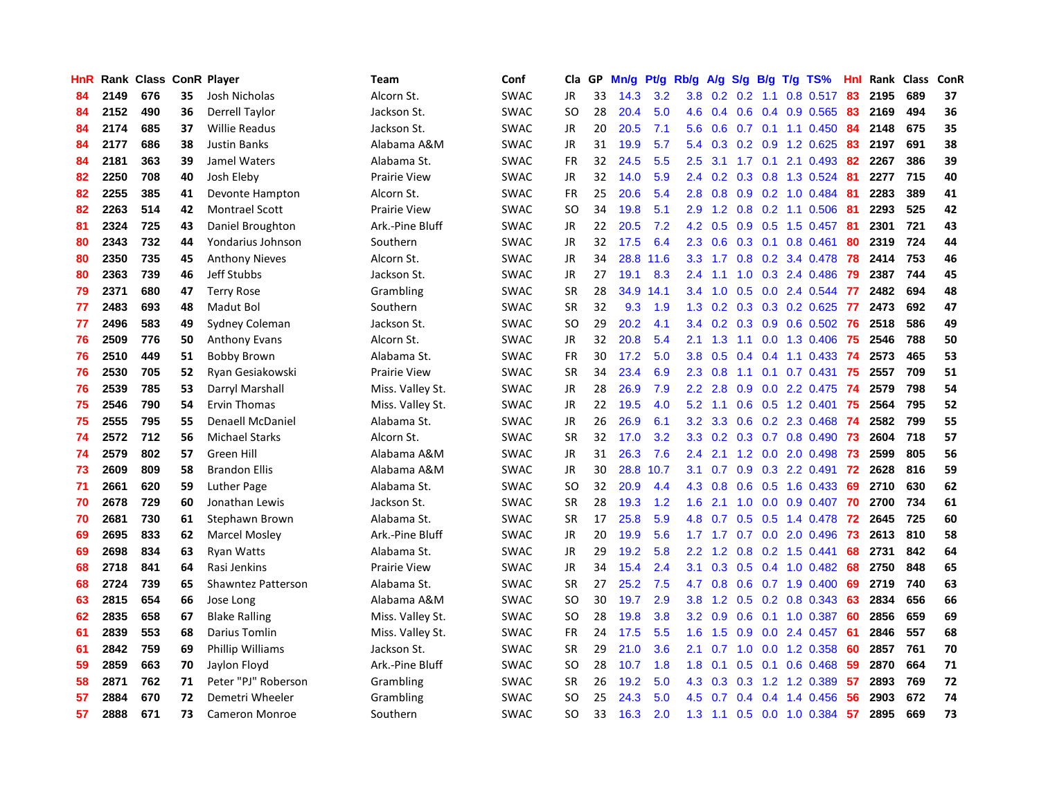| <b>HnR</b> |      | Rank Class ConR Player |    |                         | Team                | Conf        | Cla       | GP | Mn/g | <b>Pt/g</b> | Rb/g             | A/g             |     |     | $S/g$ B/g T/g TS%            | Hnl | Rank | Class | ConR       |
|------------|------|------------------------|----|-------------------------|---------------------|-------------|-----------|----|------|-------------|------------------|-----------------|-----|-----|------------------------------|-----|------|-------|------------|
| 84         | 2149 | 676                    | 35 | Josh Nicholas           | Alcorn St.          | <b>SWAC</b> | JR        | 33 | 14.3 | 3.2         |                  | $3.8$ 0.2 0.2   |     | 1.1 | $0.8$ 0.517                  | -83 | 2195 | 689   | 37         |
| 84         | 2152 | 490                    | 36 | Derrell Taylor          | Jackson St.         | <b>SWAC</b> | <b>SO</b> | 28 | 20.4 | 5.0         |                  |                 |     |     | 4.6 0.4 0.6 0.4 0.9 0.565 83 |     | 2169 | 494   | 36         |
| 84         | 2174 | 685                    | 37 | Willie Readus           | Jackson St.         | <b>SWAC</b> | JR        | 20 | 20.5 | 7.1         | 5.6              | 0.6             |     |     | $0.7$ 0.1 1.1 0.450          | -84 | 2148 | 675   | 35         |
| 84         | 2177 | 686                    | 38 | Justin Banks            | Alabama A&M         | <b>SWAC</b> | JR        | 31 | 19.9 | 5.7         | 5.4              | 0.3             |     |     | $0.2$ $0.9$ 1.2 $0.625$      | 83  | 2197 | 691   | 38         |
| 84         | 2181 | 363                    | 39 | Jamel Waters            | Alabama St.         | <b>SWAC</b> | <b>FR</b> | 32 | 24.5 | 5.5         | $2.5\,$          | 3.1             |     |     | 1.7 0.1 2.1 0.493            | 82  | 2267 | 386   | 39         |
| 82         | 2250 | 708                    | 40 | Josh Eleby              | <b>Prairie View</b> | <b>SWAC</b> | JR        | 32 | 14.0 | 5.9         | 2.4              | 0.2             |     |     | 0.3 0.8 1.3 0.524 81         |     | 2277 | 715   | 40         |
| 82         | 2255 | 385                    | 41 | Devonte Hampton         | Alcorn St.          | <b>SWAC</b> | <b>FR</b> | 25 | 20.6 | 5.4         | 2.8              | 0.8             |     |     | 0.9 0.2 1.0 0.484            | -81 | 2283 | 389   | 41         |
| 82         | 2263 | 514                    | 42 | <b>Montrael Scott</b>   | <b>Prairie View</b> | <b>SWAC</b> | SO        | 34 | 19.8 | 5.1         | 2.9              | 1.2             | 0.8 |     | $0.2$ 1.1 0.506              | -81 | 2293 | 525   | 42         |
| 81         | 2324 | 725                    | 43 | Daniel Broughton        | Ark.-Pine Bluff     | <b>SWAC</b> | JR        | 22 | 20.5 | 7.2         | 4.2              | 0.5             | 0.9 |     | $0.5$ 1.5 0.457              | -81 | 2301 | 721   | 43         |
| 80         | 2343 | 732                    | 44 | Yondarius Johnson       | Southern            | <b>SWAC</b> | JR        | 32 | 17.5 | 6.4         | 2.3              | 0.6             |     |     | $0.3$ 0.1 0.8 0.461          | 80  | 2319 | 724   | 44         |
| 80         | 2350 | 735                    | 45 | <b>Anthony Nieves</b>   | Alcorn St.          | <b>SWAC</b> | JR        | 34 | 28.8 | 11.6        |                  |                 |     |     | 3.3 1.7 0.8 0.2 3.4 0.478 78 |     | 2414 | 753   | 46         |
| 80         | 2363 | 739                    | 46 | Jeff Stubbs             | Jackson St.         | <b>SWAC</b> | JR        | 27 | 19.1 | 8.3         | $2.4^{\circ}$    | 1.1             |     |     | 1.0 0.3 2.4 0.486 79         |     | 2387 | 744   | 45         |
| 79         | 2371 | 680                    | 47 | <b>Terry Rose</b>       | Grambling           | <b>SWAC</b> | <b>SR</b> | 28 | 34.9 | 14.1        | $3.4^{\circ}$    | 1.0             | 0.5 |     | 0.0 2.4 0.544                | -77 | 2482 | 694   | 48         |
| 77         | 2483 | 693                    | 48 | Madut Bol               | Southern            | <b>SWAC</b> | <b>SR</b> | 32 | 9.3  | 1.9         | 1.3              | 0.2             |     |     | 0.3 0.3 0.2 0.625            | 77  | 2473 | 692   | 47         |
| 77         | 2496 | 583                    | 49 | Sydney Coleman          | Jackson St.         | <b>SWAC</b> | <b>SO</b> | 29 | 20.2 | 4.1         | $3.4^{\circ}$    | 0.2             | 0.3 |     | $0.9$ 0.6 0.502              | -76 | 2518 | 586   | 49         |
| 76         | 2509 | 776                    | 50 | <b>Anthony Evans</b>    | Alcorn St.          | <b>SWAC</b> | JR        | 32 | 20.8 | 5.4         |                  | $2.1 \quad 1.3$ | 1.1 |     | 0.0 1.3 0.406                | -75 | 2546 | 788   | 50         |
| 76         | 2510 | 449                    | 51 | <b>Bobby Brown</b>      | Alabama St.         | <b>SWAC</b> | FR        | 30 | 17.2 | 5.0         | 3.8              | 0.5             | 0.4 |     | $0.4$ 1.1 0.433              | -74 | 2573 | 465   | 53         |
| 76         | 2530 | 705                    | 52 | Ryan Gesiakowski        | <b>Prairie View</b> | <b>SWAC</b> | <b>SR</b> | 34 | 23.4 | 6.9         | 2.3              | 0.8             | 1.1 |     | $0.1$ 0.7 0.431              | 75  | 2557 | 709   | 51         |
| 76         | 2539 | 785                    | 53 | Darryl Marshall         | Miss. Valley St.    | <b>SWAC</b> | JR        | 28 | 26.9 | 7.9         |                  | $2.2$ $2.8$     |     |     | 0.9 0.0 2.2 0.475 74         |     | 2579 | 798   | 54         |
| 75         | 2546 | 790                    | 54 | Ervin Thomas            | Miss. Valley St.    | <b>SWAC</b> | JR        | 22 | 19.5 | 4.0         | 5.2              | 1.1             |     |     | 0.6 0.5 1.2 0.401 75         |     | 2564 | 795   | 52         |
| 75         | 2555 | 795                    | 55 | <b>Denaell McDaniel</b> | Alabama St.         | <b>SWAC</b> | <b>JR</b> | 26 | 26.9 | 6.1         | 3.2              | 3.3             |     |     | 0.6 0.2 2.3 0.468 74         |     | 2582 | 799   | 55         |
| 74         | 2572 | 712                    | 56 | <b>Michael Starks</b>   | Alcorn St.          | <b>SWAC</b> | <b>SR</b> | 32 | 17.0 | 3.2         | 3.3              | 0.2             |     |     | $0.3$ 0.7 0.8 0.490          | 73  | 2604 | 718   | 57         |
| 74         | 2579 | 802                    | 57 | Green Hill              | Alabama A&M         | <b>SWAC</b> | JR        | 31 | 26.3 | 7.6         | $2.4^{\circ}$    | 2.1             |     |     | 1.2 0.0 2.0 0.498            | 73  | 2599 | 805   | 56         |
| 73         | 2609 | 809                    | 58 | <b>Brandon Ellis</b>    | Alabama A&M         | <b>SWAC</b> | JR        | 30 | 28.8 | 10.7        | 3.1              | 0.7             | 0.9 |     | $0.3$ 2.2 0.491              | 72  | 2628 | 816   | 59         |
| 71         | 2661 | 620                    | 59 | <b>Luther Page</b>      | Alabama St.         | <b>SWAC</b> | <b>SO</b> | 32 | 20.9 | 4.4         | 4.3              | 0.8             | 0.6 |     | $0.5$ 1.6 0.433              | -69 | 2710 | 630   | 62         |
| 70         | 2678 | 729                    | 60 | Jonathan Lewis          | Jackson St.         | <b>SWAC</b> | <b>SR</b> | 28 | 19.3 | 1.2         | 1.6              | 2.1             |     |     | 1.0 0.0 0.9 0.407 70         |     | 2700 | 734   | 61         |
| 70         | 2681 | 730                    | 61 | Stephawn Brown          | Alabama St.         | <b>SWAC</b> | <b>SR</b> | 17 | 25.8 | 5.9         |                  |                 |     |     | 4.8 0.7 0.5 0.5 1.4 0.478 72 |     | 2645 | 725   | 60         |
| 69         | 2695 | 833                    | 62 | <b>Marcel Mosley</b>    | Ark.-Pine Bluff     | <b>SWAC</b> | JR        | 20 | 19.9 | 5.6         |                  |                 |     |     | 1.7 1.7 0.7 0.0 2.0 0.496 73 |     | 2613 | 810   | 58         |
| 69         | 2698 | 834                    | 63 | <b>Ryan Watts</b>       | Alabama St.         | <b>SWAC</b> | <b>JR</b> | 29 | 19.2 | 5.8         | $2.2^{\circ}$    | 1.2             |     |     | 0.8 0.2 1.5 0.441            | 68  | 2731 | 842   | 64         |
| 68         | 2718 | 841                    | 64 | Rasi Jenkins            | <b>Prairie View</b> | <b>SWAC</b> | <b>JR</b> | 34 | 15.4 | 2.4         | 3.1              | 0.3             |     |     | $0.5$ 0.4 1.0 0.482          | 68  | 2750 | 848   | 65         |
| 68         | 2724 | 739                    | 65 | Shawntez Patterson      | Alabama St.         | <b>SWAC</b> | <b>SR</b> | 27 | 25.2 | 7.5         | 4.7              | 0.8             |     |     | $0.6$ 0.7 1.9 0.400          | 69  | 2719 | 740   | 63         |
| 63         | 2815 | 654                    | 66 | Jose Long               | Alabama A&M         | <b>SWAC</b> | <b>SO</b> | 30 | 19.7 | 2.9         | 3.8 <sub>2</sub> | 1.2             | 0.5 |     | 0.2 0.8 0.343                | 63  | 2834 | 656   | 66         |
| 62         | 2835 | 658                    | 67 | <b>Blake Ralling</b>    | Miss. Valley St.    | <b>SWAC</b> | <b>SO</b> | 28 | 19.8 | 3.8         | 3.2              | 0.9             | 0.6 |     | $0.1$ 1.0 0.387              | -60 | 2856 | 659   | 69         |
| 61         | 2839 | 553                    | 68 | Darius Tomlin           | Miss. Valley St.    | <b>SWAC</b> | <b>FR</b> | 24 | 17.5 | 5.5         | 1.6              | 1.5             | 0.9 |     | $0.0$ 2.4 $0.457$            | 61  | 2846 | 557   | 68         |
| 61         | 2842 | 759                    | 69 | Phillip Williams        | Jackson St.         | <b>SWAC</b> | <b>SR</b> | 29 | 21.0 | 3.6         | 2.1              | 0.7             |     |     | 1.0 0.0 1.2 0.358            | -60 | 2857 | 761   | 70         |
| 59         | 2859 | 663                    | 70 | Jaylon Floyd            | Ark.-Pine Bluff     | <b>SWAC</b> | <b>SO</b> | 28 | 10.7 | 1.8         | 1.8              | 0.1             |     |     | 0.5 0.1 0.6 0.468 59         |     | 2870 | 664   | ${\bf 71}$ |
| 58         | 2871 | 762                    | 71 | Peter "PJ" Roberson     | Grambling           | <b>SWAC</b> | <b>SR</b> | 26 | 19.2 | 5.0         | 4.3              | 0.3             |     |     | $0.3$ 1.2 1.2 0.389          | -57 | 2893 | 769   | 72         |
| 57         | 2884 | 670                    | 72 | Demetri Wheeler         | Grambling           | SWAC        | <b>SO</b> | 25 | 24.3 | 5.0         | 4.5              | 0.7             | 0.4 |     | 0.4 1.4 0.456                | 56  | 2903 | 672   | 74         |
| 57         | 2888 | 671                    | 73 | <b>Cameron Monroe</b>   | Southern            | <b>SWAC</b> | SO.       | 33 | 16.3 | 2.0         | 1.3              | 1.1             |     |     | 0.5 0.0 1.0 0.384 57         |     | 2895 | 669   | 73         |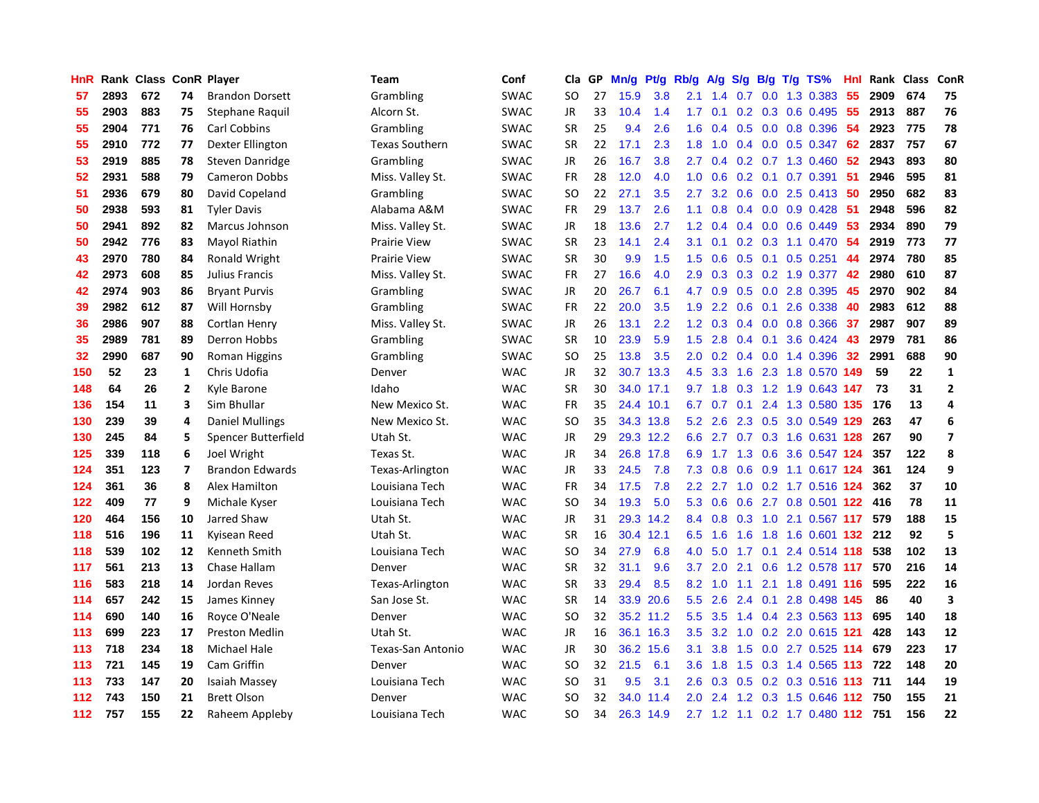| HnR |      | Rank Class ConR Player |                         |                        | <b>Team</b>           | Conf        | Cla           | <b>GP</b> | Mn/g | <b>Pt/g</b> | Rb/g             | A/g       |           |                 | $S/g$ B/g T/g TS%                 | Hnl | Rank | <b>Class</b> | ConR                    |
|-----|------|------------------------|-------------------------|------------------------|-----------------------|-------------|---------------|-----------|------|-------------|------------------|-----------|-----------|-----------------|-----------------------------------|-----|------|--------------|-------------------------|
| 57  | 2893 | 672                    | 74                      | <b>Brandon Dorsett</b> | Grambling             | SWAC        | <b>SO</b>     | 27        | 15.9 | 3.8         | 2.1              | 1.4       | 0.7       |                 | $0.0$ 1.3 0.383                   | 55  | 2909 | 674          | 75                      |
| 55  | 2903 | 883                    | 75                      | Stephane Raquil        | Alcorn St.            | <b>SWAC</b> | JR            | 33        | 10.4 | 1.4         | 1.7 <sub>z</sub> | 0.1       |           |                 | $0.2$ 0.3 0.6 0.495 55            |     | 2913 | 887          | 76                      |
| 55  | 2904 | 771                    | 76                      | <b>Carl Cobbins</b>    | Grambling             | <b>SWAC</b> | <b>SR</b>     | 25        | 9.4  | 2.6         | 1.6              | 0.4       |           |                 | $0.5$ 0.0 0.8 0.396               | -54 | 2923 | 775          | 78                      |
| 55  | 2910 | 772                    | 77                      | Dexter Ellington       | <b>Texas Southern</b> | SWAC        | <b>SR</b>     | 22        | 17.1 | 2.3         | 1.8              | 1.0       |           |                 | $0.4$ 0.0 0.5 0.347               | 62  | 2837 | 757          | 67                      |
| 53  | 2919 | 885                    | 78                      | Steven Danridge        | Grambling             | SWAC        | JR            | 26        | 16.7 | 3.8         | $2.7^{\circ}$    | 0.4       |           |                 | $0.2$ 0.7 1.3 0.460               | 52  | 2943 | 893          | 80                      |
| 52  | 2931 | 588                    | 79                      | <b>Cameron Dobbs</b>   | Miss. Valley St.      | <b>SWAC</b> | <b>FR</b>     | 28        | 12.0 | 4.0         | 1.0              | 0.6       |           |                 | $0.2$ 0.1 0.7 0.391               | -51 | 2946 | 595          | 81                      |
| 51  | 2936 | 679                    | 80                      | David Copeland         | Grambling             | <b>SWAC</b> | <b>SO</b>     | 22        | 27.1 | 3.5         | 2.7              | 3.2       |           |                 | 0.6 0.0 2.5 0.413 50              |     | 2950 | 682          | 83                      |
| 50  | 2938 | 593                    | 81                      | <b>Tyler Davis</b>     | Alabama A&M           | <b>SWAC</b> | <b>FR</b>     | 29        | 13.7 | 2.6         | 1.1              | 0.8       |           |                 | $0.4$ 0.0 0.9 0.428               | -51 | 2948 | 596          | 82                      |
| 50  | 2941 | 892                    | 82                      | <b>Marcus Johnson</b>  | Miss. Valley St.      | <b>SWAC</b> | JR            | 18        | 13.6 | 2.7         | 1.2 <sub>2</sub> | 0.4       |           |                 | $0.4$ 0.0 0.6 0.449               | 53  | 2934 | 890          | 79                      |
| 50  | 2942 | 776                    | 83                      | Mayol Riathin          | <b>Prairie View</b>   | <b>SWAC</b> | <b>SR</b>     | 23        | 14.1 | 2.4         | 3.1              | 0.1       |           |                 | 0.2 0.3 1.1 0.470 54              |     | 2919 | 773          | 77                      |
| 43  | 2970 | 780                    | 84                      | Ronald Wright          | Prairie View          | <b>SWAC</b> | <b>SR</b>     | 30        | 9.9  | 1.5         | $1.5^{\circ}$    | 0.6       |           |                 | $0.5$ 0.1 0.5 0.251               | -44 | 2974 | 780          | 85                      |
| 42  | 2973 | 608                    | 85                      | Julius Francis         | Miss. Valley St.      | <b>SWAC</b> | <b>FR</b>     | 27        | 16.6 | 4.0         | 2.9 <sup>°</sup> | 0.3       |           |                 | 0.3 0.2 1.9 0.377 42              |     | 2980 | 610          | 87                      |
| 42  | 2974 | 903                    | 86                      | <b>Bryant Purvis</b>   | Grambling             | <b>SWAC</b> | <b>JR</b>     | 20        | 26.7 | 6.1         | 4.7              | 0.9       |           |                 | 0.5 0.0 2.8 0.395                 | 45  | 2970 | 902          | 84                      |
| 39  | 2982 | 612                    | 87                      | Will Hornsby           | Grambling             | SWAC        | <b>FR</b>     | 22        | 20.0 | 3.5         | 1.9              | 2.2       | 0.6       |                 | $0.1$ 2.6 $0.338$                 | 40  | 2983 | 612          | 88                      |
| 36  | 2986 | 907                    | 88                      | Cortlan Henry          | Miss. Valley St.      | <b>SWAC</b> | JR            | 26        | 13.1 | 2.2         | 1.2              | 0.3       |           |                 | 0.4 0.0 0.8 0.366                 | 37  | 2987 | 907          | 89                      |
| 35  | 2989 | 781                    | 89                      | Derron Hobbs           | Grambling             | <b>SWAC</b> | <b>SR</b>     | 10        | 23.9 | 5.9         | 1.5              | 2.8       |           | $0.4 \quad 0.1$ | 3.6 0.424                         | 43  | 2979 | 781          | 86                      |
| 32  | 2990 | 687                    | 90                      | <b>Roman Higgins</b>   | Grambling             | <b>SWAC</b> | <b>SO</b>     | 25        | 13.8 | 3.5         | 2.0 <sub>2</sub> | 0.2       |           |                 | 0.4 0.0 1.4 0.396                 | 32  | 2991 | 688          | 90                      |
| 150 | 52   | 23                     | 1                       | Chris Udofia           | Denver                | <b>WAC</b>  | <b>JR</b>     | 32        | 30.7 | 13.3        | 4.5              | 3.3       | 1.6       |                 | 2.3 1.8 0.570                     | 149 | 59   | 22           | $\mathbf{1}$            |
| 148 | 64   | 26                     | $\overline{2}$          | Kyle Barone            | Idaho                 | <b>WAC</b>  | <b>SR</b>     | 30        |      | 34.0 17.1   |                  | $9.7$ 1.8 |           |                 | 0.3 1.2 1.9 0.643 147             |     | 73   | 31           | $\overline{2}$          |
| 136 | 154  | 11                     | 3                       | Sim Bhullar            | New Mexico St.        | <b>WAC</b>  | FR            | 35        |      | 24.4 10.1   | 6.7              | 0.7       |           |                 | 0.1 2.4 1.3 0.580 135 176         |     |      | 13           | $\overline{4}$          |
| 130 | 239  | 39                     | 4                       | <b>Daniel Mullings</b> | New Mexico St.        | <b>WAC</b>  | <b>SO</b>     | 35        |      | 34.3 13.8   | 5.2              | 2.6       |           |                 | 2.3 0.5 3.0 0.549 129             |     | 263  | 47           | 6                       |
| 130 | 245  | 84                     | 5                       | Spencer Butterfield    | Utah St.              | <b>WAC</b>  | <b>JR</b>     | 29        |      | 29.3 12.2   | 6.6              | 2.7       |           |                 | 0.7 0.3 1.6 0.631 128             |     | 267  | 90           | $\overline{\mathbf{z}}$ |
| 125 | 339  | 118                    | 6                       | Joel Wright            | Texas St.             | <b>WAC</b>  | JR            | 34        |      | 26.8 17.8   | 6.9              | 1.7       | 1.3       |                 | 0.6 3.6 0.547 124                 |     | 357  | 122          | 8                       |
| 124 | 351  | 123                    | $\overline{\mathbf{z}}$ | <b>Brandon Edwards</b> | Texas-Arlington       | <b>WAC</b>  | JR            | 33        | 24.5 | 7.8         | 7.3              | 0.8       | 0.6       |                 | 0.9 1.1 0.617 124                 |     | 361  | 124          | 9                       |
| 124 | 361  | 36                     | 8                       | Alex Hamilton          | Louisiana Tech        | <b>WAC</b>  | FR            | 34        | 17.5 | 7.8         | 2.2              |           | $2.7$ 1.0 |                 | 0.2 1.7 0.516 124                 |     | 362  | 37           | 10                      |
| 122 | 409  | 77                     | 9                       | Michale Kyser          | Louisiana Tech        | <b>WAC</b>  | <sub>SO</sub> | 34        | 19.3 | 5.0         | 5.3              | 0.6       | 0.6       |                 | 2.7 0.8 0.501 122                 |     | 416  | 78           | 11                      |
| 120 | 464  | 156                    | 10                      | Jarred Shaw            | Utah St.              | <b>WAC</b>  | JR            | 31        |      | 29.3 14.2   | 8.4              | 0.8       |           |                 | 0.3 1.0 2.1 0.567 117             |     | 579  | 188          | 15                      |
| 118 | 516  | 196                    | 11                      | Kyisean Reed           | Utah St.              | <b>WAC</b>  | <b>SR</b>     | 16        |      | 30.4 12.1   | 6.5              | 1.6       |           |                 | 1.6 1.8 1.6 0.601 132 212         |     |      | 92           | 5                       |
| 118 | 539  | 102                    | 12                      | Kenneth Smith          | Louisiana Tech        | <b>WAC</b>  | SO            | 34        | 27.9 | 6.8         | 4.0              | 5.0       |           |                 | 1.7 0.1 2.4 0.514 118             |     | 538  | 102          | 13                      |
| 117 | 561  | 213                    | 13                      | Chase Hallam           | Denver                | <b>WAC</b>  | <b>SR</b>     | 32        | 31.1 | 9.6         | 3.7              | 2.0       |           |                 | 2.1 0.6 1.2 0.578 117             |     | 570  | 216          | 14                      |
| 116 | 583  | 218                    | 14                      | Jordan Reves           | Texas-Arlington       | <b>WAC</b>  | <b>SR</b>     | 33        | 29.4 | 8.5         | 8.2              | 1.0       | 1.1       |                 | 2.1 1.8 0.491 116                 |     | 595  | 222          | 16                      |
| 114 | 657  | 242                    | 15                      | James Kinney           | San Jose St.          | <b>WAC</b>  | <b>SR</b>     | 14        |      | 33.9 20.6   | 5.5              | 2.6       |           |                 | 2.4 0.1 2.8 0.498 145             |     | 86   | 40           | $\overline{\mathbf{3}}$ |
| 114 | 690  | 140                    | 16                      | Royce O'Neale          | Denver                | <b>WAC</b>  | SO            | 32        |      | 35.2 11.2   | 5.5              | 3.5       | 1.4       |                 | 0.4 2.3 0.563 113                 |     | 695  | 140          | 18                      |
| 113 | 699  | 223                    | 17                      | <b>Preston Medlin</b>  | Utah St.              | <b>WAC</b>  | JR            | 16        | 36.1 | 16.3        | 3.5              | 3.2       | 1.0       |                 | 0.2 2.0 0.615 121                 |     | 428  | 143          | 12                      |
| 113 | 718  | 234                    | 18                      | <b>Michael Hale</b>    | Texas-San Antonio     | <b>WAC</b>  | JR            | 30        | 36.2 | 15.6        | 3.1              | 3.8       | 1.5       |                 | $0.0$ 2.7 $0.525$ 114             |     | 679  | 223          | 17                      |
| 113 | 721  | 145                    | 19                      | Cam Griffin            | Denver                | <b>WAC</b>  | SO            | 32        | 21.5 | 6.1         | 3.6              | 1.8       |           |                 | 1.5 0.3 1.4 0.565 113 722         |     |      | 148          | 20                      |
| 113 | 733  | 147                    | 20                      | Isaiah Massey          | Louisiana Tech        | <b>WAC</b>  | SO            | 31        | 9.5  | 3.1         | 2.6              | 0.3       |           |                 | 0.5 0.2 0.3 0.516 113 711         |     |      | 144          | 19                      |
| 112 | 743  | 150                    | 21                      | <b>Brett Olson</b>     | Denver                | <b>WAC</b>  | SO            | 32        | 34.0 | 11.4        | 2.0 <sub>2</sub> | 2.4       |           |                 | 1.2 0.3 1.5 0.646 112 750         |     |      | 155          | 21                      |
| 112 | 757  | 155                    | 22                      | Raheem Appleby         | Louisiana Tech        | <b>WAC</b>  | SO.           | 34        |      | 26.3 14.9   |                  |           |           |                 | 2.7 1.2 1.1 0.2 1.7 0.480 112 751 |     |      | 156          | 22                      |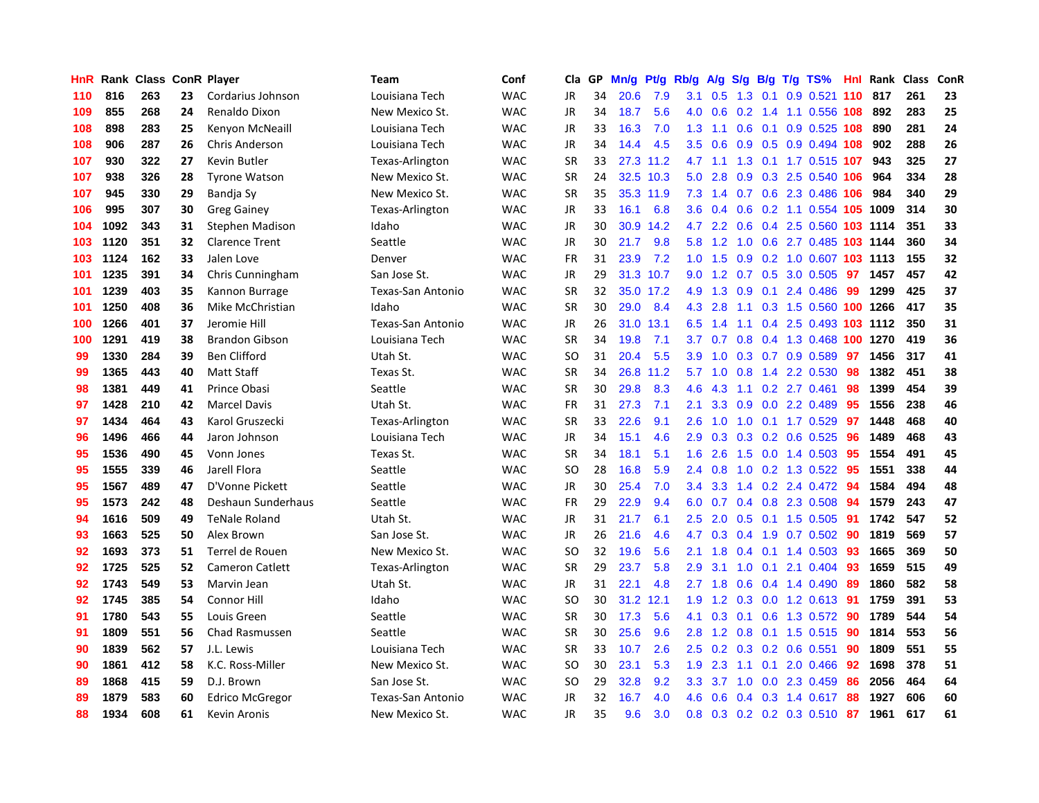| HnR | Rank |     |    | <b>Class ConR Player</b> | <b>Team</b>       | Conf       | Cla       | GP | Mn/g | <b>Pt/g</b> | Rb/g             | A/g             |                  |     | S/g B/g T/g TS%                      | <b>Hnl</b> | Rank | <b>Class</b> | ConR |
|-----|------|-----|----|--------------------------|-------------------|------------|-----------|----|------|-------------|------------------|-----------------|------------------|-----|--------------------------------------|------------|------|--------------|------|
| 110 | 816  | 263 | 23 | Cordarius Johnson        | Louisiana Tech    | <b>WAC</b> | JR        | 34 | 20.6 | 7.9         | 3.1              | 0.5             | 1.3              | 0.1 | $0.9$ 0.521                          | 110        | 817  | 261          | 23   |
| 109 | 855  | 268 | 24 | Renaldo Dixon            | New Mexico St.    | <b>WAC</b> | JR        | 34 | 18.7 | 5.6         |                  | 4.0 0.6         |                  |     | 0.2 1.4 1.1 0.556 108 892            |            |      | 283          | 25   |
| 108 | 898  | 283 | 25 | Kenyon McNeaill          | Louisiana Tech    | <b>WAC</b> | JR        | 33 | 16.3 | 7.0         | 1.3              | 1.1             |                  |     | $0.6$ 0.1 0.9 0.525 108              |            | 890  | 281          | 24   |
| 108 | 906  | 287 | 26 | Chris Anderson           | Louisiana Tech    | <b>WAC</b> | JR        | 34 | 14.4 | 4.5         | 3.5              | 0.6             |                  |     | $0.9$ $0.5$ $0.9$ $0.494$ <b>108</b> |            | 902  | 288          | 26   |
| 107 | 930  | 322 | 27 | Kevin Butler             | Texas-Arlington   | <b>WAC</b> | <b>SR</b> | 33 | 27.3 | 11.2        |                  | $4.7 \quad 1.1$ |                  |     | 1.3 0.1 1.7 0.515 107                |            | 943  | 325          | 27   |
| 107 | 938  | 326 | 28 | <b>Tyrone Watson</b>     | New Mexico St.    | <b>WAC</b> | <b>SR</b> | 24 | 32.5 | 10.3        | 5.0              | 2.8             |                  |     | 0.9 0.3 2.5 0.540 106                |            | 964  | 334          | 28   |
| 107 | 945  | 330 | 29 | Bandja Sy                | New Mexico St.    | <b>WAC</b> | <b>SR</b> | 35 |      | 35.3 11.9   | 7.3              | 1.4             |                  |     | 0.7 0.6 2.3 0.486 106                |            | 984  | 340          | 29   |
| 106 | 995  | 307 | 30 | <b>Greg Gainey</b>       | Texas-Arlington   | <b>WAC</b> | JR        | 33 | 16.1 | 6.8         | 3.6 <sup>°</sup> | 0.4             | 0.6              |     | 0.2 1.1 0.554 105 1009               |            |      | 314          | 30   |
| 104 | 1092 | 343 | 31 | Stephen Madison          | Idaho             | <b>WAC</b> | JR        | 30 | 30.9 | 14.2        | 4.7              | 2.2             | 0.6              |     | 0.4 2.5 0.560 103 1114               |            |      | 351          | 33   |
| 103 | 1120 | 351 | 32 | <b>Clarence Trent</b>    | Seattle           | <b>WAC</b> | JR        | 30 | 21.7 | 9.8         | 5.8              | 1.2             |                  |     | 1.0 0.6 2.7 0.485 103 1144           |            |      | 360          | 34   |
| 103 | 1124 | 162 | 33 | Jalen Love               | Denver            | <b>WAC</b> | <b>FR</b> | 31 | 23.9 | 7.2         | 1.0              | 1.5             |                  |     | 0.9 0.2 1.0 0.607 103 1113           |            |      | 155          | 32   |
| 101 | 1235 | 391 | 34 | Chris Cunningham         | San Jose St.      | <b>WAC</b> | JR        | 29 |      | 31.3 10.7   | 9.0              | $1.2^{\circ}$   |                  |     | 0.7 0.5 3.0 0.505 97                 |            | 1457 | 457          | 42   |
| 101 | 1239 | 403 | 35 | Kannon Burrage           | Texas-San Antonio | <b>WAC</b> | <b>SR</b> | 32 | 35.0 | 17.2        | 4.9              | 1.3             | 0.9              |     | $0.1$ 2.4 0.486                      | -99        | 1299 | 425          | 37   |
| 101 | 1250 | 408 | 36 | Mike McChristian         | Idaho             | <b>WAC</b> | <b>SR</b> | 30 | 29.0 | 8.4         | 4.3              | 2.8             |                  |     | 1.1 0.3 1.5 0.560 100 1266           |            |      | 417          | 35   |
| 100 | 1266 | 401 | 37 | Jeromie Hill             | Texas-San Antonio | <b>WAC</b> | JR        | 26 | 31.0 | 13.1        | 6.5              | 1.4             |                  |     | 1.1 0.4 2.5 0.493 103 1112           |            |      | 350          | 31   |
| 100 | 1291 | 419 | 38 | <b>Brandon Gibson</b>    | Louisiana Tech    | <b>WAC</b> | <b>SR</b> | 34 | 19.8 | 7.1         | 3.7              | 0.7             | 0.8 <sub>0</sub> |     | 0.4 1.3 0.468 100 1270               |            |      | 419          | 36   |
| 99  | 1330 | 284 | 39 | <b>Ben Clifford</b>      | Utah St.          | <b>WAC</b> | SO        | 31 | 20.4 | 5.5         | 3.9 <sup>°</sup> | 1.0             | 0.3              |     | 0.7 0.9 0.589                        | 97         | 1456 | 317          | 41   |
| 99  | 1365 | 443 | 40 | Matt Staff               | Texas St.         | <b>WAC</b> | <b>SR</b> | 34 | 26.8 | 11.2        | 5.7              | 1.0             | 0.8              |     | 1.4 2.2 0.530                        | -98        | 1382 | 451          | 38   |
| 98  | 1381 | 449 | 41 | Prince Obasi             | Seattle           | <b>WAC</b> | <b>SR</b> | 30 | 29.8 | 8.3         | 4.6              | 4.3             |                  |     | 1.1 0.2 2.7 0.461                    | 98         | 1399 | 454          | 39   |
| 97  | 1428 | 210 | 42 | <b>Marcel Davis</b>      | Utah St.          | <b>WAC</b> | <b>FR</b> | 31 | 27.3 | 7.1         | 2.1              | 3.3             |                  |     | $0.9$ $0.0$ 2.2 $0.489$              | -95        | 1556 | 238          | 46   |
| 97  | 1434 | 464 | 43 | Karol Gruszecki          | Texas-Arlington   | <b>WAC</b> | <b>SR</b> | 33 | 22.6 | 9.1         | 2.6              | 1.0             | 1.0              |     | $0.1$ 1.7 0.529                      | 97         | 1448 | 468          | 40   |
| 96  | 1496 | 466 | 44 | Jaron Johnson            | Louisiana Tech    | <b>WAC</b> | JR        | 34 | 15.1 | 4.6         | 2.9              | 0.3             |                  |     | 0.3 0.2 0.6 0.525                    | 96         | 1489 | 468          | 43   |
| 95  | 1536 | 490 | 45 | Vonn Jones               | Texas St.         | <b>WAC</b> | <b>SR</b> | 34 | 18.1 | 5.1         | 1.6              | 2.6             |                  |     | 1.5 0.0 1.4 0.503                    | 95         | 1554 | 491          | 45   |
| 95  | 1555 | 339 | 46 | Jarell Flora             | Seattle           | <b>WAC</b> | SO        | 28 | 16.8 | 5.9         | 2.4              | 0.8             | 1.0              |     | 0.2 1.3 0.522                        | -95        | 1551 | 338          | 44   |
| 95  | 1567 | 489 | 47 | D'Vonne Pickett          | Seattle           | WAC        | JR        | 30 | 25.4 | 7.0         | $3.4^{\circ}$    | 3.3             |                  |     | 1.4 0.2 2.4 0.472                    | -94        | 1584 | 494          | 48   |
| 95  | 1573 | 242 | 48 | Deshaun Sunderhaus       | Seattle           | <b>WAC</b> | <b>FR</b> | 29 | 22.9 | 9.4         | 6.0              | 0.7             |                  |     | 0.4 0.8 2.3 0.508                    | -94        | 1579 | 243          | 47   |
| 94  | 1616 | 509 | 49 | TeNale Roland            | Utah St.          | <b>WAC</b> | JR        | 31 | 21.7 | 6.1         | $2.5^{\circ}$    | 2.0             |                  |     | 0.5 0.1 1.5 0.505 91                 |            | 1742 | 547          | 52   |
| 93  | 1663 | 525 | 50 | Alex Brown               | San Jose St.      | <b>WAC</b> | JR        | 26 | 21.6 | 4.6         | 4.7              |                 |                  |     | 0.3 0.4 1.9 0.7 0.502 90             |            | 1819 | 569          | 57   |
| 92  | 1693 | 373 | 51 | Terrel de Rouen          | New Mexico St.    | <b>WAC</b> | SO.       | 32 | 19.6 | 5.6         | 2.1              | 1.8             |                  |     | $0.4$ 0.1 1.4 0.503 93               |            | 1665 | 369          | 50   |
| 92  | 1725 | 525 | 52 | Cameron Catlett          | Texas-Arlington   | <b>WAC</b> | <b>SR</b> | 29 | 23.7 | 5.8         | 2.9              | 3.1             | 1.0              |     | $0.1$ 2.1 0.404                      | -93        | 1659 | 515          | 49   |
| 92  | 1743 | 549 | 53 | Marvin Jean              | Utah St.          | <b>WAC</b> | JR        | 31 | 22.1 | 4.8         | 2.7              | 1.8             | 0.6              |     | $0.4$ 1.4 0.490                      | -89        | 1860 | 582          | 58   |
| 92  | 1745 | 385 | 54 | <b>Connor Hill</b>       | Idaho             | <b>WAC</b> | SO        | 30 | 31.2 | 12.1        | 1.9              | 1.2             |                  |     | 0.3 0.0 1.2 0.613 91                 |            | 1759 | 391          | 53   |
| 91  | 1780 | 543 | 55 | Louis Green              | Seattle           | <b>WAC</b> | <b>SR</b> | 30 | 17.3 | 5.6         | 4.1              | 0.3             |                  |     | $0.1$ 0.6 1.3 0.572                  | 90         | 1789 | 544          | 54   |
| 91  | 1809 | 551 | 56 | Chad Rasmussen           | Seattle           | <b>WAC</b> | <b>SR</b> | 30 | 25.6 | 9.6         | 2.8              | 1.2             | 0.8              |     | $0.1$ 1.5 0.515                      | -90        | 1814 | 553          | 56   |
| 90  | 1839 | 562 | 57 | J.L. Lewis               | Louisiana Tech    | <b>WAC</b> | <b>SR</b> | 33 | 10.7 | 2.6         | $2.5^{\circ}$    | 0.2             |                  |     | $0.3$ 0.2 0.6 0.551                  | 90         | 1809 | 551          | 55   |
| 90  | 1861 | 412 | 58 | K.C. Ross-Miller         | New Mexico St.    | <b>WAC</b> | <b>SO</b> | 30 | 23.1 | 5.3         | 1.9              | 2.3             |                  |     | 1.1 0.1 2.0 0.466 92                 |            | 1698 | 378          | 51   |
| 89  | 1868 | 415 | 59 | D.J. Brown               | San Jose St.      | <b>WAC</b> | <b>SO</b> | 29 | 32.8 | 9.2         | 3.3 <sub>2</sub> | 3.7             | 1.0              |     | $0.0$ 2.3 $0.459$                    | 86         | 2056 | 464          | 64   |
| 89  | 1879 | 583 | 60 | <b>Edrico McGregor</b>   | Texas-San Antonio | <b>WAC</b> | <b>JR</b> | 32 | 16.7 | 4.0         | 4.6              | 0.6             |                  |     | $0.4$ $0.3$ 1.4 $0.617$              | 88         | 1927 | 606          | 60   |
| 88  | 1934 | 608 | 61 | Kevin Aronis             | New Mexico St.    | <b>WAC</b> | <b>JR</b> | 35 | 9.6  | 3.0         |                  |                 |                  |     | 0.8 0.3 0.2 0.2 0.3 0.510 87         |            | 1961 | 617          | 61   |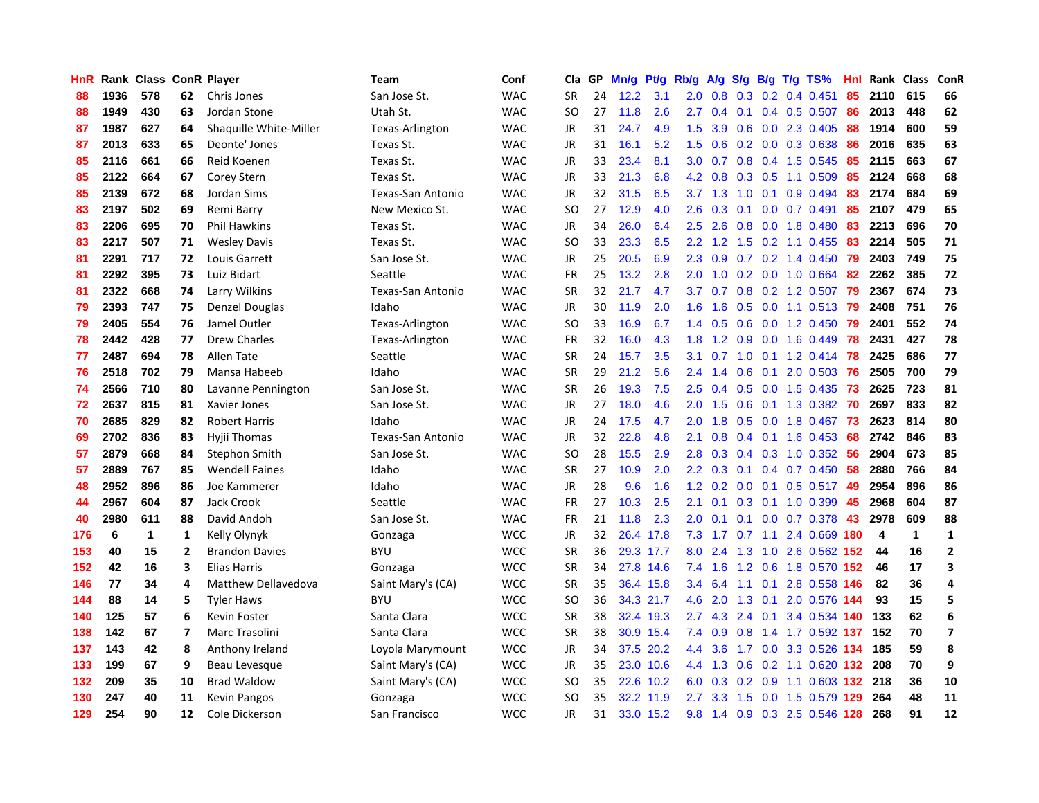| HnR |      | Rank Class ConR Player |                |                        | <b>Team</b>              | Conf       | Cla           | <b>GP</b> | Mn/g | Pt/g      | Rb/g             | A/g           | S/g |     | B/g T/g TS%               | Hnl | Rank | Class | <b>ConR</b>    |
|-----|------|------------------------|----------------|------------------------|--------------------------|------------|---------------|-----------|------|-----------|------------------|---------------|-----|-----|---------------------------|-----|------|-------|----------------|
| 88  | 1936 | 578                    | 62             | Chris Jones            | San Jose St.             | <b>WAC</b> | <b>SR</b>     | 24        | 12.2 | 3.1       | 2.0              | 0.8           |     |     | $0.3$ 0.2 0.4 0.451       | 85  | 2110 | 615   | 66             |
| 88  | 1949 | 430                    | 63             | Jordan Stone           | Utah St.                 | <b>WAC</b> | SO            | 27        | 11.8 | 2.6       | $2.7^{\circ}$    | 0.4           |     |     | $0.1$ 0.4 0.5 0.507       | -86 | 2013 | 448   | 62             |
| 87  | 1987 | 627                    | 64             | Shaquille White-Miller | Texas-Arlington          | <b>WAC</b> | JR            | 31        | 24.7 | 4.9       | $1.5^{\circ}$    | 3.9           |     |     | $0.6$ $0.0$ 2.3 $0.405$   | -88 | 1914 | 600   | 59             |
| 87  | 2013 | 633                    | 65             | Deonte' Jones          | Texas St.                | <b>WAC</b> | JR            | 31        | 16.1 | 5.2       | 1.5              | 0.6           |     |     | $0.2$ 0.0 0.3 0.638       | 86  | 2016 | 635   | 63             |
| 85  | 2116 | 661                    | 66             | Reid Koenen            | Texas St.                | <b>WAC</b> | <b>JR</b>     | 33        | 23.4 | 8.1       | 3.0 <sub>2</sub> | 0.7           | 0.8 |     | 0.4 1.5 0.545             | 85  | 2115 | 663   | 67             |
| 85  | 2122 | 664                    | 67             | Corey Stern            | Texas St.                | <b>WAC</b> | JR            | 33        | 21.3 | 6.8       | 4.2              | 0.8           |     |     | $0.3$ $0.5$ 1.1 $0.509$   | 85  | 2124 | 668   | 68             |
| 85  | 2139 | 672                    | 68             | Jordan Sims            | <b>Texas-San Antonio</b> | <b>WAC</b> | JR            | 32        | 31.5 | 6.5       | 3.7              | 1.3           | 1.0 |     | $0.1$ 0.9 0.494           | 83  | 2174 | 684   | 69             |
| 83  | 2197 | 502                    | 69             | Remi Barry             | New Mexico St.           | <b>WAC</b> | <sub>SO</sub> | 27        | 12.9 | 4.0       | 2.6              | 0.3           |     |     | $0.1$ 0.0 0.7 0.491       | 85  | 2107 | 479   | 65             |
| 83  | 2206 | 695                    | 70             | <b>Phil Hawkins</b>    | Texas St.                | <b>WAC</b> | <b>JR</b>     | 34        | 26.0 | 6.4       | 2.5              | 2.6           | 0.8 |     | 0.0 1.8 0.480             | 83  | 2213 | 696   | 70             |
| 83  | 2217 | 507                    | 71             | <b>Wesley Davis</b>    | Texas St.                | <b>WAC</b> | <sub>SO</sub> | 33        | 23.3 | 6.5       | 2.2              |               |     |     | 1.2 1.5 0.2 1.1 0.455     | 83  | 2214 | 505   | 71             |
| 81  | 2291 | 717                    | 72             | Louis Garrett          | San Jose St.             | <b>WAC</b> | <b>JR</b>     | 25        | 20.5 | 6.9       | 2.3              | 0.9           |     |     | 0.7 0.2 1.4 0.450 79      |     | 2403 | 749   | 75             |
| 81  | 2292 | 395                    | 73             | Luiz Bidart            | Seattle                  | <b>WAC</b> | <b>FR</b>     | 25        | 13.2 | 2.8       | 2.0              | 1.0           |     |     | 0.2 0.0 1.0 0.664 82      |     | 2262 | 385   | 72             |
| 81  | 2322 | 668                    | 74             | Larry Wilkins          | Texas-San Antonio        | <b>WAC</b> | <b>SR</b>     | 32        | 21.7 | 4.7       | 3.7              | 0.7           |     |     | 0.8 0.2 1.2 0.507 79      |     | 2367 | 674   | 73             |
| 79  | 2393 | 747                    | 75             | Denzel Douglas         | Idaho                    | <b>WAC</b> | JR            | 30        | 11.9 | 2.0       | 1.6              | 1.6           | 0.5 |     | $0.0$ 1.1 0.513           | -79 | 2408 | 751   | 76             |
| 79  | 2405 | 554                    | 76             | Jamel Outler           | Texas-Arlington          | <b>WAC</b> | <b>SO</b>     | 33        | 16.9 | 6.7       | 1.4              | 0.5           | 0.6 |     | 0.0 1.2 0.450             | 79  | 2401 | 552   | 74             |
| 78  | 2442 | 428                    | 77             | <b>Drew Charles</b>    | Texas-Arlington          | <b>WAC</b> | <b>FR</b>     | 32        | 16.0 | 4.3       | 1.8              | 1.2           |     |     | $0.9$ 0.0 1.6 0.449       | 78  | 2431 | 427   | 78             |
| 77  | 2487 | 694                    | 78             | Allen Tate             | Seattle                  | <b>WAC</b> | <b>SR</b>     | 24        | 15.7 | 3.5       | 3.1              | 0.7           | 1.0 |     | $0.1$ 1.2 0.414           | 78  | 2425 | 686   | 77             |
| 76  | 2518 | 702                    | 79             | Mansa Habeeb           | Idaho                    | <b>WAC</b> | <b>SR</b>     | 29        | 21.2 | 5.6       | $2.4^{\circ}$    | 1.4           | 0.6 | 0.1 | 2.0 0.503                 | -76 | 2505 | 700   | 79             |
| 74  | 2566 | 710                    | 80             | Lavanne Pennington     | San Jose St.             | <b>WAC</b> | <b>SR</b>     | 26        | 19.3 | 7.5       | 2.5              | $0.4^{\circ}$ |     |     | 0.5 0.0 1.5 0.435 73      |     | 2625 | 723   | 81             |
| 72  | 2637 | 815                    | 81             | Xavier Jones           | San Jose St.             | <b>WAC</b> | <b>JR</b>     | 27        | 18.0 | 4.6       | 2.0              | 1.5           |     |     | $0.6$ 0.1 1.3 0.382       | -70 | 2697 | 833   | 82             |
| 70  | 2685 | 829                    | 82             | <b>Robert Harris</b>   | Idaho                    | <b>WAC</b> | JR            | 24        | 17.5 | 4.7       | 2.0              | 1.8           |     |     | 0.5 0.0 1.8 0.467 73      |     | 2623 | 814   | 80             |
| 69  | 2702 | 836                    | 83             | Hyjii Thomas           | Texas-San Antonio        | <b>WAC</b> | JR            | 32        | 22.8 | 4.8       | 2.1              | 0.8           |     |     | $0.4$ 0.1 1.6 0.453       | 68  | 2742 | 846   | 83             |
| 57  | 2879 | 668                    | 84             | Stephon Smith          | San Jose St.             | <b>WAC</b> | SO            | 28        | 15.5 | 2.9       | 2.8              | 0.3           |     |     | $0.4$ 0.3 1.0 0.352       | -56 | 2904 | 673   | 85             |
| 57  | 2889 | 767                    | 85             | <b>Wendell Faines</b>  | Idaho                    | <b>WAC</b> | <b>SR</b>     | 27        | 10.9 | 2.0       | 2.2              | 0.3           |     |     | $0.1$ 0.4 0.7 0.450       | 58  | 2880 | 766   | 84             |
| 48  | 2952 | 896                    | 86             | Joe Kammerer           | Idaho                    | <b>WAC</b> | JR            | 28        | 9.6  | 1.6       | 1.2              | 0.2           | 0.0 | 0.1 | 0.5 0.517 49              |     | 2954 | 896   | 86             |
| 44  | 2967 | 604                    | 87             | <b>Jack Crook</b>      | Seattle                  | <b>WAC</b> | <b>FR</b>     | 27        | 10.3 | 2.5       | 2.1              | 0.1           |     |     | 0.3 0.1 1.0 0.399         | 45  | 2968 | 604   | 87             |
| 40  | 2980 | 611                    | 88             | David Andoh            | San Jose St.             | <b>WAC</b> | <b>FR</b>     | 21        | 11.8 | 2.3       | 2.0              | 0.1           |     |     | $0.1$ 0.0 0.7 0.378 43    |     | 2978 | 609   | 88             |
| 176 | 6    | 1                      | 1              | Kelly Olynyk           | Gonzaga                  | <b>WCC</b> | JR            | 32        |      | 26.4 17.8 | 7.3              |               |     |     | 1.7 0.7 1.1 2.4 0.669 180 |     | 4    | 1     | $\mathbf{1}$   |
| 153 | 40   | 15                     | $\mathbf{2}$   | <b>Brandon Davies</b>  | <b>BYU</b>               | <b>WCC</b> | <b>SR</b>     | 36        |      | 29.3 17.7 | 8.0              | 2.4           |     |     | 1.3 1.0 2.6 0.562 152     |     | 44   | 16    | $\overline{2}$ |
| 152 | 42   | 16                     | 3              | <b>Elias Harris</b>    | Gonzaga                  | <b>WCC</b> | <b>SR</b>     | 34        |      | 27.8 14.6 | 7.4              | 1.6           |     |     | 1.2 0.6 1.8 0.570 152     |     | 46   | 17    | 3              |
| 146 | 77   | 34                     | 4              | Matthew Dellavedova    | Saint Mary's (CA)        | <b>WCC</b> | <b>SR</b>     | 35        |      | 36.4 15.8 | 3.4              | 6.4           | 1.1 | 0.1 | 2.8 0.558 146             |     | 82   | 36    | 4              |
| 144 | 88   | 14                     | 5              | <b>Tyler Haws</b>      | <b>BYU</b>               | <b>WCC</b> | SO            | 36        |      | 34.3 21.7 | 4.6              | 2.0           |     |     | 1.3 0.1 2.0 0.576         | 144 | 93   | 15    | 5              |
| 140 | 125  | 57                     | 6              | Kevin Foster           | Santa Clara              | <b>WCC</b> | <b>SR</b>     | 38        | 32.4 | 19.3      | $2.7^{\circ}$    | 4.3           | 2.4 | 0.1 | 3.4 0.534 140             |     | 133  | 62    | 6              |
| 138 | 142  | 67                     | $\overline{ }$ | Marc Trasolini         | Santa Clara              | <b>WCC</b> | <b>SR</b>     | 38        |      | 30.9 15.4 | 7.4              | 0.9           | 0.8 |     | 1.4 1.7 0.592 137         |     | 152  | 70    | $\overline{7}$ |
| 137 | 143  | 42                     | 8              | Anthony Ireland        | Loyola Marymount         | <b>WCC</b> | JR            | 34        |      | 37.5 20.2 | 4.4              | 3.6           | 1.7 |     | 0.0 3.3 0.526 134         |     | 185  | 59    | 8              |
| 133 | 199  | 67                     | 9              | Beau Levesque          | Saint Mary's (CA)        | <b>WCC</b> | JR            | 35        |      | 23.0 10.6 | 4.4              | 1.3           |     |     | 0.6 0.2 1.1 0.620 132 208 |     |      | 70    | 9              |
| 132 | 209  | 35                     | 10             | <b>Brad Waldow</b>     | Saint Mary's (CA)        | <b>WCC</b> | SO            | 35        |      | 22.6 10.2 | 6.0              | 0.3           |     |     | 0.2 0.9 1.1 0.603 132     |     | 218  | 36    | 10             |
| 130 | 247  | 40                     | 11             | Kevin Pangos           | Gonzaga                  | <b>WCC</b> | SO            | 35        |      | 32.2 11.9 | $2.7^{\circ}$    |               |     |     | 3.3 1.5 0.0 1.5 0.579 129 |     | 264  | 48    | 11             |
| 129 | 254  | 90                     | 12             | Cole Dickerson         | San Francisco            | <b>WCC</b> | <b>JR</b>     | 31        |      | 33.0 15.2 | 9.8              |               |     |     | 1.4 0.9 0.3 2.5 0.546 128 |     | 268  | 91    | 12             |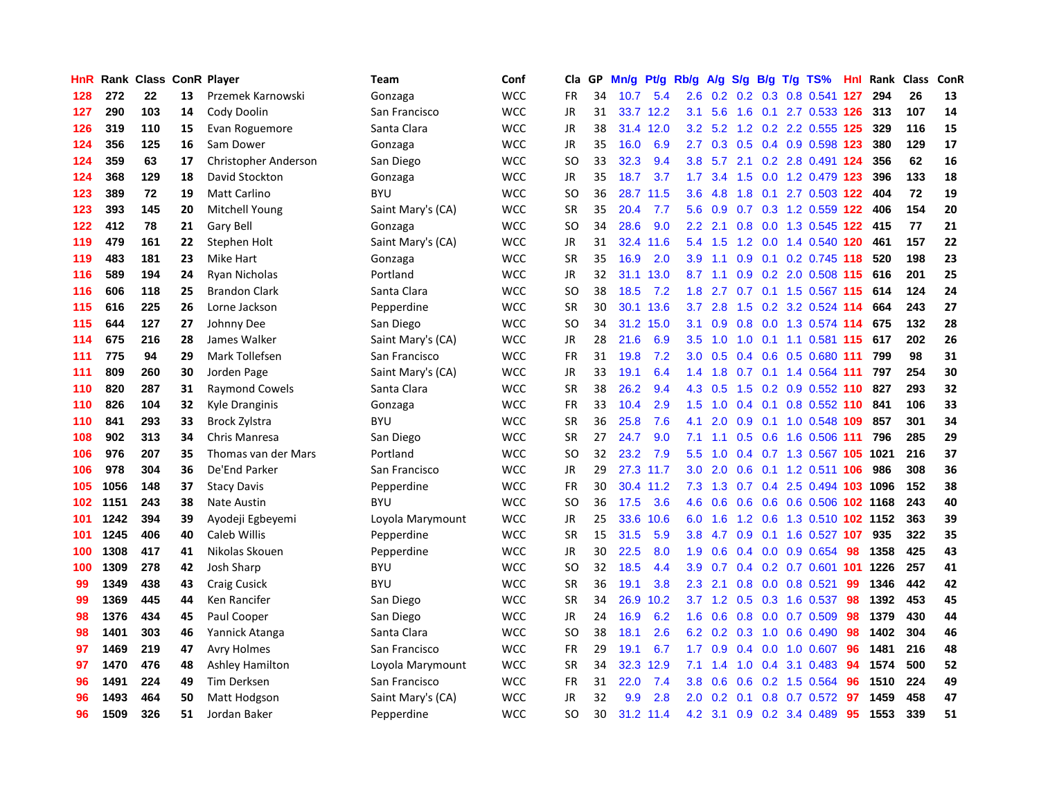| HnR |      | Rank Class ConR Player |    |                        | Team              | Conf       | Cla           | <b>GP</b> | Mn/g | Pt/g Rb/g |                  | A/g    |               |  | S/g B/g T/g TS%             | <b>Hnl</b> | Rank | Class | <b>ConR</b> |
|-----|------|------------------------|----|------------------------|-------------------|------------|---------------|-----------|------|-----------|------------------|--------|---------------|--|-----------------------------|------------|------|-------|-------------|
| 128 | 272  | 22                     | 13 | Przemek Karnowski      | Gonzaga           | <b>WCC</b> | <b>FR</b>     | 34        | 10.7 | 5.4       | 2.6              | 0.2    |               |  | 0.2 0.3 0.8 0.541 127       |            | 294  | 26    | 13          |
| 127 | 290  | 103                    | 14 | Cody Doolin            | San Francisco     | <b>WCC</b> | JR            | 31        |      | 33.7 12.2 | 3.1              | 5.6    |               |  | 1.6 0.1 2.7 0.533 126 313   |            |      | 107   | 14          |
| 126 | 319  | 110                    | 15 | Evan Roguemore         | Santa Clara       | <b>WCC</b> | JR            | 38        | 31.4 | 12.0      | 3.2              |        |               |  | 5.2 1.2 0.2 2.2 0.555 125   |            | 329  | 116   | 15          |
| 124 | 356  | 125                    | 16 | Sam Dower              | Gonzaga           | <b>WCC</b> | JR            | 35        | 16.0 | 6.9       | $2.7^{\circ}$    | 0.3    |               |  | 0.5 0.4 0.9 0.598 123       |            | 380  | 129   | 17          |
| 124 | 359  | 63                     | 17 | Christopher Anderson   | San Diego         | <b>WCC</b> | <b>SO</b>     | 33        | 32.3 | 9.4       | 3.8              | 5.7    |               |  | 2.1 0.2 2.8 0.491 124       |            | 356  | 62    | 16          |
| 124 | 368  | 129                    | 18 | David Stockton         | Gonzaga           | <b>WCC</b> | JR            | 35        | 18.7 | 3.7       | 1.7              | 3.4    | 1.5           |  | 0.0 1.2 0.479 123           |            | 396  | 133   | 18          |
| 123 | 389  | 72                     | 19 | <b>Matt Carlino</b>    | <b>BYU</b>        | <b>WCC</b> | <b>SO</b>     | 36        | 28.7 | 11.5      | 3.6              | 4.8    | 1.8           |  | 0.1 2.7 0.503 122           |            | 404  | 72    | 19          |
| 123 | 393  | 145                    | 20 | Mitchell Young         | Saint Mary's (CA) | <b>WCC</b> | <b>SR</b>     | 35        | 20.4 | 7.7       | 5.6              | 0.9    |               |  | $0.7$ $0.3$ 1.2 $0.559$ 122 |            | 406  | 154   | 20          |
| 122 | 412  | 78                     | 21 | Gary Bell              | Gonzaga           | <b>WCC</b> | SO.           | 34        | 28.6 | 9.0       | 2.2              | 2.1    | 0.8           |  | 0.0 1.3 0.545 122           |            | -415 | 77    | 21          |
| 119 | 479  | 161                    | 22 | Stephen Holt           | Saint Mary's (CA) | <b>WCC</b> | JR            | 31        | 32.4 | 11.6      | 5.4              | 1.5    |               |  | 1.2 0.0 1.4 0.540 120       |            | 461  | 157   | 22          |
| 119 | 483  | 181                    | 23 | Mike Hart              | Gonzaga           | <b>WCC</b> | <b>SR</b>     | 35        | 16.9 | 2.0       | 3.9 <sup>°</sup> | $-1.1$ |               |  | 0.9 0.1 0.2 0.745 118       |            | 520  | 198   | 23          |
| 116 | 589  | 194                    | 24 | Ryan Nicholas          | Portland          | <b>WCC</b> | JR            | 32        | 31.1 | 13.0      | 8.7              | $-1.1$ |               |  | 0.9 0.2 2.0 0.508 115 616   |            |      | 201   | 25          |
| 116 | 606  | 118                    | 25 | <b>Brandon Clark</b>   | Santa Clara       | <b>WCC</b> | SO.           | 38        | 18.5 | 7.2       | 1.8              | 2.7    |               |  | 0.7 0.1 1.5 0.567 115 614   |            |      | 124   | 24          |
| 115 | 616  | 225                    | 26 | Lorne Jackson          | Pepperdine        | <b>WCC</b> | <b>SR</b>     | 30        | 30.1 | 13.6      | 3.7              | 2.8    | 1.5           |  | 0.2 3.2 0.524 114           |            | 664  | 243   | 27          |
| 115 | 644  | 127                    | 27 | Johnny Dee             | San Diego         | <b>WCC</b> | <b>SO</b>     | 34        | 31.2 | 15.0      | 3.1              | 0.9    |               |  | 0.8 0.0 1.3 0.574 114       |            | 675  | 132   | 28          |
| 114 | 675  | 216                    | 28 | James Walker           | Saint Mary's (CA) | <b>WCC</b> | JR            | 28        | 21.6 | 6.9       | 3.5              | 1.0    | 1.0           |  | 0.1 1.1 0.581 115           |            | 617  | 202   | 26          |
| 111 | 775  | 94                     | 29 | Mark Tollefsen         | San Francisco     | <b>WCC</b> | <b>FR</b>     | 31        | 19.8 | 7.2       | 3.0 <sub>2</sub> | 0.5    |               |  | 0.4 0.6 0.5 0.680 111       |            | 799  | 98    | 31          |
| 111 | 809  | 260                    | 30 | Jorden Page            | Saint Mary's (CA) | <b>WCC</b> | <b>JR</b>     | 33        | 19.1 | 6.4       | 1.4              | 1.8    |               |  | 0.7 0.1 1.4 0.564 111       |            | 797  | 254   | 30          |
| 110 | 820  | 287                    | 31 | <b>Raymond Cowels</b>  | Santa Clara       | <b>WCC</b> | <b>SR</b>     | 38        | 26.2 | 9.4       | 4.3              | 0.5    |               |  | 1.5 0.2 0.9 0.552 110 827   |            |      | 293   | 32          |
| 110 | 826  | 104                    | 32 | Kyle Dranginis         | Gonzaga           | <b>WCC</b> | FR            | 33        | 10.4 | 2.9       | 1.5              | 1.0    |               |  | $0.4$ 0.1 0.8 0.552 110     |            | 841  | 106   | 33          |
| 110 | 841  | 293                    | 33 | <b>Brock Zylstra</b>   | <b>BYU</b>        | <b>WCC</b> | <b>SR</b>     | 36        | 25.8 | 7.6       | 4.1              | 2.0    |               |  | $0.9$ 0.1 1.0 0.548 109     |            | 857  | 301   | 34          |
| 108 | 902  | 313                    | 34 | Chris Manresa          | San Diego         | <b>WCC</b> | <b>SR</b>     | 27        | 24.7 | 9.0       | 7.1              | 1.1    | 0.5           |  | 0.6 1.6 0.506 111           |            | 796  | 285   | 29          |
| 106 | 976  | 207                    | 35 | Thomas van der Mars    | Portland          | <b>WCC</b> | <b>SO</b>     | 32        | 23.2 | 7.9       | 5.5              | 1.0    |               |  | 0.4 0.7 1.3 0.567 105 1021  |            |      | 216   | 37          |
| 106 | 978  | 304                    | 36 | De'End Parker          | San Francisco     | <b>WCC</b> | JR            | 29        | 27.3 | 11.7      | 3.0              | 2.0    | 0.6           |  | 0.1 1.2 0.511 106           |            | 986  | 308   | 36          |
| 105 | 1056 | 148                    | 37 | <b>Stacy Davis</b>     | Pepperdine        | <b>WCC</b> | FR            | 30        | 30.4 | 11.2      | 7.3              | 1.3    |               |  | 0.7 0.4 2.5 0.494 103 1096  |            |      | 152   | 38          |
| 102 | 1151 | 243                    | 38 | <b>Nate Austin</b>     | <b>BYU</b>        | <b>WCC</b> | <sub>SO</sub> | 36        | 17.5 | 3.6       | 4.6              | 0.6    | 0.6           |  | 0.6 0.6 0.506 102 1168      |            |      | 243   | 40          |
| 101 | 1242 | 394                    | 39 | Ayodeji Egbeyemi       | Loyola Marymount  | <b>WCC</b> | JR            | 25        | 33.6 | 10.6      | 6.0              | 1.6    |               |  | 1.2 0.6 1.3 0.510 102 1152  |            |      | 363   | 39          |
| 101 | 1245 | 406                    | 40 | Caleb Willis           | Pepperdine        | <b>WCC</b> | <b>SR</b>     | 15        | 31.5 | 5.9       | 3.8              | 4.7    |               |  | 0.9 0.1 1.6 0.527 107       |            | 935  | 322   | 35          |
| 100 | 1308 | 417                    | 41 | Nikolas Skouen         | Pepperdine        | <b>WCC</b> | JR            | 30        | 22.5 | 8.0       | 1.9              | 0.6    |               |  | $0.4$ 0.0 0.9 0.654 98      |            | 1358 | 425   | 43          |
| 100 | 1309 | 278                    | 42 | Josh Sharp             | <b>BYU</b>        | <b>WCC</b> | SO.           | 32        | 18.5 | 4.4       | 3.9 <sup>°</sup> | 0.7    |               |  | 0.4 0.2 0.7 0.601 101 1226  |            |      | 257   | 41          |
| 99  | 1349 | 438                    | 43 | <b>Craig Cusick</b>    | <b>BYU</b>        | <b>WCC</b> | <b>SR</b>     | 36        | 19.1 | 3.8       | 2.3              | 2.1    | 0.8           |  | $0.0$ 0.8 0.521             | 99         | 1346 | 442   | 42          |
| 99  | 1369 | 445                    | 44 | Ken Rancifer           | San Diego         | <b>WCC</b> | <b>SR</b>     | 34        | 26.9 | 10.2      | 3.7              | 1.2    |               |  | $0.5$ 0.3 1.6 0.537         | -98        | 1392 | 453   | 45          |
| 98  | 1376 | 434                    | 45 | Paul Cooper            | San Diego         | <b>WCC</b> | JR            | 24        | 16.9 | 6.2       | 1.6              | 0.6    | 0.8           |  | $0.0$ 0.7 0.509             | 98         | 1379 | 430   | 44          |
| 98  | 1401 | 303                    | 46 | Yannick Atanga         | Santa Clara       | <b>WCC</b> | SO            | 38        | 18.1 | 2.6       | 6.2              | 0.2    | 0.3           |  | 1.0 0.6 0.490               | -98        | 1402 | 304   | 46          |
| 97  | 1469 | 219                    | 47 | <b>Avry Holmes</b>     | San Francisco     | <b>WCC</b> | <b>FR</b>     | 29        | 19.1 | 6.7       | 1.7              | 0.9    | $0.4^{\circ}$ |  | $0.0$ 1.0 0.607             | 96         | 1481 | 216   | 48          |
| 97  | 1470 | 476                    | 48 | <b>Ashley Hamilton</b> | Loyola Marymount  | <b>WCC</b> | <b>SR</b>     | 34        | 32.3 | 12.9      | 7.1              | 1.4    |               |  | 1.0 0.4 3.1 0.483           | 94         | 1574 | 500   | 52          |
| 96  | 1491 | 224                    | 49 | Tim Derksen            | San Francisco     | <b>WCC</b> | <b>FR</b>     | 31        | 22.0 | 7.4       | 3.8 <sub>2</sub> | 0.6    |               |  | $0.6$ $0.2$ 1.5 $0.564$     | 96         | 1510 | 224   | 49          |
| 96  | 1493 | 464                    | 50 | Matt Hodgson           | Saint Mary's (CA) | <b>WCC</b> | JR            | 32        | 9.9  | 2.8       | 2.0 <sub>1</sub> | 0.2    |               |  | $0.1$ 0.8 0.7 0.572         | -97        | 1459 | 458   | 47          |
| 96  | 1509 | 326                    | 51 | Jordan Baker           | Pepperdine        | <b>WCC</b> | SO.           | 30        |      | 31.2 11.4 | 4.2              | 3.1    |               |  | 0.9 0.2 3.4 0.489           | 95         | 1553 | 339   | 51          |